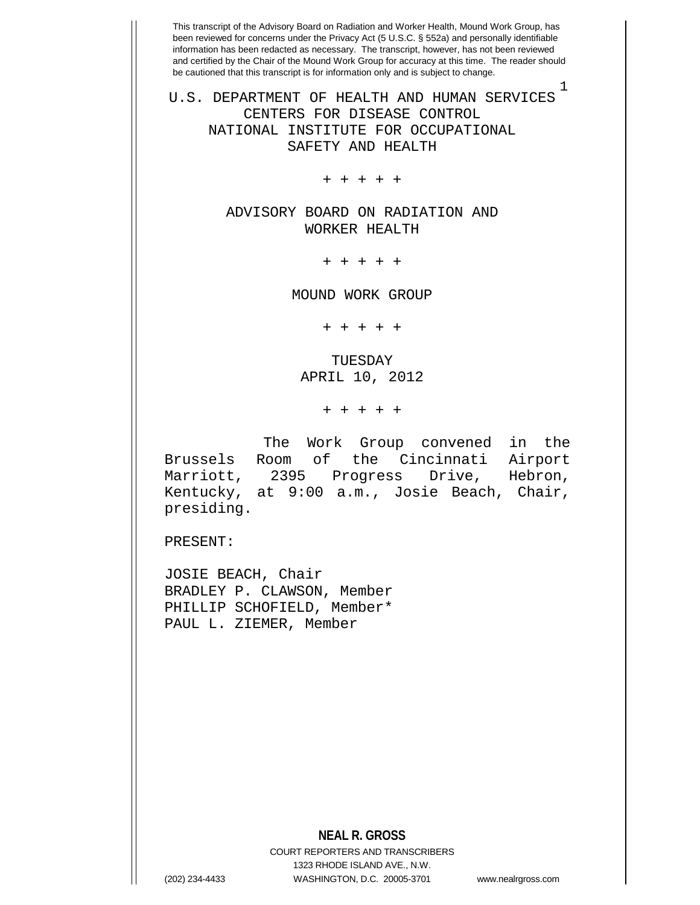1

U.S. DEPARTMENT OF HEALTH AND HUMAN SERVICES CENTERS FOR DISEASE CONTROL NATIONAL INSTITUTE FOR OCCUPATIONAL SAFETY AND HEALTH

+ + + + +

ADVISORY BOARD ON RADIATION AND WORKER HEALTH

+ + + + +

MOUND WORK GROUP

+ + + + +

TUESDAY APRIL 10, 2012

+ + + + +

 The Work Group convened in the Brussels Room of the Cincinnati Airport<br>Marriott, 2395 Progress Drive, Hebron, Marriott, 2395 Progress Kentucky, at 9:00 a.m., Josie Beach, Chair, presiding.

PRESENT:

JOSIE BEACH, Chair BRADLEY P. CLAWSON, Member PHILLIP SCHOFIELD, Member\* PAUL L. ZIEMER, Member

**NEAL R. GROSS**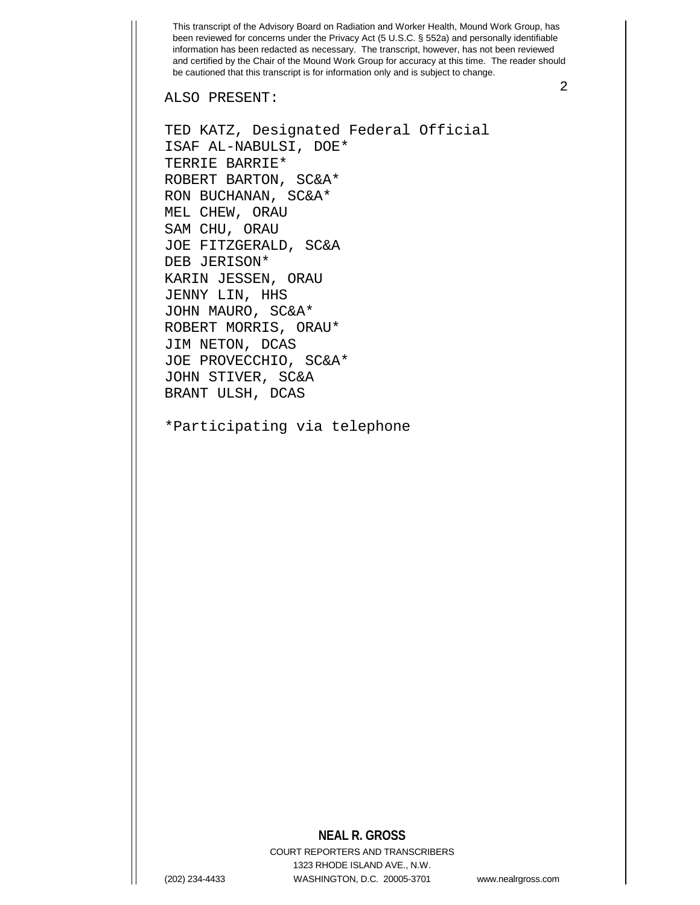ALSO PRESENT:

TERRIE BARRIE\*

ISAF AL-NABULSI, DOE\*

TED KATZ, Designated Federal Official

2

ROBERT BARTON, SC&A\* RON BUCHANAN, SC&A\* MEL CHEW, ORAU SAM CHU, ORAU JOE FITZGERALD, SC&A DEB JERISON\* KARIN JESSEN, ORAU JENNY LIN, HHS JOHN MAURO, SC&A\* ROBERT MORRIS, ORAU\* JIM NETON, DCAS JOE PROVECCHIO, SC&A\* JOHN STIVER, SC&A BRANT ULSH, DCAS

\*Participating via telephone

## **NEAL R. GROSS**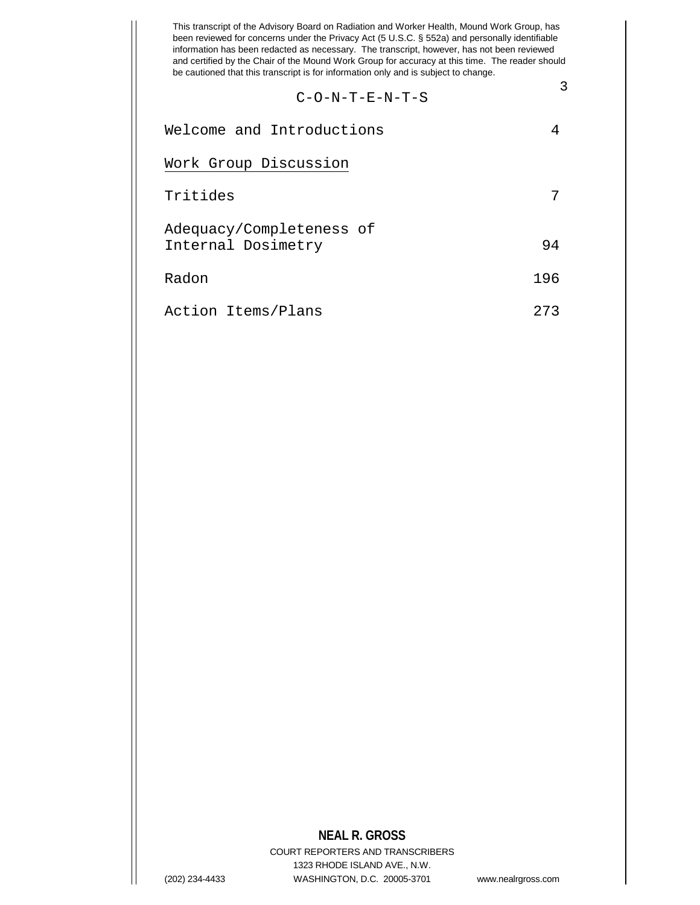$$
C-O-N-T-E-N-T-S
$$

| Welcome and Introductions                      |     |
|------------------------------------------------|-----|
| Work Group Discussion                          |     |
| Tritides                                       |     |
| Adequacy/Completeness of<br>Internal Dosimetry | 94  |
| Radon                                          | 196 |
| Action Items/Plans                             | 273 |

## **NEAL R. GROSS**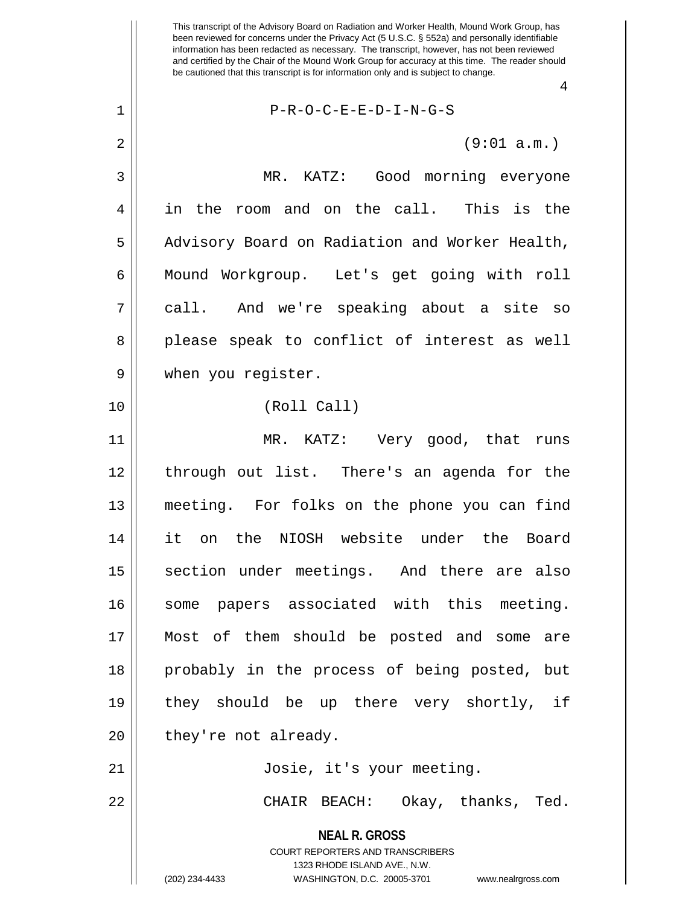4

**NEAL R. GROSS** COURT REPORTERS AND TRANSCRIBERS 1 P-R-O-C-E-E-D-I-N-G-S  $2 \parallel$  (9:01 a.m.) 3 MR. KATZ: Good morning everyone 4 || in the room and on the call. This is the 5 | Advisory Board on Radiation and Worker Health, 6 | Mound Workgroup. Let's get going with roll 7 call. And we're speaking about a site so 8 please speak to conflict of interest as well 9 when you register. 10 (Roll Call) 11 MR. KATZ: Very good, that runs 12 through out list. There's an agenda for the 13 meeting. For folks on the phone you can find 14 it on the NIOSH website under the Board 15 || section under meetings. And there are also 16 || some papers associated with this meeting. 17 Most of them should be posted and some are 18 probably in the process of being posted, but 19 they should be up there very shortly, if  $20$  | they're not already. 21 Josie, it's your meeting. 22 CHAIR BEACH: Okay, thanks, Ted.

1323 RHODE ISLAND AVE., N.W.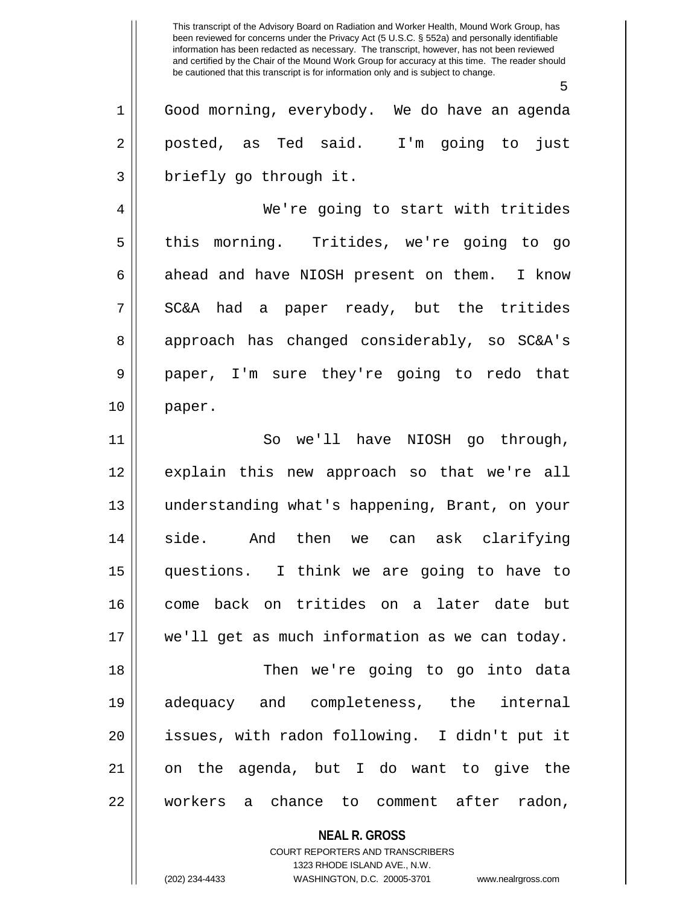5

1 Good morning, everybody. We do have an agenda 2 || posted, as Ted said. I'm going to just 3 | briefly go through it.

4 We're going to start with tritides 5 || this morning. Tritides, we're going to go  $6 \parallel$  ahead and have NIOSH present on them. I know  $7 \parallel$  SC&A had a paper ready, but the tritides 8 approach has changed considerably, so SC&A's 9 || paper, I'm sure they're going to redo that 10 paper.

11 || So we'll have NIOSH qo through, 12 explain this new approach so that we're all 13 understanding what's happening, Brant, on your 14 side. And then we can ask clarifying 15 questions. I think we are going to have to 16 come back on tritides on a later date but 17 we'll get as much information as we can today. 18 Then we're going to go into data 19 adequacy and completeness, the internal 20 issues, with radon following. I didn't put it 21 on the agenda, but I do want to give the

22 workers a chance to comment after radon,

**NEAL R. GROSS**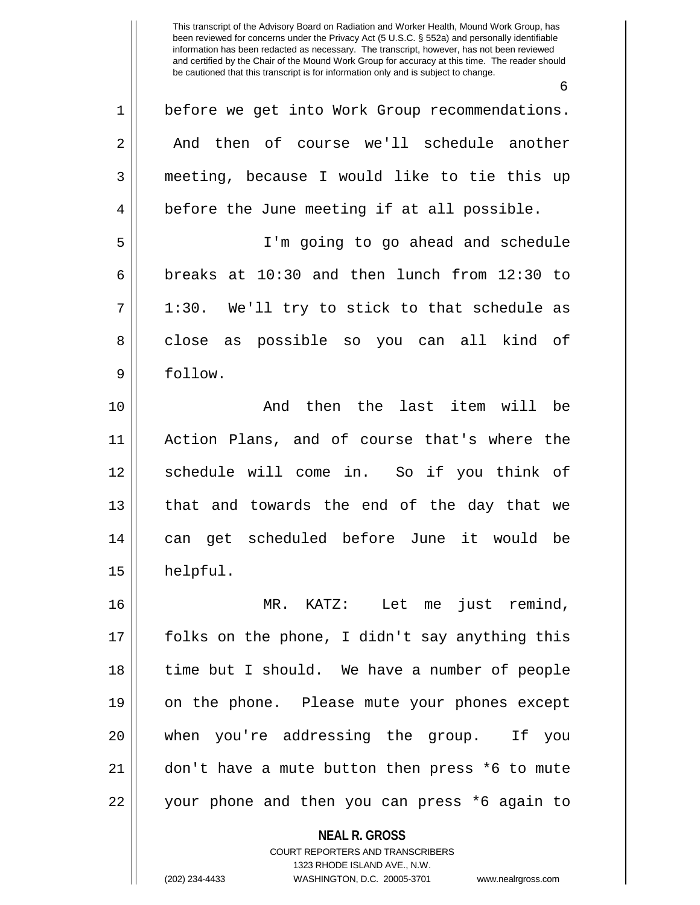6

1 || before we get into Work Group recommendations. 2 and then of course we'll schedule another 3 meeting, because I would like to tie this up 4 || before the June meeting if at all possible. 5 I'm going to go ahead and schedule 6 breaks at  $10:30$  and then lunch from  $12:30$  to  $7 || 1:30.$  We'll try to stick to that schedule as 8 close as possible so you can all kind of 9 || follow. 10 And then the last item will be 11 Action Plans, and of course that's where the 12 || schedule will come in. So if you think of 13 || that and towards the end of the day that we 14 can get scheduled before June it would be 15 helpful. 16 MR. KATZ: Let me just remind, 17 folks on the phone, I didn't say anything this 18 time but I should. We have a number of people 19 on the phone. Please mute your phones except 20 when you're addressing the group. If you 21 don't have a mute button then press \*6 to mute 22 || your phone and then you can press \*6 again to

> **NEAL R. GROSS** COURT REPORTERS AND TRANSCRIBERS 1323 RHODE ISLAND AVE., N.W.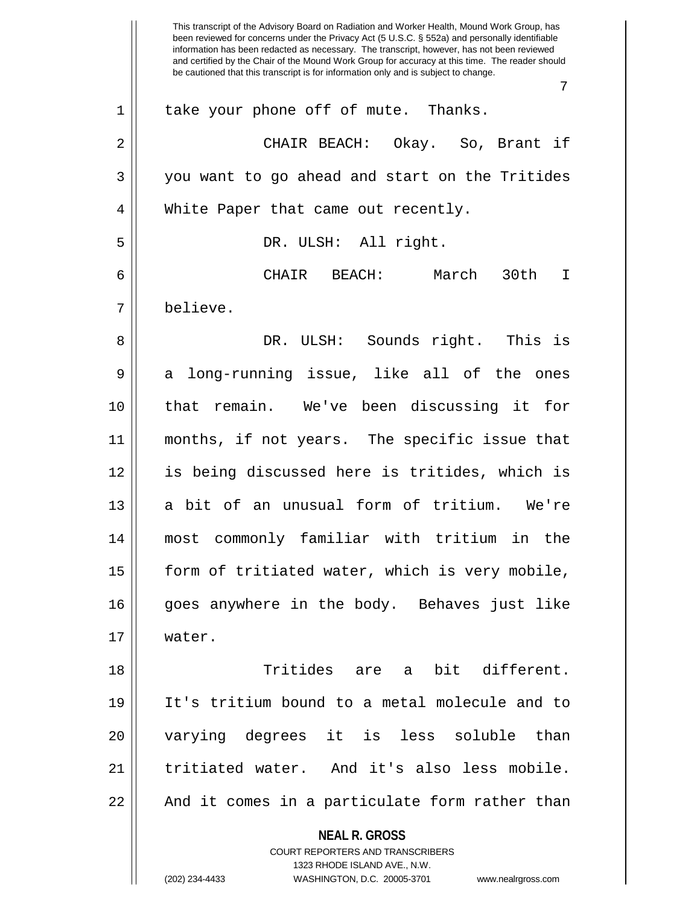|    | This transcript of the Advisory Board on Radiation and Worker Health, Mound Work Group, has<br>been reviewed for concerns under the Privacy Act (5 U.S.C. § 552a) and personally identifiable<br>information has been redacted as necessary. The transcript, however, has not been reviewed<br>and certified by the Chair of the Mound Work Group for accuracy at this time. The reader should<br>be cautioned that this transcript is for information only and is subject to change. |
|----|---------------------------------------------------------------------------------------------------------------------------------------------------------------------------------------------------------------------------------------------------------------------------------------------------------------------------------------------------------------------------------------------------------------------------------------------------------------------------------------|
|    | 7                                                                                                                                                                                                                                                                                                                                                                                                                                                                                     |
| 1  | take your phone off of mute. Thanks.                                                                                                                                                                                                                                                                                                                                                                                                                                                  |
| 2  | CHAIR BEACH: Okay. So, Brant if                                                                                                                                                                                                                                                                                                                                                                                                                                                       |
| 3  | you want to go ahead and start on the Tritides                                                                                                                                                                                                                                                                                                                                                                                                                                        |
| 4  | White Paper that came out recently.                                                                                                                                                                                                                                                                                                                                                                                                                                                   |
| 5  | DR. ULSH: All right.                                                                                                                                                                                                                                                                                                                                                                                                                                                                  |
| 6  | CHAIR<br>BEACH:<br>March<br>30th<br>$\top$                                                                                                                                                                                                                                                                                                                                                                                                                                            |
| 7  | believe.                                                                                                                                                                                                                                                                                                                                                                                                                                                                              |
| 8  | DR. ULSH: Sounds right. This is                                                                                                                                                                                                                                                                                                                                                                                                                                                       |
| 9  | long-running issue, like all of the<br>ones<br>a                                                                                                                                                                                                                                                                                                                                                                                                                                      |
| 10 | remain. We've been discussing it for<br>that                                                                                                                                                                                                                                                                                                                                                                                                                                          |
| 11 | months, if not years. The specific issue that                                                                                                                                                                                                                                                                                                                                                                                                                                         |
| 12 | is being discussed here is tritides, which is                                                                                                                                                                                                                                                                                                                                                                                                                                         |
| 13 | bit of an unusual form of tritium. We're<br>a                                                                                                                                                                                                                                                                                                                                                                                                                                         |
| 14 | most commonly familiar with tritium in the                                                                                                                                                                                                                                                                                                                                                                                                                                            |
| 15 | form of tritiated water, which is very mobile,                                                                                                                                                                                                                                                                                                                                                                                                                                        |
| 16 | goes anywhere in the body. Behaves just like                                                                                                                                                                                                                                                                                                                                                                                                                                          |
| 17 | water.                                                                                                                                                                                                                                                                                                                                                                                                                                                                                |
| 18 | Tritides are a bit different.                                                                                                                                                                                                                                                                                                                                                                                                                                                         |
| 19 | It's tritium bound to a metal molecule and to                                                                                                                                                                                                                                                                                                                                                                                                                                         |
| 20 | varying degrees it is less soluble than                                                                                                                                                                                                                                                                                                                                                                                                                                               |
| 21 | tritiated water. And it's also less mobile.                                                                                                                                                                                                                                                                                                                                                                                                                                           |
| 22 | And it comes in a particulate form rather than                                                                                                                                                                                                                                                                                                                                                                                                                                        |
|    | <b>NEAL R. GROSS</b><br>COURT REPORTERS AND TRANSCRIBERS<br>1323 RHODE ISLAND AVE., N.W.<br>(202) 234-4433<br>WASHINGTON, D.C. 20005-3701 www.nealrgross.com                                                                                                                                                                                                                                                                                                                          |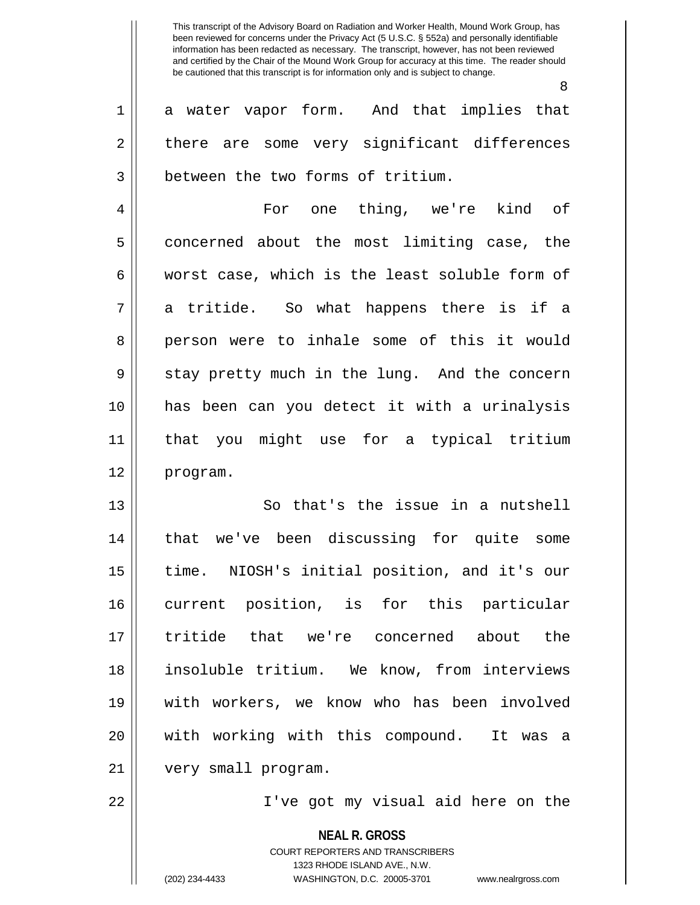1 || a water vapor form. And that implies that

8

**NEAL R. GROSS** COURT REPORTERS AND TRANSCRIBERS 1323 RHODE ISLAND AVE., N.W.  $2 \parallel$  there are some very significant differences 3 | between the two forms of tritium. 4 For one thing, we're kind of 5 concerned about the most limiting case, the  $6 \parallel$  worst case, which is the least soluble form of  $7 \parallel$  a tritide. So what happens there is if a 8 person were to inhale some of this it would 9 || stay pretty much in the lung. And the concern 10 has been can you detect it with a urinalysis 11 that you might use for a typical tritium 12 program. 13 || So that's the issue in a nutshell 14 that we've been discussing for quite some 15 time. NIOSH's initial position, and it's our 16 current position, is for this particular 17 tritide that we're concerned about the 18 insoluble tritium. We know, from interviews 19 with workers, we know who has been involved 20 with working with this compound. It was a 21 | very small program. 22 I've got my visual aid here on the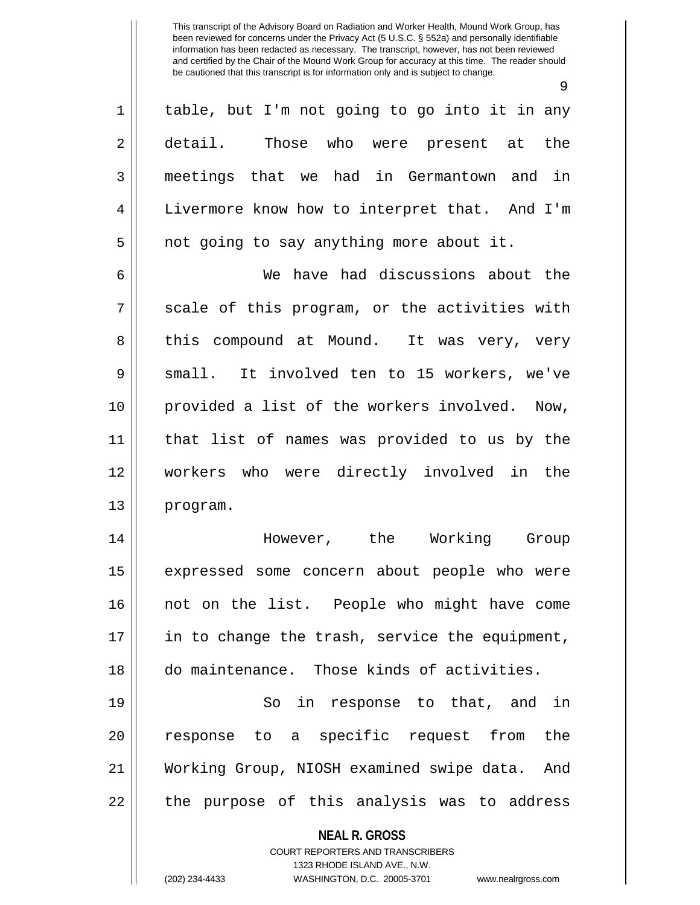9

 $1 \parallel$  table, but I'm not going to go into it in any 2 detail. Those who were present at the 3 meetings that we had in Germantown and in 4 Livermore know how to interpret that. And I'm  $5 \parallel$  not going to say anything more about it.

6 We have had discussions about the  $7 \parallel$  scale of this program, or the activities with 8 this compound at Mound. It was very, very 9 || small. It involved ten to 15 workers, we've 10 provided a list of the workers involved. Now, 11 that list of names was provided to us by the 12 workers who were directly involved in the 13 program.

14 However, the Working Group 15 || expressed some concern about people who were 16 not on the list. People who might have come 17 || in to change the trash, service the equipment, 18 do maintenance. Those kinds of activities.

19 || So in response to that, and in 20 || response to a specific request from the 21 Working Group, NIOSH examined swipe data. And  $22$  || the purpose of this analysis was to address

**NEAL R. GROSS**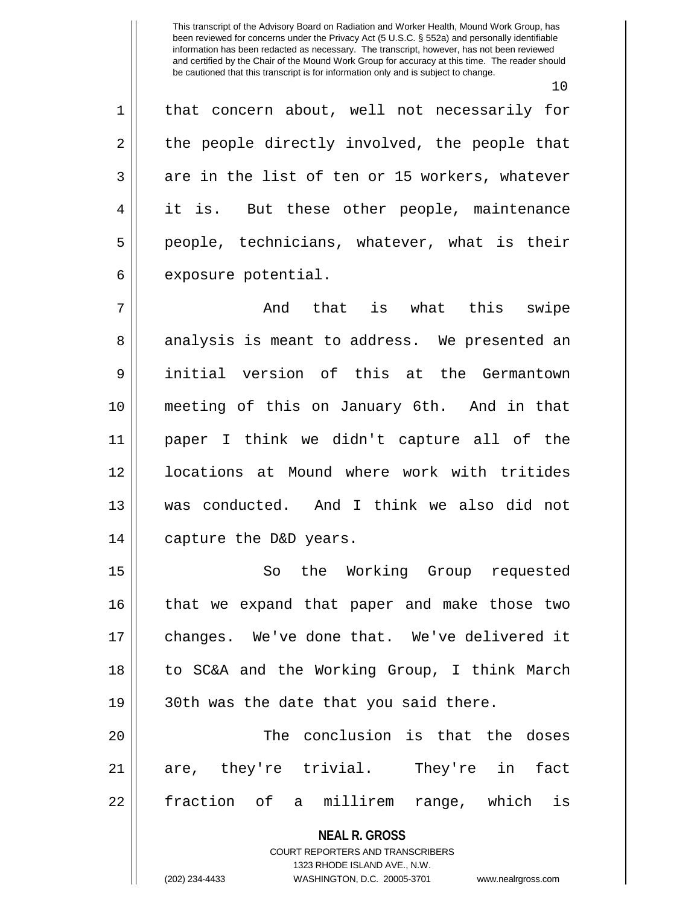10

1 || that concern about, well not necessarily for  $2 \parallel$  the people directly involved, the people that  $3 \parallel$  are in the list of ten or 15 workers, whatever 4 it is. But these other people, maintenance  $5 \parallel$  people, technicians, whatever, what is their  $6 \parallel$  exposure potential.

 $7 \parallel$  and that is what this swipe 8 analysis is meant to address. We presented an 9 initial version of this at the Germantown 10 meeting of this on January 6th. And in that 11 paper I think we didn't capture all of the 12 ll locations at Mound where work with tritides 13 was conducted. And I think we also did not 14 | capture the D&D years.

15 || So the Working Group requested 16 || that we expand that paper and make those two 17 || changes. We've done that. We've delivered it 18 to SC&A and the Working Group, I think March 19 || 30th was the date that you said there.

20 || The conclusion is that the doses 21 are, they're trivial. They're in fact 22 || fraction of a millirem range, which is

> **NEAL R. GROSS** COURT REPORTERS AND TRANSCRIBERS

> > 1323 RHODE ISLAND AVE., N.W.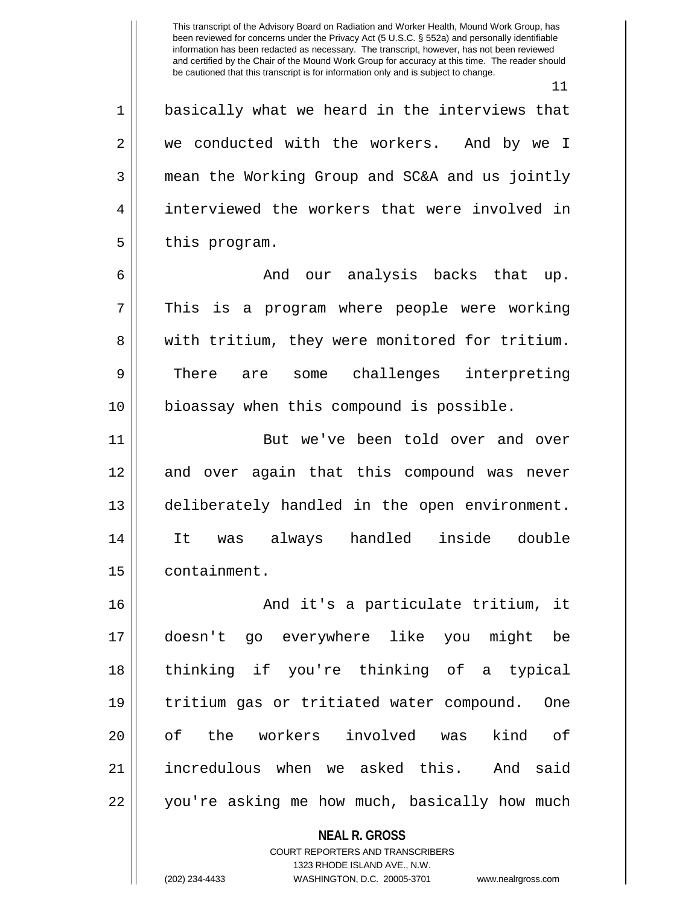**NEAL R. GROSS** COURT REPORTERS AND TRANSCRIBERS 11 1 || basically what we heard in the interviews that 2 we conducted with the workers. And by we I 3 mean the Working Group and SC&A and us jointly 4 || interviewed the workers that were involved in  $5 \parallel$  this program. 6 And our analysis backs that up. 7 || This is a program where people were working 8 We with tritium, they were monitored for tritium. 9 There are some challenges interpreting 10 || bioassay when this compound is possible. 11 || But we've been told over and over 12 and over again that this compound was never 13 deliberately handled in the open environment. 14 It was always handled inside double 15 containment. 16 || And it's a particulate tritium, it 17 doesn't go everywhere like you might be 18 thinking if you're thinking of a typical 19 tritium gas or tritiated water compound. One 20 || of the workers involved was kind of 21 incredulous when we asked this. And said 22 || you're asking me how much, basically how much

1323 RHODE ISLAND AVE., N.W.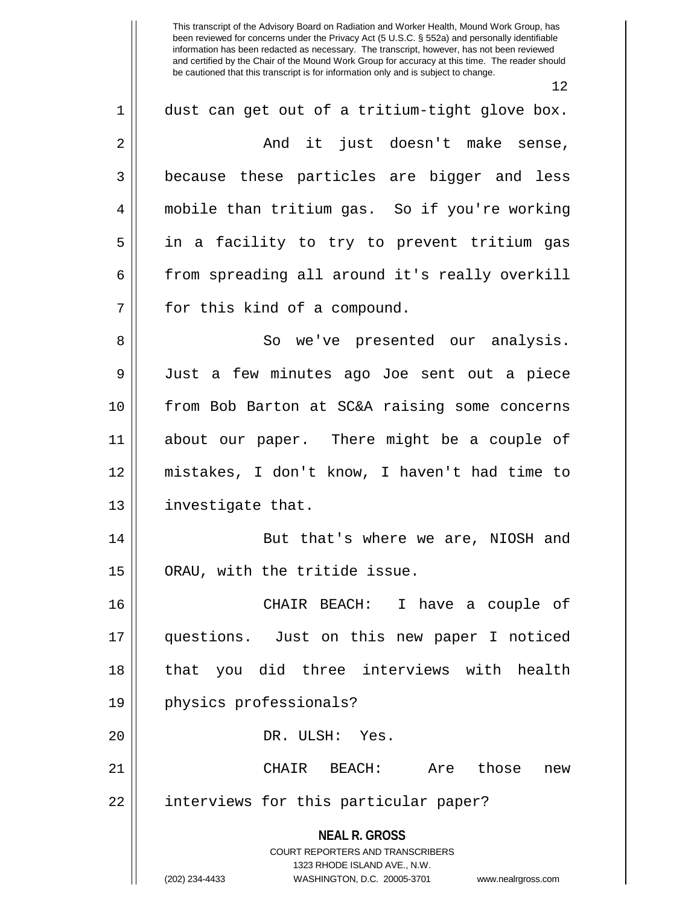12

| $\mathbf 1$ | dust can get out of a tritium-tight glove box.                                                                                                                         |
|-------------|------------------------------------------------------------------------------------------------------------------------------------------------------------------------|
| 2           | And it just doesn't make sense,                                                                                                                                        |
| 3           | because these particles are bigger and less                                                                                                                            |
| 4           | mobile than tritium gas. So if you're working                                                                                                                          |
| 5           | in a facility to try to prevent tritium gas                                                                                                                            |
| 6           | from spreading all around it's really overkill                                                                                                                         |
| 7           | for this kind of a compound.                                                                                                                                           |
| 8           | So we've presented our analysis.                                                                                                                                       |
| 9           | Just a few minutes ago Joe sent out a piece                                                                                                                            |
| 10          | from Bob Barton at SC&A raising some concerns                                                                                                                          |
| 11          | about our paper. There might be a couple of                                                                                                                            |
| 12          | mistakes, I don't know, I haven't had time to                                                                                                                          |
| 13          | investigate that.                                                                                                                                                      |
| 14          | But that's where we are, NIOSH and                                                                                                                                     |
| 15          | ORAU, with the tritide issue.                                                                                                                                          |
| 16          | CHAIR BEACH: I have a couple of                                                                                                                                        |
| 17          | questions. Just on this new paper I noticed                                                                                                                            |
| 18          | that you did three interviews with health                                                                                                                              |
| 19          | physics professionals?                                                                                                                                                 |
| 20          | DR. ULSH: Yes.                                                                                                                                                         |
| 21          | Are those<br>CHAIR BEACH:<br>new                                                                                                                                       |
| 22          | interviews for this particular paper?                                                                                                                                  |
|             | <b>NEAL R. GROSS</b><br><b>COURT REPORTERS AND TRANSCRIBERS</b><br>1323 RHODE ISLAND AVE., N.W.<br>(202) 234-4433<br>WASHINGTON, D.C. 20005-3701<br>www.nealrgross.com |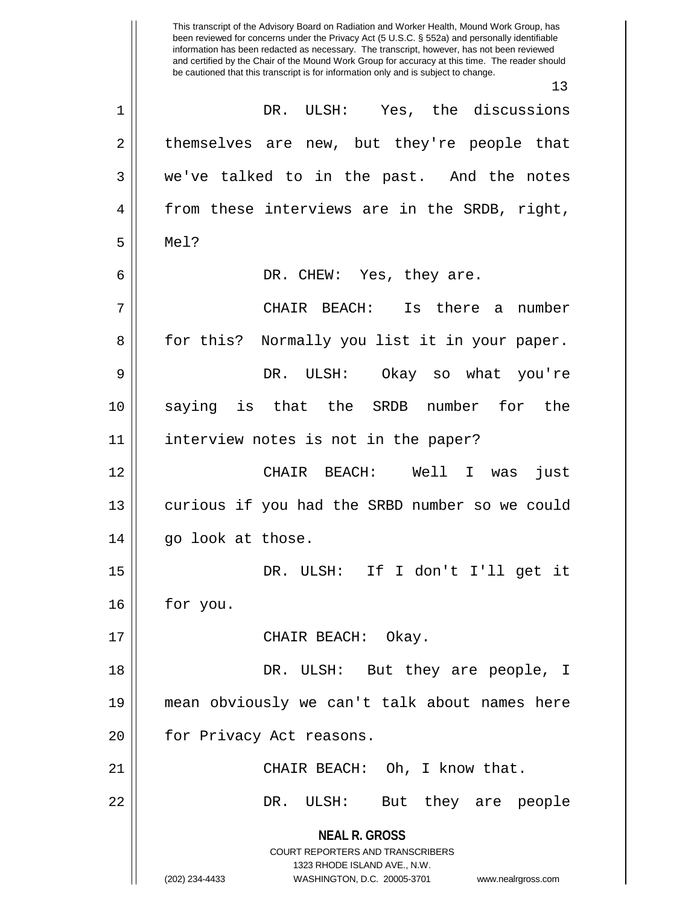**NEAL R. GROSS** COURT REPORTERS AND TRANSCRIBERS 1323 RHODE ISLAND AVE., N.W. (202) 234-4433 WASHINGTON, D.C. 20005-3701 www.nealrgross.com This transcript of the Advisory Board on Radiation and Worker Health, Mound Work Group, has been reviewed for concerns under the Privacy Act (5 U.S.C. § 552a) and personally identifiable information has been redacted as necessary. The transcript, however, has not been reviewed and certified by the Chair of the Mound Work Group for accuracy at this time. The reader should be cautioned that this transcript is for information only and is subject to change. 13 1 DR. ULSH: Yes, the discussions 2 || themselves are new, but they're people that 3 we've talked to in the past. And the notes 4 || from these interviews are in the SRDB, right, 5 Mel? 6 DR. CHEW: Yes, they are. 7 CHAIR BEACH: Is there a number 8 || for this? Normally you list it in your paper. 9 DR. ULSH: Okay so what you're 10 saying is that the SRDB number for the 11 interview notes is not in the paper? 12 CHAIR BEACH: Well I was just 13 || curious if you had the SRBD number so we could 14 || go look at those. 15 DR. ULSH: If I don't I'll get it 16 for you. 17 || CHAIR BEACH: Okay. 18 DR. ULSH: But they are people, I 19 mean obviously we can't talk about names here 20 | for Privacy Act reasons. 21 CHAIR BEACH: Oh, I know that. 22 DR. ULSH: But they are people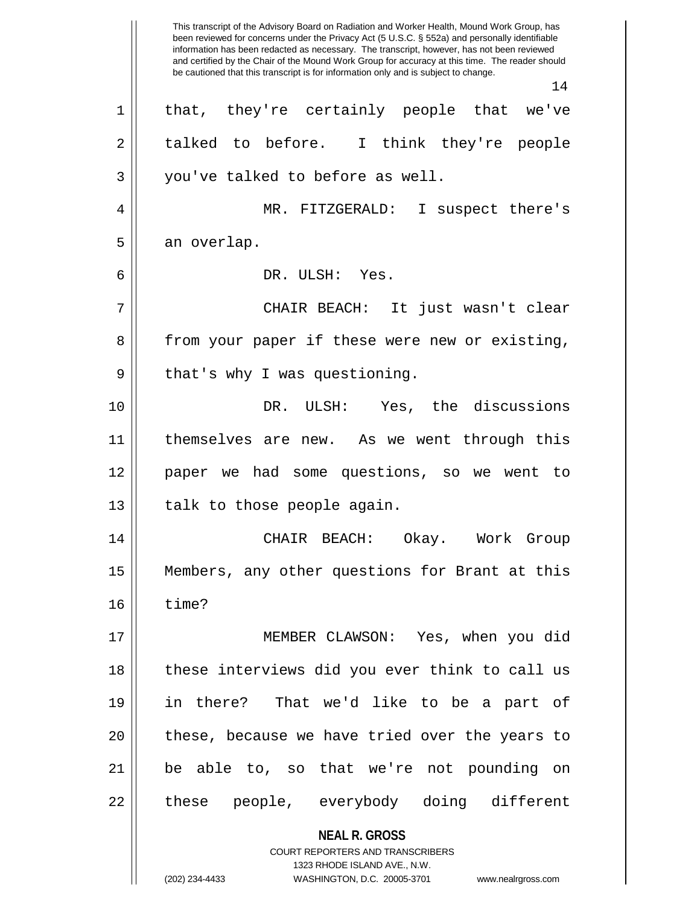**NEAL R. GROSS** COURT REPORTERS AND TRANSCRIBERS 1323 RHODE ISLAND AVE., N.W. (202) 234-4433 WASHINGTON, D.C. 20005-3701 www.nealrgross.com This transcript of the Advisory Board on Radiation and Worker Health, Mound Work Group, has been reviewed for concerns under the Privacy Act (5 U.S.C. § 552a) and personally identifiable information has been redacted as necessary. The transcript, however, has not been reviewed and certified by the Chair of the Mound Work Group for accuracy at this time. The reader should be cautioned that this transcript is for information only and is subject to change. 14 1 || that, they're certainly people that we've  $2 \parallel$  talked to before. I think they're people  $3 \parallel$  you've talked to before as well. 4 MR. FITZGERALD: I suspect there's  $5 \parallel$  an overlap. 6 DR. ULSH: Yes. 7 CHAIR BEACH: It just wasn't clear 8 from your paper if these were new or existing, 9 || that's why I was questioning. 10 DR. ULSH: Yes, the discussions 11 themselves are new. As we went through this 12 paper we had some questions, so we went to  $13$  | talk to those people again. 14 CHAIR BEACH: Okay. Work Group 15 Members, any other questions for Brant at this  $16 \parallel$  time? 17 MEMBER CLAWSON: Yes, when you did 18 || these interviews did you ever think to call us 19 in there? That we'd like to be a part of 20 || these, because we have tried over the years to 21 be able to, so that we're not pounding on 22 || these people, everybody doing different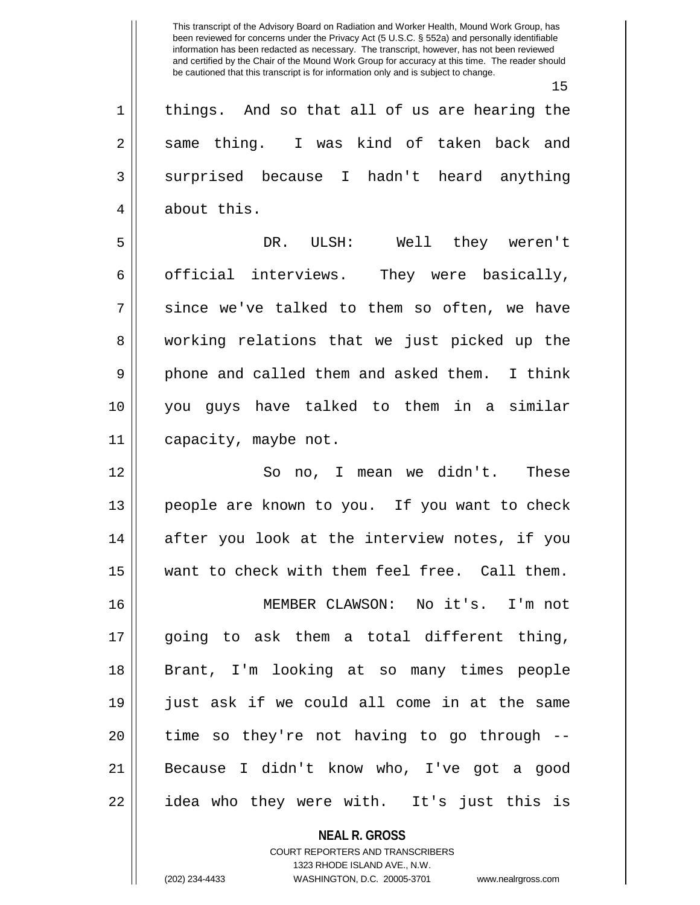15  $1 \parallel$  things. And so that all of us are hearing the 2 same thing. I was kind of taken back and 3 surprised because I hadn't heard anything 4 | about this. 5 DR. ULSH: Well they weren't 6 |  $\circ$  official interviews. They were basically,  $7 \parallel$  since we've talked to them so often, we have 8 working relations that we just picked up the 9 || phone and called them and asked them. I think 10 you guys have talked to them in a similar 11 | capacity, maybe not. 12 So no, I mean we didn't. These 13 || people are known to you. If you want to check 14 || after you look at the interview notes, if you 15 want to check with them feel free. Call them. 16 MEMBER CLAWSON: No it's. I'm not 17 going to ask them a total different thing, 18 Brant, I'm looking at so many times people 19 just ask if we could all come in at the same  $20$  || time so they're not having to go through  $-$ 21 || Because I didn't know who, I've got a good 22 || idea who they were with. It's just this is

> COURT REPORTERS AND TRANSCRIBERS 1323 RHODE ISLAND AVE., N.W. (202) 234-4433 WASHINGTON, D.C. 20005-3701 www.nealrgross.com

**NEAL R. GROSS**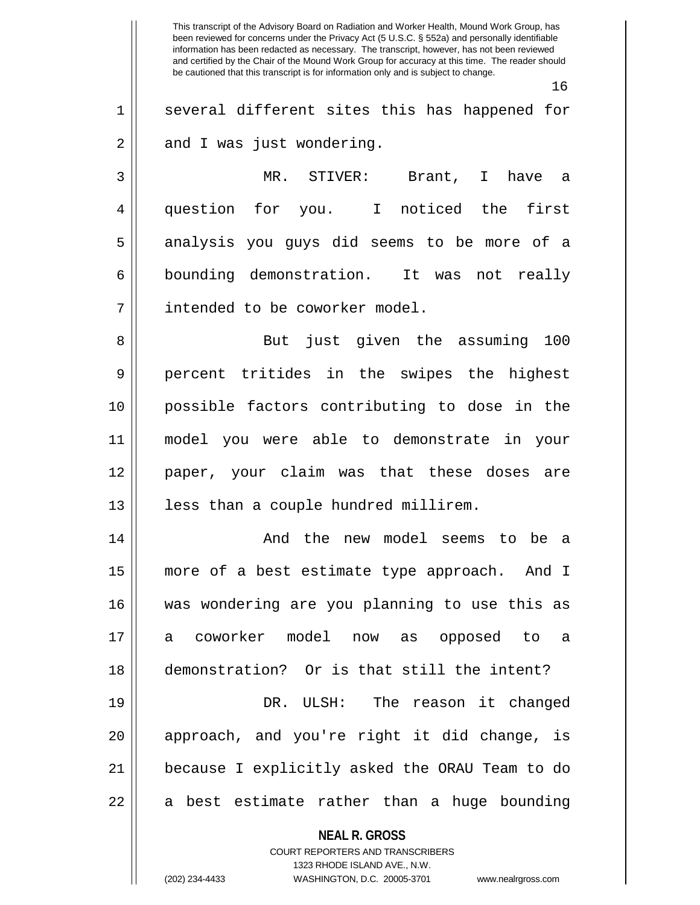**NEAL R. GROSS** COURT REPORTERS AND TRANSCRIBERS This transcript of the Advisory Board on Radiation and Worker Health, Mound Work Group, has been reviewed for concerns under the Privacy Act (5 U.S.C. § 552a) and personally identifiable information has been redacted as necessary. The transcript, however, has not been reviewed and certified by the Chair of the Mound Work Group for accuracy at this time. The reader should be cautioned that this transcript is for information only and is subject to change. 16 1 || several different sites this has happened for  $2 \parallel$  and I was just wondering. 3 MR. STIVER: Brant, I have a 4 question for you. I noticed the first 5 analysis you guys did seems to be more of a 6 bounding demonstration. It was not really 7 | intended to be coworker model. 8 But just given the assuming 100 9 percent tritides in the swipes the highest 10 possible factors contributing to dose in the 11 model you were able to demonstrate in your 12 paper, your claim was that these doses are 13 || less than a couple hundred millirem. 14 And the new model seems to be a 15 more of a best estimate type approach. And I 16 was wondering are you planning to use this as 17 a coworker model now as opposed to a 18 demonstration? Or is that still the intent? 19 || DR. ULSH: The reason it changed 20 || approach, and you're right it did change, is 21 because I explicitly asked the ORAU Team to do  $22 \parallel$  a best estimate rather than a huge bounding

1323 RHODE ISLAND AVE., N.W.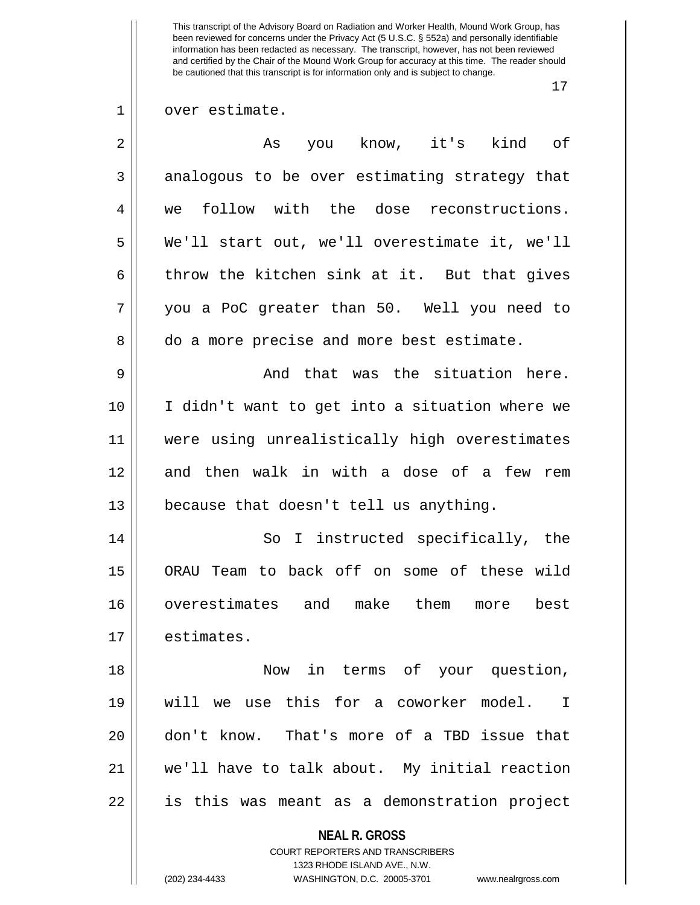17

1 | over estimate.

| you know, it's kind of<br>As                   |
|------------------------------------------------|
| analogous to be over estimating strategy that  |
| follow with the dose reconstructions.<br>we    |
| We'll start out, we'll overestimate it, we'll  |
| throw the kitchen sink at it. But that gives   |
| you a PoC greater than 50. Well you need to    |
| do a more precise and more best estimate.      |
| And that was the situation here.               |
| I didn't want to get into a situation where we |
| were using unrealistically high overestimates  |
| and then walk in with a dose of a few rem      |
| because that doesn't tell us anything.         |
| So I instructed specifically, the              |
| ORAU Team to back off on some of these wild    |
| overestimates and make them<br>best<br>more    |
| estimates.                                     |
| Now in terms of your question,                 |
| will we use this for a coworker model. I       |
| don't know. That's more of a TBD issue that    |
| we'll have to talk about. My initial reaction  |
| is this was meant as a demonstration project   |
| <b>NEAL R. GROSS</b>                           |
| <b>COURT REPORTERS AND TRANSCRIBERS</b>        |
|                                                |

 $\mathbf{\mathcal{H}}$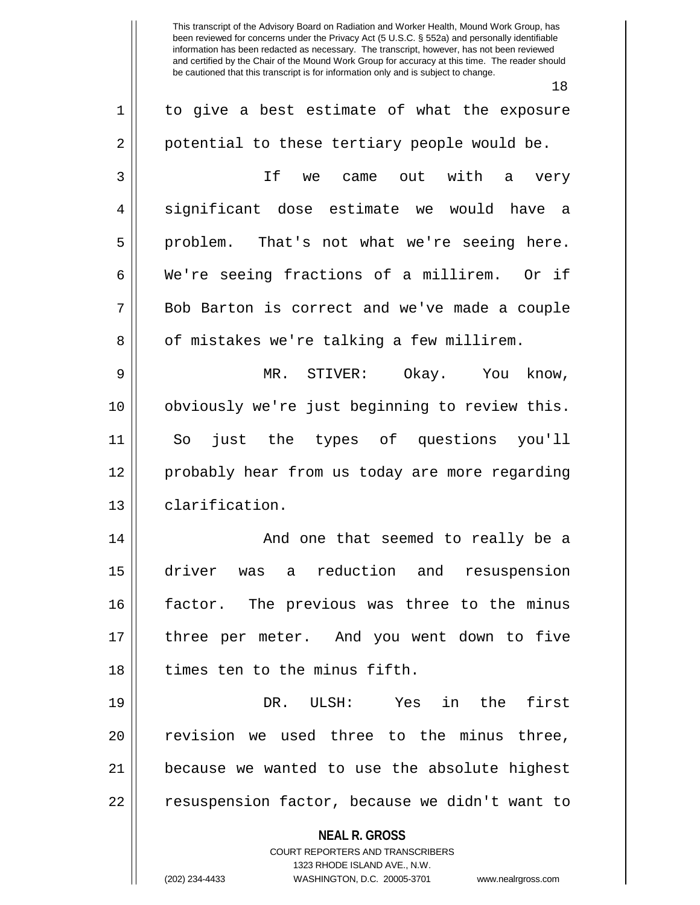18

**NEAL R. GROSS** COURT REPORTERS AND TRANSCRIBERS 1323 RHODE ISLAND AVE., N.W. (202) 234-4433 WASHINGTON, D.C. 20005-3701 www.nealrgross.com  $1 \parallel$  to give a best estimate of what the exposure 2 | potential to these tertiary people would be. 3 If we came out with a very 4 || significant dose estimate we would have a 5 || problem. That's not what we're seeing here. 6 We're seeing fractions of a millirem. Or if 7 Bob Barton is correct and we've made a couple 8 | of mistakes we're talking a few millirem. 9 MR. STIVER: Okay. You know, 10 obviously we're just beginning to review this. 11 So just the types of questions you'll 12 probably hear from us today are more regarding 13 clarification. 14 And one that seemed to really be a 15 driver was a reduction and resuspension 16 factor. The previous was three to the minus 17 three per meter. And you went down to five 18 || times ten to the minus fifth. 19 DR. ULSH: Yes in the first 20 || revision we used three to the minus three, 21 because we wanted to use the absolute highest 22 | resuspension factor, because we didn't want to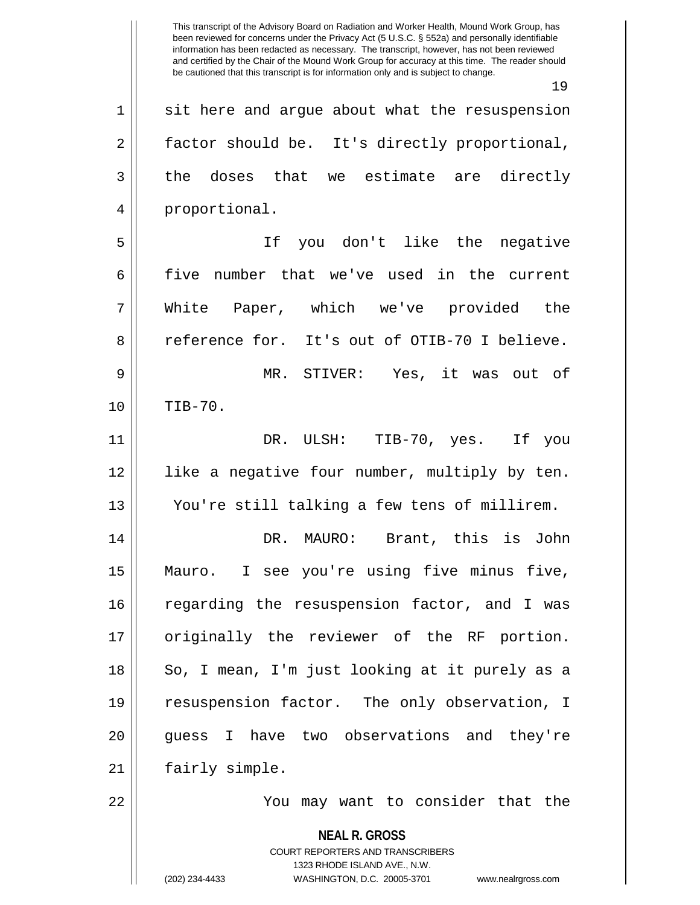**NEAL R. GROSS** COURT REPORTERS AND TRANSCRIBERS 1323 RHODE ISLAND AVE., N.W. This transcript of the Advisory Board on Radiation and Worker Health, Mound Work Group, has been reviewed for concerns under the Privacy Act (5 U.S.C. § 552a) and personally identifiable information has been redacted as necessary. The transcript, however, has not been reviewed and certified by the Chair of the Mound Work Group for accuracy at this time. The reader should be cautioned that this transcript is for information only and is subject to change. 19  $1 \parallel$  sit here and argue about what the resuspension 2 | factor should be. It's directly proportional,  $3 \parallel$  the doses that we estimate are directly 4 || proportional. 5 If you don't like the negative 6 five number that we've used in the current 7 White Paper, which we've provided the 8 || reference for. It's out of OTIB-70 I believe. 9 MR. STIVER: Yes, it was out of 10 TIB-70. 11 DR. ULSH: TIB-70, yes. If you 12 like a negative four number, multiply by ten. 13 You're still talking a few tens of millirem. 14 DR. MAURO: Brant, this is John 15 Mauro. I see you're using five minus five, 16 || regarding the resuspension factor, and I was 17 || originally the reviewer of the RF portion. 18 || So, I mean, I'm just looking at it purely as a 19 resuspension factor. The only observation, I 20 || quess I have two observations and they're 21 | fairly simple. 22 You may want to consider that the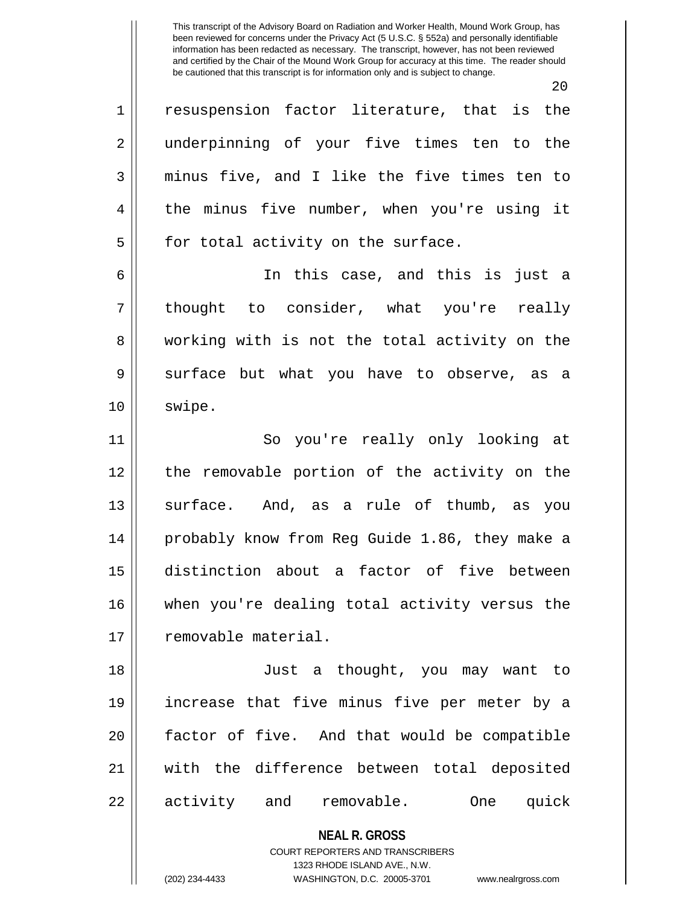20

1 || resuspension factor literature, that is the 2 || underpinning of your five times ten to the 3 minus five, and I like the five times ten to 4 the minus five number, when you're using it  $5 ||$  for total activity on the surface.

6 In this case, and this is just a 7 || thought to consider, what you're really 8 working with is not the total activity on the 9 Surface but what you have to observe, as a 10 | swipe.

11 || So you're really only looking at 12 the removable portion of the activity on the 13 || surface. And, as a rule of thumb, as you 14 probably know from Reg Guide 1.86, they make a 15 distinction about a factor of five between 16 || when you're dealing total activity versus the 17 | removable material.

18 Just a thought, you may want to 19 increase that five minus five per meter by a 20 factor of five. And that would be compatible 21 with the difference between total deposited 22 || activity and removable. One quick

> **NEAL R. GROSS** COURT REPORTERS AND TRANSCRIBERS

> > 1323 RHODE ISLAND AVE., N.W.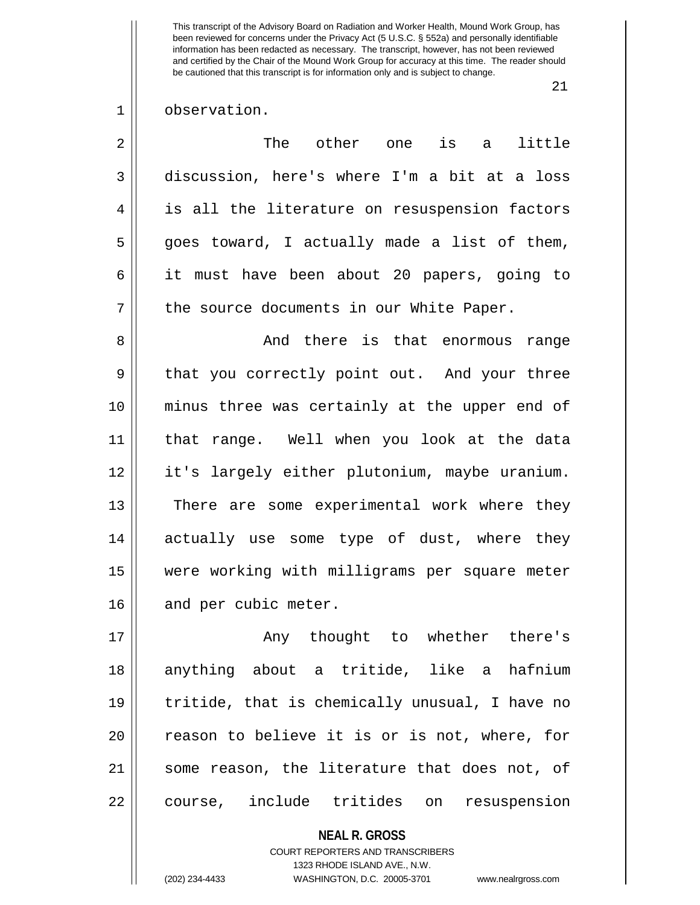21

1 || observation.

| $\overline{2}$ | The other one<br>is<br>little<br>a            |
|----------------|-----------------------------------------------|
| 3              | discussion, here's where I'm a bit at a loss  |
| 4              | is all the literature on resuspension factors |
| 5              | goes toward, I actually made a list of them,  |
| 6              | it must have been about 20 papers, going to   |
| 7              | the source documents in our White Paper.      |
| 8              | And there is that enormous range              |
| 9              | that you correctly point out. And your three  |
| 10             | minus three was certainly at the upper end of |
| 11             | that range. Well when you look at the data    |
| 12             | it's largely either plutonium, maybe uranium. |
| 13             | There are some experimental work where they   |
| 14             | actually use some type of dust, where they    |
| 15             | were working with milligrams per square meter |
| 16             | and per cubic meter.                          |
| 17             | Any thought to whether there's                |
| 1 O            | $\alpha$                                      |

18 anything about a tritide, like a hafnium 19 tritide, that is chemically unusual, I have no 20 || reason to believe it is or is not, where, for 21 || some reason, the literature that does not, of 22 || course, include tritides on resuspension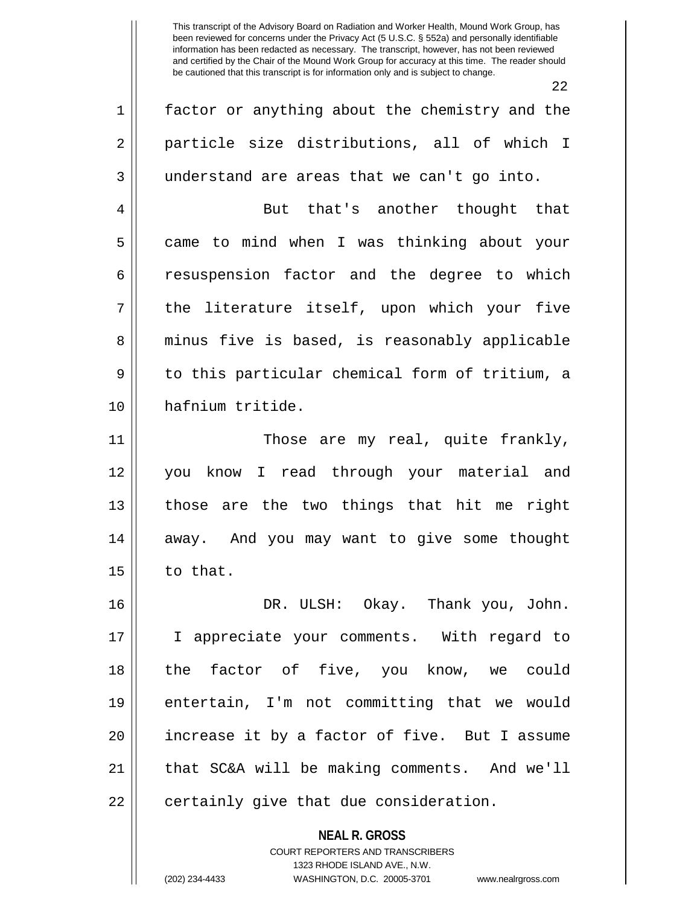|    | 22                                             |
|----|------------------------------------------------|
| 1  | factor or anything about the chemistry and the |
| 2  | particle size distributions, all of which I    |
| 3  | understand are areas that we can't go into.    |
| 4  | But that's another thought that                |
| 5  | came to mind when I was thinking about your    |
| 6  | resuspension factor and the degree to which    |
| 7  | the literature itself, upon which your five    |
| 8  | minus five is based, is reasonably applicable  |
| 9  | to this particular chemical form of tritium, a |
| 10 | hafnium tritide.                               |
| 11 | Those are my real, quite frankly,              |
| 12 | you know I read through your material and      |
| 13 | those are the two things that hit me right     |
| 14 | away. And you may want to give some thought    |
| 15 | to that.                                       |
| 16 | DR. ULSH: Okay. Thank you, John.               |
| 17 | I appreciate your comments. With regard to     |
| 18 | the factor of five, you know, we could         |
| 19 | entertain, I'm not committing that we would    |
| 20 | increase it by a factor of five. But I assume  |
| 21 | that SC&A will be making comments. And we'll   |
| 22 | certainly give that due consideration.         |
|    | <b>NEAL R. GROSS</b>                           |
|    | COURT REPORTERS AND TRANSCRIBERS               |
|    | 1323 RHODE ISLAND AVE., N.W.                   |

 $\mathbf{\mathcal{H}}$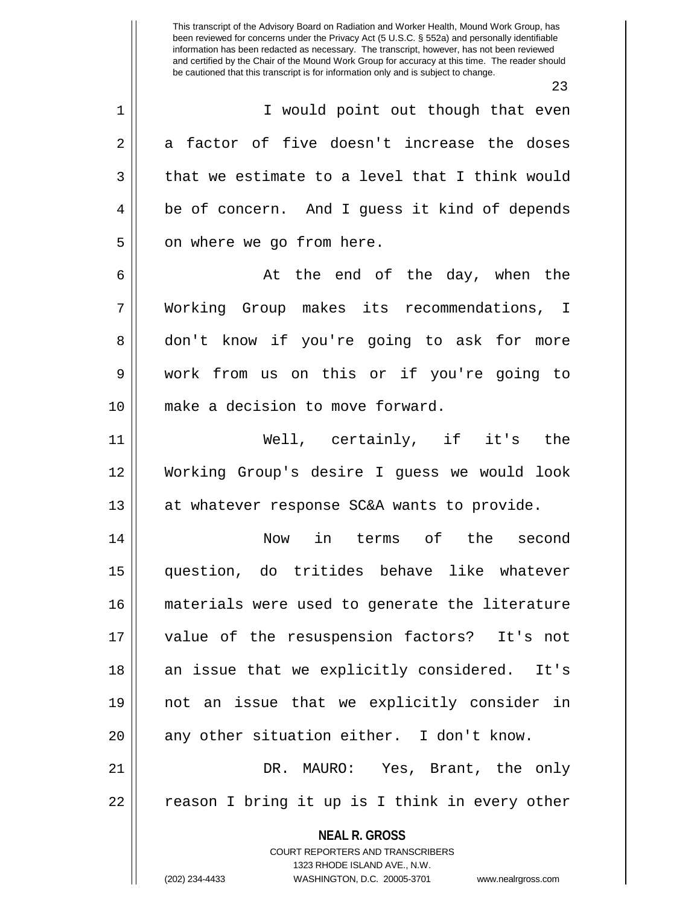**NEAL R. GROSS** COURT REPORTERS AND TRANSCRIBERS 1323 RHODE ISLAND AVE., N.W. This transcript of the Advisory Board on Radiation and Worker Health, Mound Work Group, has been reviewed for concerns under the Privacy Act (5 U.S.C. § 552a) and personally identifiable information has been redacted as necessary. The transcript, however, has not been reviewed and certified by the Chair of the Mound Work Group for accuracy at this time. The reader should be cautioned that this transcript is for information only and is subject to change. 23 1 || I would point out though that even  $2 \parallel$  a factor of five doesn't increase the doses  $3 \parallel$  that we estimate to a level that I think would 4 be of concern. And I guess it kind of depends  $5 \parallel$  on where we go from here.  $6 \parallel$  at the end of the day, when the 7 Working Group makes its recommendations, I 8 don't know if you're going to ask for more 9 work from us on this or if you're going to 10 make a decision to move forward. 11 Well, certainly, if it's the 12 Working Group's desire I guess we would look 13 || at whatever response SC&A wants to provide. 14 Now in terms of the second 15 question, do tritides behave like whatever 16 materials were used to generate the literature 17 value of the resuspension factors? It's not 18 || an issue that we explicitly considered. It's 19 not an issue that we explicitly consider in  $20$  || any other situation either. I don't know. 21 DR. MAURO: Yes, Brant, the only  $22 \parallel$  reason I bring it up is I think in every other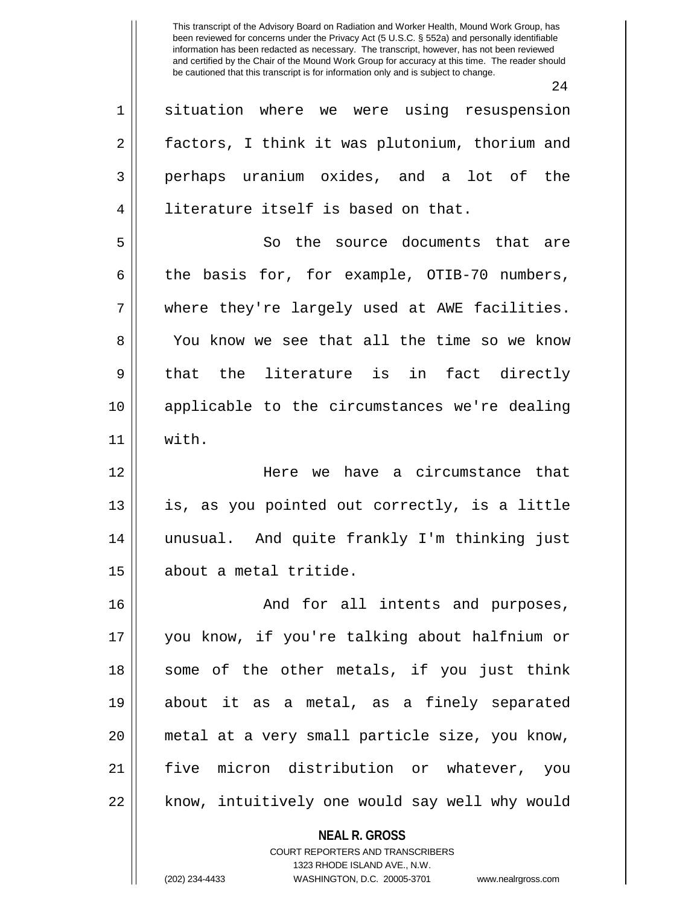|    | 24                                                              |
|----|-----------------------------------------------------------------|
| 1  | situation where we were using resuspension                      |
| 2  | factors, I think it was plutonium, thorium and                  |
| 3  | perhaps uranium oxides, and a lot of the                        |
| 4  | literature itself is based on that.                             |
| 5  | So the source documents that are                                |
| 6  | the basis for, for example, OTIB-70 numbers,                    |
| 7  | where they're largely used at AWE facilities.                   |
| 8  | You know we see that all the time so we know                    |
| 9  | that the literature is in fact directly                         |
| 10 | applicable to the circumstances we're dealing                   |
| 11 | with.                                                           |
| 12 | Here we have a circumstance that                                |
| 13 | is, as you pointed out correctly, is a little                   |
| 14 | unusual. And quite frankly I'm thinking just                    |
| 15 | about a metal tritide.                                          |
| 16 | And for all intents and purposes,                               |
| 17 | you know, if you're talking about halfnium or                   |
| 18 | some of the other metals, if you just think                     |
| 19 | about it as a metal, as a finely separated                      |
| 20 | metal at a very small particle size, you know,                  |
| 21 | five micron distribution or whatever, you                       |
| 22 | know, intuitively one would say well why would                  |
|    |                                                                 |
|    | <b>NEAL R. GROSS</b><br><b>COURT REPORTERS AND TRANSCRIBERS</b> |
|    | 1323 RHODE ISLAND AVE., N.W.                                    |

 $\mathbb{I}$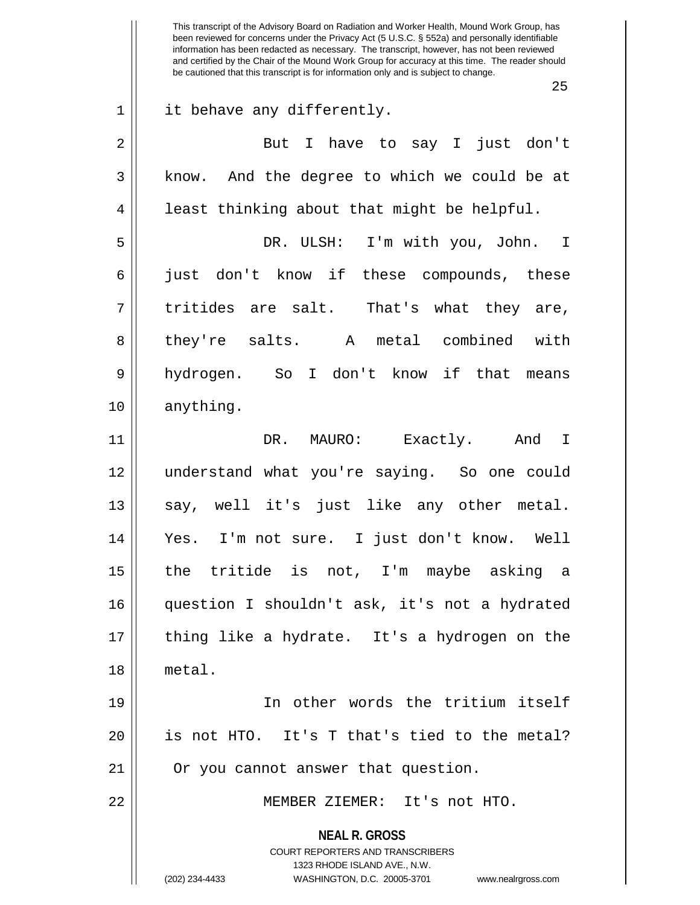**NEAL R. GROSS** COURT REPORTERS AND TRANSCRIBERS 1323 RHODE ISLAND AVE., N.W. (202) 234-4433 WASHINGTON, D.C. 20005-3701 www.nealrgross.com This transcript of the Advisory Board on Radiation and Worker Health, Mound Work Group, has been reviewed for concerns under the Privacy Act (5 U.S.C. § 552a) and personally identifiable information has been redacted as necessary. The transcript, however, has not been reviewed and certified by the Chair of the Mound Work Group for accuracy at this time. The reader should be cautioned that this transcript is for information only and is subject to change. 25 1 || it behave any differently. 2 But I have to say I just don't 3 || know. And the degree to which we could be at  $4 \parallel$  least thinking about that might be helpful. 5 DR. ULSH: I'm with you, John. I 6 just don't know if these compounds, these  $7 \parallel$  tritides are salt. That's what they are, 8|| they're salts. A metal combined with 9 hydrogen. So I don't know if that means 10 anything. 11 DR. MAURO: Exactly. And I 12 understand what you're saying. So one could 13 || say, well it's just like any other metal. 14 Yes. I'm not sure. I just don't know. Well 15 the tritide is not, I'm maybe asking a 16 question I shouldn't ask, it's not a hydrated 17 thing like a hydrate. It's a hydrogen on the 18 metal. 19 In other words the tritium itself  $20$  || is not HTO. It's T that's tied to the metal? 21 || Or you cannot answer that question. 22 MEMBER ZIEMER: It's not HTO.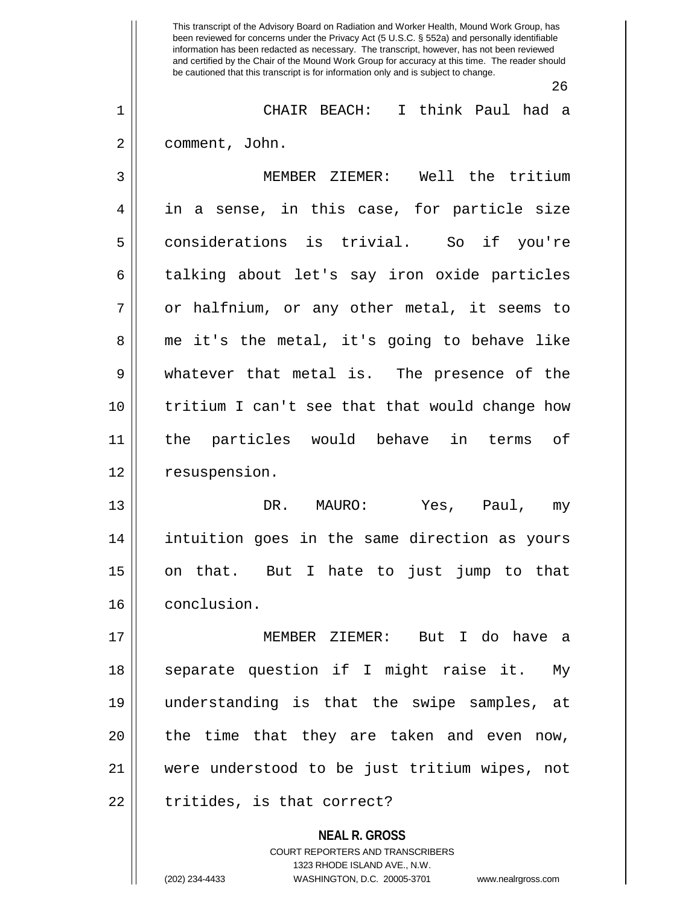**NEAL R. GROSS** This transcript of the Advisory Board on Radiation and Worker Health, Mound Work Group, has been reviewed for concerns under the Privacy Act (5 U.S.C. § 552a) and personally identifiable information has been redacted as necessary. The transcript, however, has not been reviewed and certified by the Chair of the Mound Work Group for accuracy at this time. The reader should be cautioned that this transcript is for information only and is subject to change. 26 1 CHAIR BEACH: I think Paul had a 2 | comment, John. 3 MEMBER ZIEMER: Well the tritium 4 in a sense, in this case, for particle size 5 considerations is trivial. So if you're 6 talking about let's say iron oxide particles  $7 \parallel$  or halfnium, or any other metal, it seems to 8 me it's the metal, it's going to behave like 9 whatever that metal is. The presence of the 10 tritium I can't see that that would change how 11 the particles would behave in terms of 12 | resuspension. 13 DR. MAURO: Yes, Paul, my 14 intuition goes in the same direction as yours 15 on that. But I hate to just jump to that 16 conclusion. 17 MEMBER ZIEMER: But I do have a 18 || separate question if I might raise it. My 19 understanding is that the swipe samples, at  $20$  || the time that they are taken and even now, 21 were understood to be just tritium wipes, not  $22$  || tritides, is that correct?

> COURT REPORTERS AND TRANSCRIBERS 1323 RHODE ISLAND AVE., N.W.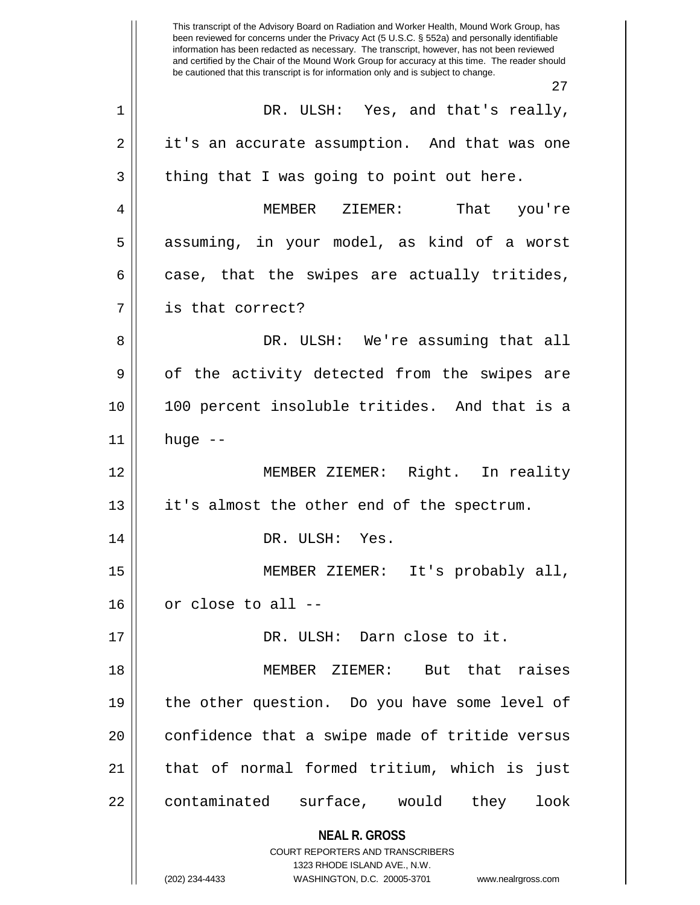**NEAL R. GROSS** COURT REPORTERS AND TRANSCRIBERS 1323 RHODE ISLAND AVE., N.W. This transcript of the Advisory Board on Radiation and Worker Health, Mound Work Group, has been reviewed for concerns under the Privacy Act (5 U.S.C. § 552a) and personally identifiable information has been redacted as necessary. The transcript, however, has not been reviewed and certified by the Chair of the Mound Work Group for accuracy at this time. The reader should be cautioned that this transcript is for information only and is subject to change. 27 1 DR. ULSH: Yes, and that's really, 2 | it's an accurate assumption. And that was one  $3 \parallel$  thing that I was going to point out here. 4 MEMBER ZIEMER: That you're 5 || assuming, in your model, as kind of a worst  $6 \parallel$  case, that the swipes are actually tritides, 7 || is that correct? 8 DR. ULSH: We're assuming that all  $9 \parallel$  of the activity detected from the swipes are 10 100 percent insoluble tritides. And that is a  $11$  huge  $-$ 12 MEMBER ZIEMER: Right. In reality 13 || it's almost the other end of the spectrum. 14 || DR. ULSH: Yes. 15 MEMBER ZIEMER: It's probably all,  $16$  | or close to all --17 || DR. ULSH: Darn close to it. 18 MEMBER ZIEMER: But that raises 19 || the other question. Do you have some level of 20 || confidence that a swipe made of tritide versus 21 || that of normal formed tritium, which is just 22 || contaminated surface, would they look

<sup>(202) 234-4433</sup> WASHINGTON, D.C. 20005-3701 www.nealrgross.com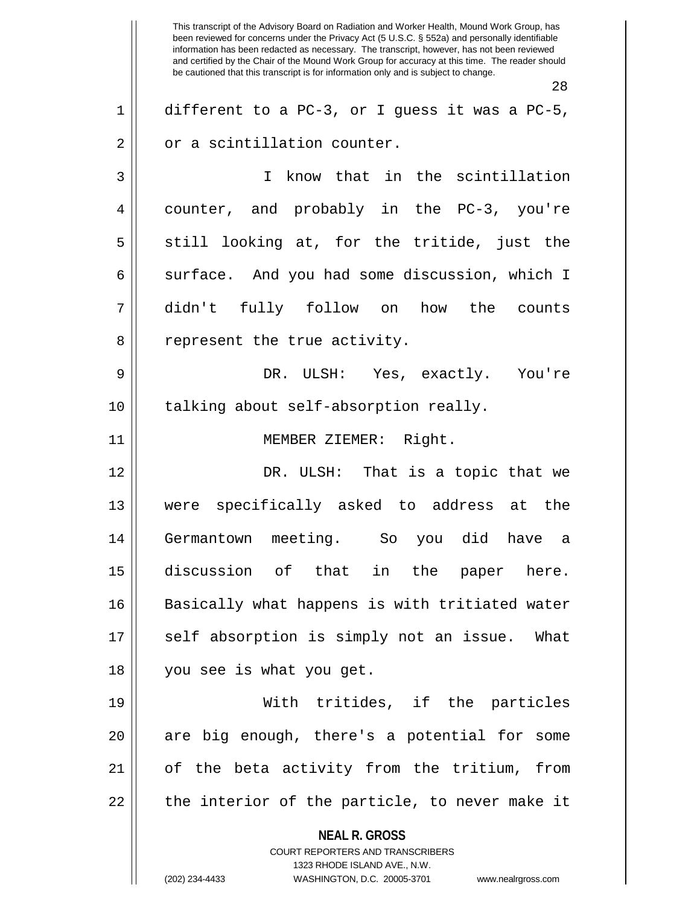**NEAL R. GROSS** COURT REPORTERS AND TRANSCRIBERS 1323 RHODE ISLAND AVE., N.W. (202) 234-4433 WASHINGTON, D.C. 20005-3701 www.nealrgross.com This transcript of the Advisory Board on Radiation and Worker Health, Mound Work Group, has been reviewed for concerns under the Privacy Act (5 U.S.C. § 552a) and personally identifiable information has been redacted as necessary. The transcript, however, has not been reviewed and certified by the Chair of the Mound Work Group for accuracy at this time. The reader should be cautioned that this transcript is for information only and is subject to change. 28  $1 \parallel$  different to a PC-3, or I quess it was a PC-5,  $2 \parallel$  or a scintillation counter. 3 I know that in the scintillation 4 || counter, and probably in the PC-3, you're  $5 \parallel$  still looking at, for the tritide, just the  $6 \parallel$  surface. And you had some discussion, which I 7 didn't fully follow on how the counts 8 || represent the true activity. 9 DR. ULSH: Yes, exactly. You're 10 || talking about self-absorption really. 11 || **MEMBER ZIEMER:** Right. 12 DR. ULSH: That is a topic that we 13 were specifically asked to address at the 14 Germantown meeting. So you did have a 15 discussion of that in the paper here. 16 || Basically what happens is with tritiated water 17 || self absorption is simply not an issue. What 18 you see is what you get. 19 With tritides, if the particles 20 || are big enough, there's a potential for some 21 of the beta activity from the tritium, from  $22$  || the interior of the particle, to never make it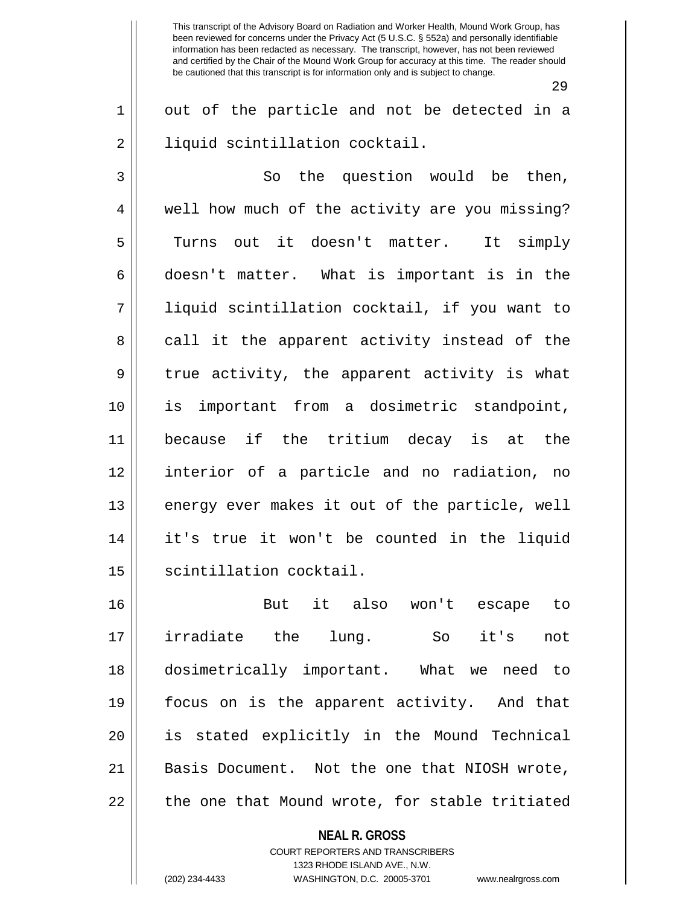29

 $1 \parallel$  out of the particle and not be detected in a 2 | | | liquid scintillation cocktail.

 $3 \parallel$  So the question would be then, 4 || well how much of the activity are you missing? 5 Turns out it doesn't matter. It simply  $6 \parallel$  doesn't matter. What is important is in the 7 liquid scintillation cocktail, if you want to 8 call it the apparent activity instead of the  $9 \parallel$  true activity, the apparent activity is what 10 is important from a dosimetric standpoint, 11 because if the tritium decay is at the 12 interior of a particle and no radiation, no 13 || energy ever makes it out of the particle, well 14 it's true it won't be counted in the liquid 15 | scintillation cocktail.

16 But it also won't escape to 17 irradiate the lung. So it's not 18 dosimetrically important. What we need to 19 focus on is the apparent activity. And that 20 is stated explicitly in the Mound Technical 21 || Basis Document. Not the one that NIOSH wrote,  $22$   $\parallel$  the one that Mound wrote, for stable tritiated

**NEAL R. GROSS**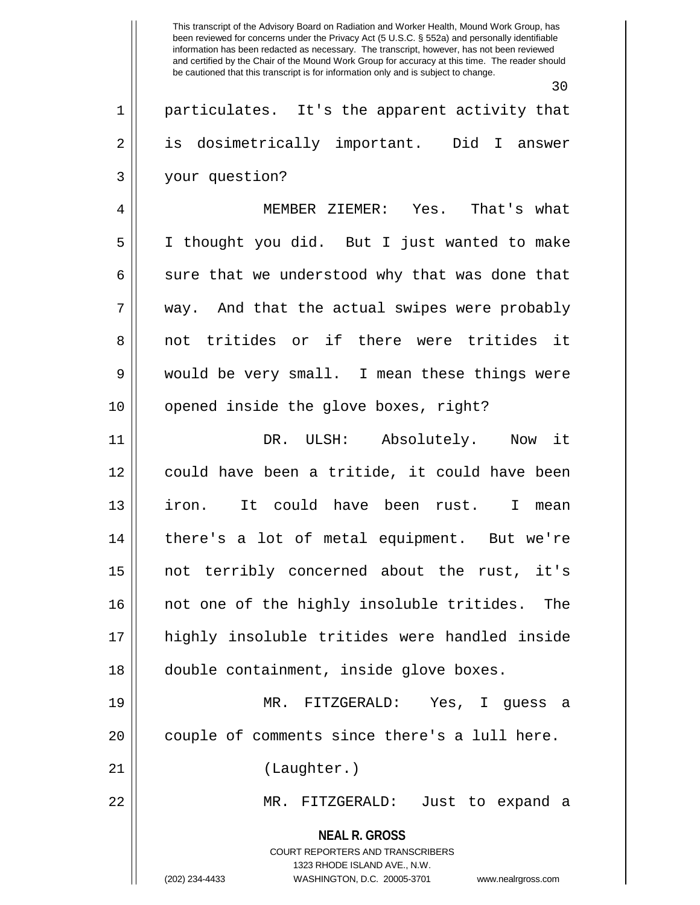30

1 || particulates. It's the apparent activity that 2 || is dosimetrically important. Did I answer 3 your question?

4 MEMBER ZIEMER: Yes. That's what 5 I thought you did. But I just wanted to make  $6 \parallel$  sure that we understood why that was done that 7 way. And that the actual swipes were probably 8 not tritides or if there were tritides it 9 would be very small. I mean these things were 10 || opened inside the glove boxes, right?

11 DR. ULSH: Absolutely. Now it 12 || could have been a tritide, it could have been 13 iron. It could have been rust. I mean 14 there's a lot of metal equipment. But we're 15 not terribly concerned about the rust, it's 16 || not one of the highly insoluble tritides. The 17 highly insoluble tritides were handled inside 18 double containment, inside glove boxes.

19 MR. FITZGERALD: Yes, I guess a 20 | couple of comments since there's a lull here.

21 || (Laughter.)

22 MR. FITZGERALD: Just to expand a

**NEAL R. GROSS** COURT REPORTERS AND TRANSCRIBERS

1323 RHODE ISLAND AVE., N.W.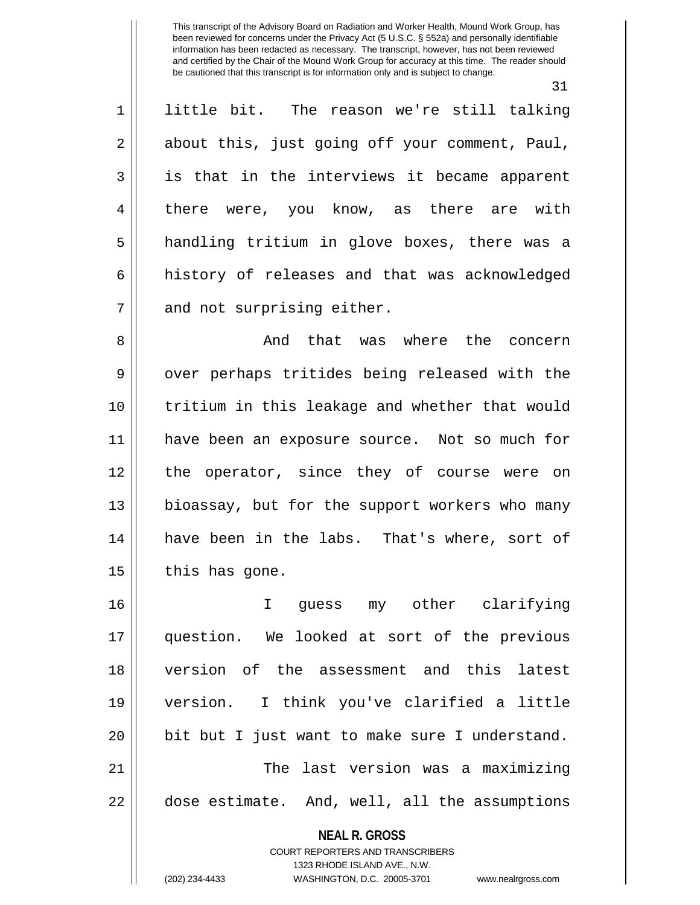31

1 little bit. The reason we're still talking  $2 \parallel$  about this, just going off your comment, Paul, 3 || is that in the interviews it became apparent 4 there were, you know, as there are with 5 handling tritium in glove boxes, there was a 6 | history of releases and that was acknowledged  $7$  || and not surprising either.

8 And that was where the concern 9 || over perhaps tritides being released with the 10 tritium in this leakage and whether that would 11 have been an exposure source. Not so much for 12 the operator, since they of course were on 13 bioassay, but for the support workers who many 14 have been in the labs. That's where, sort of  $15$  | this has gone.

16 I guess my other clarifying 17 question. We looked at sort of the previous 18 version of the assessment and this latest 19 version. I think you've clarified a little  $20$  || bit but I just want to make sure I understand. 21 The last version was a maximizing 22 | dose estimate. And, well, all the assumptions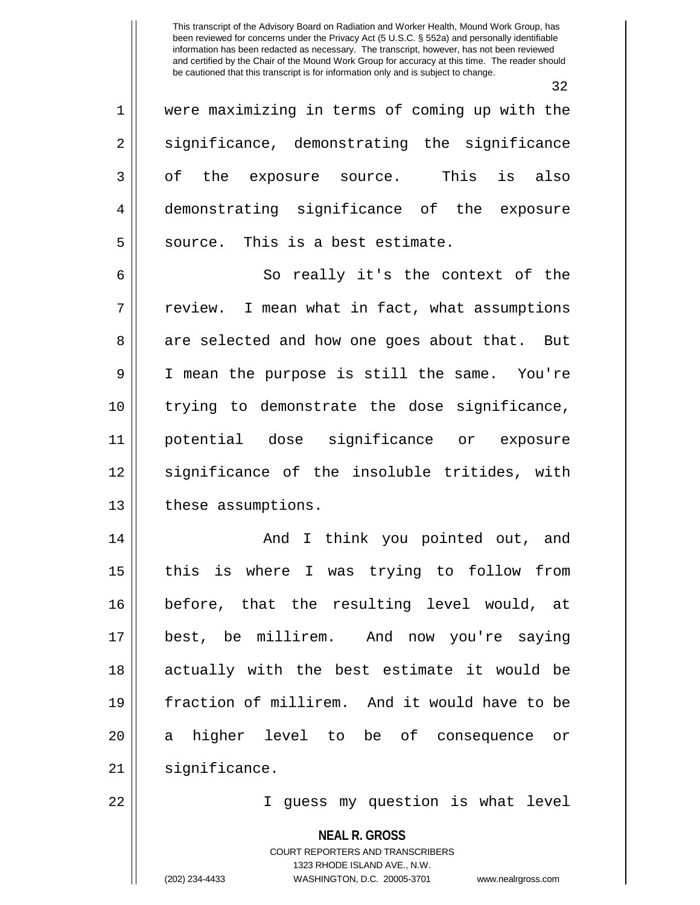32

1 were maximizing in terms of coming up with the 2 || significance, demonstrating the significance 3 || of the exposure source. This is also 4 demonstrating significance of the exposure  $5$  | source. This is a best estimate.

6 || So really it's the context of the 7 | review. I mean what in fact, what assumptions 8 are selected and how one goes about that. But 9 I mean the purpose is still the same. You're 10 trying to demonstrate the dose significance, 11 potential dose significance or exposure 12 significance of the insoluble tritides, with 13 | these assumptions.

14 And I think you pointed out, and 15 || this is where I was trying to follow from 16 before, that the resulting level would, at 17 best, be millirem. And now you're saying 18 actually with the best estimate it would be 19 fraction of millirem. And it would have to be 20 a higher level to be of consequence or 21 | significance.

22 I guess my question is what level

**NEAL R. GROSS**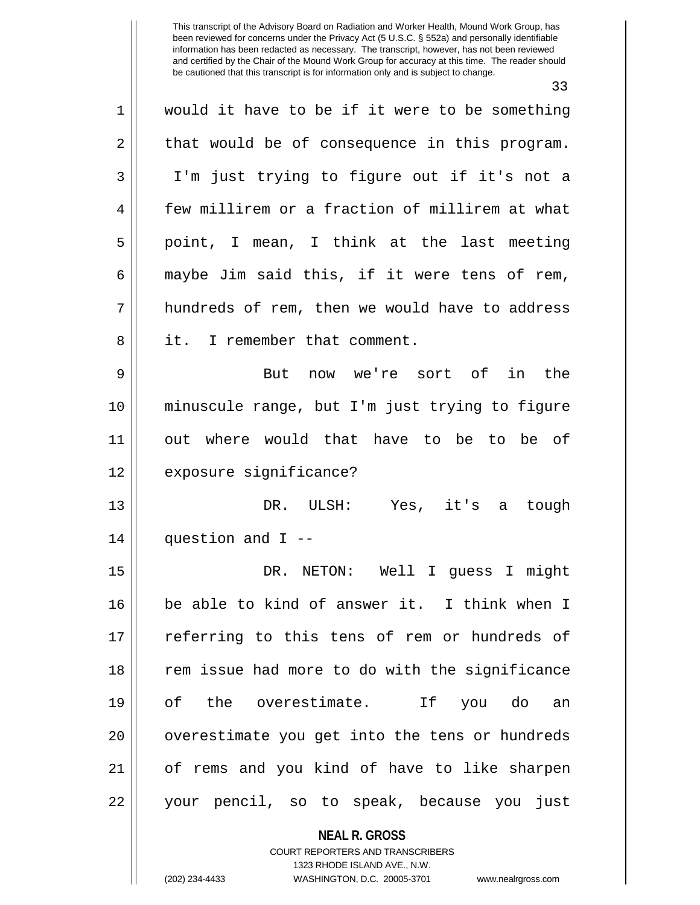33

1 || would it have to be if it were to be something  $2 \parallel$  that would be of consequence in this program. 3 I'm just trying to figure out if it's not a 4 Few millirem or a fraction of millirem at what  $5 \parallel$  point, I mean, I think at the last meeting 6  $\parallel$  maybe Jim said this, if it were tens of rem, 7 hundreds of rem, then we would have to address 8 l it. I remember that comment. 9 But now we're sort of in the 10 minuscule range, but I'm just trying to figure 11 out where would that have to be to be of 12 | exposure significance? 13 DR. ULSH: Yes, it's a tough  $14$  || question and I --15 DR. NETON: Well I guess I might 16 be able to kind of answer it. I think when I 17 || referring to this tens of rem or hundreds of 18 || rem issue had more to do with the significance 19 of the overestimate. If you do an 20 || overestimate you get into the tens or hundreds 21 of rems and you kind of have to like sharpen 22 your pencil, so to speak, because you just

> **NEAL R. GROSS** COURT REPORTERS AND TRANSCRIBERS 1323 RHODE ISLAND AVE., N.W.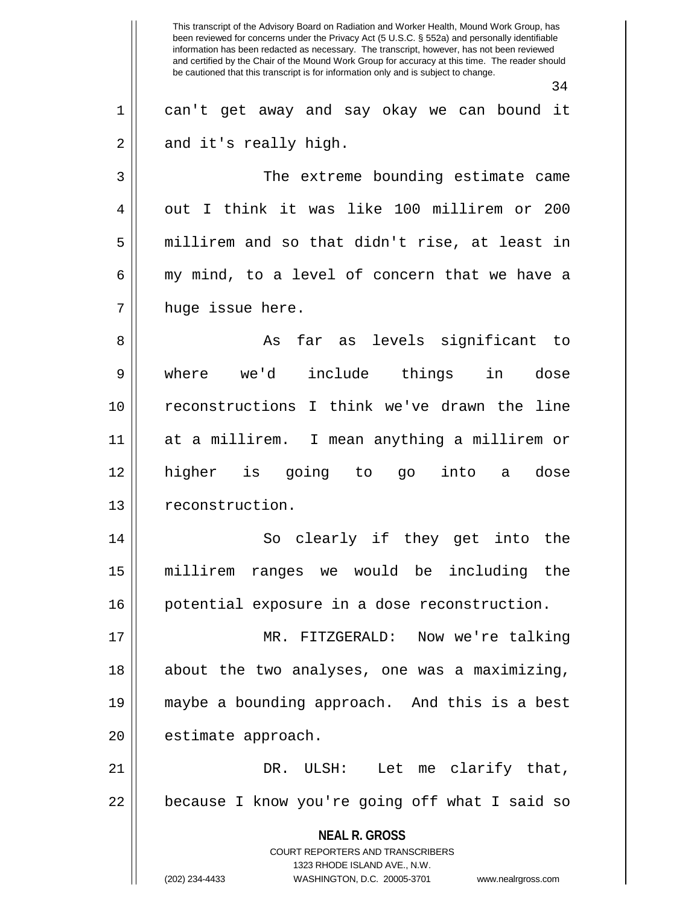**NEAL R. GROSS** COURT REPORTERS AND TRANSCRIBERS 1323 RHODE ISLAND AVE., N.W. (202) 234-4433 WASHINGTON, D.C. 20005-3701 www.nealrgross.com This transcript of the Advisory Board on Radiation and Worker Health, Mound Work Group, has been reviewed for concerns under the Privacy Act (5 U.S.C. § 552a) and personally identifiable information has been redacted as necessary. The transcript, however, has not been reviewed and certified by the Chair of the Mound Work Group for accuracy at this time. The reader should be cautioned that this transcript is for information only and is subject to change. 34 1 can't get away and say okay we can bound it  $2 \parallel$  and it's really high. 3 || The extreme bounding estimate came 4 || out I think it was like 100 millirem or 200  $5 \parallel$  millirem and so that didn't rise, at least in  $6 \parallel$  my mind, to a level of concern that we have a 7 || huge issue here. 8 As far as levels significant to 9 where we'd include things in dose 10 reconstructions I think we've drawn the line 11 at a millirem. I mean anything a millirem or 12 higher is going to go into a dose 13 | reconstruction. 14 So clearly if they get into the 15 millirem ranges we would be including the 16 potential exposure in a dose reconstruction. 17 MR. FITZGERALD: Now we're talking 18 || about the two analyses, one was a maximizing, 19 maybe a bounding approach. And this is a best 20 | estimate approach. 21 DR. ULSH: Let me clarify that, 22 || because I know you're going off what I said so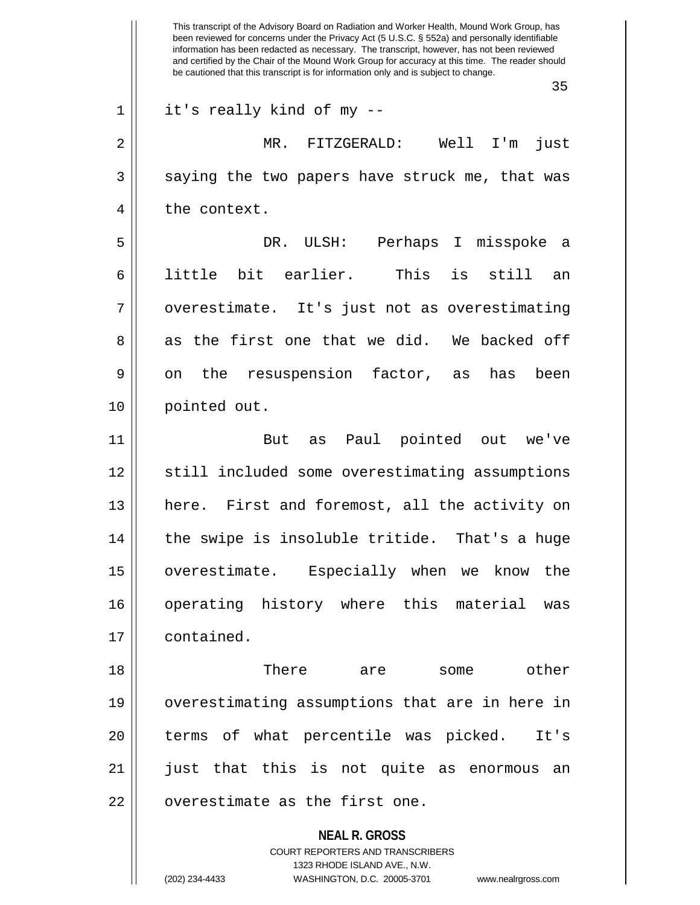|    | This transcript of the Advisory Board on Radiation and Worker Health, Mound Work Group, has<br>been reviewed for concerns under the Privacy Act (5 U.S.C. § 552a) and personally identifiable<br>information has been redacted as necessary. The transcript, however, has not been reviewed<br>and certified by the Chair of the Mound Work Group for accuracy at this time. The reader should<br>be cautioned that this transcript is for information only and is subject to change. |
|----|---------------------------------------------------------------------------------------------------------------------------------------------------------------------------------------------------------------------------------------------------------------------------------------------------------------------------------------------------------------------------------------------------------------------------------------------------------------------------------------|
|    | 35                                                                                                                                                                                                                                                                                                                                                                                                                                                                                    |
| 1  | it's really kind of my --                                                                                                                                                                                                                                                                                                                                                                                                                                                             |
| 2  | Well<br>FITZGERALD:<br>I'm<br>$MR$ .<br>just                                                                                                                                                                                                                                                                                                                                                                                                                                          |
| 3  | saying the two papers have struck me, that was                                                                                                                                                                                                                                                                                                                                                                                                                                        |
| 4  | the context.                                                                                                                                                                                                                                                                                                                                                                                                                                                                          |
| 5  | DR.<br>ULSH: Perhaps I misspoke<br>- a                                                                                                                                                                                                                                                                                                                                                                                                                                                |
| 6  | little bit earlier.<br>This<br>is<br>still<br>an                                                                                                                                                                                                                                                                                                                                                                                                                                      |
| 7  | overestimate. It's just not as overestimating                                                                                                                                                                                                                                                                                                                                                                                                                                         |
| 8  | the first one that we did. We backed off<br>as                                                                                                                                                                                                                                                                                                                                                                                                                                        |
| 9  | the resuspension factor,<br>has<br>been<br>on<br>as                                                                                                                                                                                                                                                                                                                                                                                                                                   |
| 10 | pointed out.                                                                                                                                                                                                                                                                                                                                                                                                                                                                          |
| 11 | Paul pointed out<br>But<br>we've<br>as                                                                                                                                                                                                                                                                                                                                                                                                                                                |
| 12 | still included some overestimating assumptions                                                                                                                                                                                                                                                                                                                                                                                                                                        |
| 13 | here. First and foremost, all the activity on                                                                                                                                                                                                                                                                                                                                                                                                                                         |
| 14 | the swipe is insoluble tritide. That's a huge                                                                                                                                                                                                                                                                                                                                                                                                                                         |
| 15 | overestimate. Especially when we know the                                                                                                                                                                                                                                                                                                                                                                                                                                             |
| 16 | operating history where this material<br>was                                                                                                                                                                                                                                                                                                                                                                                                                                          |
| 17 | contained.                                                                                                                                                                                                                                                                                                                                                                                                                                                                            |
| 18 | There<br>other<br>are<br>some                                                                                                                                                                                                                                                                                                                                                                                                                                                         |
| 19 | overestimating assumptions that are in here in                                                                                                                                                                                                                                                                                                                                                                                                                                        |
| 20 | terms of what percentile was picked.<br>It's                                                                                                                                                                                                                                                                                                                                                                                                                                          |
| 21 | just that this is not quite as enormous an                                                                                                                                                                                                                                                                                                                                                                                                                                            |
| 22 | overestimate as the first one.                                                                                                                                                                                                                                                                                                                                                                                                                                                        |
|    | <b>NEAL R. GROSS</b><br>COURT REPORTERS AND TRANSCRIBERS<br>1323 RHODE ISLAND AVE., N.W.                                                                                                                                                                                                                                                                                                                                                                                              |
|    | (202) 234-4433<br>WASHINGTON, D.C. 20005-3701<br>www.nealrgross.com                                                                                                                                                                                                                                                                                                                                                                                                                   |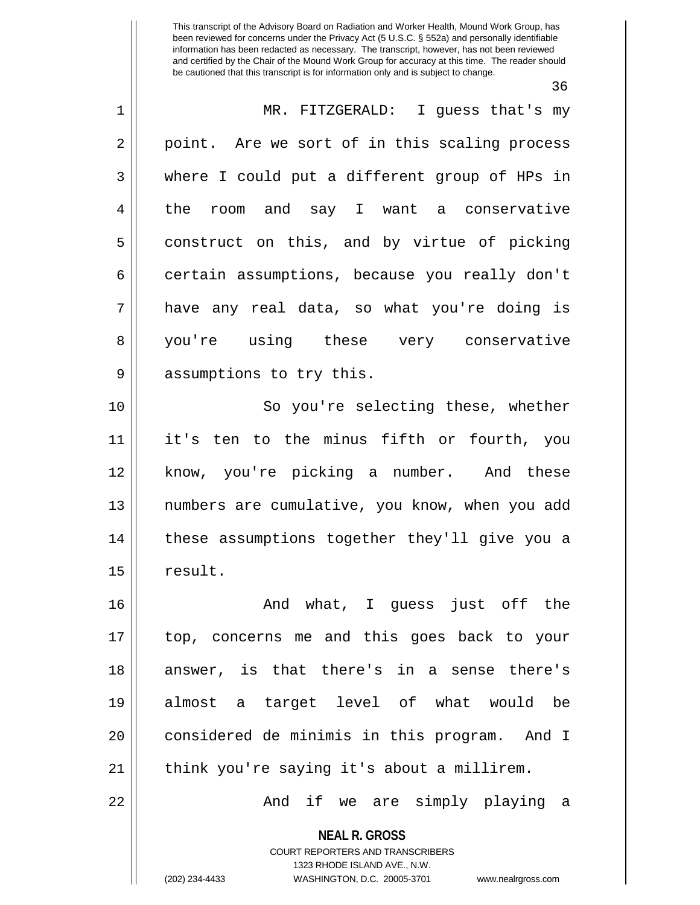36

| $\mathbf 1$  | MR. FITZGERALD: I guess that's my                                                                   |
|--------------|-----------------------------------------------------------------------------------------------------|
| $\sqrt{2}$   | point. Are we sort of in this scaling process                                                       |
| $\mathbf{3}$ | where I could put a different group of HPs in                                                       |
| 4            | the room and say I want a conservative                                                              |
| 5            | construct on this, and by virtue of picking                                                         |
| 6            | certain assumptions, because you really don't                                                       |
| 7            | have any real data, so what you're doing is                                                         |
| 8            | you're using these very conservative                                                                |
| 9            | assumptions to try this.                                                                            |
| 10           | So you're selecting these, whether                                                                  |
| 11           | it's ten to the minus fifth or fourth, you                                                          |
| 12           | know, you're picking a number. And these                                                            |
| 13           | numbers are cumulative, you know, when you add                                                      |
| 14           | these assumptions together they'll give you a                                                       |
| 15           | result.                                                                                             |
| 16           | what, I guess just off the<br>And                                                                   |
| 17           | top, concerns me and this goes back to your                                                         |
| 18           | answer, is that there's in a sense there's                                                          |
| 19           | almost a target level of what would be                                                              |
| 20           | considered de minimis in this program. And I                                                        |
| 21           | think you're saying it's about a millirem.                                                          |
| 22           | And if we are simply playing a                                                                      |
|              | <b>NEAL R. GROSS</b>                                                                                |
|              | COURT REPORTERS AND TRANSCRIBERS                                                                    |
|              | 1323 RHODE ISLAND AVE., N.W.<br>(202) 234-4433<br>WASHINGTON, D.C. 20005-3701<br>www.nealrgross.com |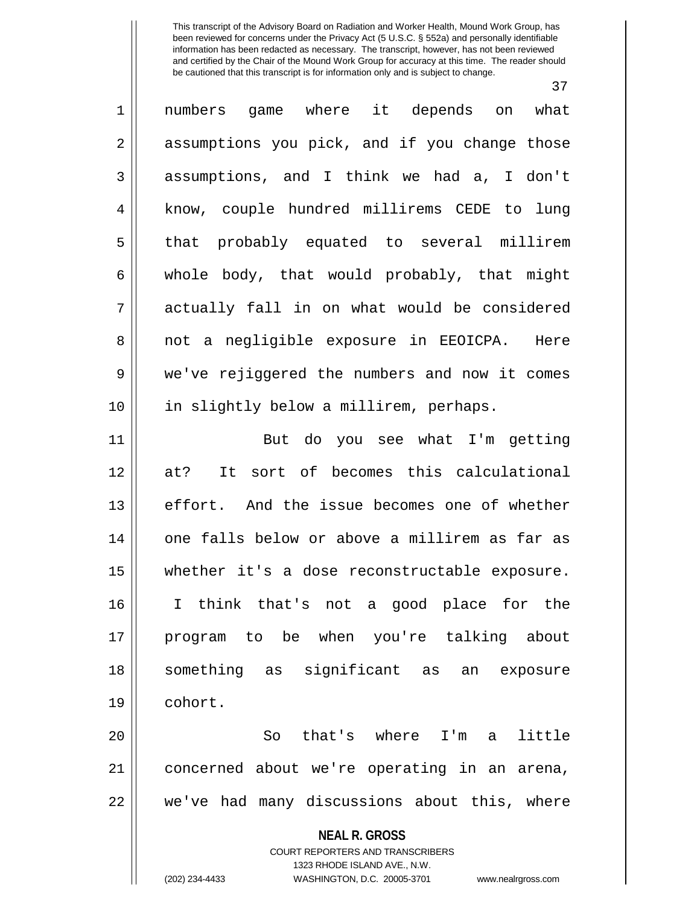37

| $\mathbf 1$    | numbers game where it depends on what                               |
|----------------|---------------------------------------------------------------------|
| 2              | assumptions you pick, and if you change those                       |
| 3              | assumptions, and I think we had a, I don't                          |
| $\overline{4}$ | know, couple hundred millirems CEDE to lung                         |
| 5              | that probably equated to several millirem                           |
| 6              | whole body, that would probably, that might                         |
| 7              | actually fall in on what would be considered                        |
| 8              | not a negligible exposure in EEOICPA. Here                          |
| 9              | we've rejiggered the numbers and now it comes                       |
| 10             | in slightly below a millirem, perhaps.                              |
| 11             | But do you see what I'm getting                                     |
| 12             | It sort of becomes this calculational<br>at?                        |
| 13             | effort. And the issue becomes one of whether                        |
| 14             | one falls below or above a millirem as far as                       |
| 15             | whether it's a dose reconstructable exposure.                       |
| 16             | I think that's not a good place for the                             |
| 17             | program to be when you're talking about                             |
| 18             | something as significant<br>as<br>an exposure                       |
| 19             | cohort.                                                             |
| 20             | that's where I'm a<br>little<br>So                                  |
| 21             | concerned about we're operating in an arena,                        |
| 22             | we've had many discussions about this, where                        |
|                |                                                                     |
|                | <b>NEAL R. GROSS</b><br><b>COURT REPORTERS AND TRANSCRIBERS</b>     |
|                | 1323 RHODE ISLAND AVE., N.W.                                        |
|                | (202) 234-4433<br>WASHINGTON, D.C. 20005-3701<br>www.nealrgross.com |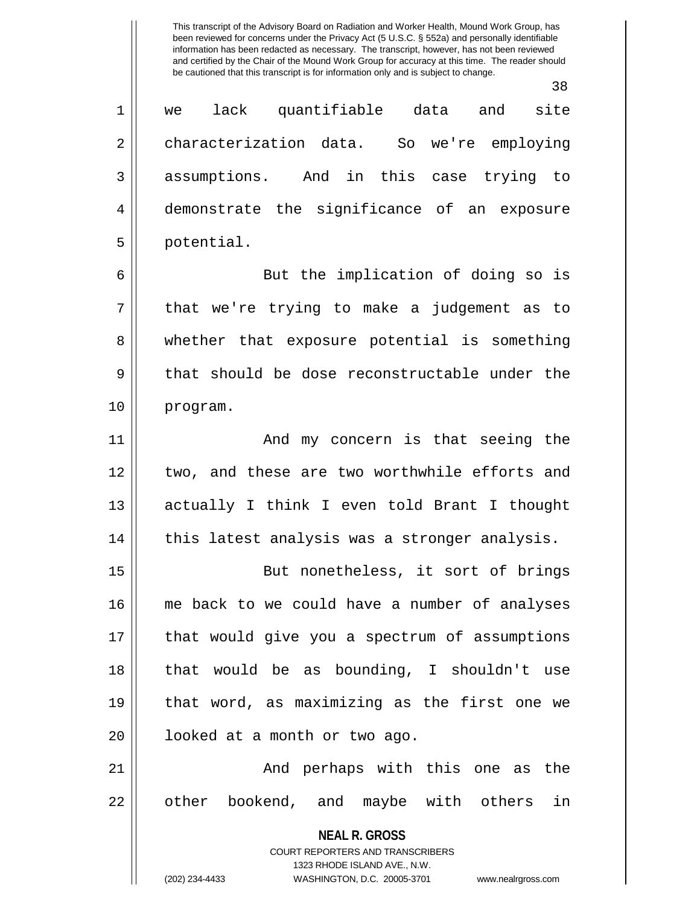|    | 38                                                       |
|----|----------------------------------------------------------|
| 1  | lack quantifiable data and<br>site<br>we                 |
| 2  | characterization data. So we're employing                |
| 3  | assumptions. And in this case trying to                  |
| 4  | demonstrate the significance of an exposure              |
| 5  | potential.                                               |
| 6  | But the implication of doing so is                       |
| 7  | that we're trying to make a judgement as to              |
| 8  | whether that exposure potential is something             |
| 9  | that should be dose reconstructable under the            |
| 10 | program.                                                 |
| 11 | And my concern is that seeing the                        |
| 12 | two, and these are two worthwhile efforts and            |
| 13 | actually I think I even told Brant I thought             |
| 14 | this latest analysis was a stronger analysis.            |
| 15 | But nonetheless, it sort of brings                       |
| 16 | me back to we could have a number of analyses            |
| 17 | that would give you a spectrum of assumptions            |
| 18 | that would be as bounding, I shouldn't use               |
| 19 | that word, as maximizing as the first one we             |
| 20 | looked at a month or two ago.                            |
| 21 | And perhaps with this one as the                         |
| 22 | other bookend, and maybe with others<br>in               |
|    | <b>NEAL R. GROSS</b><br>COURT REPORTERS AND TRANSCRIBERS |

1323 RHODE ISLAND AVE., N.W.

 $\mathsf{I}$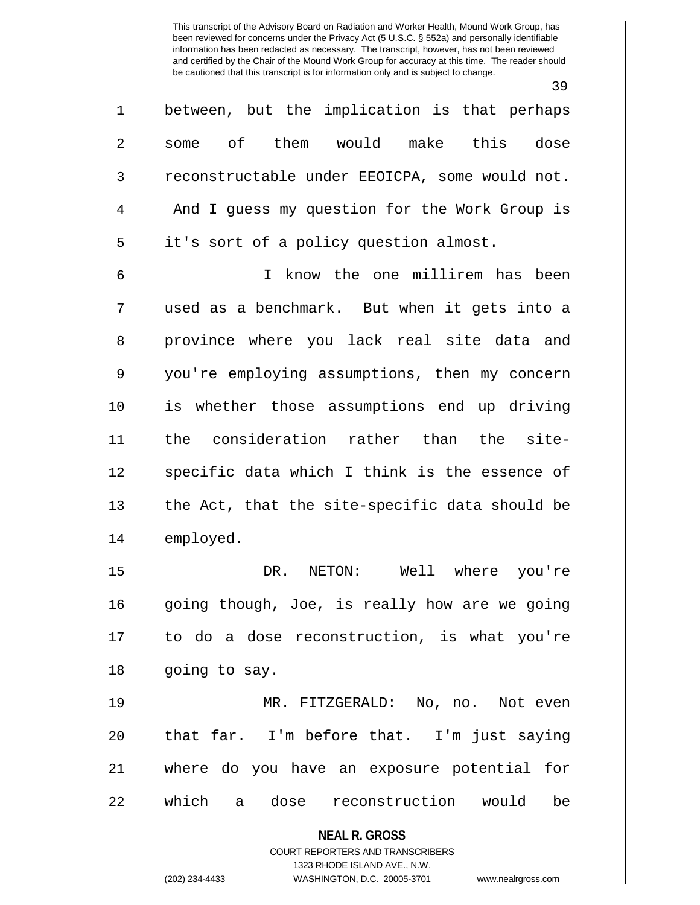**NEAL R. GROSS** COURT REPORTERS AND TRANSCRIBERS 1323 RHODE ISLAND AVE., N.W. 39 1 between, but the implication is that perhaps 2 || some of them would make this dose 3 | reconstructable under EEOICPA, some would not. 4 || And I guess my question for the Work Group is 5 | it's sort of a policy question almost. 6 I know the one millirem has been 7 used as a benchmark. But when it gets into a 8 province where you lack real site data and 9 you're employing assumptions, then my concern 10 is whether those assumptions end up driving 11 the consideration rather than the site-12 || specific data which I think is the essence of  $13$  || the Act, that the site-specific data should be 14 employed. 15 DR. NETON: Well where you're 16 going though, Joe, is really how are we going 17 to do a dose reconstruction, is what you're 18 | going to say. 19 || MR. FITZGERALD: No, no. Not even  $20$  || that far. I'm before that. I'm just saying 21 where do you have an exposure potential for 22 Which a dose reconstruction would be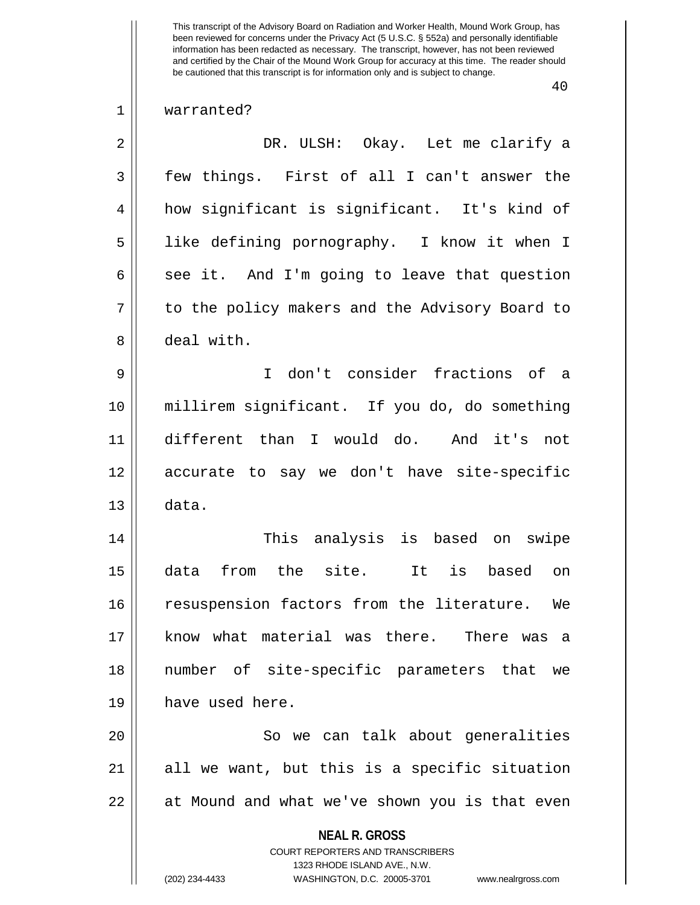## 40

## 1 || warranted?

| $\overline{2}$ | DR. ULSH: Okay. Let me clarify a                                                                                                                                       |
|----------------|------------------------------------------------------------------------------------------------------------------------------------------------------------------------|
| 3              | few things. First of all I can't answer the                                                                                                                            |
| $\overline{4}$ | how significant is significant. It's kind of                                                                                                                           |
| 5              | like defining pornography. I know it when I                                                                                                                            |
| 6              | see it. And I'm going to leave that question                                                                                                                           |
| 7              | to the policy makers and the Advisory Board to                                                                                                                         |
| 8              | deal with.                                                                                                                                                             |
| 9              | I don't consider fractions of a                                                                                                                                        |
| 10             | millirem significant. If you do, do something                                                                                                                          |
| 11             | different than I would do. And it's not                                                                                                                                |
| 12             | accurate to say we don't have site-specific                                                                                                                            |
| 13             | data.                                                                                                                                                                  |
| 14             | This analysis is based on swipe                                                                                                                                        |
| 15             | from the site. It is<br>data<br>based<br>on                                                                                                                            |
| 16             | resuspension factors from the literature. We                                                                                                                           |
| 17             | know what material was there. There was a                                                                                                                              |
| 18             | number of site-specific parameters that we                                                                                                                             |
| 19             | have used here.                                                                                                                                                        |
| 20             | So we can talk about generalities                                                                                                                                      |
| 21             | all we want, but this is a specific situation                                                                                                                          |
| 22             | at Mound and what we've shown you is that even                                                                                                                         |
|                | <b>NEAL R. GROSS</b><br><b>COURT REPORTERS AND TRANSCRIBERS</b><br>1323 RHODE ISLAND AVE., N.W.<br>(202) 234-4433<br>WASHINGTON, D.C. 20005-3701<br>www.nealrgross.com |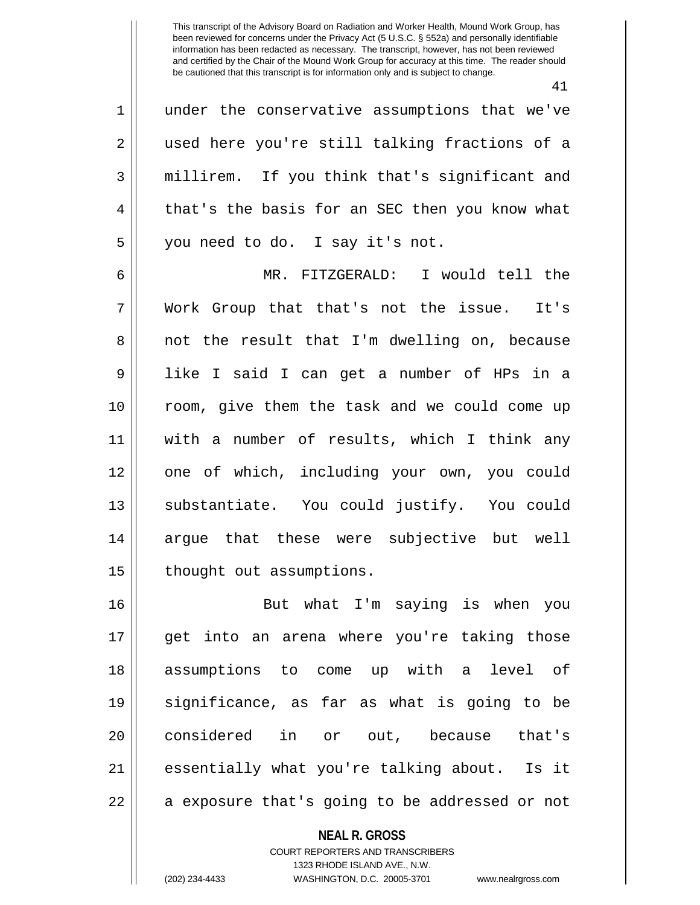41

| $\mathbf 1$    | under the conservative assumptions that we've  |
|----------------|------------------------------------------------|
| $\overline{2}$ | used here you're still talking fractions of a  |
| 3              | millirem. If you think that's significant and  |
| 4              | that's the basis for an SEC then you know what |
| 5              | you need to do. I say it's not.                |
| 6              | MR. FITZGERALD: I would tell the               |
| 7              | Work Group that that's not the issue. It's     |
| 8              | not the result that I'm dwelling on, because   |
| $\mathsf 9$    | like I said I can get a number of HPs in a     |
| 10             | room, give them the task and we could come up  |
| 11             | with a number of results, which I think any    |
| 12             | one of which, including your own, you could    |
| 13             | substantiate. You could justify. You could     |
| 14             | argue that these were subjective but well      |
| 15             | thought out assumptions.                       |
| 16             | But what I'm saying is when you                |
| 17             | get into an arena where you're taking those    |
| 18             | assumptions to come up with a level of         |
| 19             | significance, as far as what is going to be    |
| 20             | considered in or out, because that's           |
| 21             | essentially what you're talking about. Is it   |
| 22             | a exposure that's going to be addressed or not |

**NEAL R. GROSS**

COURT REPORTERS AND TRANSCRIBERS 1323 RHODE ISLAND AVE., N.W. (202) 234-4433 WASHINGTON, D.C. 20005-3701 www.nealrgross.com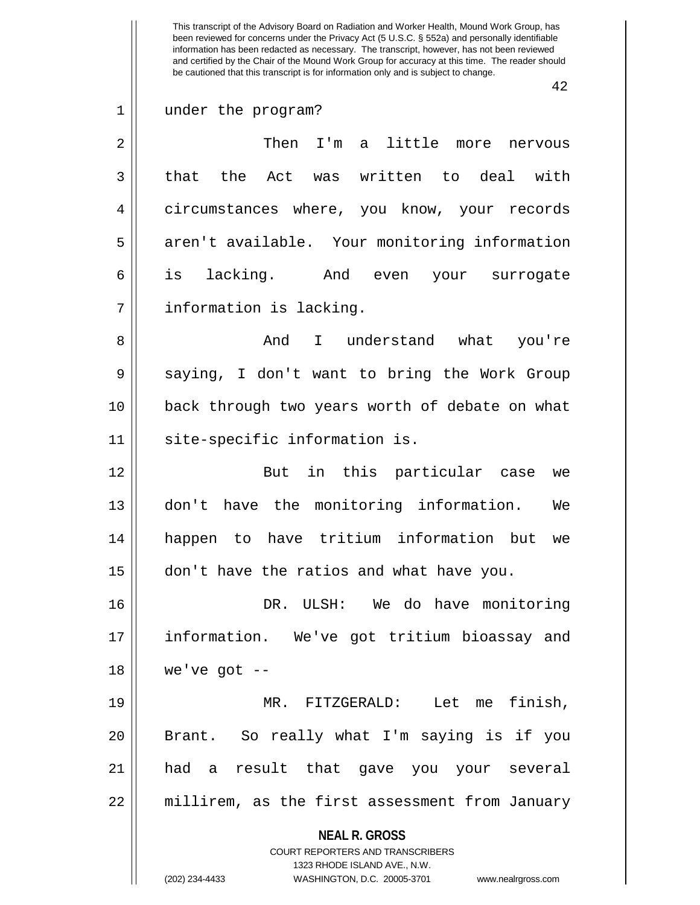42

1 under the program?

2 Then I'm a little more nervous  $3 \parallel$  that the Act was written to deal with 4 | circumstances where, you know, your records 5 || aren't available. Your monitoring information 6 is lacking. And even your surrogate 7 | information is lacking.

8 And I understand what you're 9 Saying, I don't want to bring the Work Group 10 || back through two years worth of debate on what 11 || site-specific information is.

12 || But in this particular case we 13 don't have the monitoring information. We 14 happen to have tritium information but we 15 don't have the ratios and what have you.

16 DR. ULSH: We do have monitoring 17 information. We've got tritium bioassay and  $18$  | we've got  $-$ 

19 MR. FITZGERALD: Let me finish, 20 Brant. So really what I'm saying is if you 21 had a result that gave you your several 22 | millirem, as the first assessment from January

**NEAL R. GROSS**

COURT REPORTERS AND TRANSCRIBERS 1323 RHODE ISLAND AVE., N.W. (202) 234-4433 WASHINGTON, D.C. 20005-3701 www.nealrgross.com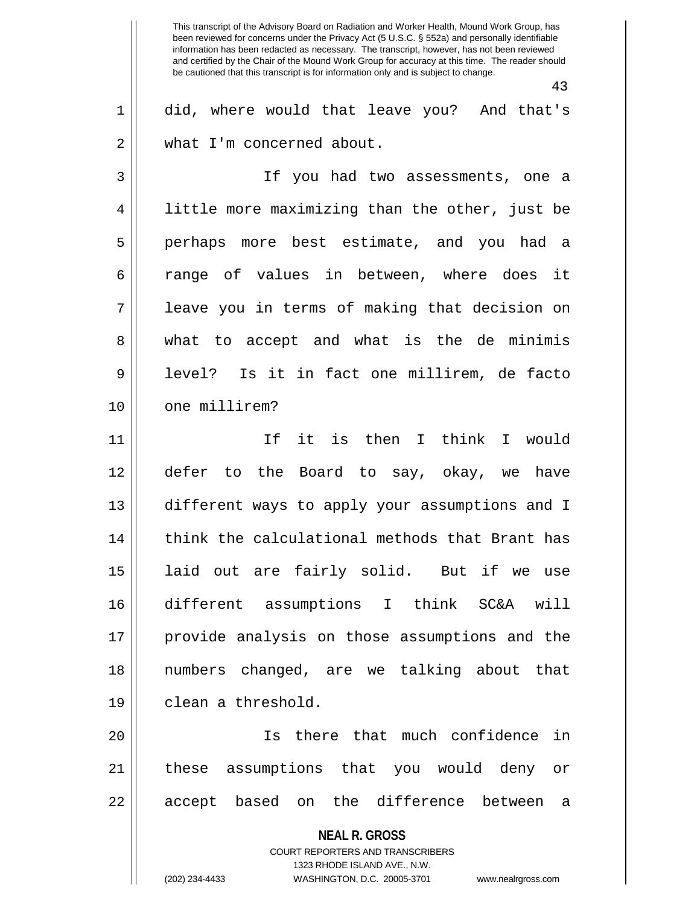**NEAL R. GROSS** COURT REPORTERS AND TRANSCRIBERS 1323 RHODE ISLAND AVE., N.W. This transcript of the Advisory Board on Radiation and Worker Health, Mound Work Group, has been reviewed for concerns under the Privacy Act (5 U.S.C. § 552a) and personally identifiable information has been redacted as necessary. The transcript, however, has not been reviewed and certified by the Chair of the Mound Work Group for accuracy at this time. The reader should be cautioned that this transcript is for information only and is subject to change. 43 1 did, where would that leave you? And that's 2 | what I'm concerned about. 3 If you had two assessments, one a 4 || little more maximizing than the other, just be 5 perhaps more best estimate, and you had a 6 a range of values in between, where does it 7 leave you in terms of making that decision on 8 what to accept and what is the de minimis 9 level? Is it in fact one millirem, de facto 10 || one millirem? 11 If it is then I think I would 12 defer to the Board to say, okay, we have 13 different ways to apply your assumptions and I 14 || think the calculational methods that Brant has 15 laid out are fairly solid. But if we use 16 different assumptions I think SC&A will 17 provide analysis on those assumptions and the 18 numbers changed, are we talking about that 19 clean a threshold. 20 Is there that much confidence in 21 || these assumptions that you would deny or 22 || accept based on the difference between a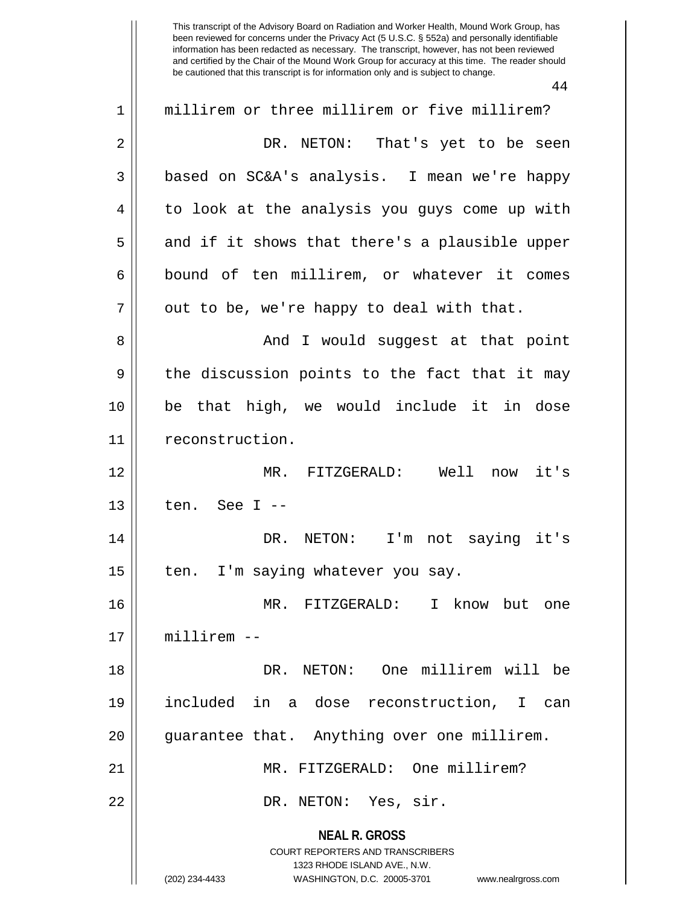44

| $\mathbf 1$    | millirem or three millirem or five millirem?                                                        |
|----------------|-----------------------------------------------------------------------------------------------------|
| $\overline{2}$ | DR. NETON: That's yet to be seen                                                                    |
| $\mathfrak{Z}$ | based on SC&A's analysis. I mean we're happy                                                        |
| $\overline{4}$ | to look at the analysis you guys come up with                                                       |
| 5              | and if it shows that there's a plausible upper                                                      |
| $\epsilon$     | bound of ten millirem, or whatever it comes                                                         |
| 7              | out to be, we're happy to deal with that.                                                           |
| 8              | And I would suggest at that point                                                                   |
| 9              | the discussion points to the fact that it may                                                       |
| 10             | be that high, we would include it in dose                                                           |
| 11             | reconstruction.                                                                                     |
| 12             | MR. FITZGERALD: Well now<br>it's                                                                    |
| 13             | ten. See I --                                                                                       |
| 14             | DR. NETON: I'm not saying it's                                                                      |
| 15             | I'm saying whatever you say.<br>ten.                                                                |
| 16             | MR. FITZGERALD:<br>I know but one                                                                   |
| 17             | $millirem -$                                                                                        |
| 18             | DR. NETON: One millirem will be                                                                     |
| 19             | included in a dose reconstruction, I can                                                            |
| 20             | guarantee that. Anything over one millirem.                                                         |
| 21             | MR. FITZGERALD: One millirem?                                                                       |
| 22             | DR. NETON: Yes, sir.                                                                                |
|                | <b>NEAL R. GROSS</b>                                                                                |
|                | <b>COURT REPORTERS AND TRANSCRIBERS</b>                                                             |
|                | 1323 RHODE ISLAND AVE., N.W.<br>(202) 234-4433<br>WASHINGTON, D.C. 20005-3701<br>www.nealrgross.com |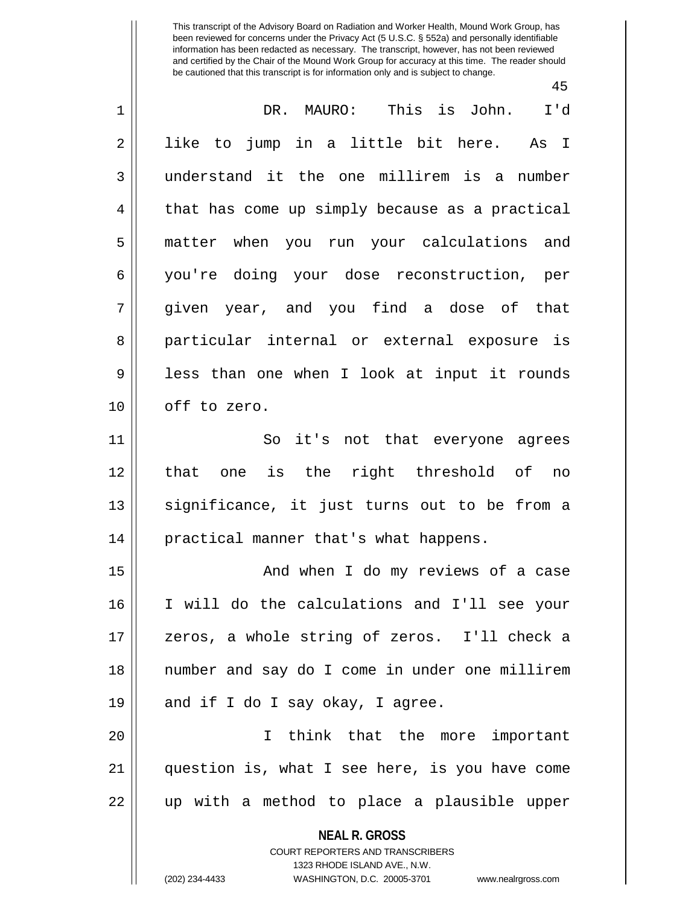45

| $\mathbf 1$ | This is John.<br>DR. MAURO:<br>I'd                                                       |
|-------------|------------------------------------------------------------------------------------------|
| 2           | like to jump in a little bit here. As I                                                  |
| 3           | understand it the one millirem is a number                                               |
| 4           | that has come up simply because as a practical                                           |
| 5           | matter when you run your calculations and                                                |
| 6           | you're doing your dose reconstruction, per                                               |
| 7           | given year, and you find a dose of that                                                  |
| 8           | particular internal or external exposure is                                              |
| 9           | less than one when I look at input it rounds                                             |
| 10          | off to zero.                                                                             |
| 11          | So it's not that everyone agrees                                                         |
| 12          | one is the right threshold of<br>that<br>no                                              |
| 13          | significance, it just turns out to be from a                                             |
| 14          | practical manner that's what happens.                                                    |
| 15          | And when I do my reviews of a case                                                       |
| 16          | I will do the calculations and I'll see your                                             |
| 17          | zeros, a whole string of zeros. I'll check a                                             |
| 18          | number and say do I come in under one millirem                                           |
| 19          | and if I do I say okay, I agree.                                                         |
| 20          | I think that the more important                                                          |
| 21          | question is, what I see here, is you have come                                           |
| 22          | up with a method to place a plausible upper                                              |
|             | <b>NEAL R. GROSS</b><br>COURT REPORTERS AND TRANSCRIBERS<br>1323 RHODE ISLAND AVE., N.W. |

 $\parallel$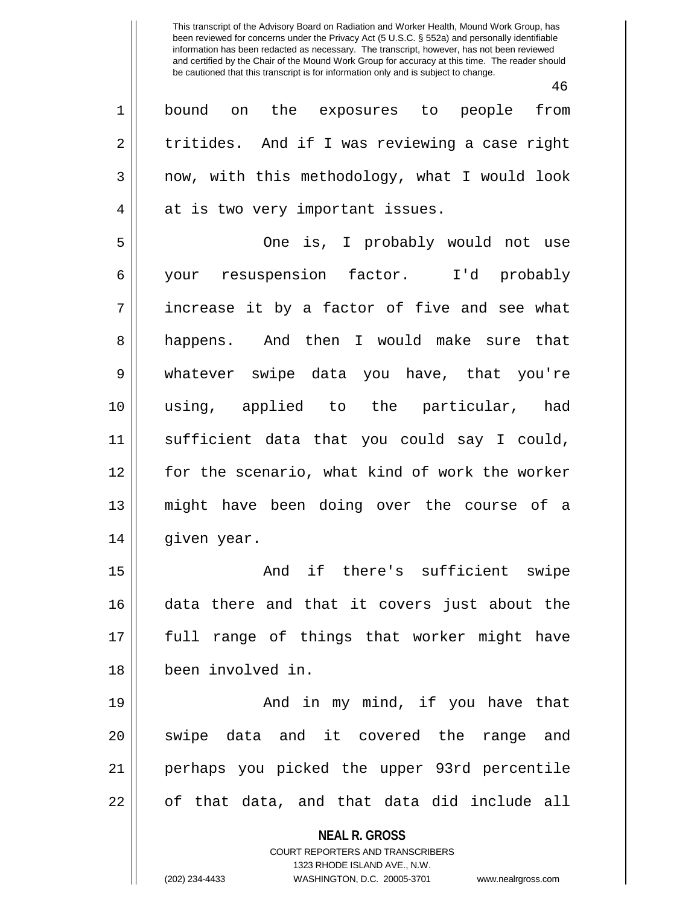46

1 bound on the exposures to people from  $2 \parallel$  tritides. And if I was reviewing a case right  $3 \parallel$  now, with this methodology, what I would look 4 || at is two very important issues.

5 One is, I probably would not use 6 your resuspension factor. I'd probably  $7 \parallel$  increase it by a factor of five and see what 8 happens. And then I would make sure that 9 whatever swipe data you have, that you're 10 using, applied to the particular, had 11 sufficient data that you could say I could, 12 for the scenario, what kind of work the worker 13 might have been doing over the course of a 14 | given year.

15 || The Rand if there's sufficient swipe 16 data there and that it covers just about the 17 full range of things that worker might have 18 been involved in.

19 And in my mind, if you have that 20 || swipe data and it covered the range and 21 perhaps you picked the upper 93rd percentile 22 || of that data, and that data did include all

> **NEAL R. GROSS** COURT REPORTERS AND TRANSCRIBERS 1323 RHODE ISLAND AVE., N.W. (202) 234-4433 WASHINGTON, D.C. 20005-3701 www.nealrgross.com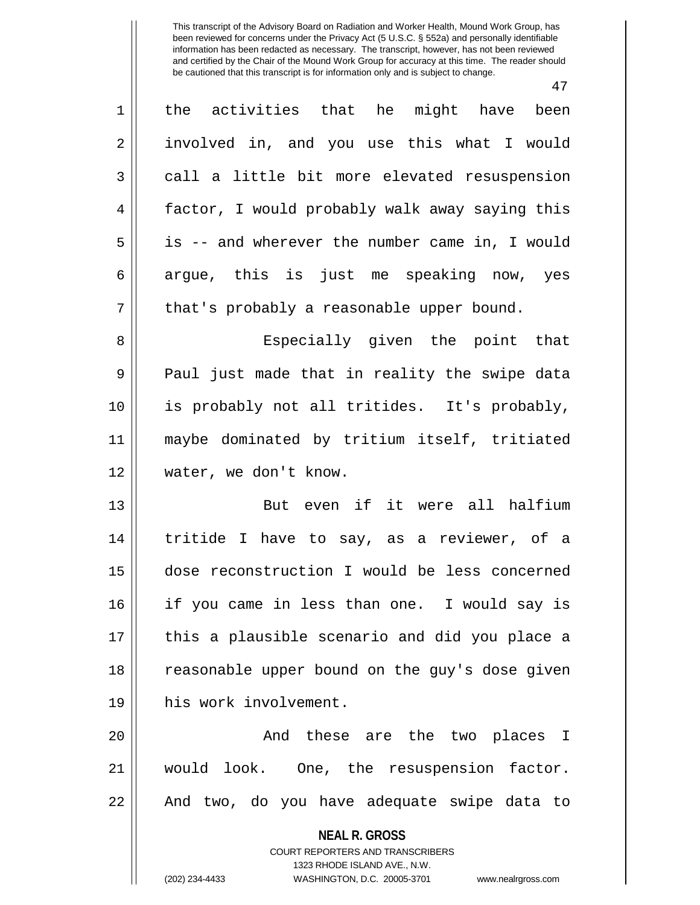47 1 the activities that he might have been 2 || involved in, and you use this what I would  $3 \parallel$  call a little bit more elevated resuspension 4 | factor, I would probably walk away saying this 5 is -- and wherever the number came in, I would  $6 \parallel$  argue, this is just me speaking now, yes  $7 \parallel$  that's probably a reasonable upper bound. 8 Especially given the point that 9 || Paul just made that in reality the swipe data 10 is probably not all tritides. It's probably, 11 maybe dominated by tritium itself, tritiated 12 || water, we don't know. 13 But even if it were all halfium 14 tritide I have to say, as a reviewer, of a 15 dose reconstruction I would be less concerned 16 if you came in less than one. I would say is 17 this a plausible scenario and did you place a 18 || reasonable upper bound on the guy's dose given 19 his work involvement. 20 And these are the two places I 21 would look. One, the resuspension factor. 22 || And two, do you have adequate swipe data to

> **NEAL R. GROSS** COURT REPORTERS AND TRANSCRIBERS

> > 1323 RHODE ISLAND AVE., N.W.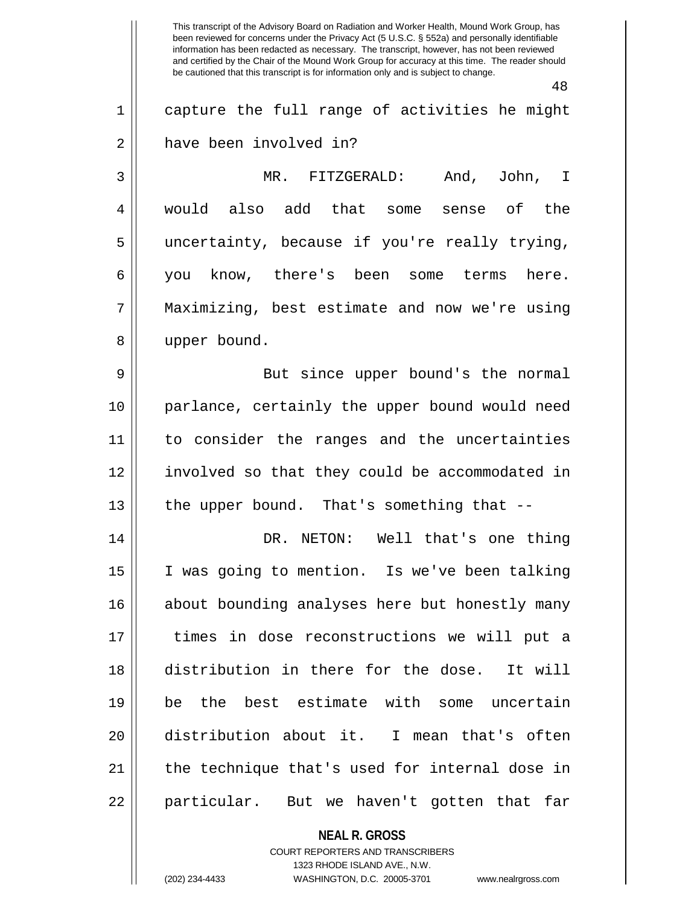This transcript of the Advisory Board on Radiation and Worker Health, Mound Work Group, has been reviewed for concerns under the Privacy Act (5 U.S.C. § 552a) and personally identifiable information has been redacted as necessary. The transcript, however, has not been reviewed and certified by the Chair of the Mound Work Group for accuracy at this time. The reader should be cautioned that this transcript is for information only and is subject to change. 48 1 capture the full range of activities he might 2 have been involved in? 3 MR. FITZGERALD: And, John, I 4 would also add that some sense of the 5 uncertainty, because if you're really trying, 6 you know, there's been some terms here. 7 Maximizing, best estimate and now we're using 8 || upper bound. 9 || But since upper bound's the normal 10 parlance, certainly the upper bound would need 11 to consider the ranges and the uncertainties 12 involved so that they could be accommodated in  $13$  || the upper bound. That's something that  $-$ 14 DR. NETON: Well that's one thing 15 || I was going to mention. Is we've been talking 16 || about bounding analyses here but honestly many 17 || times in dose reconstructions we will put a 18 distribution in there for the dose. It will 19 be the best estimate with some uncertain 20 distribution about it. I mean that's often 21 || the technique that's used for internal dose in 22 || particular. But we haven't gotten that far

> **NEAL R. GROSS** COURT REPORTERS AND TRANSCRIBERS 1323 RHODE ISLAND AVE., N.W.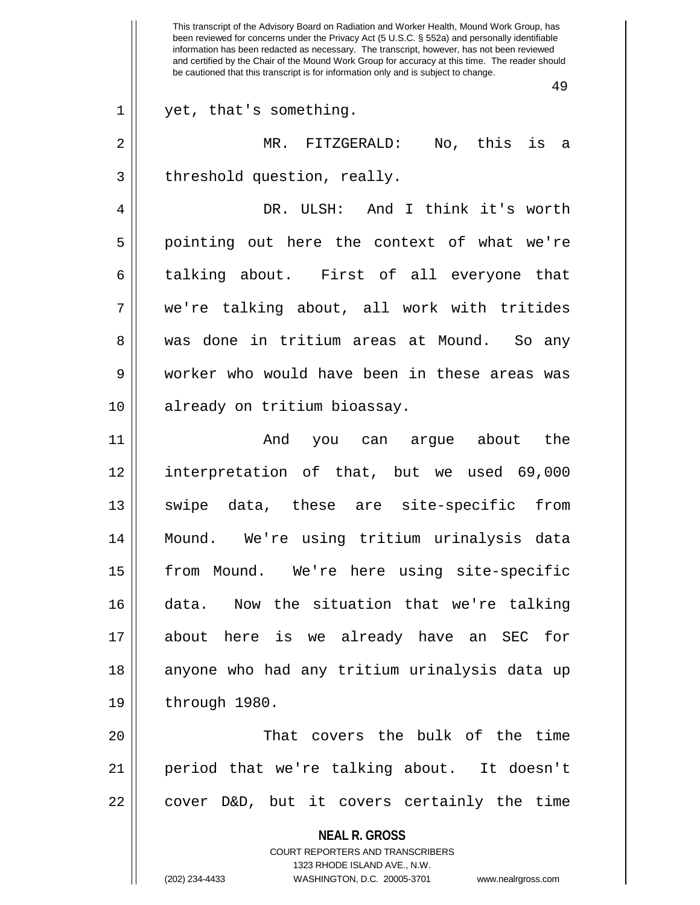$3$  | threshold question, really.

4 DR. ULSH: And I think it's worth 5 || pointing out here the context of what we're 6 talking about. First of all everyone that 7 we're talking about, all work with tritides 8 was done in tritium areas at Mound. So any 9 worker who would have been in these areas was 10 already on tritium bioassay.

11 And you can argue about the 12 interpretation of that, but we used 69,000 13 || swipe data, these are site-specific from 14 Mound. We're using tritium urinalysis data 15 || from Mound. We're here using site-specific 16 data. Now the situation that we're talking 17 about here is we already have an SEC for 18 || anyone who had any tritium urinalysis data up 19 || through 1980.

20 That covers the bulk of the time 21 period that we're talking about. It doesn't  $22 \parallel$  cover D&D, but it covers certainly the time

> **NEAL R. GROSS** COURT REPORTERS AND TRANSCRIBERS 1323 RHODE ISLAND AVE., N.W. (202) 234-4433 WASHINGTON, D.C. 20005-3701 www.nealrgross.com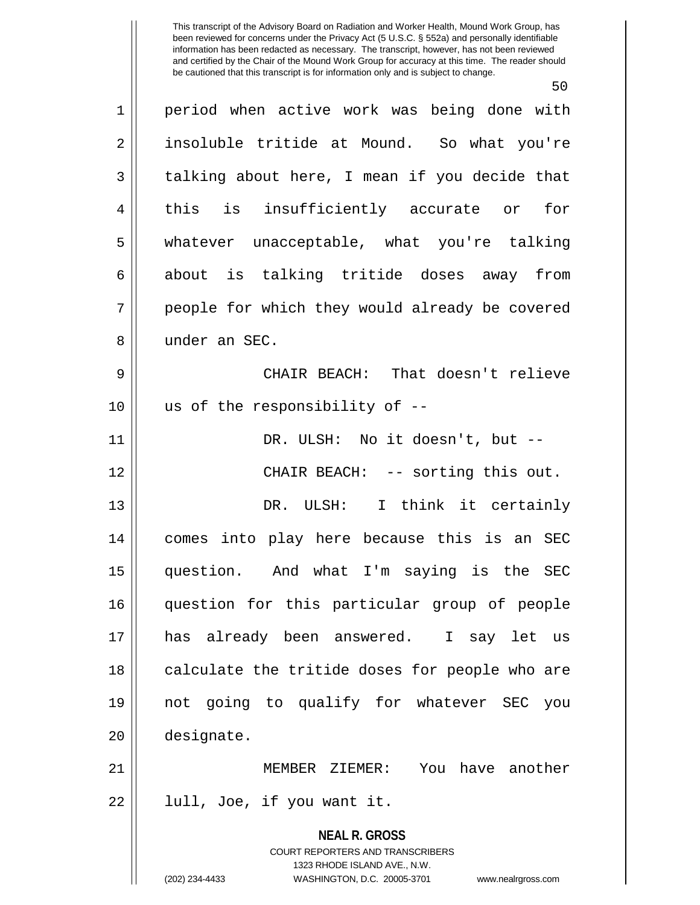50

**NEAL R. GROSS** COURT REPORTERS AND TRANSCRIBERS 1323 RHODE ISLAND AVE., N.W. 1 || period when active work was being done with 2 || insoluble tritide at Mound. So what you're  $3 \parallel$  talking about here, I mean if you decide that 4 || this is insufficiently accurate or for 5 whatever unacceptable, what you're talking 6 about is talking tritide doses away from 7 || people for which they would already be covered 8 || under an SEC. 9 CHAIR BEACH: That doesn't relieve  $10$  || us of the responsibility of  $-$ -11 DR. ULSH: No it doesn't, but -- 12 CHAIR BEACH: -- sorting this out. 13 DR. ULSH: I think it certainly 14 comes into play here because this is an SEC 15 question. And what I'm saying is the SEC 16 question for this particular group of people 17 has already been answered. I say let us 18 || calculate the tritide doses for people who are 19 not going to qualify for whatever SEC you 20 designate. 21 MEMBER ZIEMER: You have another  $22 \parallel$  lull, Joe, if you want it.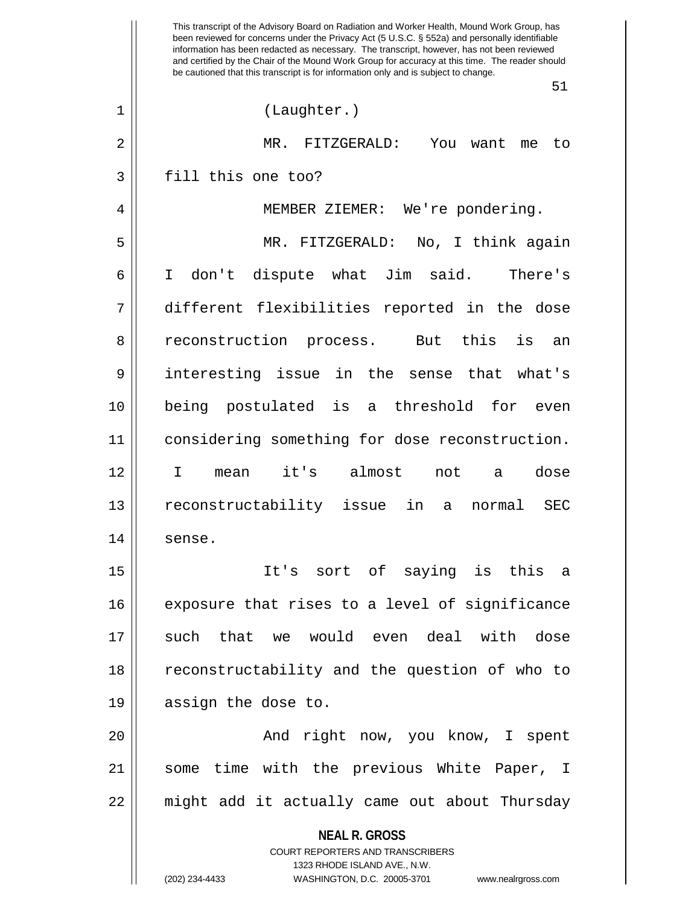**NEAL R. GROSS** COURT REPORTERS AND TRANSCRIBERS 1323 RHODE ISLAND AVE., N.W. (202) 234-4433 WASHINGTON, D.C. 20005-3701 www.nealrgross.com This transcript of the Advisory Board on Radiation and Worker Health, Mound Work Group, has been reviewed for concerns under the Privacy Act (5 U.S.C. § 552a) and personally identifiable information has been redacted as necessary. The transcript, however, has not been reviewed and certified by the Chair of the Mound Work Group for accuracy at this time. The reader should be cautioned that this transcript is for information only and is subject to change. 51 1 (Laughter.) 2 MR. FITZGERALD: You want me to 3 || fill this one too? 4 MEMBER ZIEMER: We're pondering. 5 MR. FITZGERALD: No, I think again 6 I don't dispute what Jim said. There's 7 different flexibilities reported in the dose 8 || reconstruction process. But this is an 9 interesting issue in the sense that what's 10 being postulated is a threshold for even 11 considering something for dose reconstruction. 12 I mean it's almost not a dose 13 reconstructability issue in a normal SEC 14 sense. 15 It's sort of saying is this a 16 || exposure that rises to a level of significance 17 such that we would even deal with dose 18 || reconstructability and the question of who to 19 || assign the dose to. 20 And right now, you know, I spent 21 || some time with the previous White Paper, I 22 might add it actually came out about Thursday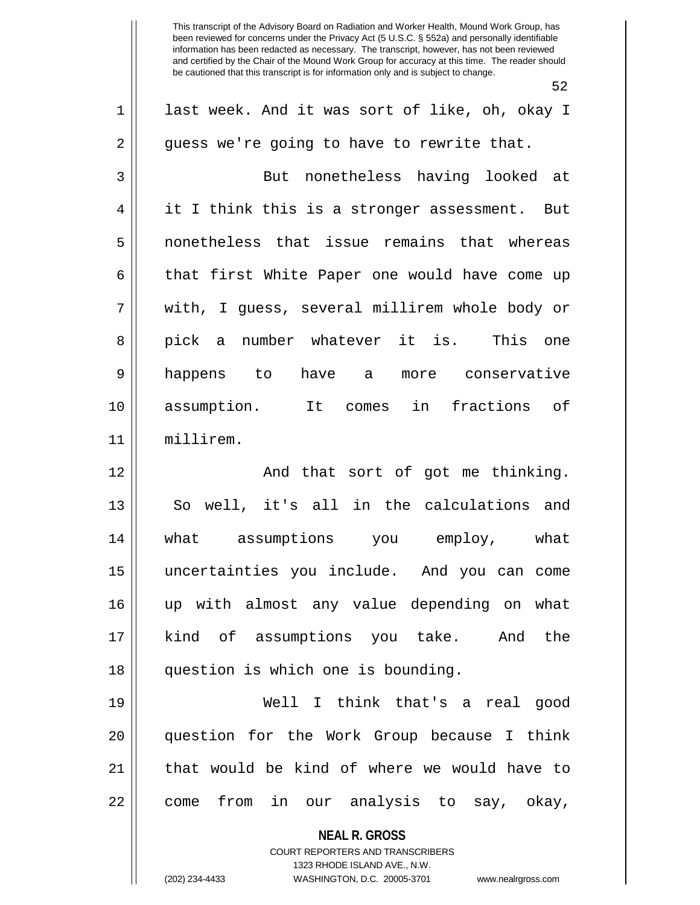52

|                | ے ت                                                                                      |
|----------------|------------------------------------------------------------------------------------------|
| $\mathbf 1$    | last week. And it was sort of like, oh, okay I                                           |
| $\overline{2}$ | guess we're going to have to rewrite that.                                               |
| 3              | But nonetheless having looked at                                                         |
| 4              | it I think this is a stronger assessment. But                                            |
| 5              | nonetheless that issue remains that whereas                                              |
| 6              | that first White Paper one would have come up                                            |
| 7              | with, I guess, several millirem whole body or                                            |
| 8              | pick a number whatever it is. This one                                                   |
| $\mathsf 9$    | happens to have a more conservative                                                      |
| 10             | assumption. It comes in fractions of                                                     |
| 11             | millirem.                                                                                |
| 12             | And that sort of got me thinking.                                                        |
| 13             | So well, it's all in the calculations and                                                |
| 14             | what assumptions you employ, what                                                        |
| 15             | uncertainties you include. And you can come                                              |
| 16             | up with almost any value depending on what                                               |
| 17             | kind of assumptions you take. And the                                                    |
| 18             | question is which one is bounding.                                                       |
| 19             | Well I think that's a real good                                                          |
| 20             | question for the Work Group because I think                                              |
| 21             | that would be kind of where we would have to                                             |
| 22             | from in our analysis to say, okay,<br>come                                               |
|                | <b>NEAL R. GROSS</b><br>COURT REPORTERS AND TRANSCRIBERS<br>1323 RHODE ISLAND AVE., N.W. |

 $\parallel$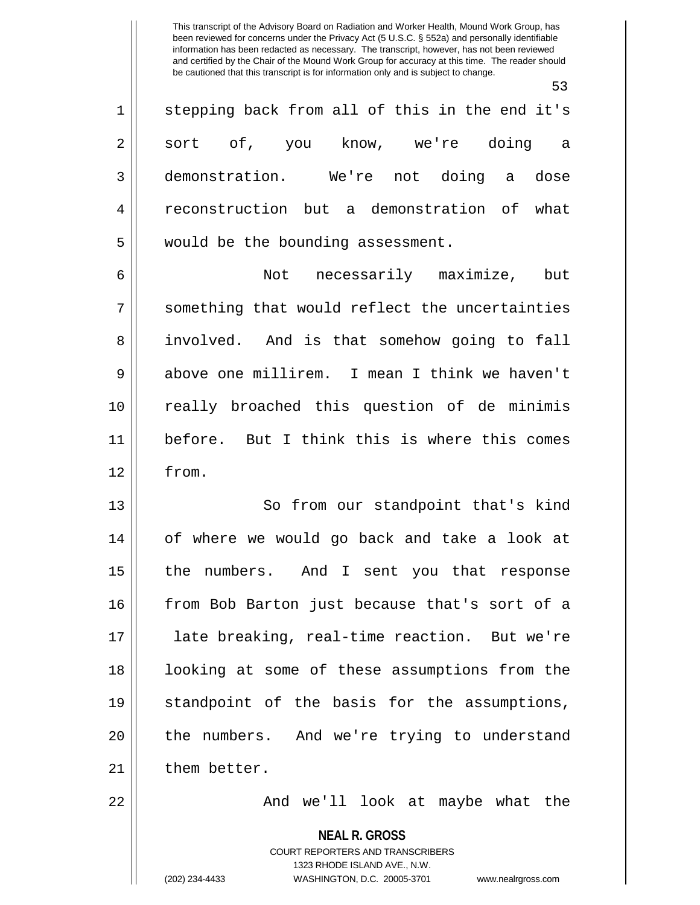53

| $\mathbf 1$    | stepping back from all of this in the end it's |
|----------------|------------------------------------------------|
| $\overline{2}$ | sort of, you know, we're doing a               |
| 3              | demonstration. We're not doing a dose          |
| 4              | reconstruction but a demonstration of what     |
| 5              | would be the bounding assessment.              |
| 6              | Not necessarily maximize, but                  |
| 7              | something that would reflect the uncertainties |
| 8              | involved. And is that somehow going to fall    |
| $\mathsf 9$    | above one millirem. I mean I think we haven't  |
| 10             | really broached this question of de minimis    |
| 11             | before. But I think this is where this comes   |
| 12             | from.                                          |
| 13             | So from our standpoint that's kind             |
| 14             | of where we would go back and take a look at   |
| 15             | the numbers. And I sent you that response      |
| 16             | from Bob Barton just because that's sort of a  |
| 17             | late breaking, real-time reaction. But we're   |
| 18             | looking at some of these assumptions from the  |
| 19             | standpoint of the basis for the assumptions,   |
| 20             | the numbers. And we're trying to understand    |
| 21             | them better.                                   |
| 22             | And we'll look at maybe what the               |

**NEAL R. GROSS** COURT REPORTERS AND TRANSCRIBERS

1323 RHODE ISLAND AVE., N.W.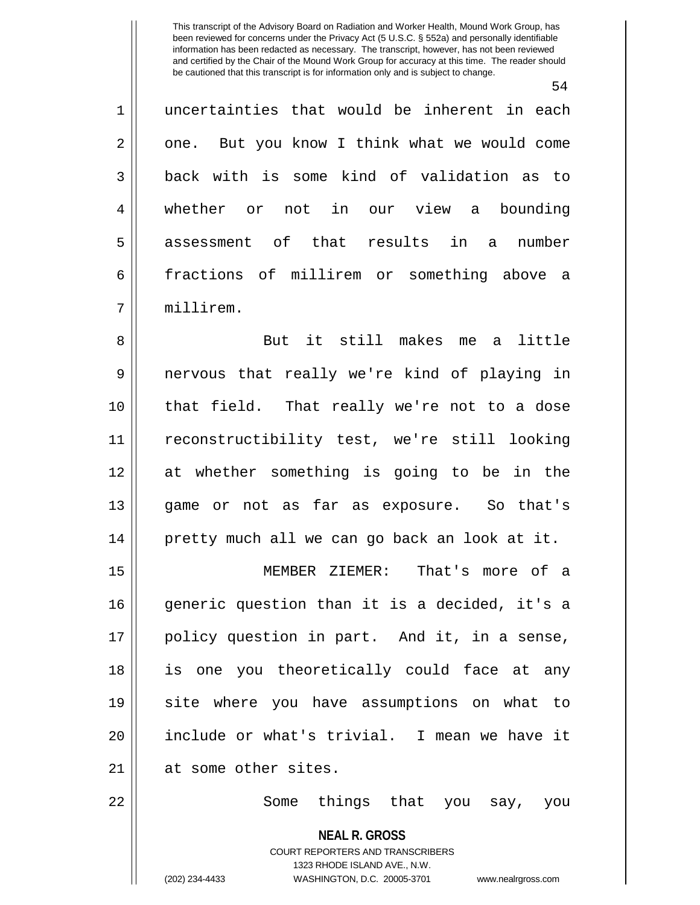54

1 uncertainties that would be inherent in each  $2 \parallel$  one. But you know I think what we would come 3 back with is some kind of validation as to 4 whether or not in our view a bounding 5 assessment of that results in a number 6 fractions of millirem or something above a 7 millirem.

8 || But it still makes me a little 9 nervous that really we're kind of playing in 10 that field. That really we're not to a dose 11 reconstructibility test, we're still looking 12 at whether something is going to be in the 13 game or not as far as exposure. So that's 14 pretty much all we can go back an look at it.

15 MEMBER ZIEMER: That's more of a 16 generic question than it is a decided, it's a 17 policy question in part. And it, in a sense, 18 is one you theoretically could face at any 19 site where you have assumptions on what to 20 include or what's trivial. I mean we have it 21 at some other sites.

22 || Some things that you say, you

**NEAL R. GROSS**

COURT REPORTERS AND TRANSCRIBERS 1323 RHODE ISLAND AVE., N.W. (202) 234-4433 WASHINGTON, D.C. 20005-3701 www.nealrgross.com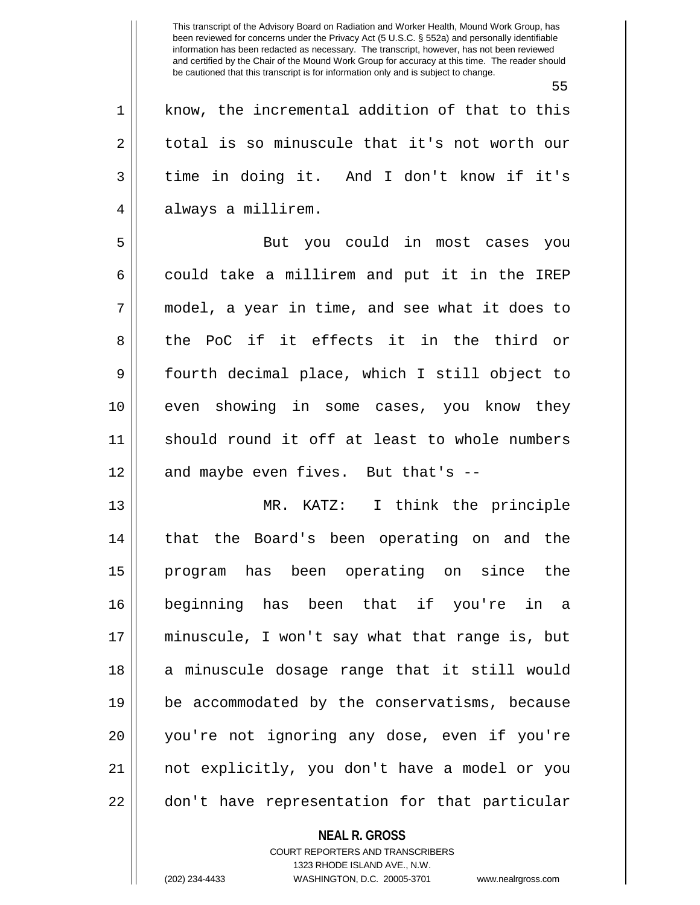|             | 55                                             |
|-------------|------------------------------------------------|
| 1           | know, the incremental addition of that to this |
| 2           | total is so minuscule that it's not worth our  |
| 3           | time in doing it. And I don't know if it's     |
| 4           | always a millirem.                             |
| 5           | But you could in most cases you                |
| 6           | could take a millirem and put it in the IREP   |
| 7           | model, a year in time, and see what it does to |
| 8           | the PoC if it effects it in the third or       |
| $\mathsf 9$ | fourth decimal place, which I still object to  |
| 10          | even showing in some cases, you know they      |
| 11          | should round it off at least to whole numbers  |
| 12          | and maybe even fives. But that's --            |
| 13          | MR. KATZ: I think the principle                |
| 14          | that the Board's been operating on and the     |
| 15          | program has been operating on since the        |
| 16          | beginning has been that if you're in a         |
| 17          | minuscule, I won't say what that range is, but |
| 18          | a minuscule dosage range that it still would   |
| 19          | be accommodated by the conservatisms, because  |
| 20          | you're not ignoring any dose, even if you're   |
| 21          | not explicitly, you don't have a model or you  |
| 22          | don't have representation for that particular  |
|             |                                                |

COURT REPORTERS AND TRANSCRIBERS 1323 RHODE ISLAND AVE., N.W. (202) 234-4433 WASHINGTON, D.C. 20005-3701 www.nealrgross.com

**NEAL R. GROSS**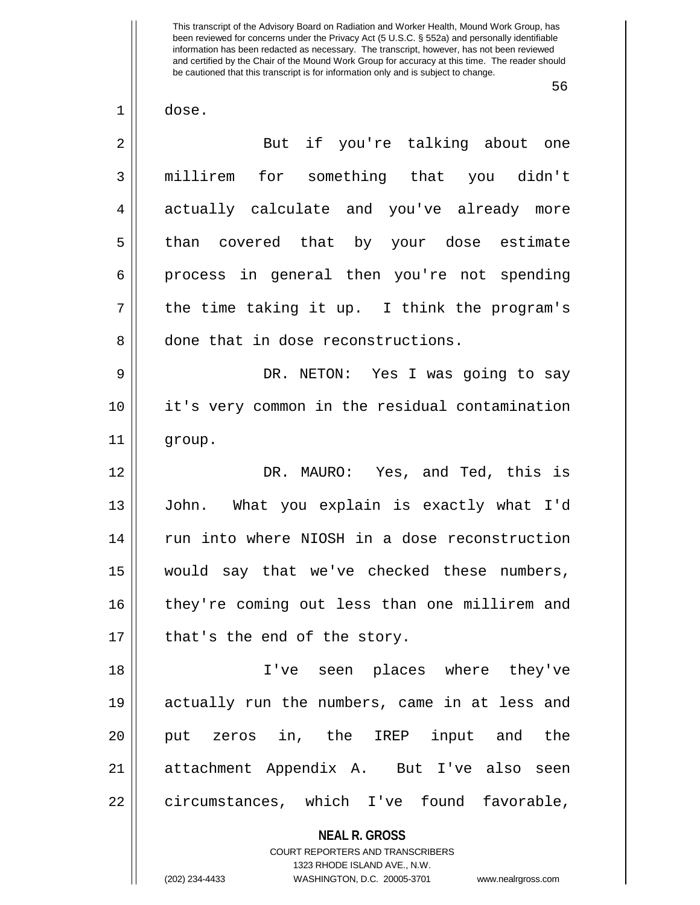56

 $1 \parallel$  dose.

| $\overline{2}$ | But if you're talking about one                                                          |
|----------------|------------------------------------------------------------------------------------------|
| 3              | millirem for something that you didn't                                                   |
| $\overline{4}$ | actually calculate and you've already more                                               |
| 5              | than covered that by your dose estimate                                                  |
| 6              | process in general then you're not spending                                              |
| 7              | the time taking it up. I think the program's                                             |
| 8              | done that in dose reconstructions.                                                       |
| $\mathsf 9$    | DR. NETON: Yes I was going to say                                                        |
| 10             | it's very common in the residual contamination                                           |
| 11             | group.                                                                                   |
| 12             | DR. MAURO: Yes, and Ted, this is                                                         |
| 13             | John. What you explain is exactly what I'd                                               |
| 14             | run into where NIOSH in a dose reconstruction                                            |
| 15             | would say that we've checked these numbers,                                              |
| 16             | they're coming out less than one millirem and                                            |
| 17             | that's the end of the story.                                                             |
| 18             | I've seen places where they've                                                           |
| 19             | actually run the numbers, came in at less and                                            |
| 20             | put zeros in, the IREP input and the                                                     |
| 21             | attachment Appendix A. But I've also seen                                                |
| 22             | circumstances, which I've found favorable,                                               |
|                | <b>NEAL R. GROSS</b><br>COURT REPORTERS AND TRANSCRIBERS<br>1323 RHODE ISLAND AVE., N.W. |

 $\frac{1}{2}$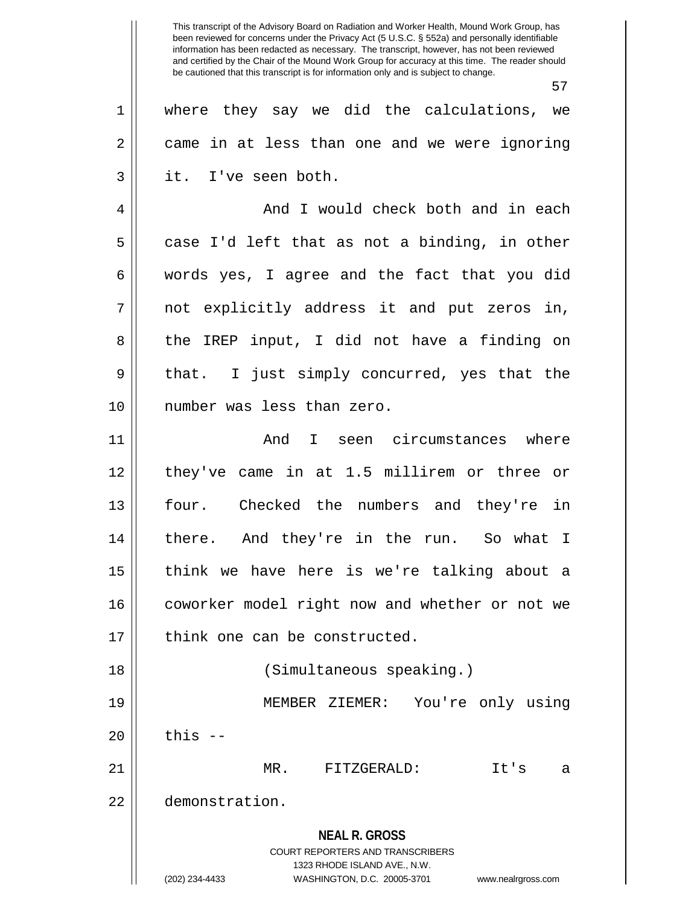**NEAL R. GROSS** COURT REPORTERS AND TRANSCRIBERS 1323 RHODE ISLAND AVE., N.W. (202) 234-4433 WASHINGTON, D.C. 20005-3701 www.nealrgross.com This transcript of the Advisory Board on Radiation and Worker Health, Mound Work Group, has been reviewed for concerns under the Privacy Act (5 U.S.C. § 552a) and personally identifiable information has been redacted as necessary. The transcript, however, has not been reviewed and certified by the Chair of the Mound Work Group for accuracy at this time. The reader should be cautioned that this transcript is for information only and is subject to change. 57 1 where they say we did the calculations, we 2 came in at less than one and we were ignoring  $3 \parallel$  it. I've seen both. 4 And I would check both and in each  $5 \parallel$  case I'd left that as not a binding, in other 6 words yes, I agree and the fact that you did  $7 \parallel$  not explicitly address it and put zeros in, 8 the IREP input, I did not have a finding on 9 || that. I just simply concurred, yes that the 10 number was less than zero. 11 And I seen circumstances where 12 they've came in at 1.5 millirem or three or 13 four. Checked the numbers and they're in 14 there. And they're in the run. So what I 15 || think we have here is we're talking about a 16 coworker model right now and whether or not we  $17$  | think one can be constructed. 18 (Simultaneous speaking.) 19 MEMBER ZIEMER: You're only using  $20$   $\parallel$  this  $-$ 21 MR. FITZGERALD: It's a 22 demonstration.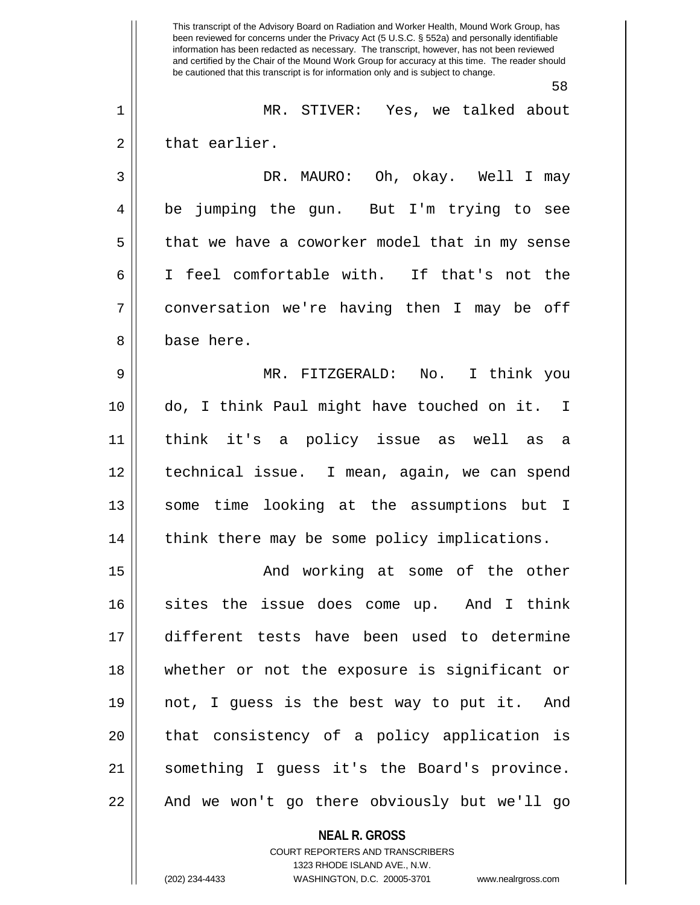**NEAL R. GROSS** This transcript of the Advisory Board on Radiation and Worker Health, Mound Work Group, has been reviewed for concerns under the Privacy Act (5 U.S.C. § 552a) and personally identifiable information has been redacted as necessary. The transcript, however, has not been reviewed and certified by the Chair of the Mound Work Group for accuracy at this time. The reader should be cautioned that this transcript is for information only and is subject to change. 58 1 MR. STIVER: Yes, we talked about  $2 \parallel$  that earlier. 3 DR. MAURO: Oh, okay. Well I may 4 || be jumping the gun. But I'm trying to see 5 | that we have a coworker model that in my sense 6 I feel comfortable with. If that's not the 7 conversation we're having then I may be off 8 l base here. 9 MR. FITZGERALD: No. I think you 10 do, I think Paul might have touched on it. I 11 think it's a policy issue as well as a 12 technical issue. I mean, again, we can spend 13 || some time looking at the assumptions but I 14 || think there may be some policy implications. 15 || The Sole of the other and working at some of the other 16 sites the issue does come up. And I think 17 different tests have been used to determine 18 whether or not the exposure is significant or 19 not, I guess is the best way to put it. And 20 || that consistency of a policy application is 21 something I guess it's the Board's province. 22 || And we won't go there obviously but we'll go

> COURT REPORTERS AND TRANSCRIBERS 1323 RHODE ISLAND AVE., N.W.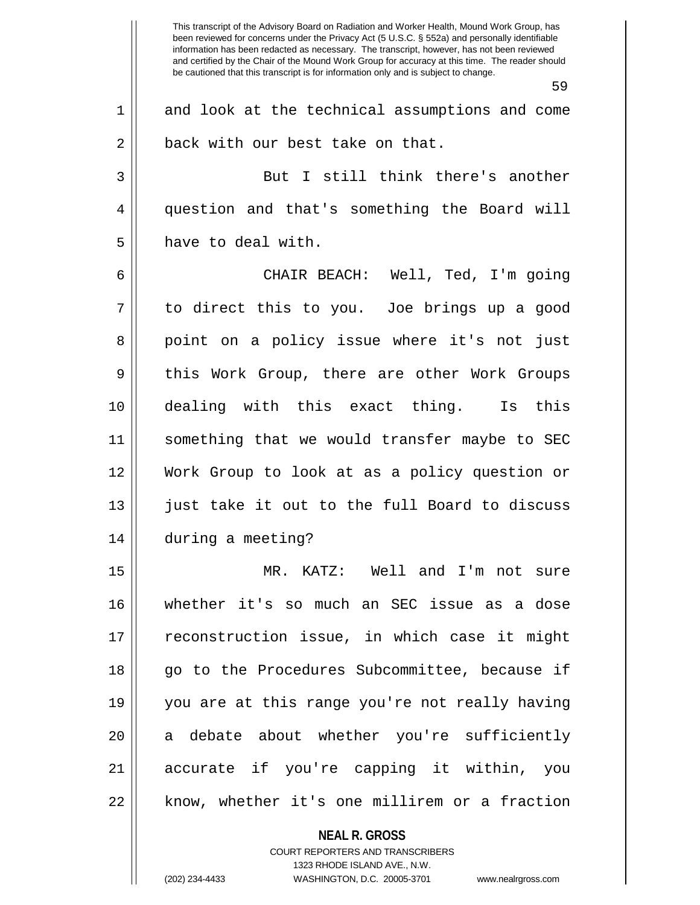**NEAL R. GROSS** This transcript of the Advisory Board on Radiation and Worker Health, Mound Work Group, has been reviewed for concerns under the Privacy Act (5 U.S.C. § 552a) and personally identifiable information has been redacted as necessary. The transcript, however, has not been reviewed and certified by the Chair of the Mound Work Group for accuracy at this time. The reader should be cautioned that this transcript is for information only and is subject to change. 59 1 and look at the technical assumptions and come 2 | back with our best take on that. 3 || But I still think there's another 4 question and that's something the Board will 5 have to deal with. 6 CHAIR BEACH: Well, Ted, I'm going  $7 \parallel$  to direct this to you. Joe brings up a good 8 || point on a policy issue where it's not just 9 || this Work Group, there are other Work Groups 10 dealing with this exact thing. Is this 11 something that we would transfer maybe to SEC 12 Work Group to look at as a policy question or 13 || just take it out to the full Board to discuss 14 during a meeting? 15 MR. KATZ: Well and I'm not sure 16 whether it's so much an SEC issue as a dose 17 || reconstruction issue, in which case it might 18 || go to the Procedures Subcommittee, because if 19 you are at this range you're not really having 20 || a debate about whether you're sufficiently 21 accurate if you're capping it within, you 22 || know, whether it's one millirem or a fraction

> COURT REPORTERS AND TRANSCRIBERS 1323 RHODE ISLAND AVE., N.W.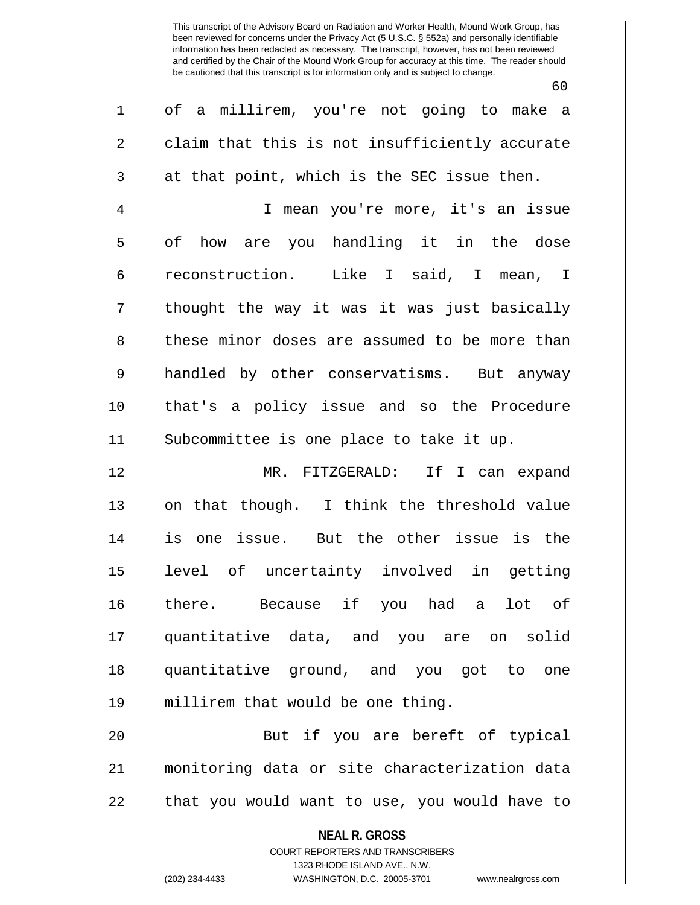60

| $\mathbf 1$    | of a millirem, you're not going to make a                       |
|----------------|-----------------------------------------------------------------|
| $\sqrt{2}$     | claim that this is not insufficiently accurate                  |
| $\mathfrak{Z}$ | at that point, which is the SEC issue then.                     |
| 4              | I mean you're more, it's an issue                               |
| 5              | of how are you handling it in the dose                          |
| 6              | reconstruction. Like I said, I mean, I                          |
| 7              | thought the way it was it was just basically                    |
| 8              | these minor doses are assumed to be more than                   |
| 9              | handled by other conservatisms. But anyway                      |
| 10             | that's a policy issue and so the Procedure                      |
| 11             | Subcommittee is one place to take it up.                        |
| 12             | MR. FITZGERALD: If I can expand                                 |
| 13             | on that though. I think the threshold value                     |
| 14             | is one issue. But the other issue is the                        |
| 15             | level of uncertainty involved in getting                        |
| 16             | there. Because if you had a lot of                              |
| 17             | quantitative data, and you are on solid                         |
| 18             | quantitative ground, and you got to one                         |
| 19             | millirem that would be one thing.                               |
| 20             | But if you are bereft of typical                                |
| 21             | monitoring data or site characterization data                   |
| 22             | that you would want to use, you would have to                   |
|                | <b>NEAL R. GROSS</b><br><b>COURT REPORTERS AND TRANSCRIBERS</b> |

1323 RHODE ISLAND AVE., N.W.

 $\mathsf{II}$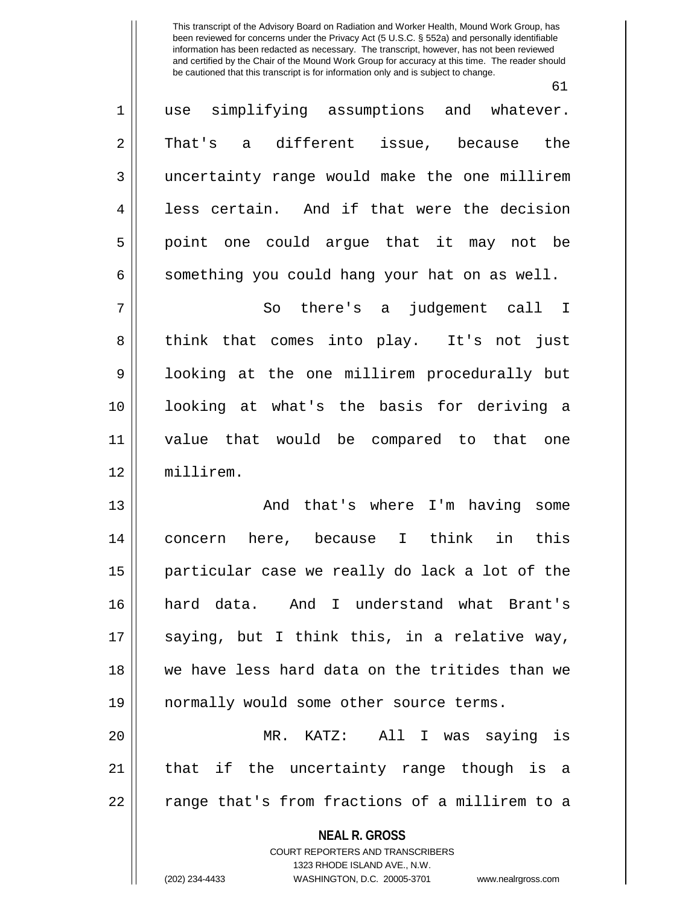61

| $\mathbf 1$    | use simplifying assumptions and whatever.                                                        |
|----------------|--------------------------------------------------------------------------------------------------|
| $\overline{2}$ | That's a different issue, because the                                                            |
| $\mathfrak{Z}$ | uncertainty range would make the one millirem                                                    |
| $\overline{4}$ | less certain. And if that were the decision                                                      |
| 5              | point one could argue that it may not be                                                         |
| 6              | something you could hang your hat on as well.                                                    |
| 7              | So there's a<br>judgement call I                                                                 |
| 8              | think that comes into play. It's not just                                                        |
| 9              | looking at the one millirem procedurally but                                                     |
| 10             | looking at what's the basis for deriving a                                                       |
| 11             | value that would be compared to that one                                                         |
| 12             | millirem.                                                                                        |
| 13             | And that's where I'm having some                                                                 |
| 14             | concern here, because I think in<br>this                                                         |
| 15             | particular case we really do lack a lot of the                                                   |
| 16             | hard data. And I understand what Brant's                                                         |
| 17             | saying, but I think this, in a relative way,                                                     |
| 18             | we have less hard data on the tritides than we                                                   |
| 19             | normally would some other source terms.                                                          |
| 20             | MR. KATZ: All I was saying is                                                                    |
| 21             | that if the uncertainty range though is a                                                        |
| 22             | range that's from fractions of a millirem to a                                                   |
|                | <b>NEAL R. GROSS</b>                                                                             |
|                | <b>COURT REPORTERS AND TRANSCRIBERS</b>                                                          |
|                | 1323 RHODE ISLAND AVE., N.W.<br>(202) 234-4433<br>WASHINGTON, D.C. 20005-3701 www.nealrgross.com |
|                |                                                                                                  |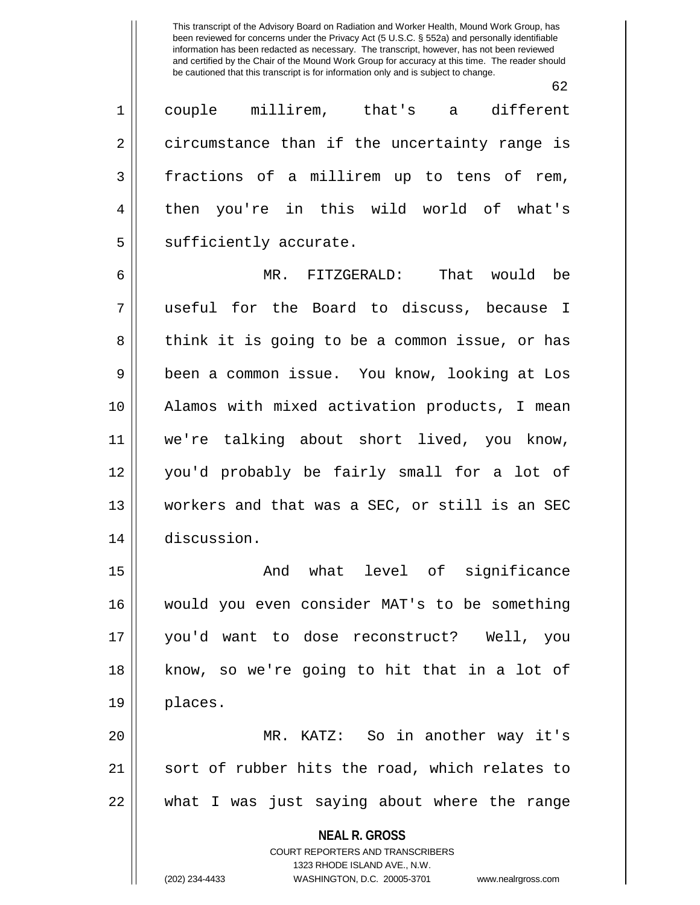62

1 couple millirem, that's a different 2 || circumstance than if the uncertainty range is 3 fractions of a millirem up to tens of rem, 4 || then you're in this wild world of what's  $5$  || sufficiently accurate.

6 MR. FITZGERALD: That would be 7 useful for the Board to discuss, because I 8 || think it is going to be a common issue, or has 9 || been a common issue. You know, looking at Los 10 Alamos with mixed activation products, I mean 11 we're talking about short lived, you know, 12 you'd probably be fairly small for a lot of 13 || workers and that was a SEC, or still is an SEC 14 discussion.

15 || The Contract And what level of significance 16 would you even consider MAT's to be something 17 you'd want to dose reconstruct? Well, you 18 know, so we're going to hit that in a lot of 19 places.

20 MR. KATZ: So in another way it's 21 || sort of rubber hits the road, which relates to 22 what I was just saying about where the range

> **NEAL R. GROSS** COURT REPORTERS AND TRANSCRIBERS 1323 RHODE ISLAND AVE., N.W. (202) 234-4433 WASHINGTON, D.C. 20005-3701 www.nealrgross.com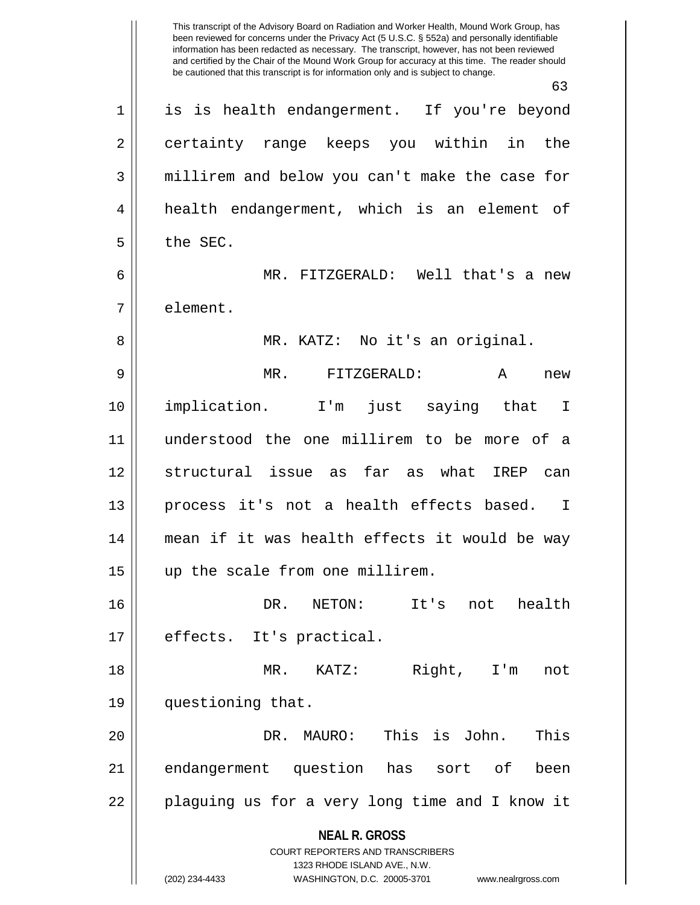**NEAL R. GROSS** COURT REPORTERS AND TRANSCRIBERS 1323 RHODE ISLAND AVE., N.W. (202) 234-4433 WASHINGTON, D.C. 20005-3701 www.nealrgross.com This transcript of the Advisory Board on Radiation and Worker Health, Mound Work Group, has been reviewed for concerns under the Privacy Act (5 U.S.C. § 552a) and personally identifiable information has been redacted as necessary. The transcript, however, has not been reviewed and certified by the Chair of the Mound Work Group for accuracy at this time. The reader should be cautioned that this transcript is for information only and is subject to change. 63 1 is is health endangerment. If you're beyond 2 certainty range keeps you within in the 3 || millirem and below you can't make the case for 4 | health endangerment, which is an element of  $5 \parallel$  the SEC. 6 MR. FITZGERALD: Well that's a new 7 l element. 8 MR. KATZ: No it's an original. 9 MR. FITZGERALD: A new 10 implication. I'm just saying that I 11 understood the one millirem to be more of a 12 structural issue as far as what IREP can 13 process it's not a health effects based. I 14 mean if it was health effects it would be way 15 || up the scale from one millirem. 16 DR. NETON: It's not health 17 || effects. It's practical. 18 MR. KATZ: Right, I'm not 19 questioning that. 20 DR. MAURO: This is John. This 21 || endangerment question has sort of been 22 || plaguing us for a very long time and I know it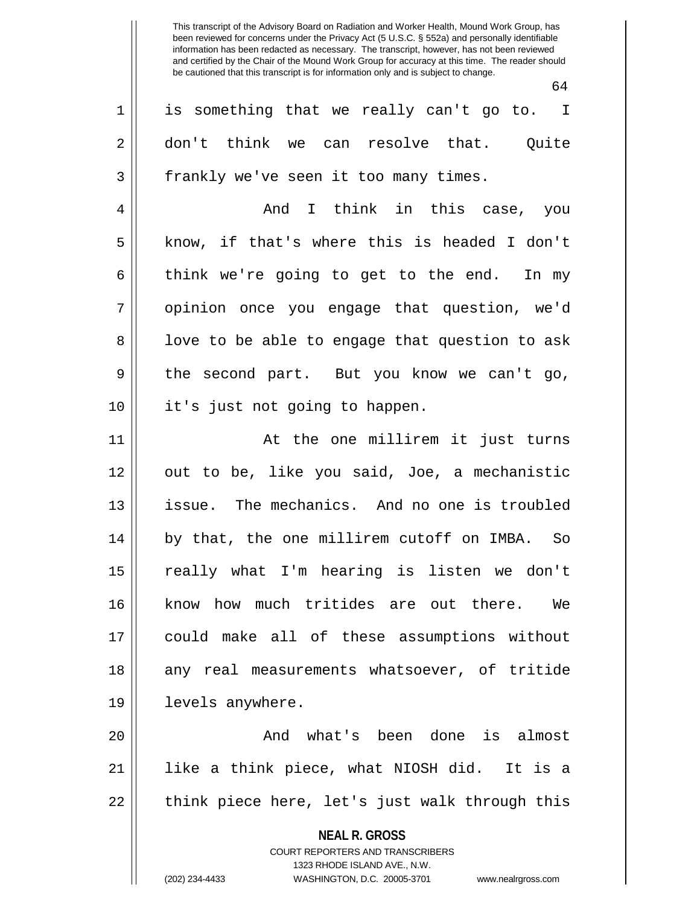$64$ 

|             | υ±                                                                                                  |
|-------------|-----------------------------------------------------------------------------------------------------|
| $\mathbf 1$ | is something that we really can't go to. I                                                          |
| $\mathbf 2$ | don't think we can resolve that. Quite                                                              |
| 3           | frankly we've seen it too many times.                                                               |
| 4           | And I think in this case, you                                                                       |
| 5           | know, if that's where this is headed I don't                                                        |
| 6           | think we're going to get to the end. In my                                                          |
| 7           | opinion once you engage that question, we'd                                                         |
| 8           | love to be able to engage that question to ask                                                      |
| 9           | the second part. But you know we can't go,                                                          |
| 10          | it's just not going to happen.                                                                      |
| 11          | At the one millirem it just turns                                                                   |
| 12          | out to be, like you said, Joe, a mechanistic                                                        |
| 13          | issue. The mechanics. And no one is troubled                                                        |
| 14          | by that, the one millirem cutoff on IMBA. So                                                        |
| 15          | really what I'm hearing is listen we don't                                                          |
| 16          | know how much tritides are out there.<br>We                                                         |
| 17          | could make all of these assumptions without                                                         |
| 18          | any real measurements whatsoever, of tritide                                                        |
| 19          | levels anywhere.                                                                                    |
| 20          | And what's been done is almost                                                                      |
| 21          | like a think piece, what NIOSH did. It is a                                                         |
| 22          | think piece here, let's just walk through this                                                      |
|             | <b>NEAL R. GROSS</b>                                                                                |
|             | <b>COURT REPORTERS AND TRANSCRIBERS</b>                                                             |
|             | 1323 RHODE ISLAND AVE., N.W.<br>(202) 234-4433<br>WASHINGTON, D.C. 20005-3701<br>www.nealrgross.com |
|             |                                                                                                     |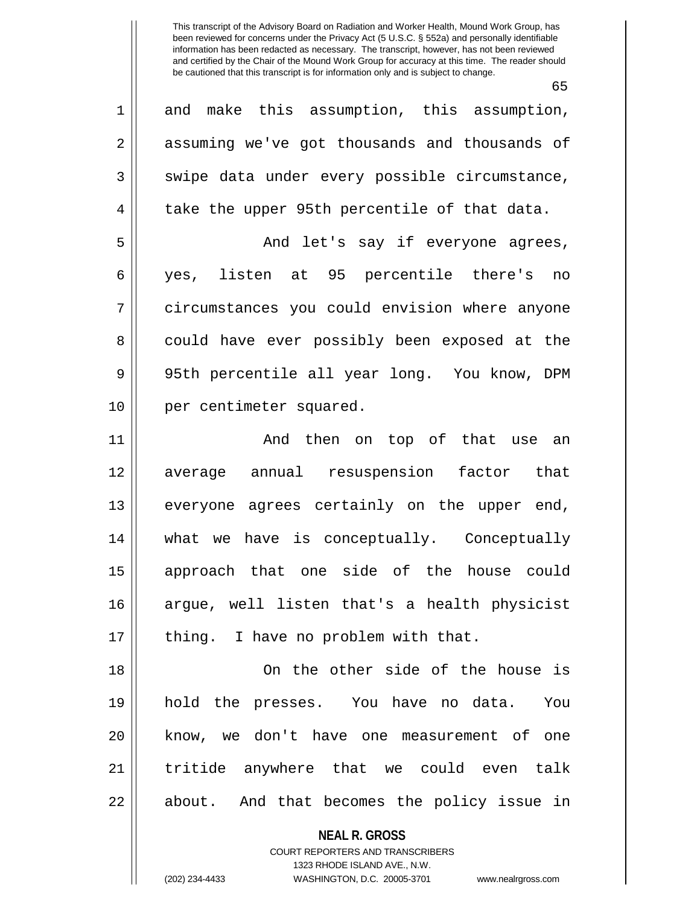65

**NEAL R. GROSS** COURT REPORTERS AND TRANSCRIBERS 1323 RHODE ISLAND AVE., N.W. 1 and make this assumption, this assumption, 2 assuming we've got thousands and thousands of  $3 \parallel$  swipe data under every possible circumstance,  $4 \parallel$  take the upper 95th percentile of that data. 5 And let's say if everyone agrees, 6 yes, listen at 95 percentile there's no 7 circumstances you could envision where anyone 8 could have ever possibly been exposed at the 9 || 95th percentile all year long. You know, DPM 10 || per centimeter squared. 11 And then on top of that use an 12 average annual resuspension factor that 13 || everyone agrees certainly on the upper end, 14 what we have is conceptually. Conceptually 15 approach that one side of the house could 16 argue, well listen that's a health physicist 17 || thing. I have no problem with that. 18 On the other side of the house is 19 hold the presses. You have no data. You 20 || know, we don't have one measurement of one 21 || tritide anywhere that we could even talk 22 || about. And that becomes the policy issue in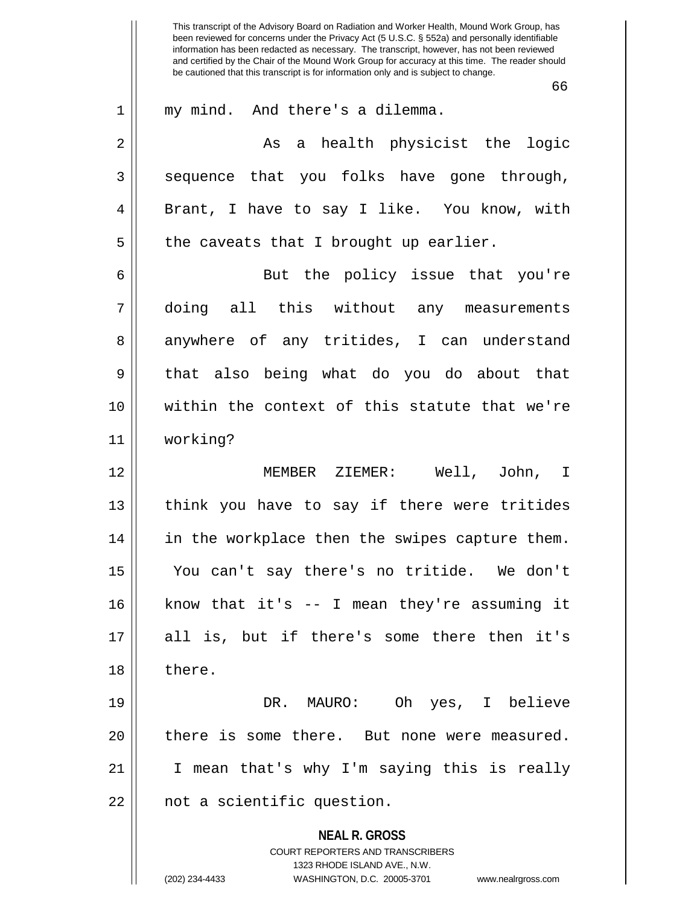**NEAL R. GROSS** COURT REPORTERS AND TRANSCRIBERS 1323 RHODE ISLAND AVE., N.W. (202) 234-4433 WASHINGTON, D.C. 20005-3701 www.nealrgross.com This transcript of the Advisory Board on Radiation and Worker Health, Mound Work Group, has been reviewed for concerns under the Privacy Act (5 U.S.C. § 552a) and personally identifiable information has been redacted as necessary. The transcript, however, has not been reviewed and certified by the Chair of the Mound Work Group for accuracy at this time. The reader should be cautioned that this transcript is for information only and is subject to change. 66 1 || my mind. And there's a dilemma. 2 As a health physicist the logic  $3 \parallel$  sequence that you folks have gone through, 4 || Brant, I have to say I like. You know, with  $5 \parallel$  the caveats that I brought up earlier. 6 || But the policy issue that you're 7 doing all this without any measurements 8 anywhere of any tritides, I can understand 9 that also being what do you do about that 10 within the context of this statute that we're 11 working? 12 MEMBER ZIEMER: Well, John, I  $13$  || think you have to say if there were tritides 14 || in the workplace then the swipes capture them. 15 You can't say there's no tritide. We don't 16 know that it's -- I mean they're assuming it 17 all is, but if there's some there then it's 18 ll there. 19 DR. MAURO: Oh yes, I believe 20 || there is some there. But none were measured. 21 || I mean that's why I'm saying this is really 22 | not a scientific question.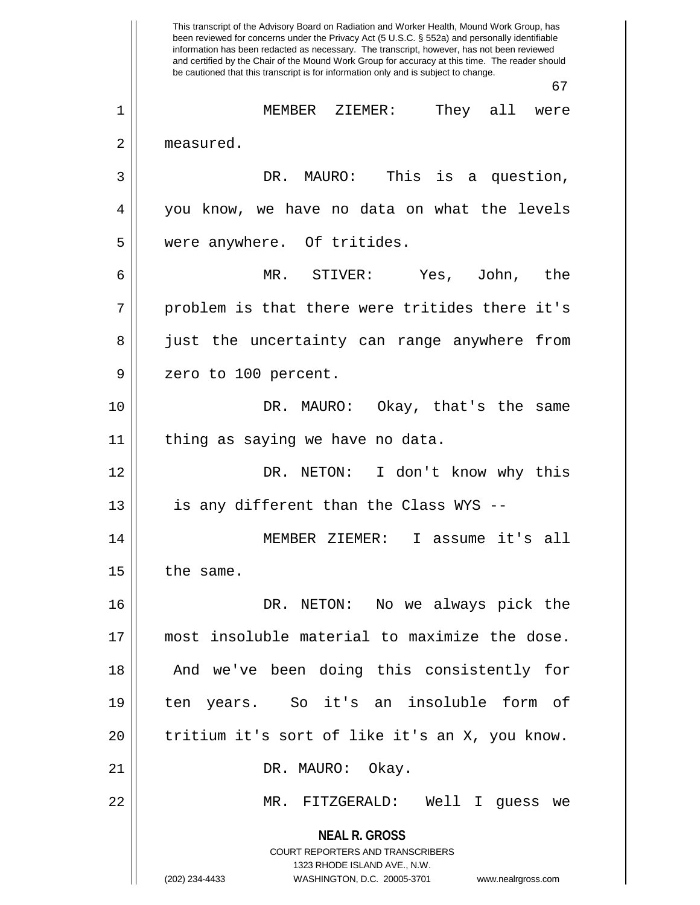**NEAL R. GROSS** COURT REPORTERS AND TRANSCRIBERS 1323 RHODE ISLAND AVE., N.W. (202) 234-4433 WASHINGTON, D.C. 20005-3701 www.nealrgross.com This transcript of the Advisory Board on Radiation and Worker Health, Mound Work Group, has been reviewed for concerns under the Privacy Act (5 U.S.C. § 552a) and personally identifiable information has been redacted as necessary. The transcript, however, has not been reviewed and certified by the Chair of the Mound Work Group for accuracy at this time. The reader should be cautioned that this transcript is for information only and is subject to change. 67 1 MEMBER ZIEMER: They all were 2 | measured. 3 DR. MAURO: This is a question, 4 you know, we have no data on what the levels 5 || were anywhere. Of tritides. 6 MR. STIVER: Yes, John, the  $7 \parallel$  problem is that there were tritides there it's 8 || just the uncertainty can range anywhere from 9 || zero to 100 percent. 10 DR. MAURO: Okay, that's the same  $11$  | thing as saying we have no data. 12 DR. NETON: I don't know why this  $13$  || is any different than the Class WYS --14 MEMBER ZIEMER: I assume it's all  $15$  the same. 16 DR. NETON: No we always pick the 17 most insoluble material to maximize the dose. 18 || And we've been doing this consistently for 19 ten years. So it's an insoluble form of 20 tritium it's sort of like it's an X, you know. 21 || DR. MAURO: Okay. 22 MR. FITZGERALD: Well I guess we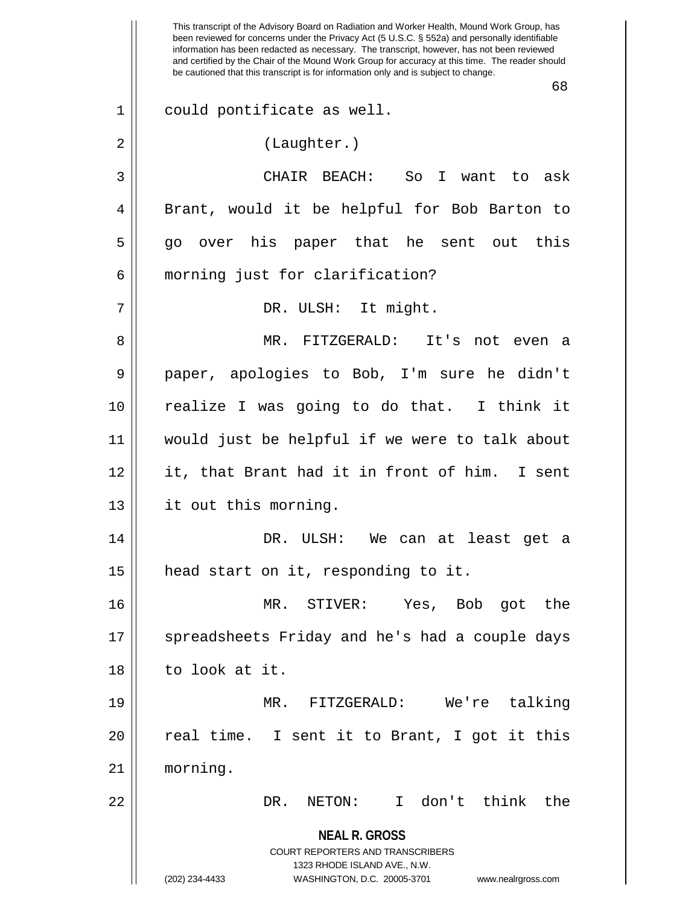**NEAL R. GROSS** COURT REPORTERS AND TRANSCRIBERS 1323 RHODE ISLAND AVE., N.W. (202) 234-4433 WASHINGTON, D.C. 20005-3701 www.nealrgross.com This transcript of the Advisory Board on Radiation and Worker Health, Mound Work Group, has been reviewed for concerns under the Privacy Act (5 U.S.C. § 552a) and personally identifiable information has been redacted as necessary. The transcript, however, has not been reviewed and certified by the Chair of the Mound Work Group for accuracy at this time. The reader should be cautioned that this transcript is for information only and is subject to change. 68 1 could pontificate as well. 2 | (Laughter.) 3 CHAIR BEACH: So I want to ask 4 || Brant, would it be helpful for Bob Barton to 5 go over his paper that he sent out this 6 || morning just for clarification? 7 || DR. ULSH: It might. 8 MR. FITZGERALD: It's not even a 9 paper, apologies to Bob, I'm sure he didn't 10 realize I was going to do that. I think it 11 would just be helpful if we were to talk about 12 it, that Brant had it in front of him. I sent 13 || it out this morning. 14 DR. ULSH: We can at least get a 15 | head start on it, responding to it. 16 MR. STIVER: Yes, Bob got the 17 || spreadsheets Friday and he's had a couple days 18 to look at it. 19 MR. FITZGERALD: We're talking  $20$  || real time. I sent it to Brant, I got it this 21 morning. 22 DR. NETON: I don't think the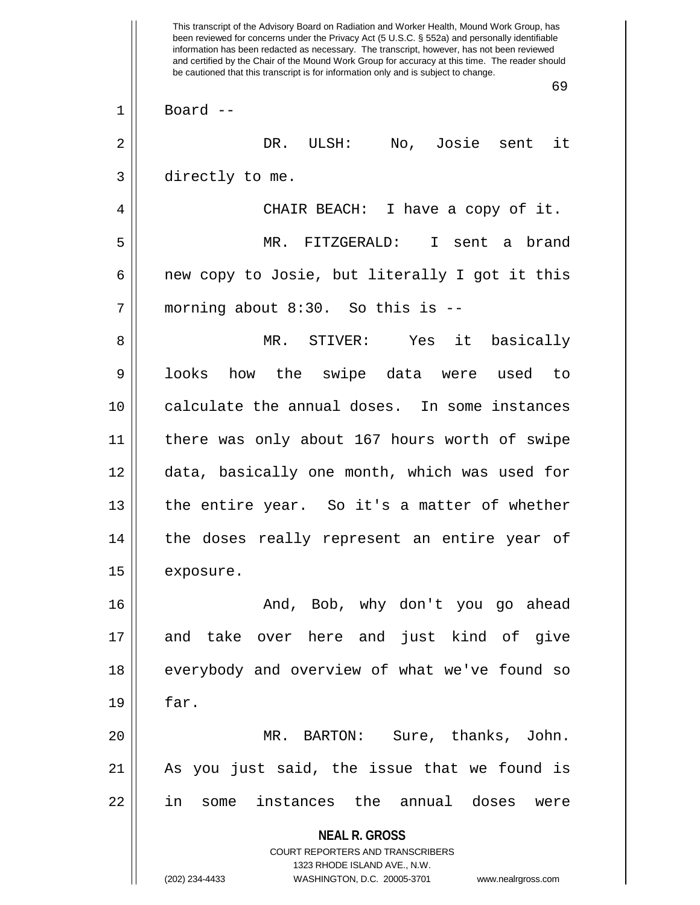**NEAL R. GROSS** COURT REPORTERS AND TRANSCRIBERS 1323 RHODE ISLAND AVE., N.W. (202) 234-4433 WASHINGTON, D.C. 20005-3701 www.nealrgross.com This transcript of the Advisory Board on Radiation and Worker Health, Mound Work Group, has been reviewed for concerns under the Privacy Act (5 U.S.C. § 552a) and personally identifiable information has been redacted as necessary. The transcript, however, has not been reviewed and certified by the Chair of the Mound Work Group for accuracy at this time. The reader should be cautioned that this transcript is for information only and is subject to change. 69  $1 \parallel$  Board --2 DR. ULSH: No, Josie sent it 3 directly to me. 4 CHAIR BEACH: I have a copy of it. 5 MR. FITZGERALD: I sent a brand  $6 \parallel$  new copy to Josie, but literally I got it this  $7$  | morning about 8:30. So this is  $-$ 8 MR. STIVER: Yes it basically 9 || looks how the swipe data were used to 10 || calculate the annual doses. In some instances 11 || there was only about 167 hours worth of swipe 12 data, basically one month, which was used for 13 || the entire year. So it's a matter of whether 14 || the doses really represent an entire year of 15 | exposure. 16 And, Bob, why don't you go ahead 17 and take over here and just kind of give 18 || everybody and overview of what we've found so  $19 \parallel$  far. 20 MR. BARTON: Sure, thanks, John. 21 As you just said, the issue that we found is 22 in some instances the annual doses were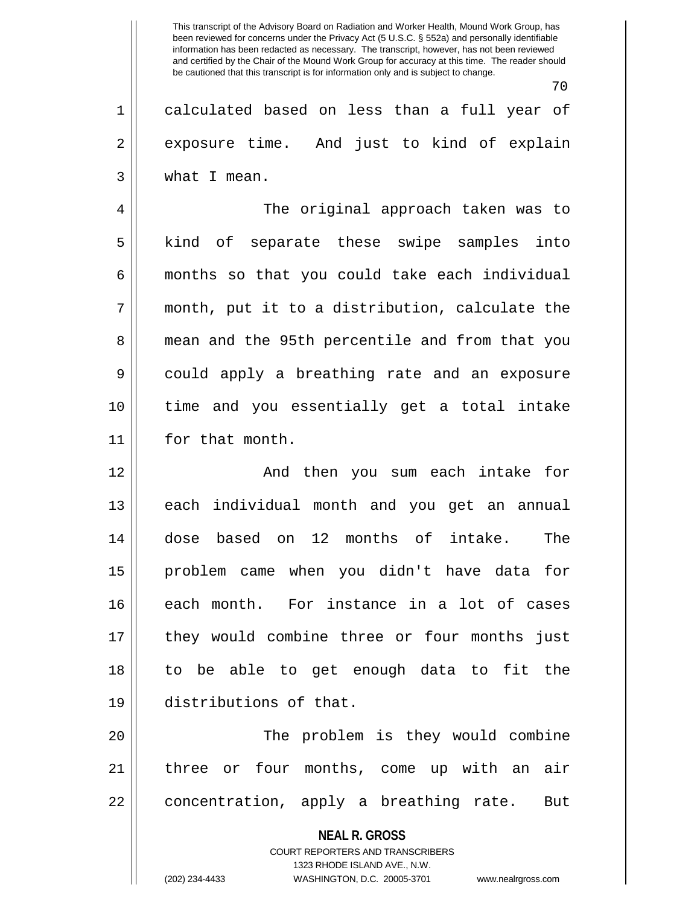70

1 calculated based on less than a full year of 2 exposure time. And just to kind of explain 3 what I mean.

4 The original approach taken was to 5 || kind of separate these swipe samples into 6 || months so that you could take each individual  $7 \parallel$  month, put it to a distribution, calculate the 8 || mean and the 95th percentile and from that you 9 || could apply a breathing rate and an exposure 10 time and you essentially get a total intake 11 | for that month.

12 And then you sum each intake for 13 || each individual month and you get an annual 14 dose based on 12 months of intake. The 15 problem came when you didn't have data for 16 each month. For instance in a lot of cases 17 they would combine three or four months just 18 to be able to get enough data to fit the 19 distributions of that.

20 The problem is they would combine 21 || three or four months, come up with an air  $22 \parallel$  concentration, apply a breathing rate. But

> **NEAL R. GROSS** COURT REPORTERS AND TRANSCRIBERS 1323 RHODE ISLAND AVE., N.W. (202) 234-4433 WASHINGTON, D.C. 20005-3701 www.nealrgross.com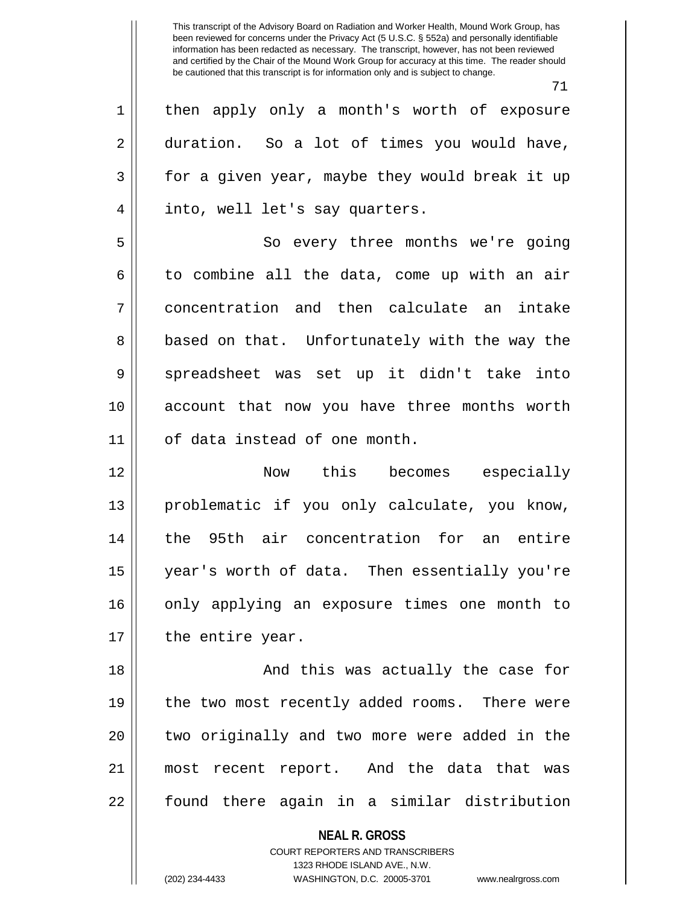|             | 71                                                       |
|-------------|----------------------------------------------------------|
| $\mathbf 1$ | then apply only a month's worth of exposure              |
| 2           | duration. So a lot of times you would have,              |
| 3           | for a given year, maybe they would break it up           |
| 4           | into, well let's say quarters.                           |
| 5           | So every three months we're going                        |
| 6           | to combine all the data, come up with an air             |
| 7           | concentration and then calculate an intake               |
| 8           | based on that. Unfortunately with the way the            |
| 9           | spreadsheet was set up it didn't take into               |
| 10          | account that now you have three months worth             |
| 11          | of data instead of one month.                            |
| 12          | Now this becomes especially                              |
| 13          | problematic if you only calculate, you know,             |
| 14          | the 95th air concentration for an entire                 |
| 15          | year's worth of data. Then essentially you're            |
| 16          | only applying an exposure times one month to             |
| 17          | the entire year.                                         |
| 18          | And this was actually the case for                       |
| 19          | the two most recently added rooms. There were            |
| 20          | two originally and two more were added in the            |
| 21          | most recent report. And the data that was                |
| 22          | found there again in a similar distribution              |
|             | <b>NEAL R. GROSS</b><br>COURT REPORTERS AND TRANSCRIBERS |

1323 RHODE ISLAND AVE., N.W.

 $\mathsf{I}$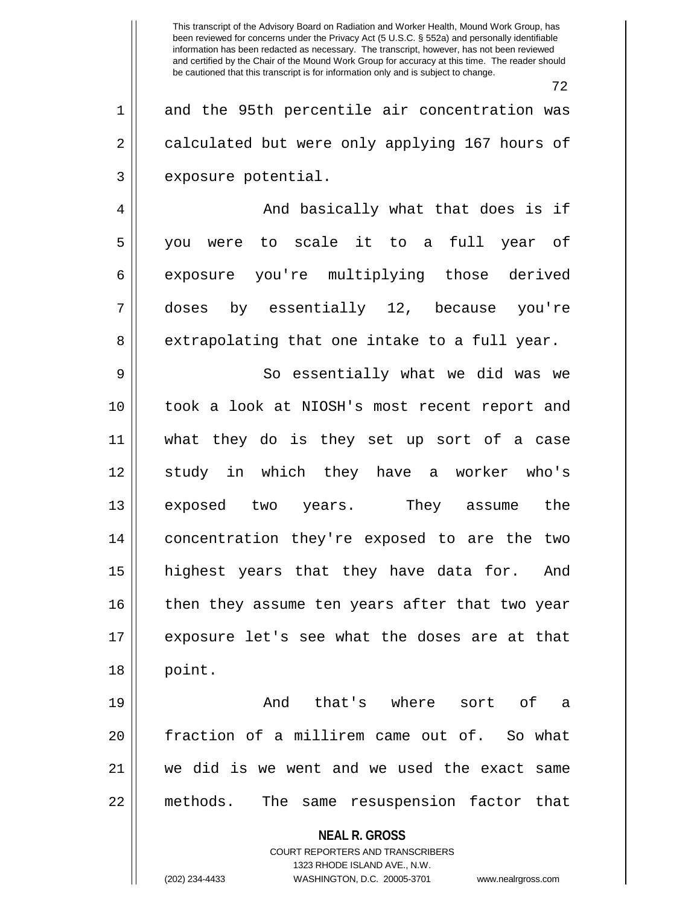72

1 and the 95th percentile air concentration was 2 calculated but were only applying 167 hours of 3 | exposure potential.

4 And basically what that does is if 5 you were to scale it to a full year of 6 exposure you're multiplying those derived 7 doses by essentially 12, because you're  $8 \parallel$  extrapolating that one intake to a full year.

9 So essentially what we did was we 10 took a look at NIOSH's most recent report and 11 what they do is they set up sort of a case 12 study in which they have a worker who's 13 exposed two years. They assume the 14 concentration they're exposed to are the two 15 highest years that they have data for. And 16 then they assume ten years after that two year 17 exposure let's see what the doses are at that 18 point.

19 And that's where sort of a 20 fraction of a millirem came out of. So what 21 we did is we went and we used the exact same 22 methods. The same resuspension factor that

**NEAL R. GROSS**

COURT REPORTERS AND TRANSCRIBERS 1323 RHODE ISLAND AVE., N.W. (202) 234-4433 WASHINGTON, D.C. 20005-3701 www.nealrgross.com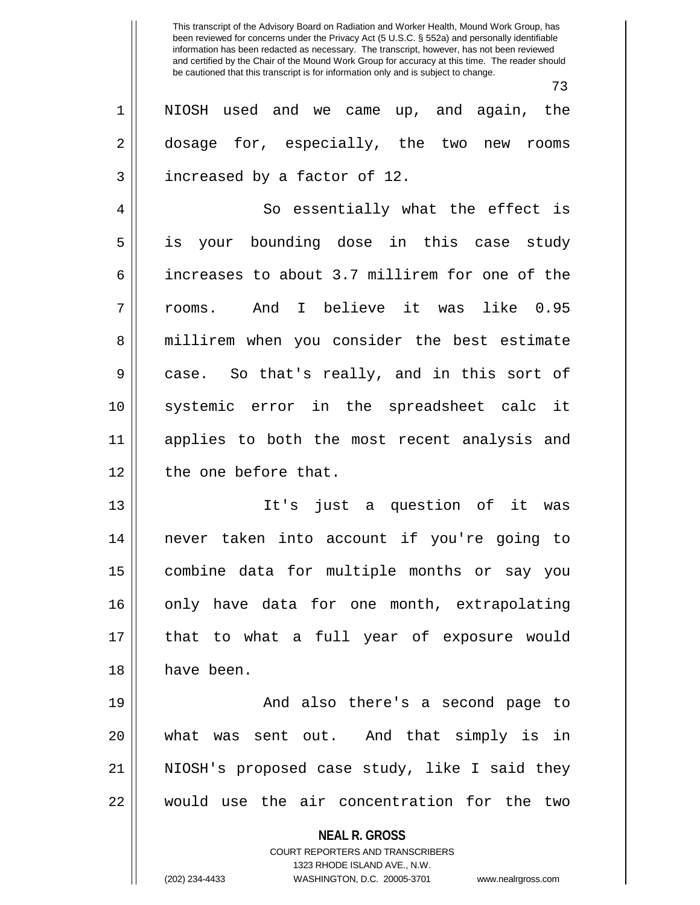73 1 NIOSH used and we came up, and again, the 2 dosage for, especially, the two new rooms 3 | increased by a factor of 12. 4 || So essentially what the effect is 5 is your bounding dose in this case study 6 increases to about 3.7 millirem for one of the 7 rooms. And I believe it was like 0.95 8 || millirem when you consider the best estimate 9 case. So that's really, and in this sort of 10 systemic error in the spreadsheet calc it 11 applies to both the most recent analysis and 12 || the one before that. 13 It's just a question of it was 14 never taken into account if you're going to 15 combine data for multiple months or say you 16 || only have data for one month, extrapolating 17 || that to what a full year of exposure would 18 have been. 19 || And also there's a second page to 20 what was sent out. And that simply is in

21 || NIOSH's proposed case study, like I said they 22 would use the air concentration for the two

> **NEAL R. GROSS** COURT REPORTERS AND TRANSCRIBERS 1323 RHODE ISLAND AVE., N.W.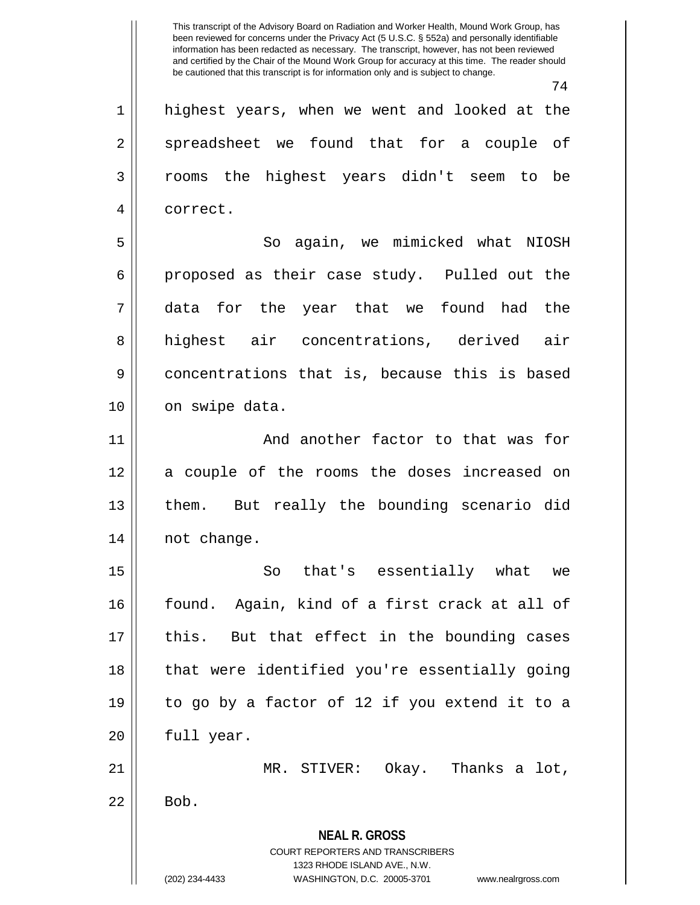74

**NEAL R. GROSS** COURT REPORTERS AND TRANSCRIBERS 1323 RHODE ISLAND AVE., N.W. 1 highest years, when we went and looked at the 2 spreadsheet we found that for a couple of 3 rooms the highest years didn't seem to be 4 | correct. 5 So again, we mimicked what NIOSH  $6 \parallel$  proposed as their case study. Pulled out the 7 data for the year that we found had the 8 highest air concentrations, derived air 9 concentrations that is, because this is based 10 | on swipe data. 11 || And another factor to that was for 12 || a couple of the rooms the doses increased on 13 them. But really the bounding scenario did 14 || not change. 15 || So that's essentially what we 16 found. Again, kind of a first crack at all of  $17$  || this. But that effect in the bounding cases 18 || that were identified you're essentially going 19 to go by a factor of 12 if you extend it to a  $20$  || full year. 21 MR. STIVER: Okay. Thanks a lot,  $22 \parallel$  Bob.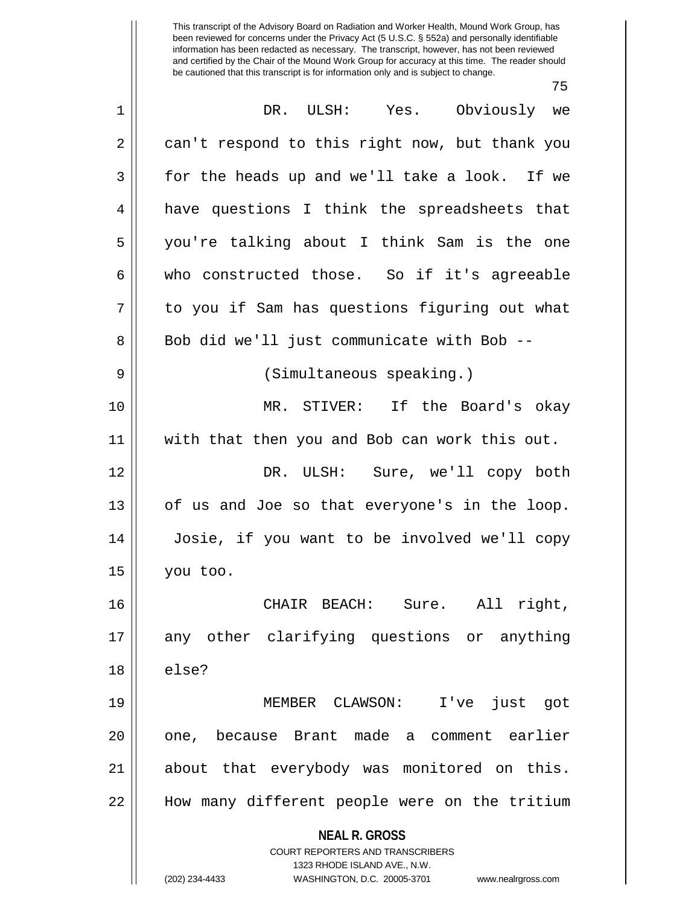75

| $\mathbf 1$ | Yes. Obviously we<br>DR. ULSH:                                                                                                                                         |
|-------------|------------------------------------------------------------------------------------------------------------------------------------------------------------------------|
| 2           | can't respond to this right now, but thank you                                                                                                                         |
| 3           | for the heads up and we'll take a look. If we                                                                                                                          |
| 4           | have questions I think the spreadsheets that                                                                                                                           |
| 5           | you're talking about I think Sam is the one                                                                                                                            |
| 6           | who constructed those. So if it's agreeable                                                                                                                            |
| 7           | to you if Sam has questions figuring out what                                                                                                                          |
| 8           | Bob did we'll just communicate with Bob --                                                                                                                             |
| 9           | (Simultaneous speaking.)                                                                                                                                               |
| 10          | MR. STIVER: If the Board's okay                                                                                                                                        |
| 11          | with that then you and Bob can work this out.                                                                                                                          |
| 12          | DR. ULSH: Sure, we'll copy both                                                                                                                                        |
| 13          | of us and Joe so that everyone's in the loop.                                                                                                                          |
| 14          | Josie, if you want to be involved we'll copy                                                                                                                           |
| 15          | you too.                                                                                                                                                               |
| 16          | CHAIR BEACH: Sure. All right,                                                                                                                                          |
| 17          | any other clarifying questions or anything                                                                                                                             |
| 18          | else?                                                                                                                                                                  |
| 19          | MEMBER CLAWSON: I've just got                                                                                                                                          |
| 20          | one, because Brant made a comment earlier                                                                                                                              |
| 21          | about that everybody was monitored on this.                                                                                                                            |
| 22          | How many different people were on the tritium                                                                                                                          |
|             | <b>NEAL R. GROSS</b><br><b>COURT REPORTERS AND TRANSCRIBERS</b><br>1323 RHODE ISLAND AVE., N.W.<br>(202) 234-4433<br>WASHINGTON, D.C. 20005-3701<br>www.nealrgross.com |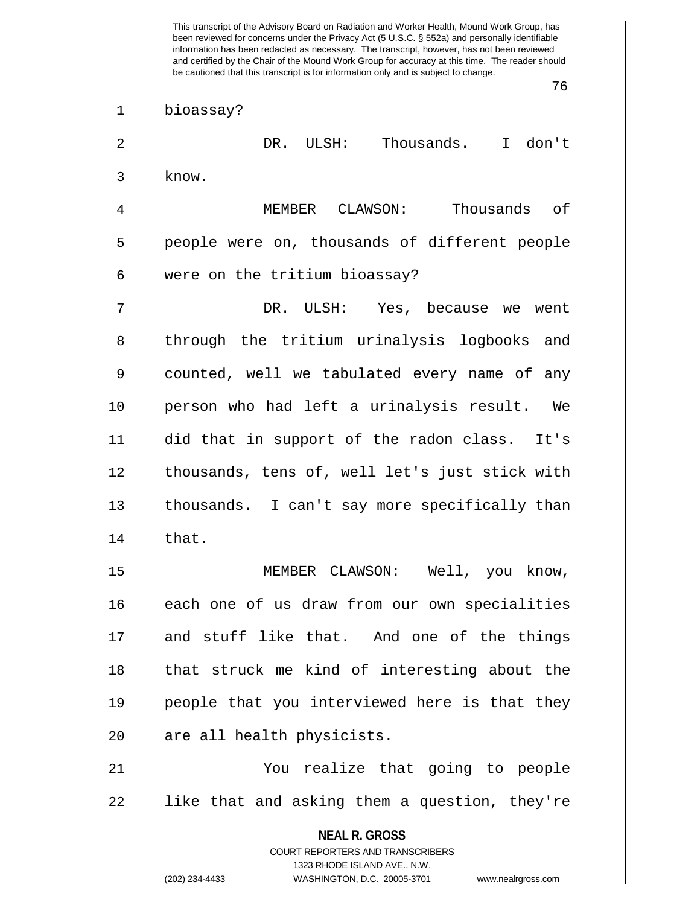**NEAL R. GROSS** COURT REPORTERS AND TRANSCRIBERS 1323 RHODE ISLAND AVE., N.W. (202) 234-4433 WASHINGTON, D.C. 20005-3701 www.nealrgross.com This transcript of the Advisory Board on Radiation and Worker Health, Mound Work Group, has been reviewed for concerns under the Privacy Act (5 U.S.C. § 552a) and personally identifiable information has been redacted as necessary. The transcript, however, has not been reviewed and certified by the Chair of the Mound Work Group for accuracy at this time. The reader should be cautioned that this transcript is for information only and is subject to change. 76 1 bioassay? 2 DR. ULSH: Thousands. I don't  $3$  know. 4 MEMBER CLAWSON: Thousands of 5 people were on, thousands of different people 6 | were on the tritium bioassay? 7 DR. ULSH: Yes, because we went 8 || through the tritium urinalysis logbooks and 9 counted, well we tabulated every name of any 10 person who had left a urinalysis result. We 11 did that in support of the radon class. It's 12 || thousands, tens of, well let's just stick with 13 thousands. I can't say more specifically than  $14 \parallel$  that. 15 || MEMBER CLAWSON: Well, you know, 16 || each one of us draw from our own specialities 17 and stuff like that. And one of the things 18 || that struck me kind of interesting about the 19 people that you interviewed here is that they 20 || are all health physicists. 21 You realize that going to people  $22$  || like that and asking them a question, they're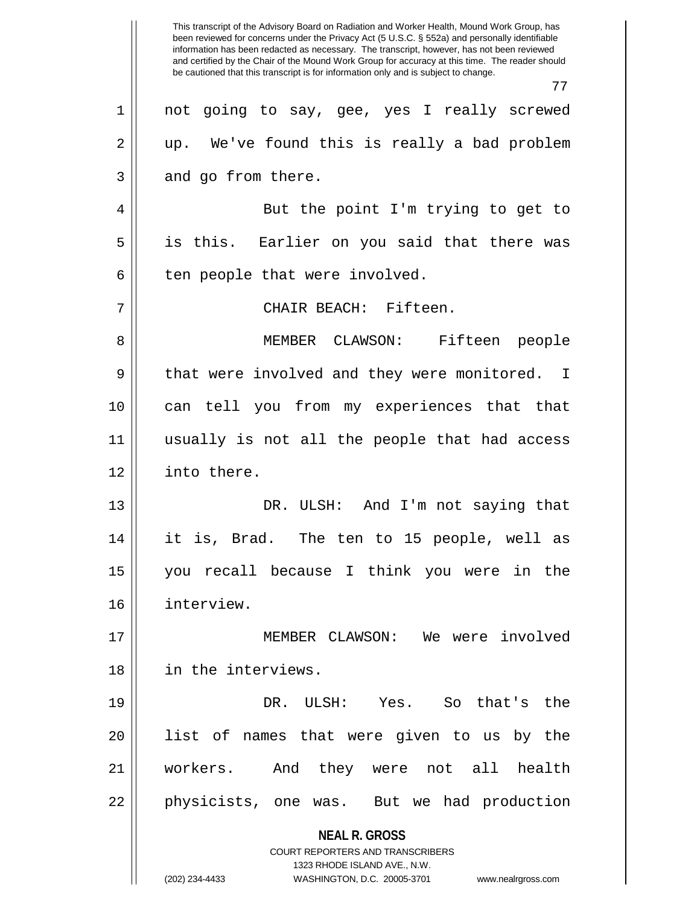**NEAL R. GROSS** COURT REPORTERS AND TRANSCRIBERS 1323 RHODE ISLAND AVE., N.W. (202) 234-4433 WASHINGTON, D.C. 20005-3701 www.nealrgross.com This transcript of the Advisory Board on Radiation and Worker Health, Mound Work Group, has been reviewed for concerns under the Privacy Act (5 U.S.C. § 552a) and personally identifiable information has been redacted as necessary. The transcript, however, has not been reviewed and certified by the Chair of the Mound Work Group for accuracy at this time. The reader should be cautioned that this transcript is for information only and is subject to change. 77 1 not going to say, gee, yes I really screwed  $2 \parallel$  up. We've found this is really a bad problem  $3 \parallel$  and go from there. 4 || But the point I'm trying to get to 5 is this. Earlier on you said that there was  $6 \parallel$  ten people that were involved. 7 CHAIR BEACH: Fifteen. 8 MEMBER CLAWSON: Fifteen people 9 || that were involved and they were monitored. I 10 || can tell you from my experiences that that 11 usually is not all the people that had access 12 into there. 13 DR. ULSH: And I'm not saying that 14 it is, Brad. The ten to 15 people, well as 15 you recall because I think you were in the 16 interview. 17 MEMBER CLAWSON: We were involved 18 in the interviews. 19 DR. ULSH: Yes. So that's the 20 list of names that were given to us by the 21 workers. And they were not all health 22 || physicists, one was. But we had production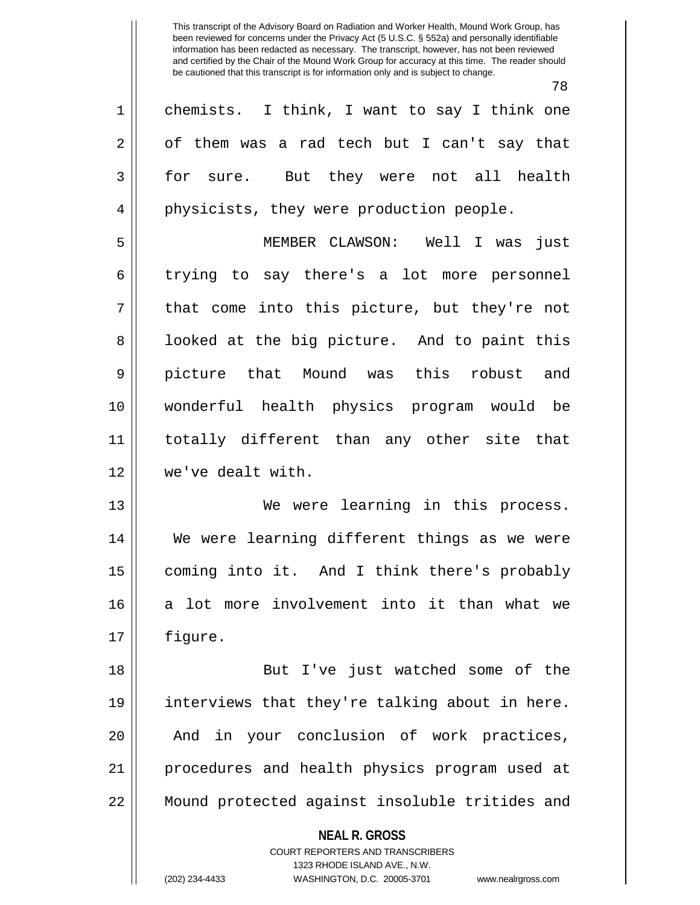78

1 || chemists. I think, I want to say I think one 2 | of them was a rad tech but I can't say that 3 || for sure. But they were not all health 4 || physicists, they were production people. 5 MEMBER CLAWSON: Well I was just  $6 \parallel$  trying to say there's a lot more personnel  $7 ||$  that come into this picture, but they're not 8 || looked at the big picture. And to paint this 9 picture that Mound was this robust and 10 wonderful health physics program would be 11 totally different than any other site that 12 we've dealt with. 13 We were learning in this process. 14 We were learning different things as we were 15 | coming into it. And I think there's probably 16 a lot more involvement into it than what we 17 figure. 18 || But I've just watched some of the 19 interviews that they're talking about in here. 20 || And in your conclusion of work practices,

21 procedures and health physics program used at 22 Mound protected against insoluble tritides and

> **NEAL R. GROSS** COURT REPORTERS AND TRANSCRIBERS 1323 RHODE ISLAND AVE., N.W. (202) 234-4433 WASHINGTON, D.C. 20005-3701 www.nealrgross.com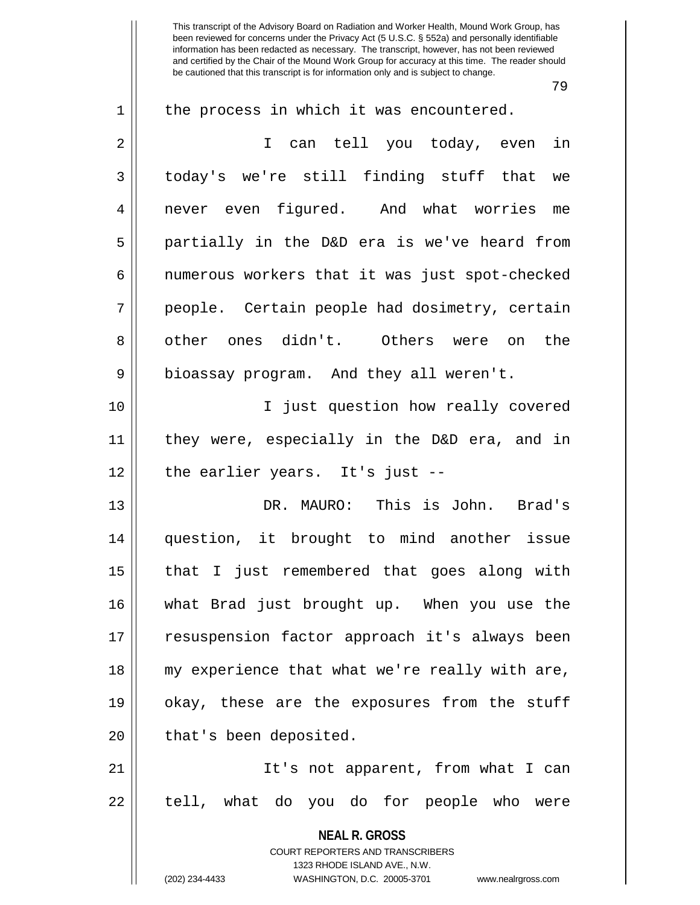79

| $\mathbf 1$    | the process in which it was encountered.                                                            |
|----------------|-----------------------------------------------------------------------------------------------------|
| $\overline{2}$ | I can tell you today, even in                                                                       |
| 3              | today's we're still finding stuff that we                                                           |
| 4              | never even figured. And what worries me                                                             |
| 5              | partially in the D&D era is we've heard from                                                        |
| 6              | numerous workers that it was just spot-checked                                                      |
| 7              | people. Certain people had dosimetry, certain                                                       |
| 8              | other ones didn't. Others were on<br>the                                                            |
| 9              | bioassay program. And they all weren't.                                                             |
| 10             | I just question how really covered                                                                  |
| 11             | they were, especially in the D&D era, and in                                                        |
| 12             | the earlier years. It's just --                                                                     |
| 13             | DR. MAURO: This is John. Brad's                                                                     |
| 14             | question, it brought to mind another issue                                                          |
| 15             | that I just remembered that goes along with                                                         |
| 16             | what Brad just brought up. When you use the                                                         |
| 17             | resuspension factor approach it's always been                                                       |
| 18             | my experience that what we're really with are,                                                      |
| 19             | okay, these are the exposures from the stuff                                                        |
| 20             | that's been deposited.                                                                              |
| 21             | It's not apparent, from what I can                                                                  |
| 22             | tell, what do you do for people who were                                                            |
|                | <b>NEAL R. GROSS</b>                                                                                |
|                | <b>COURT REPORTERS AND TRANSCRIBERS</b>                                                             |
|                | 1323 RHODE ISLAND AVE., N.W.<br>(202) 234-4433<br>WASHINGTON, D.C. 20005-3701<br>www.nealrgross.com |
|                |                                                                                                     |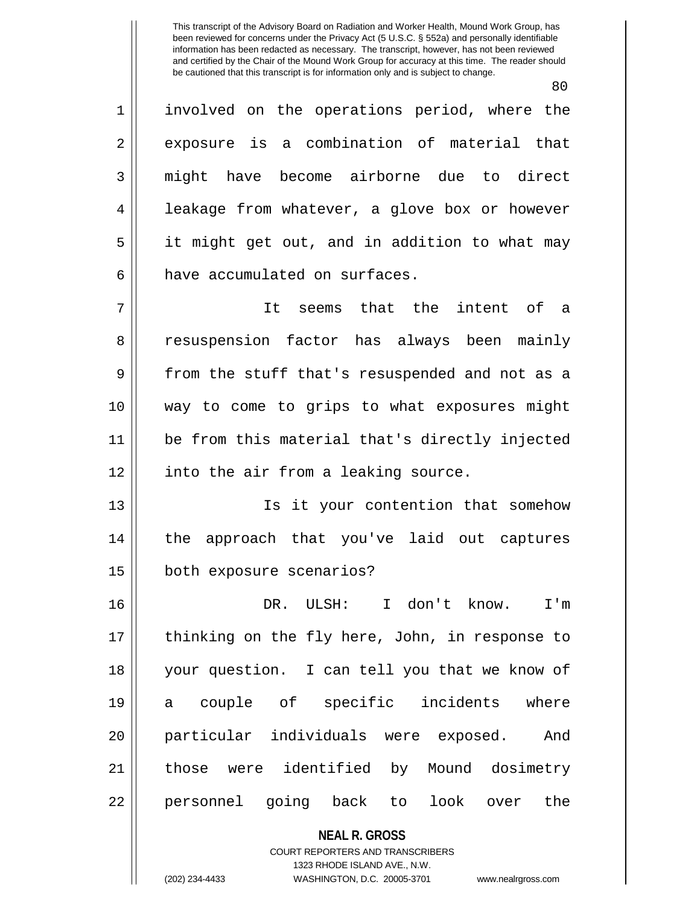$90$ 

|             | 8 U                                                      |
|-------------|----------------------------------------------------------|
| $\mathbf 1$ | involved on the operations period, where the             |
| 2           | exposure is a combination of material that               |
| 3           | might have become airborne due to direct                 |
| 4           | leakage from whatever, a glove box or however            |
| 5           | it might get out, and in addition to what may            |
| 6           | have accumulated on surfaces.                            |
| 7           | It seems that the intent of a                            |
| 8           | resuspension factor has always been mainly               |
| 9           | from the stuff that's resuspended and not as a           |
| 10          | way to come to grips to what exposures might             |
| 11          | be from this material that's directly injected           |
| 12          | into the air from a leaking source.                      |
| 13          | Is it your contention that somehow                       |
| 14          | the approach that you've laid out captures               |
| 15          | both exposure scenarios?                                 |
| 16          | DR. ULSH: I don't know. I'm                              |
| 17          | thinking on the fly here, John, in response to           |
| 18          | your question. I can tell you that we know of            |
| 19          | a couple of specific incidents where                     |
| 20          | particular individuals were exposed. And                 |
| 21          | those were identified by Mound dosimetry                 |
| 22          | personnel going back to look over the                    |
|             | <b>NEAL R. GROSS</b><br>COURT REPORTERS AND TRANSCRIBERS |

1323 RHODE ISLAND AVE., N.W.

 $\mathsf{I}$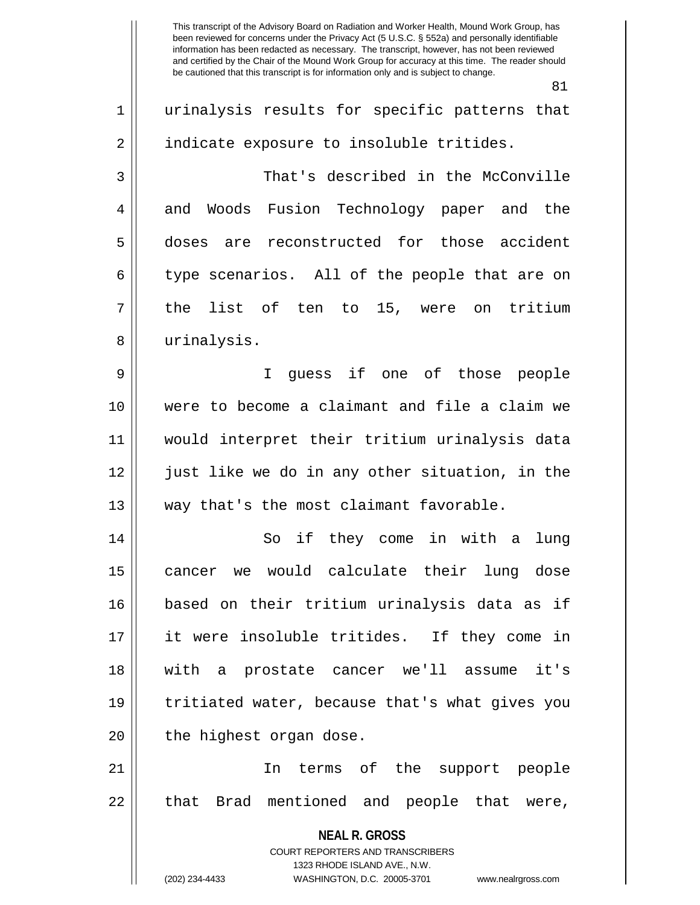**NEAL R. GROSS** COURT REPORTERS AND TRANSCRIBERS 1323 RHODE ISLAND AVE., N.W. 81 1 || urinalysis results for specific patterns that 2 | indicate exposure to insoluble tritides. 3 That's described in the McConville 4 and Woods Fusion Technology paper and the 5 doses are reconstructed for those accident  $6 \parallel$  type scenarios. All of the people that are on  $7 \parallel$  the list of ten to 15, were on tritium 8 || urinalysis. 9 I guess if one of those people 10 were to become a claimant and file a claim we 11 would interpret their tritium urinalysis data 12 just like we do in any other situation, in the 13 || way that's the most claimant favorable. 14 || So if they come in with a lung 15 cancer we would calculate their lung dose 16 based on their tritium urinalysis data as if 17 it were insoluble tritides. If they come in 18 with a prostate cancer we'll assume it's 19 tritiated water, because that's what gives you 20 || the highest organ dose. 21 || The terms of the support people 22 || that Brad mentioned and people that were,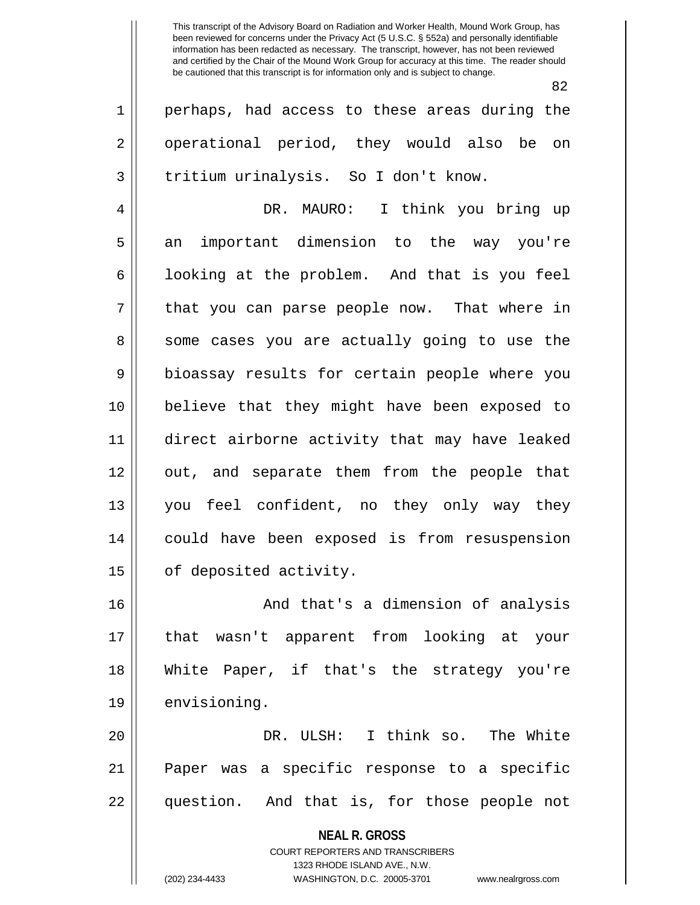$\sim$ 

|             | 82                                                                  |
|-------------|---------------------------------------------------------------------|
| $\mathbf 1$ | perhaps, had access to these areas during the                       |
| 2           | operational period, they would also be on                           |
| 3           | tritium urinalysis. So I don't know.                                |
| 4           | DR. MAURO: I think you bring up                                     |
| 5           | an important dimension to the way you're                            |
| 6           | looking at the problem. And that is you feel                        |
| 7           | that you can parse people now. That where in                        |
| 8           | some cases you are actually going to use the                        |
| 9           | bioassay results for certain people where you                       |
| 10          | believe that they might have been exposed to                        |
| 11          | direct airborne activity that may have leaked                       |
| 12          | out, and separate them from the people that                         |
| 13          | you feel confident, no they only way they                           |
| 14          | could have been exposed is from resuspension                        |
| 15          | of deposited activity.                                              |
| 16          | And that's a dimension of analysis                                  |
| 17          | that wasn't apparent from looking at your                           |
| 18          | White Paper, if that's the strategy you're                          |
| 19          | envisioning.                                                        |
| 20          | DR. ULSH: I think so. The White                                     |
| 21          | Paper was a specific response to a specific                         |
| 22          | question. And that is, for those people not                         |
|             | <b>NEAL R. GROSS</b>                                                |
|             | <b>COURT REPORTERS AND TRANSCRIBERS</b>                             |
|             | 1323 RHODE ISLAND AVE., N.W.                                        |
|             | (202) 234-4433<br>WASHINGTON, D.C. 20005-3701<br>www.nealrgross.com |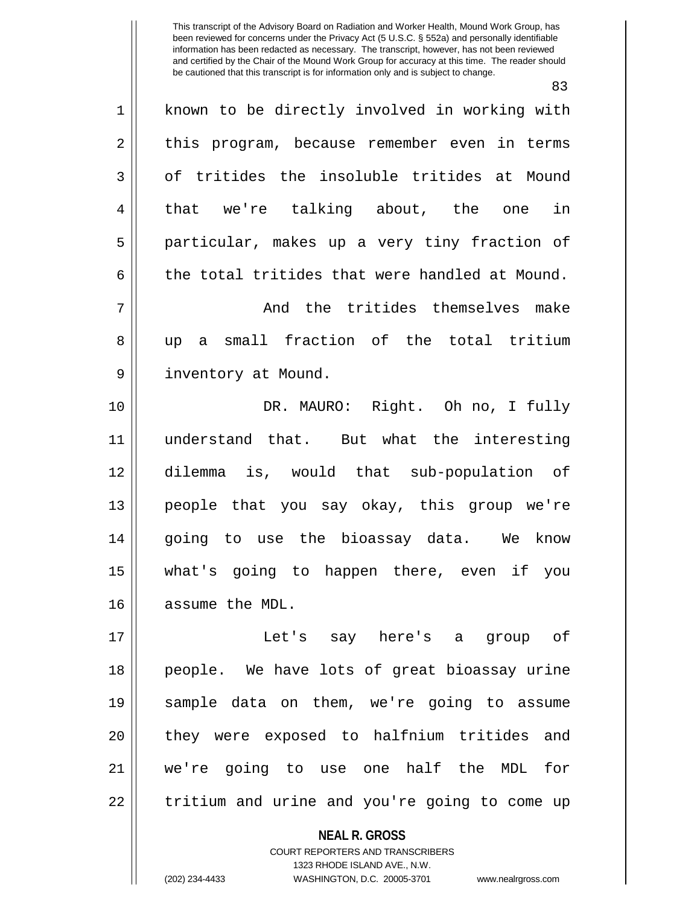83 1 || known to be directly involved in working with  $2 \parallel$  this program, because remember even in terms 3 | of tritides the insoluble tritides at Mound 4 || that we're talking about, the one in 5 particular, makes up a very tiny fraction of 6 the total tritides that were handled at Mound. 7 And the tritides themselves make 8 up a small fraction of the total tritium 9 || inventory at Mound. 10 DR. MAURO: Right. Oh no, I fully 11 understand that. But what the interesting 12 dilemma is, would that sub-population of 13 people that you say okay, this group we're 14 going to use the bioassay data. We know 15 what's going to happen there, even if you 16 assume the MDL. 17 Let's say here's a group of 18 people. We have lots of great bioassay urine 19 sample data on them, we're going to assume 20 || they were exposed to halfnium tritides and 21 we're going to use one half the MDL for

22 || tritium and urine and you're going to come up

**NEAL R. GROSS**

COURT REPORTERS AND TRANSCRIBERS 1323 RHODE ISLAND AVE., N.W. (202) 234-4433 WASHINGTON, D.C. 20005-3701 www.nealrgross.com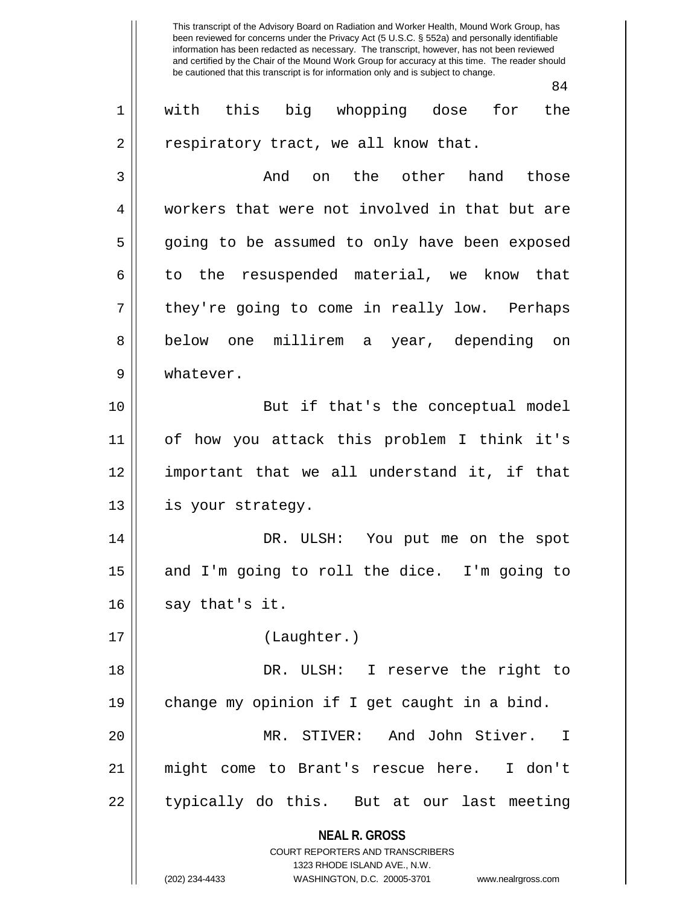|                | 84                                                                                                                                                                     |
|----------------|------------------------------------------------------------------------------------------------------------------------------------------------------------------------|
| $\mathbf 1$    | with this big whopping dose for the                                                                                                                                    |
| 2              | respiratory tract, we all know that.                                                                                                                                   |
| 3              | And on the other hand those                                                                                                                                            |
| $\overline{4}$ | workers that were not involved in that but are                                                                                                                         |
| 5              | going to be assumed to only have been exposed                                                                                                                          |
| 6              | to the resuspended material, we know that                                                                                                                              |
| 7              | they're going to come in really low. Perhaps                                                                                                                           |
| 8              | below one millirem a year, depending on                                                                                                                                |
| 9              | whatever.                                                                                                                                                              |
| 10             | But if that's the conceptual model                                                                                                                                     |
| 11             | of how you attack this problem I think it's                                                                                                                            |
| 12             | important that we all understand it, if that                                                                                                                           |
| 13             | is your strategy.                                                                                                                                                      |
| 14             | DR. ULSH: You put me on the spot                                                                                                                                       |
| 15             | and I'm going to roll the dice. I'm going to                                                                                                                           |
| 16             | say that's it.                                                                                                                                                         |
| 17             | (Laughter.)                                                                                                                                                            |
| 18             | DR. ULSH: I reserve the right to                                                                                                                                       |
| 19             | change my opinion if I get caught in a bind.                                                                                                                           |
| 20             | MR. STIVER: And John Stiver.<br>$\mathbb{I}$                                                                                                                           |
| 21             | might come to Brant's rescue here. I don't                                                                                                                             |
| 22             | typically do this. But at our last meeting                                                                                                                             |
|                | <b>NEAL R. GROSS</b><br><b>COURT REPORTERS AND TRANSCRIBERS</b><br>1323 RHODE ISLAND AVE., N.W.<br>(202) 234-4433<br>WASHINGTON, D.C. 20005-3701<br>www.nealrgross.com |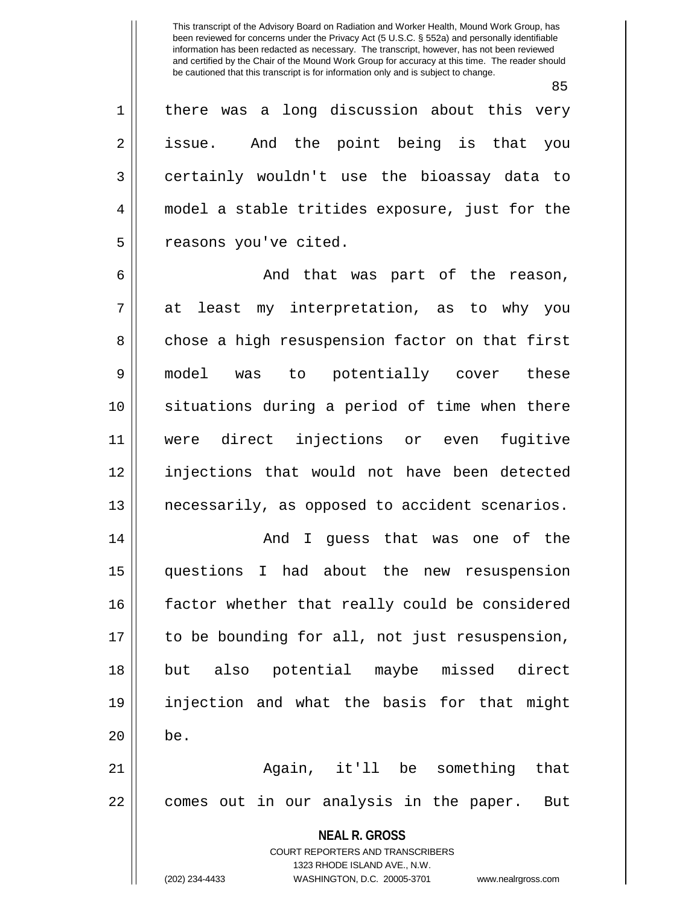85

1 || there was a long discussion about this very 2 || issue. And the point being is that you 3 certainly wouldn't use the bioassay data to 4 model a stable tritides exposure, just for the 5 | reasons you've cited.

6 And that was part of the reason, 7 at least my interpretation, as to why you 8 chose a high resuspension factor on that first 9 model was to potentially cover these 10 situations during a period of time when there 11 were direct injections or even fugitive 12 injections that would not have been detected 13 necessarily, as opposed to accident scenarios.

14 And I guess that was one of the 15 questions I had about the new resuspension 16 || factor whether that really could be considered 17 || to be bounding for all, not just resuspension, 18 but also potential maybe missed direct 19 injection and what the basis for that might  $20$   $\parallel$  be.

21 Again, it'll be something that 22 || comes out in our analysis in the paper. But

> **NEAL R. GROSS** COURT REPORTERS AND TRANSCRIBERS 1323 RHODE ISLAND AVE., N.W. (202) 234-4433 WASHINGTON, D.C. 20005-3701 www.nealrgross.com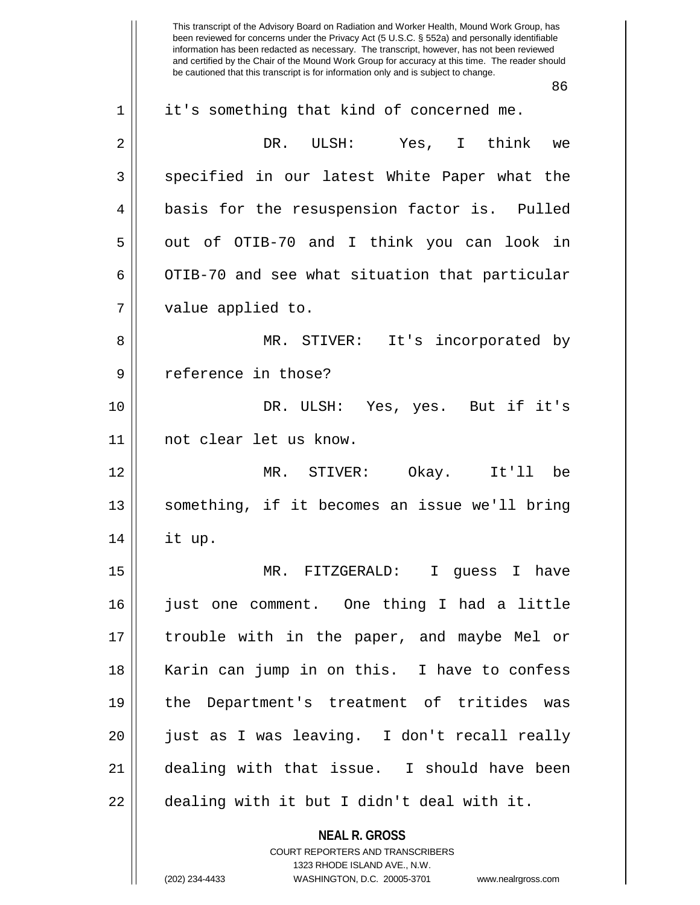**NEAL R. GROSS** This transcript of the Advisory Board on Radiation and Worker Health, Mound Work Group, has been reviewed for concerns under the Privacy Act (5 U.S.C. § 552a) and personally identifiable information has been redacted as necessary. The transcript, however, has not been reviewed and certified by the Chair of the Mound Work Group for accuracy at this time. The reader should be cautioned that this transcript is for information only and is subject to change. 86 1 || it's something that kind of concerned me. 2 DR. ULSH: Yes, I think we 3 Specified in our latest White Paper what the 4 || basis for the resuspension factor is. Pulled 5 || out of OTIB-70 and I think you can look in  $6 \parallel$  OTIB-70 and see what situation that particular 7 || value applied to. 8 MR. STIVER: It's incorporated by 9 || reference in those? 10 DR. ULSH: Yes, yes. But if it's 11 not clear let us know. 12 MR. STIVER: Okay. It'll be 13 something, if it becomes an issue we'll bring  $14$  || it up. 15 MR. FITZGERALD: I guess I have 16 just one comment. One thing I had a little 17 trouble with in the paper, and maybe Mel or 18 Karin can jump in on this. I have to confess 19 the Department's treatment of tritides was 20 just as I was leaving. I don't recall really 21 dealing with that issue. I should have been 22 || dealing with it but I didn't deal with it.

> COURT REPORTERS AND TRANSCRIBERS 1323 RHODE ISLAND AVE., N.W.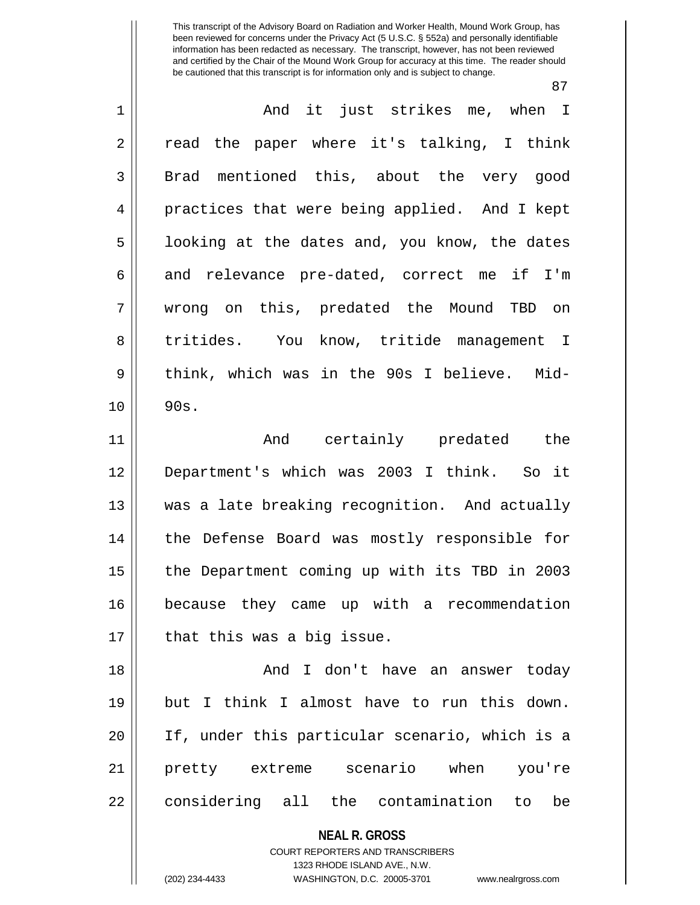87

| $\mathbf 1$    | And it just strikes me, when I                                          |
|----------------|-------------------------------------------------------------------------|
| $\overline{2}$ | read the paper where it's talking, I think                              |
| 3              | Brad mentioned this, about the very good                                |
| 4              | practices that were being applied. And I kept                           |
| 5              | looking at the dates and, you know, the dates                           |
| 6              | and relevance pre-dated, correct me if I'm                              |
| 7              | wrong on this, predated the Mound TBD on                                |
| 8              | tritides. You know, tritide management I                                |
| 9              | think, which was in the 90s I believe. Mid-                             |
| 10             | 90s.                                                                    |
| 11             | And certainly predated the                                              |
| 12             | Department's which was 2003 I think. So it                              |
| 13             | was a late breaking recognition. And actually                           |
| 14             | the Defense Board was mostly responsible for                            |
| 15             | the Department coming up with its TBD in 2003                           |
| 16             | because they came up with a recommendation                              |
| 17             | that this was a big issue.                                              |
| 18             | And I don't have an answer today                                        |
| 19             | but I think I almost have to run this down.                             |
| 20             | If, under this particular scenario, which is a                          |
| 21             | when<br>scenario<br>pretty extreme<br>you're                            |
| 22             | considering all the contamination to<br>be                              |
|                | <b>NEAL R. GROSS</b>                                                    |
|                | <b>COURT REPORTERS AND TRANSCRIBERS</b><br>1323 RHODE ISLAND AVE., N.W. |
|                | (202) 234-4433<br>WASHINGTON, D.C. 20005-3701<br>www.nealrgross.com     |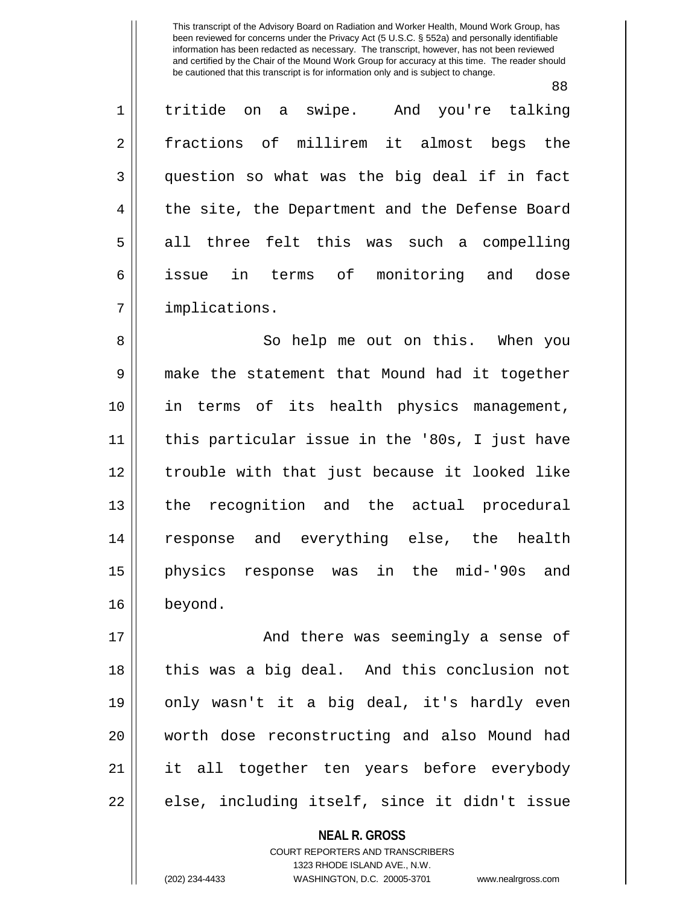88

| $\mathbf 1$    | tritide on a swipe. And you're talking         |
|----------------|------------------------------------------------|
| $\sqrt{2}$     | fractions of millirem it almost begs the       |
| 3              | question so what was the big deal if in fact   |
| $\overline{4}$ | the site, the Department and the Defense Board |
| 5              | all three felt this was such a compelling      |
| 6              | in terms of monitoring and dose<br>issue       |
| 7              | implications.                                  |
| 8              | So help me out on this. When you               |
| $\mathsf 9$    | make the statement that Mound had it together  |
| 10             | in terms of its health physics management,     |
| 11             | this particular issue in the '80s, I just have |
| 12             | trouble with that just because it looked like  |
| 13             | the recognition and the actual procedural      |
| 14             | response and everything else, the health       |
| 15             | physics response was in the mid-'90s and       |
| 16             | beyond.                                        |
| 17             | And there was seemingly a sense of             |
| 18             | this was a big deal. And this conclusion not   |
| 19             | only wasn't it a big deal, it's hardly even    |
| 20             | worth dose reconstructing and also Mound had   |
| 21             | it all together ten years before everybody     |
| 22             | else, including itself, since it didn't issue  |
|                | <b>NEAL R. GROSS</b>                           |

COURT REPORTERS AND TRANSCRIBERS 1323 RHODE ISLAND AVE., N.W.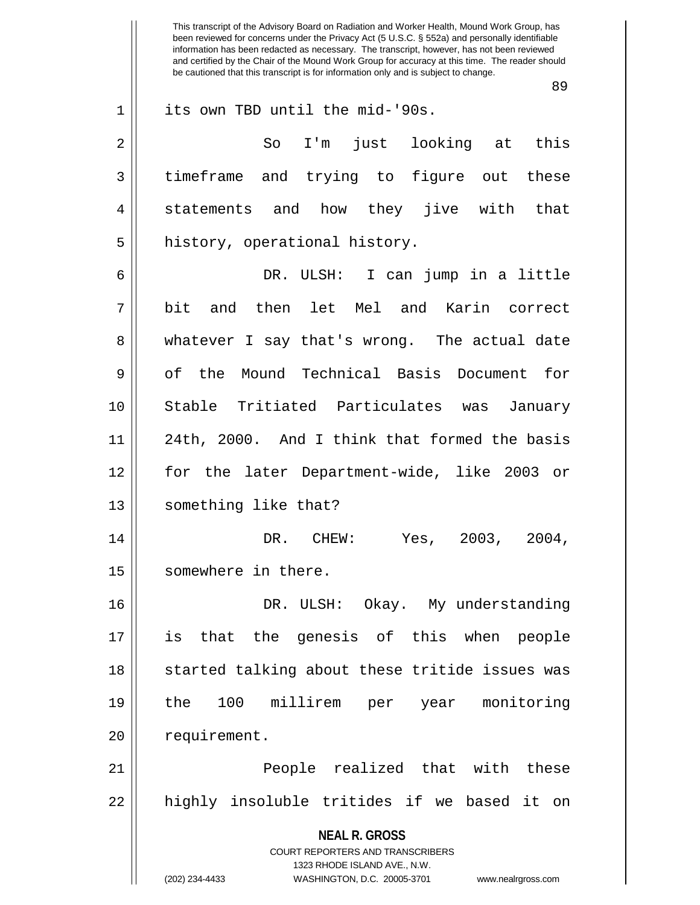**NEAL R. GROSS** COURT REPORTERS AND TRANSCRIBERS 1323 RHODE ISLAND AVE., N.W. (202) 234-4433 WASHINGTON, D.C. 20005-3701 www.nealrgross.com This transcript of the Advisory Board on Radiation and Worker Health, Mound Work Group, has been reviewed for concerns under the Privacy Act (5 U.S.C. § 552a) and personally identifiable information has been redacted as necessary. The transcript, however, has not been reviewed and certified by the Chair of the Mound Work Group for accuracy at this time. The reader should be cautioned that this transcript is for information only and is subject to change. 89 1 its own TBD until the mid-'90s. 2 So I'm just looking at this 3 timeframe and trying to figure out these 4 || statements and how they jive with that 5 || history, operational history. 6 DR. ULSH: I can jump in a little 7 bit and then let Mel and Karin correct 8 whatever I say that's wrong. The actual date 9 || of the Mound Technical Basis Document for 10 Stable Tritiated Particulates was January 11 || 24th, 2000. And I think that formed the basis 12 for the later Department-wide, like 2003 or 13 || something like that? 14 DR. CHEW: Yes, 2003, 2004, 15 | somewhere in there. 16 DR. ULSH: Okay. My understanding 17 is that the genesis of this when people 18 || started talking about these tritide issues was 19 the 100 millirem per year monitoring 20 | requirement. 21 People realized that with these 22 || highly insoluble tritides if we based it on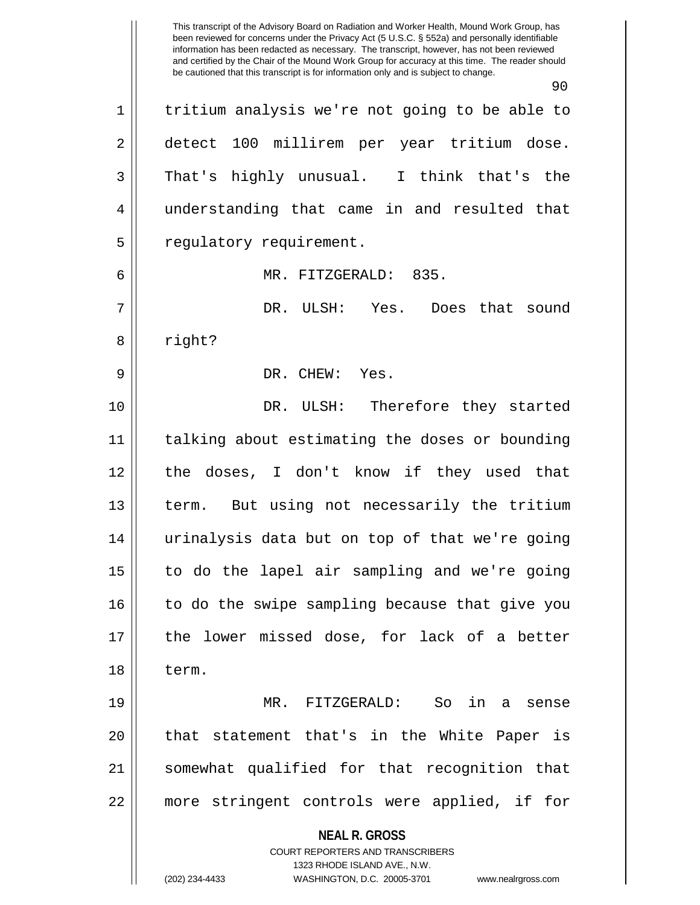**NEAL R. GROSS** COURT REPORTERS AND TRANSCRIBERS 1323 RHODE ISLAND AVE., N.W. (202) 234-4433 WASHINGTON, D.C. 20005-3701 www.nealrgross.com been reviewed for concerns under the Privacy Act (5 U.S.C. § 552a) and personally identifiable information has been redacted as necessary. The transcript, however, has not been reviewed and certified by the Chair of the Mound Work Group for accuracy at this time. The reader should be cautioned that this transcript is for information only and is subject to change. 90 1 | tritium analysis we're not going to be able to 2 || detect 100 millirem per year tritium dose. 3 That's highly unusual. I think that's the 4 understanding that came in and resulted that 5 | regulatory requirement. 6 MR. FITZGERALD: 835. 7 DR. ULSH: Yes. Does that sound 8 || right? 9 DR. CHEW: Yes. 10 DR. ULSH: Therefore they started 11 talking about estimating the doses or bounding 12 the doses, I don't know if they used that 13 || term. But using not necessarily the tritium 14 urinalysis data but on top of that we're going 15 to do the lapel air sampling and we're going  $16$  || to do the swipe sampling because that give you 17 the lower missed dose, for lack of a better 18 term. 19 MR. FITZGERALD: So in a sense 20 || that statement that's in the White Paper is 21 somewhat qualified for that recognition that 22 more stringent controls were applied, if for

This transcript of the Advisory Board on Radiation and Worker Health, Mound Work Group, has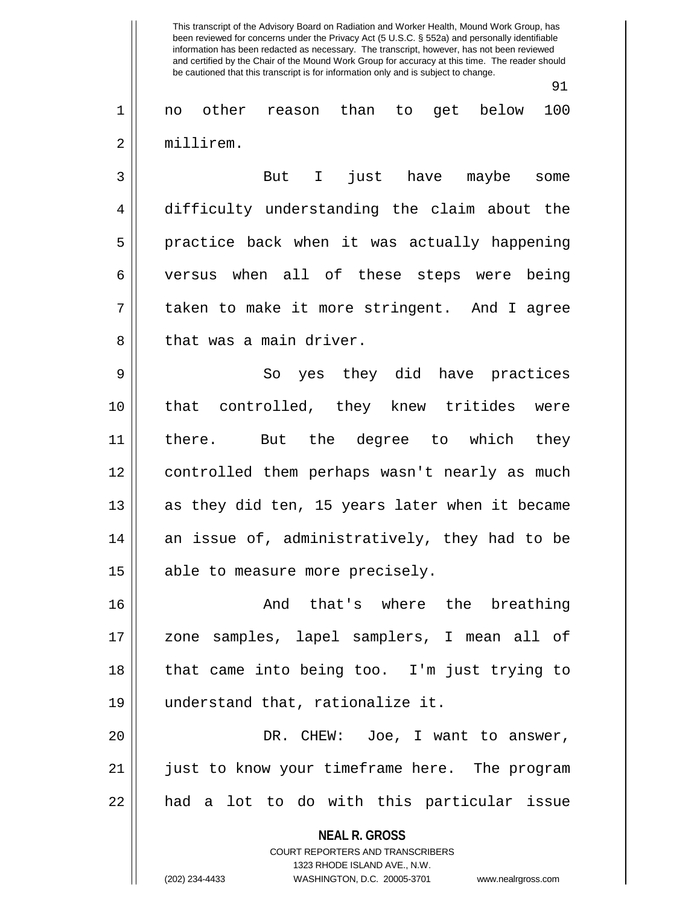91

1 no other reason than to get below 100 2 millirem.

3 But I just have maybe some 4 difficulty understanding the claim about the 5 practice back when it was actually happening 6 versus when all of these steps were being 7 taken to make it more stringent. And I agree 8 l that was a main driver.

9 So yes they did have practices 10 || that controlled, they knew tritides were 11 there. But the degree to which they 12 controlled them perhaps wasn't nearly as much  $13$  as they did ten, 15 years later when it became 14 an issue of, administratively, they had to be  $15$  | able to measure more precisely.

16 And that's where the breathing 17 zone samples, lapel samplers, I mean all of 18 that came into being too. I'm just trying to 19 understand that, rationalize it.

20 DR. CHEW: Joe, I want to answer, 21 || just to know your timeframe here. The program 22 || had a lot to do with this particular issue

> **NEAL R. GROSS** COURT REPORTERS AND TRANSCRIBERS 1323 RHODE ISLAND AVE., N.W. (202) 234-4433 WASHINGTON, D.C. 20005-3701 www.nealrgross.com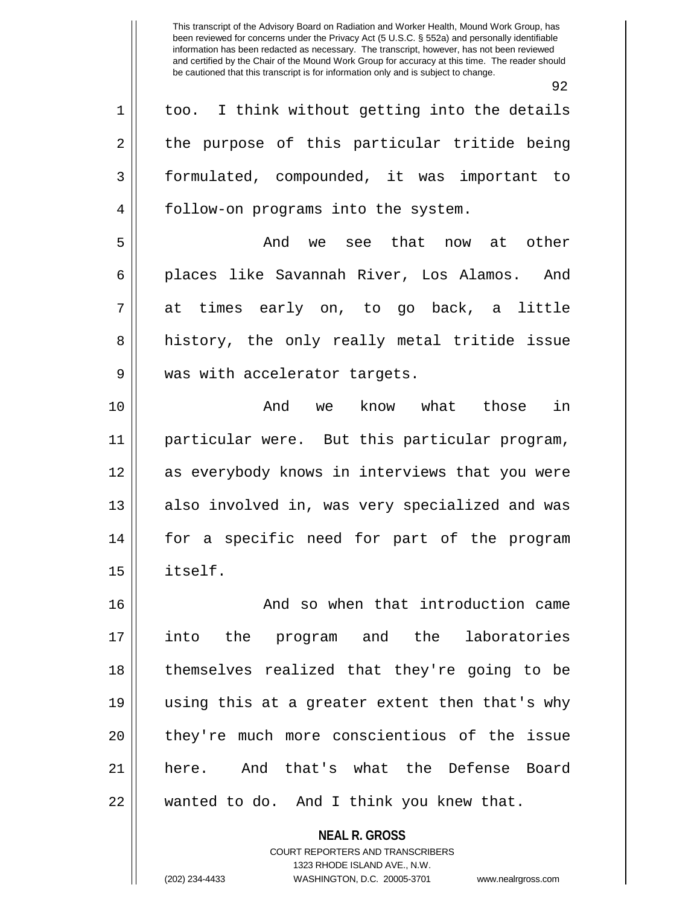$Q<sub>2</sub>$ 

| $\mathbf 1$ | too. I think without getting into the details                   |
|-------------|-----------------------------------------------------------------|
| 2           | the purpose of this particular tritide being                    |
| 3           | formulated, compounded, it was important to                     |
| 4           | follow-on programs into the system.                             |
| 5           | And we see that now at other                                    |
| 6           | places like Savannah River, Los Alamos. And                     |
| 7           | at times early on, to go back, a little                         |
| 8           | history, the only really metal tritide issue                    |
| $\mathsf 9$ | was with accelerator targets.                                   |
| 10          | in<br>know what those<br>And we                                 |
| 11          | particular were. But this particular program,                   |
| 12          | as everybody knows in interviews that you were                  |
| 13          | also involved in, was very specialized and was                  |
| 14          | for a specific need for part of the program                     |
| 15          | itself.                                                         |
| 16          | And so when that introduction came                              |
| 17          | into the program and the laboratories                           |
| 18          | themselves realized that they're going to be                    |
| 19          | using this at a greater extent then that's why                  |
| 20          | they're much more conscientious of the issue                    |
| 21          | here. And that's what the Defense Board                         |
| 22          | wanted to do. And I think you knew that.                        |
|             | <b>NEAL R. GROSS</b><br><b>COURT REPORTERS AND TRANSCRIBERS</b> |

1323 RHODE ISLAND AVE., N.W. (202) 234-4433 WASHINGTON, D.C. 20005-3701 www.nealrgross.com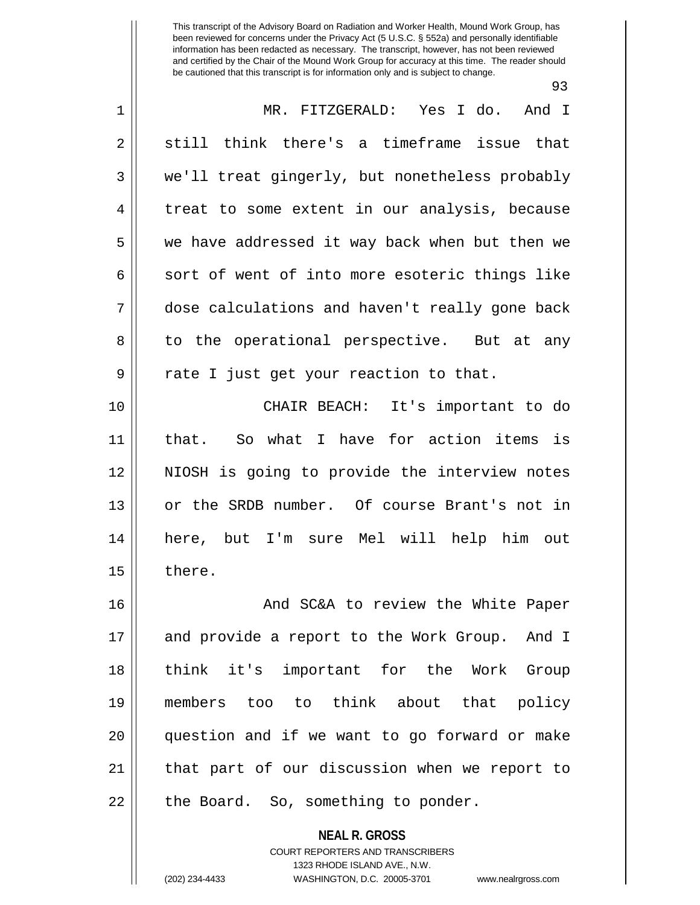| . .<br>×<br>I<br>I<br>۰,<br>۰.<br>., |  |
|--------------------------------------|--|
|--------------------------------------|--|

| $\mathbf 1$ | MR. FITZGERALD: Yes I do.<br>And I             |
|-------------|------------------------------------------------|
| 2           | still think there's a timeframe issue that     |
| 3           | we'll treat gingerly, but nonetheless probably |
| 4           | treat to some extent in our analysis, because  |
| 5           | we have addressed it way back when but then we |
| 6           | sort of went of into more esoteric things like |
| 7           | dose calculations and haven't really gone back |
| 8           | to the operational perspective. But at any     |
| 9           | rate I just get your reaction to that.         |
| 10          | CHAIR BEACH: It's important to do              |
| 11          | So what I have for action items is<br>that.    |
| 12          | NIOSH is going to provide the interview notes  |
| 13          | or the SRDB number. Of course Brant's not in   |
| 14          | here, but I'm sure Mel will help him out       |
| 15          | there.                                         |
| 16          | And SC&A to review the White Paper             |
| 17          | and provide a report to the Work Group. And I  |
| 18          | think it's important for the Work Group        |
| 19          | members too to think about that policy         |
| 20          | question and if we want to go forward or make  |
| 21          | that part of our discussion when we report to  |
| 22          | the Board. So, something to ponder.            |
|             | <b>NEAL R. GROSS</b>                           |

COURT REPORTERS AND TRANSCRIBERS 1323 RHODE ISLAND AVE., N.W.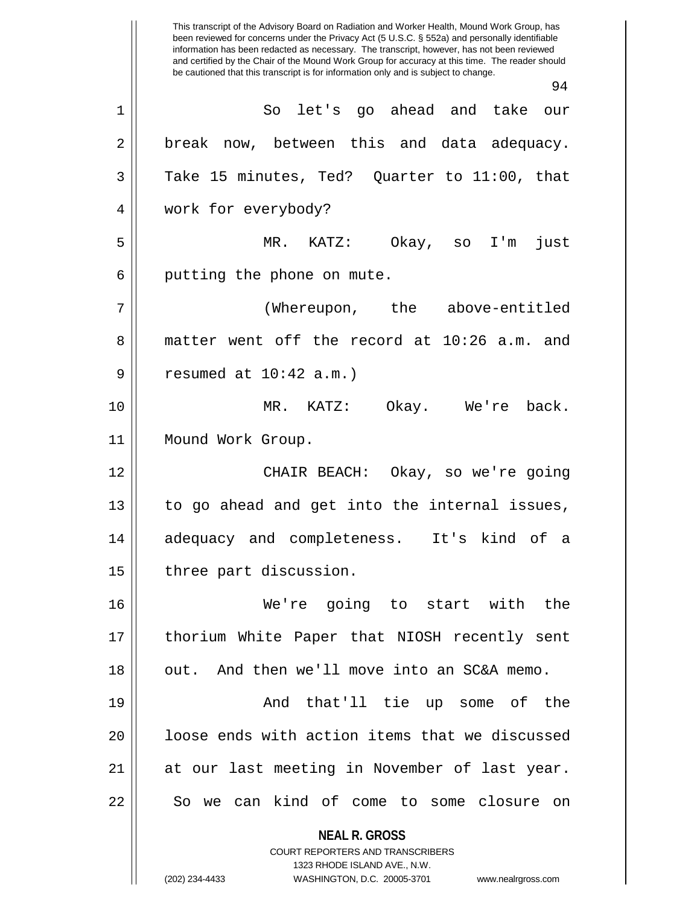**NEAL R. GROSS** COURT REPORTERS AND TRANSCRIBERS 1323 RHODE ISLAND AVE., N.W. (202) 234-4433 WASHINGTON, D.C. 20005-3701 www.nealrgross.com This transcript of the Advisory Board on Radiation and Worker Health, Mound Work Group, has been reviewed for concerns under the Privacy Act (5 U.S.C. § 552a) and personally identifiable information has been redacted as necessary. The transcript, however, has not been reviewed and certified by the Chair of the Mound Work Group for accuracy at this time. The reader should be cautioned that this transcript is for information only and is subject to change. 94 1 So let's go ahead and take our 2 || break now, between this and data adequacy.  $3 \parallel$  Take 15 minutes, Ted? Quarter to 11:00, that 4 work for everybody? 5 MR. KATZ: Okay, so I'm just  $6$  || putting the phone on mute. 7 (Whereupon, the above-entitled 8 matter went off the record at 10:26 a.m. and  $9 \parallel$  resumed at  $10:42$  a.m.) 10 MR. KATZ: Okay. We're back. 11 Mound Work Group. 12 CHAIR BEACH: Okay, so we're going 13 || to go ahead and get into the internal issues, 14 adequacy and completeness. It's kind of a 15 | three part discussion. 16 We're going to start with the 17 thorium White Paper that NIOSH recently sent 18 || out. And then we'll move into an SC&A memo. 19 And that'll tie up some of the 20 || loose ends with action items that we discussed 21 || at our last meeting in November of last year. 22 || So we can kind of come to some closure on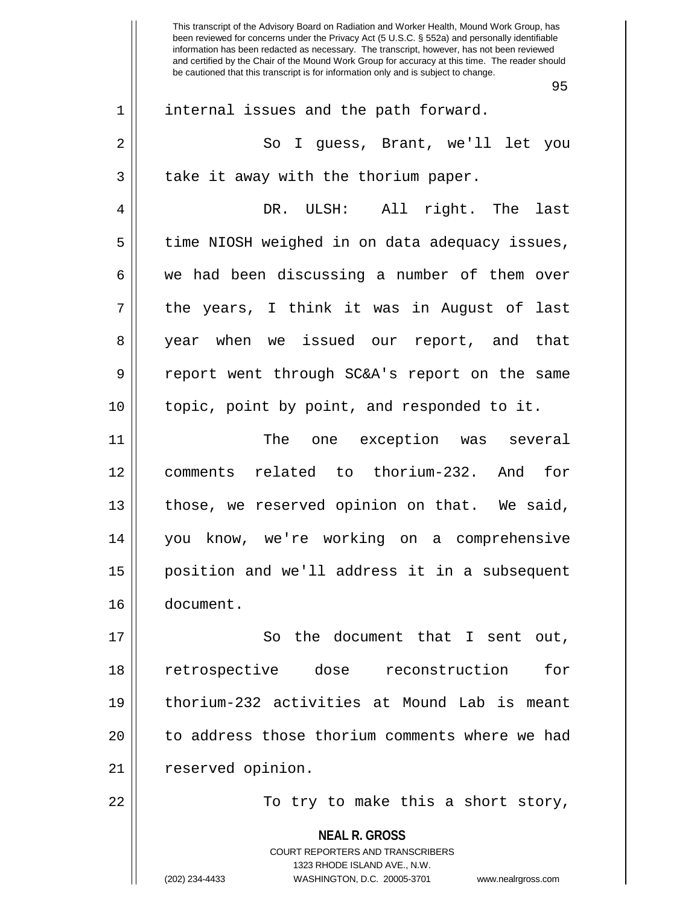|    | 95                                                                                                                                                                     |
|----|------------------------------------------------------------------------------------------------------------------------------------------------------------------------|
| 1  | internal issues and the path forward.                                                                                                                                  |
| 2  | So I guess, Brant, we'll let you                                                                                                                                       |
| 3  | take it away with the thorium paper.                                                                                                                                   |
| 4  | DR. ULSH: All right. The last                                                                                                                                          |
| 5  | time NIOSH weighed in on data adequacy issues,                                                                                                                         |
| 6  | we had been discussing a number of them over                                                                                                                           |
| 7  | the years, I think it was in August of last                                                                                                                            |
| 8  | year when we issued our report, and that                                                                                                                               |
| 9  | report went through SC&A's report on the same                                                                                                                          |
| 10 | topic, point by point, and responded to it.                                                                                                                            |
| 11 | The one exception was several                                                                                                                                          |
| 12 | comments related to thorium-232. And for                                                                                                                               |
| 13 | those, we reserved opinion on that. We said,                                                                                                                           |
| 14 | you know, we're working on a comprehensive                                                                                                                             |
| 15 | position and we'll address it in a subsequent                                                                                                                          |
| 16 | document.                                                                                                                                                              |
| 17 | So the document that I sent out,                                                                                                                                       |
| 18 | retrospective dose reconstruction<br>for                                                                                                                               |
| 19 | thorium-232 activities at Mound Lab is meant                                                                                                                           |
| 20 | to address those thorium comments where we had                                                                                                                         |
| 21 | reserved opinion.                                                                                                                                                      |
| 22 | To try to make this a short story,                                                                                                                                     |
|    | <b>NEAL R. GROSS</b><br><b>COURT REPORTERS AND TRANSCRIBERS</b><br>1323 RHODE ISLAND AVE., N.W.<br>(202) 234-4433<br>WASHINGTON, D.C. 20005-3701<br>www.nealrgross.com |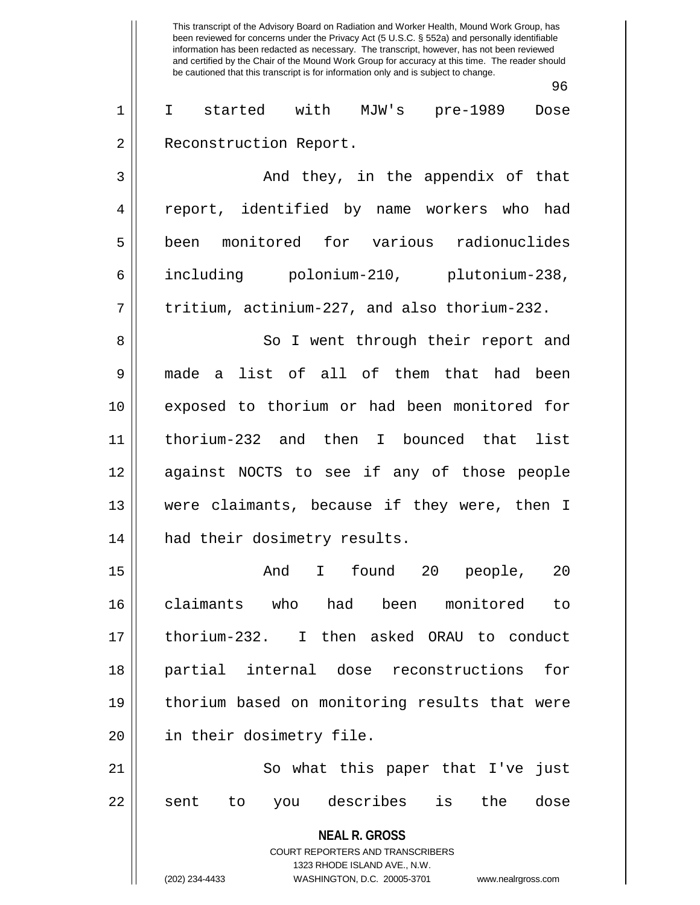**NEAL R. GROSS** COURT REPORTERS AND TRANSCRIBERS 1323 RHODE ISLAND AVE., N.W. (202) 234-4433 WASHINGTON, D.C. 20005-3701 www.nealrgross.com This transcript of the Advisory Board on Radiation and Worker Health, Mound Work Group, has been reviewed for concerns under the Privacy Act (5 U.S.C. § 552a) and personally identifiable information has been redacted as necessary. The transcript, however, has not been reviewed and certified by the Chair of the Mound Work Group for accuracy at this time. The reader should be cautioned that this transcript is for information only and is subject to change. 96 1 I started with MJW's pre-1989 Dose 2 | Reconstruction Report. 3 And they, in the appendix of that 4 || report, identified by name workers who had 5 been monitored for various radionuclides 6 including polonium-210, plutonium-238,  $7 \parallel$  tritium, actinium-227, and also thorium-232. 8 || So I went through their report and 9 made a list of all of them that had been 10 exposed to thorium or had been monitored for 11 thorium-232 and then I bounced that list 12 against NOCTS to see if any of those people 13 were claimants, because if they were, then I 14 || had their dosimetry results. 15 And I found 20 people, 20 16 claimants who had been monitored to 17 thorium-232. I then asked ORAU to conduct 18 partial internal dose reconstructions for 19 thorium based on monitoring results that were 20 || in their dosimetry file. 21 || So what this paper that I've just 22 || sent to you describes is the dose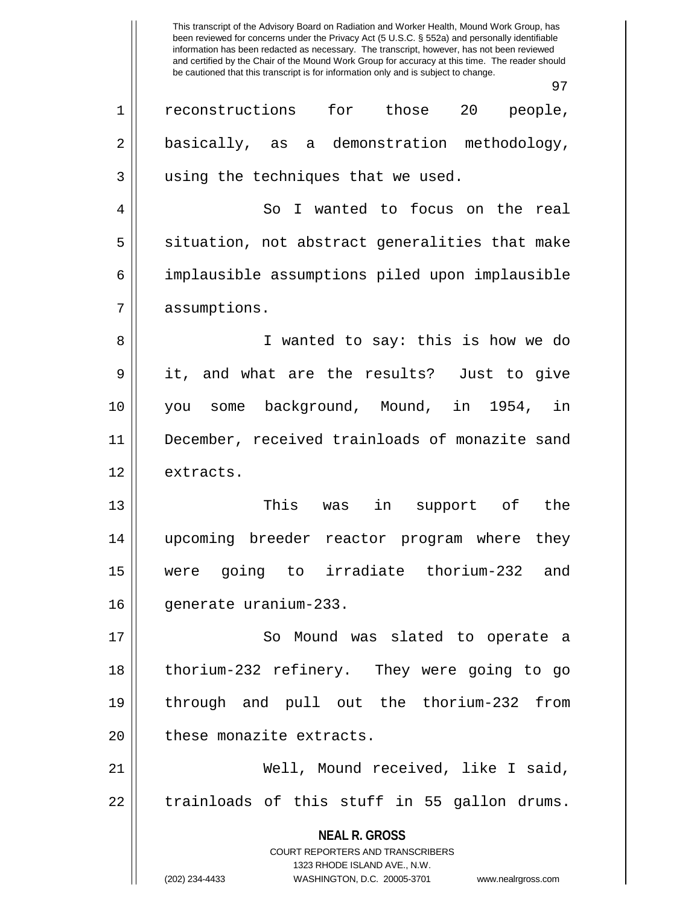This transcript of the Advisory Board on Radiation and Worker Health, Mound Work Group, has been reviewed for concerns under the Privacy Act (5 U.S.C. § 552a) and personally identifiable information has been redacted as necessary. The transcript, however, has not been reviewed and certified by the Chair of the Mound Work Group for accuracy at this time. The reader should be cautioned that this transcript is for information only and is subject to change. 97 1 || reconstructions for those 20 people, 2 | basically, as a demonstration methodology, 3 || using the techniques that we used. 4 || So I wanted to focus on the real  $5 \parallel$  situation, not abstract generalities that make 6 implausible assumptions piled upon implausible 7 assumptions. 8 || I wanted to say: this is how we do 9 it, and what are the results? Just to give 10 you some background, Mound, in 1954, in 11 || December, received trainloads of monazite sand 12 extracts. 13 This was in support of the 14 upcoming breeder reactor program where they

16 | qenerate uranium-233.

17 || So Mound was slated to operate a 18 thorium-232 refinery. They were going to go 19 through and pull out the thorium-232 from 20 | these monazite extracts.

15 were going to irradiate thorium-232 and

21 Well, Mound received, like I said,  $22 \parallel$  trainloads of this stuff in 55 gallon drums.

> **NEAL R. GROSS** COURT REPORTERS AND TRANSCRIBERS 1323 RHODE ISLAND AVE., N.W. (202) 234-4433 WASHINGTON, D.C. 20005-3701 www.nealrgross.com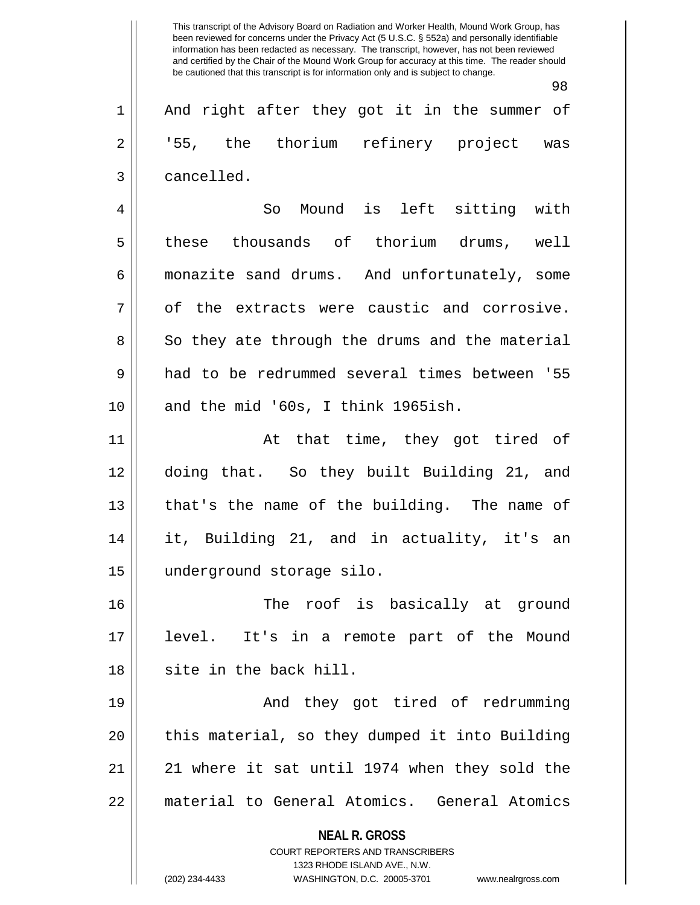2 || '55, the thorium refinery project was 3 | cancelled.

4 So Mound is left sitting with 5 these thousands of thorium drums, well 6 monazite sand drums. And unfortunately, some  $7 \parallel$  of the extracts were caustic and corrosive. 8 So they ate through the drums and the material 9 had to be redrummed several times between '55  $10$  | and the mid '60s, I think 1965ish.

11 || At that time, they got tired of 12 doing that. So they built Building 21, and 13 || that's the name of the building. The name of 14 it, Building 21, and in actuality, it's an 15 underground storage silo.

16 The roof is basically at ground 17 level. It's in a remote part of the Mound 18 || site in the back hill.

19 And they got tired of redrumming  $20$  || this material, so they dumped it into Building 21 || 21 where it sat until 1974 when they sold the 22 || material to General Atomics. General Atomics

**NEAL R. GROSS**

COURT REPORTERS AND TRANSCRIBERS 1323 RHODE ISLAND AVE., N.W. (202) 234-4433 WASHINGTON, D.C. 20005-3701 www.nealrgross.com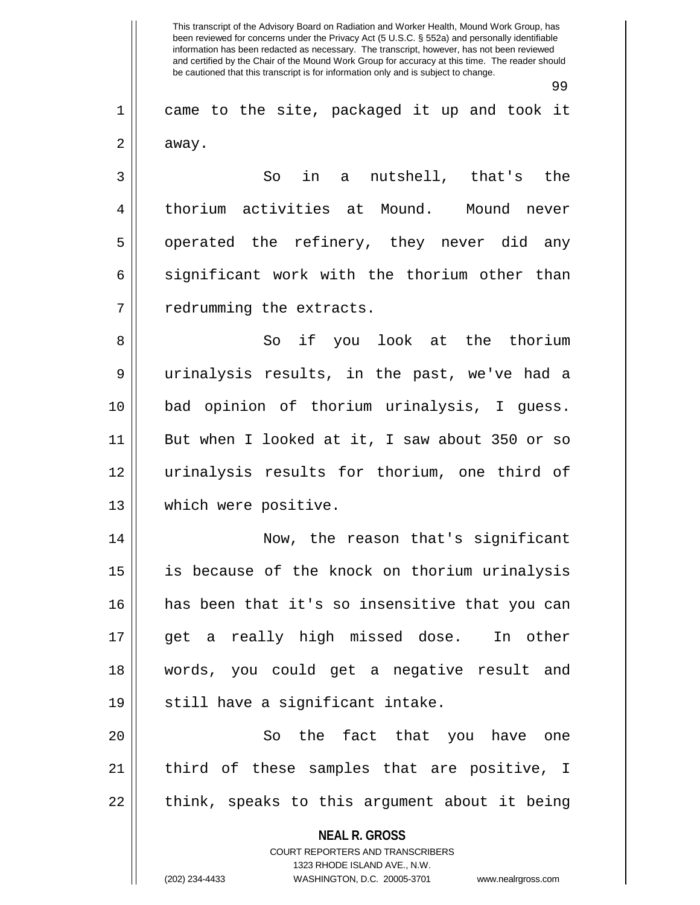99

1 came to the site, packaged it up and took it  $2 \parallel$  away.

3 || So in a nutshell, that's the 4 | thorium activities at Mound. Mound never 5 || operated the refinery, they never did any  $6 \parallel$  significant work with the thorium other than  $7$  | redrumming the extracts.

8 So if you look at the thorium 9 urinalysis results, in the past, we've had a 10 bad opinion of thorium urinalysis, I guess. 11 || But when I looked at it, I saw about 350 or so 12 urinalysis results for thorium, one third of 13 which were positive.

14 Now, the reason that's significant 15 is because of the knock on thorium urinalysis 16 has been that it's so insensitive that you can 17 get a really high missed dose. In other 18 words, you could get a negative result and 19 || still have a significant intake.

20 || So the fact that you have one 21 || third of these samples that are positive, I  $22$  || think, speaks to this argument about it being

> **NEAL R. GROSS** COURT REPORTERS AND TRANSCRIBERS

> > 1323 RHODE ISLAND AVE., N.W.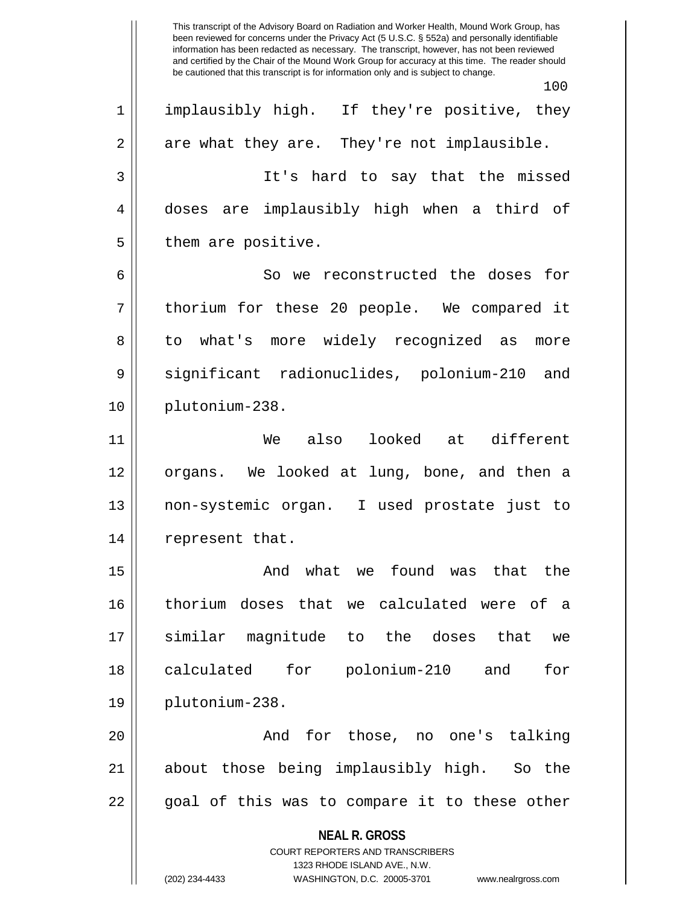**NEAL R. GROSS** COURT REPORTERS AND TRANSCRIBERS 1323 RHODE ISLAND AVE., N.W. This transcript of the Advisory Board on Radiation and Worker Health, Mound Work Group, has been reviewed for concerns under the Privacy Act (5 U.S.C. § 552a) and personally identifiable information has been redacted as necessary. The transcript, however, has not been reviewed and certified by the Chair of the Mound Work Group for accuracy at this time. The reader should be cautioned that this transcript is for information only and is subject to change. 100 1 || implausibly high. If they're positive, they  $2 \parallel$  are what they are. They're not implausible. 3 It's hard to say that the missed 4 doses are implausibly high when a third of  $5 \parallel$  them are positive. 6 || So we reconstructed the doses for 7 || thorium for these 20 people. We compared it 8 to what's more widely recognized as more 9 Significant radionuclides, polonium-210 and 10 plutonium-238. 11 We also looked at different 12 organs. We looked at lung, bone, and then a 13 non-systemic organ. I used prostate just to 14 || represent that. 15 And what we found was that the 16 thorium doses that we calculated were of a 17 similar magnitude to the doses that we 18 calculated for polonium-210 and for 19 plutonium-238. 20 || The Rand for those, no one's talking 21 about those being implausibly high. So the  $22 \parallel$  goal of this was to compare it to these other

<sup>(202) 234-4433</sup> WASHINGTON, D.C. 20005-3701 www.nealrgross.com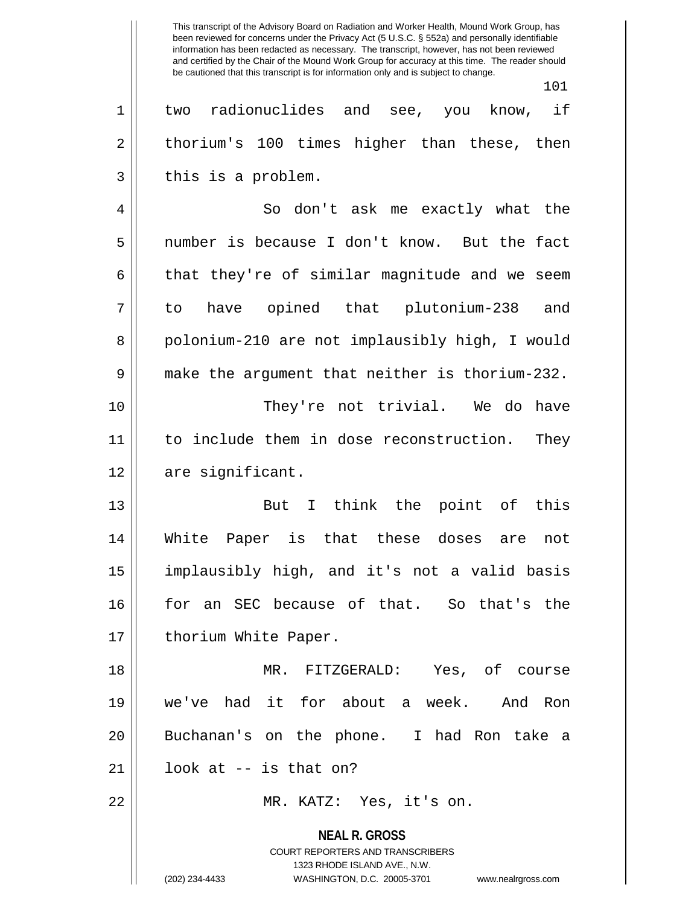101 1 two radionuclides and see, you know, if  $2 \parallel$  thorium's 100 times higher than these, then  $3 \parallel$  this is a problem. 4 So don't ask me exactly what the 5 number is because I don't know. But the fact  $6 \parallel$  that they're of similar magnitude and we seem 7 to have opined that plutonium-238 and 8 || polonium-210 are not implausibly high, I would 9 make the argument that neither is thorium-232. 10 They're not trivial. We do have 11 to include them in dose reconstruction. They 12 | are significant. 13 || But I think the point of this 14 White Paper is that these doses are not 15 implausibly high, and it's not a valid basis 16 for an SEC because of that. So that's the 17 || thorium White Paper. 18 MR. FITZGERALD: Yes, of course 19 we've had it for about a week. And Ron 20 Buchanan's on the phone. I had Ron take a  $21 \parallel$  look at  $-$  is that on? 22 MR. KATZ: Yes, it's on.

> **NEAL R. GROSS** COURT REPORTERS AND TRANSCRIBERS 1323 RHODE ISLAND AVE., N.W. (202) 234-4433 WASHINGTON, D.C. 20005-3701 www.nealrgross.com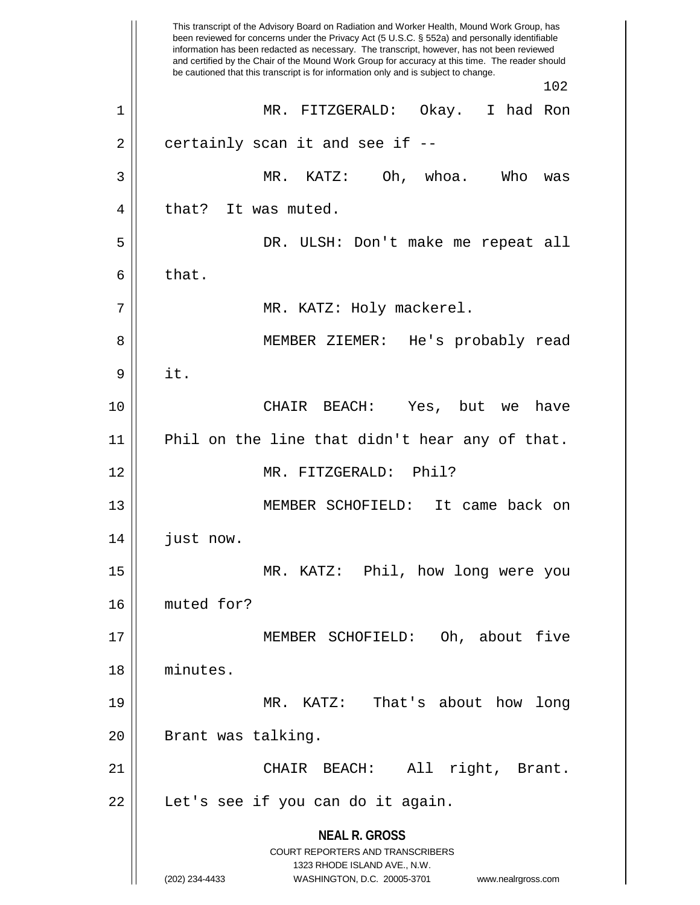**NEAL R. GROSS** COURT REPORTERS AND TRANSCRIBERS 1323 RHODE ISLAND AVE., N.W. (202) 234-4433 WASHINGTON, D.C. 20005-3701 www.nealrgross.com This transcript of the Advisory Board on Radiation and Worker Health, Mound Work Group, has been reviewed for concerns under the Privacy Act (5 U.S.C. § 552a) and personally identifiable information has been redacted as necessary. The transcript, however, has not been reviewed and certified by the Chair of the Mound Work Group for accuracy at this time. The reader should be cautioned that this transcript is for information only and is subject to change. 102 1 MR. FITZGERALD: Okay. I had Ron  $2 \parallel$  certainly scan it and see if  $-$ -3 MR. KATZ: Oh, whoa. Who was 4 || that? It was muted. 5 DR. ULSH: Don't make me repeat all  $6 \parallel$  that. 7 MR. KATZ: Holy mackerel. 8 MEMBER ZIEMER: He's probably read  $9 \parallel$  it. 10 CHAIR BEACH: Yes, but we have 11 Phil on the line that didn't hear any of that. 12 MR. FITZGERALD: Phil? 13 MEMBER SCHOFIELD: It came back on 14 | just now. 15 MR. KATZ: Phil, how long were you 16 muted for? 17 MEMBER SCHOFIELD: Oh, about five 18 minutes. 19 MR. KATZ: That's about how long 20 || Brant was talking. 21 CHAIR BEACH: All right, Brant. 22 || Let's see if you can do it again.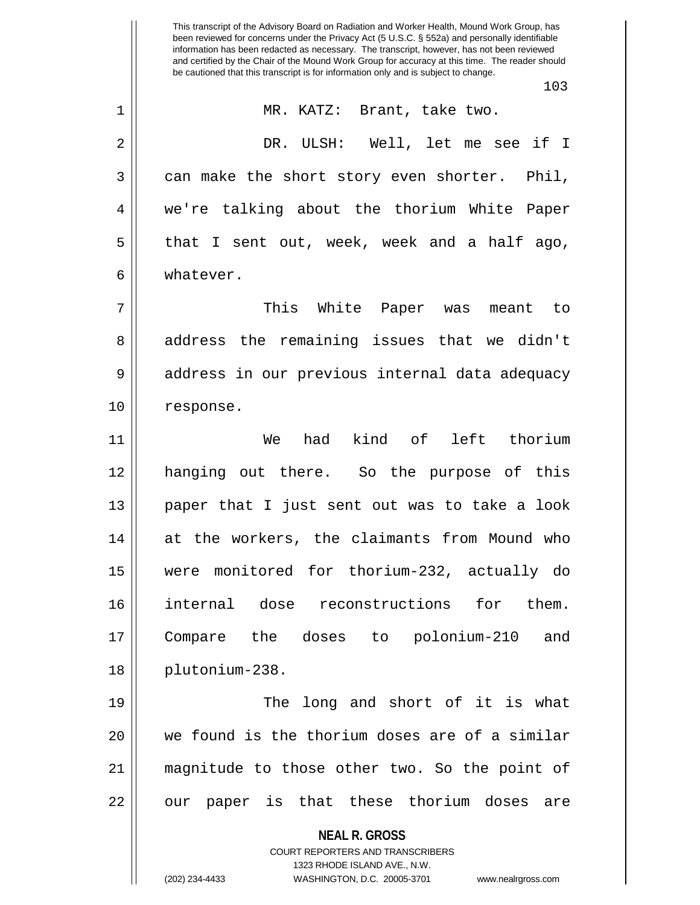**NEAL R. GROSS** COURT REPORTERS AND TRANSCRIBERS 1323 RHODE ISLAND AVE., N.W. (202) 234-4433 WASHINGTON, D.C. 20005-3701 www.nealrgross.com been reviewed for concerns under the Privacy Act (5 U.S.C. § 552a) and personally identifiable information has been redacted as necessary. The transcript, however, has not been reviewed and certified by the Chair of the Mound Work Group for accuracy at this time. The reader should be cautioned that this transcript is for information only and is subject to change. 103 1 || MR. KATZ: Brant, take two. 2 DR. ULSH: Well, let me see if I  $3 \parallel$  can make the short story even shorter. Phil, 4 we're talking about the thorium White Paper 5 || that I sent out, week, week and a half ago, 6 whatever. 7 This White Paper was meant to 8 address the remaining issues that we didn't 9 || address in our previous internal data adequacy 10 | response. 11 We had kind of left thorium 12 hanging out there. So the purpose of this 13 paper that I just sent out was to take a look 14 at the workers, the claimants from Mound who 15 were monitored for thorium-232, actually do 16 internal dose reconstructions for them. 17 Compare the doses to polonium-210 and 18 plutonium-238. 19 || The long and short of it is what 20 we found is the thorium doses are of a similar 21 magnitude to those other two. So the point of  $22$  || our paper is that these thorium doses are

This transcript of the Advisory Board on Radiation and Worker Health, Mound Work Group, has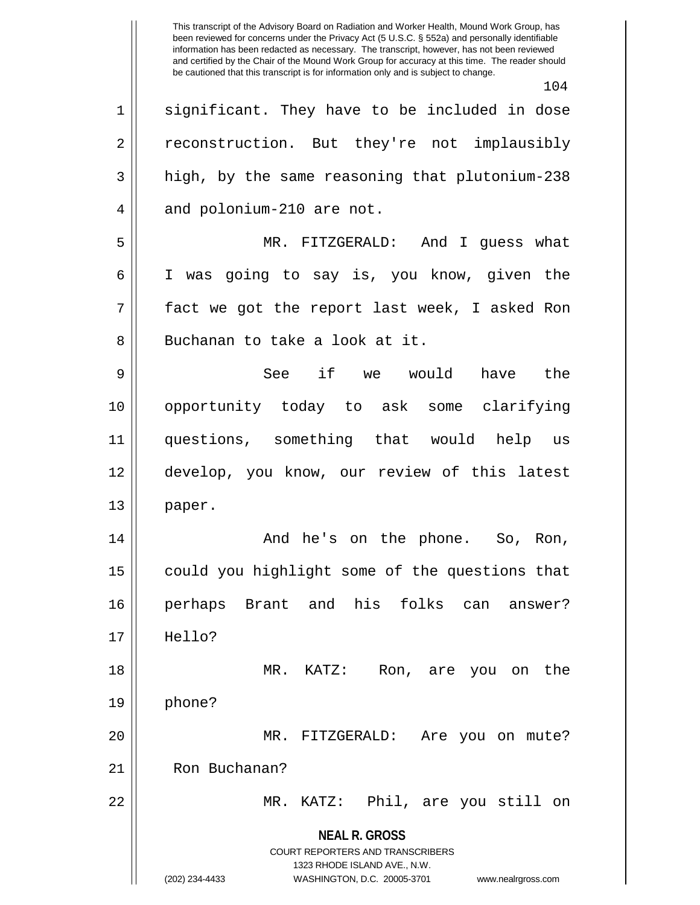This transcript of the Advisory Board on Radiation and Worker Health, Mound Work Group, has been reviewed for concerns under the Privacy Act (5 U.S.C. § 552a) and personally identifiable information has been redacted as necessary. The transcript, however, has not been reviewed and certified by the Chair of the Mound Work Group for accuracy at this time. The reader should be cautioned that this transcript is for information only and is subject to change. 104 1 significant. They have to be included in dose 2 | reconstruction. But they're not implausibly 3 || high, by the same reasoning that plutonium-238  $4 \parallel$  and polonium-210 are not.

5 MR. FITZGERALD: And I guess what 6 I was going to say is, you know, given the 7 fact we got the report last week, I asked Ron 8 Buchanan to take a look at it.

9 See if we would have the 10 opportunity today to ask some clarifying 11 questions, something that would help us 12 develop, you know, our review of this latest 13 || paper.

14 And he's on the phone. So, Ron, 15 | could you highlight some of the questions that 16 perhaps Brant and his folks can answer? 17 Hello?

18 MR. KATZ: Ron, are you on the  $19 \parallel$  phone? 20 MR. FITZGERALD: Are you on mute? 21 | Ron Buchanan?

22 MR. KATZ: Phil, are you still on

**NEAL R. GROSS** COURT REPORTERS AND TRANSCRIBERS

1323 RHODE ISLAND AVE., N.W.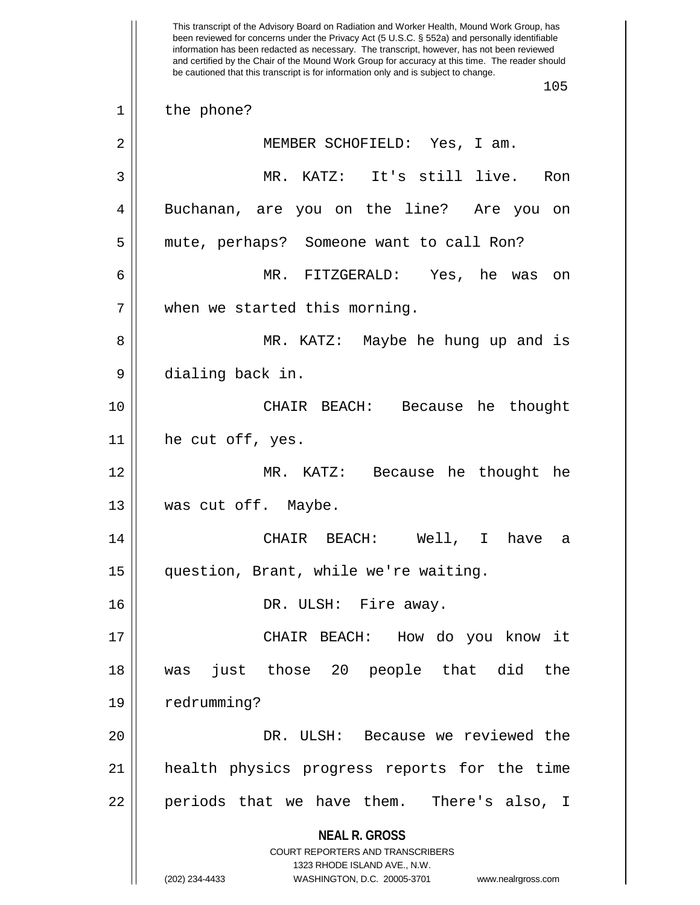**NEAL R. GROSS** COURT REPORTERS AND TRANSCRIBERS 1323 RHODE ISLAND AVE., N.W. (202) 234-4433 WASHINGTON, D.C. 20005-3701 www.nealrgross.com This transcript of the Advisory Board on Radiation and Worker Health, Mound Work Group, has been reviewed for concerns under the Privacy Act (5 U.S.C. § 552a) and personally identifiable information has been redacted as necessary. The transcript, however, has not been reviewed and certified by the Chair of the Mound Work Group for accuracy at this time. The reader should be cautioned that this transcript is for information only and is subject to change. 105 1 | the phone? 2 || MEMBER SCHOFIELD: Yes, I am. 3 MR. KATZ: It's still live. Ron 4 Buchanan, are you on the line? Are you on 5 | mute, perhaps? Someone want to call Ron? 6 MR. FITZGERALD: Yes, he was on 7 || when we started this morning. 8 MR. KATZ: Maybe he hung up and is 9 || dialing back in. 10 CHAIR BEACH: Because he thought 11 he cut off, yes. 12 MR. KATZ: Because he thought he 13 || was cut off. Maybe. 14 CHAIR BEACH: Well, I have a 15 question, Brant, while we're waiting. 16 DR. ULSH: Fire away. 17 CHAIR BEACH: How do you know it 18 was just those 20 people that did the 19 | redrumming? 20 DR. ULSH: Because we reviewed the 21 health physics progress reports for the time 22 || periods that we have them. There's also, I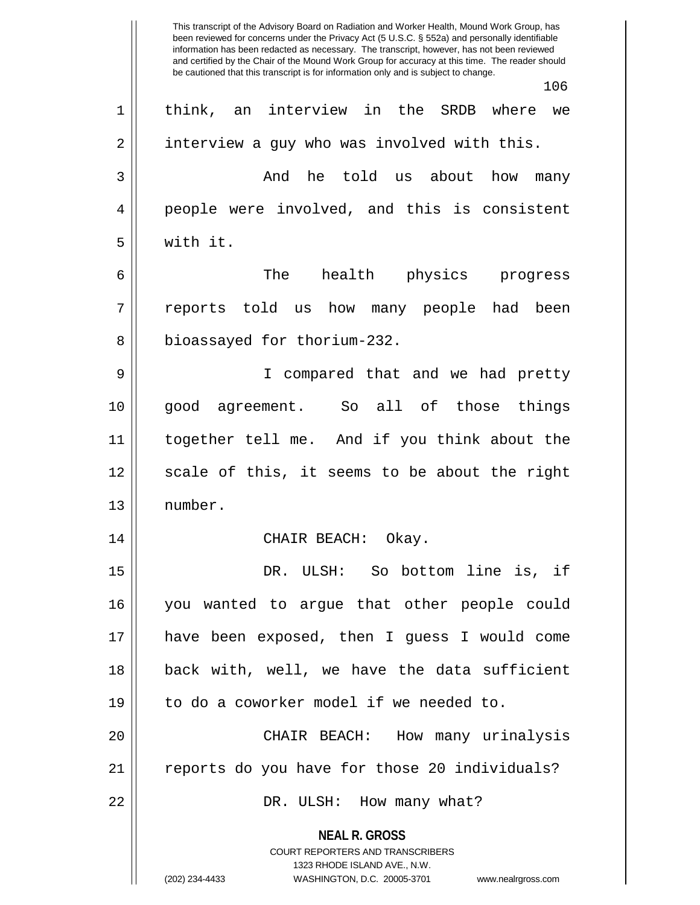**NEAL R. GROSS** COURT REPORTERS AND TRANSCRIBERS 1323 RHODE ISLAND AVE., N.W. (202) 234-4433 WASHINGTON, D.C. 20005-3701 www.nealrgross.com This transcript of the Advisory Board on Radiation and Worker Health, Mound Work Group, has been reviewed for concerns under the Privacy Act (5 U.S.C. § 552a) and personally identifiable information has been redacted as necessary. The transcript, however, has not been reviewed and certified by the Chair of the Mound Work Group for accuracy at this time. The reader should be cautioned that this transcript is for information only and is subject to change. 106 1 think, an interview in the SRDB where we  $2 \parallel$  interview a guy who was involved with this. 3 and he told us about how many 4 || people were involved, and this is consistent 5 with it. 6 || The health physics progress 7 || reports told us how many people had been 8 | bioassayed for thorium-232. 9 I compared that and we had pretty 10 good agreement. So all of those things 11 together tell me. And if you think about the 12 || scale of this, it seems to be about the right 13 number. 14 CHAIR BEACH: Okay. 15 DR. ULSH: So bottom line is, if 16 you wanted to argue that other people could 17 have been exposed, then I guess I would come 18 back with, well, we have the data sufficient 19 || to do a coworker model if we needed to. 20 CHAIR BEACH: How many urinalysis 21 || reports do you have for those 20 individuals? 22 DR. ULSH: How many what?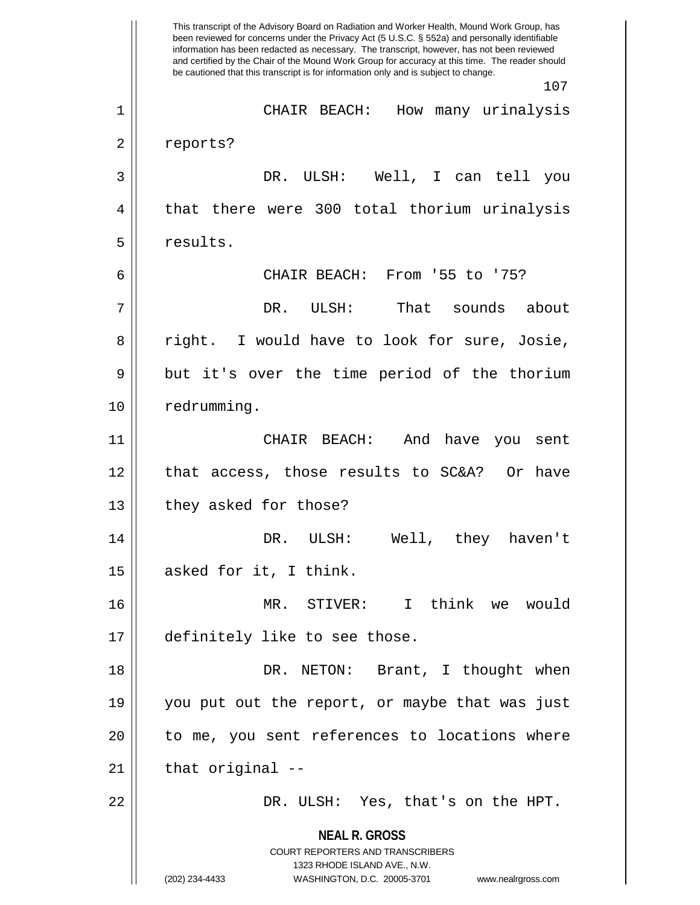**NEAL R. GROSS** COURT REPORTERS AND TRANSCRIBERS 1323 RHODE ISLAND AVE., N.W. (202) 234-4433 WASHINGTON, D.C. 20005-3701 www.nealrgross.com This transcript of the Advisory Board on Radiation and Worker Health, Mound Work Group, has been reviewed for concerns under the Privacy Act (5 U.S.C. § 552a) and personally identifiable information has been redacted as necessary. The transcript, however, has not been reviewed and certified by the Chair of the Mound Work Group for accuracy at this time. The reader should be cautioned that this transcript is for information only and is subject to change. 107 1 CHAIR BEACH: How many urinalysis 2 | reports? 3 DR. ULSH: Well, I can tell you 4 || that there were 300 total thorium urinalysis 5 | results. 6 CHAIR BEACH: From '55 to '75? 7 DR. ULSH: That sounds about 8 || right. I would have to look for sure, Josie, 9 || but it's over the time period of the thorium 10 | redrumming. 11 CHAIR BEACH: And have you sent 12 || that access, those results to SC&A? Or have 13 || they asked for those? 14 DR. ULSH: Well, they haven't  $15$  || asked for it, I think. 16 MR. STIVER: I think we would 17 | definitely like to see those. 18 DR. NETON: Brant, I thought when 19 you put out the report, or maybe that was just 20 || to me, you sent references to locations where  $21$  || that original  $-$ 22 DR. ULSH: Yes, that's on the HPT.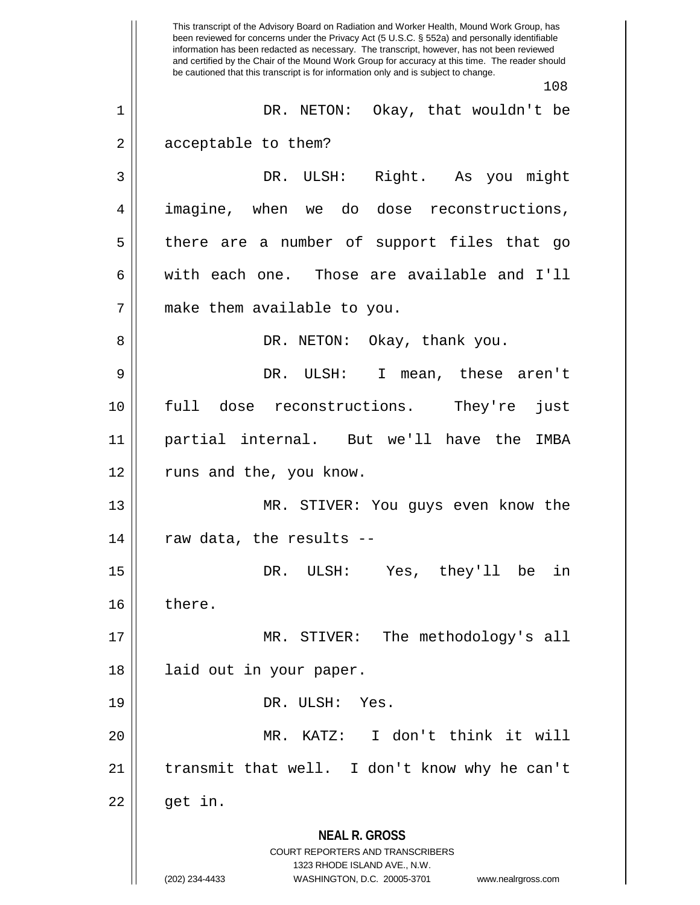**NEAL R. GROSS** COURT REPORTERS AND TRANSCRIBERS 1323 RHODE ISLAND AVE., N.W. (202) 234-4433 WASHINGTON, D.C. 20005-3701 www.nealrgross.com This transcript of the Advisory Board on Radiation and Worker Health, Mound Work Group, has been reviewed for concerns under the Privacy Act (5 U.S.C. § 552a) and personally identifiable information has been redacted as necessary. The transcript, however, has not been reviewed and certified by the Chair of the Mound Work Group for accuracy at this time. The reader should be cautioned that this transcript is for information only and is subject to change. 108 1 DR. NETON: Okay, that wouldn't be 2 | acceptable to them? 3 DR. ULSH: Right. As you might 4 imagine, when we do dose reconstructions, 5 || there are a number of support files that go 6  $\parallel$  with each one. Those are available and I'll 7 make them available to you. 8 DR. NETON: Okay, thank you. 9 DR. ULSH: I mean, these aren't 10 full dose reconstructions. They're just 11 partial internal. But we'll have the IMBA 12 || runs and the, you know. 13 MR. STIVER: You guys even know the  $14$  || raw data, the results --15 DR. ULSH: Yes, they'll be in 16 | there. 17 || MR. STIVER: The methodology's all 18 || laid out in your paper. 19 DR. ULSH: Yes. 20 MR. KATZ: I don't think it will 21 || transmit that well. I don't know why he can't  $22 \parallel$  get in.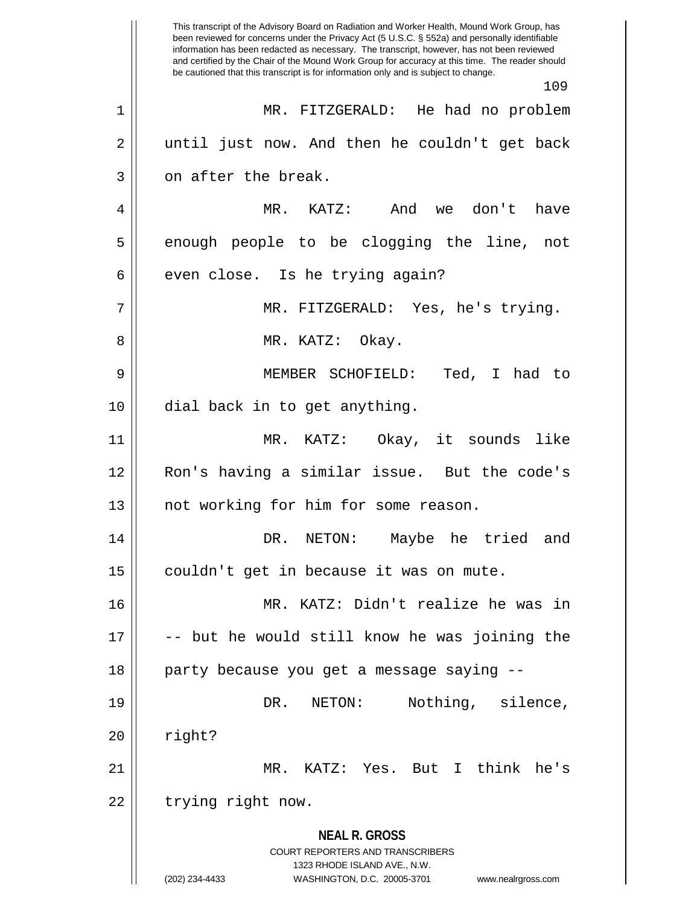**NEAL R. GROSS** COURT REPORTERS AND TRANSCRIBERS 1323 RHODE ISLAND AVE., N.W. (202) 234-4433 WASHINGTON, D.C. 20005-3701 www.nealrgross.com This transcript of the Advisory Board on Radiation and Worker Health, Mound Work Group, has been reviewed for concerns under the Privacy Act (5 U.S.C. § 552a) and personally identifiable information has been redacted as necessary. The transcript, however, has not been reviewed and certified by the Chair of the Mound Work Group for accuracy at this time. The reader should be cautioned that this transcript is for information only and is subject to change. 109 1 MR. FITZGERALD: He had no problem 2 || until just now. And then he couldn't get back  $3 \parallel$  on after the break. 4 MR. KATZ: And we don't have 5 || enough people to be clogging the line, not  $6 \parallel$  even close. Is he trying again? 7 MR. FITZGERALD: Yes, he's trying. 8 MR. KATZ: Okay. 9 MEMBER SCHOFIELD: Ted, I had to 10 dial back in to get anything. 11 MR. KATZ: Okay, it sounds like 12 Ron's having a similar issue. But the code's 13 || not working for him for some reason. 14 DR. NETON: Maybe he tried and 15 | couldn't get in because it was on mute. 16 MR. KATZ: Didn't realize he was in 17 -- but he would still know he was joining the 18 || party because you get a message saying --19 || DR. NETON: Nothing, silence,  $20$   $\parallel$  right? 21 MR. KATZ: Yes. But I think he's 22 | trying right now.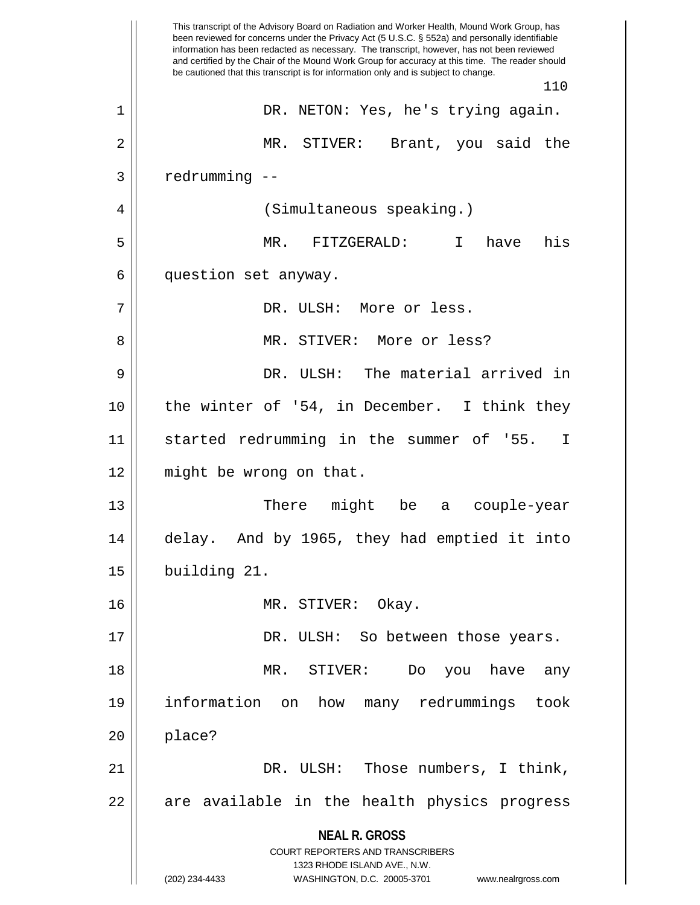**NEAL R. GROSS** COURT REPORTERS AND TRANSCRIBERS 1323 RHODE ISLAND AVE., N.W. (202) 234-4433 WASHINGTON, D.C. 20005-3701 www.nealrgross.com This transcript of the Advisory Board on Radiation and Worker Health, Mound Work Group, has been reviewed for concerns under the Privacy Act (5 U.S.C. § 552a) and personally identifiable information has been redacted as necessary. The transcript, however, has not been reviewed and certified by the Chair of the Mound Work Group for accuracy at this time. The reader should be cautioned that this transcript is for information only and is subject to change. 110 1 DR. NETON: Yes, he's trying again. 2 MR. STIVER: Brant, you said the  $3$  |  $redrumming -$ 4 | (Simultaneous speaking.) 5 MR. FITZGERALD: I have his 6 | question set anyway. 7 DR. ULSH: More or less. 8 MR. STIVER: More or less? 9 DR. ULSH: The material arrived in 10 the winter of '54, in December. I think they 11 || started redrumming in the summer of '55. I 12 || might be wrong on that. 13 There might be a couple-year 14 delay. And by 1965, they had emptied it into 15 building 21. 16 MR. STIVER: Okay. 17 DR. ULSH: So between those years. 18 MR. STIVER: Do you have any 19 information on how many redrummings took  $20$  | place? 21 DR. ULSH: Those numbers, I think, 22 || are available in the health physics progress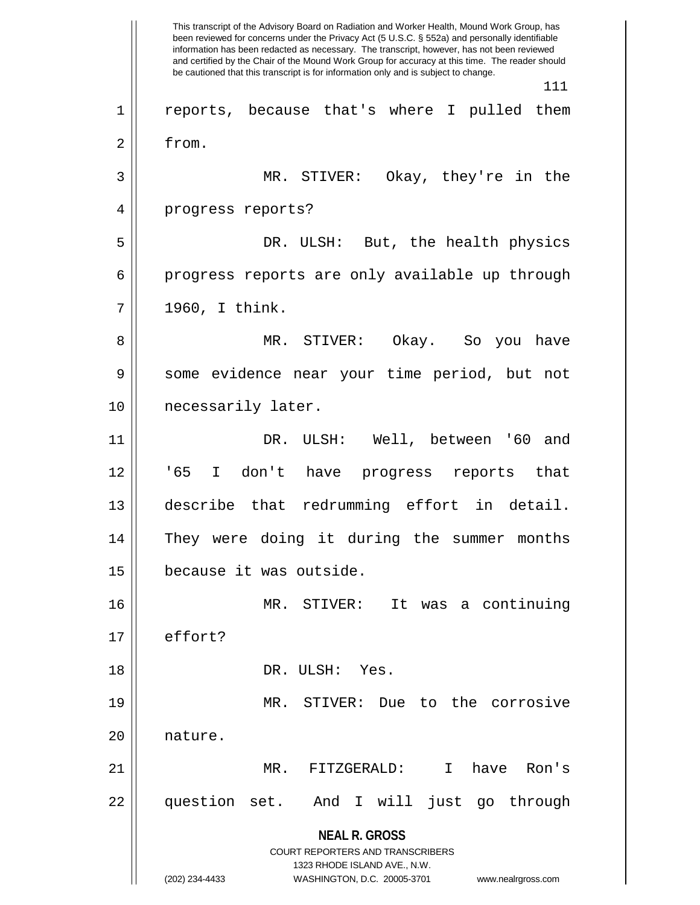**NEAL R. GROSS** COURT REPORTERS AND TRANSCRIBERS 1323 RHODE ISLAND AVE., N.W. (202) 234-4433 WASHINGTON, D.C. 20005-3701 www.nealrgross.com This transcript of the Advisory Board on Radiation and Worker Health, Mound Work Group, has been reviewed for concerns under the Privacy Act (5 U.S.C. § 552a) and personally identifiable information has been redacted as necessary. The transcript, however, has not been reviewed and certified by the Chair of the Mound Work Group for accuracy at this time. The reader should be cautioned that this transcript is for information only and is subject to change. 111 1 || reports, because that's where I pulled them 2 from. 3 MR. STIVER: Okay, they're in the 4 || progress reports? 5 DR. ULSH: But, the health physics 6 progress reports are only available up through  $7 || 1960, I think.$ 8 MR. STIVER: Okay. So you have 9 || some evidence near your time period, but not 10 || necessarily later. 11 DR. ULSH: Well, between '60 and 12 '65 I don't have progress reports that 13 describe that redrumming effort in detail. 14 They were doing it during the summer months 15 because it was outside. 16 MR. STIVER: It was a continuing 17 effort? 18 DR. ULSH: Yes. 19 MR. STIVER: Due to the corrosive 20 | nature. 21 MR. FITZGERALD: I have Ron's 22 question set. And I will just go through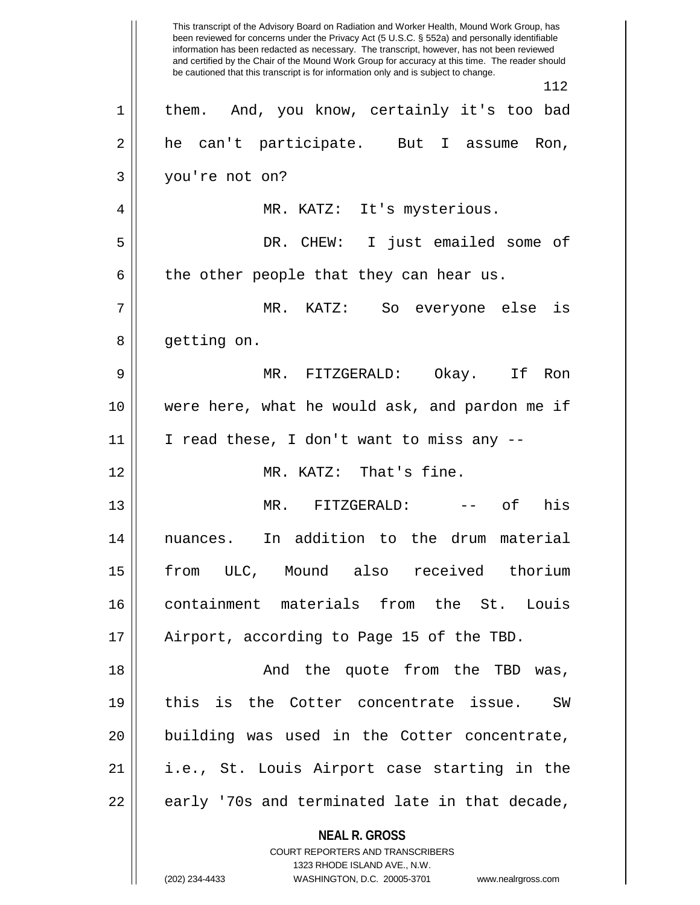**NEAL R. GROSS** COURT REPORTERS AND TRANSCRIBERS 1323 RHODE ISLAND AVE., N.W. This transcript of the Advisory Board on Radiation and Worker Health, Mound Work Group, has been reviewed for concerns under the Privacy Act (5 U.S.C. § 552a) and personally identifiable information has been redacted as necessary. The transcript, however, has not been reviewed and certified by the Chair of the Mound Work Group for accuracy at this time. The reader should be cautioned that this transcript is for information only and is subject to change. 112 1 || them. And, you know, certainly it's too bad 2 he can't participate. But I assume Ron, 3 you're not on? 4 MR. KATZ: It's mysterious. 5 DR. CHEW: I just emailed some of  $6 \parallel$  the other people that they can hear us. 7 MR. KATZ: So everyone else is 8 || getting on. 9 MR. FITZGERALD: Okay. If Ron 10 were here, what he would ask, and pardon me if  $11$  | I read these, I don't want to miss any  $-$ 12 MR. KATZ: That's fine. 13 MR. FITZGERALD: -- of his 14 nuances. In addition to the drum material 15 from ULC, Mound also received thorium 16 containment materials from the St. Louis 17 || Airport, according to Page 15 of the TBD. 18 And the quote from the TBD was, 19 || this is the Cotter concentrate issue. SW 20 || building was used in the Cotter concentrate, 21 i.e., St. Louis Airport case starting in the  $22$  || early '70s and terminated late in that decade,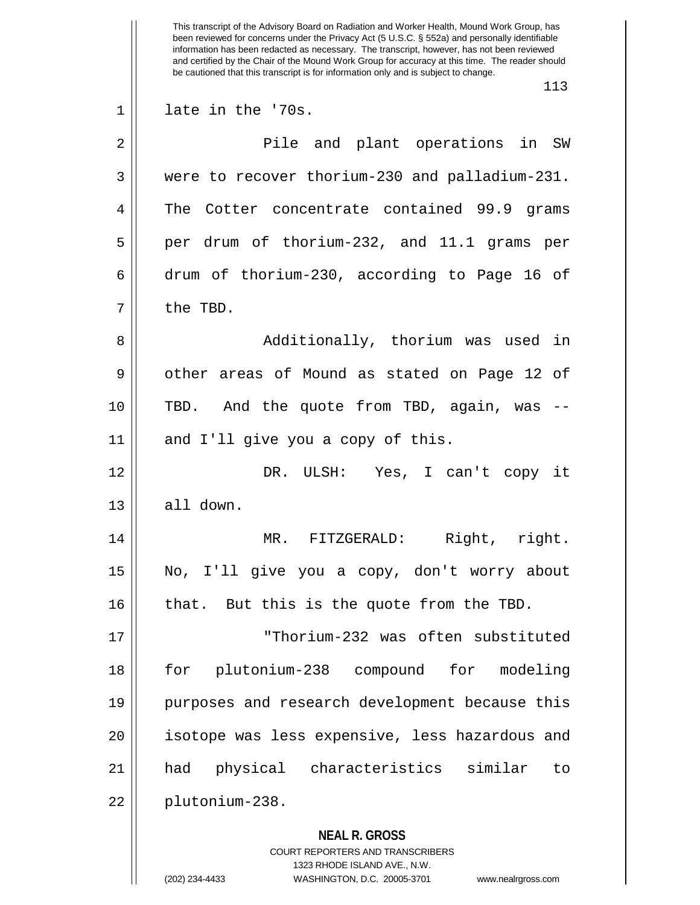**NEAL R. GROSS** COURT REPORTERS AND TRANSCRIBERS 1323 RHODE ISLAND AVE., N.W. This transcript of the Advisory Board on Radiation and Worker Health, Mound Work Group, has been reviewed for concerns under the Privacy Act (5 U.S.C. § 552a) and personally identifiable information has been redacted as necessary. The transcript, however, has not been reviewed and certified by the Chair of the Mound Work Group for accuracy at this time. The reader should be cautioned that this transcript is for information only and is subject to change. 113 1 late in the '70s. 2 Pile and plant operations in SW 3 were to recover thorium-230 and palladium-231. 4 The Cotter concentrate contained 99.9 grams  $5 \parallel$  per drum of thorium-232, and 11.1 grams per 6 drum of thorium-230, according to Page 16 of 7 l the TBD. 8 Additionally, thorium was used in 9 || other areas of Mound as stated on Page 12 of 10 || TBD. And the quote from TBD, again, was -- $11$  and I'll give you a copy of this. 12 DR. ULSH: Yes, I can't copy it  $13 \parallel$  all down. 14 MR. FITZGERALD: Right, right. 15 No, I'll give you a copy, don't worry about  $16$  | that. But this is the quote from the TBD. 17 "Thorium-232 was often substituted 18 for plutonium-238 compound for modeling 19 purposes and research development because this 20 || isotope was less expensive, less hazardous and 21 had physical characteristics similar to 22 plutonium-238.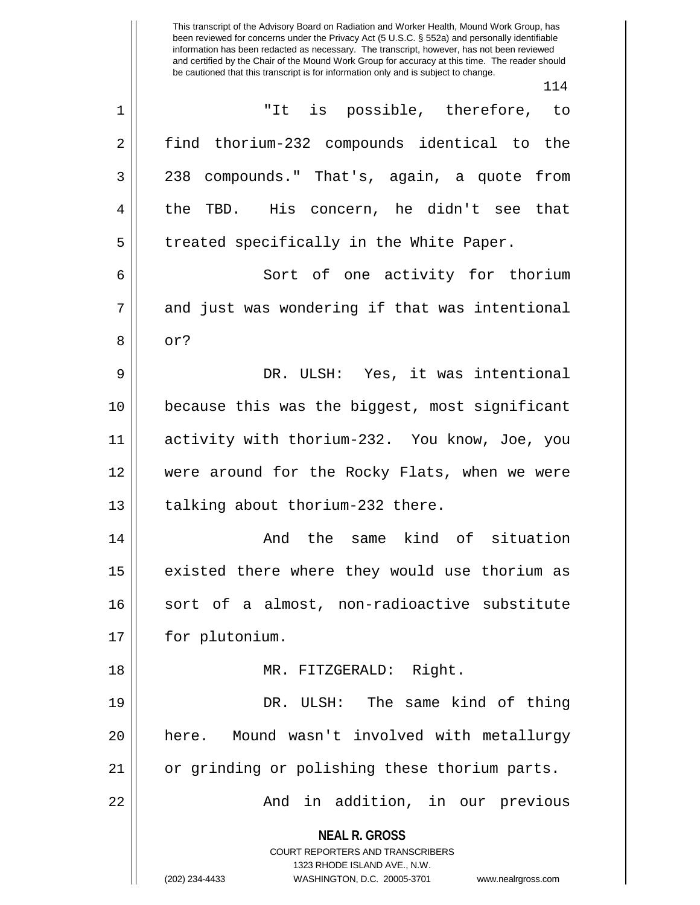This transcript of the Advisory Board on Radiation and Worker Health, Mound Work Group, has been reviewed for concerns under the Privacy Act (5 U.S.C. § 552a) and personally identifiable information has been redacted as necessary. The transcript, however, has not been reviewed and certified by the Chair of the Mound Work Group for accuracy at this time. The reader should be cautioned that this transcript is for information only and is subject to change. 114 1 "It is possible, therefore, to

**NEAL R. GROSS** COURT REPORTERS AND TRANSCRIBERS 1323 RHODE ISLAND AVE., N.W. (202) 234-4433 WASHINGTON, D.C. 20005-3701 www.nealrgross.com 2 || find thorium-232 compounds identical to the 3 238 compounds." That's, again, a quote from 4 the TBD. His concern, he didn't see that 5 || treated specifically in the White Paper. 6 || Sort of one activity for thorium  $7 \parallel$  and just was wondering if that was intentional  $8 \parallel \text{ or }?$ 9 DR. ULSH: Yes, it was intentional 10 because this was the biggest, most significant 11 activity with thorium-232. You know, Joe, you 12 were around for the Rocky Flats, when we were 13 || talking about thorium-232 there. 14 || The Same kind of situation  $15$  existed there where they would use thorium as 16 || sort of a almost, non-radioactive substitute 17 | for plutonium. 18 || MR. FITZGERALD: Right. 19 DR. ULSH: The same kind of thing 20 here. Mound wasn't involved with metallurgy 21 || or grinding or polishing these thorium parts. 22 And in addition, in our previous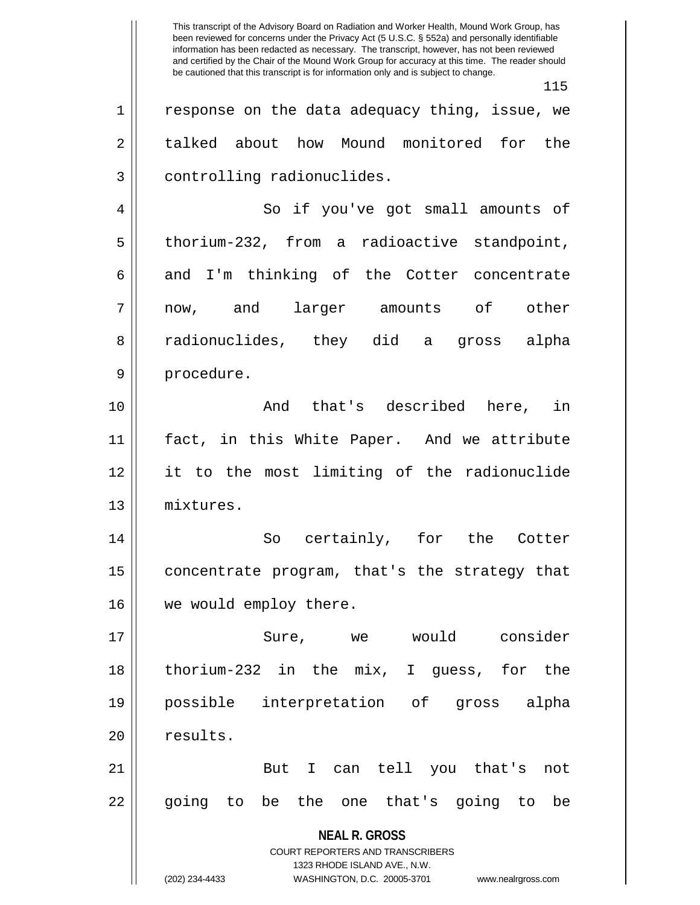**NEAL R. GROSS** COURT REPORTERS AND TRANSCRIBERS 1323 RHODE ISLAND AVE., N.W. (202) 234-4433 WASHINGTON, D.C. 20005-3701 www.nealrgross.com This transcript of the Advisory Board on Radiation and Worker Health, Mound Work Group, has been reviewed for concerns under the Privacy Act (5 U.S.C. § 552a) and personally identifiable information has been redacted as necessary. The transcript, however, has not been reviewed and certified by the Chair of the Mound Work Group for accuracy at this time. The reader should be cautioned that this transcript is for information only and is subject to change. 115  $1 \parallel$  response on the data adequacy thing, issue, we 2 talked about how Mound monitored for the 3 | controlling radionuclides. 4 || So if you've got small amounts of 5 || thorium-232, from a radioactive standpoint,  $6 \parallel$  and I'm thinking of the Cotter concentrate 7 now, and larger amounts of other 8 radionuclides, they did a gross alpha 9 || procedure. 10 And that's described here, in 11 fact, in this White Paper. And we attribute 12 it to the most limiting of the radionuclide 13 mixtures. 14 || So certainly, for the Cotter 15 | concentrate program, that's the strategy that 16 | we would employ there. 17 Sure, we would consider 18 thorium-232 in the mix, I guess, for the 19 possible interpretation of gross alpha 20 | results. 21 || But I can tell you that's not 22 || going to be the one that's going to be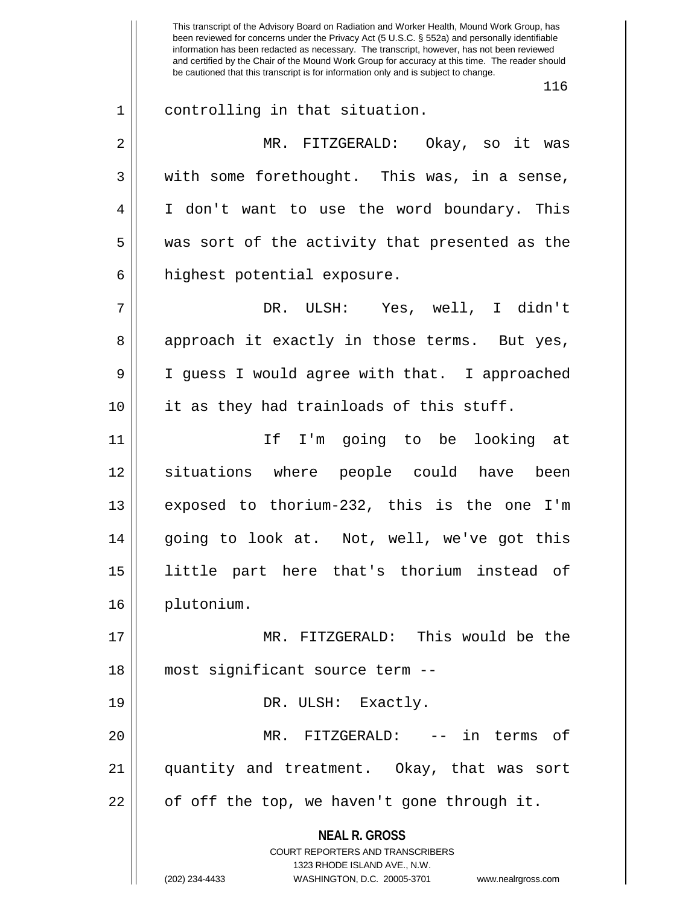**NEAL R. GROSS** COURT REPORTERS AND TRANSCRIBERS 1323 RHODE ISLAND AVE., N.W. This transcript of the Advisory Board on Radiation and Worker Health, Mound Work Group, has been reviewed for concerns under the Privacy Act (5 U.S.C. § 552a) and personally identifiable information has been redacted as necessary. The transcript, however, has not been reviewed and certified by the Chair of the Mound Work Group for accuracy at this time. The reader should be cautioned that this transcript is for information only and is subject to change. 116 1 controlling in that situation. 2 MR. FITZGERALD: Okay, so it was  $3 \parallel$  with some forethought. This was, in a sense, 4 I don't want to use the word boundary. This 5 || was sort of the activity that presented as the 6 | highest potential exposure. 7 DR. ULSH: Yes, well, I didn't 8 approach it exactly in those terms. But yes, 9 I guess I would agree with that. I approached 10 || it as they had trainloads of this stuff. 11 If I'm going to be looking at 12 situations where people could have been 13 exposed to thorium-232, this is the one I'm 14 going to look at. Not, well, we've got this 15 little part here that's thorium instead of 16 plutonium. 17 MR. FITZGERALD: This would be the 18 most significant source term -- 19 || DR. ULSH: Exactly. 20 MR. FITZGERALD: -- in terms of 21 quantity and treatment. Okay, that was sort  $22$  | of off the top, we haven't gone through it.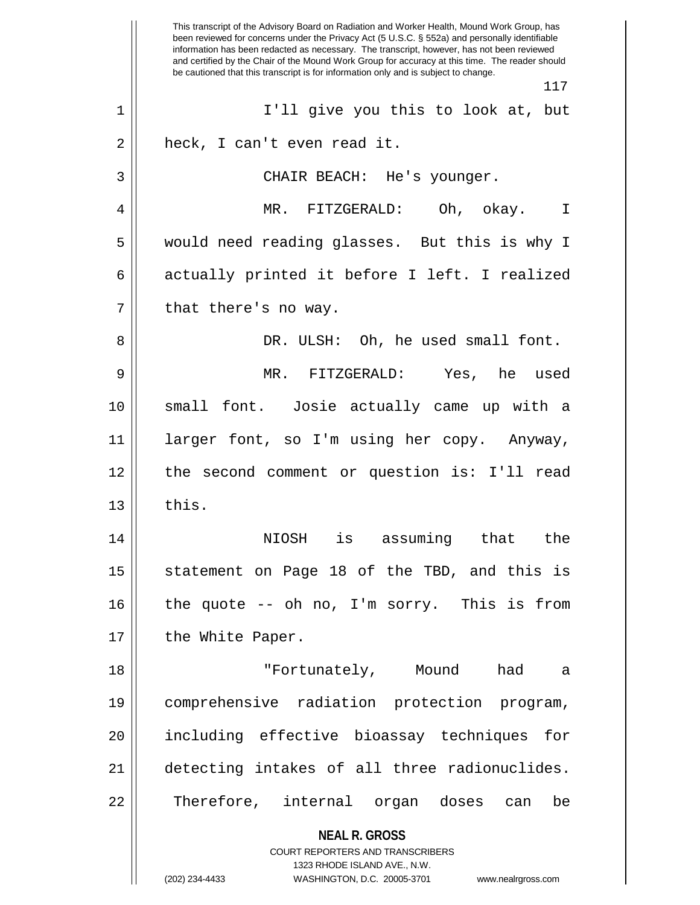**NEAL R. GROSS** COURT REPORTERS AND TRANSCRIBERS 1323 RHODE ISLAND AVE., N.W. (202) 234-4433 WASHINGTON, D.C. 20005-3701 www.nealrgross.com This transcript of the Advisory Board on Radiation and Worker Health, Mound Work Group, has been reviewed for concerns under the Privacy Act (5 U.S.C. § 552a) and personally identifiable information has been redacted as necessary. The transcript, however, has not been reviewed and certified by the Chair of the Mound Work Group for accuracy at this time. The reader should be cautioned that this transcript is for information only and is subject to change. 117 1 || I'll give you this to look at, but  $2 \parallel$  heck, I can't even read it. 3 || CHAIR BEACH: He's younger. 4 MR. FITZGERALD: Oh, okay. I 5 would need reading glasses. But this is why I 6 actually printed it before I left. I realized  $7$  | that there's no way. 8 DR. ULSH: Oh, he used small font. 9 MR. FITZGERALD: Yes, he used 10 small font. Josie actually came up with a 11 larger font, so I'm using her copy. Anyway, 12 the second comment or question is: I'll read  $13 \parallel$  this. 14 NIOSH is assuming that the 15 || statement on Page 18 of the TBD, and this is 16 the quote -- oh no, I'm sorry. This is from 17 || the White Paper. 18 "Fortunately, Mound had a 19 comprehensive radiation protection program, 20 including effective bioassay techniques for 21 detecting intakes of all three radionuclides. 22 || Therefore, internal organ doses can be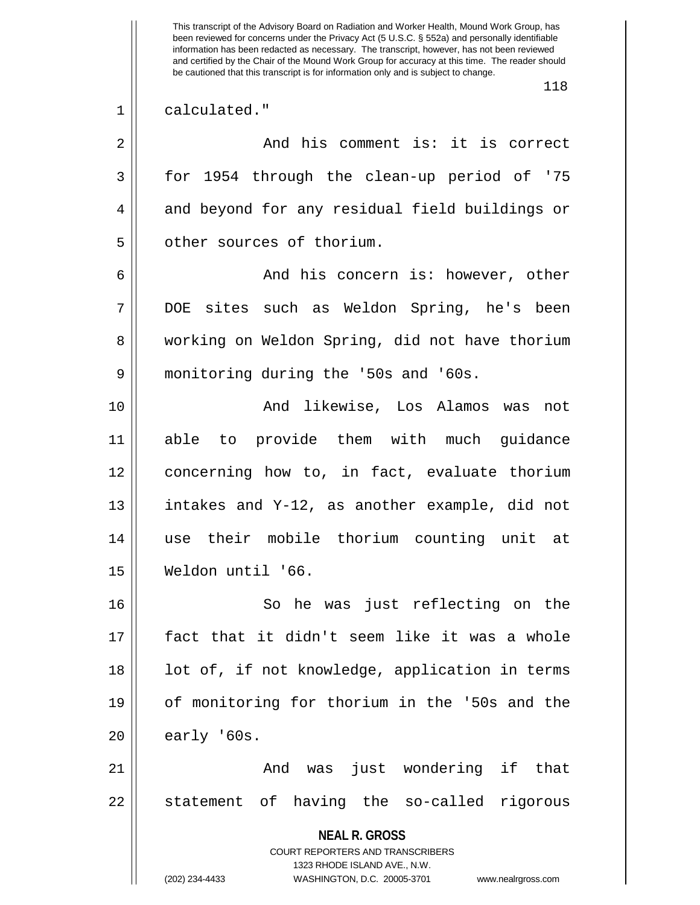**NEAL R. GROSS** COURT REPORTERS AND TRANSCRIBERS 1323 RHODE ISLAND AVE., N.W. This transcript of the Advisory Board on Radiation and Worker Health, Mound Work Group, has been reviewed for concerns under the Privacy Act (5 U.S.C. § 552a) and personally identifiable information has been redacted as necessary. The transcript, however, has not been reviewed and certified by the Chair of the Mound Work Group for accuracy at this time. The reader should be cautioned that this transcript is for information only and is subject to change. 118 1 calculated." 2 And his comment is: it is correct 3 for 1954 through the clean-up period of '75 4 || and beyond for any residual field buildings or 5 | other sources of thorium. 6 And his concern is: however, other 7 DOE sites such as Weldon Spring, he's been 8 working on Weldon Spring, did not have thorium 9 monitoring during the '50s and '60s. 10 And likewise, Los Alamos was not 11 able to provide them with much guidance 12 concerning how to, in fact, evaluate thorium 13 || intakes and Y-12, as another example, did not 14 use their mobile thorium counting unit at 15 Weldon until '66. 16 So he was just reflecting on the 17 fact that it didn't seem like it was a whole 18 || lot of, if not knowledge, application in terms 19 of monitoring for thorium in the '50s and the  $20$  || early '60s. 21 And was just wondering if that 22 || statement of having the so-called rigorous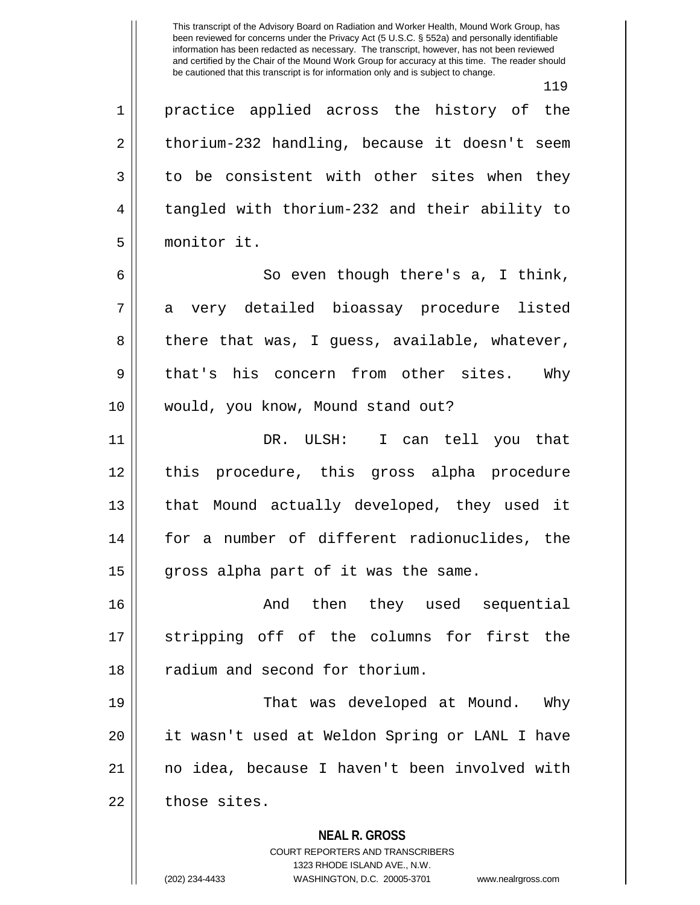This transcript of the Advisory Board on Radiation and Worker Health, Mound Work Group, has been reviewed for concerns under the Privacy Act (5 U.S.C. § 552a) and personally identifiable information has been redacted as necessary. The transcript, however, has not been reviewed and certified by the Chair of the Mound Work Group for accuracy at this time. The reader should be cautioned that this transcript is for information only and is subject to change.

119 1 || practice applied across the history of the  $2 \parallel$  thorium-232 handling, because it doesn't seem  $3 \parallel$  to be consistent with other sites when they 4 tangled with thorium-232 and their ability to 5 monitor it.  $6 \parallel$  So even though there's a, I think, 7 a very detailed bioassay procedure listed  $8 \parallel$  there that was, I guess, available, whatever, 9 || that's his concern from other sites. Why 10 would, you know, Mound stand out? 11 DR. ULSH: I can tell you that 12 this procedure, this gross alpha procedure 13 || that Mound actually developed, they used it 14 for a number of different radionuclides, the  $15$  || gross alpha part of it was the same. 16 And then they used sequential 17 stripping off of the columns for first the 18 || radium and second for thorium. 19 That was developed at Mound. Why 20 it wasn't used at Weldon Spring or LANL I have 21 no idea, because I haven't been involved with  $22$   $\parallel$  those sites.

> **NEAL R. GROSS** COURT REPORTERS AND TRANSCRIBERS

> > 1323 RHODE ISLAND AVE., N.W.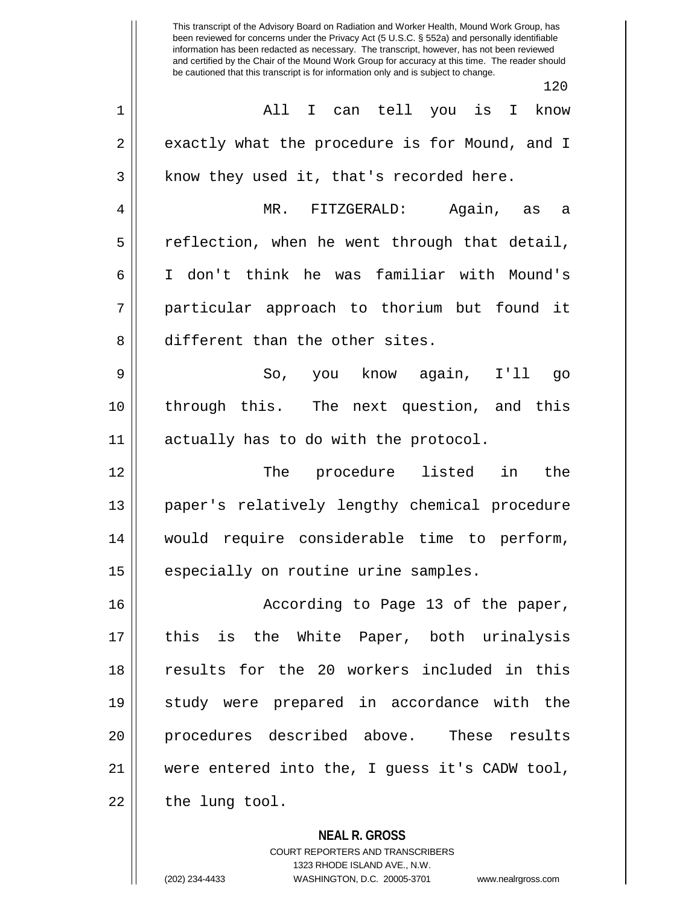This transcript of the Advisory Board on Radiation and Worker Health, Mound Work Group, has been reviewed for concerns under the Privacy Act (5 U.S.C. § 552a) and personally identifiable information has been redacted as necessary. The transcript, however, has not been reviewed and certified by the Chair of the Mound Work Group for accuracy at this time. The reader should be cautioned that this transcript is for information only and is subject to change. 120 1 All I can tell you is I know 2 exactly what the procedure is for Mound, and I  $3 \parallel$  know they used it, that's recorded here. 4 MR. FITZGERALD: Again, as a  $5 \parallel$  reflection, when he went through that detail, 6 I don't think he was familiar with Mound's 7 particular approach to thorium but found it 8 different than the other sites. 9 So, you know again, I'll go 10 || through this. The next question, and this 11 || actually has to do with the protocol. 12 The procedure listed in the 13 paper's relatively lengthy chemical procedure 14 would require considerable time to perform, 15 | especially on routine urine samples. 16 according to Page 13 of the paper, 17 this is the White Paper, both urinalysis 18 results for the 20 workers included in this 19 study were prepared in accordance with the 20 procedures described above. These results 21 || were entered into the, I quess it's CADW tool,  $22$  || the lung tool.

> **NEAL R. GROSS** COURT REPORTERS AND TRANSCRIBERS 1323 RHODE ISLAND AVE., N.W. (202) 234-4433 WASHINGTON, D.C. 20005-3701 www.nealrgross.com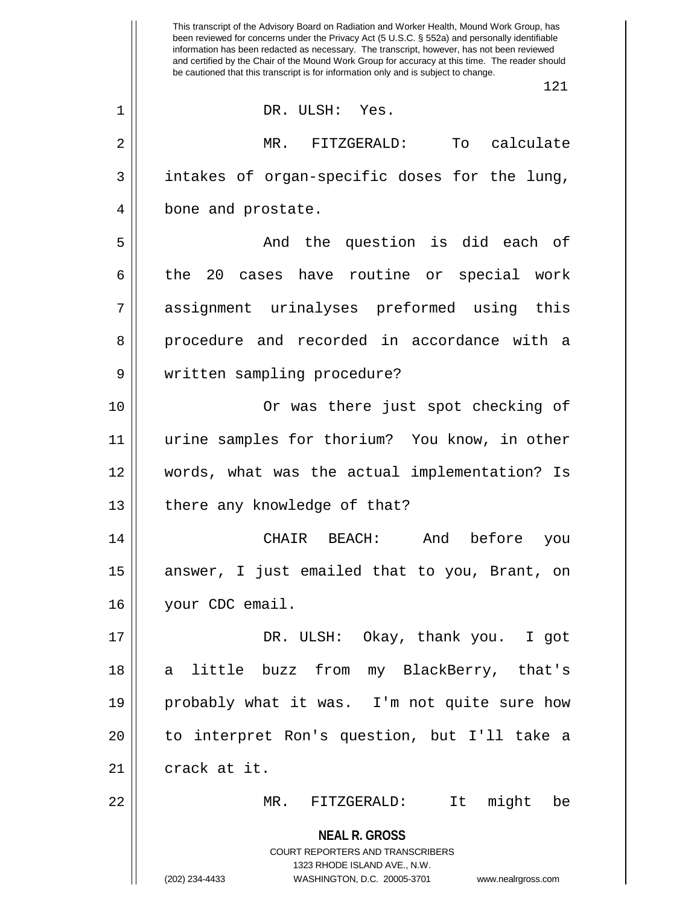**NEAL R. GROSS** COURT REPORTERS AND TRANSCRIBERS 1323 RHODE ISLAND AVE., N.W. (202) 234-4433 WASHINGTON, D.C. 20005-3701 www.nealrgross.com This transcript of the Advisory Board on Radiation and Worker Health, Mound Work Group, has been reviewed for concerns under the Privacy Act (5 U.S.C. § 552a) and personally identifiable information has been redacted as necessary. The transcript, however, has not been reviewed and certified by the Chair of the Mound Work Group for accuracy at this time. The reader should be cautioned that this transcript is for information only and is subject to change. 121 1 DR. ULSH: Yes. 2 MR. FITZGERALD: To calculate  $3 \parallel$  intakes of organ-specific doses for the lung, 4 | bone and prostate. 5 And the question is did each of 6 the 20 cases have routine or special work 7 assignment urinalyses preformed using this 8 procedure and recorded in accordance with a 9 || written sampling procedure? 10 Or was there just spot checking of 11 urine samples for thorium? You know, in other 12 words, what was the actual implementation? Is 13 | there any knowledge of that? 14 CHAIR BEACH: And before you 15 || answer, I just emailed that to you, Brant, on 16 || your CDC email. 17 DR. ULSH: Okay, thank you. I got 18 a little buzz from my BlackBerry, that's 19 probably what it was. I'm not quite sure how 20 to interpret Ron's question, but I'll take a  $21$  | crack at it. 22 MR. FITZGERALD: It might be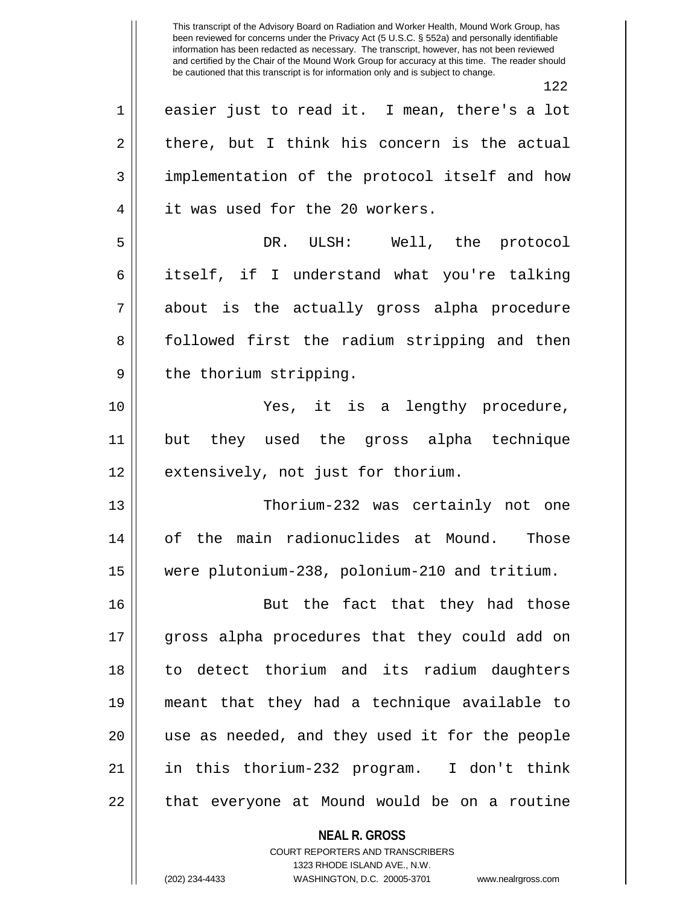**NEAL R. GROSS** This transcript of the Advisory Board on Radiation and Worker Health, Mound Work Group, has been reviewed for concerns under the Privacy Act (5 U.S.C. § 552a) and personally identifiable information has been redacted as necessary. The transcript, however, has not been reviewed and certified by the Chair of the Mound Work Group for accuracy at this time. The reader should be cautioned that this transcript is for information only and is subject to change. 122 1 || easier just to read it. I mean, there's a lot  $2 \parallel$  there, but I think his concern is the actual 3 implementation of the protocol itself and how 4 || it was used for the 20 workers. 5 || The protocol DR. ULSH: Well, the protocol 6 itself, if I understand what you're talking 7 about is the actually gross alpha procedure 8 || followed first the radium stripping and then 9 || the thorium stripping. 10 Yes, it is a lengthy procedure, 11 but they used the gross alpha technique 12 || extensively, not just for thorium. 13 || Thorium-232 was certainly not one 14 of the main radionuclides at Mound. Those 15 were plutonium-238, polonium-210 and tritium. 16 || But the fact that they had those 17 gross alpha procedures that they could add on 18 to detect thorium and its radium daughters 19 meant that they had a technique available to 20 use as needed, and they used it for the people 21 in this thorium-232 program. I don't think  $22$  || that everyone at Mound would be on a routine

> COURT REPORTERS AND TRANSCRIBERS 1323 RHODE ISLAND AVE., N.W.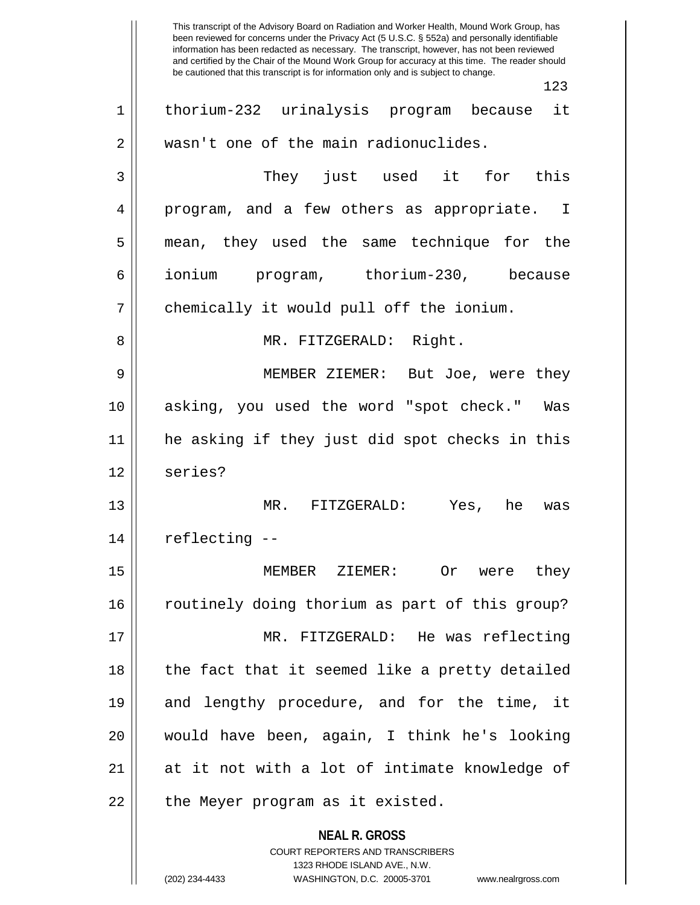**NEAL R. GROSS** COURT REPORTERS AND TRANSCRIBERS 1323 RHODE ISLAND AVE., N.W. This transcript of the Advisory Board on Radiation and Worker Health, Mound Work Group, has been reviewed for concerns under the Privacy Act (5 U.S.C. § 552a) and personally identifiable information has been redacted as necessary. The transcript, however, has not been reviewed and certified by the Chair of the Mound Work Group for accuracy at this time. The reader should be cautioned that this transcript is for information only and is subject to change. 123 1 thorium-232 urinalysis program because it 2 | wasn't one of the main radionuclides. 3 They just used it for this 4 || program, and a few others as appropriate. I 5 mean, they used the same technique for the 6 ionium program, thorium-230, because 7 | chemically it would pull off the ionium. 8 MR. FITZGERALD: Right. 9 MEMBER ZIEMER: But Joe, were they 10 asking, you used the word "spot check." Was 11 he asking if they just did spot checks in this 12 || series? 13 MR. FITZGERALD: Yes, he was 14 | reflecting --15 MEMBER ZIEMER: Or were they 16 || routinely doing thorium as part of this group? 17 MR. FITZGERALD: He was reflecting 18 || the fact that it seemed like a pretty detailed 19 and lengthy procedure, and for the time, it 20 would have been, again, I think he's looking 21 at it not with a lot of intimate knowledge of  $22$  || the Meyer program as it existed.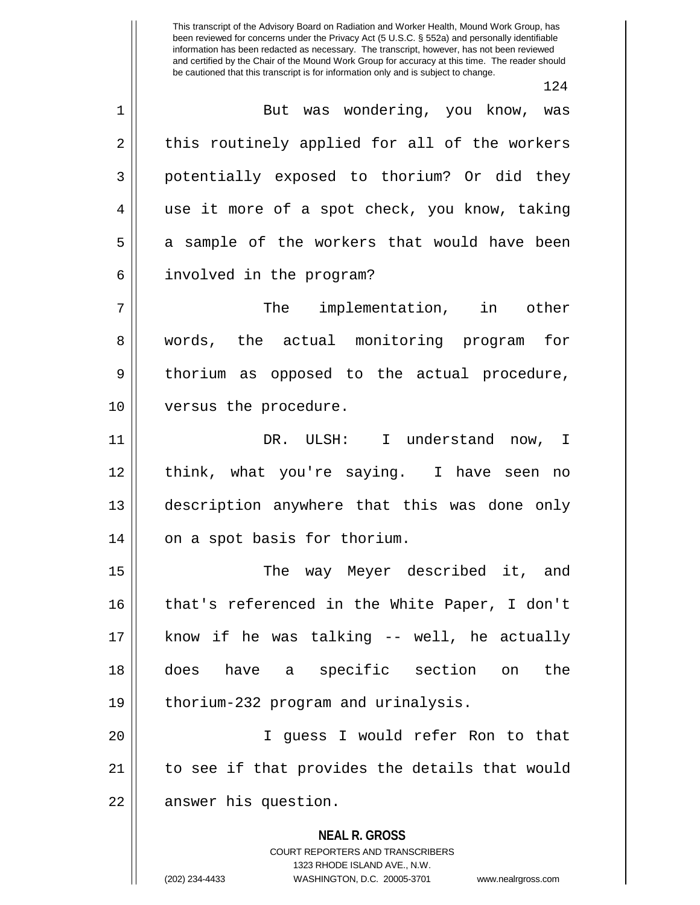This transcript of the Advisory Board on Radiation and Worker Health, Mound Work Group, has been reviewed for concerns under the Privacy Act (5 U.S.C. § 552a) and personally identifiable information has been redacted as necessary. The transcript, however, has not been reviewed and certified by the Chair of the Mound Work Group for accuracy at this time. The reader should be cautioned that this transcript is for information only and is subject to change.

124

**NEAL R. GROSS** COURT REPORTERS AND TRANSCRIBERS 1323 RHODE ISLAND AVE., N.W. 1 But was wondering, you know, was  $2 \parallel$  this routinely applied for all of the workers 3 || potentially exposed to thorium? Or did they 4 || use it more of a spot check, you know, taking 5 a sample of the workers that would have been 6 | involved in the program? 7 The implementation, in other 8 || words, the actual monitoring program for 9 || thorium as opposed to the actual procedure, 10 || versus the procedure. 11 DR. ULSH: I understand now, I 12 think, what you're saying. I have seen no 13 description anywhere that this was done only 14 | on a spot basis for thorium. 15 || The way Meyer described it, and 16 || that's referenced in the White Paper, I don't  $17$  || know if he was talking -- well, he actually 18 does have a specific section on the 19 || thorium-232 program and urinalysis. 20 I guess I would refer Ron to that 21 || to see if that provides the details that would 22 | answer his question.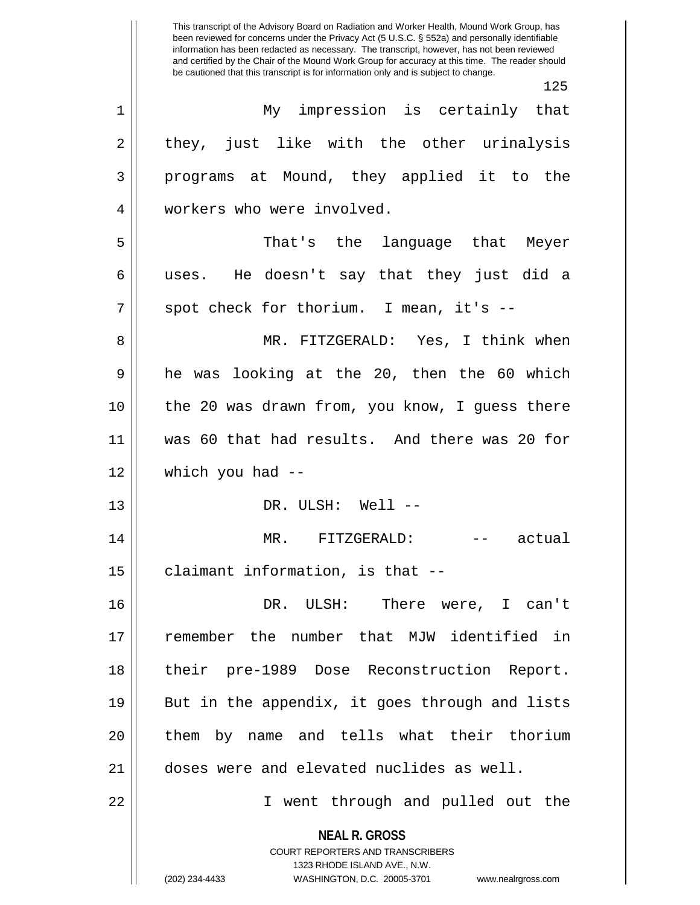This transcript of the Advisory Board on Radiation and Worker Health, Mound Work Group, has been reviewed for concerns under the Privacy Act (5 U.S.C. § 552a) and personally identifiable information has been redacted as necessary. The transcript, however, has not been reviewed and certified by the Chair of the Mound Work Group for accuracy at this time. The reader should be cautioned that this transcript is for information only and is subject to change. 125

| $\mathbf{1}$   | My impression is certainly that                                                                                                                                        |
|----------------|------------------------------------------------------------------------------------------------------------------------------------------------------------------------|
| $\overline{2}$ | they, just like with the other urinalysis                                                                                                                              |
| 3              | programs at Mound, they applied it to the                                                                                                                              |
| 4              | workers who were involved.                                                                                                                                             |
| 5              | That's the language that Meyer                                                                                                                                         |
| 6              | uses. He doesn't say that they just did a                                                                                                                              |
| 7              | spot check for thorium. I mean, it's --                                                                                                                                |
| 8              | MR. FITZGERALD: Yes, I think when                                                                                                                                      |
| 9              | he was looking at the 20, then the 60 which                                                                                                                            |
| 10             | the 20 was drawn from, you know, I guess there                                                                                                                         |
| 11             | was 60 that had results. And there was 20 for                                                                                                                          |
| 12             | which you had --                                                                                                                                                       |
| 13             | DR. ULSH: Well --                                                                                                                                                      |
| 14             | MR. FITZGERALD:<br>-- actual                                                                                                                                           |
| 15             | claimant information, is that --                                                                                                                                       |
| 16             | DR. ULSH: There were, I can't                                                                                                                                          |
| 17             | remember the number that MJW identified in                                                                                                                             |
| 18             | their pre-1989 Dose Reconstruction Report.                                                                                                                             |
| 19             | But in the appendix, it goes through and lists                                                                                                                         |
| 20             | them by name and tells what their thorium                                                                                                                              |
| 21             | doses were and elevated nuclides as well.                                                                                                                              |
| 22             | I went through and pulled out the                                                                                                                                      |
|                | <b>NEAL R. GROSS</b><br><b>COURT REPORTERS AND TRANSCRIBERS</b><br>1323 RHODE ISLAND AVE., N.W.<br>(202) 234-4433<br>WASHINGTON, D.C. 20005-3701<br>www.nealrgross.com |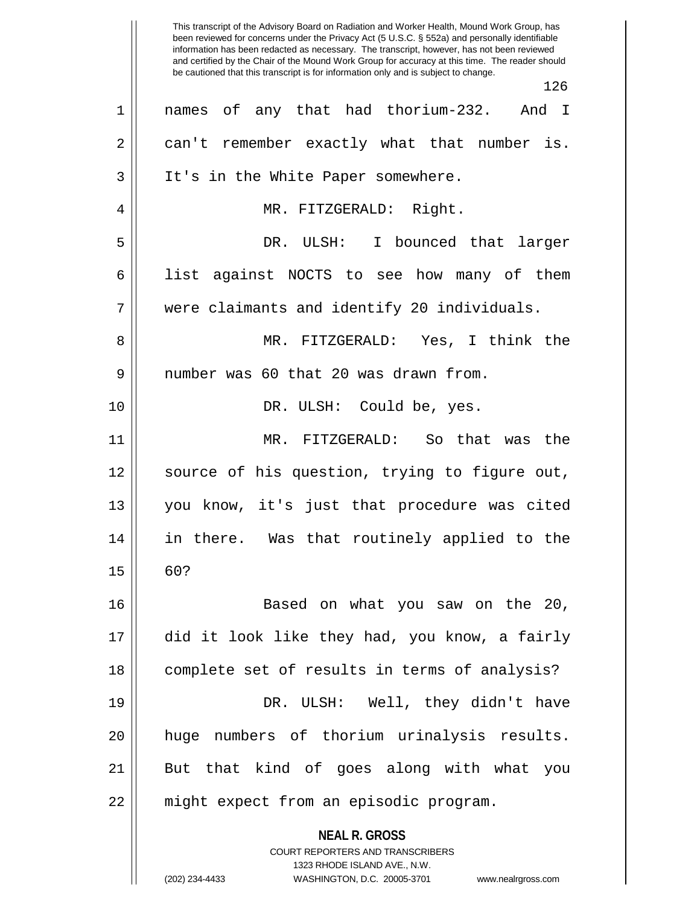**NEAL R. GROSS** COURT REPORTERS AND TRANSCRIBERS 1323 RHODE ISLAND AVE., N.W. This transcript of the Advisory Board on Radiation and Worker Health, Mound Work Group, has been reviewed for concerns under the Privacy Act (5 U.S.C. § 552a) and personally identifiable information has been redacted as necessary. The transcript, however, has not been reviewed and certified by the Chair of the Mound Work Group for accuracy at this time. The reader should be cautioned that this transcript is for information only and is subject to change. 126 1 names of any that had thorium-232. And I  $2 \parallel$  can't remember exactly what that number is. 3 || It's in the White Paper somewhere. 4 MR. FITZGERALD: Right. 5 DR. ULSH: I bounced that larger 6 || list against NOCTS to see how many of them 7 were claimants and identify 20 individuals. 8 MR. FITZGERALD: Yes, I think the 9 number was 60 that 20 was drawn from. 10 || DR. ULSH: Could be, yes. 11 MR. FITZGERALD: So that was the 12 || source of his question, trying to figure out, 13 you know, it's just that procedure was cited 14 in there. Was that routinely applied to the  $15 \parallel 60?$ 16 Based on what you saw on the 20, 17 did it look like they had, you know, a fairly 18 || complete set of results in terms of analysis? 19 DR. ULSH: Well, they didn't have 20 huge numbers of thorium urinalysis results. 21 But that kind of goes along with what you 22 || might expect from an episodic program.

<sup>(202) 234-4433</sup> WASHINGTON, D.C. 20005-3701 www.nealrgross.com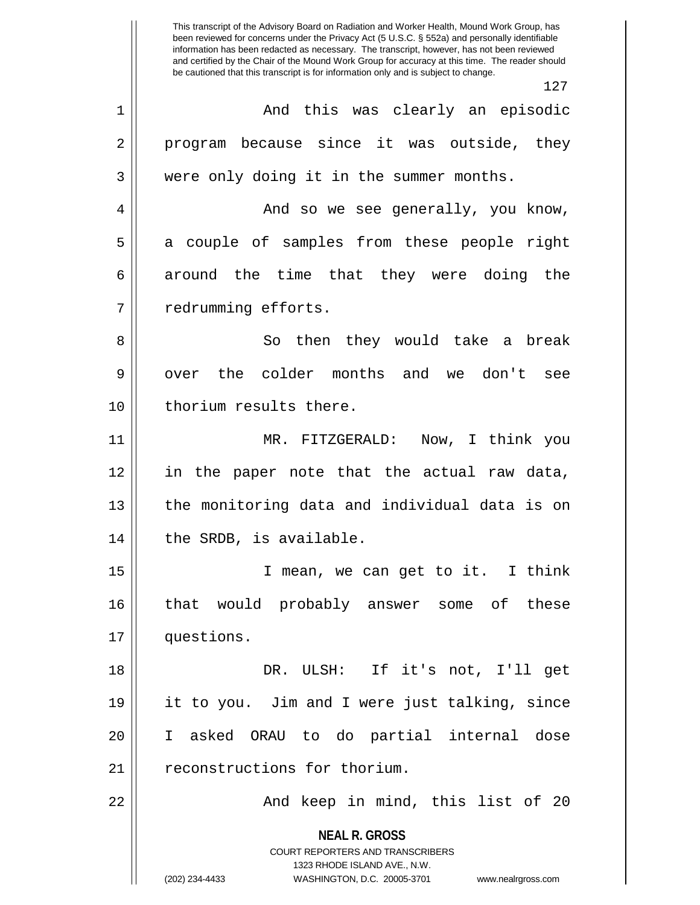**NEAL R. GROSS** COURT REPORTERS AND TRANSCRIBERS 1323 RHODE ISLAND AVE., N.W. (202) 234-4433 WASHINGTON, D.C. 20005-3701 www.nealrgross.com This transcript of the Advisory Board on Radiation and Worker Health, Mound Work Group, has been reviewed for concerns under the Privacy Act (5 U.S.C. § 552a) and personally identifiable information has been redacted as necessary. The transcript, however, has not been reviewed and certified by the Chair of the Mound Work Group for accuracy at this time. The reader should be cautioned that this transcript is for information only and is subject to change. 127 1 And this was clearly an episodic 2 || program because since it was outside, they 3 Were only doing it in the summer months. 4 And so we see generally, you know, 5 a couple of samples from these people right  $6 \parallel$  around the time that they were doing the 7 | redrumming efforts. 8 So then they would take a break 9 || over the colder months and we don't see 10 || thorium results there. 11 MR. FITZGERALD: Now, I think you 12 in the paper note that the actual raw data, 13 || the monitoring data and individual data is on 14 | the SRDB, is available. 15 || T mean, we can get to it. I think 16 that would probably answer some of these 17 questions. 18 DR. ULSH: If it's not, I'll get 19 it to you. Jim and I were just talking, since 20 I asked ORAU to do partial internal dose 21 | reconstructions for thorium. 22 And keep in mind, this list of 20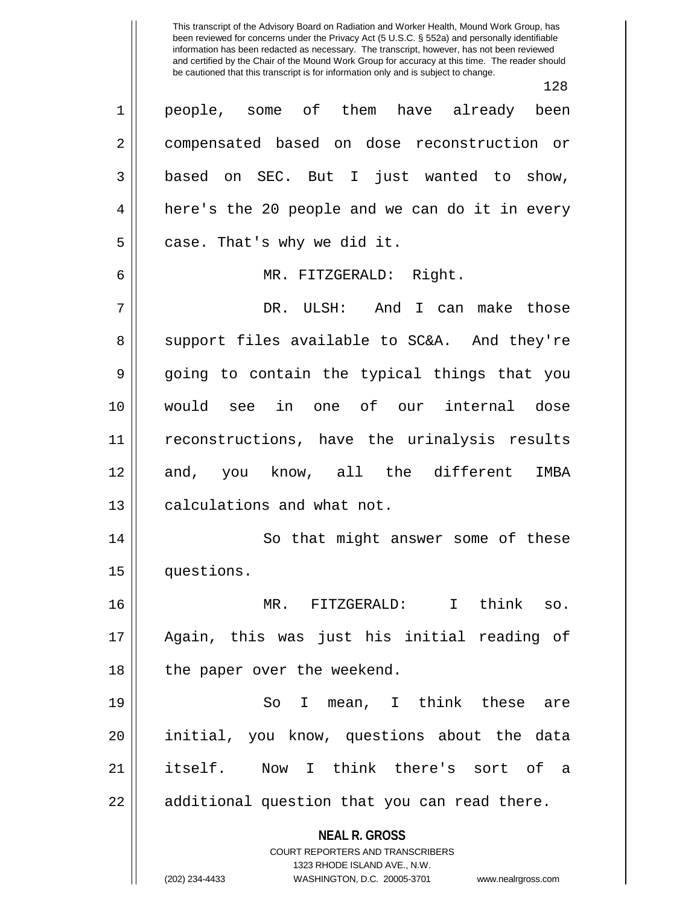This transcript of the Advisory Board on Radiation and Worker Health, Mound Work Group, has been reviewed for concerns under the Privacy Act (5 U.S.C. § 552a) and personally identifiable information has been redacted as necessary. The transcript, however, has not been reviewed and certified by the Chair of the Mound Work Group for accuracy at this time. The reader should be cautioned that this transcript is for information only and is subject to change.

**NEAL R. GROSS** COURT REPORTERS AND TRANSCRIBERS 1323 RHODE ISLAND AVE., N.W. 128 1 people, some of them have already been 2 | compensated based on dose reconstruction or 3 based on SEC. But I just wanted to show, 4 || here's the 20 people and we can do it in every  $5 \parallel$  case. That's why we did it. 6 MR. FITZGERALD: Right. 7 DR. ULSH: And I can make those 8 Support files available to SC&A. And they're 9 going to contain the typical things that you 10 would see in one of our internal dose 11 || reconstructions, have the urinalysis results 12 and, you know, all the different IMBA 13 **calculations and what not.** 14 || So that might answer some of these 15 questions. 16 MR. FITZGERALD: I think so. 17 Again, this was just his initial reading of 18 || the paper over the weekend. 19 So I mean, I think these are 20 initial, you know, questions about the data 21 itself. Now I think there's sort of a  $22 \parallel$  additional question that you can read there.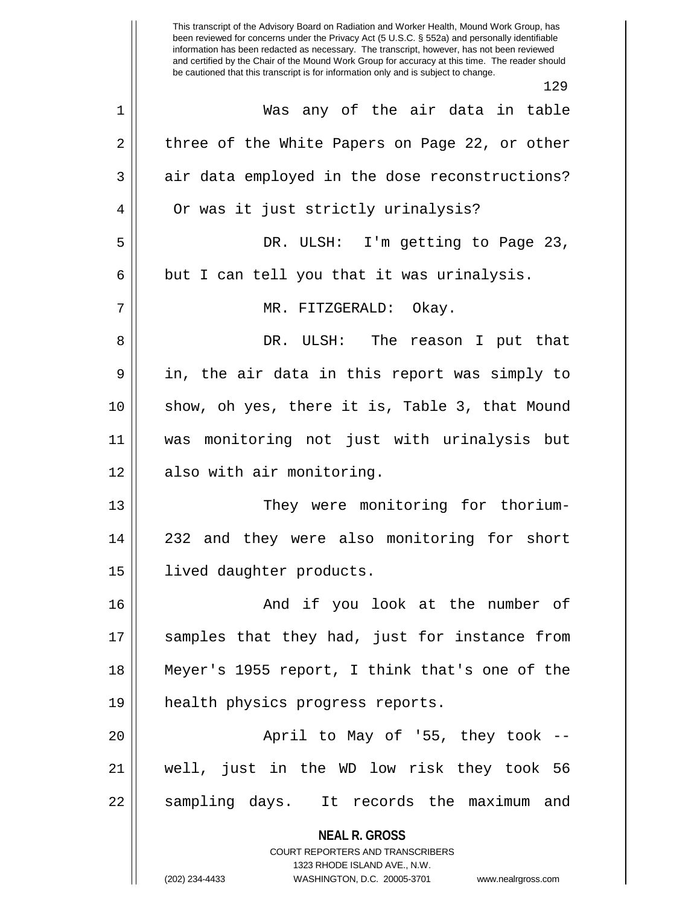**NEAL R. GROSS** COURT REPORTERS AND TRANSCRIBERS This transcript of the Advisory Board on Radiation and Worker Health, Mound Work Group, has been reviewed for concerns under the Privacy Act (5 U.S.C. § 552a) and personally identifiable information has been redacted as necessary. The transcript, however, has not been reviewed and certified by the Chair of the Mound Work Group for accuracy at this time. The reader should be cautioned that this transcript is for information only and is subject to change. 129 1 Was any of the air data in table 2 || three of the White Papers on Page 22, or other  $3 \parallel$  air data employed in the dose reconstructions? 4 || Or was it just strictly urinalysis? 5 DR. ULSH: I'm getting to Page 23,  $6 \parallel$  but I can tell you that it was urinalysis. 7 MR. FITZGERALD: Okay. 8 DR. ULSH: The reason I put that 9 || in, the air data in this report was simply to 10 show, oh yes, there it is, Table 3, that Mound 11 was monitoring not just with urinalysis but 12 || also with air monitoring. 13 || They were monitoring for thorium-14 232 and they were also monitoring for short 15 | lived daughter products. 16 And if you look at the number of 17 || samples that they had, just for instance from 18 Meyer's 1955 report, I think that's one of the 19 health physics progress reports. 20 || April to May of '55, they took --21 well, just in the WD low risk they took 56 22 || sampling days. It records the maximum and

1323 RHODE ISLAND AVE., N.W.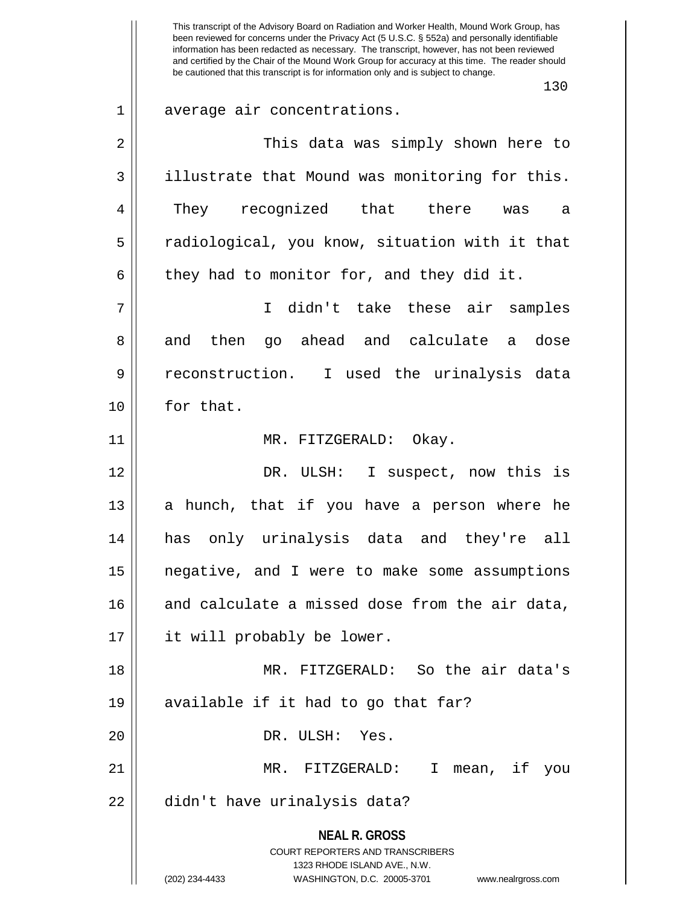**NEAL R. GROSS** COURT REPORTERS AND TRANSCRIBERS 1323 RHODE ISLAND AVE., N.W. (202) 234-4433 WASHINGTON, D.C. 20005-3701 www.nealrgross.com This transcript of the Advisory Board on Radiation and Worker Health, Mound Work Group, has been reviewed for concerns under the Privacy Act (5 U.S.C. § 552a) and personally identifiable information has been redacted as necessary. The transcript, however, has not been reviewed and certified by the Chair of the Mound Work Group for accuracy at this time. The reader should be cautioned that this transcript is for information only and is subject to change. 130 1 average air concentrations. 2 This data was simply shown here to 3 illustrate that Mound was monitoring for this. 4 They recognized that there was a 5 || radiological, you know, situation with it that  $6 \parallel$  they had to monitor for, and they did it. 7 I didn't take these air samples 8 and then go ahead and calculate a dose 9 || reconstruction. I used the urinalysis data 10 || for that. 11 || MR. FITZGERALD: Okay. 12 DR. ULSH: I suspect, now this is 13 || a hunch, that if you have a person where he 14 has only urinalysis data and they're all 15 negative, and I were to make some assumptions  $16$  and calculate a missed dose from the air data, 17 it will probably be lower. 18 MR. FITZGERALD: So the air data's 19  $\parallel$  available if it had to go that far? 20 DR. ULSH: Yes. 21 MR. FITZGERALD: I mean, if you 22 || didn't have urinalysis data?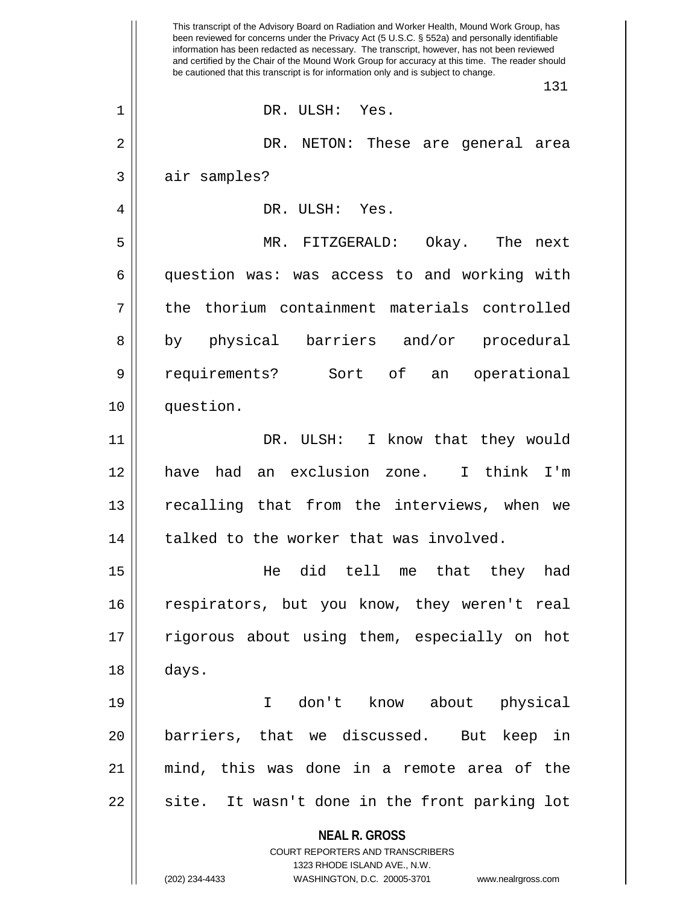**NEAL R. GROSS** COURT REPORTERS AND TRANSCRIBERS 1323 RHODE ISLAND AVE., N.W. (202) 234-4433 WASHINGTON, D.C. 20005-3701 www.nealrgross.com This transcript of the Advisory Board on Radiation and Worker Health, Mound Work Group, has been reviewed for concerns under the Privacy Act (5 U.S.C. § 552a) and personally identifiable information has been redacted as necessary. The transcript, however, has not been reviewed and certified by the Chair of the Mound Work Group for accuracy at this time. The reader should be cautioned that this transcript is for information only and is subject to change. 131 1 DR. ULSH: Yes. 2 DR. NETON: These are general area 3 || air samples? 4 DR. ULSH: Yes. 5 MR. FITZGERALD: Okay. The next 6 question was: was access to and working with 7 || the thorium containment materials controlled 8 by physical barriers and/or procedural 9 || requirements? Sort of an operational 10 question. 11 || DR. ULSH: I know that they would 12 have had an exclusion zone. I think I'm 13 || recalling that from the interviews, when we  $14$  | talked to the worker that was involved. 15 He did tell me that they had 16 || respirators, but you know, they weren't real 17 || rigorous about using them, especially on hot  $18 \parallel$  days. 19 I don't know about physical 20 barriers, that we discussed. But keep in 21 mind, this was done in a remote area of the 22 || site. It wasn't done in the front parking lot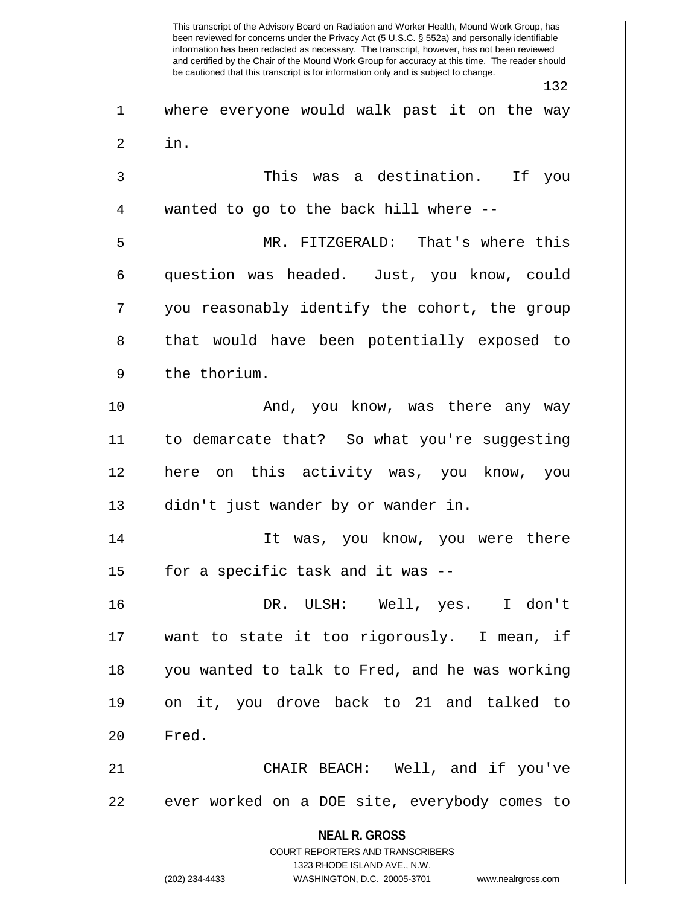**NEAL R. GROSS** COURT REPORTERS AND TRANSCRIBERS 1323 RHODE ISLAND AVE., N.W. (202) 234-4433 WASHINGTON, D.C. 20005-3701 www.nealrgross.com This transcript of the Advisory Board on Radiation and Worker Health, Mound Work Group, has been reviewed for concerns under the Privacy Act (5 U.S.C. § 552a) and personally identifiable information has been redacted as necessary. The transcript, however, has not been reviewed and certified by the Chair of the Mound Work Group for accuracy at this time. The reader should be cautioned that this transcript is for information only and is subject to change. 132 1 where everyone would walk past it on the way  $2 \parallel \quad \text{in.}$ 3 This was a destination. If you 4 || wanted to go to the back hill where --5 MR. FITZGERALD: That's where this 6 question was headed. Just, you know, could 7 || you reasonably identify the cohort, the group 8 || that would have been potentially exposed to 9 || the thorium. 10 And, you know, was there any way 11 to demarcate that? So what you're suggesting 12 here on this activity was, you know, you 13 || didn't just wander by or wander in. 14 It was, you know, you were there 15  $\parallel$  for a specific task and it was --16 DR. ULSH: Well, yes. I don't 17 want to state it too rigorously. I mean, if 18 you wanted to talk to Fred, and he was working 19 on it, you drove back to 21 and talked to 20 | Fred. 21 CHAIR BEACH: Well, and if you've 22 || ever worked on a DOE site, everybody comes to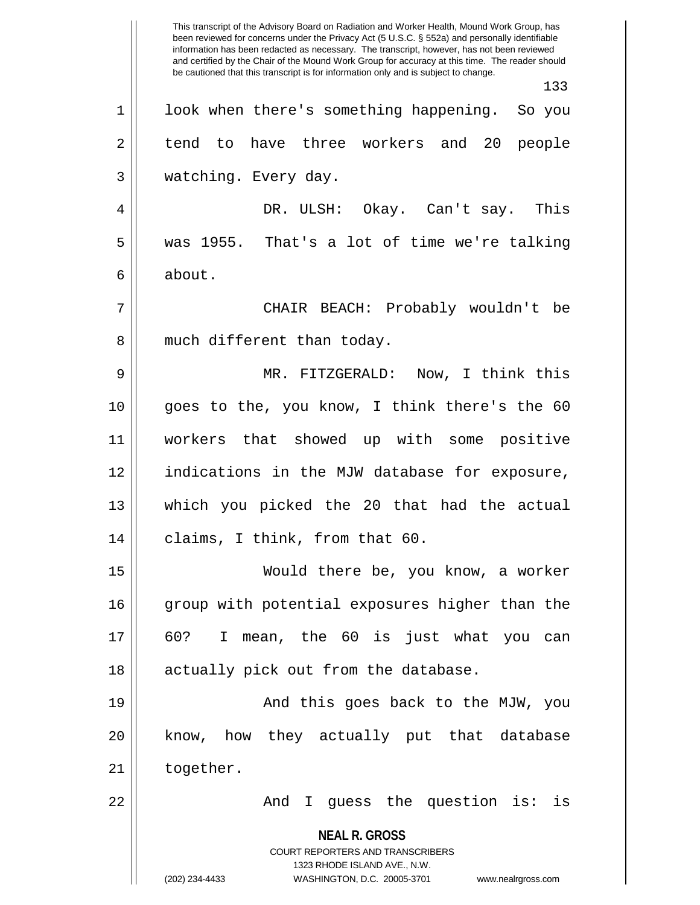**NEAL R. GROSS** COURT REPORTERS AND TRANSCRIBERS 1323 RHODE ISLAND AVE., N.W. (202) 234-4433 WASHINGTON, D.C. 20005-3701 www.nealrgross.com This transcript of the Advisory Board on Radiation and Worker Health, Mound Work Group, has been reviewed for concerns under the Privacy Act (5 U.S.C. § 552a) and personally identifiable information has been redacted as necessary. The transcript, however, has not been reviewed and certified by the Chair of the Mound Work Group for accuracy at this time. The reader should be cautioned that this transcript is for information only and is subject to change. 133 1 || look when there's something happening. So you 2 || tend to have three workers and 20 people 3 | watching. Every day. 4 DR. ULSH: Okay. Can't say. This 5 was 1955. That's a lot of time we're talking 6 about. 7 CHAIR BEACH: Probably wouldn't be 8 || much different than today. 9 MR. FITZGERALD: Now, I think this 10 goes to the, you know, I think there's the 60 11 workers that showed up with some positive 12 indications in the MJW database for exposure, 13 which you picked the 20 that had the actual 14 || claims, I think, from that 60. 15 Would there be, you know, a worker 16 group with potential exposures higher than the 17 60? I mean, the 60 is just what you can 18 || actually pick out from the database. 19 || And this goes back to the MJW, you 20 || know, how they actually put that database  $21$  | together. 22 And I guess the question is: is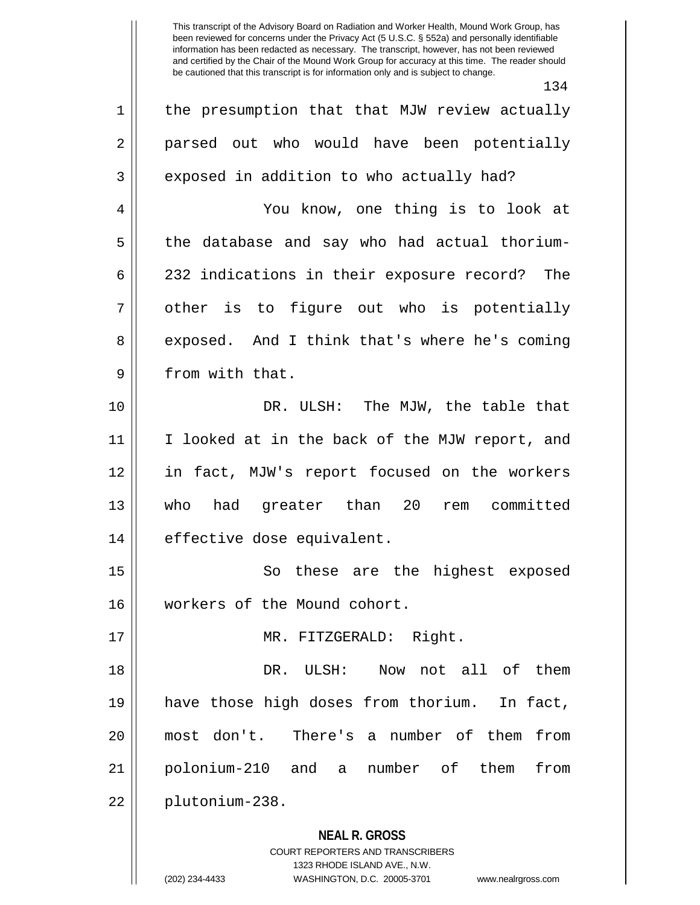This transcript of the Advisory Board on Radiation and Worker Health, Mound Work Group, has been reviewed for concerns under the Privacy Act (5 U.S.C. § 552a) and personally identifiable information has been redacted as necessary. The transcript, however, has not been reviewed and certified by the Chair of the Mound Work Group for accuracy at this time. The reader should be cautioned that this transcript is for information only and is subject to change.

134

**NEAL R. GROSS** COURT REPORTERS AND TRANSCRIBERS 1323 RHODE ISLAND AVE., N.W. 1 || the presumption that that MJW review actually 2 || parsed out who would have been potentially 3 || exposed in addition to who actually had? 4 You know, one thing is to look at 5 the database and say who had actual thorium-6 232 indications in their exposure record? The  $7 \parallel$  other is to figure out who is potentially 8 exposed. And I think that's where he's coming 9 | from with that. 10 || DR. ULSH: The MJW, the table that 11 I looked at in the back of the MJW report, and 12 in fact, MJW's report focused on the workers 13 who had greater than 20 rem committed 14 || effective dose equivalent. 15 || So these are the highest exposed 16 workers of the Mound cohort. 17 || MR. FITZGERALD: Right. 18 DR. ULSH: Now not all of them 19 have those high doses from thorium. In fact, 20 most don't. There's a number of them from 21 polonium-210 and a number of them from 22 plutonium-238.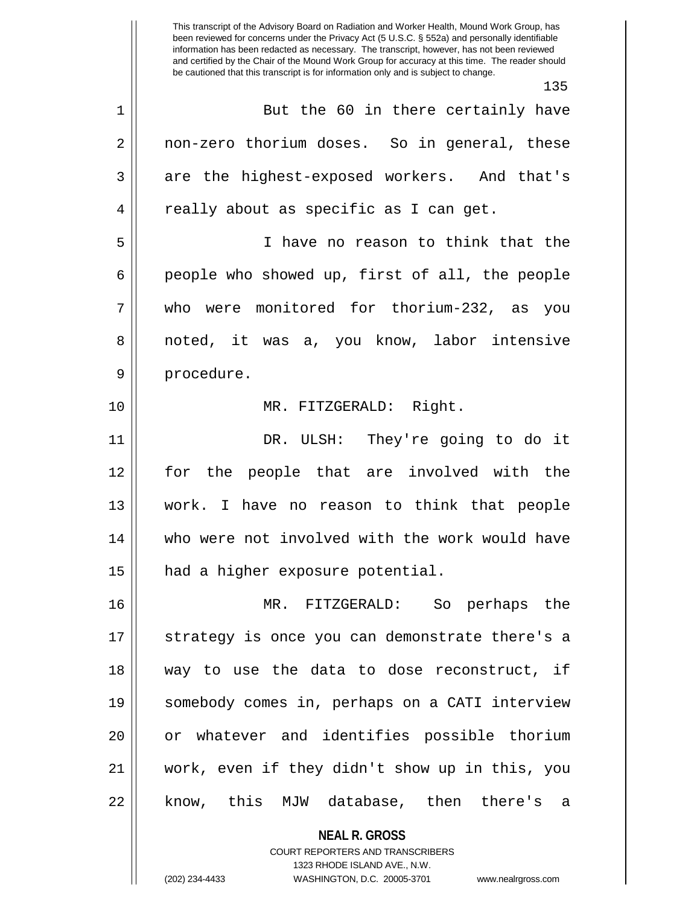This transcript of the Advisory Board on Radiation and Worker Health, Mound Work Group, has been reviewed for concerns under the Privacy Act (5 U.S.C. § 552a) and personally identifiable information has been redacted as necessary. The transcript, however, has not been reviewed and certified by the Chair of the Mound Work Group for accuracy at this time. The reader should be cautioned that this transcript is for information only and is subject to change. 135 1 But the 60 in there certainly have 2 | non-zero thorium doses. So in general, these 3 are the highest-exposed workers. And that's 4 || really about as specific as I can get. 5 I have no reason to think that the  $6 \parallel$  people who showed up, first of all, the people 7 who were monitored for thorium-232, as you 8 || noted, it was a, you know, labor intensive 9 || procedure. 10 MR. FITZGERALD: Right. 11 DR. ULSH: They're going to do it 12 for the people that are involved with the 13 work. I have no reason to think that people 14 who were not involved with the work would have 15 | had a higher exposure potential. 16 MR. FITZGERALD: So perhaps the 17 || strategy is once you can demonstrate there's a 18 way to use the data to dose reconstruct, if 19 somebody comes in, perhaps on a CATI interview 20 or whatever and identifies possible thorium 21 work, even if they didn't show up in this, you 22 || know, this MJW database, then there's a

> **NEAL R. GROSS** COURT REPORTERS AND TRANSCRIBERS

> > 1323 RHODE ISLAND AVE., N.W.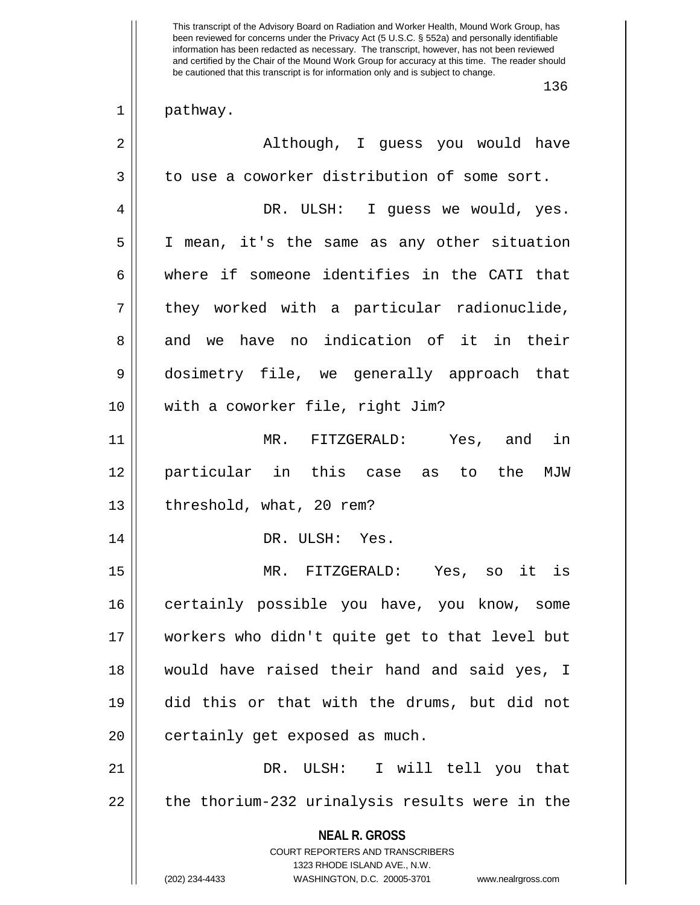This transcript of the Advisory Board on Radiation and Worker Health, Mound Work Group, has been reviewed for concerns under the Privacy Act (5 U.S.C. § 552a) and personally identifiable information has been redacted as necessary. The transcript, however, has not been reviewed and certified by the Chair of the Mound Work Group for accuracy at this time. The reader should be cautioned that this transcript is for information only and is subject to change.

136

 $1 \parallel$  pathway.

| $\overline{2}$ | Although, I guess you would have                                                                                                                                       |
|----------------|------------------------------------------------------------------------------------------------------------------------------------------------------------------------|
| 3              | to use a coworker distribution of some sort.                                                                                                                           |
| 4              | DR. ULSH: I guess we would, yes.                                                                                                                                       |
| 5              | I mean, it's the same as any other situation                                                                                                                           |
| 6              | where if someone identifies in the CATI that                                                                                                                           |
| 7              | they worked with a particular radionuclide,                                                                                                                            |
| 8              | and we have no indication of it in their                                                                                                                               |
| 9              | dosimetry file, we generally approach that                                                                                                                             |
| 10             | with a coworker file, right Jim?                                                                                                                                       |
| 11             | MR. FITZGERALD: Yes, and in                                                                                                                                            |
| 12             | particular in this case as to the MJW                                                                                                                                  |
| 13             | threshold, what, 20 rem?                                                                                                                                               |
| 14             | DR. ULSH: Yes.                                                                                                                                                         |
| 15             | MR. FITZGERALD: Yes, so it is                                                                                                                                          |
| 16             | certainly possible you have, you know, some                                                                                                                            |
| 17             | workers who didn't quite get to that level but                                                                                                                         |
| 18             | would have raised their hand and said yes, I                                                                                                                           |
| 19             | did this or that with the drums, but did not                                                                                                                           |
| 20             | certainly get exposed as much.                                                                                                                                         |
| 21             | DR. ULSH: I will tell you that                                                                                                                                         |
| 22             | the thorium-232 urinalysis results were in the                                                                                                                         |
|                | <b>NEAL R. GROSS</b><br><b>COURT REPORTERS AND TRANSCRIBERS</b><br>1323 RHODE ISLAND AVE., N.W.<br>(202) 234-4433<br>WASHINGTON, D.C. 20005-3701<br>www.nealrgross.com |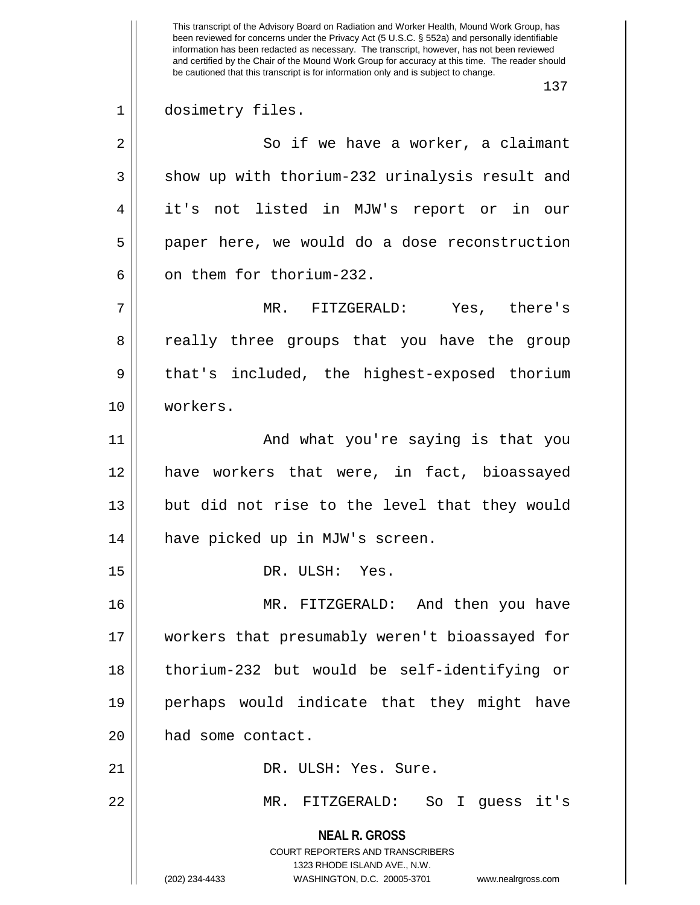This transcript of the Advisory Board on Radiation and Worker Health, Mound Work Group, has been reviewed for concerns under the Privacy Act (5 U.S.C. § 552a) and personally identifiable information has been redacted as necessary. The transcript, however, has not been reviewed and certified by the Chair of the Mound Work Group for accuracy at this time. The reader should be cautioned that this transcript is for information only and is subject to change. 137 1 || dosimetry files. 2 || So if we have a worker, a claimant 3 || show up with thorium-232 urinalysis result and 4 it's not listed in MJW's report or in our 5 || paper here, we would do a dose reconstruction 6 0 6 on them for thorium-232. 7 MR. FITZGERALD: Yes, there's 8 a really three groups that you have the group 9 || that's included, the highest-exposed thorium 10 workers. 11 || And what you're saying is that you 12 have workers that were, in fact, bioassayed  $13$  || but did not rise to the level that they would 14 have picked up in MJW's screen. 15 || DR. ULSH: Yes. 16 MR. FITZGERALD: And then you have 17 workers that presumably weren't bioassayed for 18 thorium-232 but would be self-identifying or 19 perhaps would indicate that they might have 20 | had some contact. 21 DR. ULSH: Yes. Sure. 22 MR. FITZGERALD: So I guess it's

> **NEAL R. GROSS** COURT REPORTERS AND TRANSCRIBERS 1323 RHODE ISLAND AVE., N.W.

<sup>(202) 234-4433</sup> WASHINGTON, D.C. 20005-3701 www.nealrgross.com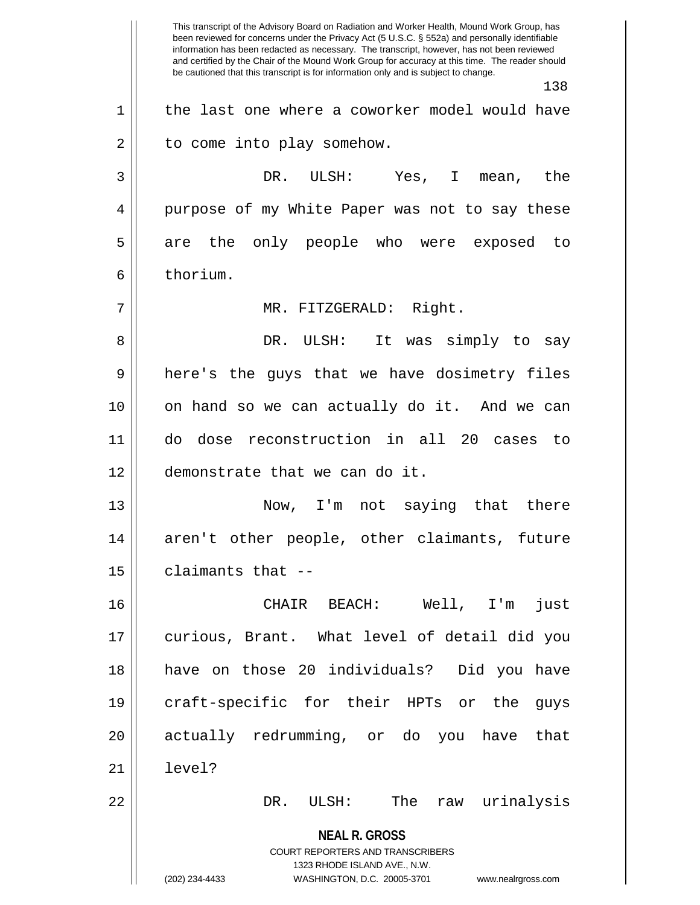**NEAL R. GROSS** COURT REPORTERS AND TRANSCRIBERS 1323 RHODE ISLAND AVE., N.W. (202) 234-4433 WASHINGTON, D.C. 20005-3701 www.nealrgross.com This transcript of the Advisory Board on Radiation and Worker Health, Mound Work Group, has been reviewed for concerns under the Privacy Act (5 U.S.C. § 552a) and personally identifiable information has been redacted as necessary. The transcript, however, has not been reviewed and certified by the Chair of the Mound Work Group for accuracy at this time. The reader should be cautioned that this transcript is for information only and is subject to change. 138 1 || the last one where a coworker model would have  $2 \parallel$  to come into play somehow. 3 DR. ULSH: Yes, I mean, the 4 || purpose of my White Paper was not to say these 5 are the only people who were exposed to 6 ll thorium. 7 || MR. FITZGERALD: Right. 8 DR. ULSH: It was simply to say 9 || here's the guys that we have dosimetry files 10 on hand so we can actually do it. And we can 11 do dose reconstruction in all 20 cases to 12 demonstrate that we can do it. 13 Now, I'm not saying that there 14 || aren't other people, other claimants, future  $15$  | claimants that  $-$ 16 CHAIR BEACH: Well, I'm just 17 curious, Brant. What level of detail did you 18 have on those 20 individuals? Did you have 19 craft-specific for their HPTs or the guys 20 || actually redrumming, or do you have that 21 level? 22 DR. ULSH: The raw urinalysis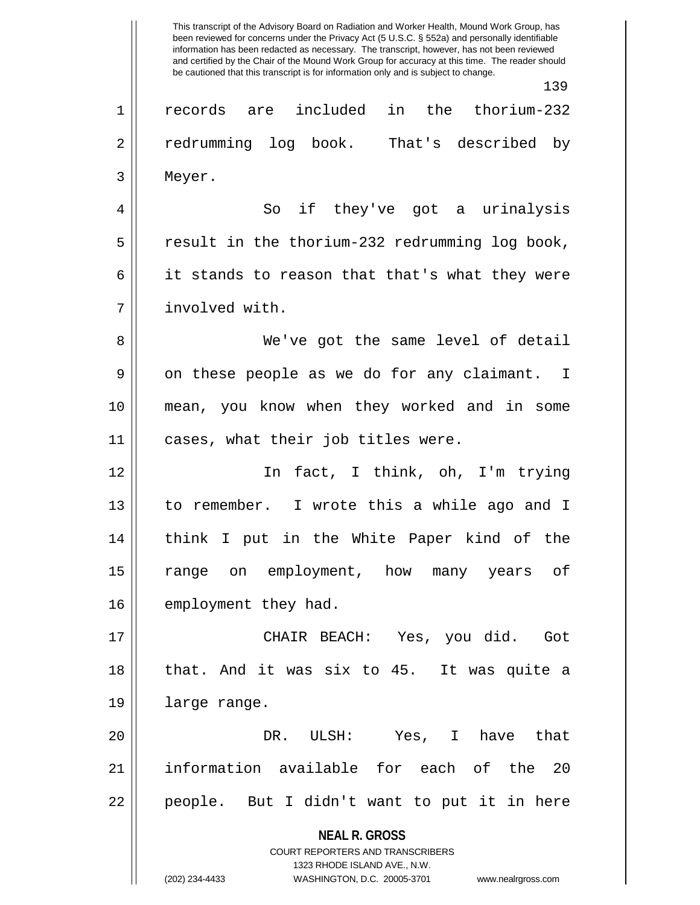**NEAL R. GROSS** COURT REPORTERS AND TRANSCRIBERS 1323 RHODE ISLAND AVE., N.W. This transcript of the Advisory Board on Radiation and Worker Health, Mound Work Group, has been reviewed for concerns under the Privacy Act (5 U.S.C. § 552a) and personally identifiable information has been redacted as necessary. The transcript, however, has not been reviewed and certified by the Chair of the Mound Work Group for accuracy at this time. The reader should be cautioned that this transcript is for information only and is subject to change. 139 1 records are included in the thorium-232 2 | redrumming log book. That's described by 3 Meyer. 4 So if they've got a urinalysis  $5 \parallel$  result in the thorium-232 redrumming log book,  $6 \parallel$  it stands to reason that that's what they were 7 involved with. 8 We've got the same level of detail  $9 \parallel$  on these people as we do for any claimant. I 10 mean, you know when they worked and in some 11 || cases, what their job titles were. 12 In fact, I think, oh, I'm trying 13 to remember. I wrote this a while ago and I 14 || think I put in the White Paper kind of the 15 range on employment, how many years of 16 | employment they had. 17 CHAIR BEACH: Yes, you did. Got 18 that. And it was six to 45. It was quite a 19 | large range. 20 DR. ULSH: Yes, I have that 21 information available for each of the 20 22 || people. But I didn't want to put it in here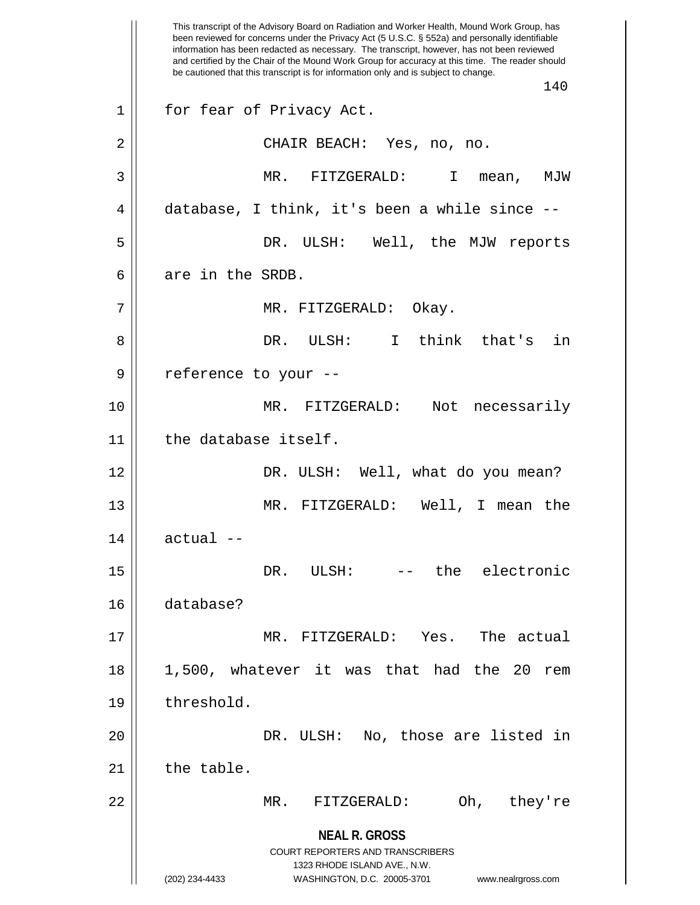**NEAL R. GROSS** COURT REPORTERS AND TRANSCRIBERS 1323 RHODE ISLAND AVE., N.W. (202) 234-4433 WASHINGTON, D.C. 20005-3701 www.nealrgross.com This transcript of the Advisory Board on Radiation and Worker Health, Mound Work Group, has been reviewed for concerns under the Privacy Act (5 U.S.C. § 552a) and personally identifiable information has been redacted as necessary. The transcript, however, has not been reviewed and certified by the Chair of the Mound Work Group for accuracy at this time. The reader should be cautioned that this transcript is for information only and is subject to change. 140 1 || for fear of Privacy Act. 2 CHAIR BEACH: Yes, no, no. 3 MR. FITZGERALD: I mean, MJW 4 database, I think, it's been a while since -- 5 DR. ULSH: Well, the MJW reports 6 are in the SRDB. 7 MR. FITZGERALD: Okay. 8 DR. ULSH: I think that's in 9 || reference to your --10 MR. FITZGERALD: Not necessarily 11 | the database itself. 12 DR. ULSH: Well, what do you mean? 13 MR. FITZGERALD: Well, I mean the  $14$   $\parallel$  actual  $-$ 15 DR. ULSH: -- the electronic 16 database? 17 MR. FITZGERALD: Yes. The actual 18 1,500, whatever it was that had the 20 rem 19 | threshold. 20 DR. ULSH: No, those are listed in  $21$  the table. 22 MR. FITZGERALD: Oh, they're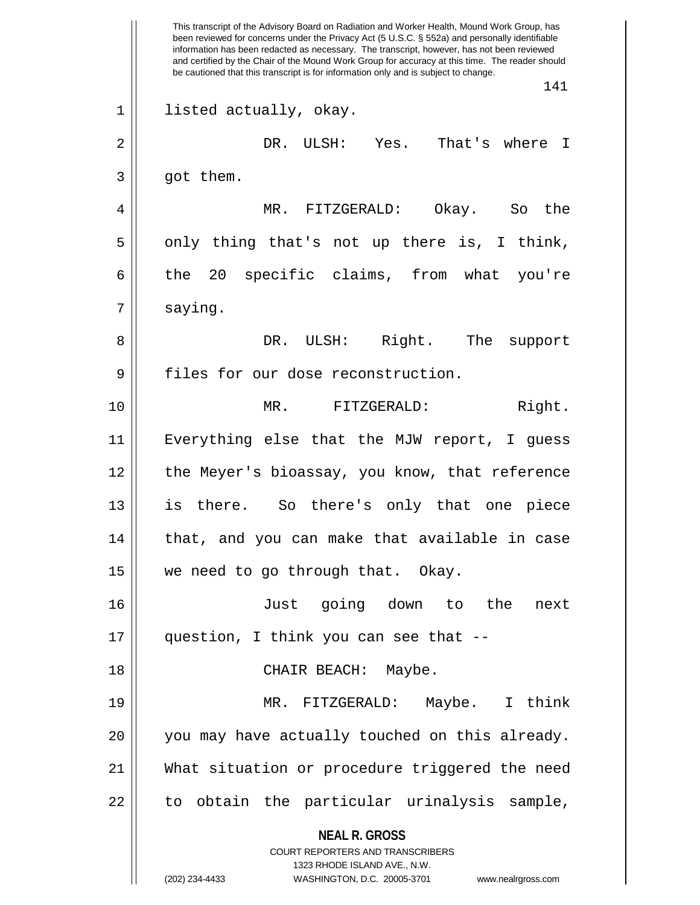**NEAL R. GROSS** COURT REPORTERS AND TRANSCRIBERS 1323 RHODE ISLAND AVE., N.W. (202) 234-4433 WASHINGTON, D.C. 20005-3701 www.nealrgross.com This transcript of the Advisory Board on Radiation and Worker Health, Mound Work Group, has been reviewed for concerns under the Privacy Act (5 U.S.C. § 552a) and personally identifiable information has been redacted as necessary. The transcript, however, has not been reviewed and certified by the Chair of the Mound Work Group for accuracy at this time. The reader should be cautioned that this transcript is for information only and is subject to change. 141 1 || listed actually, okay. 2 DR. ULSH: Yes. That's where I  $3 \parallel$  got them. 4 MR. FITZGERALD: Okay. So the  $5 \parallel$  only thing that's not up there is, I think, 6 the 20 specific claims, from what you're  $7 \parallel$  saying. 8 DR. ULSH: Right. The support 9 | files for our dose reconstruction. 10 || **MR. FITZGERALD:** Right. 11 Everything else that the MJW report, I guess 12 || the Meyer's bioassay, you know, that reference 13 is there. So there's only that one piece 14 || that, and you can make that available in case 15 || we need to go through that. Okay. 16 Just going down to the next 17 question, I think you can see that -- 18 CHAIR BEACH: Maybe. 19 MR. FITZGERALD: Maybe. I think 20 || you may have actually touched on this already. 21 What situation or procedure triggered the need  $22$  || to obtain the particular urinalysis sample,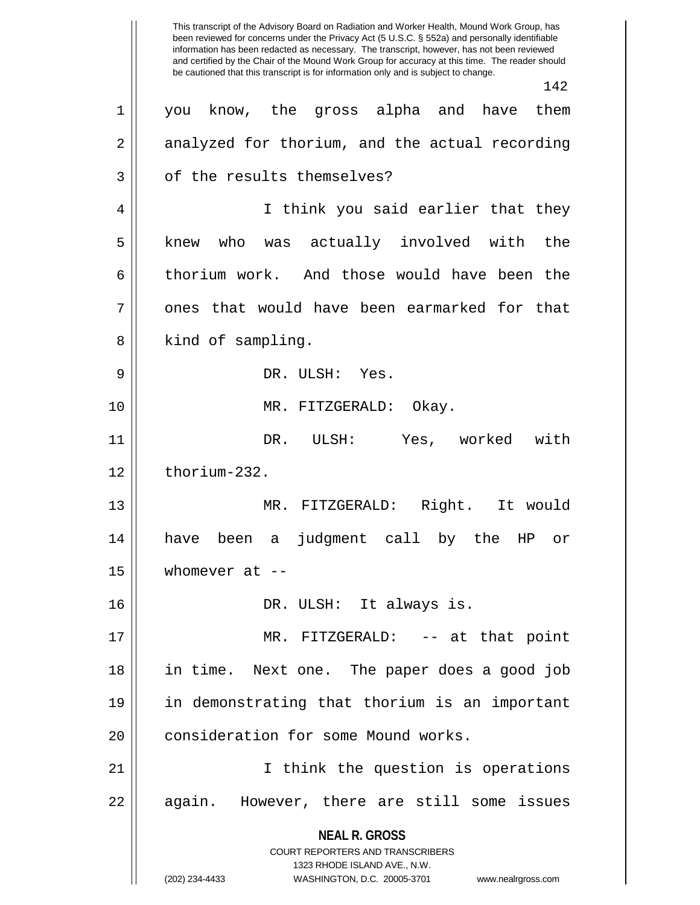**NEAL R. GROSS** COURT REPORTERS AND TRANSCRIBERS 1323 RHODE ISLAND AVE., N.W. (202) 234-4433 WASHINGTON, D.C. 20005-3701 www.nealrgross.com This transcript of the Advisory Board on Radiation and Worker Health, Mound Work Group, has been reviewed for concerns under the Privacy Act (5 U.S.C. § 552a) and personally identifiable information has been redacted as necessary. The transcript, however, has not been reviewed and certified by the Chair of the Mound Work Group for accuracy at this time. The reader should be cautioned that this transcript is for information only and is subject to change. 142 1 you know, the gross alpha and have them  $2 \parallel$  analyzed for thorium, and the actual recording 3 | of the results themselves? 4 || I think you said earlier that they 5 || knew who was actually involved with the 6 thorium work. And those would have been the  $7 \parallel$  ones that would have been earmarked for that 8 || kind of sampling. 9 DR. ULSH: Yes. 10 || MR. FITZGERALD: Okay. 11 DR. ULSH: Yes, worked with  $12$   $\parallel$  thorium-232. 13 MR. FITZGERALD: Right. It would 14 have been a judgment call by the HP or  $15$  | whomever at --16 DR. ULSH: It always is. 17 MR. FITZGERALD: -- at that point 18 in time. Next one. The paper does a good job 19 in demonstrating that thorium is an important 20 | consideration for some Mound works. 21 || Think the question is operations 22 || again. However, there are still some issues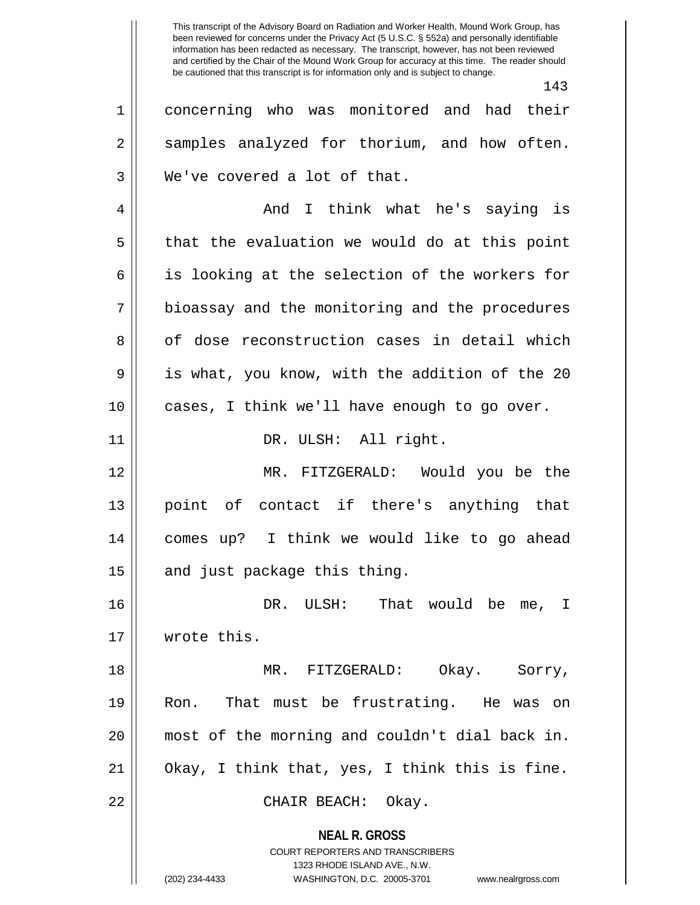This transcript of the Advisory Board on Radiation and Worker Health, Mound Work Group, has been reviewed for concerns under the Privacy Act (5 U.S.C. § 552a) and personally identifiable information has been redacted as necessary. The transcript, however, has not been reviewed and certified by the Chair of the Mound Work Group for accuracy at this time. The reader should be cautioned that this transcript is for information only and is subject to change.

**NEAL R. GROSS** COURT REPORTERS AND TRANSCRIBERS 1323 RHODE ISLAND AVE., N.W. 143 1 concerning who was monitored and had their 2 || samples analyzed for thorium, and how often. 3 We've covered a lot of that. 4 And I think what he's saying is  $5 \parallel$  that the evaluation we would do at this point  $6 \parallel$  is looking at the selection of the workers for 7 || bioassay and the monitoring and the procedures 8 || of dose reconstruction cases in detail which 9 is what, you know, with the addition of the 20 10 cases, I think we'll have enough to go over. 11 || DR. ULSH: All right. 12 MR. FITZGERALD: Would you be the 13 point of contact if there's anything that 14 comes up? I think we would like to go ahead  $15$  and just package this thing. 16 DR. ULSH: That would be me, I 17 wrote this. 18 MR. FITZGERALD: Okay. Sorry, 19 Ron. That must be frustrating. He was on 20 most of the morning and couldn't dial back in. 21 Okay, I think that, yes, I think this is fine. 22 CHAIR BEACH: Okay.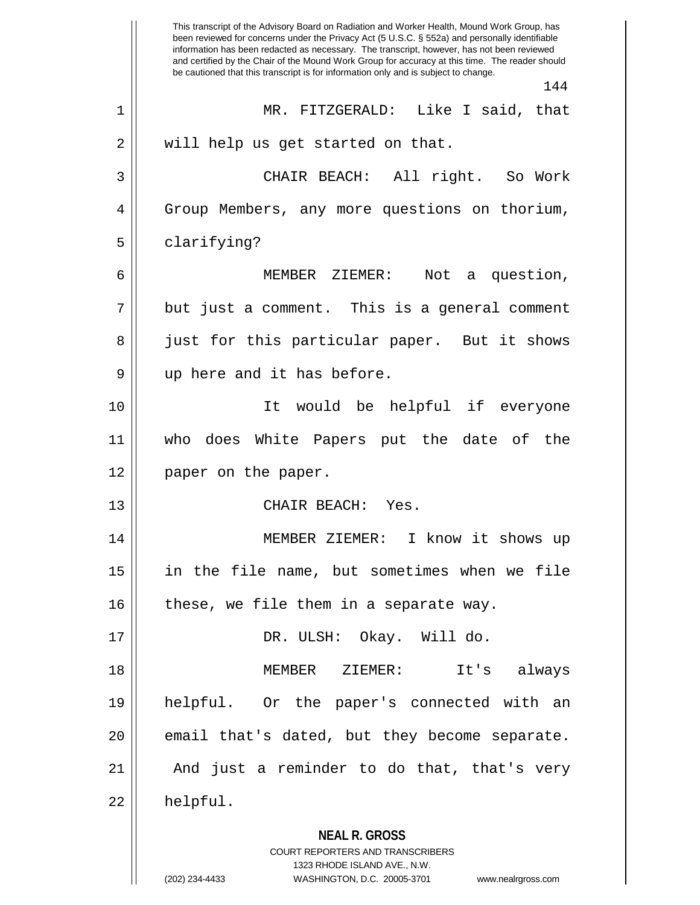**NEAL R. GROSS** COURT REPORTERS AND TRANSCRIBERS 1323 RHODE ISLAND AVE., N.W. This transcript of the Advisory Board on Radiation and Worker Health, Mound Work Group, has been reviewed for concerns under the Privacy Act (5 U.S.C. § 552a) and personally identifiable information has been redacted as necessary. The transcript, however, has not been reviewed and certified by the Chair of the Mound Work Group for accuracy at this time. The reader should be cautioned that this transcript is for information only and is subject to change. 144 1 MR. FITZGERALD: Like I said, that 2 || will help us get started on that. 3 CHAIR BEACH: All right. So Work 4 Group Members, any more questions on thorium, 5 | clarifying? 6 MEMBER ZIEMER: Not a question,  $7 \parallel$  but just a comment. This is a general comment 8 || just for this particular paper. But it shows 9 || up here and it has before. 10 It would be helpful if everyone 11 who does White Papers put the date of the 12 || paper on the paper. 13 CHAIR BEACH: Yes. 14 MEMBER ZIEMER: I know it shows up 15 in the file name, but sometimes when we file  $16$  | these, we file them in a separate way. 17 DR. ULSH: Okay. Will do. 18 MEMBER ZIEMER: It's always 19 helpful. Or the paper's connected with an 20 || email that's dated, but they become separate.  $21$  || And just a reminder to do that, that's very  $22 \parallel$  helpful.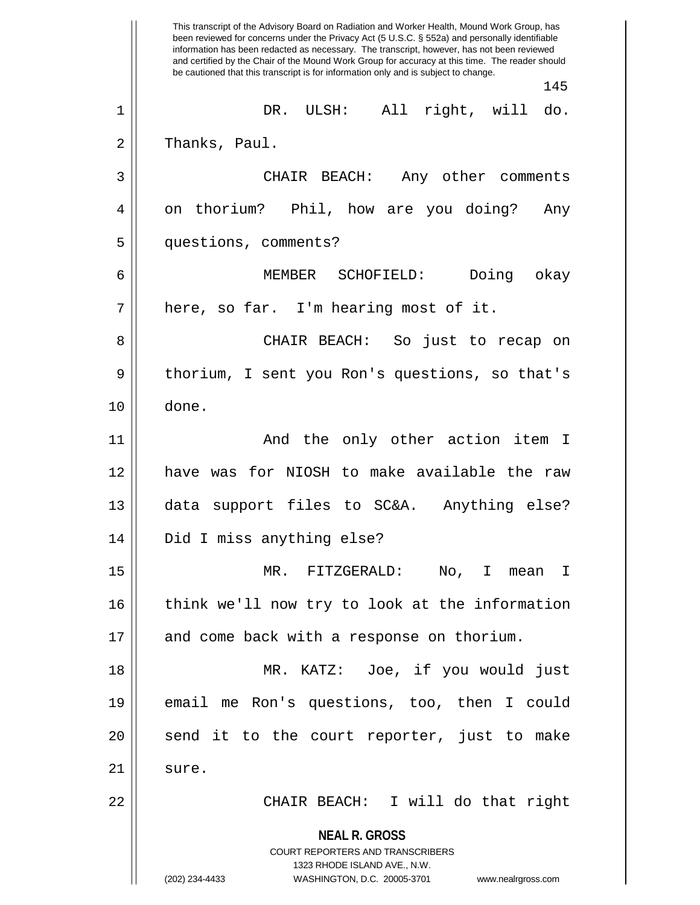**NEAL R. GROSS** COURT REPORTERS AND TRANSCRIBERS 1323 RHODE ISLAND AVE., N.W. (202) 234-4433 WASHINGTON, D.C. 20005-3701 www.nealrgross.com This transcript of the Advisory Board on Radiation and Worker Health, Mound Work Group, has been reviewed for concerns under the Privacy Act (5 U.S.C. § 552a) and personally identifiable information has been redacted as necessary. The transcript, however, has not been reviewed and certified by the Chair of the Mound Work Group for accuracy at this time. The reader should be cautioned that this transcript is for information only and is subject to change. 145 1 DR. ULSH: All right, will do.  $2 \parallel$  Thanks, Paul. 3 CHAIR BEACH: Any other comments 4 || on thorium? Phil, how are you doing? Any 5 questions, comments? 6 MEMBER SCHOFIELD: Doing okay  $7 \parallel$  here, so far. I'm hearing most of it. 8 CHAIR BEACH: So just to recap on 9 || thorium, I sent you Ron's questions, so that's 10 done. 11 || And the only other action item I 12 have was for NIOSH to make available the raw 13 data support files to SC&A. Anything else? 14 Did I miss anything else? 15 MR. FITZGERALD: No, I mean I 16 || think we'll now try to look at the information 17 || and come back with a response on thorium. 18 MR. KATZ: Joe, if you would just 19 email me Ron's questions, too, then I could 20 || send it to the court reporter, just to make  $21 \parallel$  sure. 22 CHAIR BEACH: I will do that right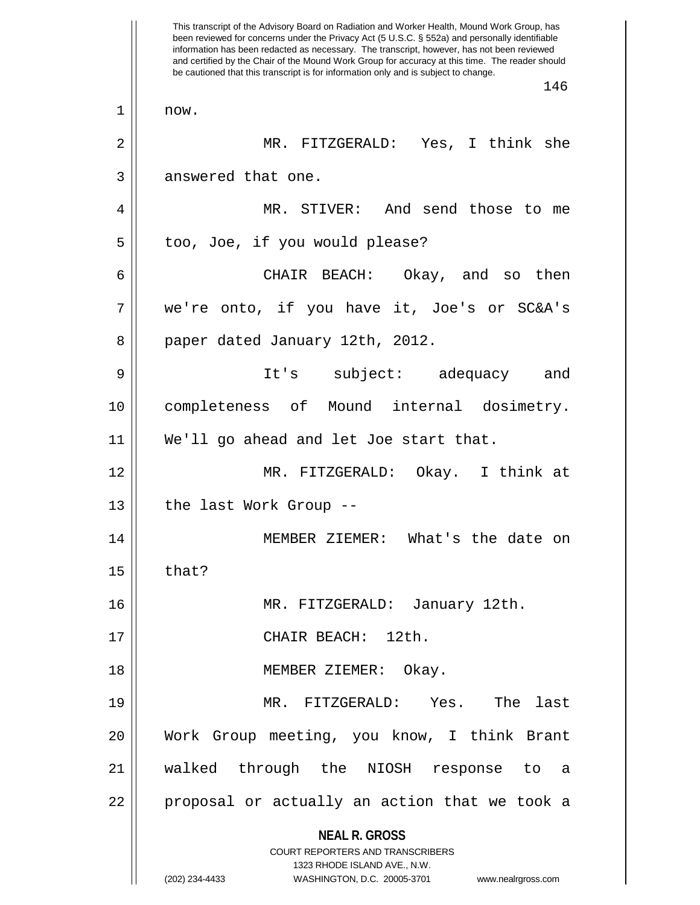**NEAL R. GROSS** COURT REPORTERS AND TRANSCRIBERS 1323 RHODE ISLAND AVE., N.W. (202) 234-4433 WASHINGTON, D.C. 20005-3701 www.nealrgross.com This transcript of the Advisory Board on Radiation and Worker Health, Mound Work Group, has been reviewed for concerns under the Privacy Act (5 U.S.C. § 552a) and personally identifiable information has been redacted as necessary. The transcript, however, has not been reviewed and certified by the Chair of the Mound Work Group for accuracy at this time. The reader should be cautioned that this transcript is for information only and is subject to change. 146  $1 \parallel$  now. 2 MR. FITZGERALD: Yes, I think she 3 || answered that one. 4 || MR. STIVER: And send those to me 5 | too, Joe, if you would please? 6 CHAIR BEACH: Okay, and so then 7 we're onto, if you have it, Joe's or SC&A's 8 || paper dated January 12th, 2012. 9 It's subject: adequacy and 10 completeness of Mound internal dosimetry. 11 We'll go ahead and let Joe start that. 12 MR. FITZGERALD: Okay. I think at 13 || the last Work Group --14 MEMBER ZIEMER: What's the date on  $15$  | that? 16 MR. FITZGERALD: January 12th. 17 || CHAIR BEACH: 12th. 18 || MEMBER ZIEMER: Okay. 19 MR. FITZGERALD: Yes. The last 20 Work Group meeting, you know, I think Brant 21 walked through the NIOSH response to a 22 || proposal or actually an action that we took a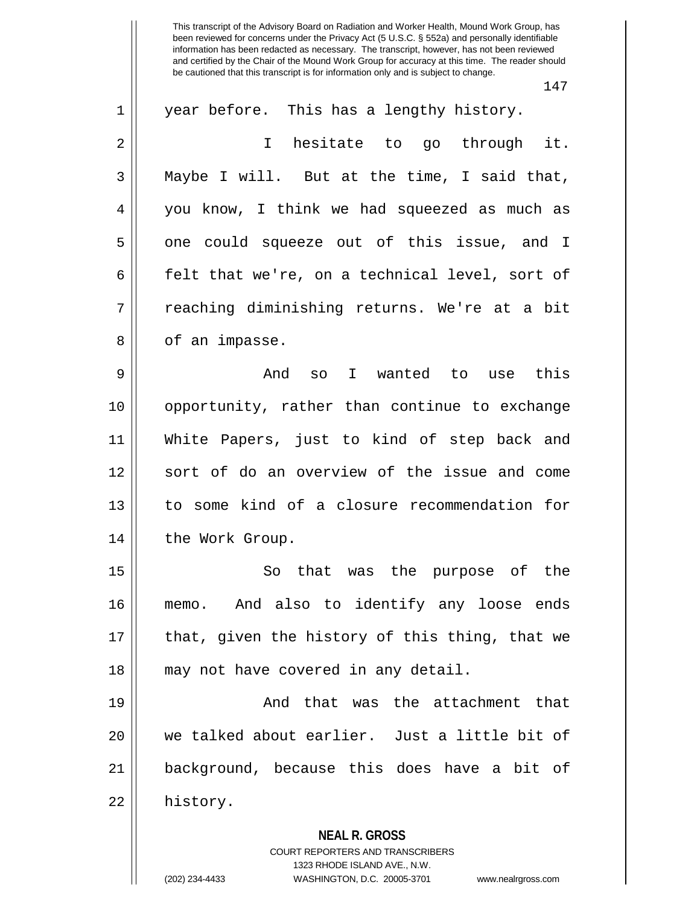147

| $\mathbf 1$ | year before. This has a lengthy history.                                |
|-------------|-------------------------------------------------------------------------|
| 2           | hesitate to go through it.<br>$\mathsf T$                               |
| 3           | Maybe I will. But at the time, I said that,                             |
| 4           | you know, I think we had squeezed as much as                            |
| 5           | one could squeeze out of this issue, and I                              |
| 6           | felt that we're, on a technical level, sort of                          |
| 7           | reaching diminishing returns. We're at a bit                            |
| 8           | of an impasse.                                                          |
| 9           | And so I wanted to use this                                             |
| 10          | opportunity, rather than continue to exchange                           |
| 11          | White Papers, just to kind of step back and                             |
| 12          | sort of do an overview of the issue and come                            |
| 13          | to some kind of a closure recommendation for                            |
| 14          | the Work Group.                                                         |
| 15          | So that was the purpose of the                                          |
| 16          | And also to identify any loose ends<br>memo.                            |
| 17          | that, given the history of this thing, that we                          |
| 18          | may not have covered in any detail.                                     |
| 19          | And that was the attachment that                                        |
| 20          | we talked about earlier. Just a little bit of                           |
| 21          | background, because this does have a bit of                             |
| 22          | history.                                                                |
|             | <b>NEAL R. GROSS</b>                                                    |
|             | <b>COURT REPORTERS AND TRANSCRIBERS</b><br>1323 RHODE ISLAND AVE., N.W. |
|             | (202) 234-4433<br>WASHINGTON, D.C. 20005-3701<br>www.nealrgross.com     |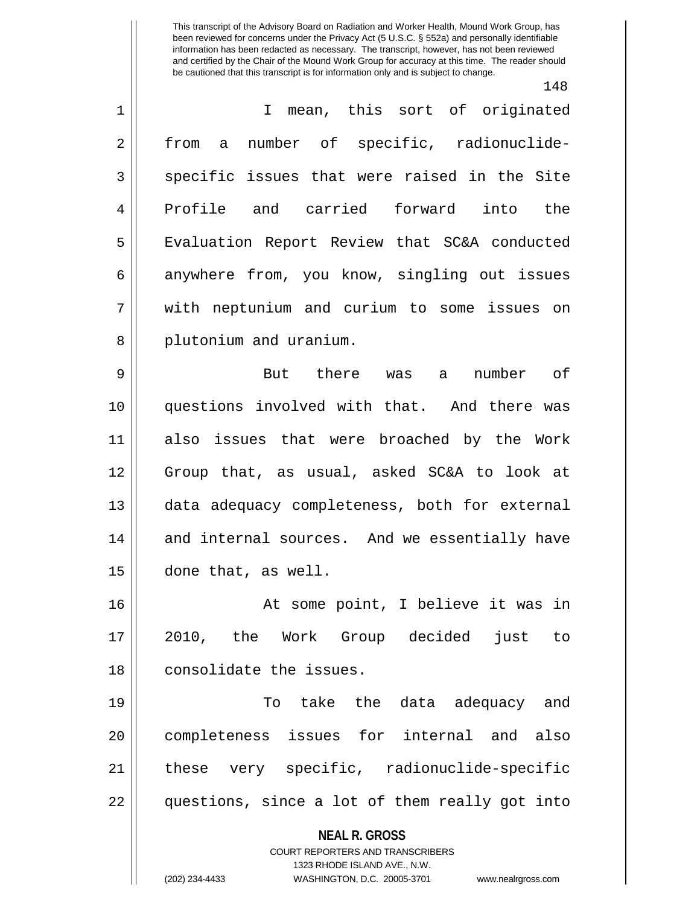148

| $\mathbf 1$    | I mean, this sort of originated                                                                     |
|----------------|-----------------------------------------------------------------------------------------------------|
| $\overline{2}$ | number of specific, radionuclide-<br>from<br>a a                                                    |
| 3              | specific issues that were raised in the Site                                                        |
| 4              | Profile and carried forward into the                                                                |
| 5              | Evaluation Report Review that SC&A conducted                                                        |
| 6              | anywhere from, you know, singling out issues                                                        |
| 7              | with neptunium and curium to some issues on                                                         |
| 8              | plutonium and uranium.                                                                              |
| $\mathsf 9$    | But there was a<br>number of                                                                        |
| 10             | questions involved with that. And there was                                                         |
| 11             | also issues that were broached by the Work                                                          |
| 12             | Group that, as usual, asked SC&A to look at                                                         |
| 13             | data adequacy completeness, both for external                                                       |
| 14             | and internal sources. And we essentially have                                                       |
| 15             | done that, as well.                                                                                 |
| 16             | At some point, I believe it was in                                                                  |
| 17             | 2010, the Work Group decided<br>just<br>to                                                          |
| 18             | consolidate the issues.                                                                             |
| 19             | To take the data adequacy and                                                                       |
| 20             | completeness issues for internal and also                                                           |
| 21             | these very specific, radionuclide-specific                                                          |
| 22             | questions, since a lot of them really got into                                                      |
|                | <b>NEAL R. GROSS</b>                                                                                |
|                | <b>COURT REPORTERS AND TRANSCRIBERS</b>                                                             |
|                | 1323 RHODE ISLAND AVE., N.W.<br>(202) 234-4433<br>WASHINGTON, D.C. 20005-3701<br>www.nealrgross.com |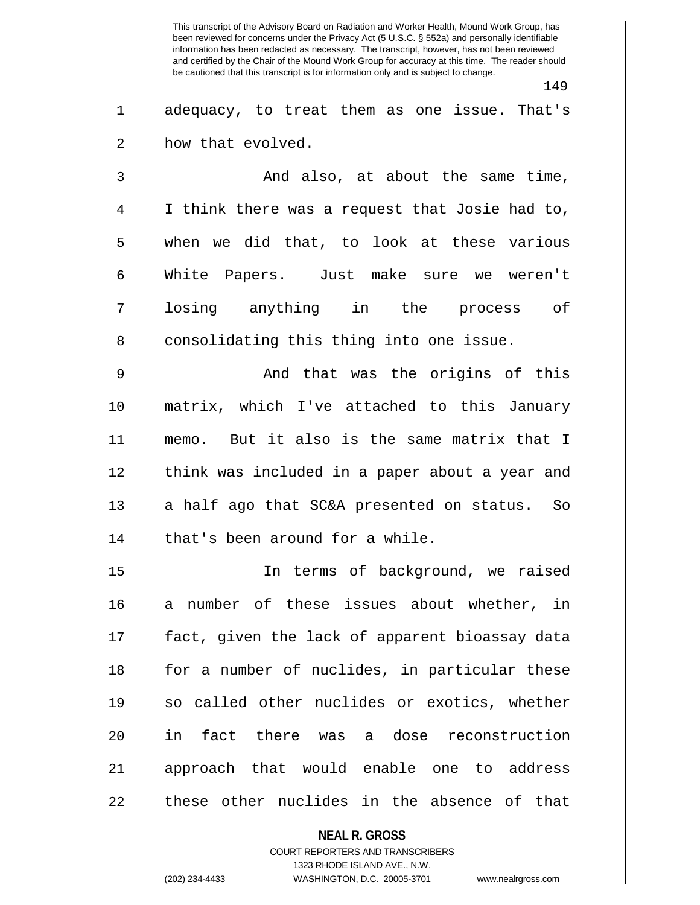149

1 adequacy, to treat them as one issue. That's 2 | how that evolved.

3 And also, at about the same time, 4 I think there was a request that Josie had to,  $5 \parallel$  when we did that, to look at these various 6 White Papers. Just make sure we weren't 7 losing anything in the process of 8 || consolidating this thing into one issue.

9 And that was the origins of this 10 matrix, which I've attached to this January 11 memo. But it also is the same matrix that I 12 || think was included in a paper about a year and  $13$  a half ago that SC&A presented on status. So 14 || that's been around for a while.

15 In terms of background, we raised 16 a number of these issues about whether, in 17 fact, given the lack of apparent bioassay data 18 || for a number of nuclides, in particular these 19 so called other nuclides or exotics, whether 20 in fact there was a dose reconstruction 21 approach that would enable one to address  $22$   $\parallel$  these other nuclides in the absence of that

> **NEAL R. GROSS** COURT REPORTERS AND TRANSCRIBERS 1323 RHODE ISLAND AVE., N.W. (202) 234-4433 WASHINGTON, D.C. 20005-3701 www.nealrgross.com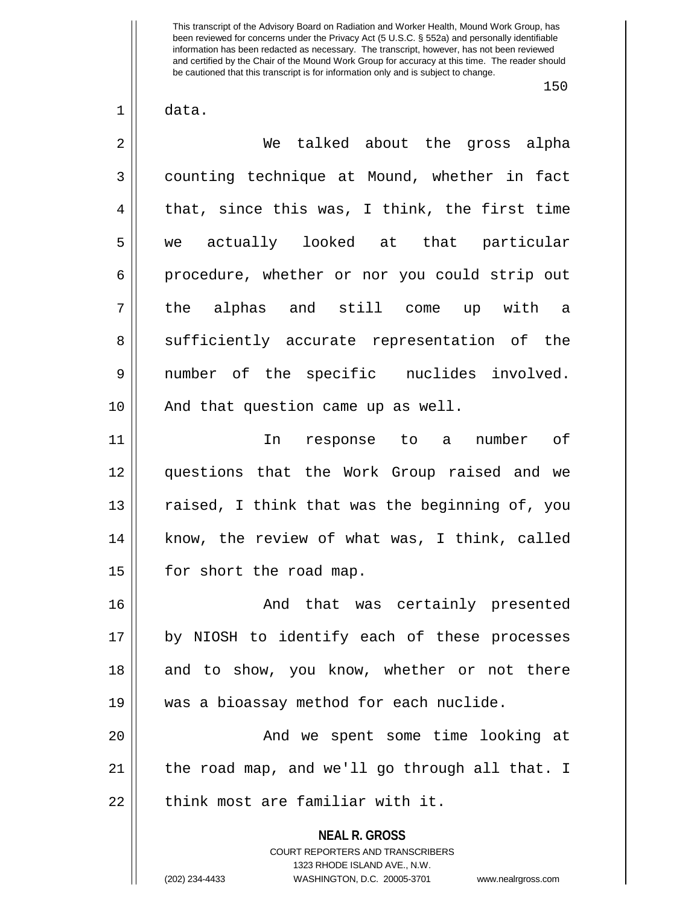150

 $1 \parallel$  data.

| $\overline{2}$ | We talked about the gross alpha                                 |
|----------------|-----------------------------------------------------------------|
| 3              | counting technique at Mound, whether in fact                    |
| 4              | that, since this was, I think, the first time                   |
| 5              | we actually looked at that particular                           |
| 6              | procedure, whether or nor you could strip out                   |
| 7              | the alphas and still come up with a                             |
| 8              | sufficiently accurate representation of the                     |
| 9              | number of the specific nuclides involved.                       |
| 10             | And that question came up as well.                              |
| 11             | response to a number of<br>In                                   |
| 12             | questions that the Work Group raised and we                     |
| 13             | raised, I think that was the beginning of, you                  |
| 14             | know, the review of what was, I think, called                   |
| 15             | for short the road map.                                         |
| 16             | And that was certainly presented                                |
| 17             | by NIOSH to identify each of these processes                    |
| 18             | and to show, you know, whether or not there                     |
| 19             | was a bioassay method for each nuclide.                         |
| 20             | And we spent some time looking at                               |
| 21             | the road map, and we'll go through all that. I                  |
| 22             | think most are familiar with it.                                |
|                | <b>NEAL R. GROSS</b><br><b>COURT REPORTERS AND TRANSCRIBERS</b> |

1323 RHODE ISLAND AVE., N.W.

 $\mathsf{I}$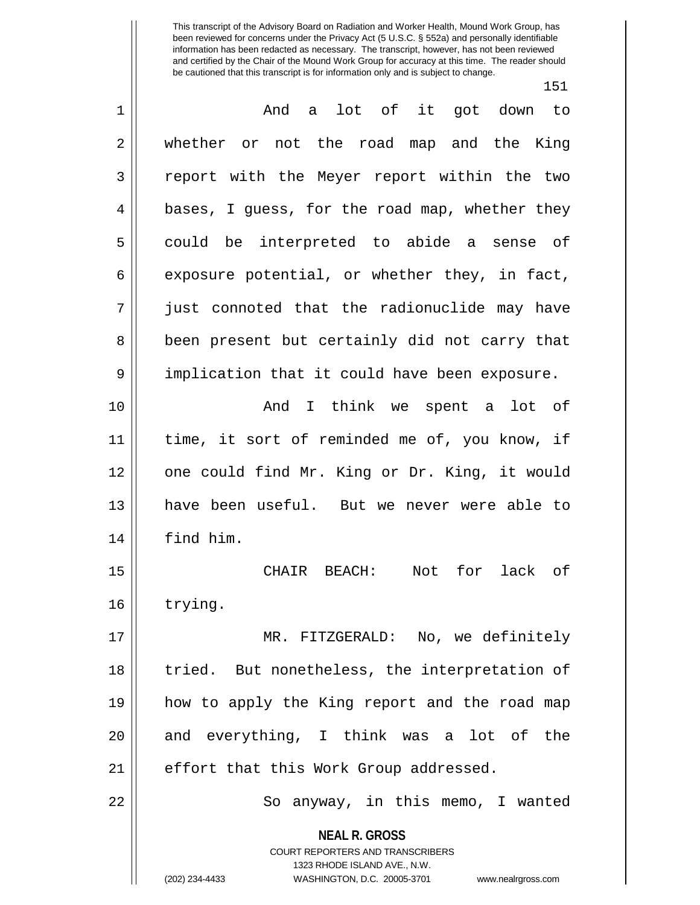151

| $\mathbf 1$    | And a lot of it got down to                                                                                                                                            |
|----------------|------------------------------------------------------------------------------------------------------------------------------------------------------------------------|
| $\overline{2}$ | whether or not the road map and the King                                                                                                                               |
| 3              | report with the Meyer report within the two                                                                                                                            |
| 4              | bases, I guess, for the road map, whether they                                                                                                                         |
| 5              | could be interpreted to abide a sense of                                                                                                                               |
| 6              | exposure potential, or whether they, in fact,                                                                                                                          |
| 7              | just connoted that the radionuclide may have                                                                                                                           |
| 8              | been present but certainly did not carry that                                                                                                                          |
| 9              | implication that it could have been exposure.                                                                                                                          |
| 10             | And I think we spent a lot of                                                                                                                                          |
| 11             | time, it sort of reminded me of, you know, if                                                                                                                          |
| 12             | one could find Mr. King or Dr. King, it would                                                                                                                          |
| 13             | have been useful. But we never were able to                                                                                                                            |
| 14             | find him.                                                                                                                                                              |
| 15             | for lack of<br>CHAIR BEACH:<br>Not                                                                                                                                     |
| 16             | trying.                                                                                                                                                                |
| 17             | MR. FITZGERALD: No, we definitely                                                                                                                                      |
| 18             | tried. But nonetheless, the interpretation of                                                                                                                          |
| 19             | how to apply the King report and the road map                                                                                                                          |
| 20             | and everything, I think was a lot of the                                                                                                                               |
| 21             | effort that this Work Group addressed.                                                                                                                                 |
| 22             | So anyway, in this memo, I wanted                                                                                                                                      |
|                | <b>NEAL R. GROSS</b><br><b>COURT REPORTERS AND TRANSCRIBERS</b><br>1323 RHODE ISLAND AVE., N.W.<br>(202) 234-4433<br>WASHINGTON, D.C. 20005-3701<br>www.nealrgross.com |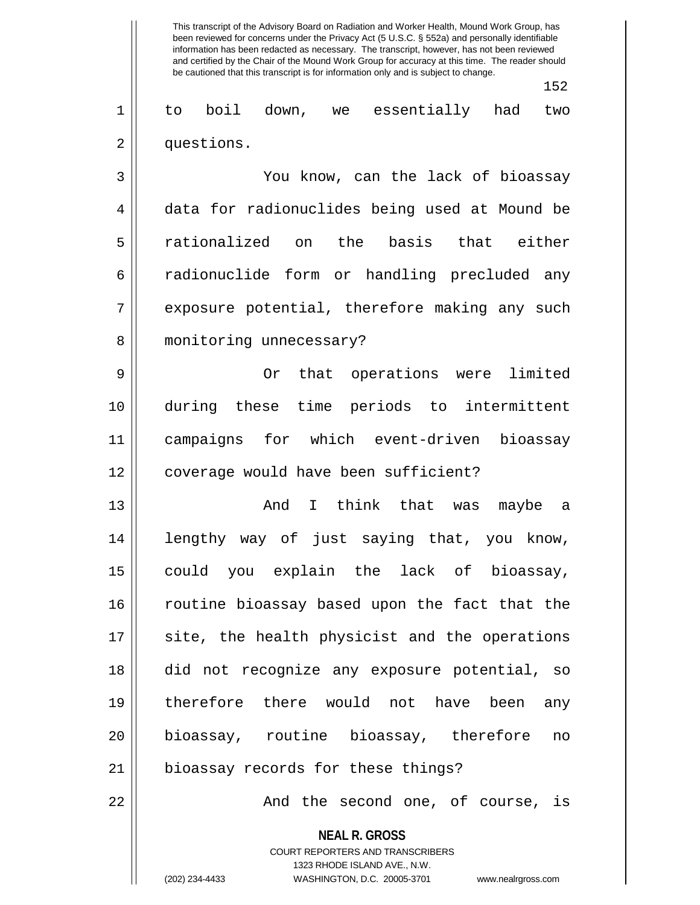152

1 to boil down, we essentially had two 2 | questions.

3 You know, can the lack of bioassay 4 | data for radionuclides being used at Mound be 5 rationalized on the basis that either 6 || radionuclide form or handling precluded any 7 || exposure potential, therefore making any such 8 || monitoring unnecessary?

9 || Or that operations were limited 10 during these time periods to intermittent 11 campaigns for which event-driven bioassay 12 || coverage would have been sufficient?

13 And I think that was maybe a 14 lengthy way of just saying that, you know, 15 could you explain the lack of bioassay, 16 || routine bioassay based upon the fact that the  $17$  site, the health physicist and the operations 18 did not recognize any exposure potential, so 19 therefore there would not have been any 20 bioassay, routine bioassay, therefore no 21 | bioassay records for these things?

22 And the second one, of course, is

**NEAL R. GROSS** COURT REPORTERS AND TRANSCRIBERS 1323 RHODE ISLAND AVE., N.W. (202) 234-4433 WASHINGTON, D.C. 20005-3701 www.nealrgross.com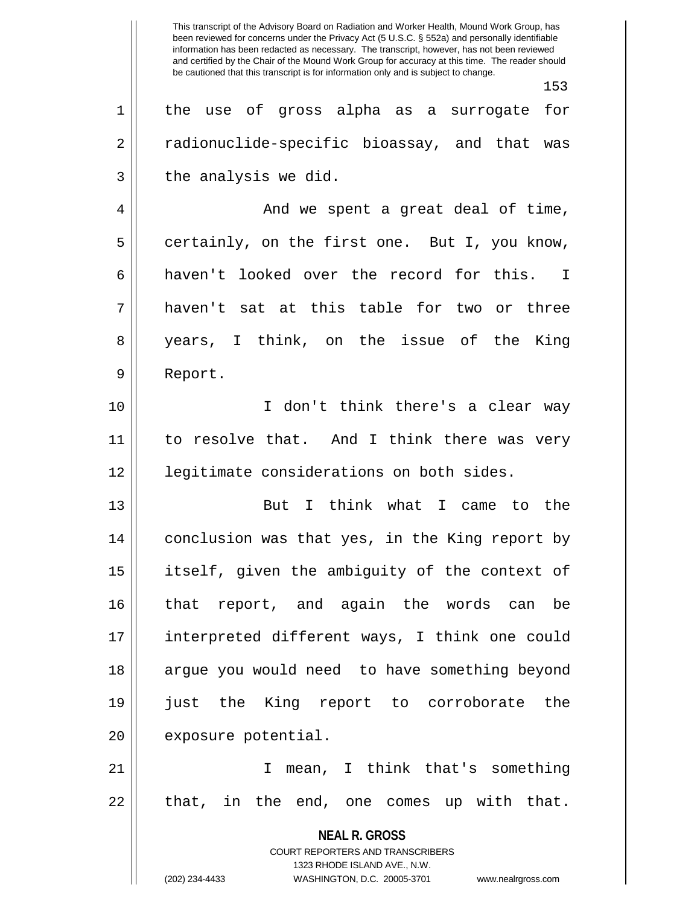**NEAL R. GROSS** COURT REPORTERS AND TRANSCRIBERS 1323 RHODE ISLAND AVE., N.W. (202) 234-4433 WASHINGTON, D.C. 20005-3701 www.nealrgross.com This transcript of the Advisory Board on Radiation and Worker Health, Mound Work Group, has been reviewed for concerns under the Privacy Act (5 U.S.C. § 552a) and personally identifiable information has been redacted as necessary. The transcript, however, has not been reviewed and certified by the Chair of the Mound Work Group for accuracy at this time. The reader should be cautioned that this transcript is for information only and is subject to change. 153 1 || the use of gross alpha as a surrogate for 2 || radionuclide-specific bioassay, and that was  $3 \parallel$  the analysis we did. 4 And we spent a great deal of time,  $5 \parallel$  certainly, on the first one. But I, you know, 6 haven't looked over the record for this. I 7 haven't sat at this table for two or three 8 years, I think, on the issue of the King 9 Report. 10 I don't think there's a clear way 11 || to resolve that. And I think there was very 12 legitimate considerations on both sides. 13 But I think what I came to the 14 conclusion was that yes, in the King report by 15 itself, given the ambiguity of the context of 16 that report, and again the words can be 17 interpreted different ways, I think one could 18 || argue you would need to have something beyond 19 just the King report to corroborate the 20 | exposure potential. 21 I mean, I think that's something  $22 \parallel$  that, in the end, one comes up with that.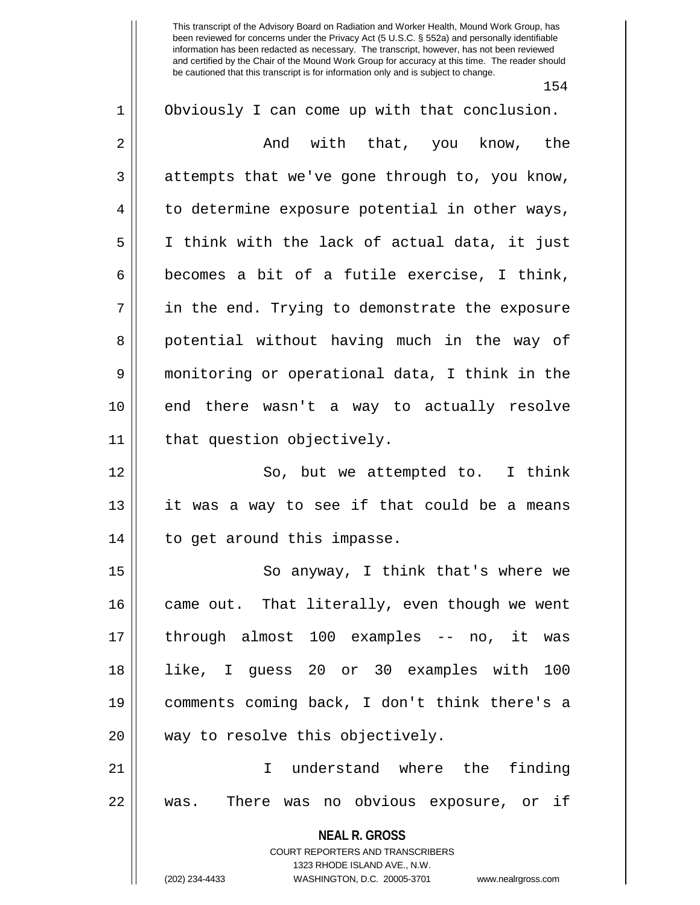154

| $\mathbf 1$    | Obviously I can come up with that conclusion.                                                    |
|----------------|--------------------------------------------------------------------------------------------------|
| $\overline{2}$ | And with that, you know, the                                                                     |
| 3              | attempts that we've gone through to, you know,                                                   |
| 4              | to determine exposure potential in other ways,                                                   |
| 5              | I think with the lack of actual data, it just                                                    |
| 6              | becomes a bit of a futile exercise, I think,                                                     |
| 7              | in the end. Trying to demonstrate the exposure                                                   |
| 8              | potential without having much in the way of                                                      |
| 9              | monitoring or operational data, I think in the                                                   |
| 10             | end there wasn't a way to actually resolve                                                       |
| 11             | that question objectively.                                                                       |
| 12             | So, but we attempted to. I think                                                                 |
| 13             | it was a way to see if that could be a means                                                     |
| 14             | to get around this impasse.                                                                      |
| 15             | So anyway, I think that's where we                                                               |
| 16             | came out. That literally, even though we went                                                    |
| 17             | through almost 100 examples -- no, it was                                                        |
| 18             | like, I guess 20 or 30 examples with 100                                                         |
| 19             | comments coming back, I don't think there's a                                                    |
| 20             | way to resolve this objectively.                                                                 |
| 21             | understand where the finding<br>$\mathsf{T}$                                                     |
| 22             | was. There was no obvious exposure, or if                                                        |
|                | <b>NEAL R. GROSS</b>                                                                             |
|                | <b>COURT REPORTERS AND TRANSCRIBERS</b>                                                          |
|                | 1323 RHODE ISLAND AVE., N.W.<br>(202) 234-4433<br>WASHINGTON, D.C. 20005-3701 www.nealrgross.com |
|                |                                                                                                  |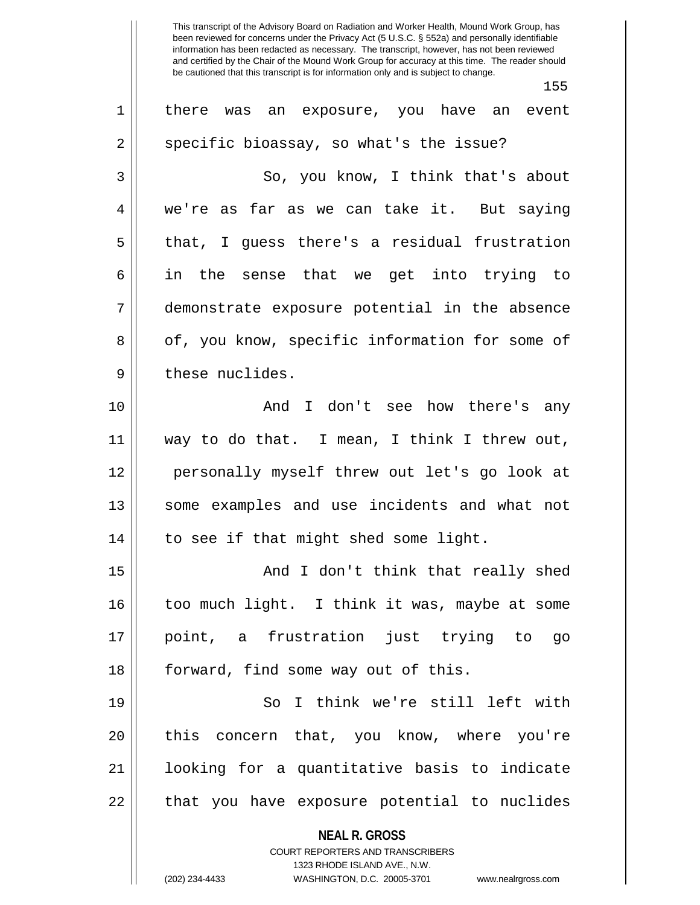155

| $\mathbf 1$ | there was an exposure, you have an event                                                        |
|-------------|-------------------------------------------------------------------------------------------------|
| 2           | specific bioassay, so what's the issue?                                                         |
| 3           | So, you know, I think that's about                                                              |
| 4           | we're as far as we can take it. But saying                                                      |
| 5           | that, I quess there's a residual frustration                                                    |
| 6           | in the sense that we get into trying to                                                         |
| 7           | demonstrate exposure potential in the absence                                                   |
| 8           | of, you know, specific information for some of                                                  |
| 9           | these nuclides.                                                                                 |
| 10          | And I don't see how there's any                                                                 |
| 11          | way to do that. I mean, I think I threw out,                                                    |
| 12          | personally myself threw out let's go look at                                                    |
| 13          | some examples and use incidents and what not                                                    |
| 14          | to see if that might shed some light.                                                           |
| 15          | And I don't think that really shed                                                              |
| 16          | too much light. I think it was, maybe at some                                                   |
| 17          | point, a frustration just trying to<br>go                                                       |
| 18          | forward, find some way out of this.                                                             |
| 19          | So I think we're still left with                                                                |
| 20          | this concern that, you know, where you're                                                       |
| 21          | looking for a quantitative basis to indicate                                                    |
| 22          | that you have exposure potential to nuclides                                                    |
|             | <b>NEAL R. GROSS</b><br><b>COURT REPORTERS AND TRANSCRIBERS</b><br>1323 RHODE ISLAND AVE., N.W. |
|             | (202) 234-4433<br>WASHINGTON, D.C. 20005-3701<br>www.nealrgross.com                             |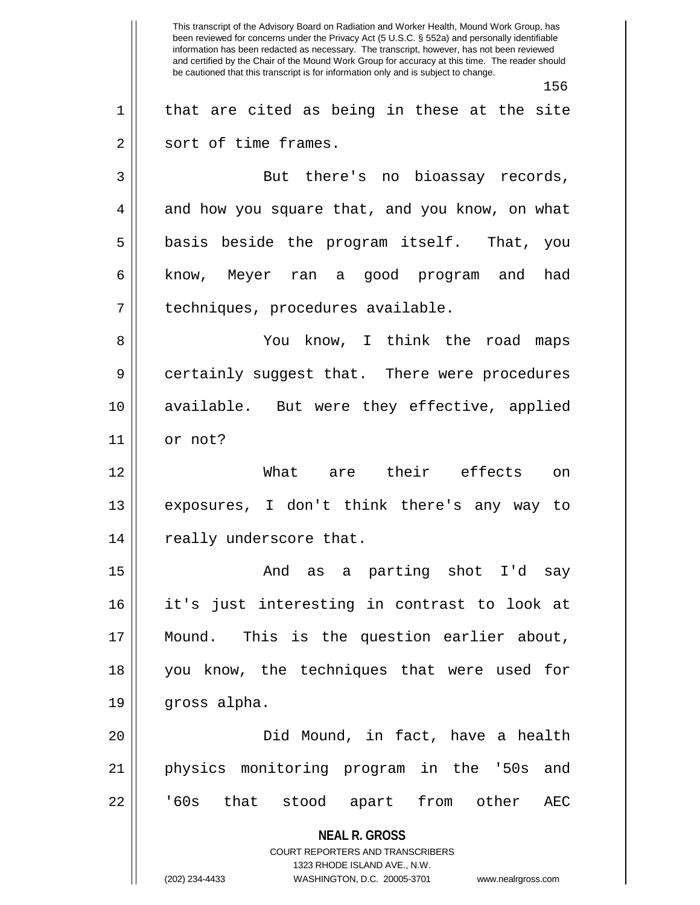**NEAL R. GROSS** COURT REPORTERS AND TRANSCRIBERS 1323 RHODE ISLAND AVE., N.W. (202) 234-4433 WASHINGTON, D.C. 20005-3701 www.nealrgross.com This transcript of the Advisory Board on Radiation and Worker Health, Mound Work Group, has been reviewed for concerns under the Privacy Act (5 U.S.C. § 552a) and personally identifiable information has been redacted as necessary. The transcript, however, has not been reviewed and certified by the Chair of the Mound Work Group for accuracy at this time. The reader should be cautioned that this transcript is for information only and is subject to change. 156  $1 \parallel$  that are cited as being in these at the site 2 || sort of time frames. 3 || But there's no bioassay records,  $4 \parallel$  and how you square that, and you know, on what  $5 \parallel$  basis beside the program itself. That, you 6 know, Meyer ran a good program and had 7 | techniques, procedures available. 8 You know, I think the road maps 9 || certainly suggest that. There were procedures 10 available. But were they effective, applied 11 or not? 12 What are their effects on 13 exposures, I don't think there's any way to 14 || really underscore that. 15 And as a parting shot I'd say 16 it's just interesting in contrast to look at 17 Mound. This is the question earlier about, 18 you know, the techniques that were used for 19 gross alpha. 20 Did Mound, in fact, have a health 21 physics monitoring program in the '50s and 22 || '60s that stood apart from other AEC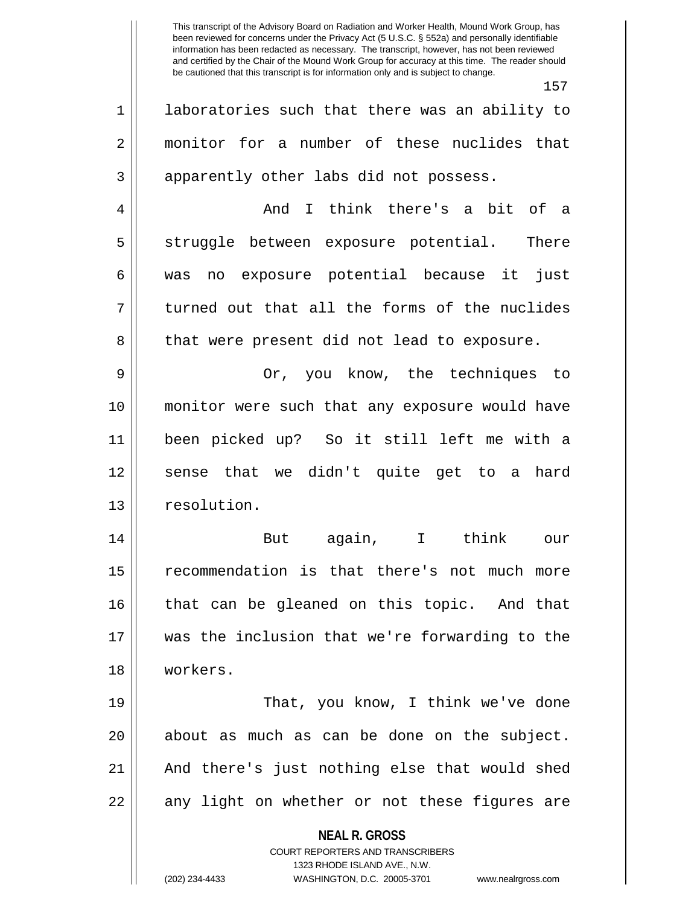**NEAL R. GROSS** 157 1 || laboratories such that there was an ability to 2 monitor for a number of these nuclides that  $3 \parallel$  apparently other labs did not possess. 4 And I think there's a bit of a 5 || struggle between exposure potential. There 6 was no exposure potential because it just  $7 \parallel$  turned out that all the forms of the nuclides 8 || that were present did not lead to exposure. 9 Or, you know, the techniques to 10 monitor were such that any exposure would have 11 been picked up? So it still left me with a 12 || sense that we didn't quite get to a hard 13 | resolution. 14 But again, I think our 15 recommendation is that there's not much more 16 || that can be gleaned on this topic. And that 17 was the inclusion that we're forwarding to the 18 workers. 19 || That, you know, I think we've done  $20$  || about as much as can be done on the subject. 21 And there's just nothing else that would shed  $22 \parallel$  any light on whether or not these figures are

> COURT REPORTERS AND TRANSCRIBERS 1323 RHODE ISLAND AVE., N.W.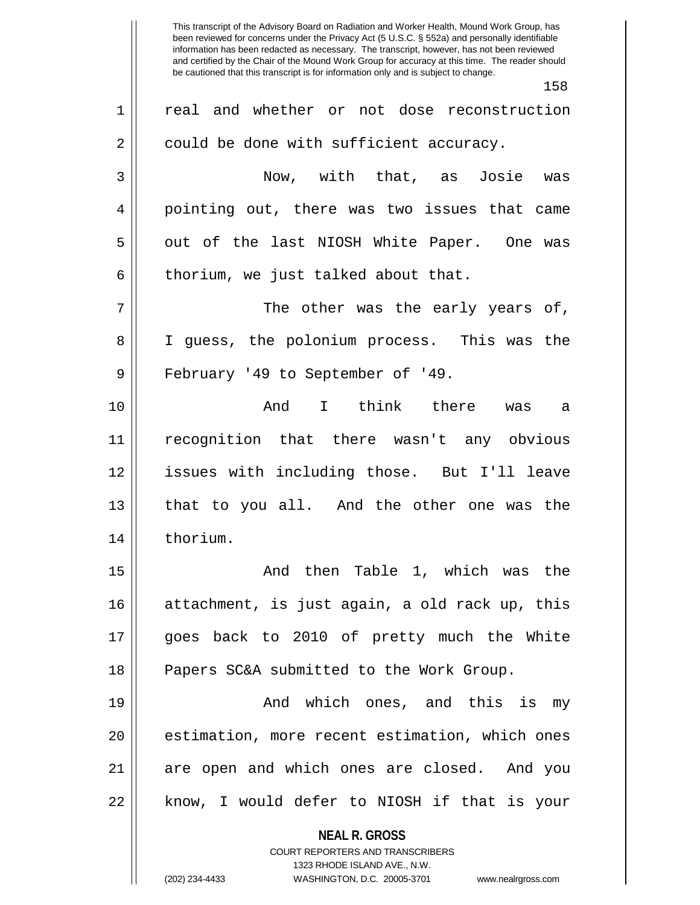**NEAL R. GROSS** COURT REPORTERS AND TRANSCRIBERS 1323 RHODE ISLAND AVE., N.W. This transcript of the Advisory Board on Radiation and Worker Health, Mound Work Group, has been reviewed for concerns under the Privacy Act (5 U.S.C. § 552a) and personally identifiable information has been redacted as necessary. The transcript, however, has not been reviewed and certified by the Chair of the Mound Work Group for accuracy at this time. The reader should be cautioned that this transcript is for information only and is subject to change. 158 1 || real and whether or not dose reconstruction  $2 \parallel$  could be done with sufficient accuracy. 3 Now, with that, as Josie was 4 pointing out, there was two issues that came 5 || out of the last NIOSH White Paper. One was  $6$  || thorium, we just talked about that.  $7 \parallel$  The other was the early years of, 8 I guess, the polonium process. This was the 9 || February '49 to September of '49. 10 And I think there was a 11 recognition that there wasn't any obvious 12 issues with including those. But I'll leave 13 that to you all. And the other one was the 14 || thorium. 15 And then Table 1, which was the 16 || attachment, is just again, a old rack up, this 17 goes back to 2010 of pretty much the White 18 || Papers SC&A submitted to the Work Group. 19 And which ones, and this is my 20 || estimation, more recent estimation, which ones 21 || are open and which ones are closed. And you 22 || know, I would defer to NIOSH if that is your

<sup>(202) 234-4433</sup> WASHINGTON, D.C. 20005-3701 www.nealrgross.com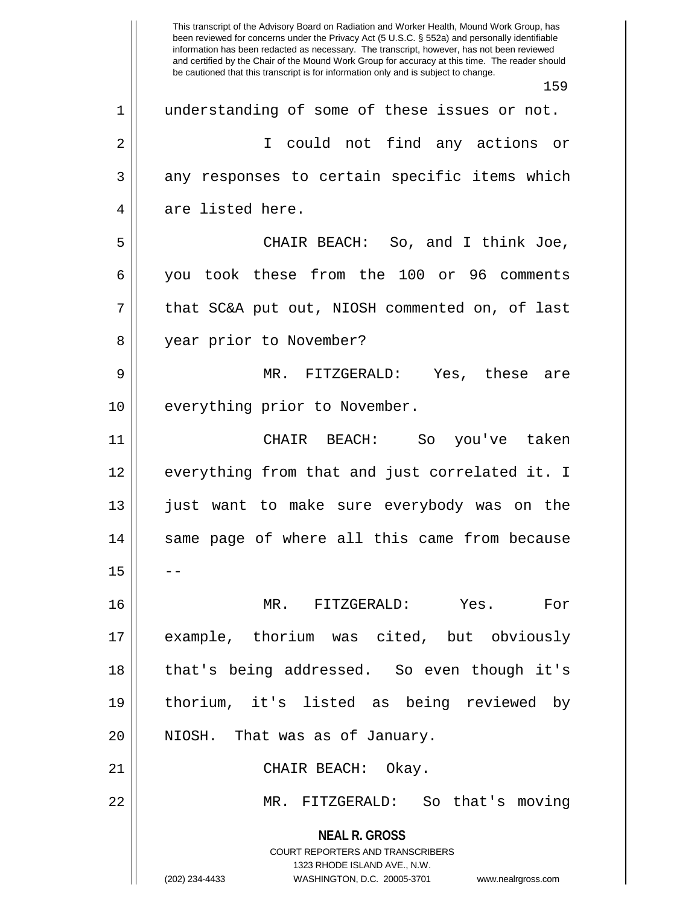**NEAL R. GROSS** COURT REPORTERS AND TRANSCRIBERS 1323 RHODE ISLAND AVE., N.W. (202) 234-4433 WASHINGTON, D.C. 20005-3701 www.nealrgross.com This transcript of the Advisory Board on Radiation and Worker Health, Mound Work Group, has been reviewed for concerns under the Privacy Act (5 U.S.C. § 552a) and personally identifiable information has been redacted as necessary. The transcript, however, has not been reviewed and certified by the Chair of the Mound Work Group for accuracy at this time. The reader should be cautioned that this transcript is for information only and is subject to change. 159 1 || understanding of some of these issues or not. 2 || I could not find any actions or 3 || any responses to certain specific items which 4 || are listed here. 5 CHAIR BEACH: So, and I think Joe, 6 you took these from the 100 or 96 comments  $7 \parallel$  that SC&A put out, NIOSH commented on, of last 8 || year prior to November? 9 MR. FITZGERALD: Yes, these are 10 || everything prior to November. 11 CHAIR BEACH: So you've taken 12 || everything from that and just correlated it. I 13 just want to make sure everybody was on the 14 || same page of where all this came from because  $15$ 16 MR. FITZGERALD: Yes. For 17 example, thorium was cited, but obviously 18 that's being addressed. So even though it's 19 thorium, it's listed as being reviewed by 20 || NIOSH. That was as of January. 21 || CHAIR BEACH: Okay. 22 MR. FITZGERALD: So that's moving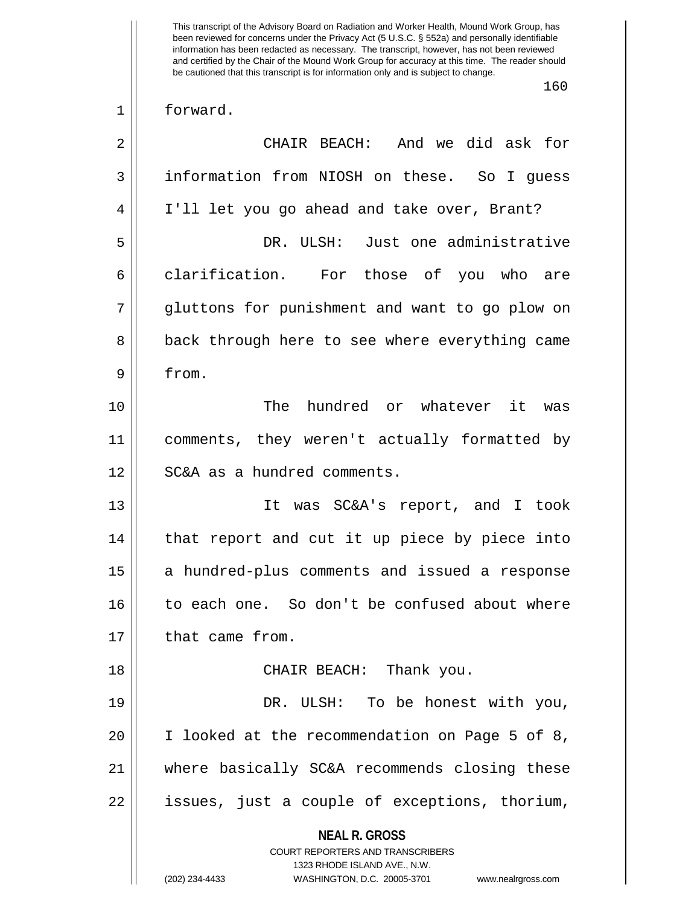**NEAL R. GROSS** COURT REPORTERS AND TRANSCRIBERS 1323 RHODE ISLAND AVE., N.W. (202) 234-4433 WASHINGTON, D.C. 20005-3701 www.nealrgross.com This transcript of the Advisory Board on Radiation and Worker Health, Mound Work Group, has been reviewed for concerns under the Privacy Act (5 U.S.C. § 552a) and personally identifiable information has been redacted as necessary. The transcript, however, has not been reviewed and certified by the Chair of the Mound Work Group for accuracy at this time. The reader should be cautioned that this transcript is for information only and is subject to change. 160 1 forward. 2 CHAIR BEACH: And we did ask for 3 | information from NIOSH on these. So I guess 4 I'll let you go ahead and take over, Brant? 5 DR. ULSH: Just one administrative 6 clarification. For those of you who are 7 || qluttons for punishment and want to go plow on 8 || back through here to see where everything came 9 from. 10 The hundred or whatever it was 11 comments, they weren't actually formatted by 12 SC&A as a hundred comments. 13 It was SC&A's report, and I took 14 || that report and cut it up piece by piece into 15 || a hundred-plus comments and issued a response 16 to each one. So don't be confused about where 17 | that came from. 18 CHAIR BEACH: Thank you. 19 || DR. ULSH: To be honest with you, 20 I looked at the recommendation on Page 5 of 8, 21 where basically SC&A recommends closing these 22 || issues, just a couple of exceptions, thorium,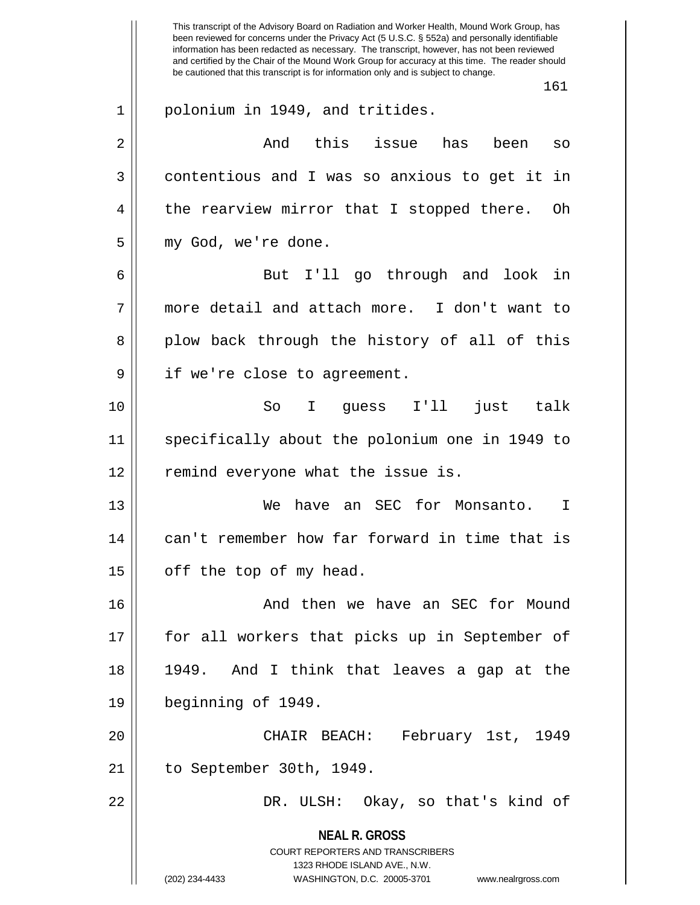**NEAL R. GROSS** COURT REPORTERS AND TRANSCRIBERS 1323 RHODE ISLAND AVE., N.W. (202) 234-4433 WASHINGTON, D.C. 20005-3701 www.nealrgross.com This transcript of the Advisory Board on Radiation and Worker Health, Mound Work Group, has been reviewed for concerns under the Privacy Act (5 U.S.C. § 552a) and personally identifiable information has been redacted as necessary. The transcript, however, has not been reviewed and certified by the Chair of the Mound Work Group for accuracy at this time. The reader should be cautioned that this transcript is for information only and is subject to change. 161 1 || polonium in 1949, and tritides. 2 And this issue has been so 3 contentious and I was so anxious to get it in 4 || the rearview mirror that I stopped there. Oh 5 || my God, we're done. 6 But I'll go through and look in 7 more detail and attach more. I don't want to 8 plow back through the history of all of this 9 || if we're close to agreement. 10 So I guess I'll just talk 11 specifically about the polonium one in 1949 to 12 || remind everyone what the issue is. 13 We have an SEC for Monsanto. I 14 || can't remember how far forward in time that is  $15$  | off the top of my head. 16 And then we have an SEC for Mound 17 for all workers that picks up in September of 18 1949. And I think that leaves a gap at the 19 beginning of 1949. 20 CHAIR BEACH: February 1st, 1949 21 to September 30th, 1949. 22 DR. ULSH: Okay, so that's kind of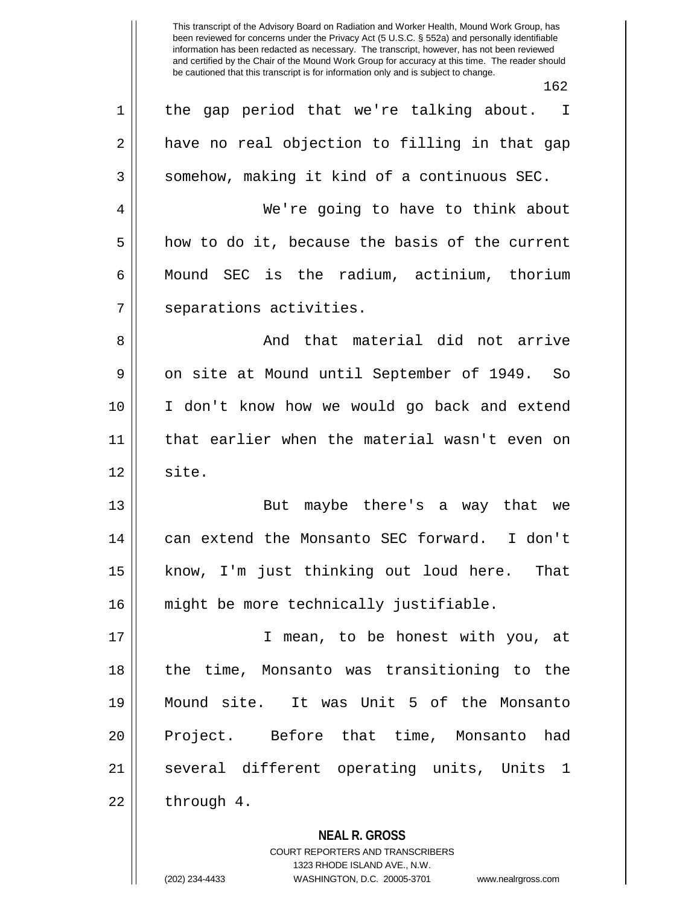**NEAL R. GROSS** 162 1 || the gap period that we're talking about. I  $2 \parallel$  have no real objection to filling in that gap  $3 \parallel$  somehow, making it kind of a continuous SEC. 4 | We're going to have to think about  $5 \parallel$  how to do it, because the basis of the current 6 || Mound SEC is the radium, actinium, thorium 7 | separations activities. 8 And that material did not arrive 9 || on site at Mound until September of 1949. So 10 I don't know how we would go back and extend 11 that earlier when the material wasn't even on  $12 \parallel$  site. 13 || But maybe there's a way that we 14 || can extend the Monsanto SEC forward. I don't 15 || know, I'm just thinking out loud here. That 16 might be more technically justifiable. 17 || **I** mean, to be honest with you, at 18 the time, Monsanto was transitioning to the 19 Mound site. It was Unit 5 of the Monsanto 20 || Project. Before that time, Monsanto had 21 || several different operating units, Units 1  $22 \parallel$  through 4.

> COURT REPORTERS AND TRANSCRIBERS 1323 RHODE ISLAND AVE., N.W.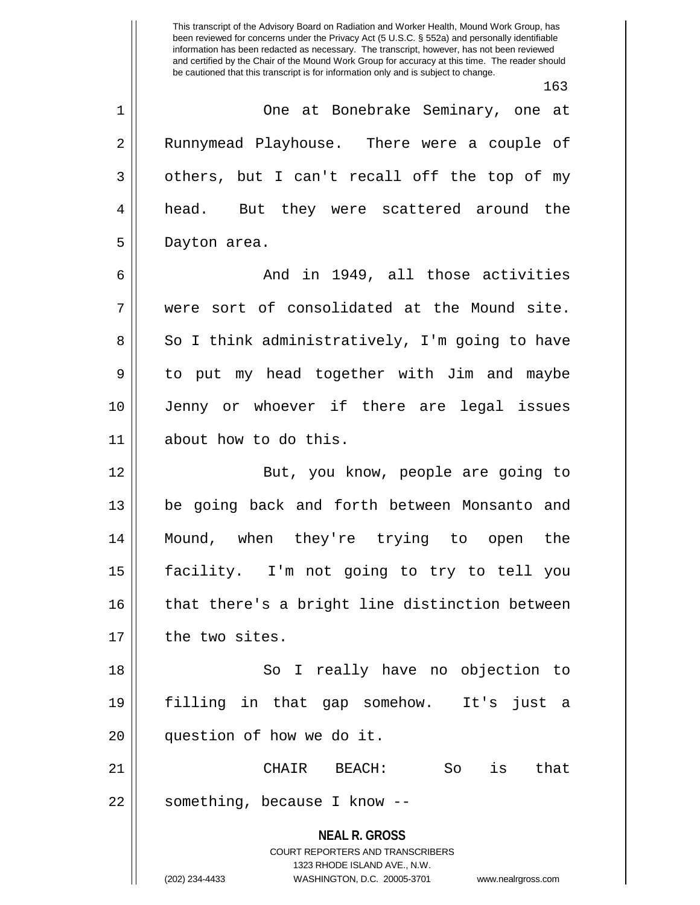|    | 163                                                                                                                                                             |
|----|-----------------------------------------------------------------------------------------------------------------------------------------------------------------|
| 1  | One at Bonebrake Seminary, one at                                                                                                                               |
| 2  | Runnymead Playhouse. There were a couple of                                                                                                                     |
| 3  | others, but I can't recall off the top of my                                                                                                                    |
| 4  | head. But they were scattered around the                                                                                                                        |
| 5  | Dayton area.                                                                                                                                                    |
| 6  | And in 1949, all those activities                                                                                                                               |
| 7  | were sort of consolidated at the Mound site.                                                                                                                    |
| 8  | So I think administratively, I'm going to have                                                                                                                  |
| 9  | to put my head together with Jim and maybe                                                                                                                      |
| 10 | Jenny or whoever if there are legal issues                                                                                                                      |
| 11 | about how to do this.                                                                                                                                           |
| 12 | But, you know, people are going to                                                                                                                              |
| 13 | be going back and forth between Monsanto and                                                                                                                    |
| 14 | Mound, when they're trying to open the                                                                                                                          |
| 15 | facility. I'm not going to try to tell you                                                                                                                      |
| 16 | that there's a bright line distinction between                                                                                                                  |
| 17 | the two sites.                                                                                                                                                  |
| 18 | So I really have no objection to                                                                                                                                |
| 19 | filling in that gap somehow. It's just a                                                                                                                        |
| 20 | question of how we do it.                                                                                                                                       |
| 21 | that<br>BEACH:<br>So<br>is<br>CHAIR                                                                                                                             |
| 22 | something, because I know --                                                                                                                                    |
|    | <b>NEAL R. GROSS</b><br>COURT REPORTERS AND TRANSCRIBERS<br>1323 RHODE ISLAND AVE., N.W.<br>(202) 234-4433<br>WASHINGTON, D.C. 20005-3701<br>www.nealrgross.com |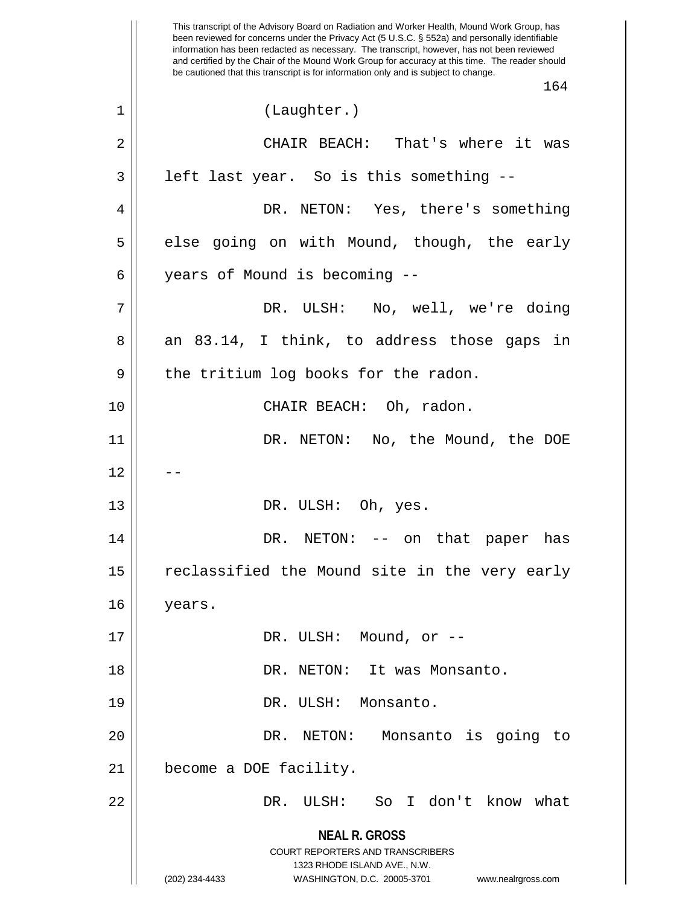**NEAL R. GROSS** COURT REPORTERS AND TRANSCRIBERS 1323 RHODE ISLAND AVE., N.W. (202) 234-4433 WASHINGTON, D.C. 20005-3701 www.nealrgross.com This transcript of the Advisory Board on Radiation and Worker Health, Mound Work Group, has been reviewed for concerns under the Privacy Act (5 U.S.C. § 552a) and personally identifiable information has been redacted as necessary. The transcript, however, has not been reviewed and certified by the Chair of the Mound Work Group for accuracy at this time. The reader should be cautioned that this transcript is for information only and is subject to change. 164 1 (Laughter.) 2 CHAIR BEACH: That's where it was  $3 \parallel$  left last year. So is this something --4 DR. NETON: Yes, there's something  $5 \parallel$  else going on with Mound, though, the early 6 years of Mound is becoming -- 7 DR. ULSH: No, well, we're doing  $8 \parallel$  an  $83.14$ , I think, to address those gaps in  $9 \parallel$  the tritium log books for the radon. 10 CHAIR BEACH: Oh, radon. 11 DR. NETON: No, the Mound, the DOE  $12$ 13 || DR. ULSH: Oh, yes. 14 DR. NETON: -- on that paper has 15 || reclassified the Mound site in the very early 16 years. 17 DR. ULSH: Mound, or -- 18 || DR. NETON: It was Monsanto. 19 || DR. ULSH: Monsanto. 20 DR. NETON: Monsanto is going to 21 | become a DOE facility. 22 DR. ULSH: So I don't know what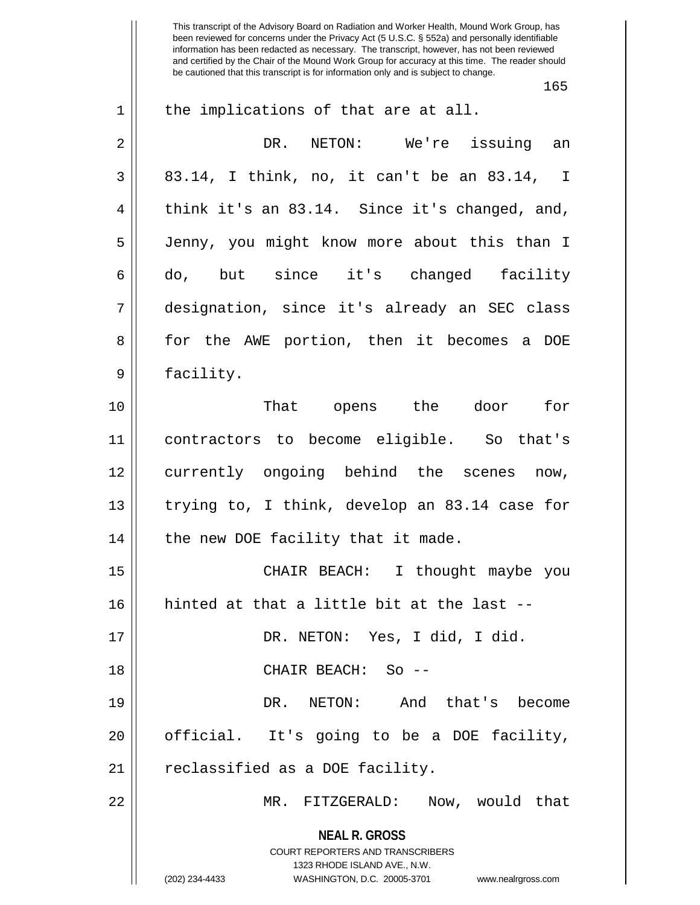165

| 1              | the implications of that are at all.                                                                                                                                |
|----------------|---------------------------------------------------------------------------------------------------------------------------------------------------------------------|
| $\overline{2}$ | DR.<br>NETON: We're issuing an                                                                                                                                      |
| 3              | 83.14, I think, no, it can't be an 83.14, I                                                                                                                         |
| $\overline{4}$ | think it's an 83.14. Since it's changed, and,                                                                                                                       |
| 5              | Jenny, you might know more about this than I                                                                                                                        |
| 6              | do, but since it's changed facility                                                                                                                                 |
| 7              | designation, since it's already an SEC class                                                                                                                        |
| 8              | for the AWE portion, then it becomes a DOE                                                                                                                          |
| 9              | facility.                                                                                                                                                           |
| 10             | That opens the door for                                                                                                                                             |
| 11             | contractors to become eligible. So that's                                                                                                                           |
| 12             | currently ongoing behind the scenes now,                                                                                                                            |
| 13             | trying to, I think, develop an 83.14 case for                                                                                                                       |
| 14             | the new DOE facility that it made.                                                                                                                                  |
| 15             | CHAIR BEACH: I thought maybe you                                                                                                                                    |
| 16             | hinted at that a little bit at the last -                                                                                                                           |
| 17             | DR. NETON: Yes, I did, I did.                                                                                                                                       |
| 18             | CHAIR BEACH: So --                                                                                                                                                  |
| 19             | DR. NETON: And that's become                                                                                                                                        |
| 20             | official. It's going to be a DOE facility,                                                                                                                          |
| 21             | reclassified as a DOE facility.                                                                                                                                     |
| 22             | MR. FITZGERALD: Now, would that                                                                                                                                     |
|                | <b>NEAL R. GROSS</b><br><b>COURT REPORTERS AND TRANSCRIBERS</b><br>1323 RHODE ISLAND AVE., N.W.<br>(202) 234-4433<br>WASHINGTON, D.C. 20005-3701 www.nealrgross.com |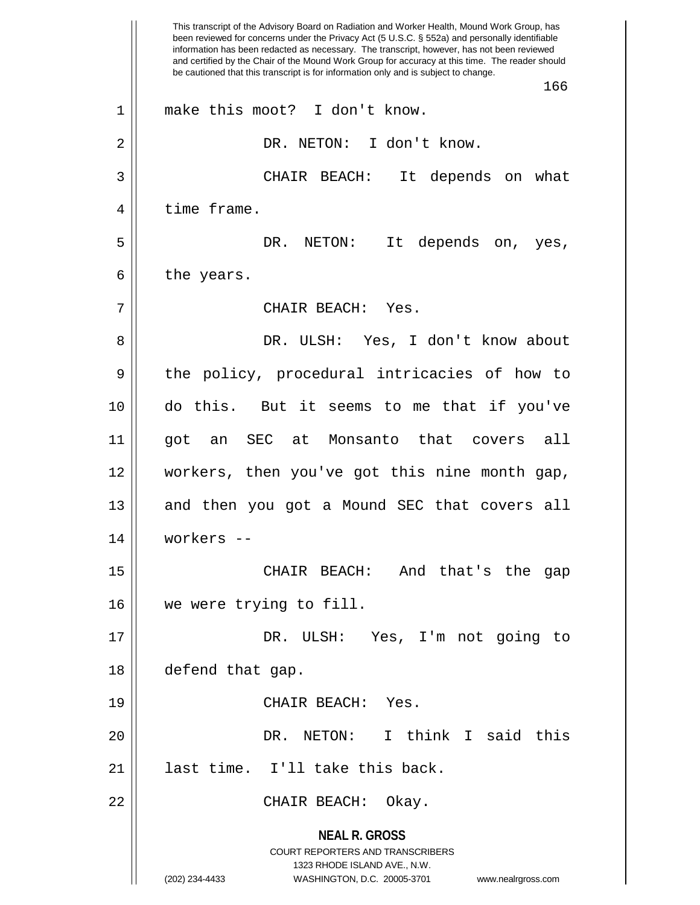**NEAL R. GROSS** COURT REPORTERS AND TRANSCRIBERS 1323 RHODE ISLAND AVE., N.W. (202) 234-4433 WASHINGTON, D.C. 20005-3701 www.nealrgross.com This transcript of the Advisory Board on Radiation and Worker Health, Mound Work Group, has been reviewed for concerns under the Privacy Act (5 U.S.C. § 552a) and personally identifiable information has been redacted as necessary. The transcript, however, has not been reviewed and certified by the Chair of the Mound Work Group for accuracy at this time. The reader should be cautioned that this transcript is for information only and is subject to change. 166 1 || make this moot? I don't know. 2 || DR. NETON: I don't know. 3 CHAIR BEACH: It depends on what 4 | time frame. 5 DR. NETON: It depends on, yes,  $6 \parallel$  the years. 7 CHAIR BEACH: Yes. 8 DR. ULSH: Yes, I don't know about 9 || the policy, procedural intricacies of how to 10 do this. But it seems to me that if you've 11 got an SEC at Monsanto that covers all 12 workers, then you've got this nine month gap, 13 || and then you got a Mound SEC that covers all 14 workers -- 15 || CHAIR BEACH: And that's the gap 16 || we were trying to fill. 17 DR. ULSH: Yes, I'm not going to 18 defend that gap. 19 || CHAIR BEACH: Yes. 20 DR. NETON: I think I said this 21 || last time. I'll take this back. 22 CHAIR BEACH: Okay.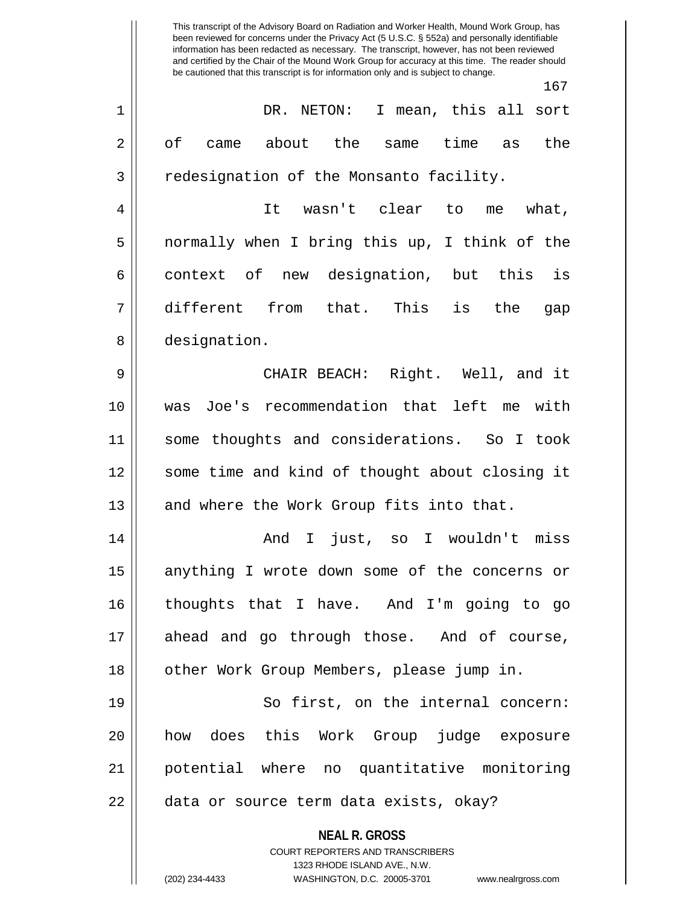**NEAL R. GROSS** COURT REPORTERS AND TRANSCRIBERS 1323 RHODE ISLAND AVE., N.W. This transcript of the Advisory Board on Radiation and Worker Health, Mound Work Group, has been reviewed for concerns under the Privacy Act (5 U.S.C. § 552a) and personally identifiable information has been redacted as necessary. The transcript, however, has not been reviewed and certified by the Chair of the Mound Work Group for accuracy at this time. The reader should be cautioned that this transcript is for information only and is subject to change. 167 1 DR. NETON: I mean, this all sort  $2 \parallel$  of came about the same time as the 3 | redesignation of the Monsanto facility. 4 It wasn't clear to me what, 5 normally when I bring this up, I think of the  $6 \parallel$  context of new designation, but this is 7 different from that. This is the gap 8 designation. 9 CHAIR BEACH: Right. Well, and it 10 was Joe's recommendation that left me with 11 some thoughts and considerations. So I took 12 || some time and kind of thought about closing it  $13$  and where the Work Group fits into that. 14 And I just, so I wouldn't miss 15 || anything I wrote down some of the concerns or 16 thoughts that I have. And I'm going to go 17 ahead and go through those. And of course, 18 || other Work Group Members, please jump in. 19 || So first, on the internal concern: 20 how does this Work Group judge exposure 21 potential where no quantitative monitoring 22 || data or source term data exists, okay?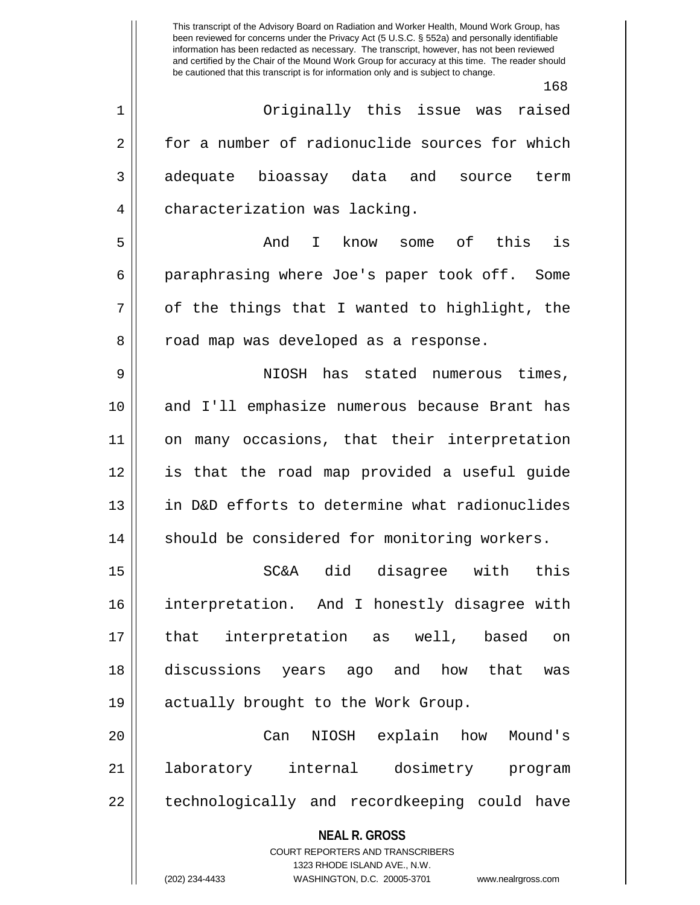$160$ 

| $1\,$          | 10 R<br>Originally this issue was raised                 |
|----------------|----------------------------------------------------------|
| $\mathbf 2$    | for a number of radionuclide sources for which           |
| 3              | adequate bioassay data and<br>term<br>source             |
|                |                                                          |
| $\overline{4}$ | characterization was lacking.                            |
| 5              | is<br>know some of this<br>And<br>$\mathbf{I}$           |
| 6              | paraphrasing where Joe's paper took off. Some            |
| 7              | of the things that I wanted to highlight, the            |
| 8              | road map was developed as a response.                    |
| 9              | NIOSH has stated numerous times,                         |
| 10             | and I'll emphasize numerous because Brant has            |
| 11             | on many occasions, that their interpretation             |
| 12             | is that the road map provided a useful guide             |
| 13             | in D&D efforts to determine what radionuclides           |
| 14             | should be considered for monitoring workers.             |
| 15             | SC&A did disagree with<br>this                           |
| 16             | interpretation. And I honestly disagree with             |
| 17             | that interpretation as well, based<br>on                 |
| 18             | discussions years ago and how that<br>was                |
| 19             | actually brought to the Work Group.                      |
| 20             | NIOSH explain how<br>Mound's<br>Can                      |
| 21             | laboratory internal dosimetry program                    |
|                |                                                          |
| 22             | technologically and recordkeeping could have             |
|                | <b>NEAL R. GROSS</b><br>COURT REPORTERS AND TRANSCRIBERS |

1323 RHODE ISLAND AVE., N.W.

 $\mathsf{II}$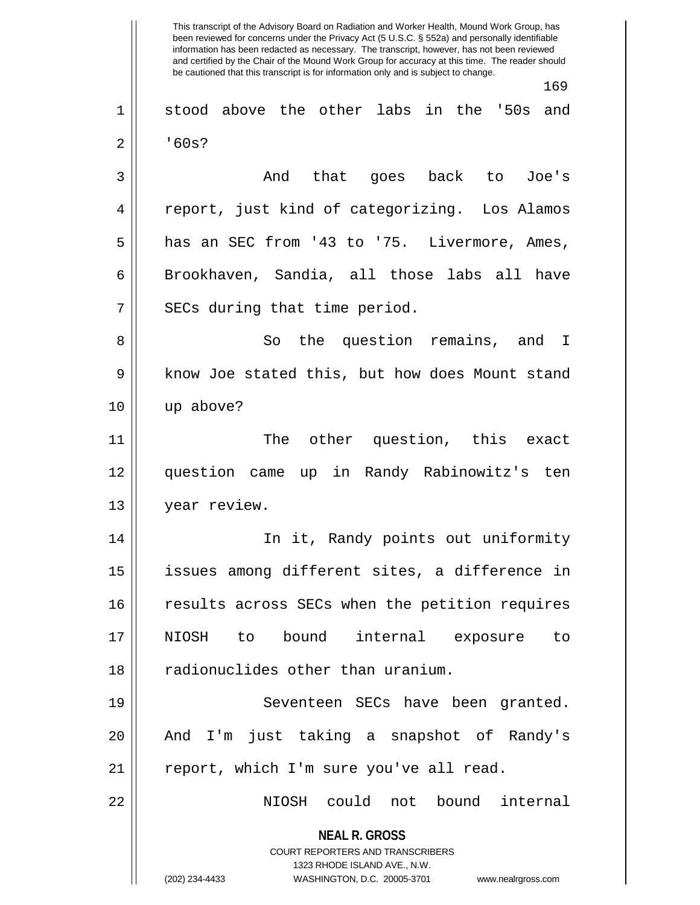**NEAL R. GROSS** COURT REPORTERS AND TRANSCRIBERS 1323 RHODE ISLAND AVE., N.W. (202) 234-4433 WASHINGTON, D.C. 20005-3701 www.nealrgross.com This transcript of the Advisory Board on Radiation and Worker Health, Mound Work Group, has been reviewed for concerns under the Privacy Act (5 U.S.C. § 552a) and personally identifiable information has been redacted as necessary. The transcript, however, has not been reviewed and certified by the Chair of the Mound Work Group for accuracy at this time. The reader should be cautioned that this transcript is for information only and is subject to change. 169 1 stood above the other labs in the '50s and  $2 \parallel$  '60s? 3 And that goes back to Joe's 4 report, just kind of categorizing. Los Alamos 5 has an SEC from '43 to '75. Livermore, Ames, 6 Brookhaven, Sandia, all those labs all have  $7$  || SECs during that time period. 8 So the question remains, and I 9 || know Joe stated this, but how does Mount stand 10 up above? 11 || The other question, this exact 12 question came up in Randy Rabinowitz's ten 13 || year review. 14 In it, Randy points out uniformity 15 issues among different sites, a difference in 16 || results across SECs when the petition requires 17 NIOSH to bound internal exposure to 18 || radionuclides other than uranium. 19 || Seventeen SECs have been granted. 20 || And I'm just taking a snapshot of Randy's  $21$  | report, which I'm sure you've all read. 22 NIOSH could not bound internal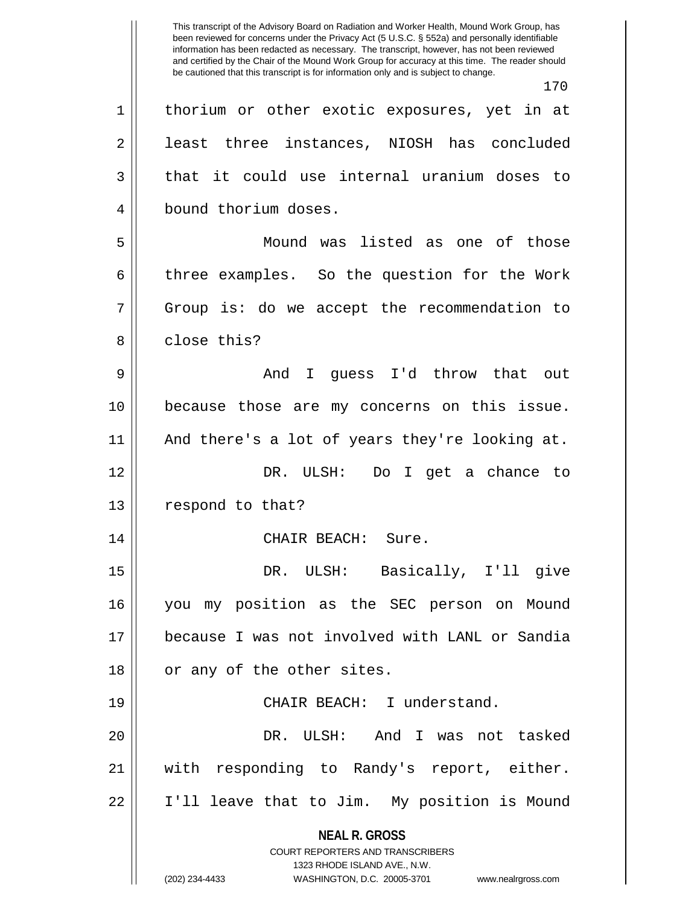**NEAL R. GROSS** COURT REPORTERS AND TRANSCRIBERS 1323 RHODE ISLAND AVE., N.W. This transcript of the Advisory Board on Radiation and Worker Health, Mound Work Group, has been reviewed for concerns under the Privacy Act (5 U.S.C. § 552a) and personally identifiable information has been redacted as necessary. The transcript, however, has not been reviewed and certified by the Chair of the Mound Work Group for accuracy at this time. The reader should be cautioned that this transcript is for information only and is subject to change. 170 1 || thorium or other exotic exposures, yet in at 2 | least three instances, NIOSH has concluded  $3 \parallel$  that it could use internal uranium doses to 4 | bound thorium doses. 5 Mound was listed as one of those 6 three examples. So the question for the Work 7 Group is: do we accept the recommendation to 8 l close this? 9 And I guess I'd throw that out 10 because those are my concerns on this issue.  $11$  | And there's a lot of years they're looking at. 12 DR. ULSH: Do I get a chance to 13 || respond to that? 14 || CHAIR BEACH: Sure. 15 DR. ULSH: Basically, I'll give 16 you my position as the SEC person on Mound 17 because I was not involved with LANL or Sandia 18 || or any of the other sites. 19 CHAIR BEACH: I understand. 20 DR. ULSH: And I was not tasked 21 with responding to Randy's report, either. 22 I'll leave that to Jim. My position is Mound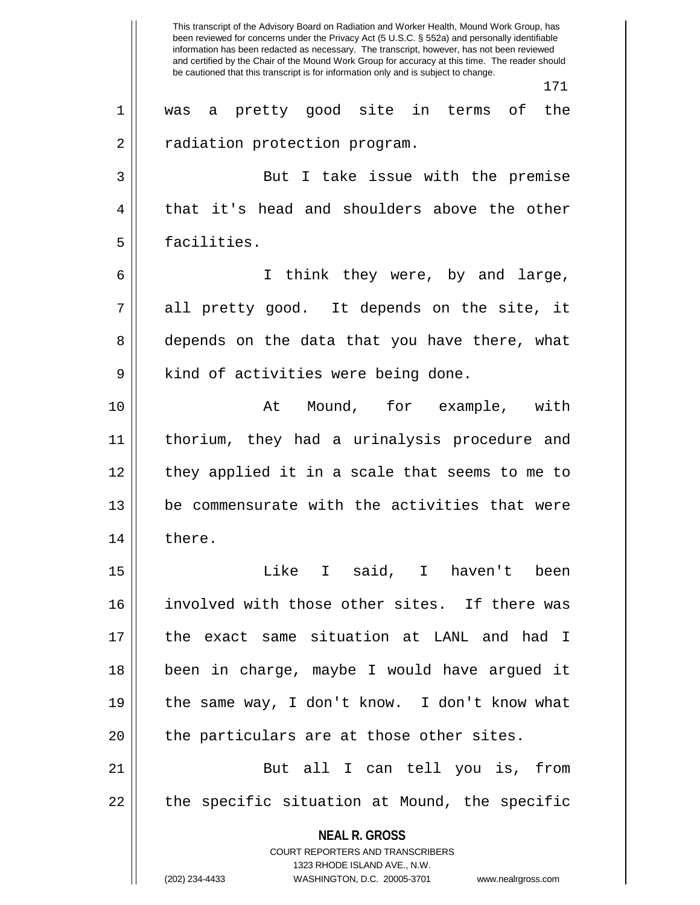**NEAL R. GROSS** COURT REPORTERS AND TRANSCRIBERS 1323 RHODE ISLAND AVE., N.W. (202) 234-4433 WASHINGTON, D.C. 20005-3701 www.nealrgross.com This transcript of the Advisory Board on Radiation and Worker Health, Mound Work Group, has been reviewed for concerns under the Privacy Act (5 U.S.C. § 552a) and personally identifiable information has been redacted as necessary. The transcript, however, has not been reviewed and certified by the Chair of the Mound Work Group for accuracy at this time. The reader should be cautioned that this transcript is for information only and is subject to change. 171 1 || was a pretty good site in terms of the 2 | radiation protection program. 3 But I take issue with the premise  $4 \parallel$  that it's head and shoulders above the other 5 | facilities. 6 I think they were, by and large,  $7 \parallel$  all pretty good. It depends on the site, it 8 depends on the data that you have there, what 9 | kind of activities were being done. 10 || At Mound, for example, with 11 thorium, they had a urinalysis procedure and 12 || they applied it in a scale that seems to me to  $13$  | be commensurate with the activities that were 14 || there. 15 Like I said, I haven't been 16 involved with those other sites. If there was 17 the exact same situation at LANL and had I 18 been in charge, maybe I would have argued it 19 the same way, I don't know. I don't know what  $20$   $\parallel$  the particulars are at those other sites. 21 || But all I can tell you is, from  $22$  || the specific situation at Mound, the specific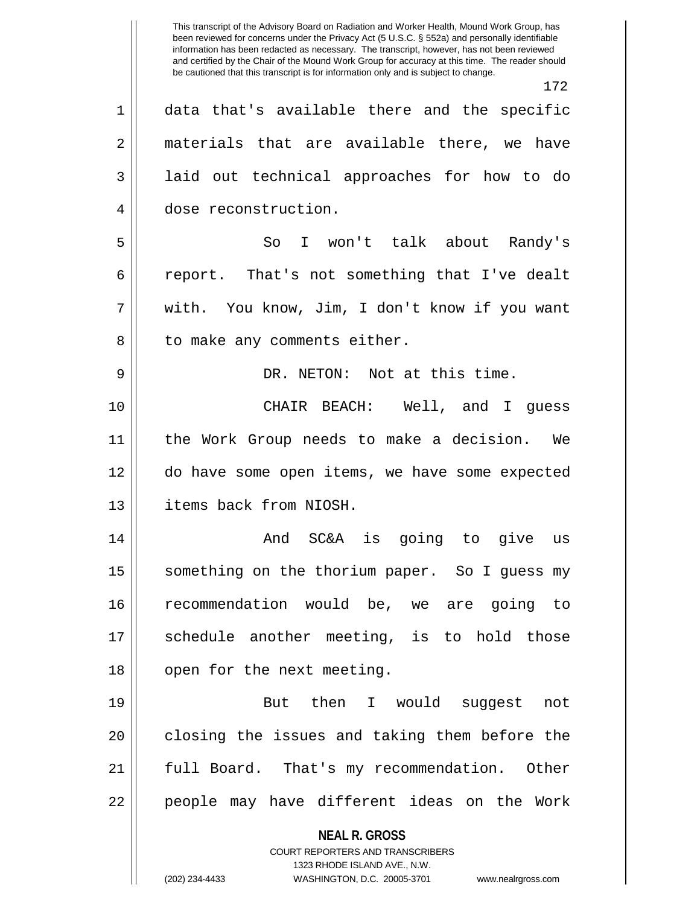**NEAL R. GROSS** COURT REPORTERS AND TRANSCRIBERS 1323 RHODE ISLAND AVE., N.W. (202) 234-4433 WASHINGTON, D.C. 20005-3701 www.nealrgross.com This transcript of the Advisory Board on Radiation and Worker Health, Mound Work Group, has been reviewed for concerns under the Privacy Act (5 U.S.C. § 552a) and personally identifiable information has been redacted as necessary. The transcript, however, has not been reviewed and certified by the Chair of the Mound Work Group for accuracy at this time. The reader should be cautioned that this transcript is for information only and is subject to change. 172 1 data that's available there and the specific 2 || materials that are available there, we have 3 || laid out technical approaches for how to do 4 dose reconstruction. 5 So I won't talk about Randy's 6 ceport. That's not something that I've dealt 7 with. You know, Jim, I don't know if you want 8 || to make any comments either. 9 DR. NETON: Not at this time. 10 CHAIR BEACH: Well, and I guess 11 the Work Group needs to make a decision. We 12 do have some open items, we have some expected 13 items back from NIOSH. 14 And SC&A is going to give us 15 | something on the thorium paper. So I guess my 16 recommendation would be, we are going to 17 Schedule another meeting, is to hold those 18 || open for the next meeting. 19 || But then I would suggest not 20 || closing the issues and taking them before the 21 || full Board. That's my recommendation. Other 22 || people may have different ideas on the Work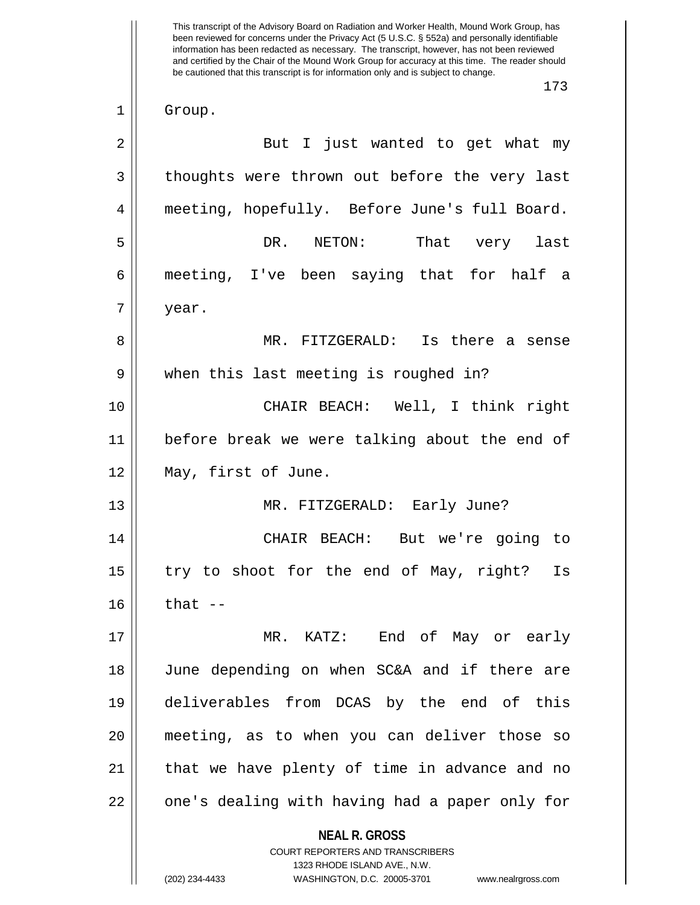**NEAL R. GROSS** COURT REPORTERS AND TRANSCRIBERS 1323 RHODE ISLAND AVE., N.W. This transcript of the Advisory Board on Radiation and Worker Health, Mound Work Group, has been reviewed for concerns under the Privacy Act (5 U.S.C. § 552a) and personally identifiable information has been redacted as necessary. The transcript, however, has not been reviewed and certified by the Chair of the Mound Work Group for accuracy at this time. The reader should be cautioned that this transcript is for information only and is subject to change. 173 1 || Group. 2 || But I just wanted to get what my  $3 \parallel$  thoughts were thrown out before the very last 4 meeting, hopefully. Before June's full Board. 5 DR. NETON: That very last 6 meeting, I've been saying that for half a  $7 \parallel$  year. 8 MR. FITZGERALD: Is there a sense 9 || when this last meeting is roughed in? 10 CHAIR BEACH: Well, I think right 11 before break we were talking about the end of 12 May, first of June. 13 MR. FITZGERALD: Early June? 14 CHAIR BEACH: But we're going to  $15$  | try to shoot for the end of May, right? Is  $16$  || that  $-$ 17 MR. KATZ: End of May or early 18 June depending on when SC&A and if there are 19 deliverables from DCAS by the end of this 20 meeting, as to when you can deliver those so 21 || that we have plenty of time in advance and no 22 || one's dealing with having had a paper only for

<sup>(202) 234-4433</sup> WASHINGTON, D.C. 20005-3701 www.nealrgross.com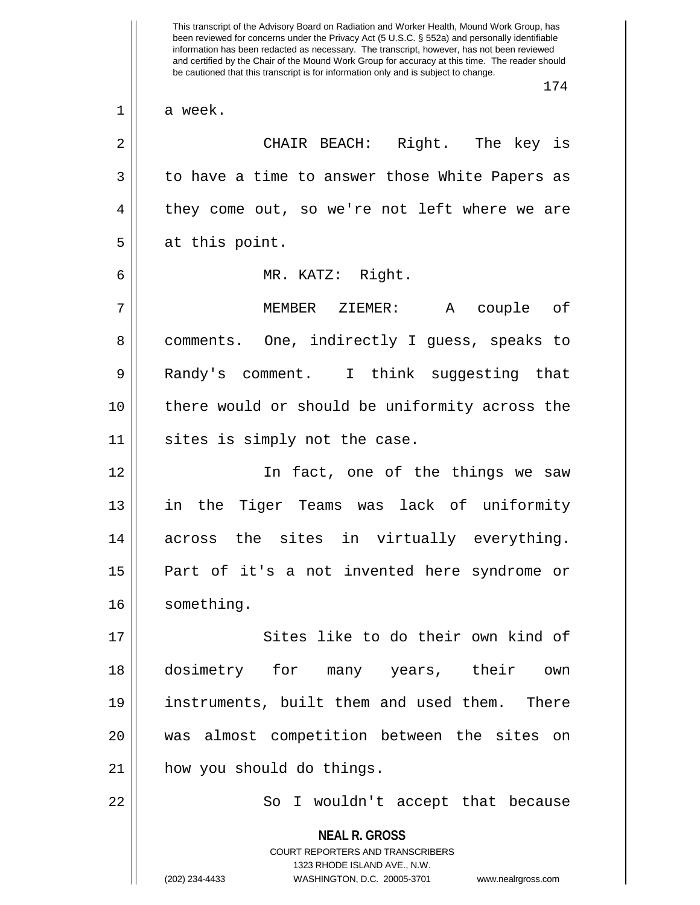**NEAL R. GROSS** COURT REPORTERS AND TRANSCRIBERS 1323 RHODE ISLAND AVE., N.W. (202) 234-4433 WASHINGTON, D.C. 20005-3701 www.nealrgross.com been reviewed for concerns under the Privacy Act (5 U.S.C. § 552a) and personally identifiable information has been redacted as necessary. The transcript, however, has not been reviewed and certified by the Chair of the Mound Work Group for accuracy at this time. The reader should be cautioned that this transcript is for information only and is subject to change. 174  $1 \parallel$  a week. 2 CHAIR BEACH: Right. The key is 3 || to have a time to answer those White Papers as 4 || they come out, so we're not left where we are  $5 \parallel$  at this point. 6 MR. KATZ: Right. 7 MEMBER ZIEMER: A couple of 8 || comments. One, indirectly I guess, speaks to 9 || Randy's comment. I think suggesting that 10 there would or should be uniformity across the  $11$  sites is simply not the case. 12 In fact, one of the things we saw 13 || in the Tiger Teams was lack of uniformity 14 across the sites in virtually everything. 15 Part of it's a not invented here syndrome or 16 | something. 17 || Sites like to do their own kind of 18 dosimetry for many years, their own 19 instruments, built them and used them. There 20 was almost competition between the sites on 21 how you should do things. 22 || So I wouldn't accept that because

This transcript of the Advisory Board on Radiation and Worker Health, Mound Work Group, has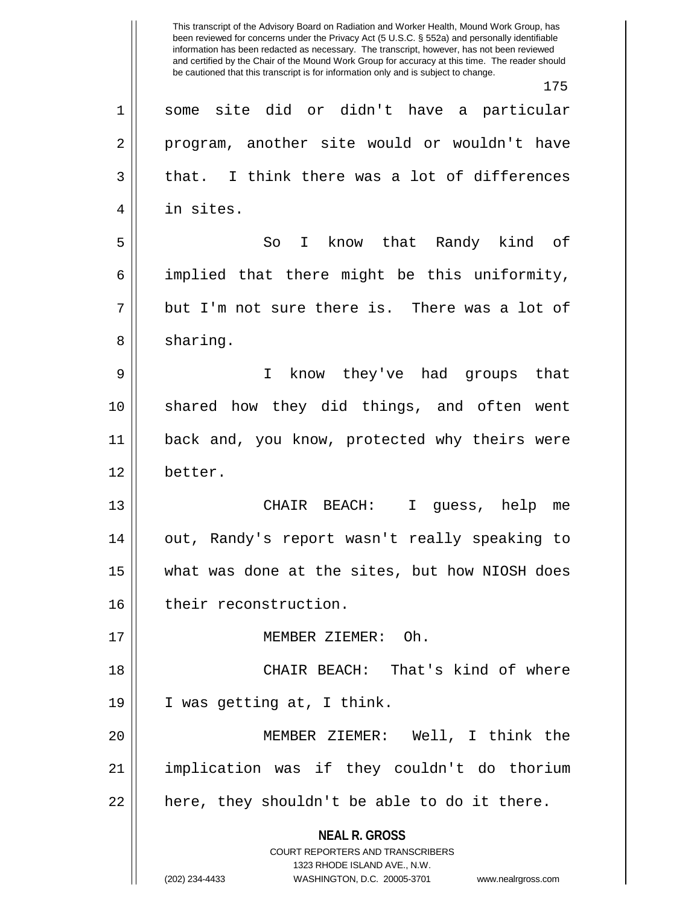**NEAL R. GROSS** COURT REPORTERS AND TRANSCRIBERS 1323 RHODE ISLAND AVE., N.W. (202) 234-4433 WASHINGTON, D.C. 20005-3701 www.nealrgross.com This transcript of the Advisory Board on Radiation and Worker Health, Mound Work Group, has been reviewed for concerns under the Privacy Act (5 U.S.C. § 552a) and personally identifiable information has been redacted as necessary. The transcript, however, has not been reviewed and certified by the Chair of the Mound Work Group for accuracy at this time. The reader should be cautioned that this transcript is for information only and is subject to change. 175 1 some site did or didn't have a particular 2 || program, another site would or wouldn't have  $3 \parallel$  that. I think there was a lot of differences 4 | in sites. 5 So I know that Randy kind of 6 implied that there might be this uniformity,  $7 \parallel$  but I'm not sure there is. There was a lot of  $8 \parallel$  sharing. 9 I know they've had groups that 10 shared how they did things, and often went 11 || back and, you know, protected why theirs were 12 better. 13 CHAIR BEACH: I guess, help me 14 out, Randy's report wasn't really speaking to 15 what was done at the sites, but how NIOSH does 16 | their reconstruction. 17 MEMBER ZIEMER: Oh. 18 CHAIR BEACH: That's kind of where 19 I was getting at, I think. 20 MEMBER ZIEMER: Well, I think the 21 implication was if they couldn't do thorium  $22$  || here, they shouldn't be able to do it there.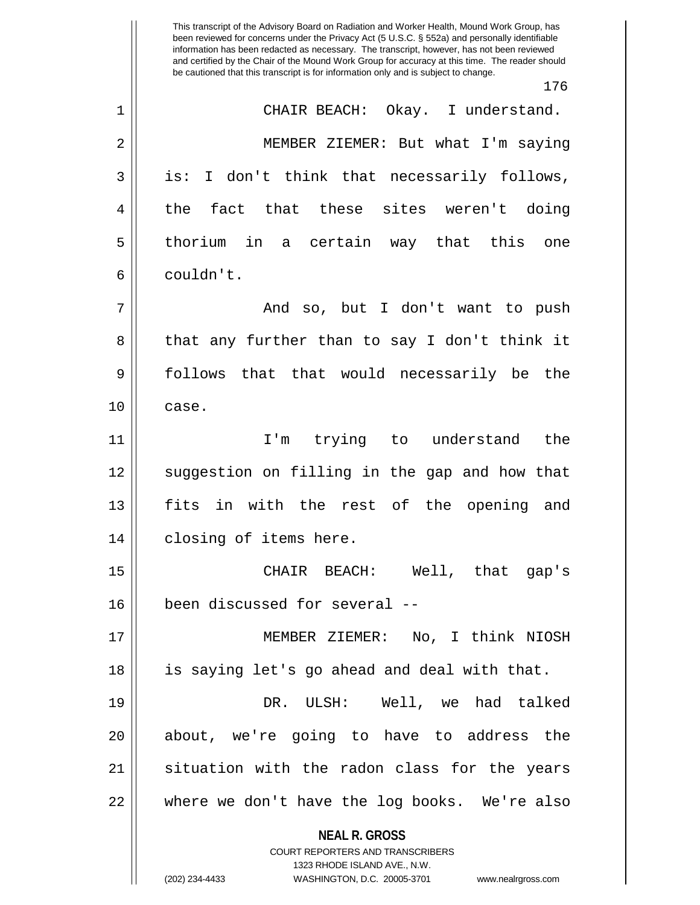**NEAL R. GROSS** COURT REPORTERS AND TRANSCRIBERS 1323 RHODE ISLAND AVE., N.W. This transcript of the Advisory Board on Radiation and Worker Health, Mound Work Group, has been reviewed for concerns under the Privacy Act (5 U.S.C. § 552a) and personally identifiable information has been redacted as necessary. The transcript, however, has not been reviewed and certified by the Chair of the Mound Work Group for accuracy at this time. The reader should be cautioned that this transcript is for information only and is subject to change. 176 1 CHAIR BEACH: Okay. I understand. 2 MEMBER ZIEMER: But what I'm saying 3 || is: I don't think that necessarily follows, 4 the fact that these sites weren't doing 5 || thorium in a certain way that this one 6 couldn't. 7 And so, but I don't want to push  $8 \parallel$  that any further than to say I don't think it 9 || follows that that would necessarily be the  $10 \parallel$  case. 11 I'm trying to understand the 12 || suggestion on filling in the gap and how that 13 fits in with the rest of the opening and 14 || closing of items here. 15 CHAIR BEACH: Well, that gap's 16 been discussed for several -- 17 MEMBER ZIEMER: No, I think NIOSH 18 is saying let's go ahead and deal with that. 19 DR. ULSH: Well, we had talked 20 about, we're going to have to address the 21 || situation with the radon class for the years 22 where we don't have the log books. We're also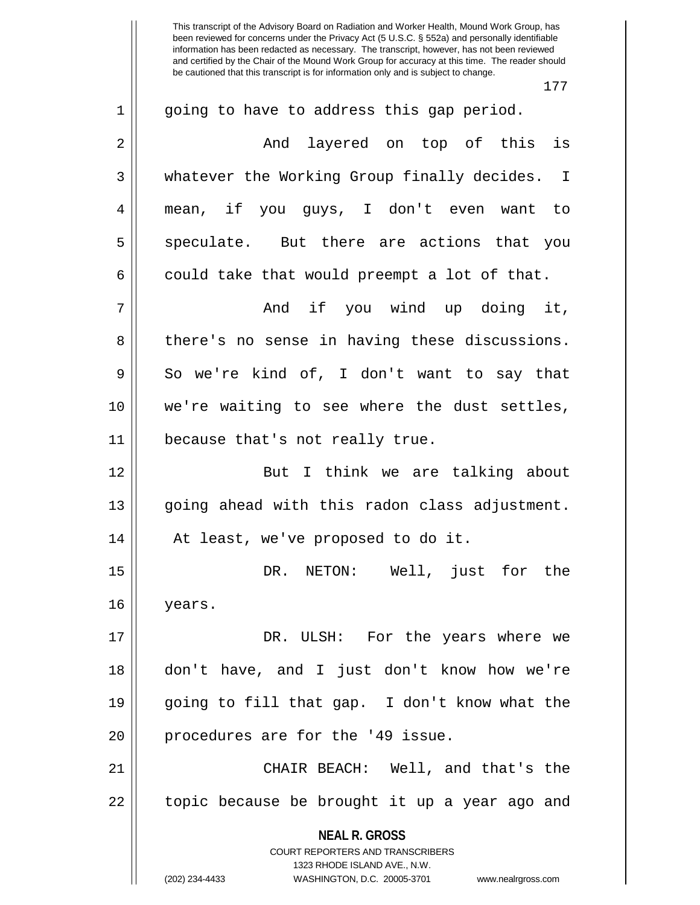This transcript of the Advisory Board on Radiation and Worker Health, Mound Work Group, has been reviewed for concerns under the Privacy Act (5 U.S.C. § 552a) and personally identifiable information has been redacted as necessary. The transcript, however, has not been reviewed and certified by the Chair of the Mound Work Group for accuracy at this time. The reader should be cautioned that this transcript is for information only and is subject to change. 177 1 || going to have to address this gap period. 2 And layered on top of this is 3 whatever the Working Group finally decides. I 4 mean, if you guys, I don't even want to 5 speculate. But there are actions that you  $6 \parallel$  could take that would preempt a lot of that. 7 And if you wind up doing it, 8 there's no sense in having these discussions.  $9 \parallel$  So we're kind of, I don't want to say that 10 || we're waiting to see where the dust settles, 11 || because that's not really true. 12 || But I think we are talking about 13 || going ahead with this radon class adjustment. 14 At least, we've proposed to do it. 15 DR. NETON: Well, just for the 16 years.

17 DR. ULSH: For the years where we 18 don't have, and I just don't know how we're 19 going to fill that gap. I don't know what the 20 || procedures are for the '49 issue.

21 CHAIR BEACH: Well, and that's the  $22$  || topic because be brought it up a year ago and

> **NEAL R. GROSS** COURT REPORTERS AND TRANSCRIBERS

> > 1323 RHODE ISLAND AVE., N.W.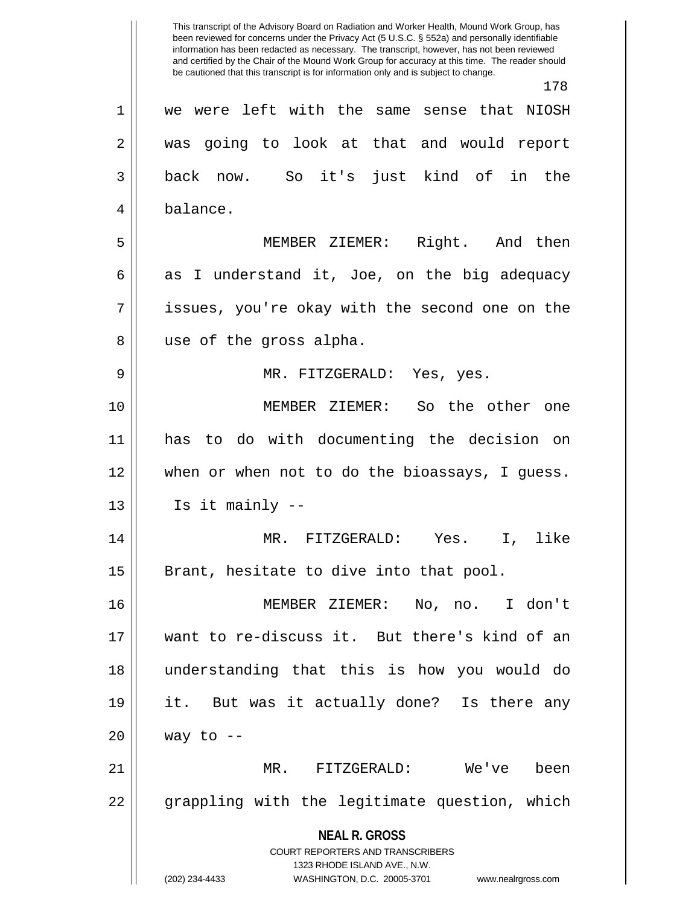**NEAL R. GROSS** COURT REPORTERS AND TRANSCRIBERS 1323 RHODE ISLAND AVE., N.W. (202) 234-4433 WASHINGTON, D.C. 20005-3701 www.nealrgross.com This transcript of the Advisory Board on Radiation and Worker Health, Mound Work Group, has been reviewed for concerns under the Privacy Act (5 U.S.C. § 552a) and personally identifiable information has been redacted as necessary. The transcript, however, has not been reviewed and certified by the Chair of the Mound Work Group for accuracy at this time. The reader should be cautioned that this transcript is for information only and is subject to change. 178 1 we were left with the same sense that NIOSH 2 was going to look at that and would report 3 back now. So it's just kind of in the 4 || balance. 5 MEMBER ZIEMER: Right. And then 6 as I understand it, Joe, on the big adequacy  $7 \parallel$  issues, you're okay with the second one on the 8 || use of the gross alpha. 9 MR. FITZGERALD: Yes, yes. 10 MEMBER ZIEMER: So the other one 11 has to do with documenting the decision on 12 when or when not to do the bioassays, I guess.  $13 \parallel$  Is it mainly  $-$ 14 MR. FITZGERALD: Yes. I, like  $15$  | Brant, hesitate to dive into that pool. 16 MEMBER ZIEMER: No, no. I don't 17 want to re-discuss it. But there's kind of an 18 understanding that this is how you would do 19 it. But was it actually done? Is there any  $20$  | way to --21 MR. FITZGERALD: We've been 22 || grappling with the legitimate question, which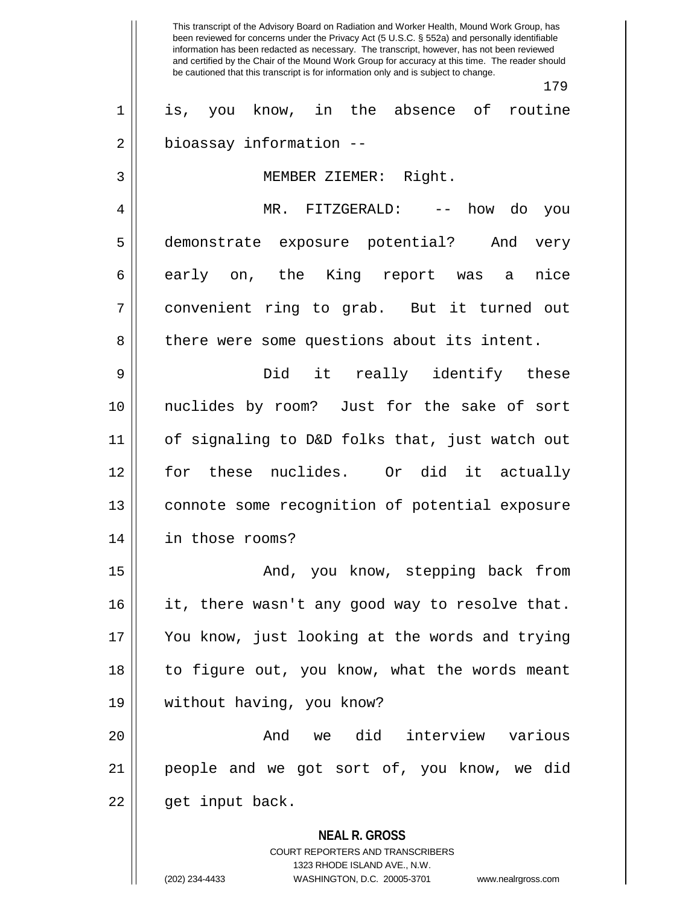**NEAL R. GROSS** COURT REPORTERS AND TRANSCRIBERS 1323 RHODE ISLAND AVE., N.W. This transcript of the Advisory Board on Radiation and Worker Health, Mound Work Group, has been reviewed for concerns under the Privacy Act (5 U.S.C. § 552a) and personally identifiable information has been redacted as necessary. The transcript, however, has not been reviewed and certified by the Chair of the Mound Work Group for accuracy at this time. The reader should be cautioned that this transcript is for information only and is subject to change. 179 1 is, you know, in the absence of routine 2 | bioassay information --3 MEMBER ZIEMER: Right. 4 MR. FITZGERALD: -- how do you 5 demonstrate exposure potential? And very 6 || early on, the King report was a nice 7 convenient ring to grab. But it turned out 8 || there were some questions about its intent. 9 Did it really identify these 10 nuclides by room? Just for the sake of sort 11 of signaling to D&D folks that, just watch out 12 for these nuclides. Or did it actually 13 connote some recognition of potential exposure 14 in those rooms? 15 || The Mond, you know, stepping back from 16 it, there wasn't any good way to resolve that. 17 You know, just looking at the words and trying 18 || to figure out, you know, what the words meant 19 without having, you know? 20 And we did interview various 21 people and we got sort of, you know, we did 22 || get input back.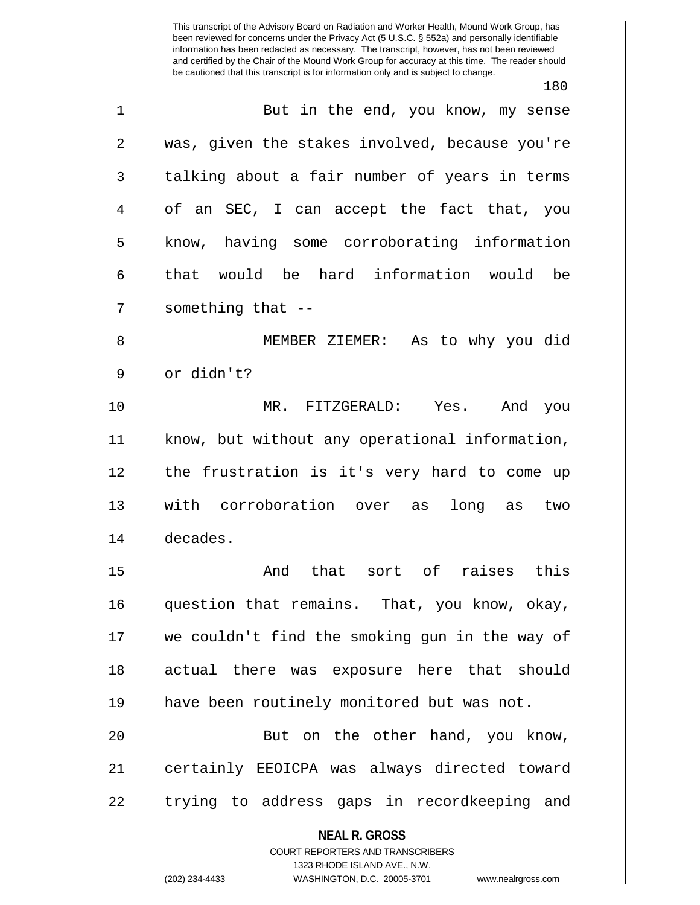**NEAL R. GROSS** COURT REPORTERS AND TRANSCRIBERS This transcript of the Advisory Board on Radiation and Worker Health, Mound Work Group, has been reviewed for concerns under the Privacy Act (5 U.S.C. § 552a) and personally identifiable information has been redacted as necessary. The transcript, however, has not been reviewed and certified by the Chair of the Mound Work Group for accuracy at this time. The reader should be cautioned that this transcript is for information only and is subject to change. 180 1 || But in the end, you know, my sense 2 was, given the stakes involved, because you're  $3 \parallel$  talking about a fair number of years in terms 4 || of an SEC, I can accept the fact that, you 5 | know, having some corroborating information 6 that would be hard information would be  $7$  || something that  $-$ 8 MEMBER ZIEMER: As to why you did 9 || or didn't? 10 MR. FITZGERALD: Yes. And you 11 know, but without any operational information, 12 || the frustration is it's very hard to come up 13 with corroboration over as long as two 14 decades. 15 And that sort of raises this 16 question that remains. That, you know, okay, 17 we couldn't find the smoking gun in the way of 18 actual there was exposure here that should 19 have been routinely monitored but was not. 20 || But on the other hand, you know, 21 certainly EEOICPA was always directed toward 22 || trying to address gaps in recordkeeping and

1323 RHODE ISLAND AVE., N.W.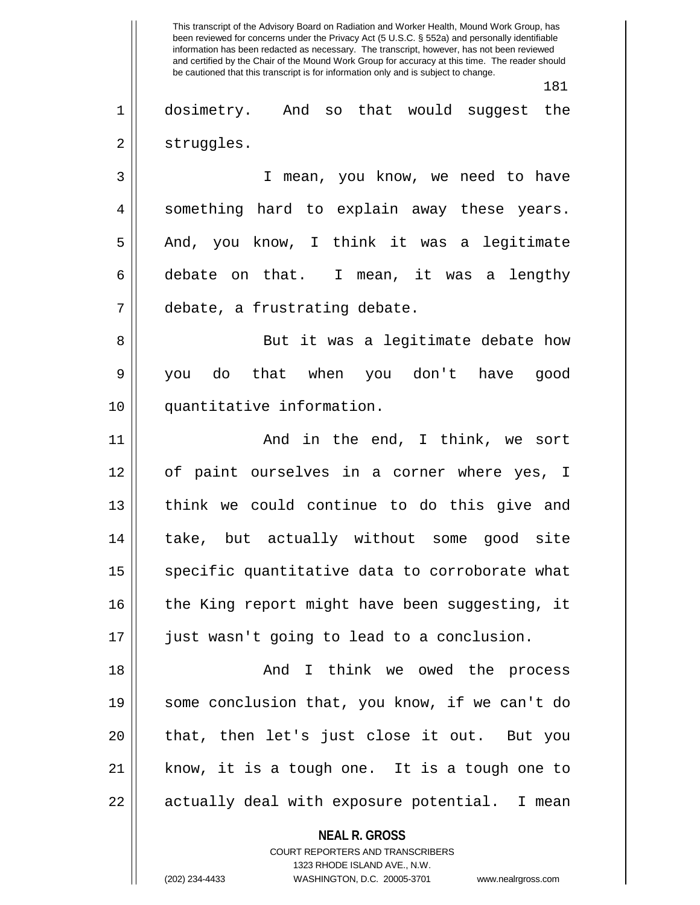**NEAL R. GROSS** COURT REPORTERS AND TRANSCRIBERS This transcript of the Advisory Board on Radiation and Worker Health, Mound Work Group, has been reviewed for concerns under the Privacy Act (5 U.S.C. § 552a) and personally identifiable information has been redacted as necessary. The transcript, however, has not been reviewed and certified by the Chair of the Mound Work Group for accuracy at this time. The reader should be cautioned that this transcript is for information only and is subject to change. 181 1 dosimetry. And so that would suggest the 2 | struggles. 3 | I mean, you know, we need to have 4 || something hard to explain away these years. 5 || And, you know, I think it was a legitimate  $6 \parallel$  debate on that. I mean, it was a lengthy 7 debate, a frustrating debate. 8 || But it was a legitimate debate how 9 you do that when you don't have good 10 quantitative information. 11 And in the end, I think, we sort 12 of paint ourselves in a corner where yes, I 13 || think we could continue to do this give and 14 take, but actually without some good site 15 || specific quantitative data to corroborate what 16  $\parallel$  the King report might have been suggesting, it 17 just wasn't going to lead to a conclusion. 18 And I think we owed the process 19 some conclusion that, you know, if we can't do 20 || that, then let's just close it out. But you 21 know, it is a tough one. It is a tough one to  $22 \parallel$  actually deal with exposure potential. I mean

1323 RHODE ISLAND AVE., N.W.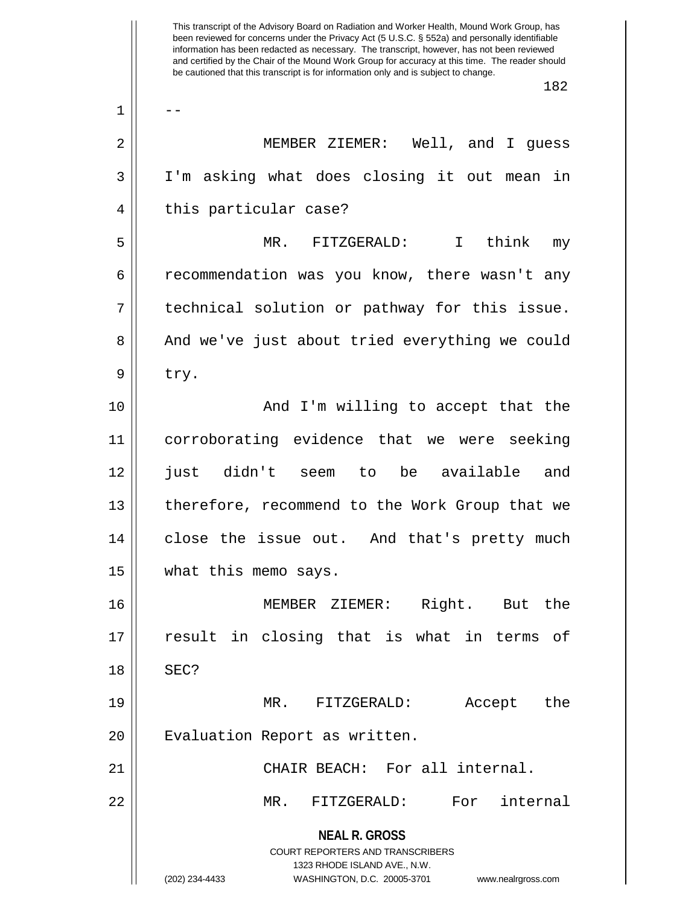**NEAL R. GROSS** COURT REPORTERS AND TRANSCRIBERS 1323 RHODE ISLAND AVE., N.W. (202) 234-4433 WASHINGTON, D.C. 20005-3701 www.nealrgross.com This transcript of the Advisory Board on Radiation and Worker Health, Mound Work Group, has been reviewed for concerns under the Privacy Act (5 U.S.C. § 552a) and personally identifiable information has been redacted as necessary. The transcript, however, has not been reviewed and certified by the Chair of the Mound Work Group for accuracy at this time. The reader should be cautioned that this transcript is for information only and is subject to change. 182  $1 \parallel - -$ 2 MEMBER ZIEMER: Well, and I guess 3 I'm asking what does closing it out mean in 4 || this particular case? 5 MR. FITZGERALD: I think my 6 commendation was you know, there wasn't any  $7 \parallel$  technical solution or pathway for this issue. 8 || And we've just about tried everything we could  $9 \parallel$  try. 10 || The Moving Consoling to accept that the 11 corroborating evidence that we were seeking 12 just didn't seem to be available and 13 || therefore, recommend to the Work Group that we 14 || close the issue out. And that's pretty much 15 | what this memo says. 16 MEMBER ZIEMER: Right. But the 17 || result in closing that is what in terms of  $18$   $\parallel$  SEC? 19 MR. FITZGERALD: Accept the 20 | Evaluation Report as written. 21 CHAIR BEACH: For all internal. 22 MR. FITZGERALD: For internal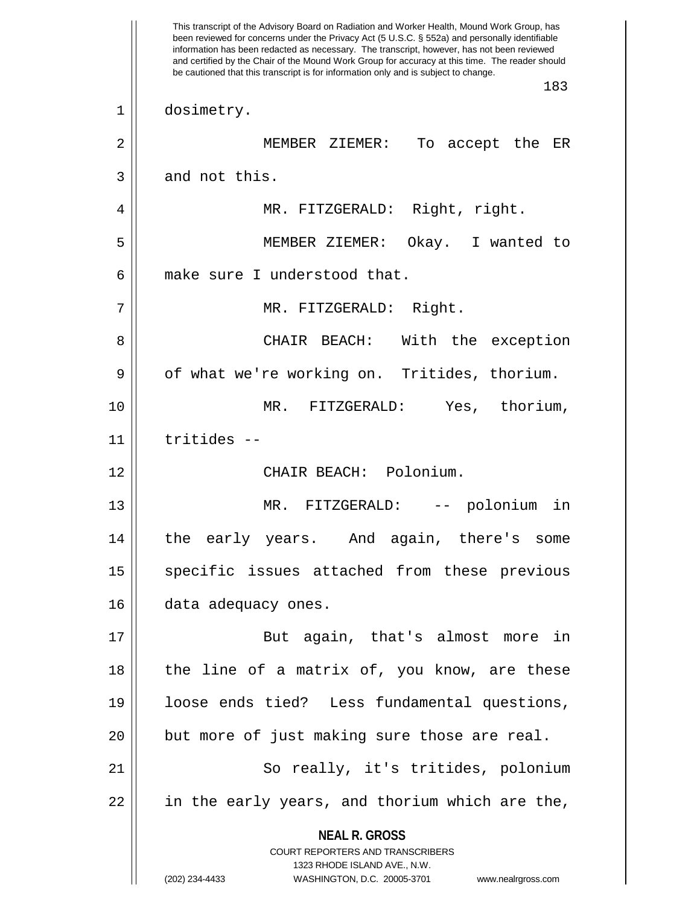**NEAL R. GROSS** COURT REPORTERS AND TRANSCRIBERS 1323 RHODE ISLAND AVE., N.W. (202) 234-4433 WASHINGTON, D.C. 20005-3701 www.nealrgross.com This transcript of the Advisory Board on Radiation and Worker Health, Mound Work Group, has been reviewed for concerns under the Privacy Act (5 U.S.C. § 552a) and personally identifiable information has been redacted as necessary. The transcript, however, has not been reviewed and certified by the Chair of the Mound Work Group for accuracy at this time. The reader should be cautioned that this transcript is for information only and is subject to change. 183 1 dosimetry. 2 MEMBER ZIEMER: To accept the ER  $3 \parallel$  and not this. 4 || MR. FITZGERALD: Right, right. 5 MEMBER ZIEMER: Okay. I wanted to 6 make sure I understood that. 7 || MR. FITZGERALD: Right. 8 CHAIR BEACH: With the exception  $9 \parallel$  of what we're working on. Tritides, thorium. 10 MR. FITZGERALD: Yes, thorium, 11 tritides -- 12 CHAIR BEACH: Polonium. 13 MR. FITZGERALD: -- polonium in 14 the early years. And again, there's some 15 || specific issues attached from these previous 16 | data adequacy ones. 17 || But again, that's almost more in 18 || the line of a matrix of, you know, are these 19 loose ends tied? Less fundamental questions,  $20$  || but more of just making sure those are real. 21 || So really, it's tritides, polonium  $22$  || in the early years, and thorium which are the,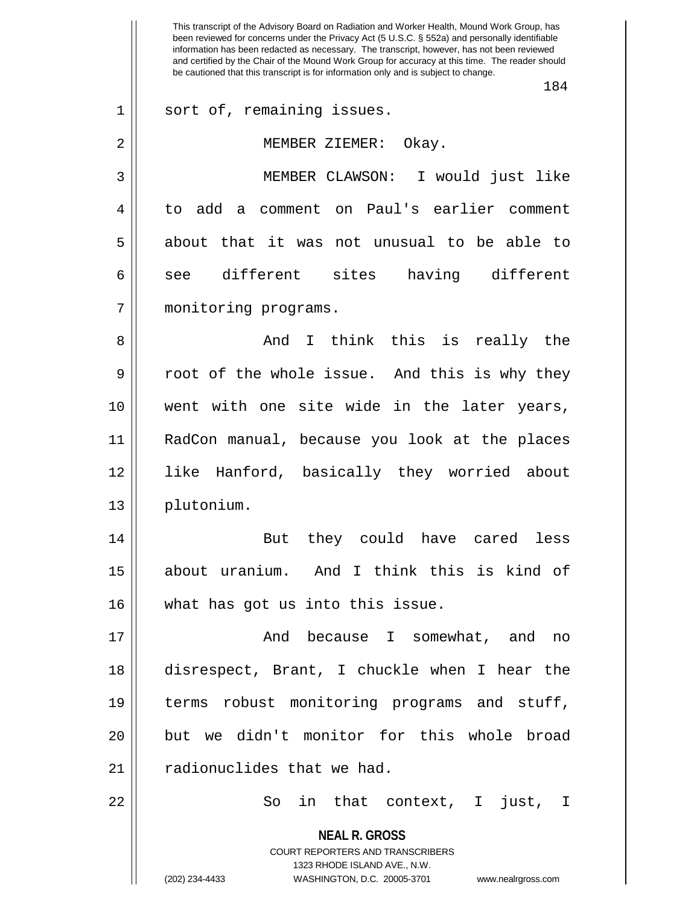**NEAL R. GROSS** COURT REPORTERS AND TRANSCRIBERS 1323 RHODE ISLAND AVE., N.W. This transcript of the Advisory Board on Radiation and Worker Health, Mound Work Group, has been reviewed for concerns under the Privacy Act (5 U.S.C. § 552a) and personally identifiable information has been redacted as necessary. The transcript, however, has not been reviewed and certified by the Chair of the Mound Work Group for accuracy at this time. The reader should be cautioned that this transcript is for information only and is subject to change. 184 1 || sort of, remaining issues. 2 MEMBER ZIEMER: Okay. 3 MEMBER CLAWSON: I would just like 4 || to add a comment on Paul's earlier comment 5 about that it was not unusual to be able to 6 || see different sites having different 7 monitoring programs. 8 And I think this is really the  $9 \parallel$  root of the whole issue. And this is why they 10 went with one site wide in the later years, 11 RadCon manual, because you look at the places 12 like Hanford, basically they worried about 13 plutonium. 14 But they could have cared less 15 about uranium. And I think this is kind of 16 what has got us into this issue. 17 And because I somewhat, and no 18 disrespect, Brant, I chuckle when I hear the 19 terms robust monitoring programs and stuff, 20 but we didn't monitor for this whole broad  $21$   $\parallel$  radionuclides that we had. 22 So in that context, I just, I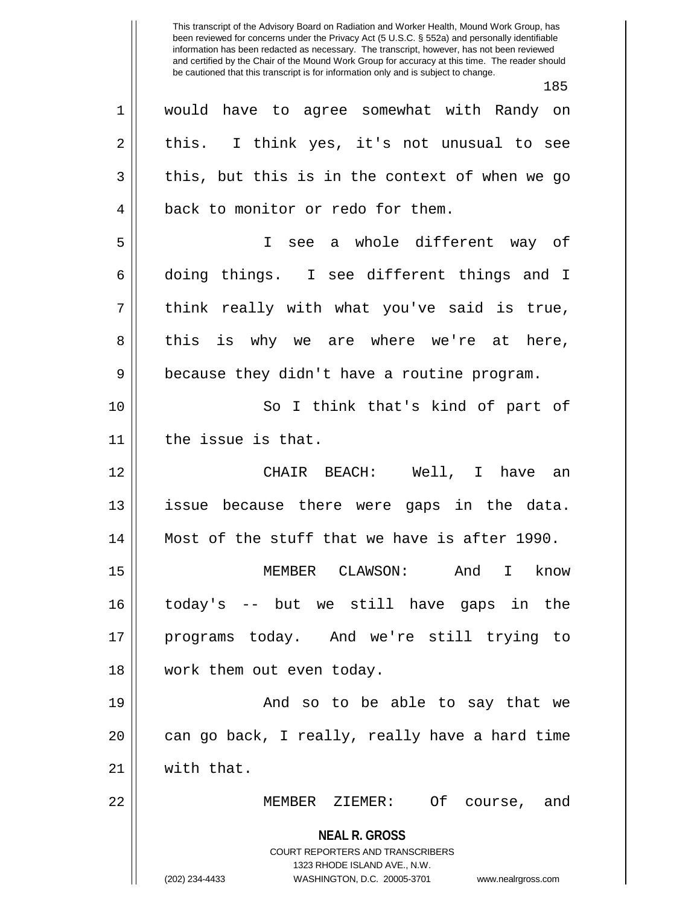This transcript of the Advisory Board on Radiation and Worker Health, Mound Work Group, has been reviewed for concerns under the Privacy Act (5 U.S.C. § 552a) and personally identifiable information has been redacted as necessary. The transcript, however, has not been reviewed and certified by the Chair of the Mound Work Group for accuracy at this time. The reader should be cautioned that this transcript is for information only and is subject to change. 185 1 would have to agree somewhat with Randy on  $2 \parallel$  this. I think yes, it's not unusual to see

4 || back to monitor or redo for them. 5 I see a whole different way of 6 doing things. I see different things and I  $7 \parallel$  think really with what you've said is true, 8 this is why we are where we're at here,

 $3 \parallel$  this, but this is in the context of when we go

10 || So I think that's kind of part of 11 | the issue is that.

9 || because they didn't have a routine program.

12 CHAIR BEACH: Well, I have an 13 issue because there were gaps in the data. 14 Most of the stuff that we have is after 1990.

15 MEMBER CLAWSON: And I know 16 today's -- but we still have gaps in the 17 programs today. And we're still trying to 18 work them out even today.

19 And so to be able to say that we  $20$  || can go back, I really, really have a hard time 21 with that.

22 MEMBER ZIEMER: Of course, and

**NEAL R. GROSS**

COURT REPORTERS AND TRANSCRIBERS 1323 RHODE ISLAND AVE., N.W. (202) 234-4433 WASHINGTON, D.C. 20005-3701 www.nealrgross.com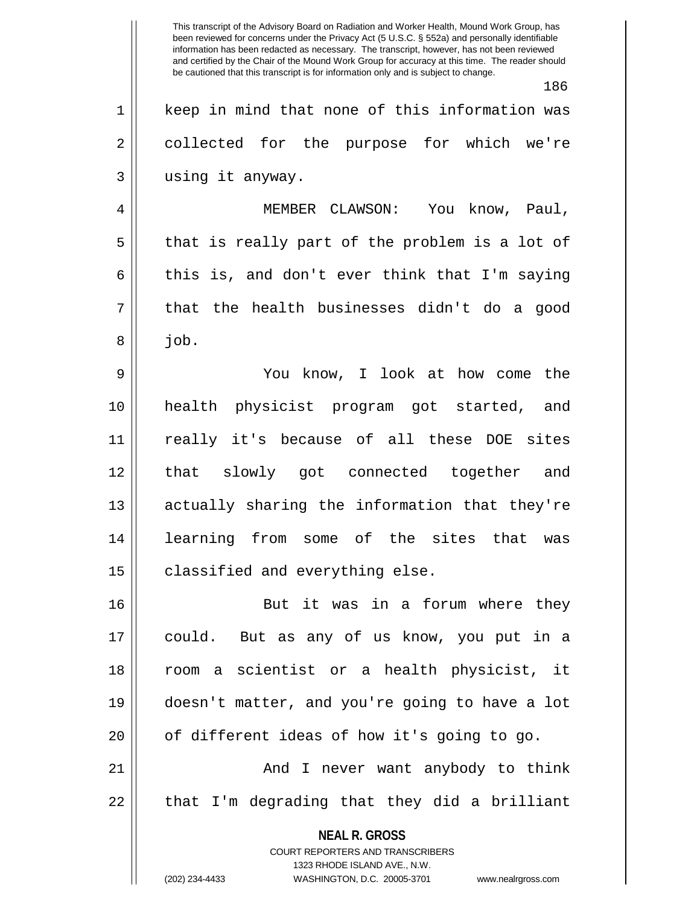**NEAL R. GROSS** COURT REPORTERS AND TRANSCRIBERS 1323 RHODE ISLAND AVE., N.W. (202) 234-4433 WASHINGTON, D.C. 20005-3701 www.nealrgross.com This transcript of the Advisory Board on Radiation and Worker Health, Mound Work Group, has been reviewed for concerns under the Privacy Act (5 U.S.C. § 552a) and personally identifiable information has been redacted as necessary. The transcript, however, has not been reviewed and certified by the Chair of the Mound Work Group for accuracy at this time. The reader should be cautioned that this transcript is for information only and is subject to change. 186 1 || keep in mind that none of this information was 2 || collected for the purpose for which we're 3 using it anyway. 4 MEMBER CLAWSON: You know, Paul,  $5 \parallel$  that is really part of the problem is a lot of  $6 \parallel$  this is, and don't ever think that I'm saying  $7 \parallel$  that the health businesses didn't do a good  $8 \parallel$  job. 9 You know, I look at how come the 10 health physicist program got started, and 11 really it's because of all these DOE sites 12 that slowly got connected together and 13 || actually sharing the information that they're 14 learning from some of the sites that was  $15$   $\vert$  classified and everything else. 16 || But it was in a forum where they 17 could. But as any of us know, you put in a 18 room a scientist or a health physicist, it 19 doesn't matter, and you're going to have a lot 20 || of different ideas of how it's going to go. 21 And I never want anybody to think  $22 \parallel$  that I'm degrading that they did a brilliant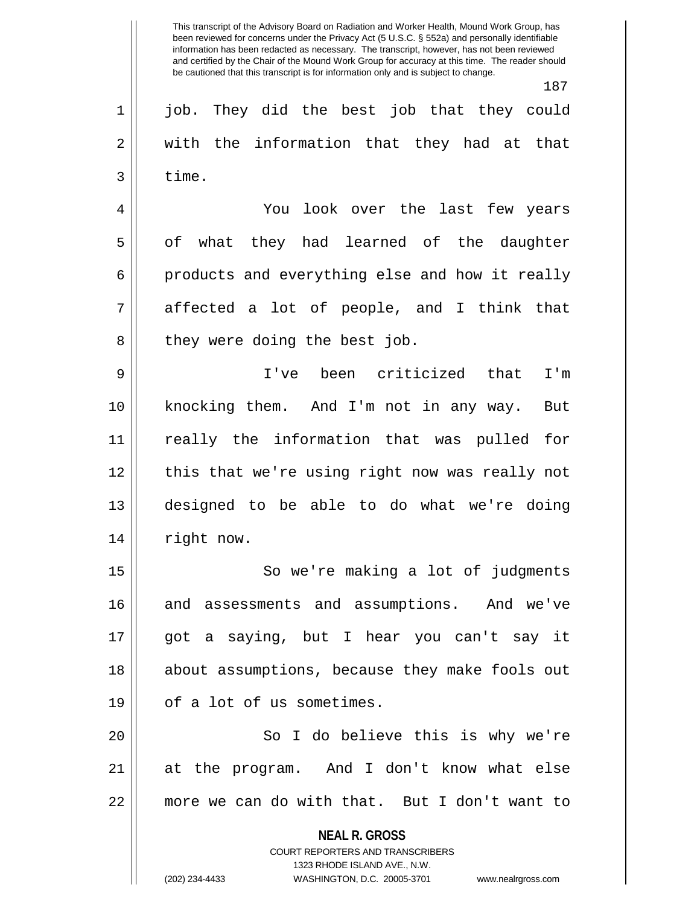187 1 job. They did the best job that they could 2 || with the information that they had at that  $3 \parallel$  time. 4 You look over the last few years 5 || of what they had learned of the daughter  $6 \parallel$  products and everything else and how it really  $7 \parallel$  affected a lot of people, and I think that 8 || they were doing the best job. 9 I've been criticized that I'm 10 knocking them. And I'm not in any way. But 11 really the information that was pulled for 12 || this that we're using right now was really not 13 designed to be able to do what we're doing 14 | right now. 15 || So we're making a lot of judgments 16 and assessments and assumptions. And we've 17 got a saying, but I hear you can't say it 18 || about assumptions, because they make fools out  $19$  || of a lot of us sometimes. 20 || So I do believe this is why we're 21 at the program. And I don't know what else 22 more we can do with that. But I don't want to

> **NEAL R. GROSS** COURT REPORTERS AND TRANSCRIBERS

> > 1323 RHODE ISLAND AVE., N.W.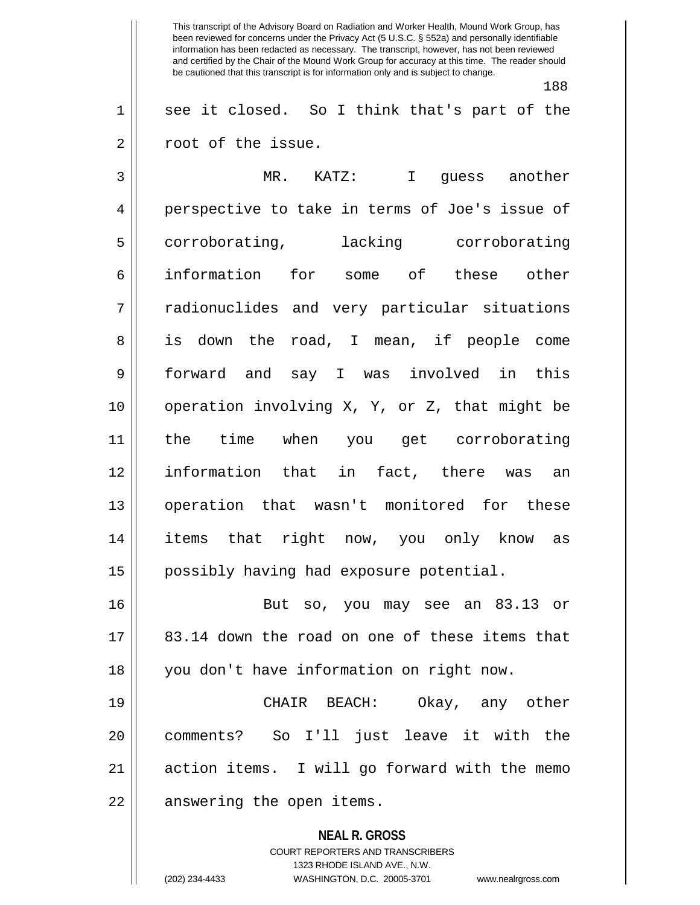188

 $1 \parallel$  see it closed. So I think that's part of the 2 | root of the issue.

3 MR. KATZ: I guess another 4 perspective to take in terms of Joe's issue of 5 corroborating, lacking corroborating 6 information for some of these other 7 radionuclides and very particular situations 8 is down the road, I mean, if people come 9 forward and say I was involved in this 10 operation involving X, Y, or Z, that might be 11 the time when you get corroborating 12 information that in fact, there was an 13 operation that wasn't monitored for these 14 items that right now, you only know as 15 | possibly having had exposure potential. 16 But so, you may see an 83.13 or

17 || 83.14 down the road on one of these items that 18 || you don't have information on right now.

19 CHAIR BEACH: Okay, any other 20 comments? So I'll just leave it with the 21 || action items. I will go forward with the memo 22 | answering the open items.

> **NEAL R. GROSS** COURT REPORTERS AND TRANSCRIBERS 1323 RHODE ISLAND AVE., N.W.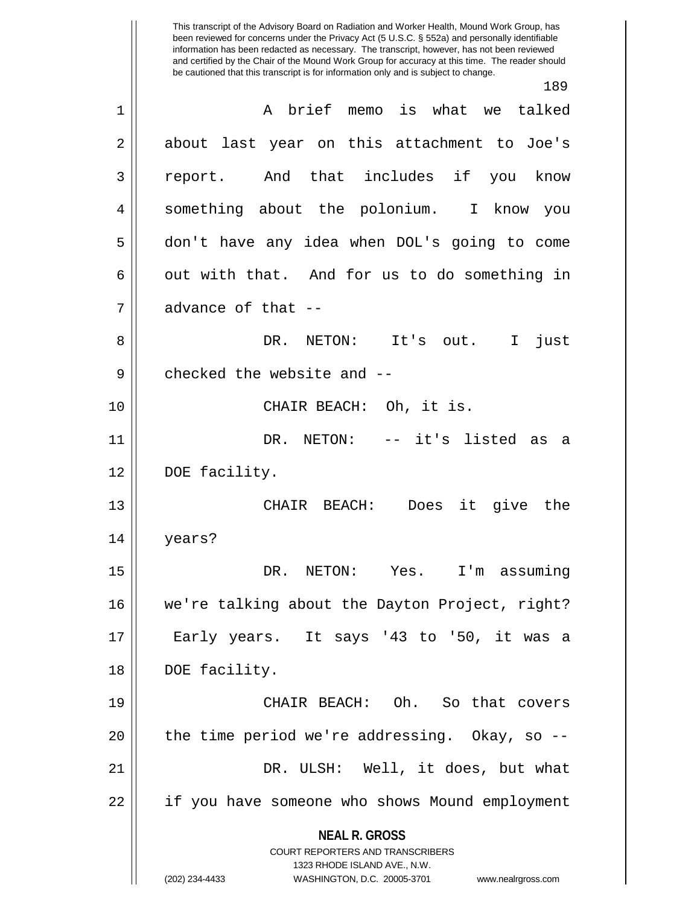**NEAL R. GROSS** COURT REPORTERS AND TRANSCRIBERS 1323 RHODE ISLAND AVE., N.W. (202) 234-4433 WASHINGTON, D.C. 20005-3701 www.nealrgross.com This transcript of the Advisory Board on Radiation and Worker Health, Mound Work Group, has been reviewed for concerns under the Privacy Act (5 U.S.C. § 552a) and personally identifiable information has been redacted as necessary. The transcript, however, has not been reviewed and certified by the Chair of the Mound Work Group for accuracy at this time. The reader should be cautioned that this transcript is for information only and is subject to change. 189 1 || A brief memo is what we talked 2 about last year on this attachment to Joe's 3 report. And that includes if you know 4 || something about the polonium. I know you 5 don't have any idea when DOL's going to come  $6 \parallel$  out with that. And for us to do something in  $7 \parallel$  advance of that --8 DR. NETON: It's out. I just  $9$  || checked the website and  $-$ 10 || CHAIR BEACH: Oh, it is. 11 DR. NETON: -- it's listed as a 12 DOE facility. 13 CHAIR BEACH: Does it give the 14 years? 15 DR. NETON: Yes. I'm assuming 16 we're talking about the Dayton Project, right? 17 || Early years. It says '43 to '50, it was a 18 || DOE facility. 19 CHAIR BEACH: Oh. So that covers  $20$  | the time period we're addressing. Okay, so  $-$ 21 DR. ULSH: Well, it does, but what 22 | if you have someone who shows Mound employment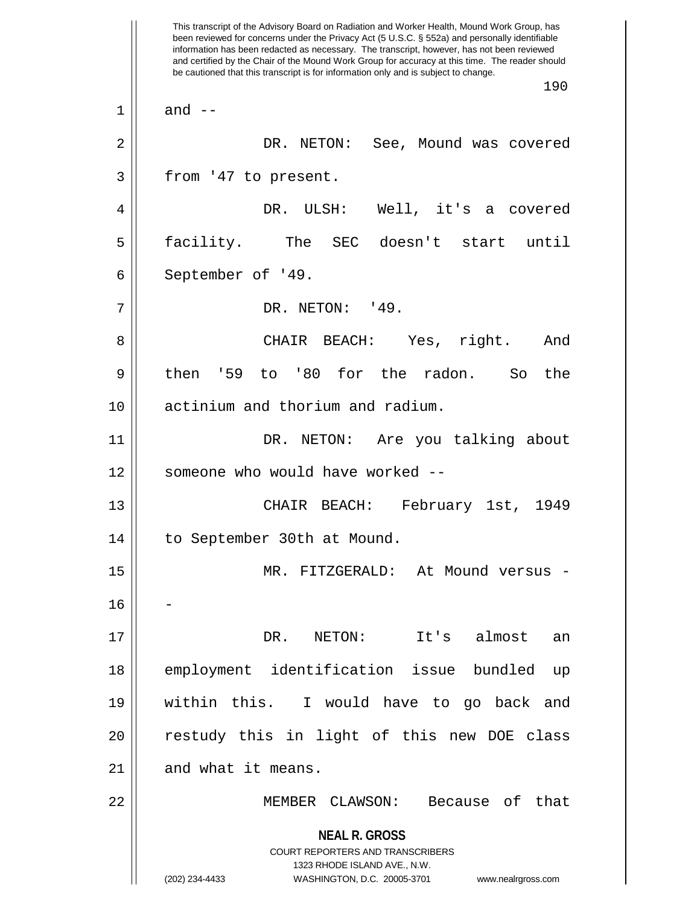**NEAL R. GROSS** COURT REPORTERS AND TRANSCRIBERS 1323 RHODE ISLAND AVE., N.W. (202) 234-4433 WASHINGTON, D.C. 20005-3701 www.nealrgross.com This transcript of the Advisory Board on Radiation and Worker Health, Mound Work Group, has been reviewed for concerns under the Privacy Act (5 U.S.C. § 552a) and personally identifiable information has been redacted as necessary. The transcript, however, has not been reviewed and certified by the Chair of the Mound Work Group for accuracy at this time. The reader should be cautioned that this transcript is for information only and is subject to change. 190  $1 \parallel$  and  $-$ 2 DR. NETON: See, Mound was covered  $3 \parallel$  from '47 to present. 4 DR. ULSH: Well, it's a covered 5 facility. The SEC doesn't start until 6 | September of '49. 7 || DR. NETON: '49. 8 CHAIR BEACH: Yes, right. And  $9 \parallel$  then '59 to '80 for the radon. So the 10 || actinium and thorium and radium. 11 DR. NETON: Are you talking about 12 || someone who would have worked --13 CHAIR BEACH: February 1st, 1949 14 to September 30th at Mound. 15 MR. FITZGERALD: At Mound versus - 16 17 DR. NETON: It's almost an 18 employment identification issue bundled up 19 within this. I would have to go back and 20 || restudy this in light of this new DOE class  $21$  | and what it means. 22 MEMBER CLAWSON: Because of that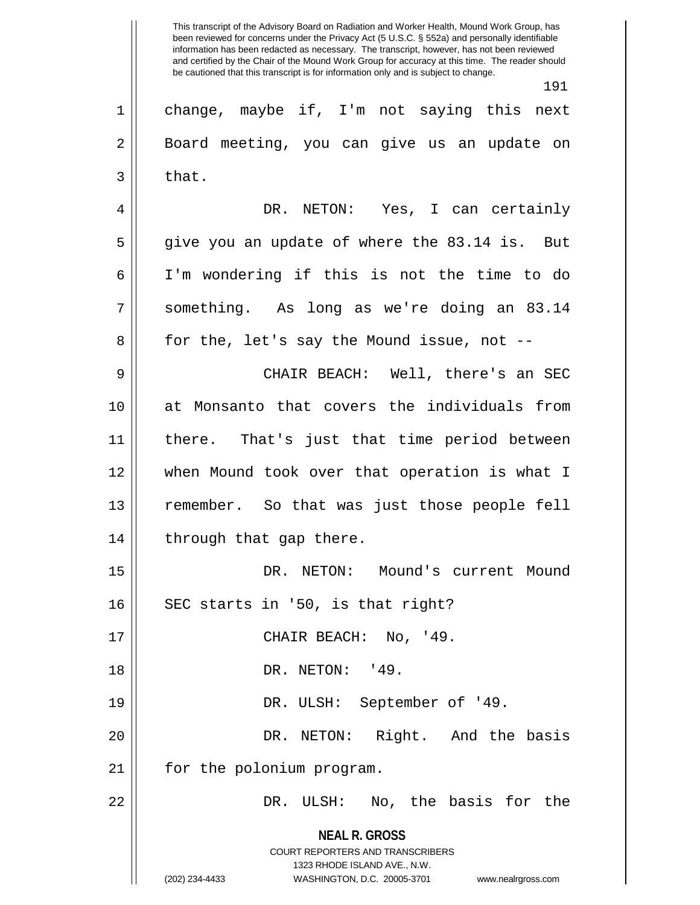**NEAL R. GROSS** COURT REPORTERS AND TRANSCRIBERS 1323 RHODE ISLAND AVE., N.W. (202) 234-4433 WASHINGTON, D.C. 20005-3701 www.nealrgross.com This transcript of the Advisory Board on Radiation and Worker Health, Mound Work Group, has been reviewed for concerns under the Privacy Act (5 U.S.C. § 552a) and personally identifiable information has been redacted as necessary. The transcript, however, has not been reviewed and certified by the Chair of the Mound Work Group for accuracy at this time. The reader should be cautioned that this transcript is for information only and is subject to change. 191 1 || change, maybe if, I'm not saying this next 2 || Board meeting, you can give us an update on  $3 \parallel$  that. 4 DR. NETON: Yes, I can certainly  $5 \parallel$  give you an update of where the 83.14 is. But 6 I'm wondering if this is not the time to do  $7 \parallel$  something. As long as we're doing an 83.14  $8 \parallel$  for the, let's say the Mound issue, not --9 CHAIR BEACH: Well, there's an SEC 10 at Monsanto that covers the individuals from 11 there. That's just that time period between 12 when Mound took over that operation is what I 13 remember. So that was just those people fell 14 || through that gap there. 15 DR. NETON: Mound's current Mound  $16$  || SEC starts in '50, is that right? 17 || CHAIR BEACH: No, '49. 18 || DR. NETON: '49. 19 || DR. ULSH: September of '49. 20 DR. NETON: Right. And the basis 21 | for the polonium program. 22 DR. ULSH: No, the basis for the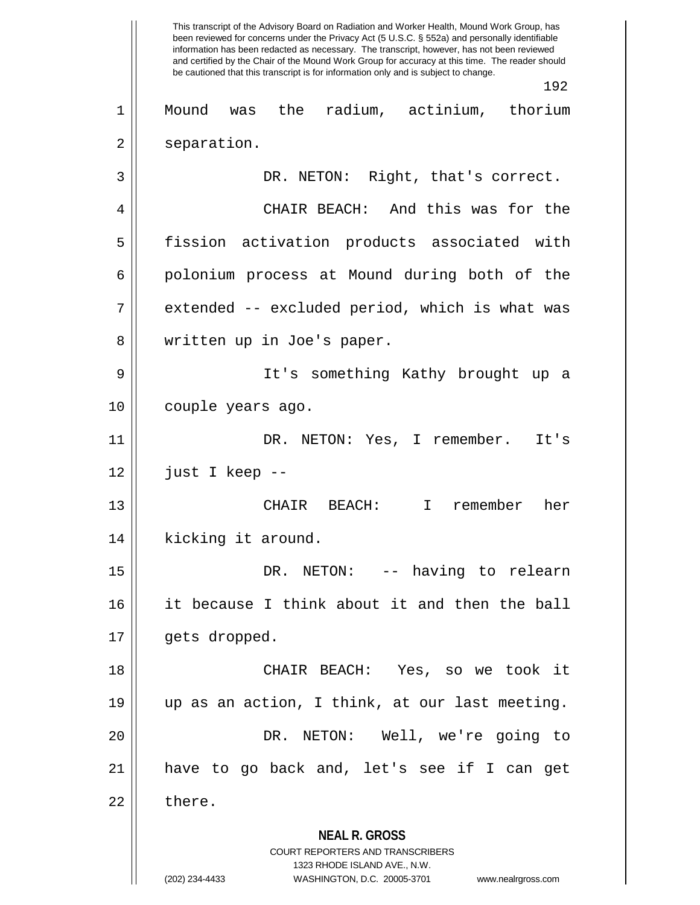**NEAL R. GROSS** COURT REPORTERS AND TRANSCRIBERS 1323 RHODE ISLAND AVE., N.W. (202) 234-4433 WASHINGTON, D.C. 20005-3701 www.nealrgross.com This transcript of the Advisory Board on Radiation and Worker Health, Mound Work Group, has been reviewed for concerns under the Privacy Act (5 U.S.C. § 552a) and personally identifiable information has been redacted as necessary. The transcript, however, has not been reviewed and certified by the Chair of the Mound Work Group for accuracy at this time. The reader should be cautioned that this transcript is for information only and is subject to change. 192 1 Mound was the radium, actinium, thorium 2 || separation. 3 | DR. NETON: Right, that's correct. 4 CHAIR BEACH: And this was for the 5 fission activation products associated with 6 | polonium process at Mound during both of the  $7 \parallel$  extended -- excluded period, which is what was 8 || written up in Joe's paper. 9 It's something Kathy brought up a 10 | couple years ago. 11 || DR. NETON: Yes, I remember. It's  $12$  | just I keep --13 CHAIR BEACH: I remember her 14 || kicking it around. 15 DR. NETON: -- having to relearn 16 it because I think about it and then the ball 17 | gets dropped. 18 CHAIR BEACH: Yes, so we took it 19 up as an action, I think, at our last meeting. 20 DR. NETON: Well, we're going to 21 have to go back and, let's see if I can get  $22 \parallel$  there.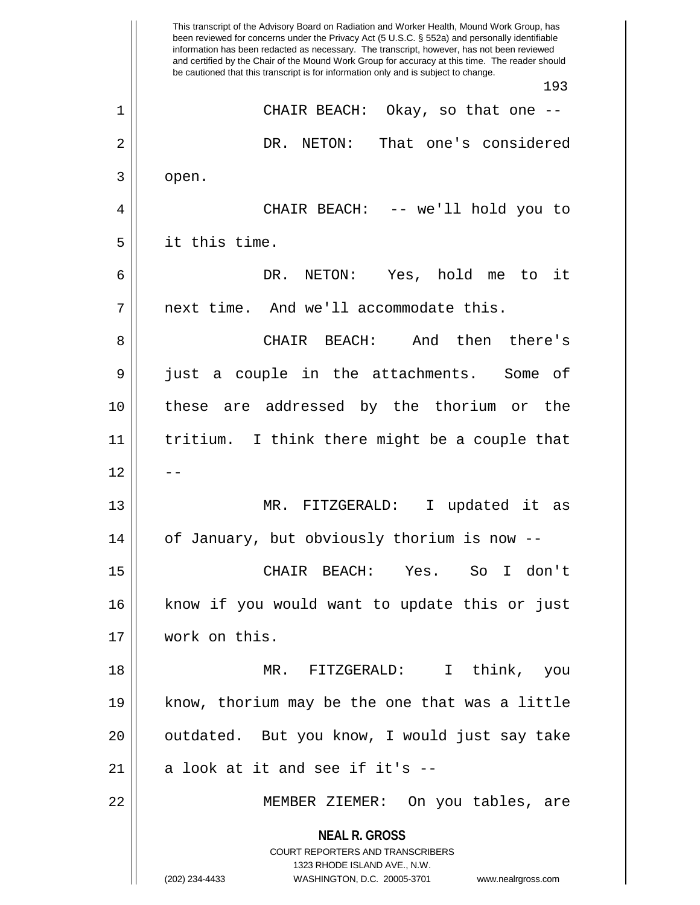**NEAL R. GROSS** COURT REPORTERS AND TRANSCRIBERS 1323 RHODE ISLAND AVE., N.W. (202) 234-4433 WASHINGTON, D.C. 20005-3701 www.nealrgross.com This transcript of the Advisory Board on Radiation and Worker Health, Mound Work Group, has been reviewed for concerns under the Privacy Act (5 U.S.C. § 552a) and personally identifiable information has been redacted as necessary. The transcript, however, has not been reviewed and certified by the Chair of the Mound Work Group for accuracy at this time. The reader should be cautioned that this transcript is for information only and is subject to change. 193 1 CHAIR BEACH: Okay, so that one -- 2 DR. NETON: That one's considered  $3 \parallel$  open. 4 CHAIR BEACH: -- we'll hold you to 5 it this time. 6 DR. NETON: Yes, hold me to it 7 | next time. And we'll accommodate this. 8 CHAIR BEACH: And then there's 9 just a couple in the attachments. Some of 10 these are addressed by the thorium or the 11 tritium. I think there might be a couple that  $12$ 13 MR. FITZGERALD: I updated it as 14 of January, but obviously thorium is now -- 15 CHAIR BEACH: Yes. So I don't 16 || know if you would want to update this or just 17 work on this. 18 MR. FITZGERALD: I think, you 19 know, thorium may be the one that was a little 20 || outdated. But you know, I would just say take 21  $\parallel$  a look at it and see if it's --22 MEMBER ZIEMER: On you tables, are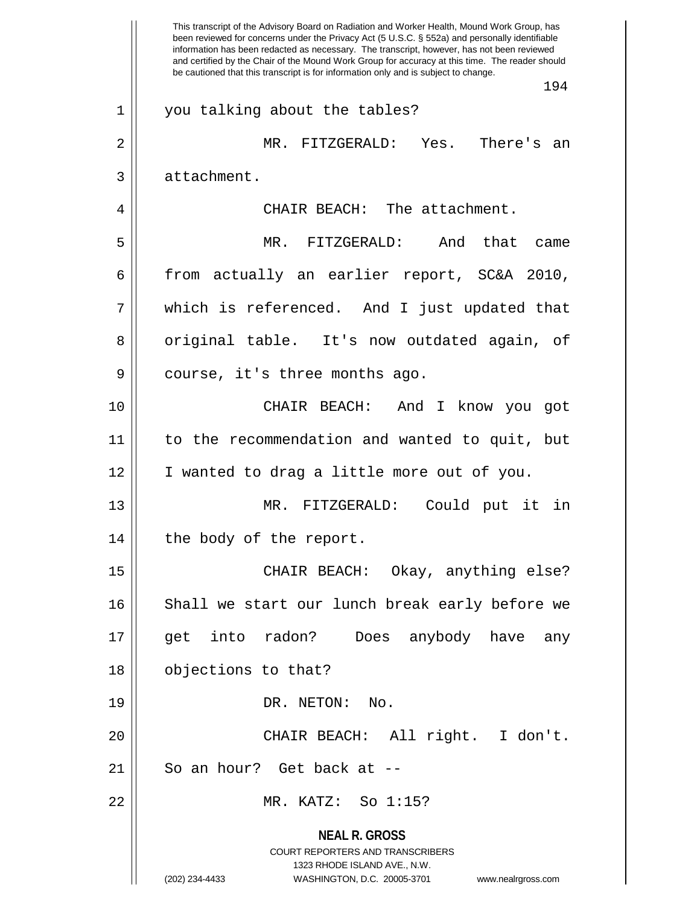**NEAL R. GROSS** COURT REPORTERS AND TRANSCRIBERS 1323 RHODE ISLAND AVE., N.W. (202) 234-4433 WASHINGTON, D.C. 20005-3701 www.nealrgross.com This transcript of the Advisory Board on Radiation and Worker Health, Mound Work Group, has been reviewed for concerns under the Privacy Act (5 U.S.C. § 552a) and personally identifiable information has been redacted as necessary. The transcript, however, has not been reviewed and certified by the Chair of the Mound Work Group for accuracy at this time. The reader should be cautioned that this transcript is for information only and is subject to change. 194 1 || you talking about the tables? 2 MR. FITZGERALD: Yes. There's an 3 | attachment. 4 | CHAIR BEACH: The attachment. 5 MR. FITZGERALD: And that came 6 from actually an earlier report, SC&A 2010, 7 which is referenced. And I just updated that 8 || original table. It's now outdated again, of 9 || course, it's three months ago. 10 CHAIR BEACH: And I know you got 11 to the recommendation and wanted to quit, but 12 | I wanted to drag a little more out of you. 13 MR. FITZGERALD: Could put it in 14 || the body of the report. 15 || CHAIR BEACH: Okay, anything else? 16 Shall we start our lunch break early before we 17 || get into radon? Does anybody have any 18 || objections to that? 19 || DR. NETON: No. 20 CHAIR BEACH: All right. I don't. 21 || So an hour? Get back at --22 MR. KATZ: So 1:15?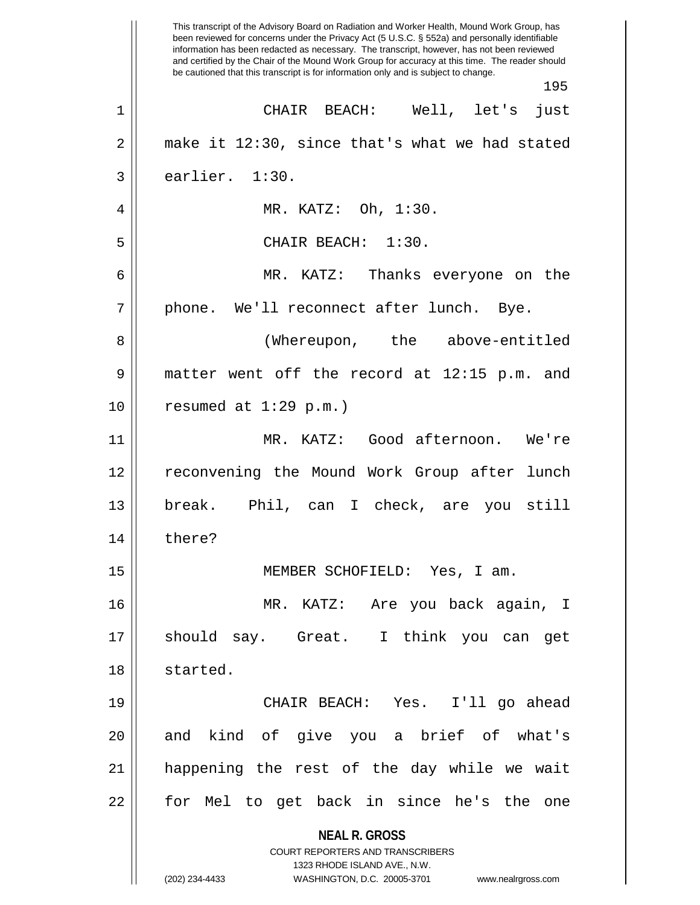**NEAL R. GROSS** COURT REPORTERS AND TRANSCRIBERS 1323 RHODE ISLAND AVE., N.W. (202) 234-4433 WASHINGTON, D.C. 20005-3701 www.nealrgross.com This transcript of the Advisory Board on Radiation and Worker Health, Mound Work Group, has been reviewed for concerns under the Privacy Act (5 U.S.C. § 552a) and personally identifiable information has been redacted as necessary. The transcript, however, has not been reviewed and certified by the Chair of the Mound Work Group for accuracy at this time. The reader should be cautioned that this transcript is for information only and is subject to change. 195 1 CHAIR BEACH: Well, let's just  $2 \parallel$  make it 12:30, since that's what we had stated  $3 \parallel$  earlier. 1:30. 4 MR. KATZ: Oh, 1:30. 5 || CHAIR BEACH: 1:30. 6 MR. KATZ: Thanks everyone on the  $7 \parallel$  phone. We'll reconnect after lunch. Bye. 8 || (Whereupon, the above-entitled 9 matter went off the record at 12:15 p.m. and  $10$  | resumed at  $1:29$  p.m.) 11 MR. KATZ: Good afternoon. We're 12 || reconvening the Mound Work Group after lunch 13 break. Phil, can I check, are you still 14 || there? 15 MEMBER SCHOFIELD: Yes, I am. 16 MR. KATZ: Are you back again, I 17 should say. Great. I think you can get 18 || started. 19 CHAIR BEACH: Yes. I'll go ahead 20 || and kind of give you a brief of what's 21 happening the rest of the day while we wait 22 || for Mel to get back in since he's the one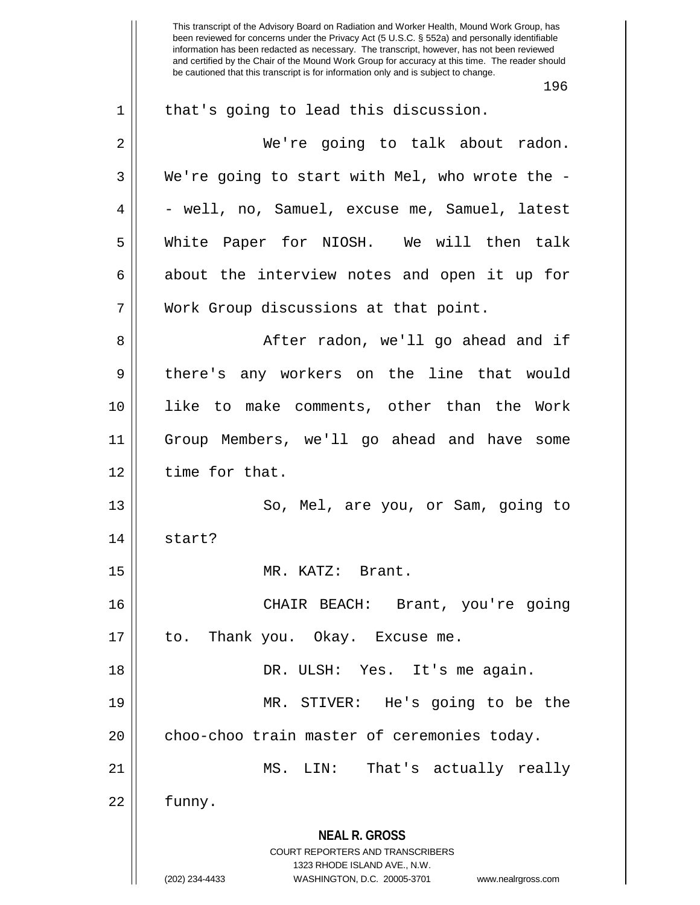This transcript of the Advisory Board on Radiation and Worker Health, Mound Work Group, has been reviewed for concerns under the Privacy Act (5 U.S.C. § 552a) and personally identifiable information has been redacted as necessary. The transcript, however, has not been reviewed and certified by the Chair of the Mound Work Group for accuracy at this time. The reader should be cautioned that this transcript is for information only and is subject to change. 196 1 || that's going to lead this discussion. 2 We're going to talk about radon.  $3 \parallel$  We're going to start with Mel, who wrote the - $4 \parallel -$  well, no, Samuel, excuse me, Samuel, latest 5 White Paper for NIOSH. We will then talk  $6 \parallel$  about the interview notes and open it up for 7 Work Group discussions at that point. 8 || After radon, we'll go ahead and if 9 || there's any workers on the line that would 10 like to make comments, other than the Work 11 Group Members, we'll go ahead and have some 12 time for that. 13 || So, Mel, are you, or Sam, going to 14 start? 15 MR. KATZ: Brant. 16 CHAIR BEACH: Brant, you're going 17 || to. Thank you. Okay. Excuse me. 18 DR. ULSH: Yes. It's me again. 19 MR. STIVER: He's going to be the  $20$  || choo-choo train master of ceremonies today.

 $22 \parallel$  funny.

**NEAL R. GROSS** COURT REPORTERS AND TRANSCRIBERS

21 MS. LIN: That's actually really

1323 RHODE ISLAND AVE., N.W.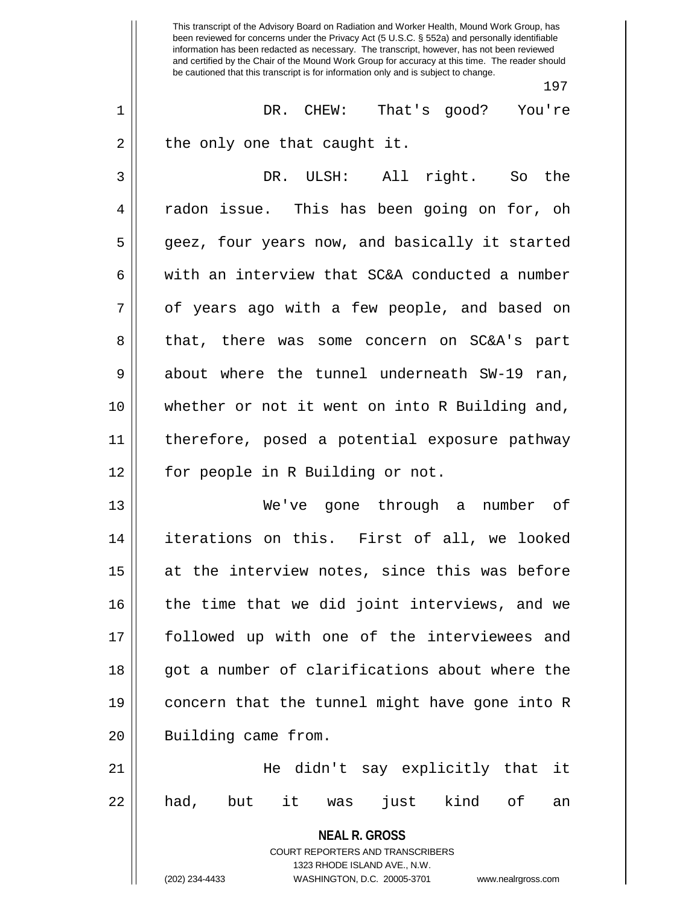**NEAL R. GROSS** COURT REPORTERS AND TRANSCRIBERS 1323 RHODE ISLAND AVE., N.W. (202) 234-4433 WASHINGTON, D.C. 20005-3701 www.nealrgross.com This transcript of the Advisory Board on Radiation and Worker Health, Mound Work Group, has been reviewed for concerns under the Privacy Act (5 U.S.C. § 552a) and personally identifiable information has been redacted as necessary. The transcript, however, has not been reviewed and certified by the Chair of the Mound Work Group for accuracy at this time. The reader should be cautioned that this transcript is for information only and is subject to change. 197 1 DR. CHEW: That's good? You're  $2 \parallel$  the only one that caught it. 3 DR. ULSH: All right. So the 4 || radon issue. This has been going on for, oh 5 geez, four years now, and basically it started 6  $\parallel$  with an interview that SC&A conducted a number 7 || of years ago with a few people, and based on 8 || that, there was some concern on SC&A's part 9 about where the tunnel underneath SW-19 ran, 10 whether or not it went on into R Building and, 11 therefore, posed a potential exposure pathway 12 || for people in R Building or not. 13 We've gone through a number of 14 iterations on this. First of all, we looked  $15$  at the interview notes, since this was before 16 || the time that we did joint interviews, and we 17 followed up with one of the interviewees and 18 || qot a number of clarifications about where the 19 concern that the tunnel might have gone into R 20 || Building came from. 21 He didn't say explicitly that it 22 || had, but it was just kind of an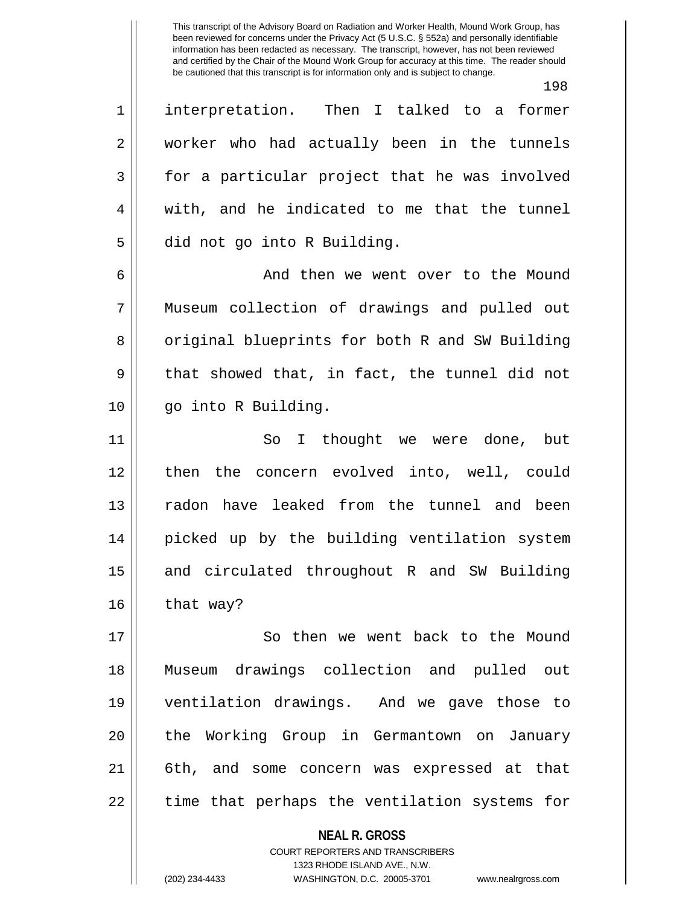198

1 interpretation. Then I talked to a former 2 || worker who had actually been in the tunnels  $3 \parallel$  for a particular project that he was involved  $4 \parallel$  with, and he indicated to me that the tunnel 5 | did not go into R Building.

6 and then we went over to the Mound 7 Museum collection of drawings and pulled out 8 || original blueprints for both R and SW Building  $9 \parallel$  that showed that, in fact, the tunnel did not 10 go into R Building.

11 || So I thought we were done, but 12 then the concern evolved into, well, could 13 || radon have leaked from the tunnel and been 14 picked up by the building ventilation system 15 || and circulated throughout R and SW Building  $16$  that way?

17 || So then we went back to the Mound 18 Museum drawings collection and pulled out 19 ventilation drawings. And we gave those to 20 || the Working Group in Germantown on January 21 6th, and some concern was expressed at that  $22$  || time that perhaps the ventilation systems for

> **NEAL R. GROSS** COURT REPORTERS AND TRANSCRIBERS 1323 RHODE ISLAND AVE., N.W. (202) 234-4433 WASHINGTON, D.C. 20005-3701 www.nealrgross.com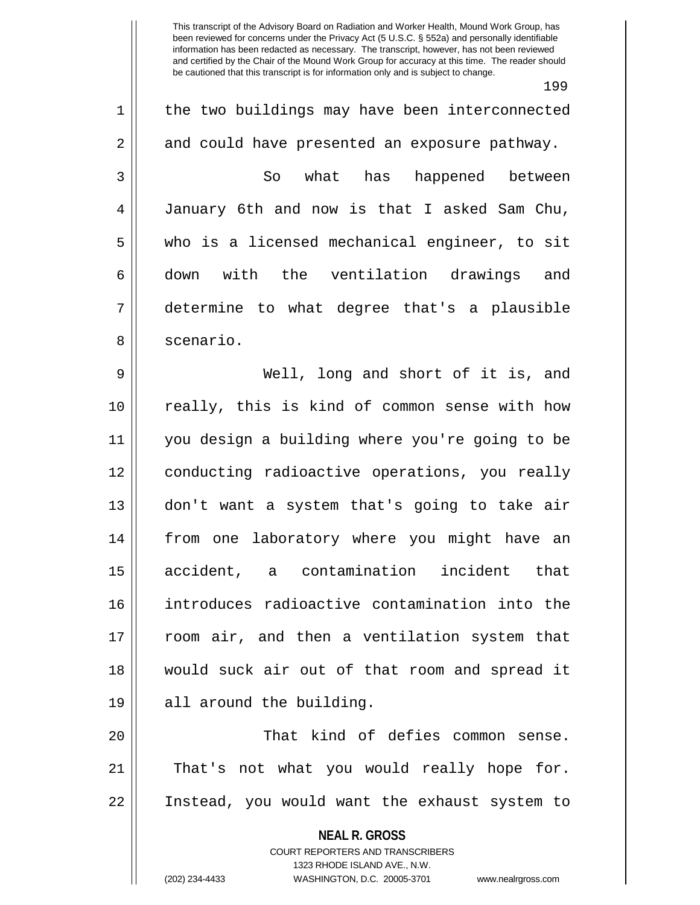199 1 || the two buildings may have been interconnected 2 and could have presented an exposure pathway. 3 So what has happened between 4 January 6th and now is that I asked Sam Chu, 5 who is a licensed mechanical engineer, to sit 6 down with the ventilation drawings and 7 determine to what degree that's a plausible 8 | scenario. 9 Well, long and short of it is, and 10 really, this is kind of common sense with how 11 you design a building where you're going to be 12 conducting radioactive operations, you really 13 don't want a system that's going to take air 14 from one laboratory where you might have an 15 accident, a contamination incident that 16 introduces radioactive contamination into the 17 room air, and then a ventilation system that 18 would suck air out of that room and spread it 19 || all around the building.

20 || That kind of defies common sense. 21 || That's not what you would really hope for. 22 Instead, you would want the exhaust system to

> **NEAL R. GROSS** COURT REPORTERS AND TRANSCRIBERS 1323 RHODE ISLAND AVE., N.W.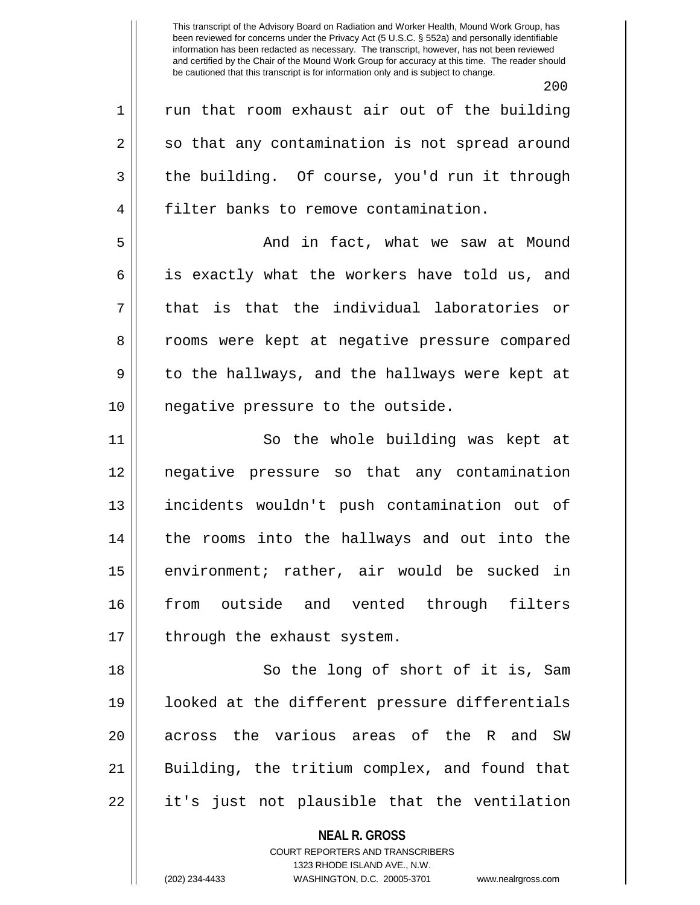200  $1 \parallel$  run that room exhaust air out of the building  $2 \parallel$  so that any contamination is not spread around  $3 \parallel$  the building. Of course, you'd run it through 4 | filter banks to remove contamination. 5 And in fact, what we saw at Mound  $6 \parallel$  is exactly what the workers have told us, and  $7 \parallel$  that is that the individual laboratories or 8 || rooms were kept at negative pressure compared  $9 \parallel$  to the hallways, and the hallways were kept at 10 || negative pressure to the outside. 11 || So the whole building was kept at 12 negative pressure so that any contamination 13 incidents wouldn't push contamination out of 14 the rooms into the hallways and out into the 15 || environment; rather, air would be sucked in 16 || from outside and vented through filters 17 || through the exhaust system. 18 || So the long of short of it is, Sam 19 looked at the different pressure differentials

20 || across the various areas of the R and SW

22 || it's just not plausible that the ventilation

**NEAL R. GROSS** COURT REPORTERS AND TRANSCRIBERS

21 Building, the tritium complex, and found that

1323 RHODE ISLAND AVE., N.W.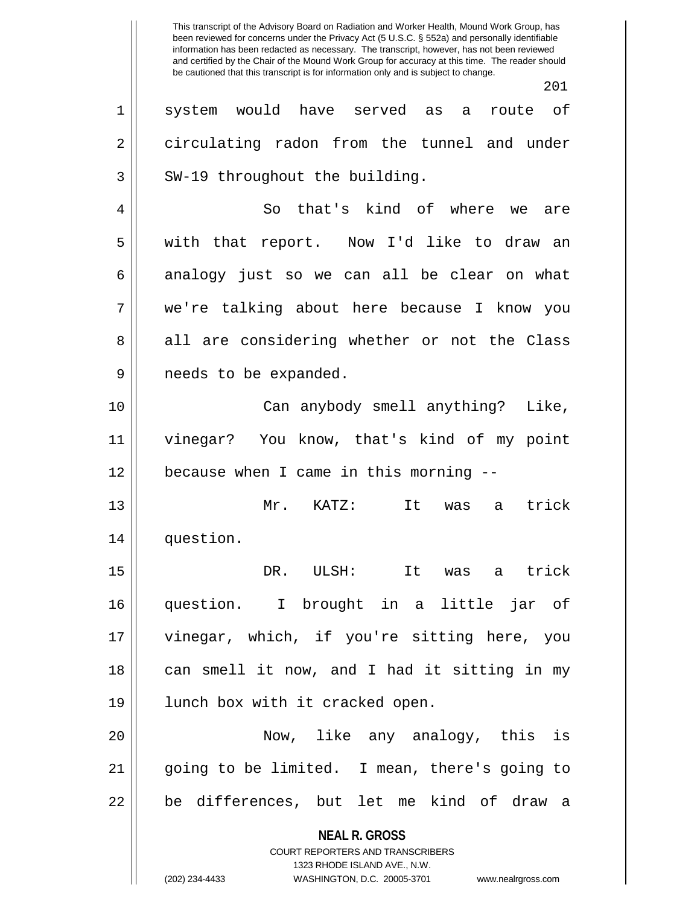**NEAL R. GROSS** COURT REPORTERS AND TRANSCRIBERS 1323 RHODE ISLAND AVE., N.W. (202) 234-4433 WASHINGTON, D.C. 20005-3701 www.nealrgross.com 1 system would have served as a route of 2 circulating radon from the tunnel and under  $3$  | SW-19 throughout the building. 4 || So that's kind of where we are 5 || with that report. Now I'd like to draw an  $6 \parallel$  analogy just so we can all be clear on what 7 we're talking about here because I know you 8 all are considering whether or not the Class 9 || needs to be expanded. 10 Can anybody smell anything? Like, 11 vinegar? You know, that's kind of my point 12 because when I came in this morning -- 13 Mr. KATZ: It was a trick 14 question. 15 DR. ULSH: It was a trick 16 question. I brought in a little jar of 17 || vinegar, which, if you're sitting here, you 18 || can smell it now, and I had it sitting in my 19 || lunch box with it cracked open. 20 Now, like any analogy, this is 21 || going to be limited. I mean, there's going to 22 || be differences, but let me kind of draw a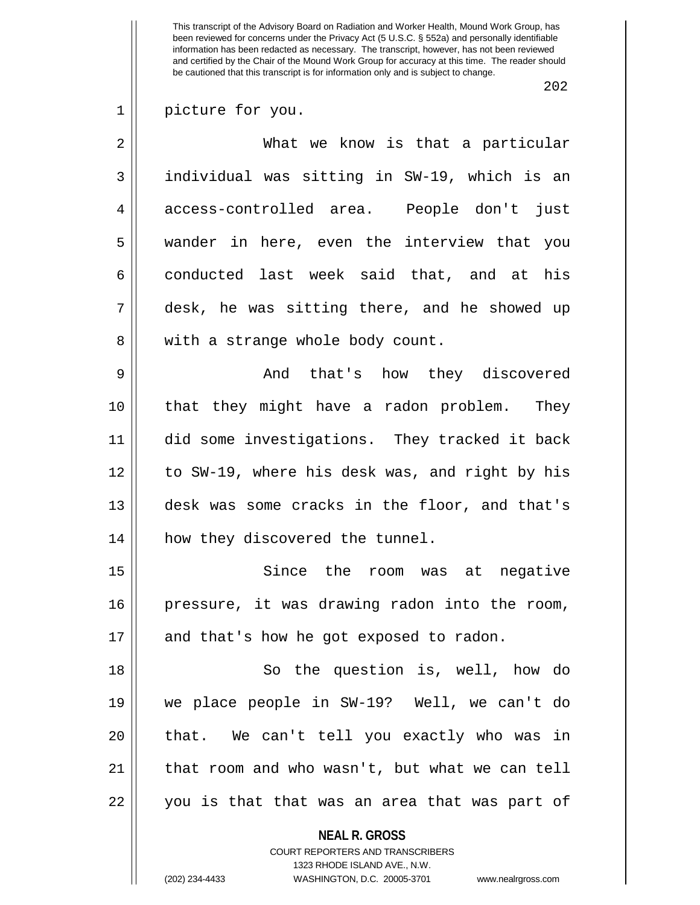202

## 1 || picture for you.

2 What we know is that a particular 3 individual was sitting in SW-19, which is an 4 access-controlled area. People don't just 5 wander in here, even the interview that you 6 conducted last week said that, and at his 7 desk, he was sitting there, and he showed up 8 || with a strange whole body count.

9 And that's how they discovered 10 that they might have a radon problem. They 11 did some investigations. They tracked it back 12 to SW-19, where his desk was, and right by his 13 desk was some cracks in the floor, and that's 14 || how they discovered the tunnel.

15 || Since the room was at negative 16 pressure, it was drawing radon into the room, 17 || and that's how he got exposed to radon.

18 So the question is, well, how do 19 we place people in SW-19? Well, we can't do 20 || that. We can't tell you exactly who was in  $21$  | that room and who wasn't, but what we can tell 22 || you is that that was an area that was part of

**NEAL R. GROSS**

COURT REPORTERS AND TRANSCRIBERS 1323 RHODE ISLAND AVE., N.W. (202) 234-4433 WASHINGTON, D.C. 20005-3701 www.nealrgross.com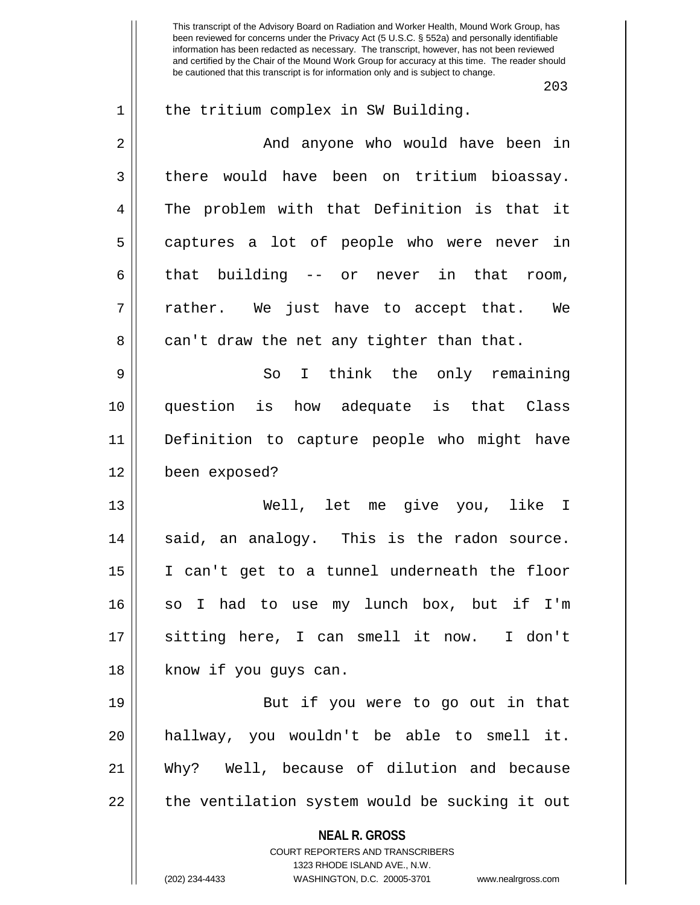This transcript of the Advisory Board on Radiation and Worker Health, Mound Work Group, has been reviewed for concerns under the Privacy Act (5 U.S.C. § 552a) and personally identifiable information has been redacted as necessary. The transcript, however, has not been reviewed and certified by the Chair of the Mound Work Group for accuracy at this time. The reader should be cautioned that this transcript is for information only and is subject to change. 203 1 || the tritium complex in SW Building. 2 And anyone who would have been in  $3 \parallel$  there would have been on tritium bioassay. 4 The problem with that Definition is that it 5 captures a lot of people who were never in  $6 \parallel$  that building -- or never in that room,  $7$  || rather. We just have to accept that. We  $8 \parallel$  can't draw the net any tighter than that. 9 So I think the only remaining 10 question is how adequate is that Class 11 Definition to capture people who might have 12 been exposed? 13 Well, let me give you, like I  $14$   $\parallel$  said, an analogy. This is the radon source. 15 I can't get to a tunnel underneath the floor 16 || so I had to use my lunch box, but if I'm 17 sitting here, I can smell it now. I don't 18 || know if you guys can. 19 || But if you were to go out in that 20 hallway, you wouldn't be able to smell it.

21 Why? Well, because of dilution and because  $22$  || the ventilation system would be sucking it out

> **NEAL R. GROSS** COURT REPORTERS AND TRANSCRIBERS 1323 RHODE ISLAND AVE., N.W.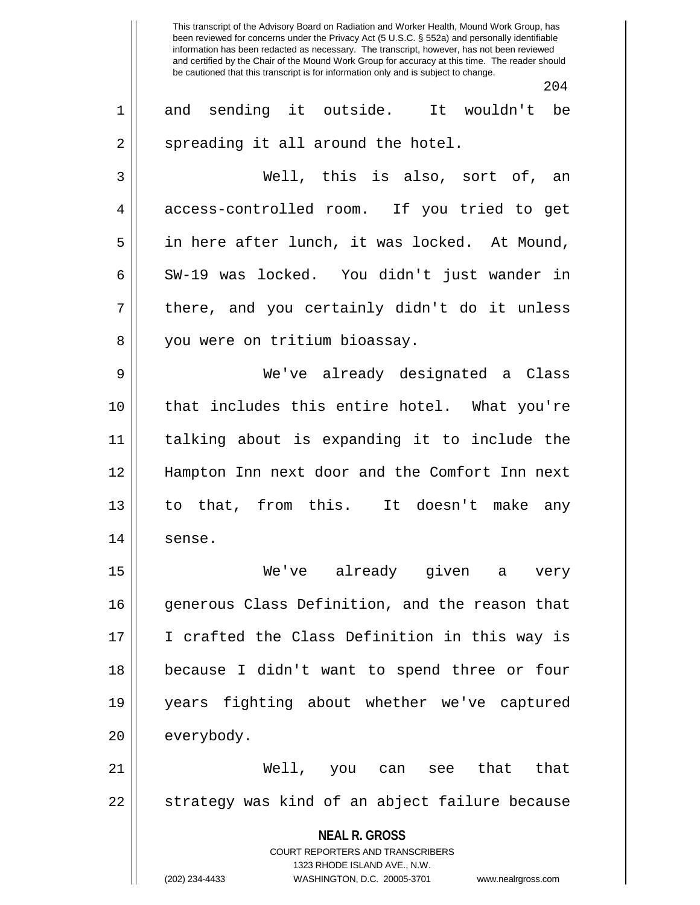This transcript of the Advisory Board on Radiation and Worker Health, Mound Work Group, has been reviewed for concerns under the Privacy Act (5 U.S.C. § 552a) and personally identifiable information has been redacted as necessary. The transcript, however, has not been reviewed and certified by the Chair of the Mound Work Group for accuracy at this time. The reader should be cautioned that this transcript is for information only and is subject to change. 204 1 and sending it outside. It wouldn't be  $2 \parallel$  spreading it all around the hotel. 3 Well, this is also, sort of, an 4 access-controlled room. If you tried to get 5 in here after lunch, it was locked. At Mound, 6 || SW-19 was locked. You didn't just wander in  $7 \parallel$  there, and you certainly didn't do it unless 8 || you were on tritium bioassay.

9 We've already designated a Class 10 that includes this entire hotel. What you're 11 talking about is expanding it to include the 12 Hampton Inn next door and the Comfort Inn next 13 to that, from this. It doesn't make any 14 sense.

15 We've already given a very 16 qenerous Class Definition, and the reason that 17 || I crafted the Class Definition in this way is 18 because I didn't want to spend three or four 19 years fighting about whether we've captured 20 everybody.

21 Well, you can see that that 22 || strategy was kind of an abject failure because

> **NEAL R. GROSS** COURT REPORTERS AND TRANSCRIBERS 1323 RHODE ISLAND AVE., N.W. (202) 234-4433 WASHINGTON, D.C. 20005-3701 www.nealrgross.com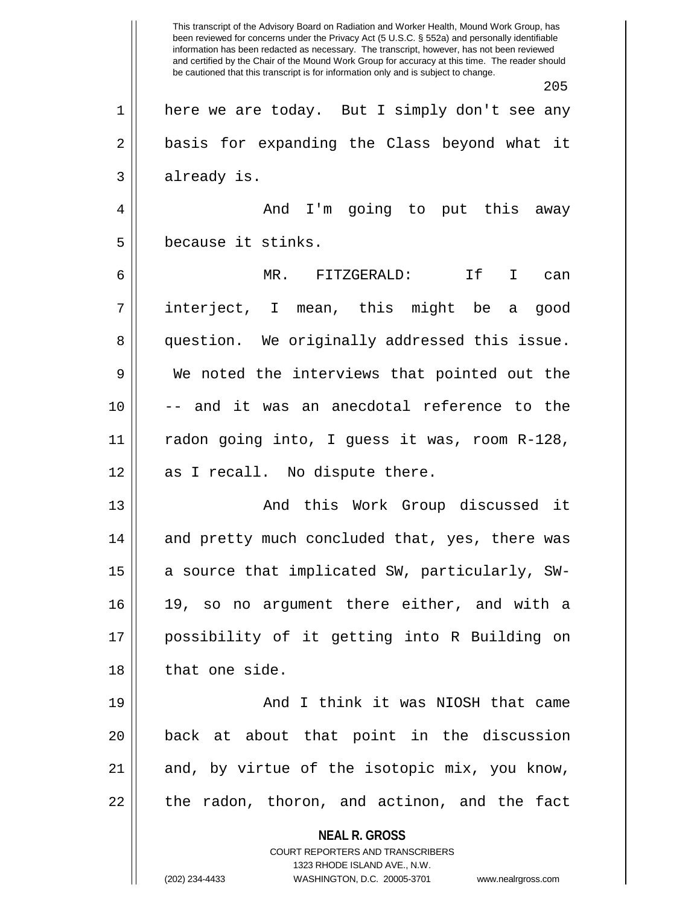**NEAL R. GROSS** COURT REPORTERS AND TRANSCRIBERS 1323 RHODE ISLAND AVE., N.W. (202) 234-4433 WASHINGTON, D.C. 20005-3701 www.nealrgross.com This transcript of the Advisory Board on Radiation and Worker Health, Mound Work Group, has been reviewed for concerns under the Privacy Act (5 U.S.C. § 552a) and personally identifiable information has been redacted as necessary. The transcript, however, has not been reviewed and certified by the Chair of the Mound Work Group for accuracy at this time. The reader should be cautioned that this transcript is for information only and is subject to change. 205 1 here we are today. But I simply don't see any 2 || basis for expanding the Class beyond what it 3 | already is. 4 And I'm going to put this away 5 ll because it stinks. 6 MR. FITZGERALD: If I can 7 interject, I mean, this might be a good 8 question. We originally addressed this issue. 9 We noted the interviews that pointed out the 10 -- and it was an anecdotal reference to the 11 radon going into, I guess it was, room R-128,  $12 \parallel$  as I recall. No dispute there. 13 And this Work Group discussed it 14 || and pretty much concluded that, yes, there was 15  $\parallel$  a source that implicated SW, particularly, SW-16 19, so no argument there either, and with a 17 possibility of it getting into R Building on 18 || that one side. 19 || And I think it was NIOSH that came 20 back at about that point in the discussion  $21$  and, by virtue of the isotopic mix, you know,  $22$  || the radon, thoron, and actinon, and the fact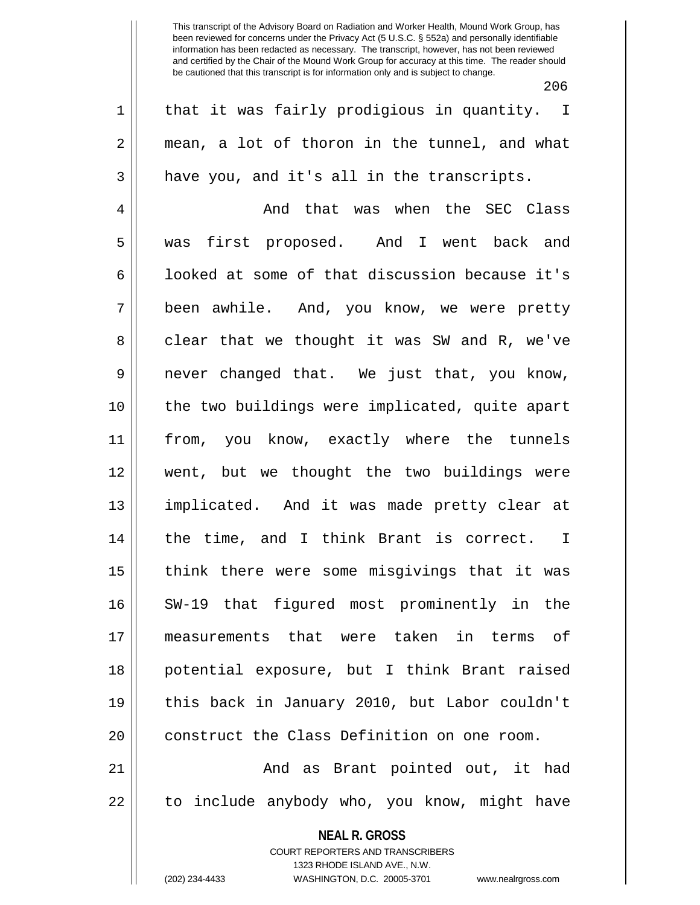206

1 || that it was fairly prodigious in quantity. I  $2 \parallel$  mean, a lot of thoron in the tunnel, and what  $3 \parallel$  have you, and it's all in the transcripts.

4 And that was when the SEC Class 5 || was first proposed. And I went back and 6 |  $\blacksquare$  looked at some of that discussion because it's 7 been awhile. And, you know, we were pretty  $8 \parallel$  clear that we thought it was SW and R, we've 9 never changed that. We just that, you know, 10 the two buildings were implicated, quite apart 11 from, you know, exactly where the tunnels 12 went, but we thought the two buildings were 13 implicated. And it was made pretty clear at 14 || the time, and I think Brant is correct. I 15 || think there were some misgivings that it was 16 SW-19 that figured most prominently in the 17 measurements that were taken in terms of 18 potential exposure, but I think Brant raised 19 this back in January 2010, but Labor couldn't 20 || construct the Class Definition on one room.

21 And as Brant pointed out, it had 22 || to include anybody who, you know, might have

**NEAL R. GROSS**

COURT REPORTERS AND TRANSCRIBERS 1323 RHODE ISLAND AVE., N.W. (202) 234-4433 WASHINGTON, D.C. 20005-3701 www.nealrgross.com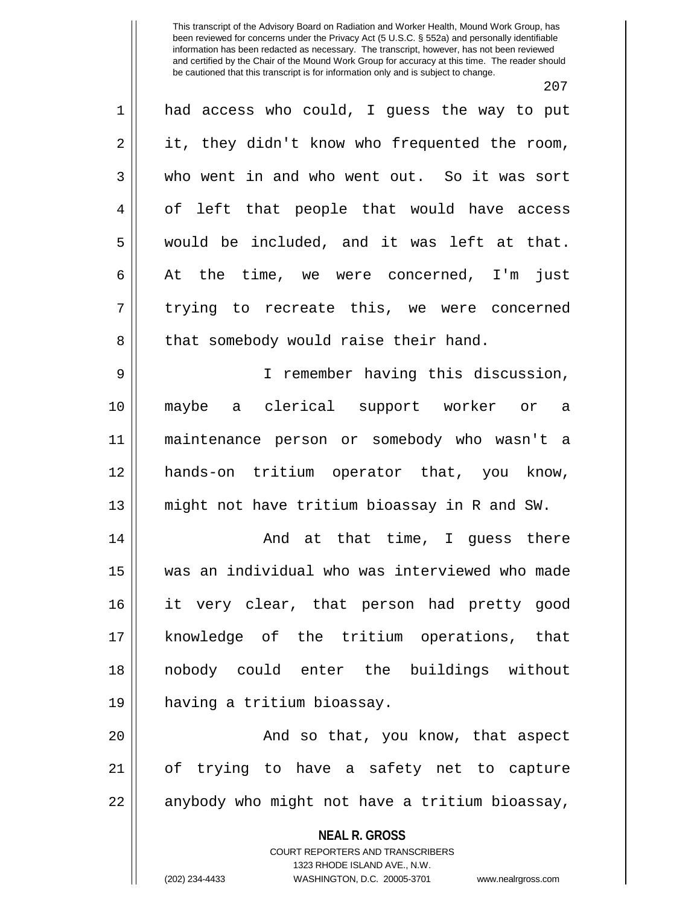207 1 had access who could, I guess the way to put  $2 \parallel$  it, they didn't know who frequented the room, 3 who went in and who went out. So it was sort 4 || of left that people that would have access 5 would be included, and it was left at that.  $6 \parallel$  At the time, we were concerned, I'm just  $7 \parallel$  trying to recreate this, we were concerned 8 || that somebody would raise their hand. 9 I remember having this discussion, 10 maybe a clerical support worker or a 11 maintenance person or somebody who wasn't a 12 hands-on tritium operator that, you know, 13 might not have tritium bioassay in R and SW. 14 And at that time, I guess there 15 was an individual who was interviewed who made 16 it very clear, that person had pretty good 17 knowledge of the tritium operations, that 18 nobody could enter the buildings without 19 having a tritium bioassay.

20 || And so that, you know, that aspect 21 of trying to have a safety net to capture 22 || anybody who might not have a tritium bioassay,

> **NEAL R. GROSS** COURT REPORTERS AND TRANSCRIBERS 1323 RHODE ISLAND AVE., N.W. (202) 234-4433 WASHINGTON, D.C. 20005-3701 www.nealrgross.com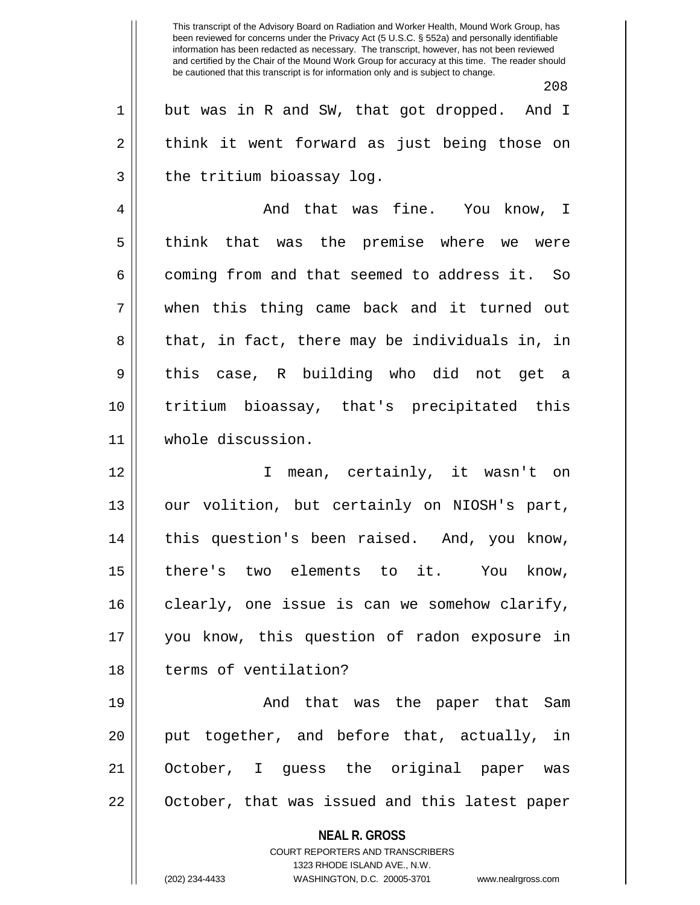This transcript of the Advisory Board on Radiation and Worker Health, Mound Work Group, has been reviewed for concerns under the Privacy Act (5 U.S.C. § 552a) and personally identifiable information has been redacted as necessary. The transcript, however, has not been reviewed and certified by the Chair of the Mound Work Group for accuracy at this time. The reader should be cautioned that this transcript is for information only and is subject to change. 208 1 but was in R and SW, that got dropped. And I  $2 \parallel$  think it went forward as just being those on  $3 \parallel$  the tritium bioassay log. 4 And that was fine. You know, I

5 || think that was the premise where we were  $6 \parallel$  coming from and that seemed to address it. So 7 when this thing came back and it turned out  $8 \parallel$  that, in fact, there may be individuals in, in 9 || this case, R building who did not get a 10 tritium bioassay, that's precipitated this 11 whole discussion.

12 I mean, certainly, it wasn't on 13 || our volition, but certainly on NIOSH's part, 14 || this question's been raised. And, you know, 15 there's two elements to it. You know, 16 clearly, one issue is can we somehow clarify, 17 you know, this question of radon exposure in 18 H terms of ventilation?

19 And that was the paper that Sam 20 || put together, and before that, actually, in 21 October, I guess the original paper was 22 || October, that was issued and this latest paper

> **NEAL R. GROSS** COURT REPORTERS AND TRANSCRIBERS

> > 1323 RHODE ISLAND AVE., N.W.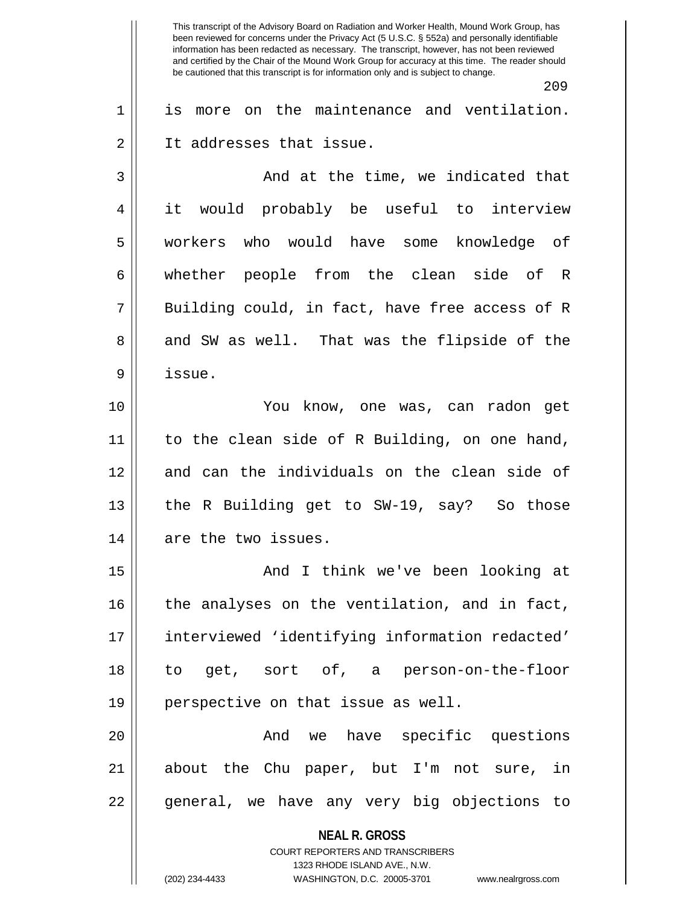**NEAL R. GROSS** COURT REPORTERS AND TRANSCRIBERS This transcript of the Advisory Board on Radiation and Worker Health, Mound Work Group, has been reviewed for concerns under the Privacy Act (5 U.S.C. § 552a) and personally identifiable information has been redacted as necessary. The transcript, however, has not been reviewed and certified by the Chair of the Mound Work Group for accuracy at this time. The reader should be cautioned that this transcript is for information only and is subject to change. 209 1 is more on the maintenance and ventilation. 2 | It addresses that issue. 3 And at the time, we indicated that 4 it would probably be useful to interview 5 workers who would have some knowledge of 6 whether people from the clean side of R  $7 \parallel$  Building could, in fact, have free access of R 8 and SW as well. That was the flipside of the 9 issue. 10 You know, one was, can radon get 11 || to the clean side of R Building, on one hand, 12 || and can the individuals on the clean side of 13 || the R Building get to SW-19, say? So those 14 || are the two issues. 15 And I think we've been looking at 16 || the analyses on the ventilation, and in fact, 17 interviewed 'identifying information redacted' 18 to get, sort of, a person-on-the-floor 19 || perspective on that issue as well. 20 And we have specific questions 21 about the Chu paper, but I'm not sure, in 22 || general, we have any very big objections to

1323 RHODE ISLAND AVE., N.W.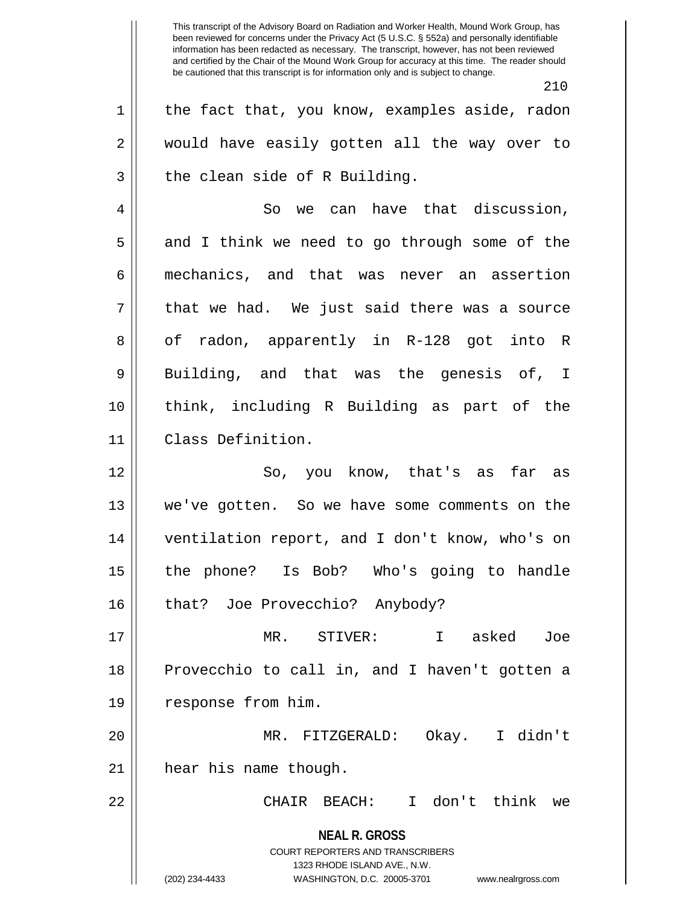**NEAL R. GROSS** COURT REPORTERS AND TRANSCRIBERS 1323 RHODE ISLAND AVE., N.W. (202) 234-4433 WASHINGTON, D.C. 20005-3701 www.nealrgross.com 210  $1 \parallel$  the fact that, you know, examples aside, radon 2 would have easily gotten all the way over to  $3 \parallel$  the clean side of R Building. 4 | So we can have that discussion,  $5 \parallel$  and I think we need to go through some of the 6 mechanics, and that was never an assertion  $7 \parallel$  that we had. We just said there was a source 8 || of radon, apparently in R-128 got into R 9 Building, and that was the genesis of, I 10 think, including R Building as part of the 11 Class Definition. 12 So, you know, that's as far as 13 we've gotten. So we have some comments on the 14 ventilation report, and I don't know, who's on 15 the phone? Is Bob? Who's going to handle 16 || that? Joe Provecchio? Anybody? 17 MR. STIVER: I asked Joe 18 Provecchio to call in, and I haven't gotten a 19 | response from him. 20 MR. FITZGERALD: Okay. I didn't 21 | hear his name though. 22 CHAIR BEACH: I don't think we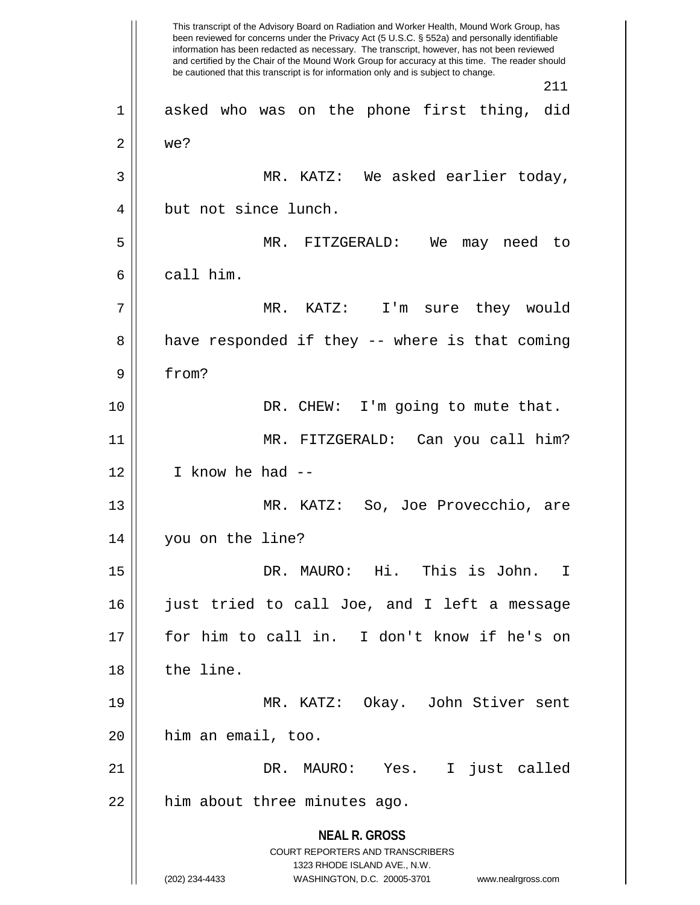**NEAL R. GROSS** COURT REPORTERS AND TRANSCRIBERS 1323 RHODE ISLAND AVE., N.W. (202) 234-4433 WASHINGTON, D.C. 20005-3701 www.nealrgross.com This transcript of the Advisory Board on Radiation and Worker Health, Mound Work Group, has been reviewed for concerns under the Privacy Act (5 U.S.C. § 552a) and personally identifiable information has been redacted as necessary. The transcript, however, has not been reviewed and certified by the Chair of the Mound Work Group for accuracy at this time. The reader should be cautioned that this transcript is for information only and is subject to change. 211 1 asked who was on the phone first thing, did  $2 \parallel$  we? 3 MR. KATZ: We asked earlier today, 4 but not since lunch. 5 MR. FITZGERALD: We may need to 6 call him. 7 MR. KATZ: I'm sure they would  $8 \parallel$  have responded if they -- where is that coming 9 from? 10 DR. CHEW: I'm going to mute that. 11 MR. FITZGERALD: Can you call him?  $12$  || I know he had  $-$ 13 MR. KATZ: So, Joe Provecchio, are 14 you on the line? 15 DR. MAURO: Hi. This is John. I 16 just tried to call Joe, and I left a message 17 for him to call in. I don't know if he's on 18 l the line. 19 MR. KATZ: Okay. John Stiver sent 20 him an email, too. 21 DR. MAURO: Yes. I just called  $22$  || him about three minutes ago.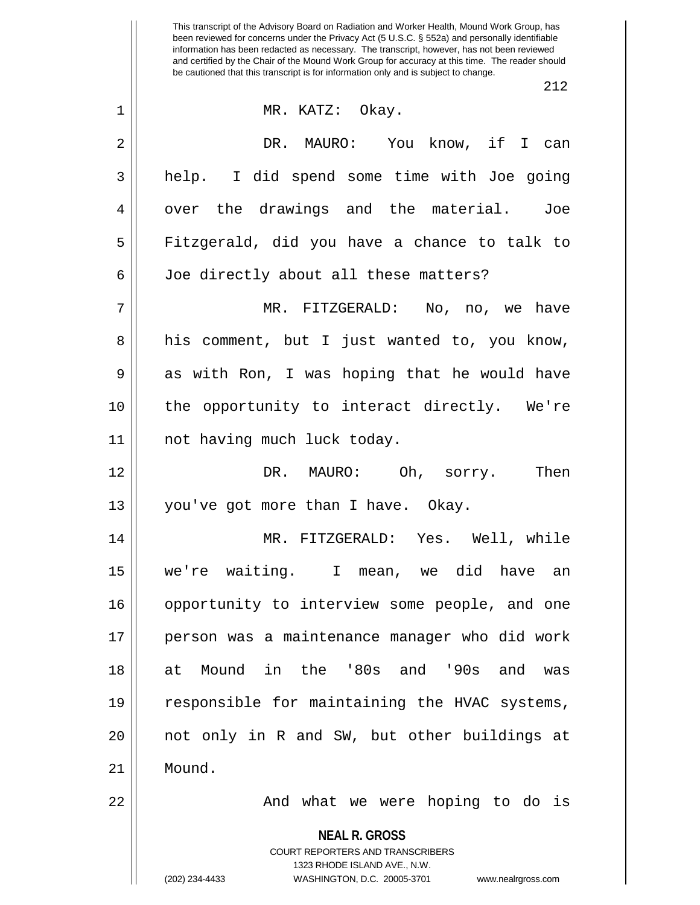|                | 212                                                                                             |
|----------------|-------------------------------------------------------------------------------------------------|
| $\mathbf 1$    | MR. KATZ: Okay.                                                                                 |
| $\overline{2}$ | DR. MAURO: You know, if I can                                                                   |
| 3              | help. I did spend some time with Joe going                                                      |
| 4              | over the drawings and the material. Joe                                                         |
| 5              | Fitzgerald, did you have a chance to talk to                                                    |
| 6              | Joe directly about all these matters?                                                           |
| 7              | MR. FITZGERALD: No, no, we have                                                                 |
| 8              | his comment, but I just wanted to, you know,                                                    |
| 9              | as with Ron, I was hoping that he would have                                                    |
| 10             | the opportunity to interact directly. We're                                                     |
| 11             | not having much luck today.                                                                     |
| 12             | DR. MAURO: Oh, sorry. Then                                                                      |
| 13             | you've got more than I have. Okay.                                                              |
| 14             | MR. FITZGERALD: Yes. Well, while                                                                |
| 15             | we're waiting. I mean, we did have an                                                           |
| 16             | opportunity to interview some people, and one                                                   |
| 17             | person was a maintenance manager who did work                                                   |
| 18             | Mound in the '80s and '90s and<br>at<br>was                                                     |
| 19             | responsible for maintaining the HVAC systems,                                                   |
| 20             | not only in R and SW, but other buildings at                                                    |
| 21             | Mound.                                                                                          |
| 22             | And what we were hoping to do is                                                                |
|                | <b>NEAL R. GROSS</b><br><b>COURT REPORTERS AND TRANSCRIBERS</b><br>1323 RHODE ISLAND AVE., N.W. |
|                | WASHINGTON, D.C. 20005-3701<br>(202) 234-4433<br>www.nealrgross.com                             |

<sup>(202) 234-4433</sup> WASHINGTON, D.C. 20005-3701 www.nealrgross.com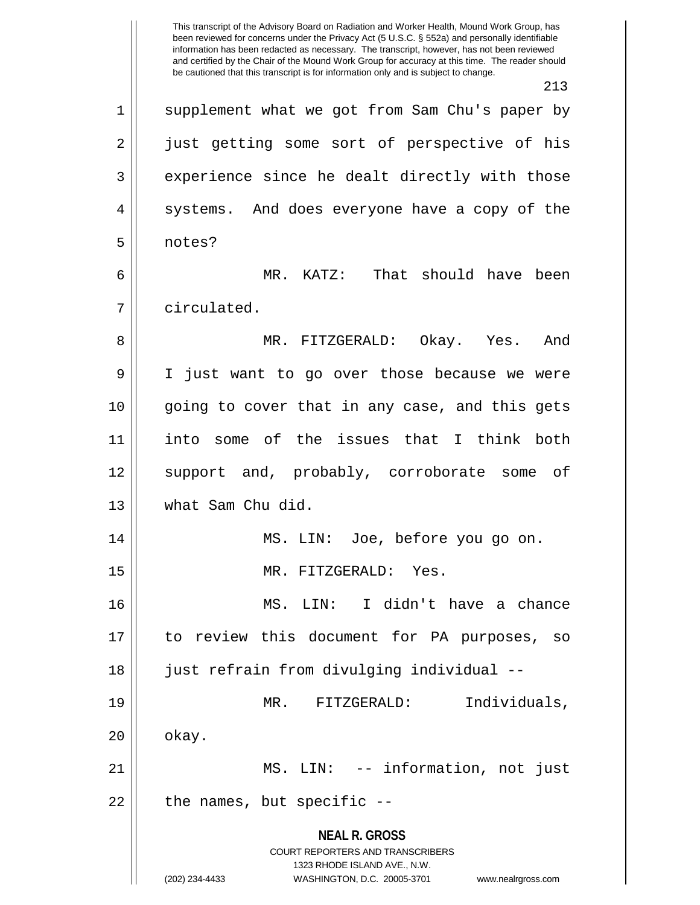**NEAL R. GROSS** COURT REPORTERS AND TRANSCRIBERS 1323 RHODE ISLAND AVE., N.W. (202) 234-4433 WASHINGTON, D.C. 20005-3701 www.nealrgross.com This transcript of the Advisory Board on Radiation and Worker Health, Mound Work Group, has been reviewed for concerns under the Privacy Act (5 U.S.C. § 552a) and personally identifiable information has been redacted as necessary. The transcript, however, has not been reviewed and certified by the Chair of the Mound Work Group for accuracy at this time. The reader should be cautioned that this transcript is for information only and is subject to change. 213 1 || supplement what we got from Sam Chu's paper by 2 || just getting some sort of perspective of his 3 || experience since he dealt directly with those 4 || systems. And does everyone have a copy of the 5 notes? 6 MR. KATZ: That should have been 7 circulated. 8 MR. FITZGERALD: Okay. Yes. And 9 I just want to go over those because we were 10 going to cover that in any case, and this gets 11 into some of the issues that I think both 12 support and, probably, corroborate some of 13 what Sam Chu did. 14 MS. LIN: Joe, before you go on. 15 || MR. FITZGERALD: Yes. 16 MS. LIN: I didn't have a chance 17 to review this document for PA purposes, so 18 just refrain from divulging individual -- 19 MR. FITZGERALD: Individuals,  $20 \parallel$  okay. 21 MS. LIN: -- information, not just  $22$  | the names, but specific  $-$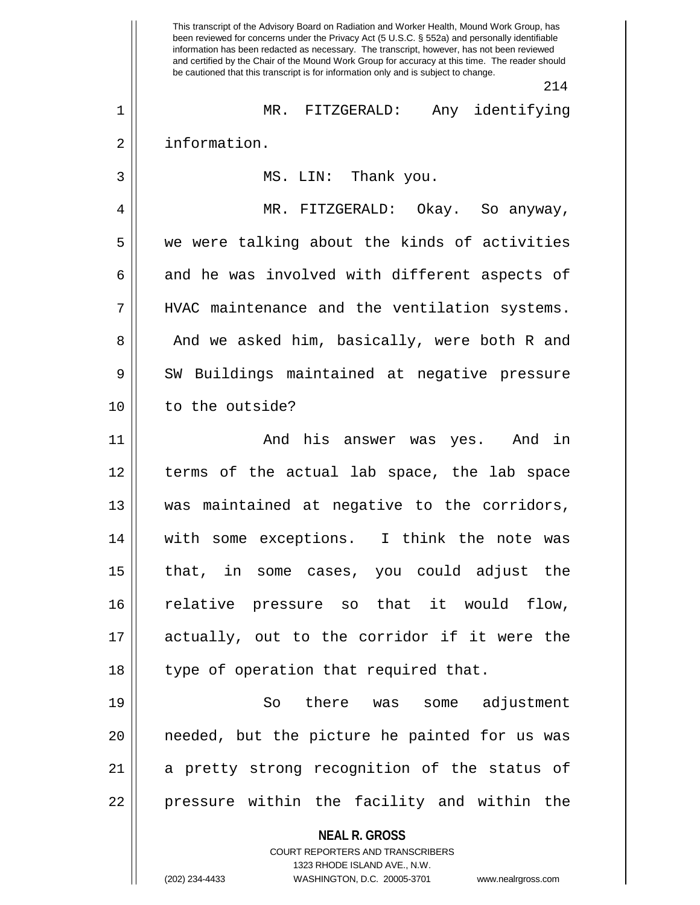**NEAL R. GROSS** COURT REPORTERS AND TRANSCRIBERS 1323 RHODE ISLAND AVE., N.W. This transcript of the Advisory Board on Radiation and Worker Health, Mound Work Group, has been reviewed for concerns under the Privacy Act (5 U.S.C. § 552a) and personally identifiable information has been redacted as necessary. The transcript, however, has not been reviewed and certified by the Chair of the Mound Work Group for accuracy at this time. The reader should be cautioned that this transcript is for information only and is subject to change. 214 1 MR. FITZGERALD: Any identifying 2 | information. 3 MS. LIN: Thank you. 4 MR. FITZGERALD: Okay. So anyway,  $5 \parallel$  we were talking about the kinds of activities  $6 \parallel$  and he was involved with different aspects of 7 || HVAC maintenance and the ventilation systems. 8 || And we asked him, basically, were both R and 9 SW Buildings maintained at negative pressure 10 to the outside? 11 And his answer was yes. And in 12 terms of the actual lab space, the lab space 13 was maintained at negative to the corridors, 14 || with some exceptions. I think the note was 15 that, in some cases, you could adjust the 16 || relative pressure so that it would flow, 17 || actually, out to the corridor if it were the 18 || type of operation that required that. 19 So there was some adjustment 20 || needed, but the picture he painted for us was 21 || a pretty strong recognition of the status of 22 || pressure within the facility and within the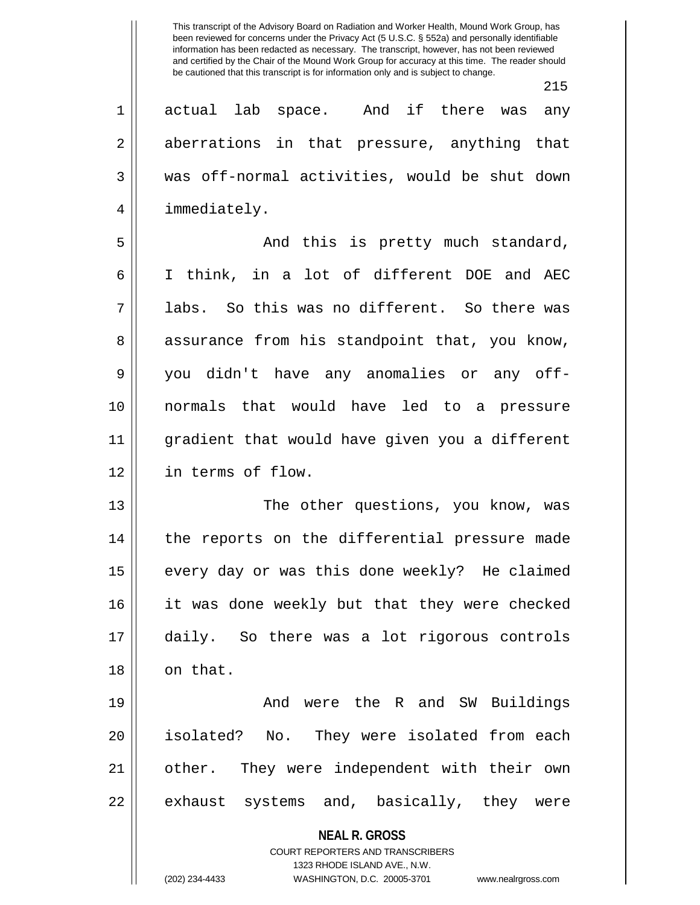**NEAL R. GROSS** 215 1 actual lab space. And if there was any 2 aberrations in that pressure, anything that 3 was off-normal activities, would be shut down 4 || immediately. 5 And this is pretty much standard, 6 I think, in a lot of different DOE and AEC  $7 \parallel$  labs. So this was no different. So there was 8 assurance from his standpoint that, you know, 9 you didn't have any anomalies or any off-10 normals that would have led to a pressure 11 gradient that would have given you a different 12 in terms of flow. 13 The other questions, you know, was 14 || the reports on the differential pressure made 15 || every day or was this done weekly? He claimed 16 || it was done weekly but that they were checked 17 daily. So there was a lot rigorous controls 18 || on that. 19 And were the R and SW Buildings 20 || isolated? No. They were isolated from each 21 other. They were independent with their own  $22 \parallel$  exhaust systems and, basically, they were

> COURT REPORTERS AND TRANSCRIBERS 1323 RHODE ISLAND AVE., N.W.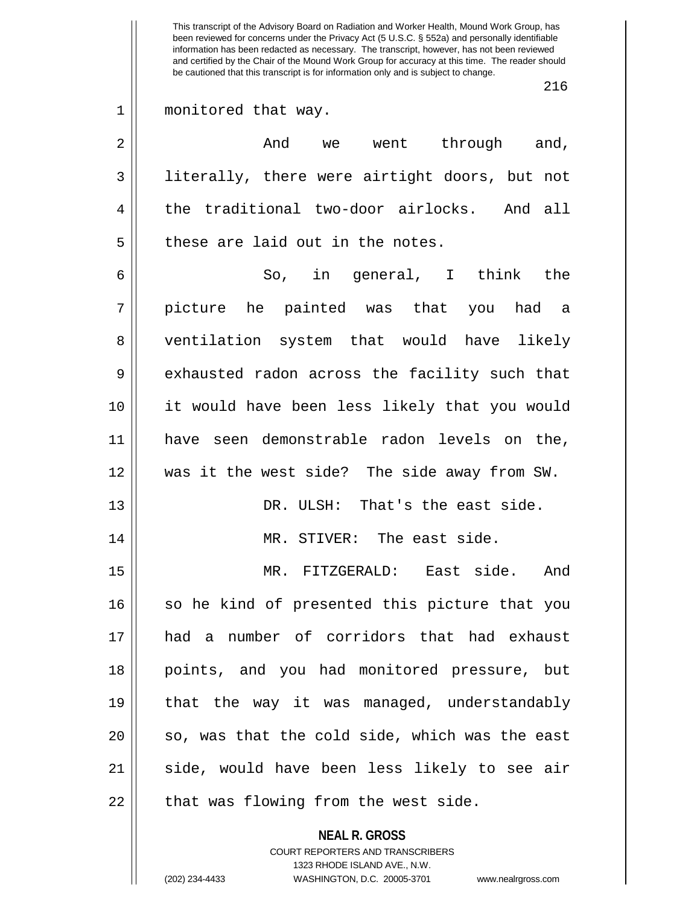**NEAL R. GROSS** This transcript of the Advisory Board on Radiation and Worker Health, Mound Work Group, has been reviewed for concerns under the Privacy Act (5 U.S.C. § 552a) and personally identifiable information has been redacted as necessary. The transcript, however, has not been reviewed and certified by the Chair of the Mound Work Group for accuracy at this time. The reader should be cautioned that this transcript is for information only and is subject to change. 216 1 || monitored that way.  $2 \parallel$  and we went through and, 3 || literally, there were airtight doors, but not 4 the traditional two-door airlocks. And all  $5$  || these are laid out in the notes. 6 || So, in general, I think the 7 picture he painted was that you had a 8 ventilation system that would have likely 9 exhausted radon across the facility such that 10 it would have been less likely that you would 11 || have seen demonstrable radon levels on the, 12 was it the west side? The side away from SW. 13 DR. ULSH: That's the east side. 14 || MR. STIVER: The east side. 15 MR. FITZGERALD: East side. And 16 so he kind of presented this picture that you 17 had a number of corridors that had exhaust 18 points, and you had monitored pressure, but 19 || that the way it was managed, understandably  $20$  || so, was that the cold side, which was the east 21 || side, would have been less likely to see air  $22$  || that was flowing from the west side.

> COURT REPORTERS AND TRANSCRIBERS 1323 RHODE ISLAND AVE., N.W.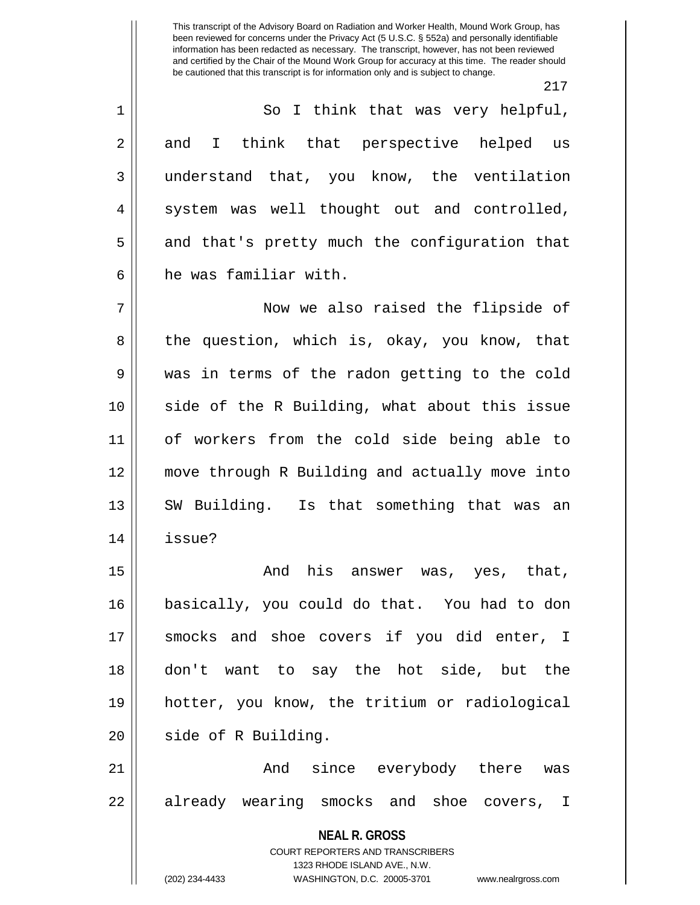1 || So I think that was very helpful, 2 and I think that perspective helped us 3 || understand that, you know, the ventilation 4 || system was well thought out and controlled,  $5 \parallel$  and that's pretty much the configuration that 6 he was familiar with.

7 Now we also raised the flipside of 8 the question, which is, okay, you know, that 9 was in terms of the radon getting to the cold 10 side of the R Building, what about this issue 11 of workers from the cold side being able to 12 move through R Building and actually move into 13 || SW Building. Is that something that was an 14 issue?

 $15$   $\parallel$  and his answer was, yes, that, 16 basically, you could do that. You had to don 17 || smocks and shoe covers if you did enter, I 18 don't want to say the hot side, but the 19 hotter, you know, the tritium or radiological 20 || side of R Building.

21 And since everybody there was 22 || already wearing smocks and shoe covers, I

> **NEAL R. GROSS** COURT REPORTERS AND TRANSCRIBERS 1323 RHODE ISLAND AVE., N.W. (202) 234-4433 WASHINGTON, D.C. 20005-3701 www.nealrgross.com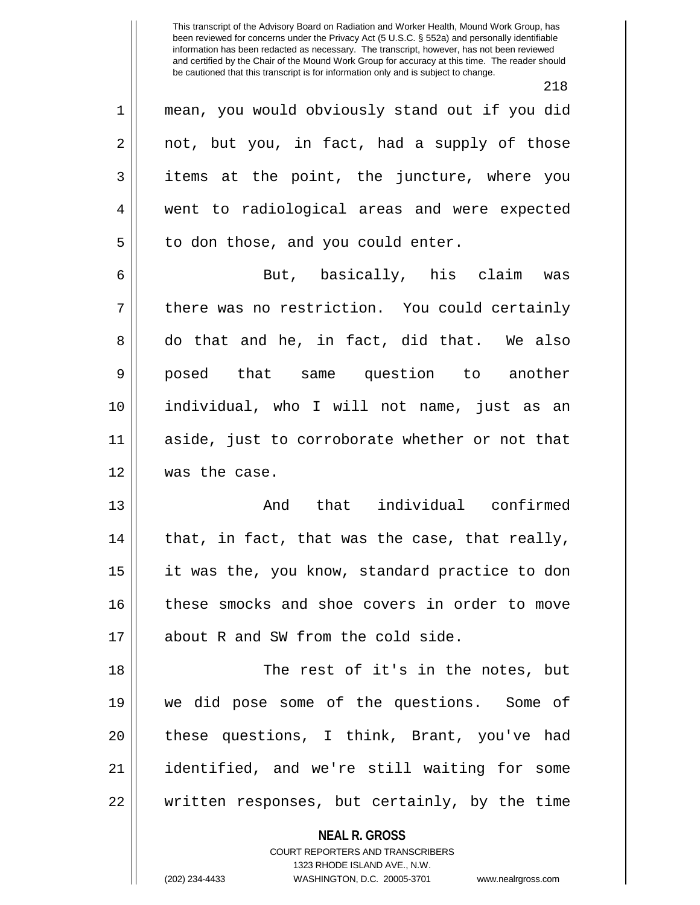218

1 mean, you would obviously stand out if you did  $2 \parallel$  not, but you, in fact, had a supply of those  $3 \parallel$  items at the point, the juncture, where you 4 went to radiological areas and were expected  $5 \parallel$  to don those, and you could enter.

6 But, basically, his claim was  $7 \parallel$  there was no restriction. You could certainly 8 do that and he, in fact, did that. We also 9 posed that same question to another 10 individual, who I will not name, just as an 11 aside, just to corroborate whether or not that 12 was the case.

13 And that individual confirmed  $14$  || that, in fact, that was the case, that really, 15 || it was the, you know, standard practice to don 16 these smocks and shoe covers in order to move 17 || about R and SW from the cold side.

18 || The rest of it's in the notes, but 19 we did pose some of the questions. Some of 20 || these questions, I think, Brant, you've had 21 identified, and we're still waiting for some 22 written responses, but certainly, by the time

**NEAL R. GROSS**

COURT REPORTERS AND TRANSCRIBERS 1323 RHODE ISLAND AVE., N.W. (202) 234-4433 WASHINGTON, D.C. 20005-3701 www.nealrgross.com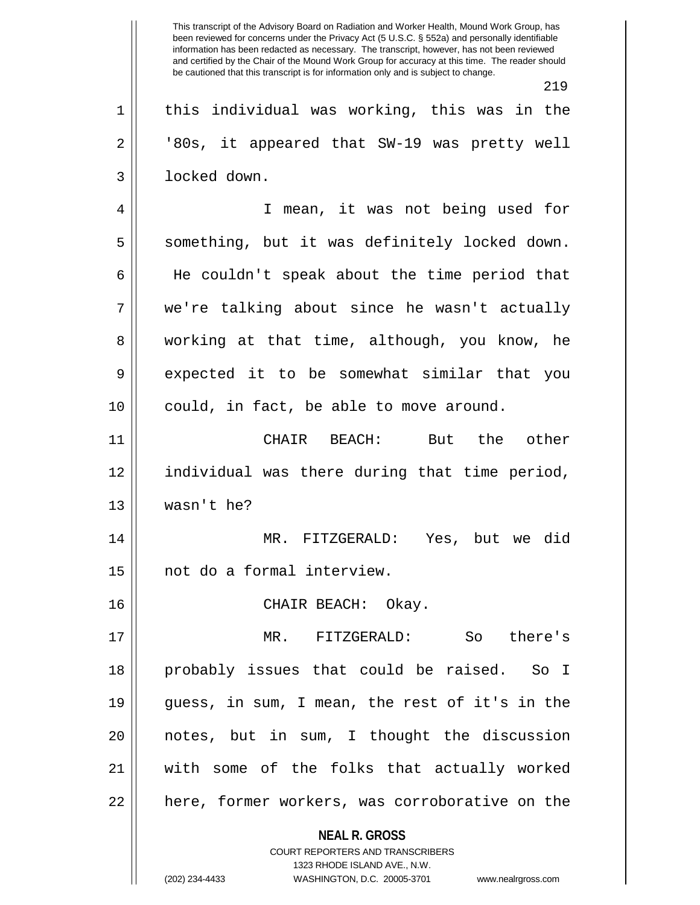219

 $1 \parallel$  this individual was working, this was in the 2 || '80s, it appeared that SW-19 was pretty well 3 locked down.

4 I mean, it was not being used for  $5 \parallel$  something, but it was definitely locked down. 6 || He couldn't speak about the time period that 7 we're talking about since he wasn't actually 8 working at that time, although, you know, he 9 expected it to be somewhat similar that you 10 || could, in fact, be able to move around.

11 CHAIR BEACH: But the other 12 individual was there during that time period, 13 wasn't he?

14 MR. FITZGERALD: Yes, but we did 15 not do a formal interview.

16 CHAIR BEACH: Okay.

17 MR. FITZGERALD: So there's 18 probably issues that could be raised. So I 19 guess, in sum, I mean, the rest of it's in the 20 notes, but in sum, I thought the discussion 21 with some of the folks that actually worked 22 || here, former workers, was corroborative on the

> **NEAL R. GROSS** COURT REPORTERS AND TRANSCRIBERS

> > 1323 RHODE ISLAND AVE., N.W.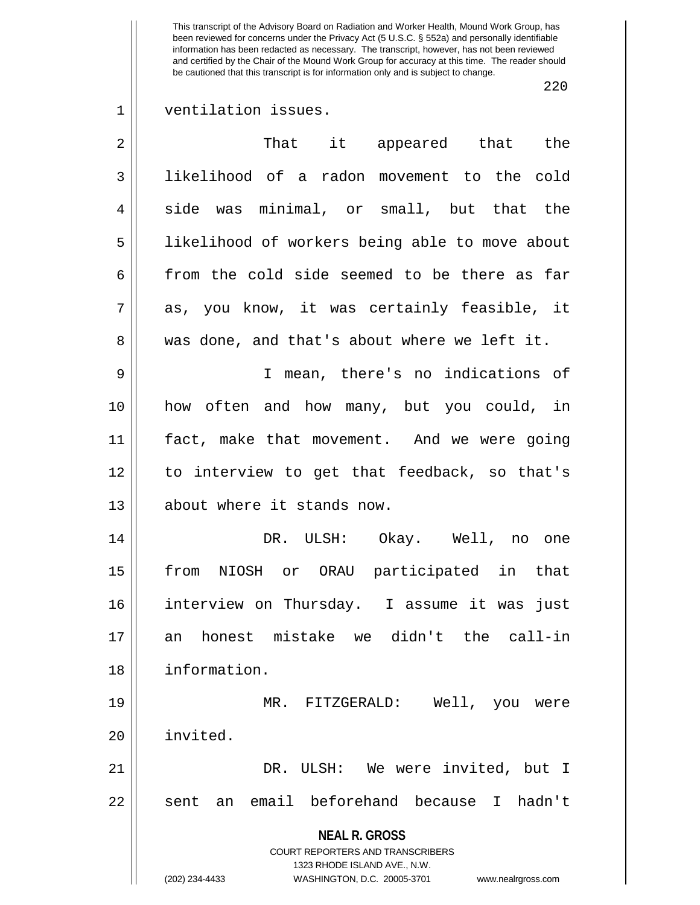220

## 1 | ventilation issues.

| $\overline{2}$ | That it appeared that the                                                                                                                                              |
|----------------|------------------------------------------------------------------------------------------------------------------------------------------------------------------------|
| $\mathfrak{Z}$ | likelihood of a radon movement to the cold                                                                                                                             |
| $\overline{4}$ | side was minimal, or small, but that the                                                                                                                               |
| 5              | likelihood of workers being able to move about                                                                                                                         |
| 6              | from the cold side seemed to be there as far                                                                                                                           |
| 7              | as, you know, it was certainly feasible, it                                                                                                                            |
| 8              | was done, and that's about where we left it.                                                                                                                           |
| 9              | I mean, there's no indications of                                                                                                                                      |
| 10             | how often and how many, but you could, in                                                                                                                              |
| 11             | fact, make that movement. And we were going                                                                                                                            |
| 12             | to interview to get that feedback, so that's                                                                                                                           |
| 13             | about where it stands now.                                                                                                                                             |
| 14             | DR. ULSH: Okay. Well, no one                                                                                                                                           |
| 15             | from NIOSH or ORAU participated in that                                                                                                                                |
| 16             | interview on Thursday. I assume it was just                                                                                                                            |
| 17             | an honest mistake we didn't the call-in                                                                                                                                |
| 18             | information.                                                                                                                                                           |
| 19             | Well, you<br>MR. FITZGERALD:<br>were                                                                                                                                   |
| 20             | invited.                                                                                                                                                               |
| 21             | DR. ULSH: We were invited, but I                                                                                                                                       |
| 22             | an email beforehand because<br>hadn't<br>$\mathsf{T}$<br>sent                                                                                                          |
|                | <b>NEAL R. GROSS</b><br><b>COURT REPORTERS AND TRANSCRIBERS</b><br>1323 RHODE ISLAND AVE., N.W.<br>(202) 234-4433<br>WASHINGTON, D.C. 20005-3701<br>www.nealrgross.com |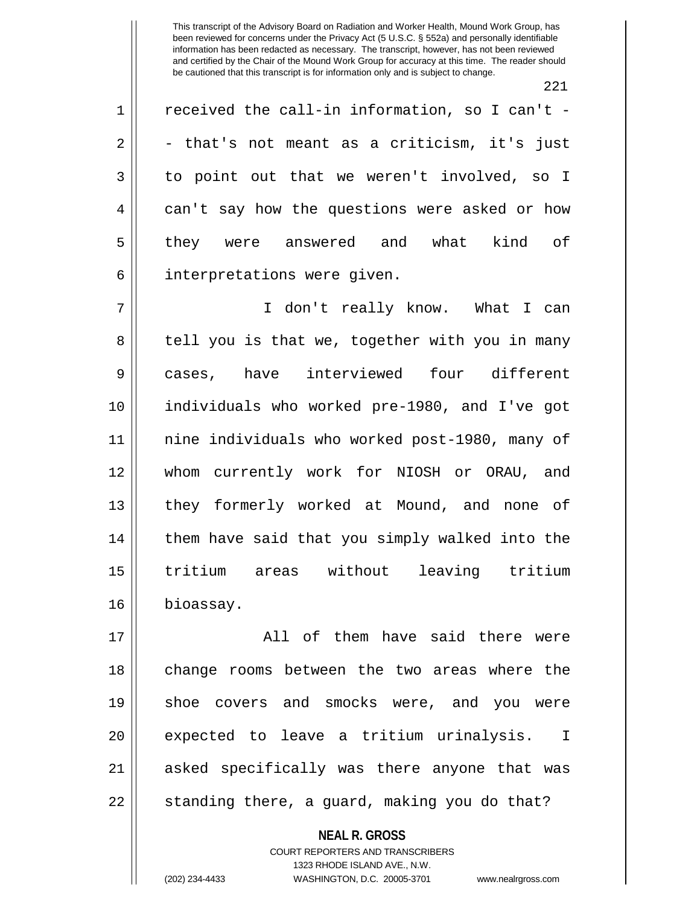221

 $1 \parallel$  received the call-in information, so I can't - $2 \parallel$  - that's not meant as a criticism, it's just 3 || to point out that we weren't involved, so I 4 can't say how the questions were asked or how 5 || they were answered and what kind of 6 | interpretations were given.

7 I don't really know. What I can 8 || tell you is that we, together with you in many 9 cases, have interviewed four different 10 individuals who worked pre-1980, and I've got 11 nine individuals who worked post-1980, many of 12 whom currently work for NIOSH or ORAU, and 13 || they formerly worked at Mound, and none of 14 || them have said that you simply walked into the 15 tritium areas without leaving tritium 16 bioassay.

17 All of them have said there were 18 || change rooms between the two areas where the 19 shoe covers and smocks were, and you were 20 || expected to leave a tritium urinalysis. I 21 || asked specifically was there anyone that was  $22 \parallel$  standing there, a guard, making you do that?

> **NEAL R. GROSS** COURT REPORTERS AND TRANSCRIBERS 1323 RHODE ISLAND AVE., N.W. (202) 234-4433 WASHINGTON, D.C. 20005-3701 www.nealrgross.com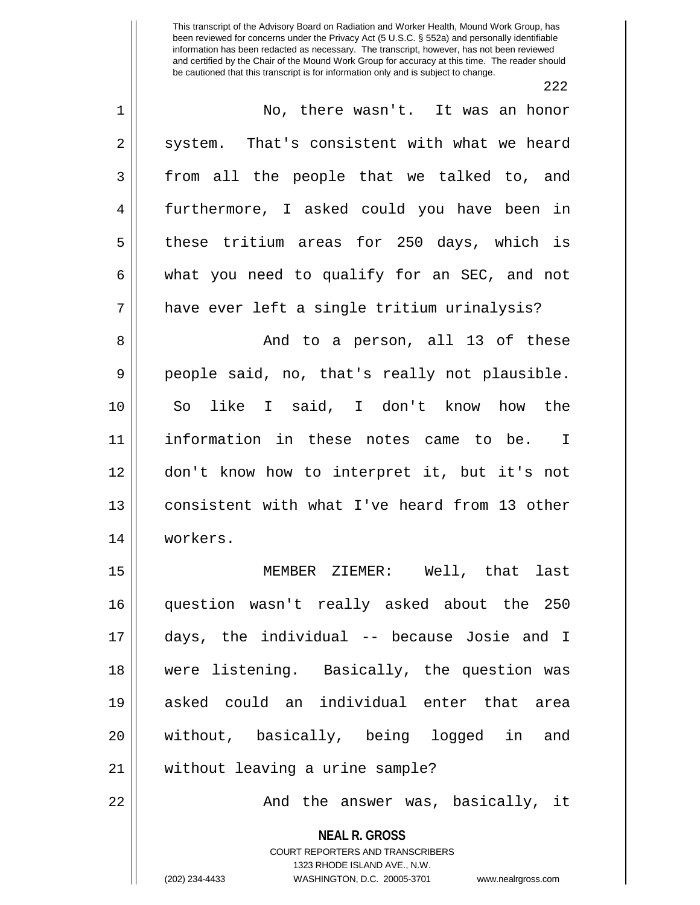222

| $1\,$          | No, there wasn't. It was an honor                                                                                                                                      |
|----------------|------------------------------------------------------------------------------------------------------------------------------------------------------------------------|
| $\overline{a}$ | system. That's consistent with what we heard                                                                                                                           |
| 3              | from all the people that we talked to, and                                                                                                                             |
| 4              | furthermore, I asked could you have been in                                                                                                                            |
| 5              | these tritium areas for 250 days, which is                                                                                                                             |
| 6              | what you need to qualify for an SEC, and not                                                                                                                           |
| 7              | have ever left a single tritium urinalysis?                                                                                                                            |
| 8              | And to a person, all 13 of these                                                                                                                                       |
| 9              | people said, no, that's really not plausible.                                                                                                                          |
| 10             | So like I said, I don't know how the                                                                                                                                   |
| 11             | information in these notes came to be. I                                                                                                                               |
| 12             | don't know how to interpret it, but it's not                                                                                                                           |
| 13             | consistent with what I've heard from 13 other                                                                                                                          |
| 14             | workers.                                                                                                                                                               |
| 15             | MEMBER ZIEMER: Well, that last                                                                                                                                         |
| 16             | question wasn't really asked about the 250                                                                                                                             |
| 17             | days, the individual -- because Josie and I                                                                                                                            |
| 18             | were listening. Basically, the question was                                                                                                                            |
| 19             | asked could an individual enter that<br>area                                                                                                                           |
| 20             | without, basically, being logged in<br>and                                                                                                                             |
| 21             | without leaving a urine sample?                                                                                                                                        |
| 22             | And the answer was, basically, it                                                                                                                                      |
|                | <b>NEAL R. GROSS</b><br><b>COURT REPORTERS AND TRANSCRIBERS</b><br>1323 RHODE ISLAND AVE., N.W.<br>(202) 234-4433<br>WASHINGTON, D.C. 20005-3701<br>www.nealrgross.com |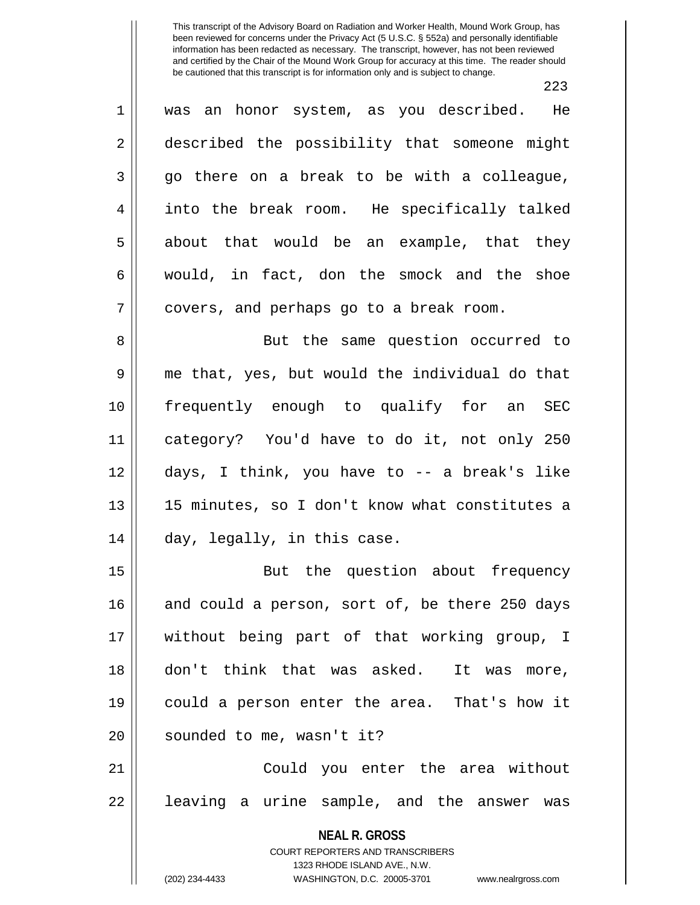223

**NEAL R. GROSS** COURT REPORTERS AND TRANSCRIBERS 1323 RHODE ISLAND AVE., N.W. 1 || was an honor system, as you described. He 2 described the possibility that someone might  $3 \parallel$  go there on a break to be with a colleague, 4 into the break room. He specifically talked  $5 \parallel$  about that would be an example, that they  $6 \parallel$  would, in fact, don the smock and the shoe 7 || covers, and perhaps go to a break room. 8 || But the same question occurred to 9 me that, yes, but would the individual do that 10 frequently enough to qualify for an SEC 11 category? You'd have to do it, not only 250 12 days, I think, you have to -- a break's like 13 15 minutes, so I don't know what constitutes a 14 || day, legally, in this case. 15 || But the question about frequency 16 and could a person, sort of, be there 250 days 17 without being part of that working group, I 18 don't think that was asked. It was more, 19 could a person enter the area. That's how it 20 || sounded to me, wasn't it? 21 Could you enter the area without 22 || leaving a urine sample, and the answer was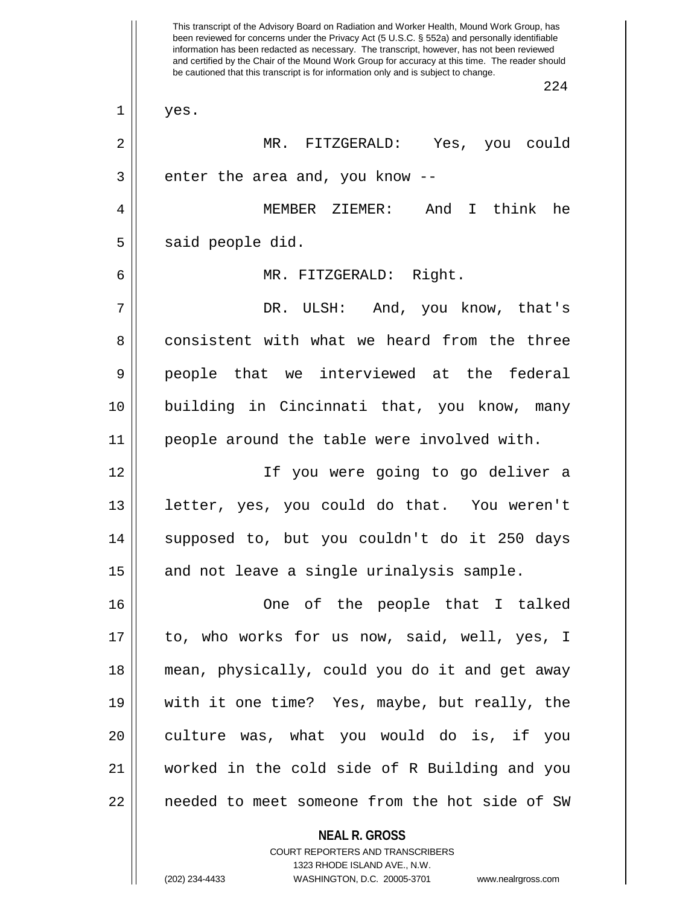This transcript of the Advisory Board on Radiation and Worker Health, Mound Work Group, has been reviewed for concerns under the Privacy Act (5 U.S.C. § 552a) and personally identifiable information has been redacted as necessary. The transcript, however, has not been reviewed and certified by the Chair of the Mound Work Group for accuracy at this time. The reader should be cautioned that this transcript is for information only and is subject to change. 224  $1 \parallel$  yes. 2 MR. FITZGERALD: Yes, you could  $3$  || enter the area and, you know  $-$ 4 MEMBER ZIEMER: And I think he  $5 \parallel$  said people did. 6 MR. FITZGERALD: Right. 7 DR. ULSH: And, you know, that's 8 consistent with what we heard from the three 9 people that we interviewed at the federal 10 building in Cincinnati that, you know, many 11 people around the table were involved with. 12 If you were going to go deliver a 13 || letter, yes, you could do that. You weren't 14 || supposed to, but you couldn't do it 250 days  $15$  and not leave a single urinalysis sample. 16 One of the people that I talked 17 to, who works for us now, said, well, yes, I 18 mean, physically, could you do it and get away 19 with it one time? Yes, maybe, but really, the 20 || culture was, what you would do is, if you 21 worked in the cold side of R Building and you 22 || needed to meet someone from the hot side of SW

> COURT REPORTERS AND TRANSCRIBERS 1323 RHODE ISLAND AVE., N.W. (202) 234-4433 WASHINGTON, D.C. 20005-3701 www.nealrgross.com

**NEAL R. GROSS**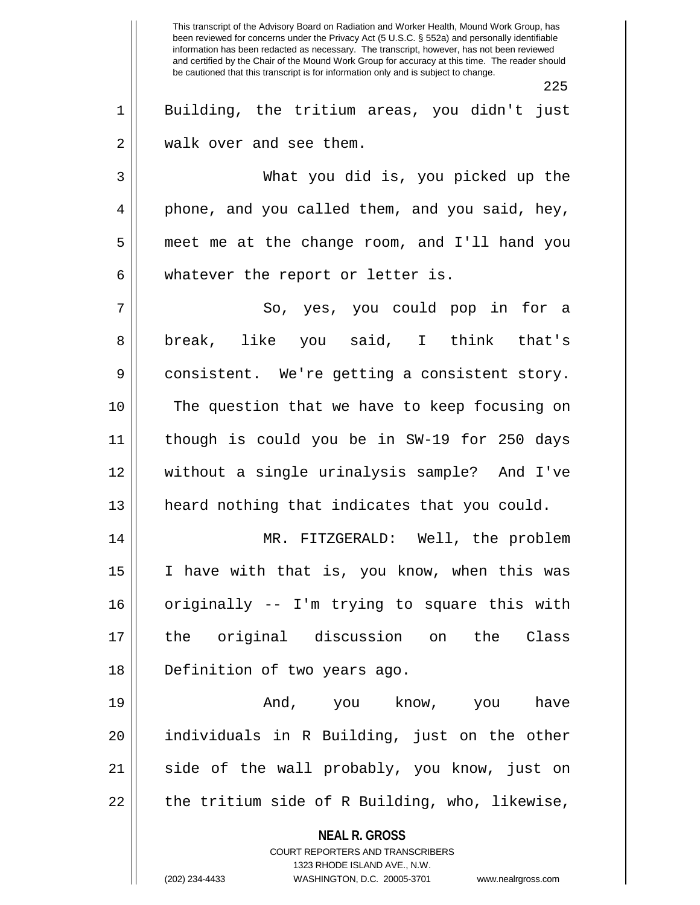**NEAL R. GROSS** COURT REPORTERS AND TRANSCRIBERS 1323 RHODE ISLAND AVE., N.W. This transcript of the Advisory Board on Radiation and Worker Health, Mound Work Group, has been reviewed for concerns under the Privacy Act (5 U.S.C. § 552a) and personally identifiable information has been redacted as necessary. The transcript, however, has not been reviewed and certified by the Chair of the Mound Work Group for accuracy at this time. The reader should be cautioned that this transcript is for information only and is subject to change. 225 1 || Building, the tritium areas, you didn't just 2 | walk over and see them. 3 What you did is, you picked up the 4 || phone, and you called them, and you said, hey, 5 meet me at the change room, and I'll hand you  $6 \parallel$  whatever the report or letter is. 7 So, yes, you could pop in for a 8|| break, like you said, I think that's 9 || consistent. We're getting a consistent story. 10 The question that we have to keep focusing on 11 though is could you be in SW-19 for 250 days 12 without a single urinalysis sample? And I've 13 || heard nothing that indicates that you could. 14 MR. FITZGERALD: Well, the problem 15 || I have with that is, you know, when this was 16 originally -- I'm trying to square this with 17 the original discussion on the Class 18 || Definition of two years ago. 19 And, you know, you have 20 individuals in R Building, just on the other 21 || side of the wall probably, you know, just on  $22 \parallel$  the tritium side of R Building, who, likewise,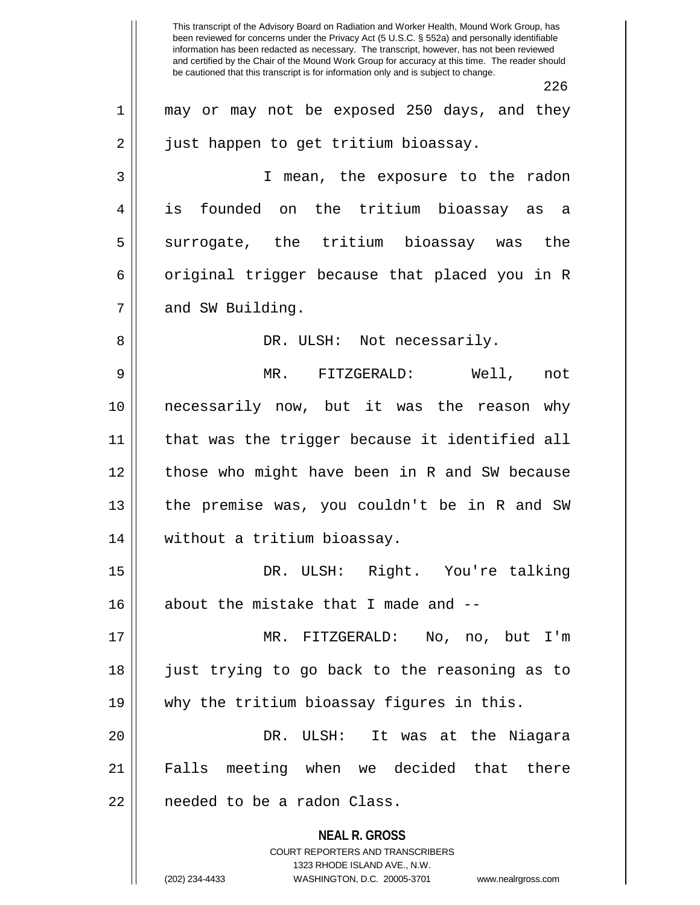**NEAL R. GROSS** COURT REPORTERS AND TRANSCRIBERS 1323 RHODE ISLAND AVE., N.W. This transcript of the Advisory Board on Radiation and Worker Health, Mound Work Group, has been reviewed for concerns under the Privacy Act (5 U.S.C. § 552a) and personally identifiable information has been redacted as necessary. The transcript, however, has not been reviewed and certified by the Chair of the Mound Work Group for accuracy at this time. The reader should be cautioned that this transcript is for information only and is subject to change. 226 1 || may or may not be exposed 250 days, and they 2 | just happen to get tritium bioassay. 3 I mean, the exposure to the radon 4 is founded on the tritium bioassay as a 5 Surrogate, the tritium bioassay was the 6 | original trigger because that placed you in R 7 | and SW Building. 8 DR. ULSH: Not necessarily. 9 MR. FITZGERALD: Well, not 10 necessarily now, but it was the reason why 11 that was the trigger because it identified all 12 those who might have been in R and SW because 13 || the premise was, you couldn't be in R and SW 14 without a tritium bioassay. 15 || DR. ULSH: Right. You're talking 16 about the mistake that I made and --17 MR. FITZGERALD: No, no, but I'm 18 just trying to go back to the reasoning as to 19 why the tritium bioassay figures in this. 20 DR. ULSH: It was at the Niagara 21 Falls meeting when we decided that there 22 | needed to be a radon Class.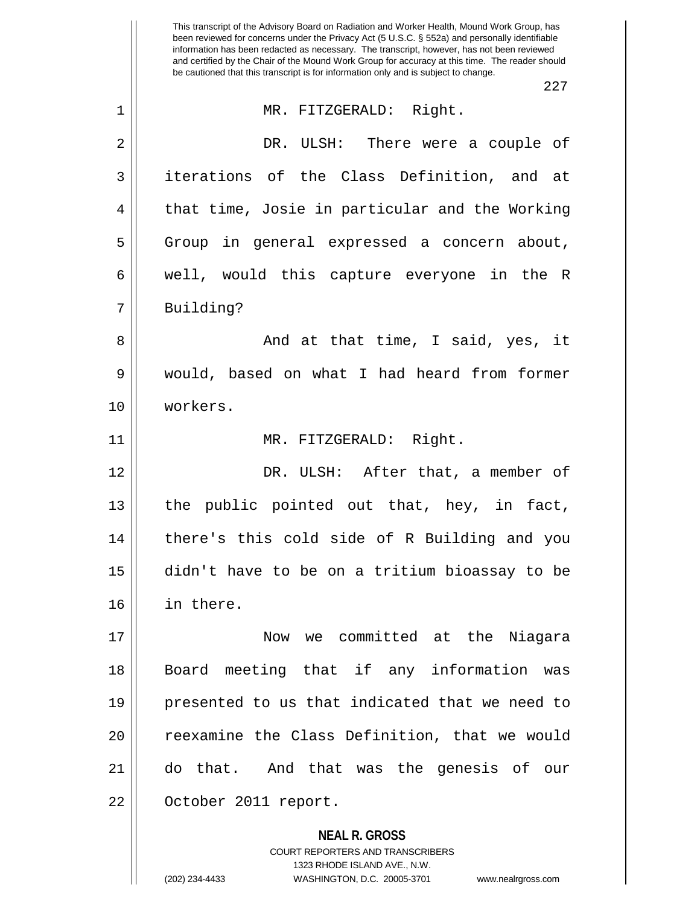**NEAL R. GROSS** This transcript of the Advisory Board on Radiation and Worker Health, Mound Work Group, has been reviewed for concerns under the Privacy Act (5 U.S.C. § 552a) and personally identifiable information has been redacted as necessary. The transcript, however, has not been reviewed and certified by the Chair of the Mound Work Group for accuracy at this time. The reader should be cautioned that this transcript is for information only and is subject to change. 227 1 MR. FITZGERALD: Right. 2 DR. ULSH: There were a couple of 3 iterations of the Class Definition, and at 4 || that time, Josie in particular and the Working 5 Group in general expressed a concern about, 6 well, would this capture everyone in the R 7 | Building? 8 And at that time, I said, yes, it 9 would, based on what I had heard from former 10 workers. 11 MR. FITZGERALD: Right. 12 DR. ULSH: After that, a member of 13 || the public pointed out that, hey, in fact, 14 there's this cold side of R Building and you 15 didn't have to be on a tritium bioassay to be 16 in there. 17 Now we committed at the Niagara 18 Board meeting that if any information was 19 presented to us that indicated that we need to 20 || reexamine the Class Definition, that we would 21 do that. And that was the genesis of our 22 | October 2011 report.

COURT REPORTERS AND TRANSCRIBERS

1323 RHODE ISLAND AVE., N.W. (202) 234-4433 WASHINGTON, D.C. 20005-3701 www.nealrgross.com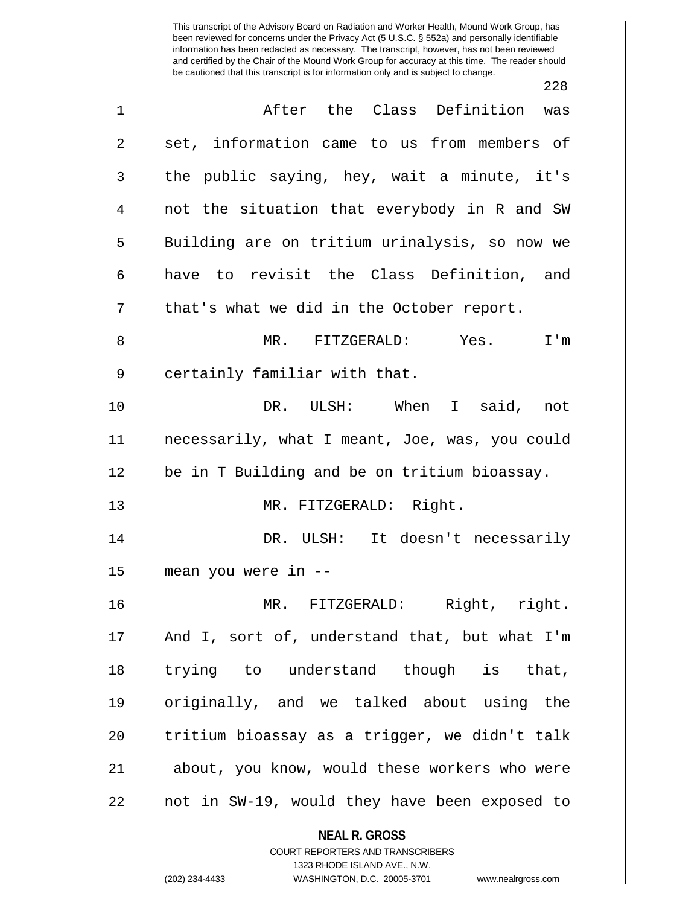$228$ 

| After the Class Definition was<br>$\mathbf 1$<br>set, information came to us from members of<br>$\sqrt{2}$<br>the public saying, hey, wait a minute, it's<br>3<br>not the situation that everybody in R and SW<br>4<br>Building are on tritium urinalysis, so now we<br>5<br>have to revisit the Class Definition, and<br>6<br>7<br>that's what we did in the October report.<br>MR. FITZGERALD: Yes. I'm<br>8<br>9<br>certainly familiar with that.<br>DR. ULSH: When I said, not<br>10<br>11<br>necessarily, what I meant, Joe, was, you could |  |
|--------------------------------------------------------------------------------------------------------------------------------------------------------------------------------------------------------------------------------------------------------------------------------------------------------------------------------------------------------------------------------------------------------------------------------------------------------------------------------------------------------------------------------------------------|--|
|                                                                                                                                                                                                                                                                                                                                                                                                                                                                                                                                                  |  |
|                                                                                                                                                                                                                                                                                                                                                                                                                                                                                                                                                  |  |
|                                                                                                                                                                                                                                                                                                                                                                                                                                                                                                                                                  |  |
|                                                                                                                                                                                                                                                                                                                                                                                                                                                                                                                                                  |  |
|                                                                                                                                                                                                                                                                                                                                                                                                                                                                                                                                                  |  |
|                                                                                                                                                                                                                                                                                                                                                                                                                                                                                                                                                  |  |
|                                                                                                                                                                                                                                                                                                                                                                                                                                                                                                                                                  |  |
|                                                                                                                                                                                                                                                                                                                                                                                                                                                                                                                                                  |  |
|                                                                                                                                                                                                                                                                                                                                                                                                                                                                                                                                                  |  |
|                                                                                                                                                                                                                                                                                                                                                                                                                                                                                                                                                  |  |
|                                                                                                                                                                                                                                                                                                                                                                                                                                                                                                                                                  |  |
| be in T Building and be on tritium bioassay.<br>12                                                                                                                                                                                                                                                                                                                                                                                                                                                                                               |  |
| MR. FITZGERALD: Right.<br>13                                                                                                                                                                                                                                                                                                                                                                                                                                                                                                                     |  |
| DR. ULSH: It doesn't necessarily<br>14                                                                                                                                                                                                                                                                                                                                                                                                                                                                                                           |  |
| 15<br>mean you were in --                                                                                                                                                                                                                                                                                                                                                                                                                                                                                                                        |  |
| MR. FITZGERALD: Right, right.<br>16                                                                                                                                                                                                                                                                                                                                                                                                                                                                                                              |  |
| And I, sort of, understand that, but what I'm<br>17                                                                                                                                                                                                                                                                                                                                                                                                                                                                                              |  |
| trying to understand though is that,<br>18                                                                                                                                                                                                                                                                                                                                                                                                                                                                                                       |  |
| originally, and we talked about using the<br>19                                                                                                                                                                                                                                                                                                                                                                                                                                                                                                  |  |
|                                                                                                                                                                                                                                                                                                                                                                                                                                                                                                                                                  |  |
| tritium bioassay as a trigger, we didn't talk<br>20                                                                                                                                                                                                                                                                                                                                                                                                                                                                                              |  |
| about, you know, would these workers who were<br>21                                                                                                                                                                                                                                                                                                                                                                                                                                                                                              |  |
| not in SW-19, would they have been exposed to<br>22                                                                                                                                                                                                                                                                                                                                                                                                                                                                                              |  |
|                                                                                                                                                                                                                                                                                                                                                                                                                                                                                                                                                  |  |
| <b>NEAL R. GROSS</b>                                                                                                                                                                                                                                                                                                                                                                                                                                                                                                                             |  |

 $\mathbf{\mathcal{H}}$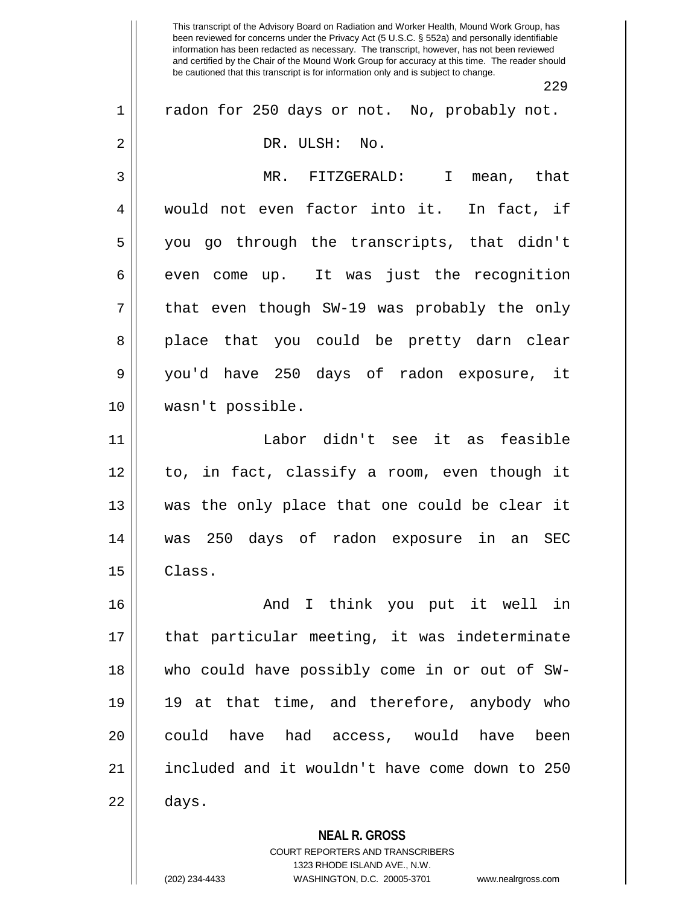229

| $\mathbf 1$    | radon for 250 days or not. No, probably not.   |
|----------------|------------------------------------------------|
| $\sqrt{2}$     | DR. ULSH:<br>No.                               |
|                |                                                |
| $\mathfrak{Z}$ | MR. FITZGERALD:<br>mean, that<br>$\mathbf{I}$  |
| 4              | would not even factor into it. In fact, if     |
| 5              | you go through the transcripts, that didn't    |
| 6              | even come up. It was just the recognition      |
| 7              | that even though SW-19 was probably the only   |
| 8              | place that you could be pretty darn clear      |
| 9              | you'd have 250 days of radon exposure, it      |
| 10             | wasn't possible.                               |
| 11             | Labor didn't see it as feasible                |
| 12             | to, in fact, classify a room, even though it   |
| 13             | was the only place that one could be clear it  |
| 14             | was 250 days of radon exposure in an SEC       |
| 15             | Class.                                         |
| 16             | And I think you put it well in                 |
| 17             | that particular meeting, it was indeterminate  |
| 18             | who could have possibly come in or out of SW-  |
| 19             | 19 at that time, and therefore, anybody who    |
| 20             | could have had access, would have<br>been      |
| 21             | included and it wouldn't have come down to 250 |
| 22             | days.                                          |
|                | <b>NEAL R. GROSS</b>                           |
|                | COURT REPORTERS AND TRANSCRIBERS               |

1323 RHODE ISLAND AVE., N.W.

 $\mathsf{I}$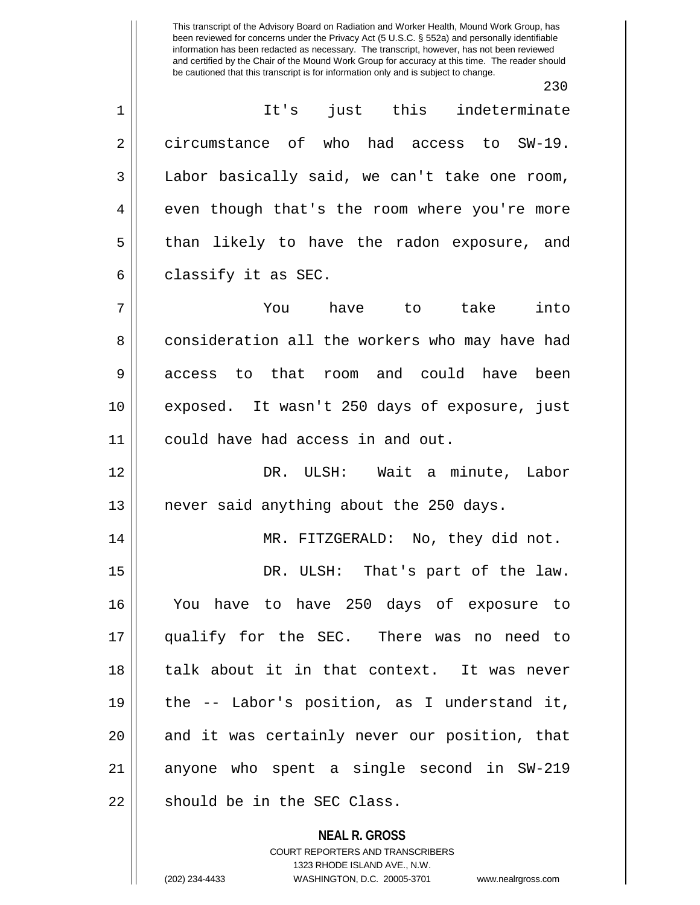230

**NEAL R. GROSS** 1 It's just this indeterminate 2 circumstance of who had access to SW-19. 3 | Labor basically said, we can't take one room, 4 || even though that's the room where you're more 5 || than likely to have the radon exposure, and  $6 \parallel$  classify it as SEC. 7 You have to take into 8 consideration all the workers who may have had 9 access to that room and could have been 10 exposed. It wasn't 250 days of exposure, just 11 | could have had access in and out. 12 DR. ULSH: Wait a minute, Labor 13 || never said anything about the 250 days. 14 || MR. FITZGERALD: No, they did not. 15 || DR. ULSH: That's part of the law. 16 You have to have 250 days of exposure to 17 qualify for the SEC. There was no need to 18 talk about it in that context. It was never 19 the -- Labor's position, as I understand it, 20 || and it was certainly never our position, that 21 anyone who spent a single second in SW-219 22 || should be in the SEC Class.

> COURT REPORTERS AND TRANSCRIBERS 1323 RHODE ISLAND AVE., N.W.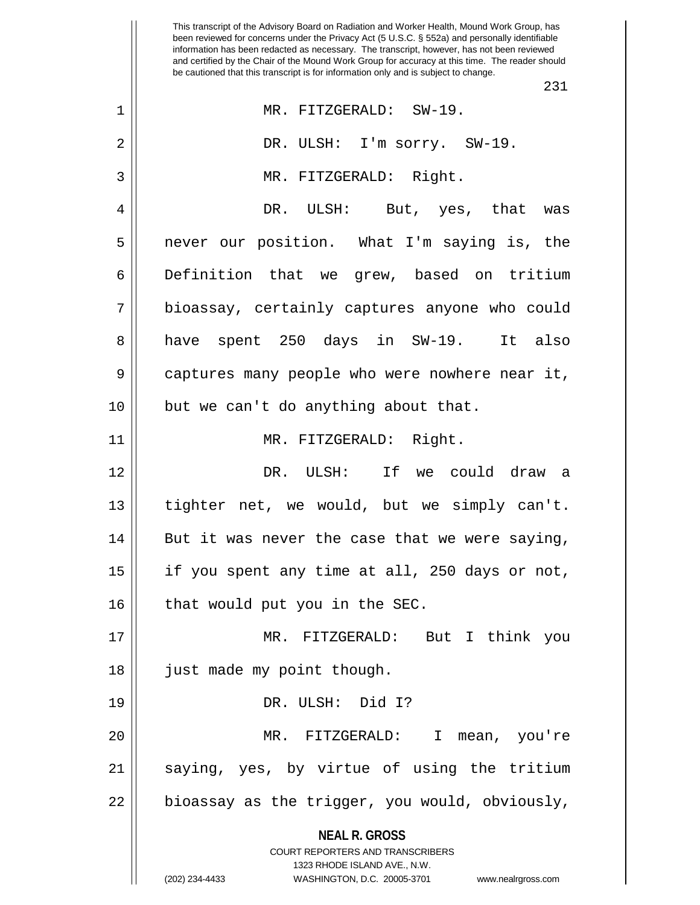**NEAL R. GROSS** COURT REPORTERS AND TRANSCRIBERS 1323 RHODE ISLAND AVE., N.W. (202) 234-4433 WASHINGTON, D.C. 20005-3701 www.nealrgross.com This transcript of the Advisory Board on Radiation and Worker Health, Mound Work Group, has been reviewed for concerns under the Privacy Act (5 U.S.C. § 552a) and personally identifiable information has been redacted as necessary. The transcript, however, has not been reviewed and certified by the Chair of the Mound Work Group for accuracy at this time. The reader should be cautioned that this transcript is for information only and is subject to change. 231 1 MR. FITZGERALD: SW-19. 2 DR. ULSH: I'm sorry. SW-19. 3 MR. FITZGERALD: Right. 4 DR. ULSH: But, yes, that was 5 never our position. What I'm saying is, the 6 Definition that we grew, based on tritium 7 bioassay, certainly captures anyone who could 8 have spent 250 days in SW-19. It also 9 || captures many people who were nowhere near it, 10 || but we can't do anything about that. 11 MR. FITZGERALD: Right. 12 DR. ULSH: If we could draw a 13 tighter net, we would, but we simply can't.  $14$  || But it was never the case that we were saying, 15 if you spent any time at all, 250 days or not,  $16$  | that would put you in the SEC. 17 MR. FITZGERALD: But I think you 18 || just made my point though. 19 DR. ULSH: Did I? 20 MR. FITZGERALD: I mean, you're 21 || saying, yes, by virtue of using the tritium  $22 \parallel$  bioassay as the trigger, you would, obviously,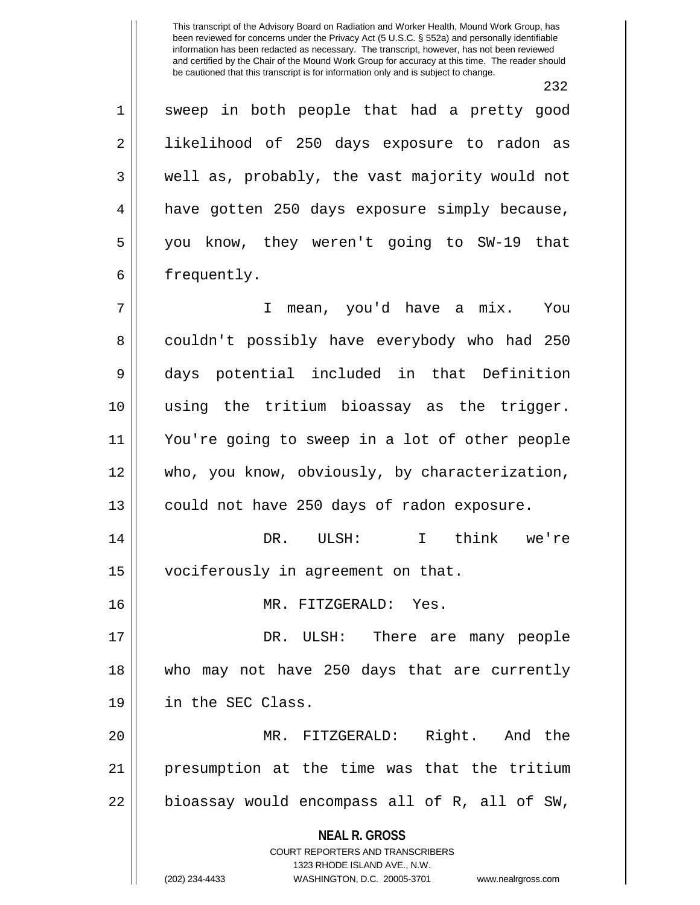**NEAL R. GROSS** 232 1 sweep in both people that had a pretty good 2 || likelihood of 250 days exposure to radon as  $3 \parallel$  well as, probably, the vast majority would not 4 have gotten 250 days exposure simply because, 5 you know, they weren't going to SW-19 that 6 | frequently. 7 I mean, you'd have a mix. You 8 couldn't possibly have everybody who had 250 9 days potential included in that Definition 10 using the tritium bioassay as the trigger. 11 You're going to sweep in a lot of other people 12 who, you know, obviously, by characterization, 13 | could not have 250 days of radon exposure. 14 DR. ULSH: I think we're 15 | vociferously in agreement on that. 16 MR. FITZGERALD: Yes. 17 DR. ULSH: There are many people 18 who may not have 250 days that are currently 19 in the SEC Class. 20 MR. FITZGERALD: Right. And the 21 presumption at the time was that the tritium  $22$  || bioassay would encompass all of R, all of SW,

> COURT REPORTERS AND TRANSCRIBERS 1323 RHODE ISLAND AVE., N.W.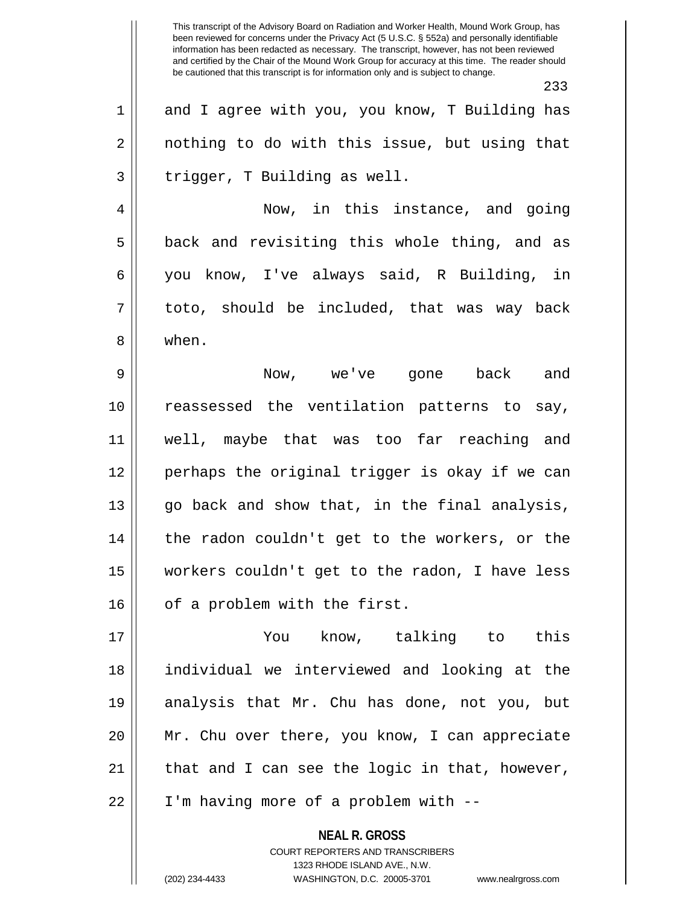233 1 and I agree with you, you know, T Building has  $2 \parallel$  nothing to do with this issue, but using that  $3 \parallel$  trigger, T Building as well. 4 Now, in this instance, and going  $5 \parallel$  back and revisiting this whole thing, and as 6 you know, I've always said, R Building, in  $7 \parallel$  toto, should be included, that was way back 8 | when. 9 Now, we've gone back and 10 reassessed the ventilation patterns to say, 11 well, maybe that was too far reaching and 12 perhaps the original trigger is okay if we can 13 || go back and show that, in the final analysis, 14 || the radon couldn't get to the workers, or the 15 workers couldn't get to the radon, I have less  $16$  | of a problem with the first. 17 You know, talking to this 18 individual we interviewed and looking at the 19 analysis that Mr. Chu has done, not you, but

COURT REPORTERS AND TRANSCRIBERS 1323 RHODE ISLAND AVE., N.W. (202) 234-4433 WASHINGTON, D.C. 20005-3701 www.nealrgross.com

**NEAL R. GROSS**

20 Mr. Chu over there, you know, I can appreciate

 $21$  | that and I can see the logic in that, however,

22 | I'm having more of a problem with --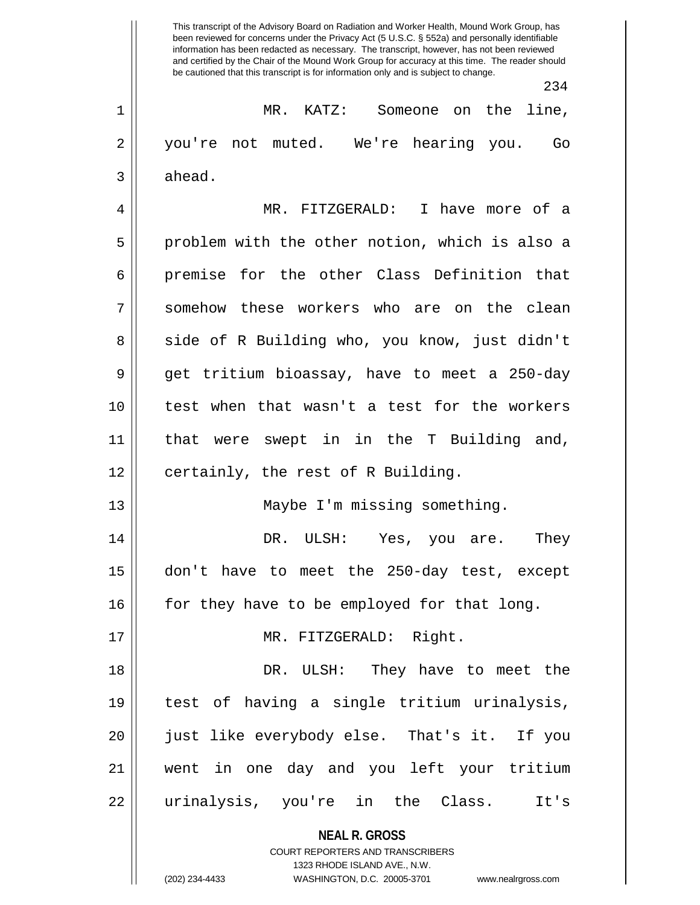**NEAL R. GROSS** COURT REPORTERS AND TRANSCRIBERS 1323 RHODE ISLAND AVE., N.W. (202) 234-4433 WASHINGTON, D.C. 20005-3701 www.nealrgross.com This transcript of the Advisory Board on Radiation and Worker Health, Mound Work Group, has been reviewed for concerns under the Privacy Act (5 U.S.C. § 552a) and personally identifiable information has been redacted as necessary. The transcript, however, has not been reviewed and certified by the Chair of the Mound Work Group for accuracy at this time. The reader should be cautioned that this transcript is for information only and is subject to change. 234 1 MR. KATZ: Someone on the line, 2 you're not muted. We're hearing you. Go  $3 \parallel$  ahead. 4 MR. FITZGERALD: I have more of a 5 || problem with the other notion, which is also a 6 premise for the other Class Definition that 7 somehow these workers who are on the clean 8 || side of R Building who, you know, just didn't 9 get tritium bioassay, have to meet a 250-day 10 test when that wasn't a test for the workers 11 that were swept in in the T Building and,  $12$  | certainly, the rest of R Building. 13 Maybe I'm missing something. 14 DR. ULSH: Yes, you are. They 15 don't have to meet the 250-day test, except 16 for they have to be employed for that long. 17 || MR. FITZGERALD: Right. 18 DR. ULSH: They have to meet the 19 test of having a single tritium urinalysis, 20 just like everybody else. That's it. If you 21 went in one day and you left your tritium 22 urinalysis, you're in the Class. It's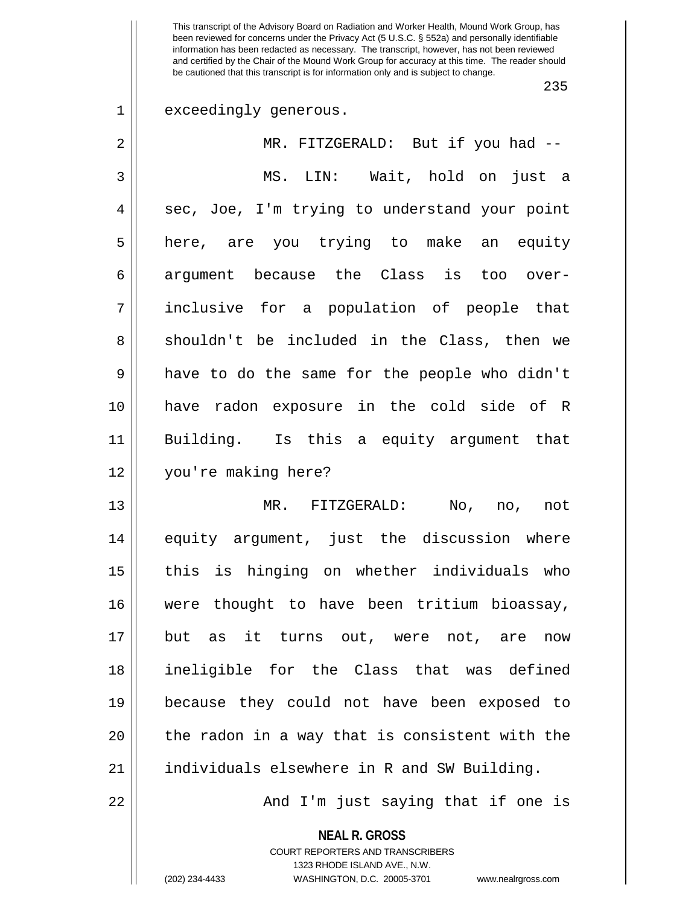235

1 exceedingly generous.

| 2  | MR. FITZGERALD: But if you had --              |
|----|------------------------------------------------|
| 3  | MS. LIN: Wait, hold on just a                  |
| 4  | sec, Joe, I'm trying to understand your point  |
| 5  | here, are you trying to make an equity         |
| 6  | argument because the Class is too over-        |
| 7  | inclusive for a population of people that      |
| 8  | shouldn't be included in the Class, then we    |
| 9  | have to do the same for the people who didn't  |
| 10 | have radon exposure in the cold side of R      |
| 11 | Building. Is this a equity argument that       |
| 12 | you're making here?                            |
| 13 | MR. FITZGERALD: No, no, not                    |
| 14 | equity argument, just the discussion where     |
| 15 | this is hinging on whether individuals who     |
| 16 | were thought to have been tritium bioassay,    |
| 17 | but as it turns out, were not, are now         |
| 18 | ineligible for the Class that was defined      |
| 19 | because they could not have been exposed to    |
| 20 | the radon in a way that is consistent with the |
| 21 | individuals elsewhere in R and SW Building.    |
| 22 | And I'm just saying that if one is             |

**NEAL R. GROSS** COURT REPORTERS AND TRANSCRIBERS 1323 RHODE ISLAND AVE., N.W. (202) 234-4433 WASHINGTON, D.C. 20005-3701 www.nealrgross.com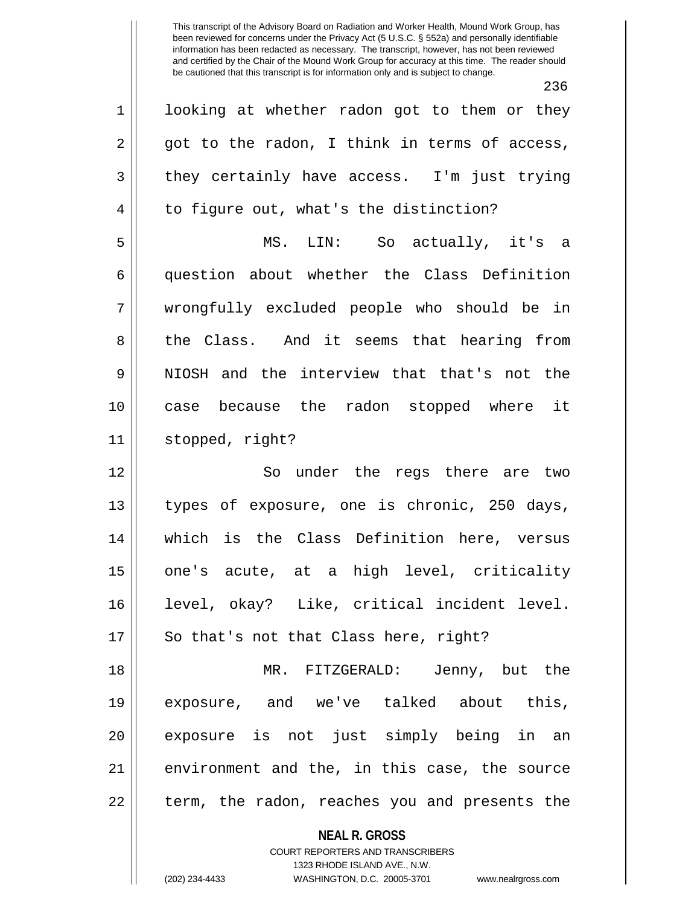**NEAL R. GROSS** 236 1 || looking at whether radon got to them or they  $2 \parallel$  got to the radon, I think in terms of access,  $3 \parallel$  they certainly have access. I'm just trying  $4 \parallel$  to figure out, what's the distinction? 5 MS. LIN: So actually, it's a 6 || question about whether the Class Definition 7 wrongfully excluded people who should be in 8 the Class. And it seems that hearing from 9 NIOSH and the interview that that's not the 10 case because the radon stopped where it 11 stopped, right? 12 || So under the regs there are two 13 || types of exposure, one is chronic, 250 days, 14 which is the Class Definition here, versus 15 one's acute, at a high level, criticality 16 level, okay? Like, critical incident level. 17 || So that's not that Class here, right? 18 MR. FITZGERALD: Jenny, but the 19 exposure, and we've talked about this, 20 || exposure is not just simply being in an  $21$  environment and the, in this case, the source  $22$  || term, the radon, reaches you and presents the

> COURT REPORTERS AND TRANSCRIBERS 1323 RHODE ISLAND AVE., N.W.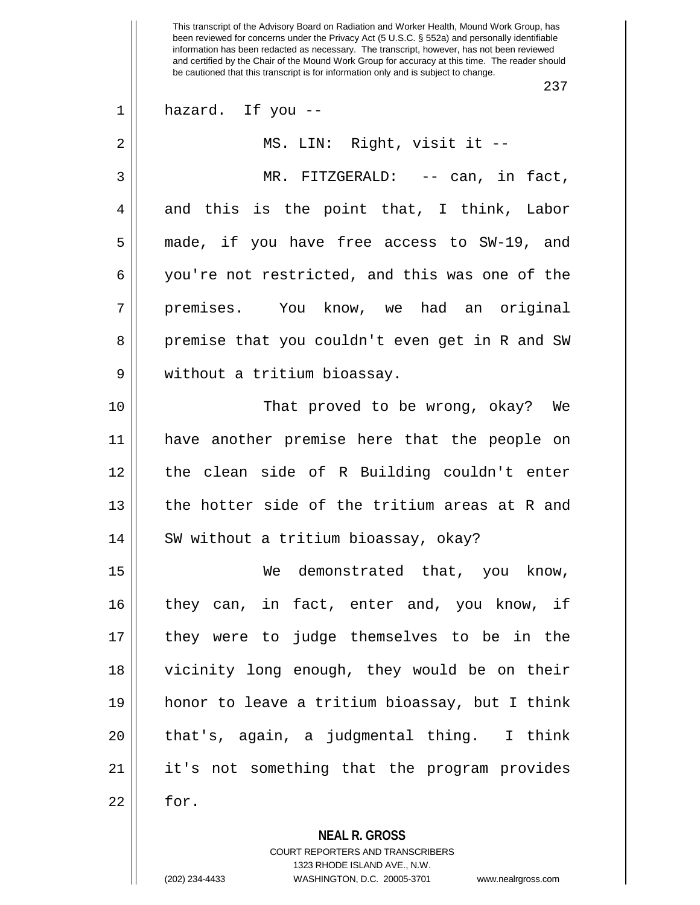237

| $\mathbf 1$ | hazard. If you --                                        |
|-------------|----------------------------------------------------------|
| 2           | MS. LIN: Right, visit it --                              |
| 3           | MR. FITZGERALD: -- can, in fact,                         |
| 4           | and this is the point that, I think, Labor               |
| 5           | made, if you have free access to SW-19, and              |
| 6           | you're not restricted, and this was one of the           |
| 7           | premises. You know, we had an original                   |
| 8           | premise that you couldn't even get in R and SW           |
| 9           | without a tritium bioassay.                              |
| 10          | That proved to be wrong, okay? We                        |
| 11          | have another premise here that the people on             |
| 12          | the clean side of R Building couldn't enter              |
| 13          | the hotter side of the tritium areas at R and            |
| 14          | SW without a tritium bioassay, okay?                     |
| 15          | demonstrated that, you know,<br>We                       |
| 16          | they can, in fact, enter and, you know, if               |
| 17          | they were to judge themselves to be in the               |
| 18          | vicinity long enough, they would be on their             |
| 19          | honor to leave a tritium bioassay, but I think           |
| 20          | that's, again, a judgmental thing. I think               |
| 21          | it's not something that the program provides             |
| 22          | for.                                                     |
|             | <b>NEAL R. GROSS</b><br>COURT REPORTERS AND TRANSCRIBERS |

1323 RHODE ISLAND AVE., N.W.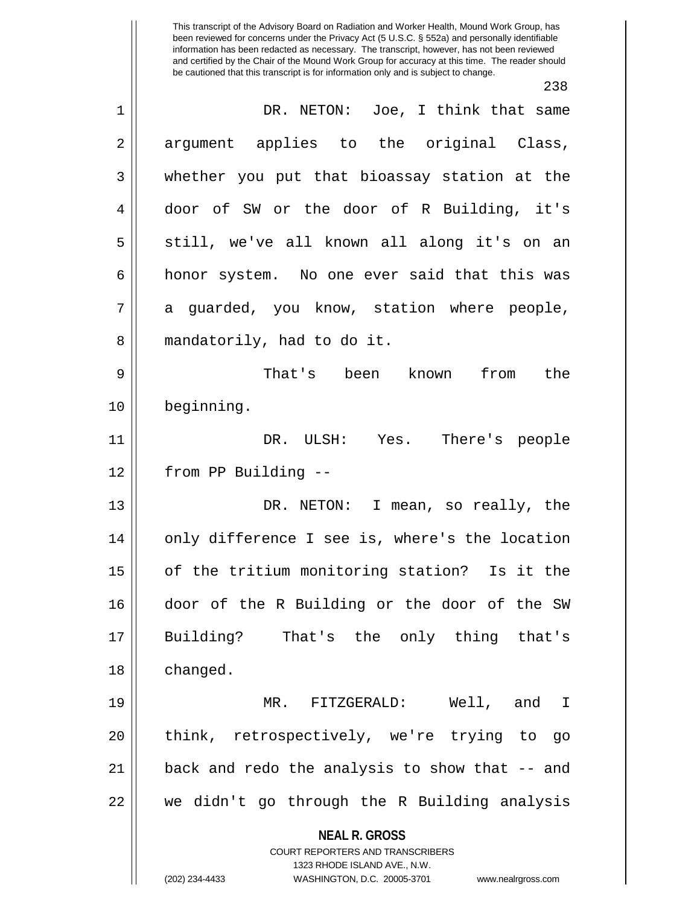**NEAL R. GROSS** COURT REPORTERS AND TRANSCRIBERS 1323 RHODE ISLAND AVE., N.W. (202) 234-4433 WASHINGTON, D.C. 20005-3701 www.nealrgross.com This transcript of the Advisory Board on Radiation and Worker Health, Mound Work Group, has been reviewed for concerns under the Privacy Act (5 U.S.C. § 552a) and personally identifiable information has been redacted as necessary. The transcript, however, has not been reviewed and certified by the Chair of the Mound Work Group for accuracy at this time. The reader should be cautioned that this transcript is for information only and is subject to change. 238 1 DR. NETON: Joe, I think that same 2 argument applies to the original Class, 3 whether you put that bioassay station at the 4 door of SW or the door of R Building, it's 5 || still, we've all known all along it's on an 6 | honor system. No one ever said that this was  $7 \parallel$  a quarded, you know, station where people, 8 || mandatorily, had to do it. 9 That's been known from the 10 beginning. 11 DR. ULSH: Yes. There's people 12 from PP Building -- 13 || DR. NETON: I mean, so really, the 14 || only difference I see is, where's the location 15 || of the tritium monitoring station? Is it the 16 door of the R Building or the door of the SW 17 Building? That's the only thing that's 18 | changed. 19 MR. FITZGERALD: Well, and I 20 || think, retrospectively, we're trying to go  $21$  || back and redo the analysis to show that  $-$  and 22 we didn't go through the R Building analysis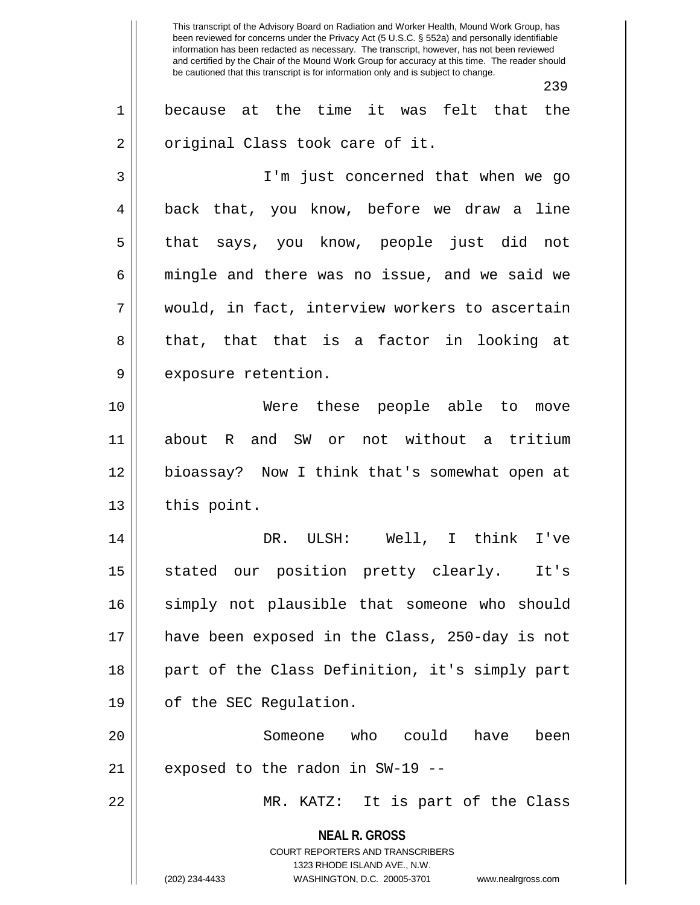This transcript of the Advisory Board on Radiation and Worker Health, Mound Work Group, has been reviewed for concerns under the Privacy Act (5 U.S.C. § 552a) and personally identifiable information has been redacted as necessary. The transcript, however, has not been reviewed and certified by the Chair of the Mound Work Group for accuracy at this time. The reader should be cautioned that this transcript is for information only and is subject to change. 239 1 because at the time it was felt that the  $2 \parallel$  original Class took care of it. 3 || I'm just concerned that when we go 4 || back that, you know, before we draw a line 5 that says, you know, people just did not  $6 \parallel$  mingle and there was no issue, and we said we 7 would, in fact, interview workers to ascertain 8 that, that that is a factor in looking at 9 | exposure retention. 10 Were these people able to move 11 about R and SW or not without a tritium 12 bioassay? Now I think that's somewhat open at  $13$  | this point. 14 DR. ULSH: Well, I think I've 15 stated our position pretty clearly. It's 16 || simply not plausible that someone who should 17 have been exposed in the Class, 250-day is not 18 || part of the Class Definition, it's simply part 19 | of the SEC Regulation.

20 Someone who could have been  $21$  | exposed to the radon in SW-19 --

22 MR. KATZ: It is part of the Class

**NEAL R. GROSS** COURT REPORTERS AND TRANSCRIBERS

1323 RHODE ISLAND AVE., N.W.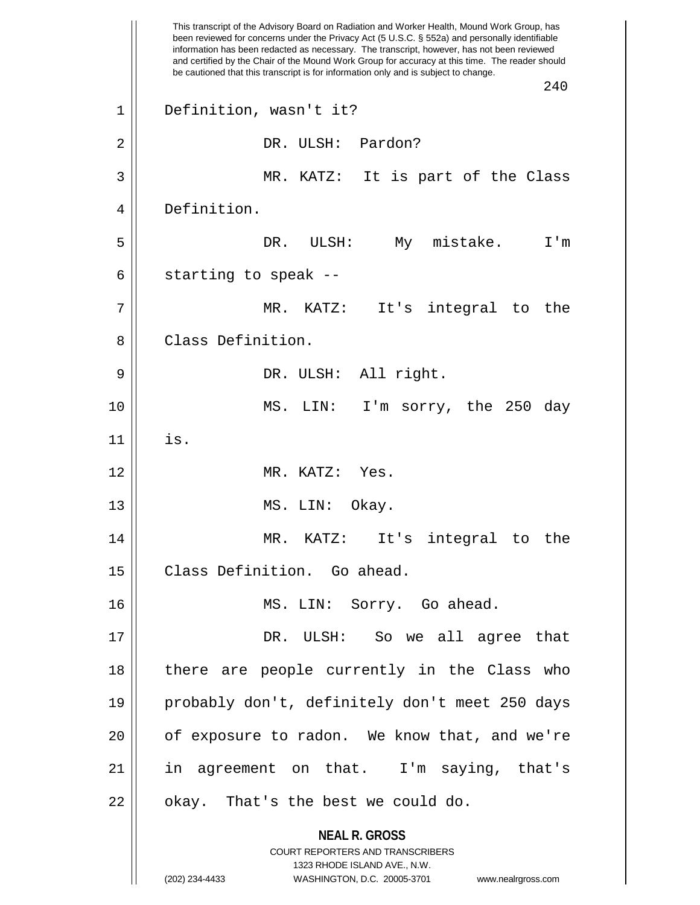**NEAL R. GROSS** COURT REPORTERS AND TRANSCRIBERS 1323 RHODE ISLAND AVE., N.W. (202) 234-4433 WASHINGTON, D.C. 20005-3701 www.nealrgross.com This transcript of the Advisory Board on Radiation and Worker Health, Mound Work Group, has been reviewed for concerns under the Privacy Act (5 U.S.C. § 552a) and personally identifiable information has been redacted as necessary. The transcript, however, has not been reviewed and certified by the Chair of the Mound Work Group for accuracy at this time. The reader should be cautioned that this transcript is for information only and is subject to change. 240 1 Definition, wasn't it? 2 || DR. ULSH: Pardon? 3 || MR. KATZ: It is part of the Class 4 Definition. 5 DR. ULSH: My mistake. I'm  $6 \parallel$  starting to speak --7 MR. KATZ: It's integral to the 8 || Class Definition. 9 DR. ULSH: All right. 10 MS. LIN: I'm sorry, the 250 day  $11$   $\parallel$  is. 12 MR. KATZ: Yes. 13 || MS. LIN: Okay. 14 MR. KATZ: It's integral to the 15 | Class Definition. Go ahead. 16 || MS. LIN: Sorry. Go ahead. 17 DR. ULSH: So we all agree that 18 || there are people currently in the Class who 19 probably don't, definitely don't meet 250 days 20 || of exposure to radon. We know that, and we're 21 || in agreement on that. I'm saying, that's  $22$  || okay. That's the best we could do.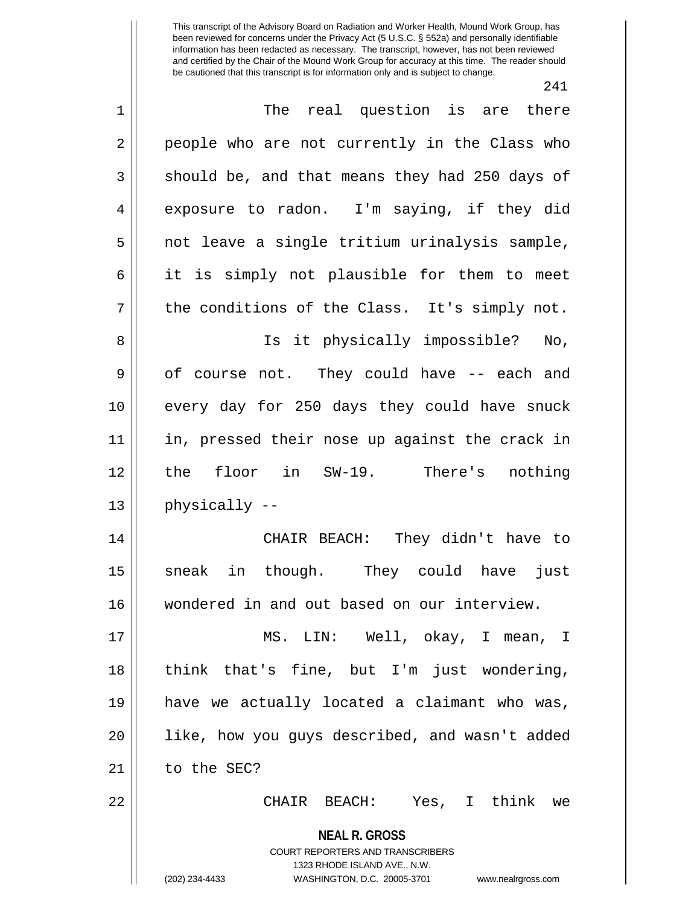241

| $\mathbf 1$    | The real question is are there                                                                                                                                         |
|----------------|------------------------------------------------------------------------------------------------------------------------------------------------------------------------|
| $\overline{2}$ | people who are not currently in the Class who                                                                                                                          |
| $\mathfrak{Z}$ | should be, and that means they had 250 days of                                                                                                                         |
| $\overline{4}$ | exposure to radon. I'm saying, if they did                                                                                                                             |
| 5              | not leave a single tritium urinalysis sample,                                                                                                                          |
| 6              | it is simply not plausible for them to meet                                                                                                                            |
| 7              | the conditions of the Class. It's simply not.                                                                                                                          |
| 8              | Is it physically impossible? No,                                                                                                                                       |
| $\mathsf 9$    | of course not. They could have -- each and                                                                                                                             |
| 10             | every day for 250 days they could have snuck                                                                                                                           |
| 11             | in, pressed their nose up against the crack in                                                                                                                         |
| 12             | floor in SW-19. There's nothing<br>the                                                                                                                                 |
| 13             | physically --                                                                                                                                                          |
| 14             | CHAIR BEACH: They didn't have to                                                                                                                                       |
| 15             | sneak in though. They could have<br>just                                                                                                                               |
| 16             | wondered in and out based on our interview.                                                                                                                            |
| 17             | MS. LIN: Well, okay, I mean, I                                                                                                                                         |
| 18             | think that's fine, but I'm just wondering,                                                                                                                             |
| 19             | have we actually located a claimant who was,                                                                                                                           |
| 20             | like, how you guys described, and wasn't added                                                                                                                         |
| 21             | to the SEC?                                                                                                                                                            |
| 22             | CHAIR BEACH: Yes, I think we                                                                                                                                           |
|                | <b>NEAL R. GROSS</b><br><b>COURT REPORTERS AND TRANSCRIBERS</b><br>1323 RHODE ISLAND AVE., N.W.<br>WASHINGTON, D.C. 20005-3701<br>(202) 234-4433<br>www.nealrgross.com |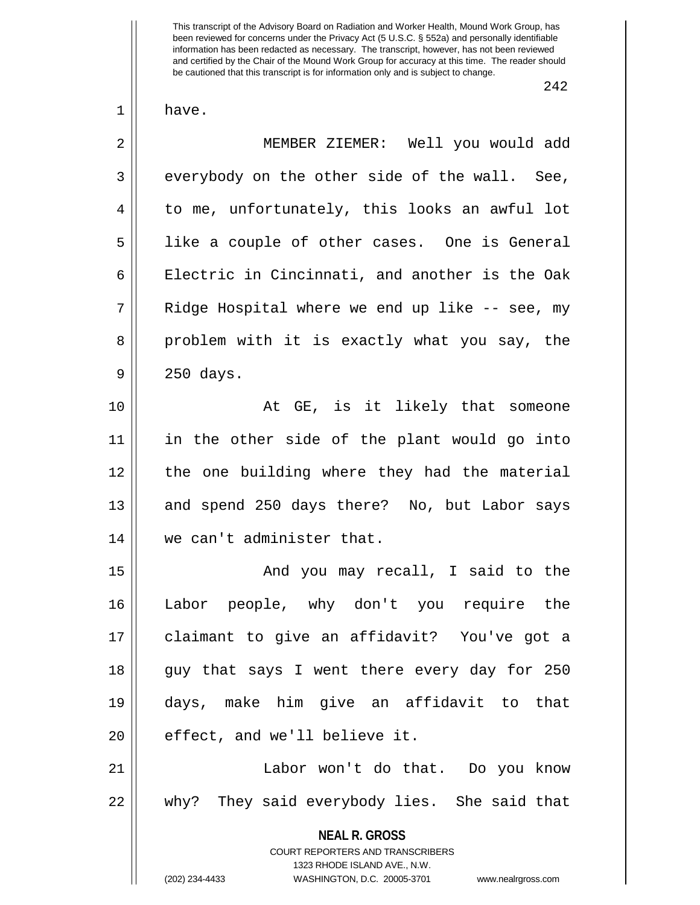242

1 have.

**NEAL R. GROSS** COURT REPORTERS AND TRANSCRIBERS 2 MEMBER ZIEMER: Well you would add  $3 \parallel$  everybody on the other side of the wall. See, 4 | to me, unfortunately, this looks an awful lot 5 || like a couple of other cases. One is General 6 | Electric in Cincinnati, and another is the Oak  $7 \parallel$  Ridge Hospital where we end up like -- see, my 8 problem with it is exactly what you say, the 9 250 days. 10 || At GE, is it likely that someone 11 in the other side of the plant would go into 12 || the one building where they had the material 13 || and spend 250 days there? No, but Labor says 14 we can't administer that. 15 || And you may recall, I said to the 16 Labor people, why don't you require the 17 claimant to give an affidavit? You've got a 18 || guy that says I went there every day for 250 19 days, make him give an affidavit to that  $20$  || effect, and we'll believe it. 21 Labor won't do that. Do you know 22 why? They said everybody lies. She said that

1323 RHODE ISLAND AVE., N.W.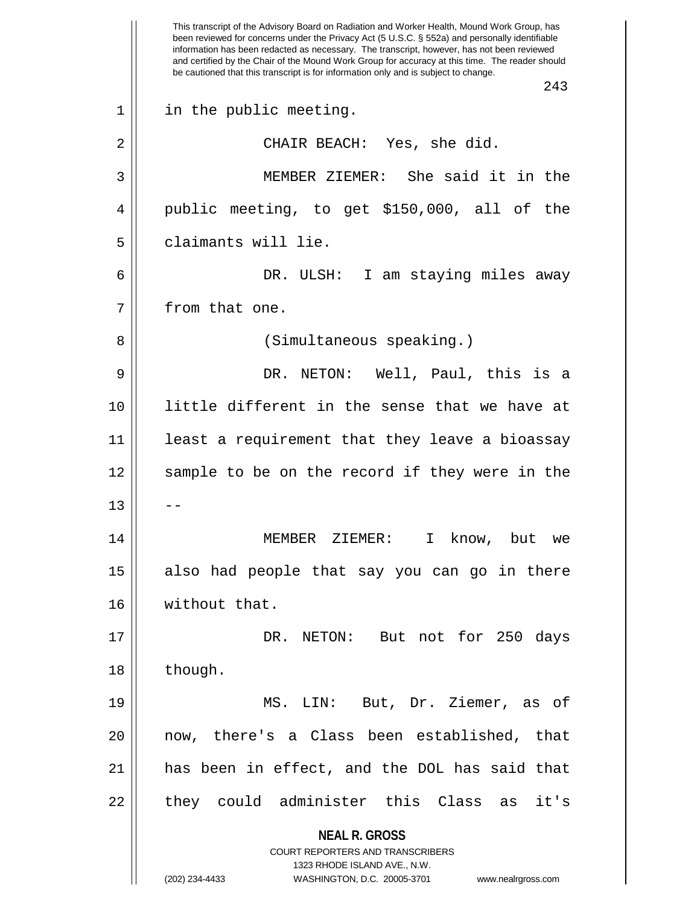**NEAL R. GROSS** COURT REPORTERS AND TRANSCRIBERS 1323 RHODE ISLAND AVE., N.W. (202) 234-4433 WASHINGTON, D.C. 20005-3701 www.nealrgross.com This transcript of the Advisory Board on Radiation and Worker Health, Mound Work Group, has been reviewed for concerns under the Privacy Act (5 U.S.C. § 552a) and personally identifiable information has been redacted as necessary. The transcript, however, has not been reviewed and certified by the Chair of the Mound Work Group for accuracy at this time. The reader should be cautioned that this transcript is for information only and is subject to change. 243 1 || in the public meeting. 2 || CHAIR BEACH: Yes, she did. 3 MEMBER ZIEMER: She said it in the 4 || public meeting, to get \$150,000, all of the 5 d claimants will lie. 6 DR. ULSH: I am staying miles away 7 | from that one. 8 || (Simultaneous speaking.) 9 DR. NETON: Well, Paul, this is a 10 little different in the sense that we have at 11 || least a requirement that they leave a bioassay 12 || sample to be on the record if they were in the  $13$   $\parallel$   $-$ 14 MEMBER ZIEMER: I know, but we 15 also had people that say you can go in there 16 | without that. 17 || DR. NETON: But not for 250 days 18 | though. 19 MS. LIN: But, Dr. Ziemer, as of 20 now, there's a Class been established, that 21 has been in effect, and the DOL has said that 22 || they could administer this Class as it's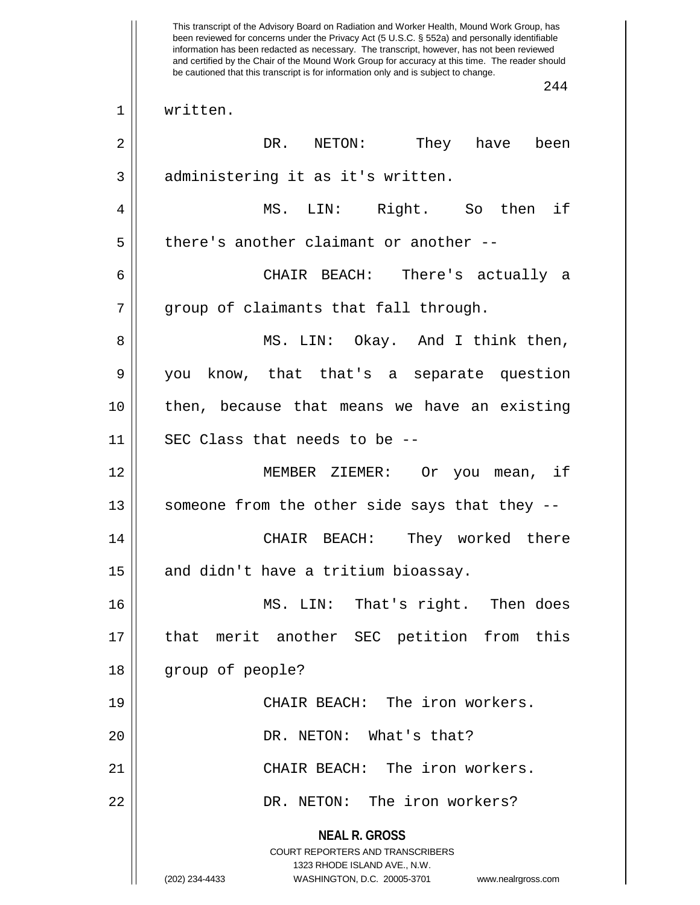**NEAL R. GROSS** COURT REPORTERS AND TRANSCRIBERS 1323 RHODE ISLAND AVE., N.W. (202) 234-4433 WASHINGTON, D.C. 20005-3701 www.nealrgross.com This transcript of the Advisory Board on Radiation and Worker Health, Mound Work Group, has been reviewed for concerns under the Privacy Act (5 U.S.C. § 552a) and personally identifiable information has been redacted as necessary. The transcript, however, has not been reviewed and certified by the Chair of the Mound Work Group for accuracy at this time. The reader should be cautioned that this transcript is for information only and is subject to change. 244 1 written. 2 DR. NETON: They have been 3 || administering it as it's written. 4 MS. LIN: Right. So then if  $5$  || there's another claimant or another --6 CHAIR BEACH: There's actually a  $7$  || group of claimants that fall through. 8 MS. LIN: Okay. And I think then, 9 you know, that that's a separate question 10 then, because that means we have an existing  $11$  | SEC Class that needs to be --12 MEMBER ZIEMER: Or you mean, if 13 || someone from the other side says that they --14 CHAIR BEACH: They worked there  $15$  and didn't have a tritium bioassay. 16 MS. LIN: That's right. Then does 17 that merit another SEC petition from this 18 || group of people? 19 CHAIR BEACH: The iron workers. 20 DR. NETON: What's that? 21 CHAIR BEACH: The iron workers. 22 DR. NETON: The iron workers?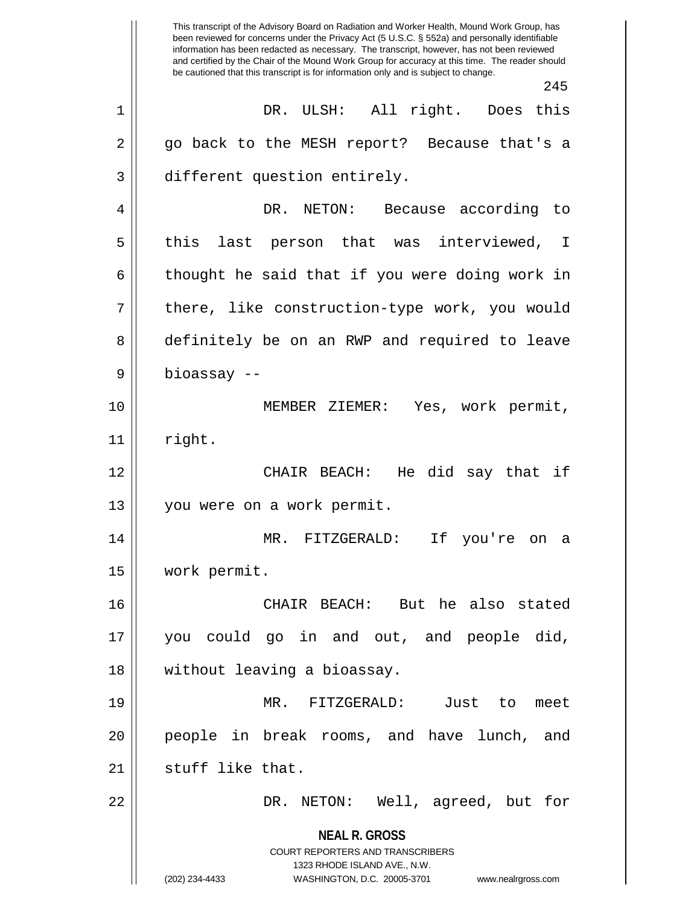**NEAL R. GROSS** COURT REPORTERS AND TRANSCRIBERS 1323 RHODE ISLAND AVE., N.W. (202) 234-4433 WASHINGTON, D.C. 20005-3701 www.nealrgross.com This transcript of the Advisory Board on Radiation and Worker Health, Mound Work Group, has been reviewed for concerns under the Privacy Act (5 U.S.C. § 552a) and personally identifiable information has been redacted as necessary. The transcript, however, has not been reviewed and certified by the Chair of the Mound Work Group for accuracy at this time. The reader should be cautioned that this transcript is for information only and is subject to change. 245 1 DR. ULSH: All right. Does this 2 go back to the MESH report? Because that's a 3 different question entirely. 4 DR. NETON: Because according to 5 || this last person that was interviewed, I  $6 \parallel$  thought he said that if you were doing work in 7 || there, like construction-type work, you would 8 definitely be on an RWP and required to leave 9 bioassay -- 10 MEMBER ZIEMER: Yes, work permit,  $11$   $\parallel$  right. 12 CHAIR BEACH: He did say that if 13 you were on a work permit. 14 MR. FITZGERALD: If you're on a 15 work permit. 16 CHAIR BEACH: But he also stated 17 you could go in and out, and people did, 18 without leaving a bioassay. 19 MR. FITZGERALD: Just to meet 20 people in break rooms, and have lunch, and  $21$  | stuff like that. 22 DR. NETON: Well, agreed, but for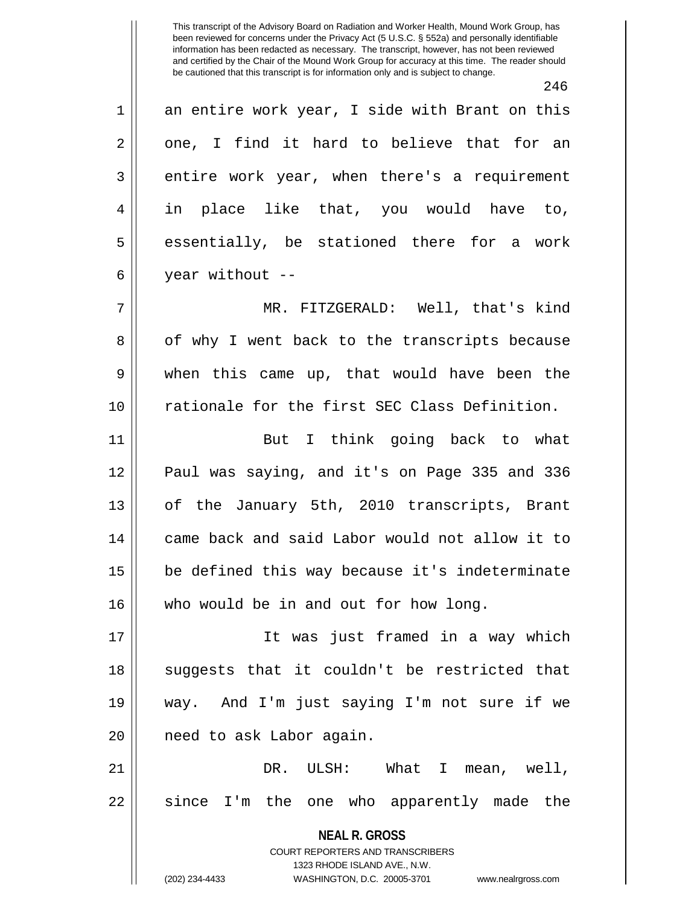246  $1 \parallel$  an entire work year, I side with Brant on this  $2 \parallel$  one, I find it hard to believe that for an  $3 \parallel$  entire work year, when there's a requirement 4 in place like that, you would have to,  $5 \parallel$  essentially, be stationed there for a work  $6 \parallel$  year without --7 MR. FITZGERALD: Well, that's kind 8 || of why I went back to the transcripts because 9 when this came up, that would have been the 10 rationale for the first SEC Class Definition. 11 || But I think going back to what 12 Paul was saying, and it's on Page 335 and 336 13 || of the January 5th, 2010 transcripts, Brant 14 came back and said Labor would not allow it to  $15$  | be defined this way because it's indeterminate 16 who would be in and out for how long. 17 It was just framed in a way which 18 || suggests that it couldn't be restricted that 19 way. And I'm just saying I'm not sure if we

21 DR. ULSH: What I mean, well,  $22$  since I'm the one who apparently made the

> **NEAL R. GROSS** COURT REPORTERS AND TRANSCRIBERS

1323 RHODE ISLAND AVE., N.W. (202) 234-4433 WASHINGTON, D.C. 20005-3701 www.nealrgross.com

20 || need to ask Labor again.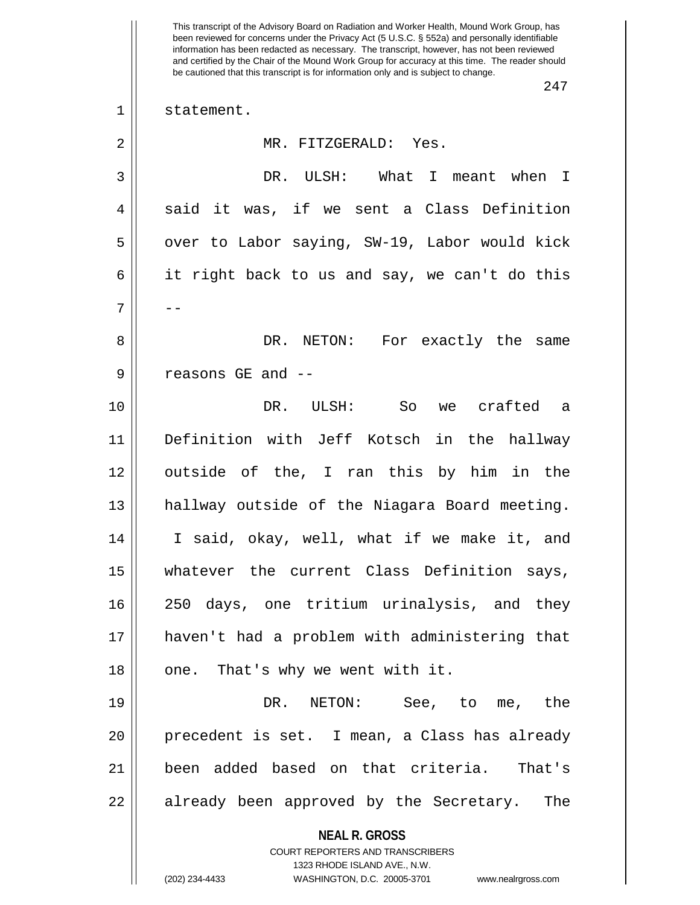**NEAL R. GROSS** COURT REPORTERS AND TRANSCRIBERS 1323 RHODE ISLAND AVE., N.W. (202) 234-4433 WASHINGTON, D.C. 20005-3701 www.nealrgross.com This transcript of the Advisory Board on Radiation and Worker Health, Mound Work Group, has been reviewed for concerns under the Privacy Act (5 U.S.C. § 552a) and personally identifiable information has been redacted as necessary. The transcript, however, has not been reviewed and certified by the Chair of the Mound Work Group for accuracy at this time. The reader should be cautioned that this transcript is for information only and is subject to change. 247 1 || statement. 2 MR. FITZGERALD: Yes. 3 DR. ULSH: What I meant when I  $4 \parallel$  said it was, if we sent a Class Definition  $5 \parallel$  over to Labor saying, SW-19, Labor would kick 6 it right back to us and say, we can't do this 7 | --8 DR. NETON: For exactly the same 9 || reasons GE and --10 DR. ULSH: So we crafted a 11 Definition with Jeff Kotsch in the hallway 12 outside of the, I ran this by him in the 13 hallway outside of the Niagara Board meeting. 14 I said, okay, well, what if we make it, and 15 whatever the current Class Definition says, 16 250 days, one tritium urinalysis, and they 17 haven't had a problem with administering that  $18$  || one. That's why we went with it. 19 DR. NETON: See, to me, the 20 precedent is set. I mean, a Class has already 21 been added based on that criteria. That's 22 || already been approved by the Secretary. The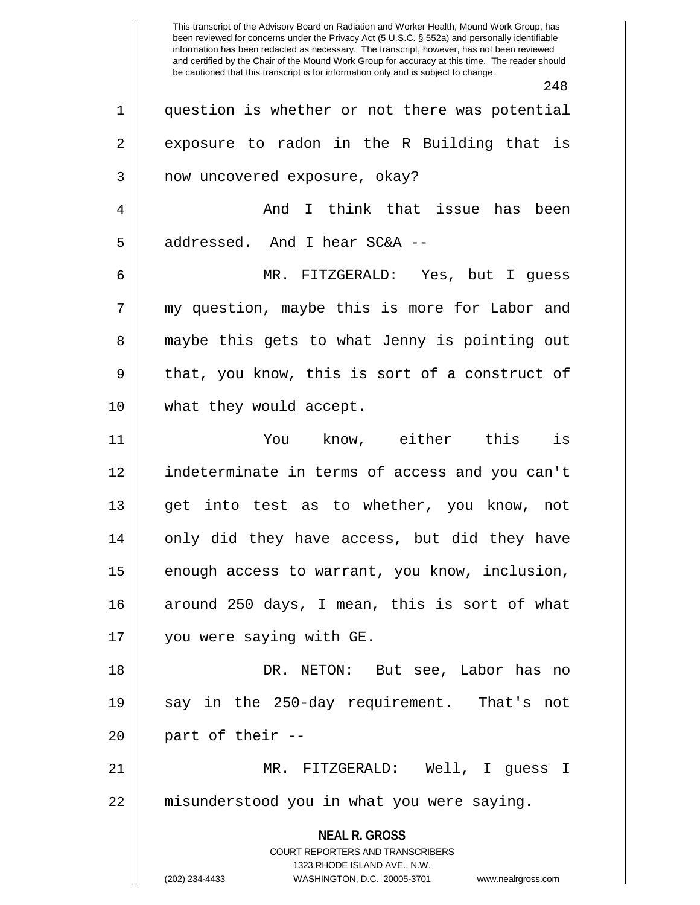**NEAL R. GROSS** COURT REPORTERS AND TRANSCRIBERS 1323 RHODE ISLAND AVE., N.W. (202) 234-4433 WASHINGTON, D.C. 20005-3701 www.nealrgross.com This transcript of the Advisory Board on Radiation and Worker Health, Mound Work Group, has been reviewed for concerns under the Privacy Act (5 U.S.C. § 552a) and personally identifiable information has been redacted as necessary. The transcript, however, has not been reviewed and certified by the Chair of the Mound Work Group for accuracy at this time. The reader should be cautioned that this transcript is for information only and is subject to change. 248 1 question is whether or not there was potential  $2 \parallel$  exposure to radon in the R Building that is 3 || now uncovered exposure, okay? 4 And I think that issue has been 5 || addressed. And I hear SC&A --6 MR. FITZGERALD: Yes, but I guess 7 my question, maybe this is more for Labor and 8 || maybe this gets to what Jenny is pointing out  $9 \parallel$  that, you know, this is sort of a construct of 10 || what they would accept. 11 You know, either this is 12 indeterminate in terms of access and you can't 13 get into test as to whether, you know, not 14 || only did they have access, but did they have  $15$  enough access to warrant, you know, inclusion, 16 around 250 days, I mean, this is sort of what 17 you were saying with GE. 18 DR. NETON: But see, Labor has no 19 || say in the 250-day requirement. That's not  $20$  || part of their  $-$ 21 MR. FITZGERALD: Well, I guess I 22 | misunderstood you in what you were saying.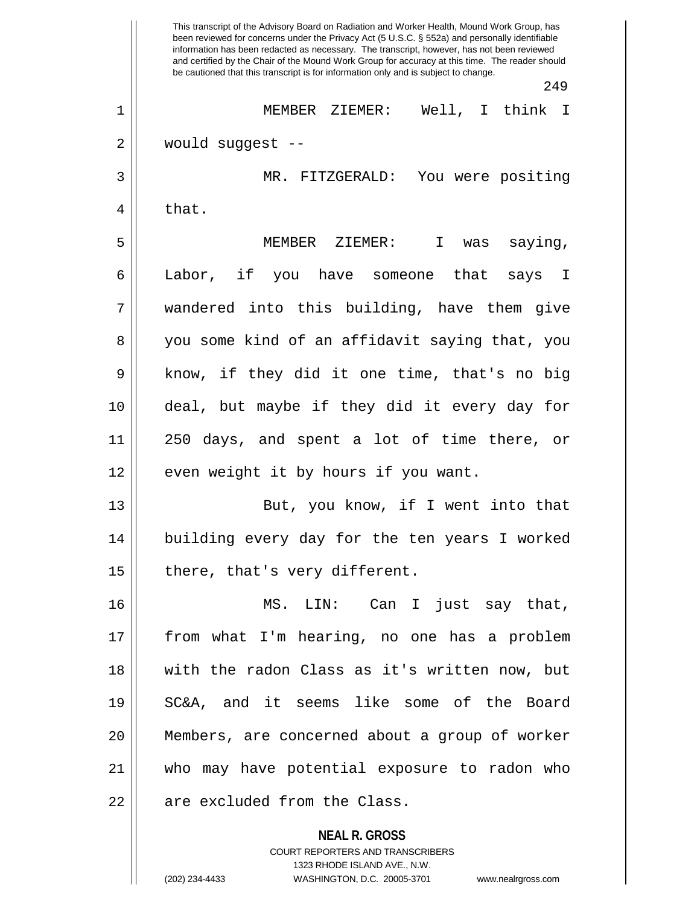**NEAL R. GROSS** This transcript of the Advisory Board on Radiation and Worker Health, Mound Work Group, has been reviewed for concerns under the Privacy Act (5 U.S.C. § 552a) and personally identifiable information has been redacted as necessary. The transcript, however, has not been reviewed and certified by the Chair of the Mound Work Group for accuracy at this time. The reader should be cautioned that this transcript is for information only and is subject to change. 249 1 MEMBER ZIEMER: Well, I think I 2 would suggest -- 3 MR. FITZGERALD: You were positing  $4 \parallel$  that. 5 MEMBER ZIEMER: I was saying, 6 || Labor, if you have someone that says I 7 wandered into this building, have them give 8 you some kind of an affidavit saying that, you 9 || know, if they did it one time, that's no big 10 deal, but maybe if they did it every day for 11 250 days, and spent a lot of time there, or 12 || even weight it by hours if you want. 13 || But, you know, if I went into that 14 building every day for the ten years I worked  $15$  | there, that's very different. 16 MS. LIN: Can I just say that, 17 from what I'm hearing, no one has a problem 18 with the radon Class as it's written now, but 19 SC&A, and it seems like some of the Board 20 Members, are concerned about a group of worker 21 who may have potential exposure to radon who 22 || are excluded from the Class.

> COURT REPORTERS AND TRANSCRIBERS 1323 RHODE ISLAND AVE., N.W.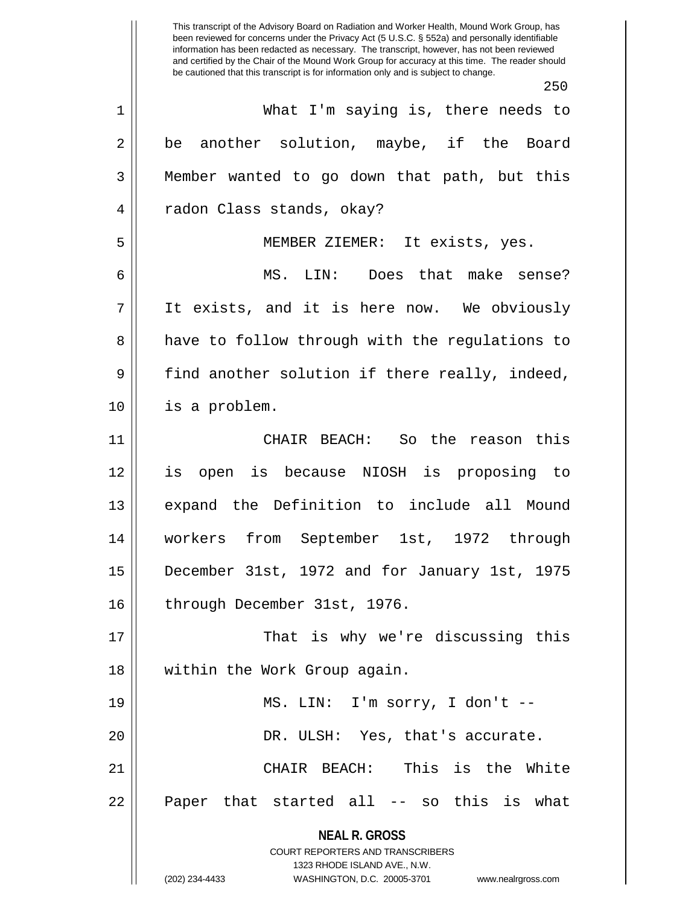**NEAL R. GROSS** COURT REPORTERS AND TRANSCRIBERS 1323 RHODE ISLAND AVE., N.W. This transcript of the Advisory Board on Radiation and Worker Health, Mound Work Group, has been reviewed for concerns under the Privacy Act (5 U.S.C. § 552a) and personally identifiable information has been redacted as necessary. The transcript, however, has not been reviewed and certified by the Chair of the Mound Work Group for accuracy at this time. The reader should be cautioned that this transcript is for information only and is subject to change. 250 1 What I'm saying is, there needs to  $2 \parallel$  be another solution, maybe, if the Board 3 Member wanted to go down that path, but this 4 || radon Class stands, okay? 5 MEMBER ZIEMER: It exists, yes. 6 MS. LIN: Does that make sense? 7 It exists, and it is here now. We obviously 8 || have to follow through with the regulations to 9 find another solution if there really, indeed, 10 is a problem. 11 CHAIR BEACH: So the reason this 12 is open is because NIOSH is proposing to 13 expand the Definition to include all Mound 14 workers from September 1st, 1972 through 15 December 31st, 1972 and for January 1st, 1975 16 | through December 31st, 1976. 17 That is why we're discussing this 18 within the Work Group again. 19 || MS. LIN: I'm sorry, I don't --20 || DR. ULSH: Yes, that's accurate. 21 CHAIR BEACH: This is the White 22 || Paper that started all -- so this is what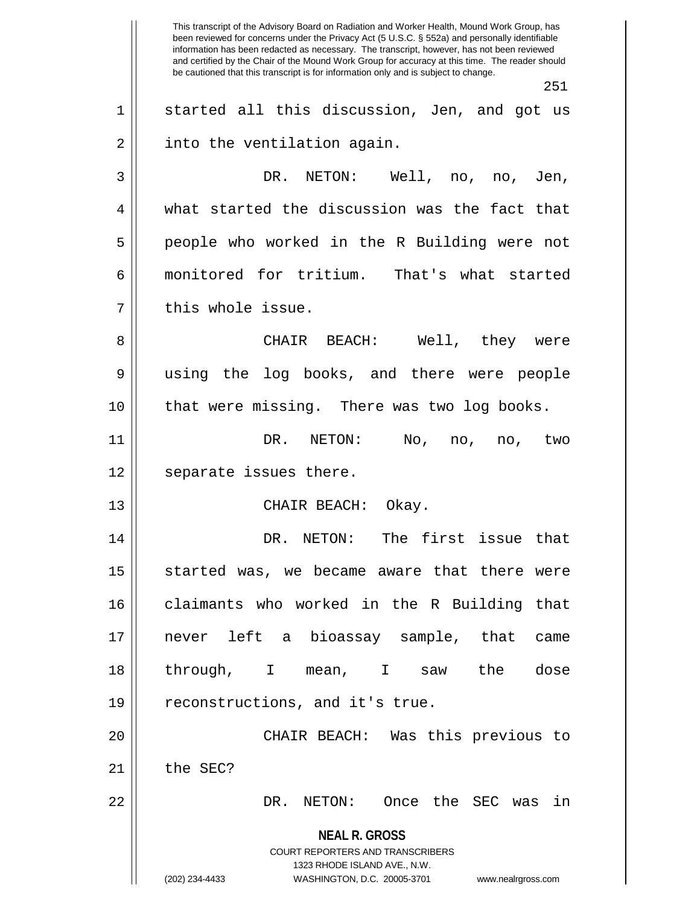**NEAL R. GROSS** COURT REPORTERS AND TRANSCRIBERS 1323 RHODE ISLAND AVE., N.W. (202) 234-4433 WASHINGTON, D.C. 20005-3701 www.nealrgross.com This transcript of the Advisory Board on Radiation and Worker Health, Mound Work Group, has been reviewed for concerns under the Privacy Act (5 U.S.C. § 552a) and personally identifiable information has been redacted as necessary. The transcript, however, has not been reviewed and certified by the Chair of the Mound Work Group for accuracy at this time. The reader should be cautioned that this transcript is for information only and is subject to change. 251  $1 \parallel$  started all this discussion, Jen, and got us  $2 \parallel$  into the ventilation again. 3 DR. NETON: Well, no, no, Jen, 4 what started the discussion was the fact that 5 people who worked in the R Building were not 6 monitored for tritium. That's what started 7 || this whole issue. 8 CHAIR BEACH: Well, they were 9 using the log books, and there were people 10 that were missing. There was two log books. 11 DR. NETON: No, no, no, two 12 || separate issues there. 13 || CHAIR BEACH: Okay. 14 DR. NETON: The first issue that  $15$  started was, we became aware that there were 16 || claimants who worked in the R Building that 17 never left a bioassay sample, that came 18 through, I mean, I saw the dose  $19 \parallel$  reconstructions, and it's true. 20 CHAIR BEACH: Was this previous to  $21$   $\parallel$  the SEC? 22 DR. NETON: Once the SEC was in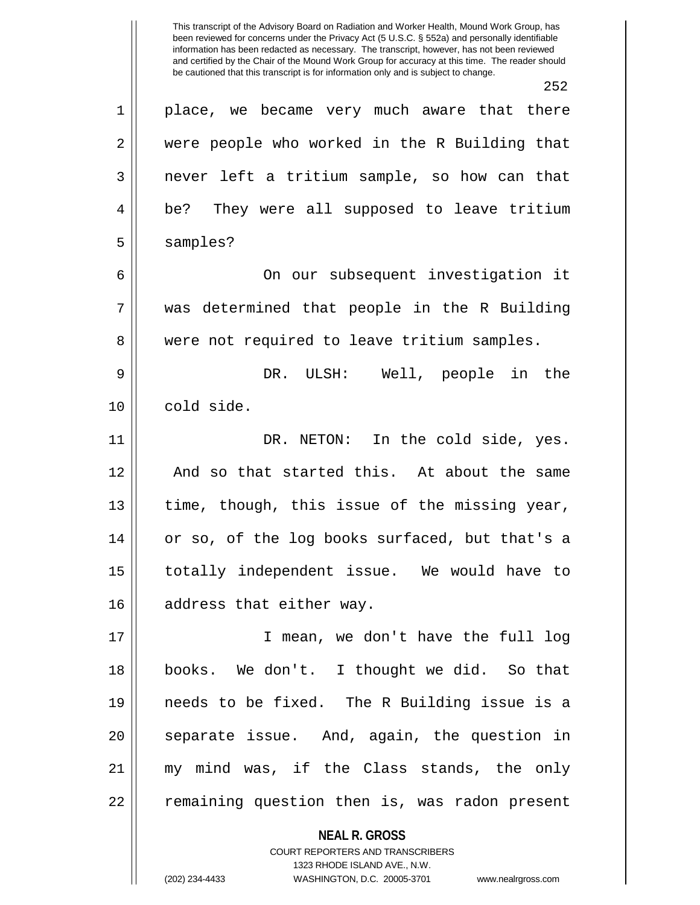**NEAL R. GROSS** COURT REPORTERS AND TRANSCRIBERS 252 1 || place, we became very much aware that there 2 were people who worked in the R Building that 3 | never left a tritium sample, so how can that 4 | be? They were all supposed to leave tritium 5 | samples? 6 || On our subsequent investigation it 7 was determined that people in the R Building 8 || were not required to leave tritium samples. 9 DR. ULSH: Well, people in the 10 cold side. 11 DR. NETON: In the cold side, yes. 12 || And so that started this. At about the same 13 || time, though, this issue of the missing year, 14 or so, of the log books surfaced, but that's a 15 totally independent issue. We would have to 16 || address that either way. 17 I mean, we don't have the full log 18 books. We don't. I thought we did. So that 19 needs to be fixed. The R Building issue is a 20 || separate issue. And, again, the question in 21 my mind was, if the Class stands, the only 22 || remaining question then is, was radon present

1323 RHODE ISLAND AVE., N.W.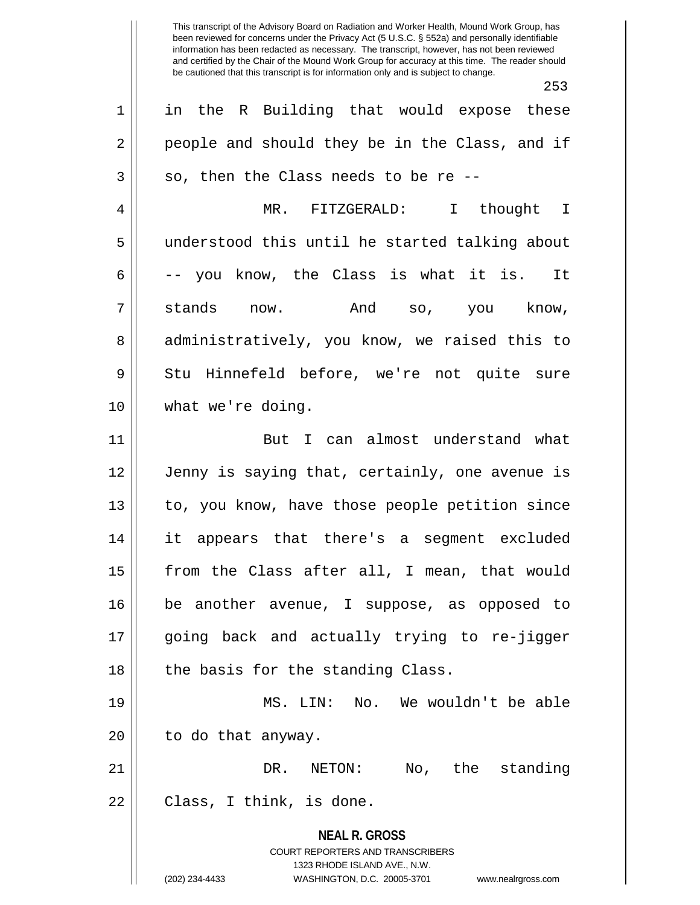|                | 253                                                                                                                                                                    |
|----------------|------------------------------------------------------------------------------------------------------------------------------------------------------------------------|
| $\mathbf{1}$   | in the R Building that would expose these                                                                                                                              |
| $\overline{2}$ | people and should they be in the Class, and if                                                                                                                         |
| $\mathfrak{Z}$ | so, then the Class needs to be re --                                                                                                                                   |
| 4              | MR. FITZGERALD: I thought I                                                                                                                                            |
| 5              | understood this until he started talking about                                                                                                                         |
| 6              | -- you know, the Class is what it is. It                                                                                                                               |
| 7              | stands now. And so, you know,                                                                                                                                          |
| 8              | administratively, you know, we raised this to                                                                                                                          |
| 9              | Stu Hinnefeld before, we're not quite sure                                                                                                                             |
| 10             | what we're doing.                                                                                                                                                      |
| 11             | But I can almost understand what                                                                                                                                       |
| 12             | Jenny is saying that, certainly, one avenue is                                                                                                                         |
| 13             | to, you know, have those people petition since                                                                                                                         |
| 14             | it appears that there's a segment excluded                                                                                                                             |
| 15             | from the Class after all, I mean, that would                                                                                                                           |
| 16             | be another avenue, I suppose, as opposed to                                                                                                                            |
| 17             | going back and actually trying to re-jigger                                                                                                                            |
| 18             | the basis for the standing Class.                                                                                                                                      |
| 19             | MS. LIN: No. We wouldn't be able                                                                                                                                       |
| 20             | to do that anyway.                                                                                                                                                     |
| 21             | NETON: No, the standing<br>DR.                                                                                                                                         |
| 22             | Class, I think, is done.                                                                                                                                               |
|                | <b>NEAL R. GROSS</b><br><b>COURT REPORTERS AND TRANSCRIBERS</b><br>1323 RHODE ISLAND AVE., N.W.<br>(202) 234-4433<br>WASHINGTON, D.C. 20005-3701<br>www.nealrgross.com |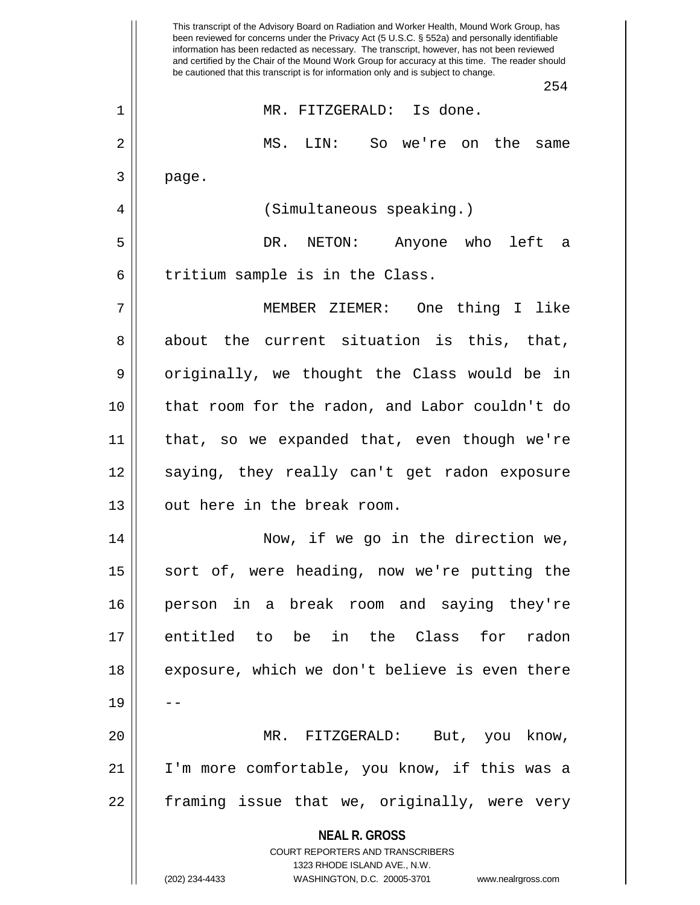**NEAL R. GROSS** COURT REPORTERS AND TRANSCRIBERS 1323 RHODE ISLAND AVE., N.W. (202) 234-4433 WASHINGTON, D.C. 20005-3701 www.nealrgross.com This transcript of the Advisory Board on Radiation and Worker Health, Mound Work Group, has been reviewed for concerns under the Privacy Act (5 U.S.C. § 552a) and personally identifiable information has been redacted as necessary. The transcript, however, has not been reviewed and certified by the Chair of the Mound Work Group for accuracy at this time. The reader should be cautioned that this transcript is for information only and is subject to change. 254 1 MR. FITZGERALD: Is done. 2 MS. LIN: So we're on the same  $3 \parallel$  page. 4 || (Simultaneous speaking.) 5 DR. NETON: Anyone who left a  $6$  || tritium sample is in the Class. 7 MEMBER ZIEMER: One thing I like 8 about the current situation is this, that, 9 || originally, we thought the Class would be in 10 that room for the radon, and Labor couldn't do 11 that, so we expanded that, even though we're 12 || saying, they really can't get radon exposure 13 || out here in the break room. 14 Now, if we go in the direction we, 15 || sort of, were heading, now we're putting the 16 person in a break room and saying they're 17 entitled to be in the Class for radon 18 || exposure, which we don't believe is even there 19 20 MR. FITZGERALD: But, you know, 21 I'm more comfortable, you know, if this was a  $22$  || framing issue that we, originally, were very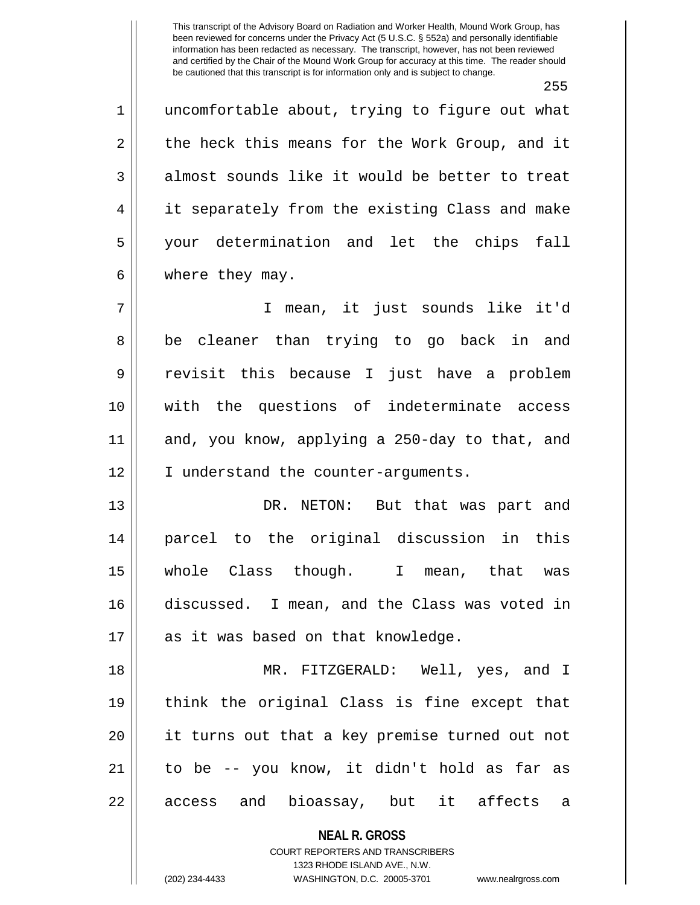255

1 || uncomfortable about, trying to figure out what  $2 \parallel$  the heck this means for the Work Group, and it  $3 \parallel$  almost sounds like it would be better to treat 4 || it separately from the existing Class and make 5 your determination and let the chips fall  $6 \parallel$  where they may.

7 I mean, it just sounds like it'd 8 || be cleaner than trying to go back in and 9 revisit this because I just have a problem 10 with the questions of indeterminate access 11 and, you know, applying a 250-day to that, and 12 || I understand the counter-arguments.

13 DR. NETON: But that was part and 14 parcel to the original discussion in this 15 whole Class though. I mean, that was 16 discussed. I mean, and the Class was voted in 17 || as it was based on that knowledge.

18 MR. FITZGERALD: Well, yes, and I 19 think the original Class is fine except that 20 it turns out that a key premise turned out not  $21$  to be  $-$  you know, it didn't hold as far as 22 || access and bioassay, but it affects a

> **NEAL R. GROSS** COURT REPORTERS AND TRANSCRIBERS

> > 1323 RHODE ISLAND AVE., N.W.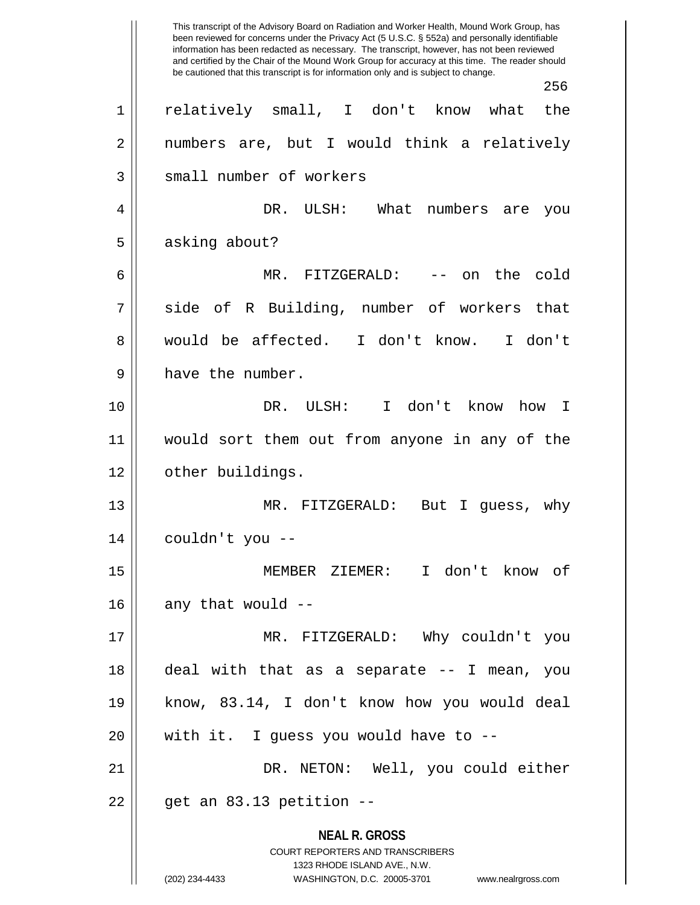**NEAL R. GROSS** COURT REPORTERS AND TRANSCRIBERS 1323 RHODE ISLAND AVE., N.W. (202) 234-4433 WASHINGTON, D.C. 20005-3701 www.nealrgross.com This transcript of the Advisory Board on Radiation and Worker Health, Mound Work Group, has been reviewed for concerns under the Privacy Act (5 U.S.C. § 552a) and personally identifiable information has been redacted as necessary. The transcript, however, has not been reviewed and certified by the Chair of the Mound Work Group for accuracy at this time. The reader should be cautioned that this transcript is for information only and is subject to change. 256 1 relatively small, I don't know what the 2 || numbers are, but I would think a relatively 3 || small number of workers 4 DR. ULSH: What numbers are you 5 | asking about? 6 MR. FITZGERALD: -- on the cold 7 || side of R Building, number of workers that 8 would be affected. I don't know. I don't 9 || have the number. 10 DR. ULSH: I don't know how I 11 would sort them out from anyone in any of the 12 | other buildings. 13 MR. FITZGERALD: But I guess, why  $14$  || couldn't you --15 MEMBER ZIEMER: I don't know of  $16$  || any that would  $-$ 17 MR. FITZGERALD: Why couldn't you 18 deal with that as a separate -- I mean, you 19 know, 83.14, I don't know how you would deal  $20$  || with it. I guess you would have to  $-$ -21 DR. NETON: Well, you could either  $22 \parallel$  get an 83.13 petition --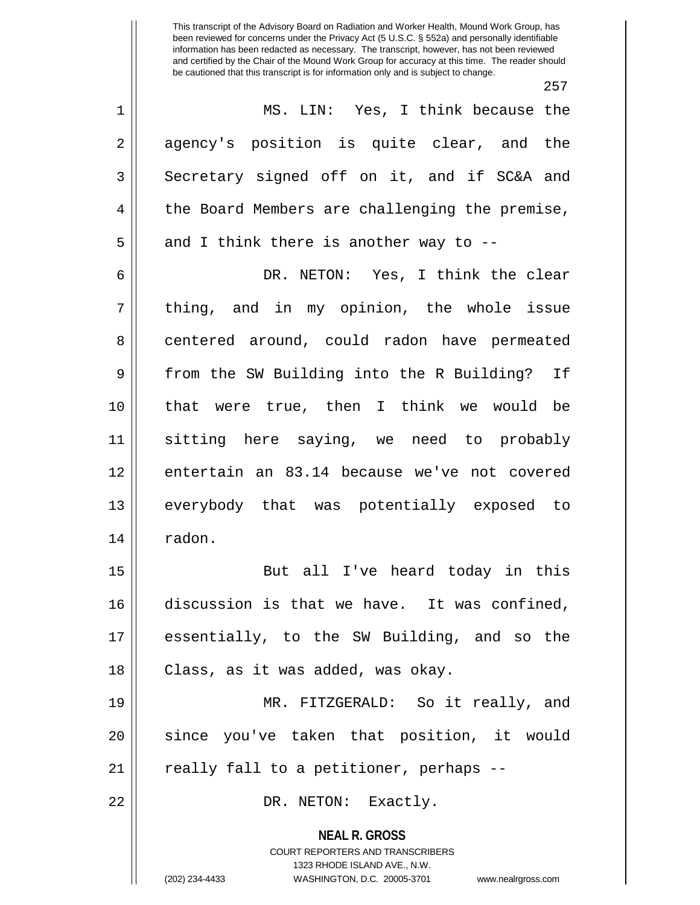257

1 MS. LIN: Yes, I think because the 2 agency's position is quite clear, and the  $3 \parallel$  Secretary signed off on it, and if SC&A and 4 || the Board Members are challenging the premise,  $5 \parallel$  and I think there is another way to --

6 DR. NETON: Yes, I think the clear  $7 \parallel$  thing, and in my opinion, the whole issue 8 centered around, could radon have permeated 9 From the SW Building into the R Building? If 10 that were true, then I think we would be 11 sitting here saying, we need to probably 12 || entertain an 83.14 because we've not covered 13 everybody that was potentially exposed to 14 | radon.

15 || But all I've heard today in this 16 discussion is that we have. It was confined, 17 essentially, to the SW Building, and so the 18 || Class, as it was added, was okay.

19 MR. FITZGERALD: So it really, and 20 || since you've taken that position, it would  $21$  || really fall to a petitioner, perhaps --

22 DR. NETON: Exactly.

**NEAL R. GROSS** COURT REPORTERS AND TRANSCRIBERS

1323 RHODE ISLAND AVE., N.W.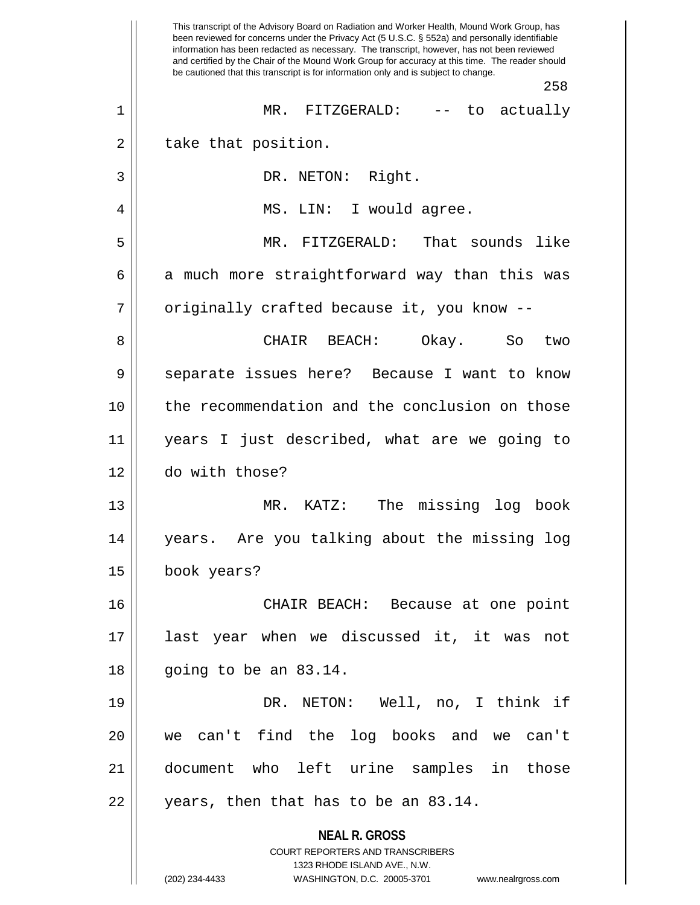**NEAL R. GROSS** COURT REPORTERS AND TRANSCRIBERS 1323 RHODE ISLAND AVE., N.W. (202) 234-4433 WASHINGTON, D.C. 20005-3701 www.nealrgross.com This transcript of the Advisory Board on Radiation and Worker Health, Mound Work Group, has been reviewed for concerns under the Privacy Act (5 U.S.C. § 552a) and personally identifiable information has been redacted as necessary. The transcript, however, has not been reviewed and certified by the Chair of the Mound Work Group for accuracy at this time. The reader should be cautioned that this transcript is for information only and is subject to change. 258 1 MR. FITZGERALD: -- to actually  $2 \parallel$  take that position. 3 || DR. NETON: Right. 4 MS. LIN: I would agree. 5 MR. FITZGERALD: That sounds like  $6 \parallel$  a much more straightforward way than this was 7 | originally crafted because it, you know --8 CHAIR BEACH: Okay. So two 9 Separate issues here? Because I want to know 10 the recommendation and the conclusion on those 11 years I just described, what are we going to 12 do with those? 13 MR. KATZ: The missing log book 14 years. Are you talking about the missing log 15 book years? 16 CHAIR BEACH: Because at one point 17 last year when we discussed it, it was not 18 going to be an 83.14. 19 DR. NETON: Well, no, I think if 20 we can't find the log books and we can't 21 document who left urine samples in those  $22$  || years, then that has to be an 83.14.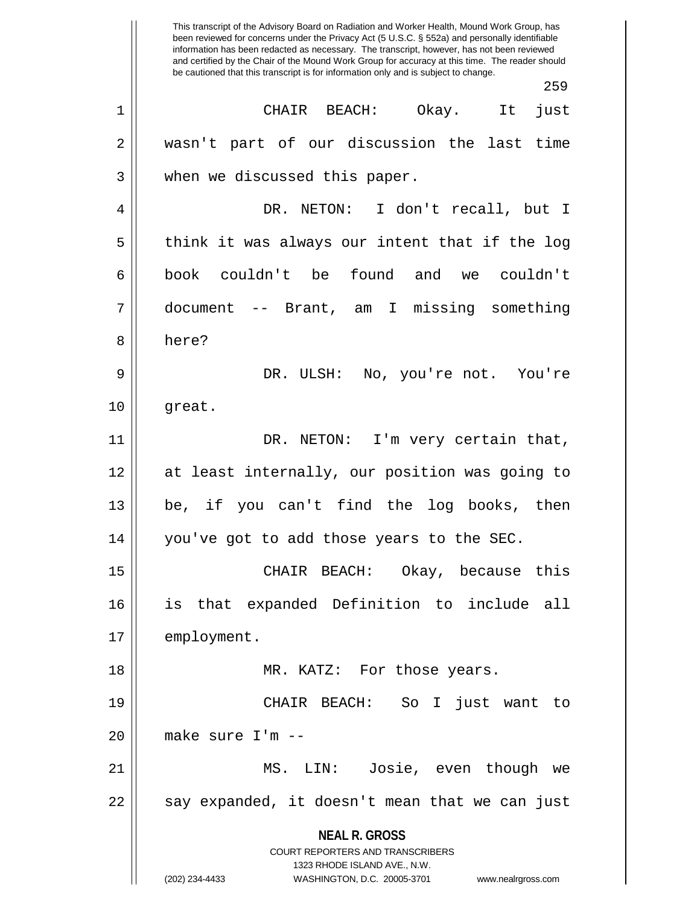**NEAL R. GROSS** COURT REPORTERS AND TRANSCRIBERS 1323 RHODE ISLAND AVE., N.W. (202) 234-4433 WASHINGTON, D.C. 20005-3701 www.nealrgross.com This transcript of the Advisory Board on Radiation and Worker Health, Mound Work Group, has been reviewed for concerns under the Privacy Act (5 U.S.C. § 552a) and personally identifiable information has been redacted as necessary. The transcript, however, has not been reviewed and certified by the Chair of the Mound Work Group for accuracy at this time. The reader should be cautioned that this transcript is for information only and is subject to change. 259 1 CHAIR BEACH: Okay. It just 2 wasn't part of our discussion the last time 3 || when we discussed this paper. 4 DR. NETON: I don't recall, but I  $5 \parallel$  think it was always our intent that if the log 6 book couldn't be found and we couldn't 7 document -- Brant, am I missing something 8 l here? 9 DR. ULSH: No, you're not. You're  $10 \parallel$  great. 11 || DR. NETON: I'm very certain that, 12 at least internally, our position was going to 13 be, if you can't find the log books, then 14 you've got to add those years to the SEC. 15 CHAIR BEACH: Okay, because this 16 is that expanded Definition to include all 17 | employment. 18 || MR. KATZ: For those years. 19 CHAIR BEACH: So I just want to  $20$  || make sure I'm  $-$ 21 MS. LIN: Josie, even though we  $22 \parallel$  say expanded, it doesn't mean that we can just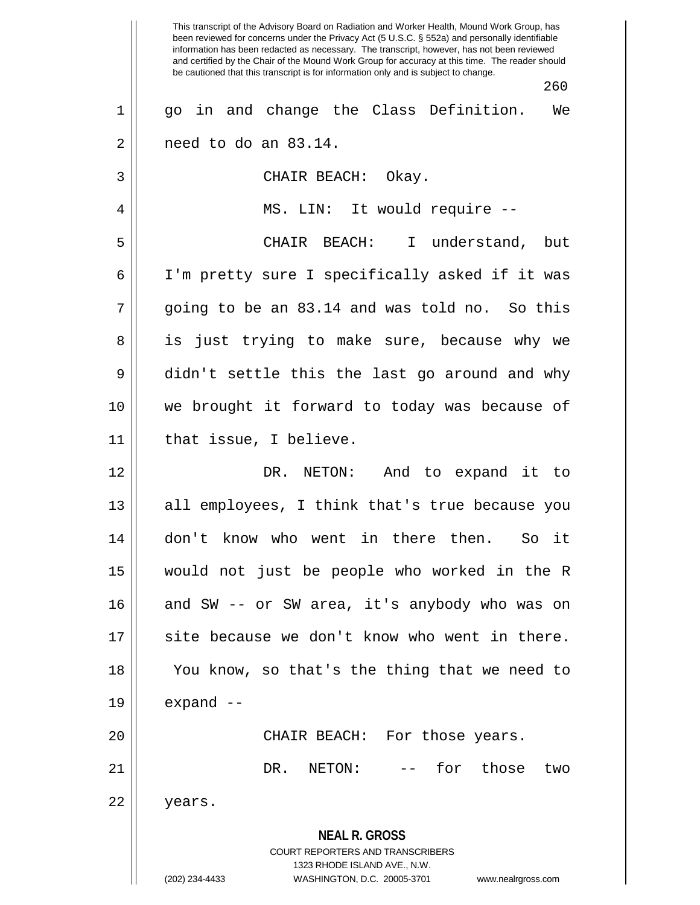**NEAL R. GROSS** COURT REPORTERS AND TRANSCRIBERS 1323 RHODE ISLAND AVE., N.W. (202) 234-4433 WASHINGTON, D.C. 20005-3701 www.nealrgross.com This transcript of the Advisory Board on Radiation and Worker Health, Mound Work Group, has been reviewed for concerns under the Privacy Act (5 U.S.C. § 552a) and personally identifiable information has been redacted as necessary. The transcript, however, has not been reviewed and certified by the Chair of the Mound Work Group for accuracy at this time. The reader should be cautioned that this transcript is for information only and is subject to change. 260 1 || go in and change the Class Definition. We  $2 \parallel$  need to do an 83.14. 3 || CHAIR BEACH: Okay. 4 MS. LIN: It would require -- 5 CHAIR BEACH: I understand, but 6 I'm pretty sure I specifically asked if it was  $7 \parallel$  going to be an 83.14 and was told no. So this 8 || is just trying to make sure, because why we 9 didn't settle this the last go around and why 10 we brought it forward to today was because of  $11$  | that issue, I believe. 12 DR. NETON: And to expand it to 13 || all employees, I think that's true because you 14 don't know who went in there then. So it 15 would not just be people who worked in the R 16 and SW -- or SW area, it's anybody who was on 17 || site because we don't know who went in there. 18 || You know, so that's the thing that we need to  $19 \parallel$  expand  $-$ 20 CHAIR BEACH: For those years. 21 DR. NETON: -- for those two 22 | years.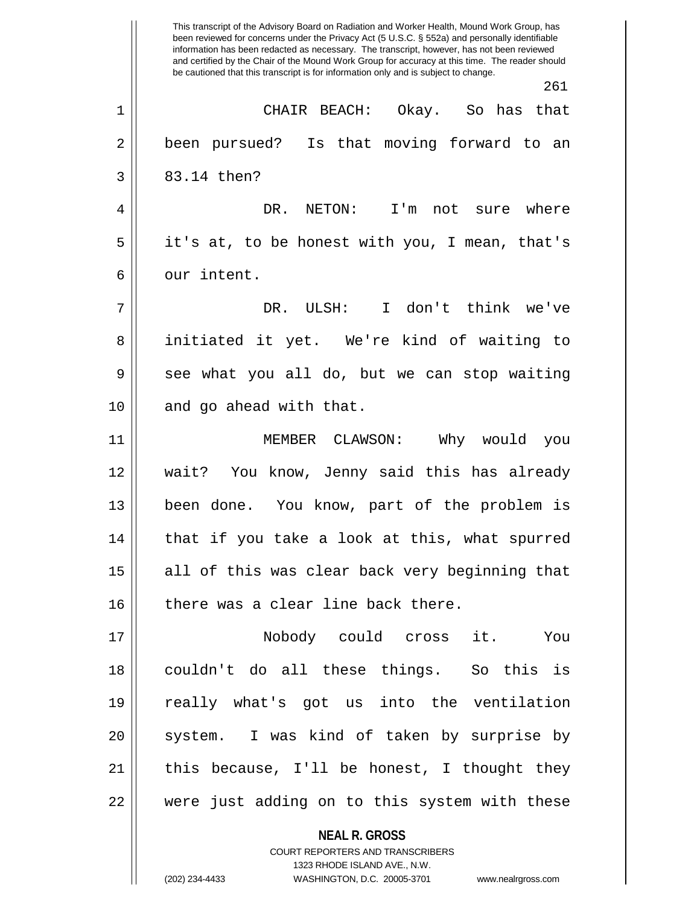**NEAL R. GROSS** This transcript of the Advisory Board on Radiation and Worker Health, Mound Work Group, has been reviewed for concerns under the Privacy Act (5 U.S.C. § 552a) and personally identifiable information has been redacted as necessary. The transcript, however, has not been reviewed and certified by the Chair of the Mound Work Group for accuracy at this time. The reader should be cautioned that this transcript is for information only and is subject to change. 261 1 CHAIR BEACH: Okay. So has that 2 || been pursued? Is that moving forward to an  $3 \mid 83.14 \text{ then?}$ 4 DR. NETON: I'm not sure where 5 || it's at, to be honest with you, I mean, that's 6 l our intent. 7 DR. ULSH: I don't think we've 8 || initiated it yet. We're kind of waiting to 9 see what you all do, but we can stop waiting 10 || and go ahead with that. 11 MEMBER CLAWSON: Why would you 12 wait? You know, Jenny said this has already 13 || been done. You know, part of the problem is 14 || that if you take a look at this, what spurred 15 || all of this was clear back very beginning that  $16$  there was a clear line back there. 17 Nobody could cross it. You 18 couldn't do all these things. So this is 19 really what's got us into the ventilation 20 || system. I was kind of taken by surprise by 21  $\parallel$  this because, I'll be honest, I thought they 22 were just adding on to this system with these

> COURT REPORTERS AND TRANSCRIBERS 1323 RHODE ISLAND AVE., N.W.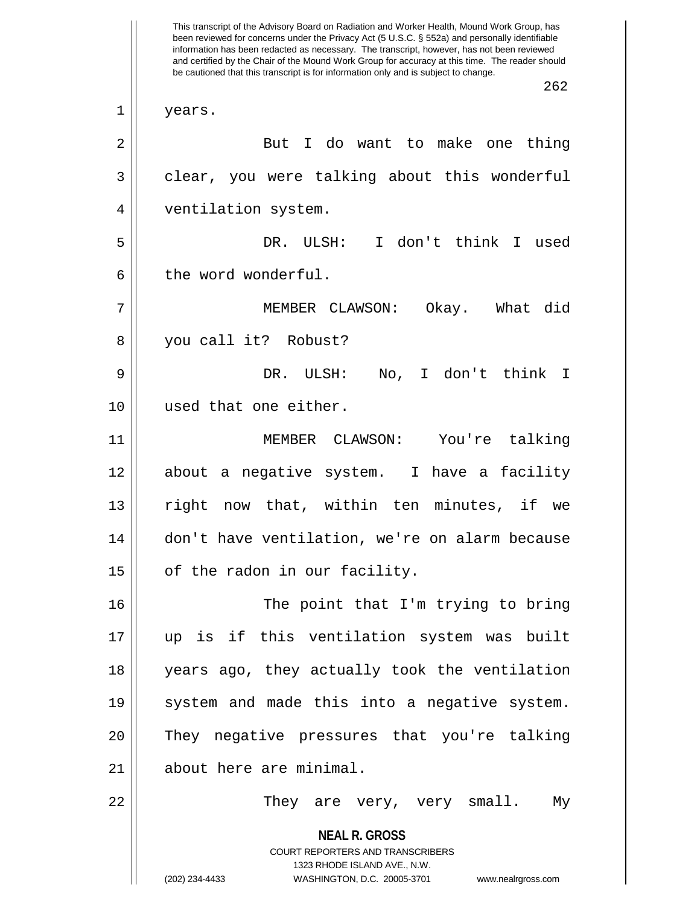**NEAL R. GROSS** COURT REPORTERS AND TRANSCRIBERS 1323 RHODE ISLAND AVE., N.W. (202) 234-4433 WASHINGTON, D.C. 20005-3701 www.nealrgross.com This transcript of the Advisory Board on Radiation and Worker Health, Mound Work Group, has been reviewed for concerns under the Privacy Act (5 U.S.C. § 552a) and personally identifiable information has been redacted as necessary. The transcript, however, has not been reviewed and certified by the Chair of the Mound Work Group for accuracy at this time. The reader should be cautioned that this transcript is for information only and is subject to change. 262 1 years. 2 || But I do want to make one thing 3 || clear, you were talking about this wonderful 4 ventilation system. 5 DR. ULSH: I don't think I used 6 l the word wonderful. 7 MEMBER CLAWSON: Okay. What did 8 you call it? Robust? 9 DR. ULSH: No, I don't think I 10 used that one either. 11 MEMBER CLAWSON: You're talking 12 about a negative system. I have a facility 13 || right now that, within ten minutes, if we 14 don't have ventilation, we're on alarm because  $15$  | of the radon in our facility. 16 || The point that I'm trying to bring 17 up is if this ventilation system was built 18 years ago, they actually took the ventilation 19 || system and made this into a negative system. 20 They negative pressures that you're talking 21 | about here are minimal. 22 They are very, very small. My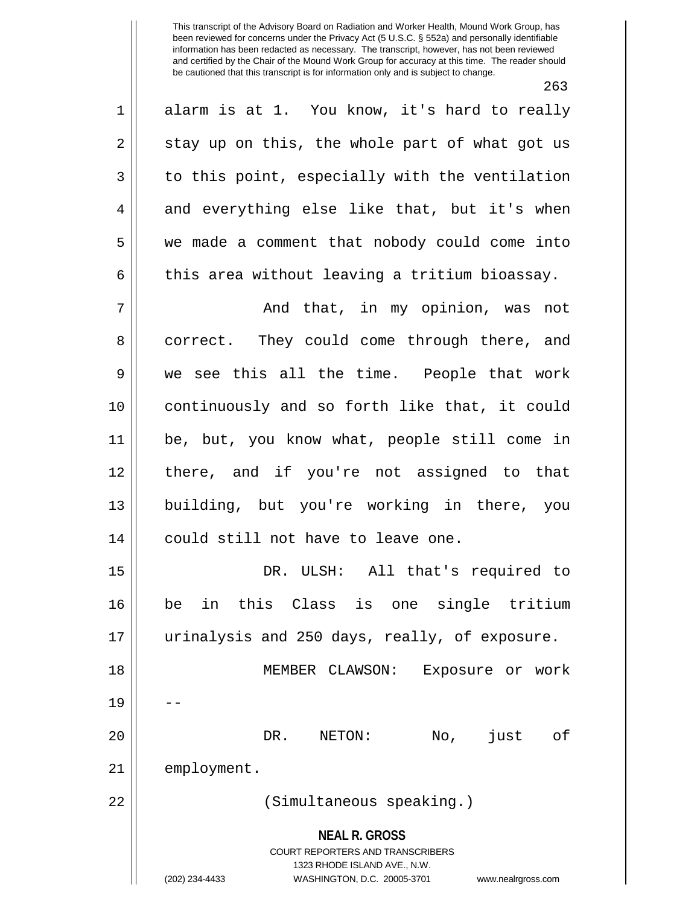263 1 || alarm is at 1. You know, it's hard to really  $2 \parallel$  stay up on this, the whole part of what got us  $3 \parallel$  to this point, especially with the ventilation  $4 \parallel$  and everything else like that, but it's when 5 we made a comment that nobody could come into  $6 \parallel$  this area without leaving a tritium bioassay. 7 And that, in my opinion, was not 8 correct. They could come through there, and 9 we see this all the time. People that work 10 continuously and so forth like that, it could 11 be, but, you know what, people still come in 12 there, and if you're not assigned to that 13 building, but you're working in there, you 14 || could still not have to leave one. 15 DR. ULSH: All that's required to 16 be in this Class is one single tritium 17 urinalysis and 250 days, really, of exposure. 18 MEMBER CLAWSON: Exposure or work 19 20 DR. NETON: No, just of 21 | employment.

22 (Simultaneous speaking.)

**NEAL R. GROSS** COURT REPORTERS AND TRANSCRIBERS

1323 RHODE ISLAND AVE., N.W.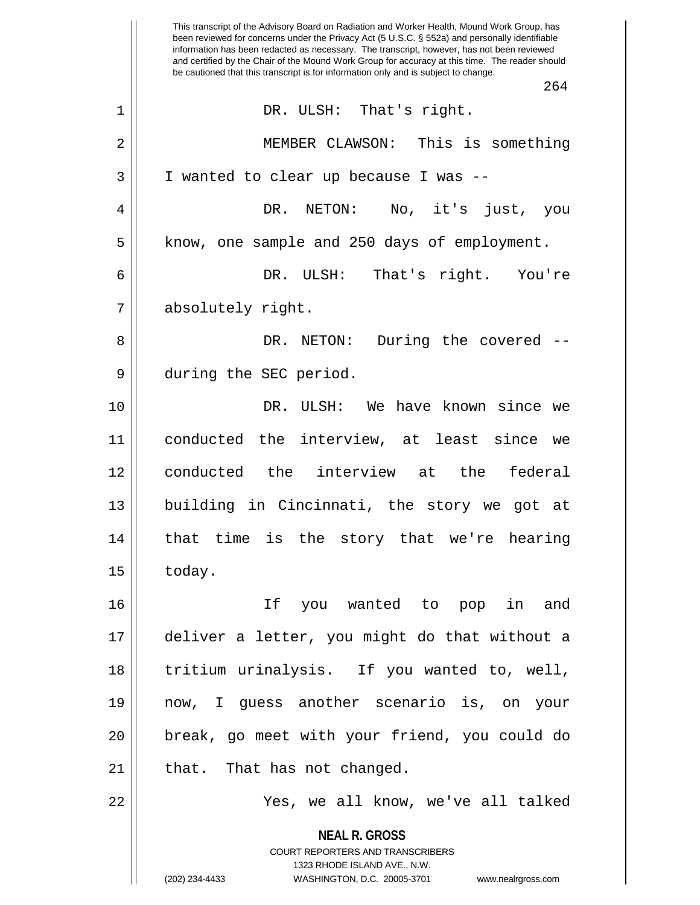|                | This transcript of the Advisory Board on Radiation and Worker Health, Mound Work Group, has<br>been reviewed for concerns under the Privacy Act (5 U.S.C. § 552a) and personally identifiable<br>information has been redacted as necessary. The transcript, however, has not been reviewed<br>and certified by the Chair of the Mound Work Group for accuracy at this time. The reader should |
|----------------|------------------------------------------------------------------------------------------------------------------------------------------------------------------------------------------------------------------------------------------------------------------------------------------------------------------------------------------------------------------------------------------------|
|                | be cautioned that this transcript is for information only and is subject to change.<br>264                                                                                                                                                                                                                                                                                                     |
| $\mathbf 1$    | DR. ULSH: That's right.                                                                                                                                                                                                                                                                                                                                                                        |
| $\overline{2}$ | MEMBER CLAWSON: This is something                                                                                                                                                                                                                                                                                                                                                              |
| 3              | I wanted to clear up because I was --                                                                                                                                                                                                                                                                                                                                                          |
| 4              | No, it's<br>DR.<br>NETON:<br>just,<br>you                                                                                                                                                                                                                                                                                                                                                      |
| 5              | know, one sample and 250 days of employment.                                                                                                                                                                                                                                                                                                                                                   |
| 6              | That's right. You're<br>DR. ULSH:                                                                                                                                                                                                                                                                                                                                                              |
| 7              | absolutely right.                                                                                                                                                                                                                                                                                                                                                                              |
| 8              | NETON: During the covered<br>DR.                                                                                                                                                                                                                                                                                                                                                               |
| 9              | during the SEC period.                                                                                                                                                                                                                                                                                                                                                                         |
| 10             | DR.<br>ULSH: We have known since we                                                                                                                                                                                                                                                                                                                                                            |
| 11             | conducted the interview, at least<br>since<br>we                                                                                                                                                                                                                                                                                                                                               |
| 12             | conducted the interview at<br>the<br>federal                                                                                                                                                                                                                                                                                                                                                   |
| 13             | building in Cincinnati, the story we got at                                                                                                                                                                                                                                                                                                                                                    |
| 14             | that time is the story that we're hearing                                                                                                                                                                                                                                                                                                                                                      |
| 15             | today.                                                                                                                                                                                                                                                                                                                                                                                         |
| 16             | If you wanted to pop in and                                                                                                                                                                                                                                                                                                                                                                    |
| 17             | deliver a letter, you might do that without a                                                                                                                                                                                                                                                                                                                                                  |
| 18             | tritium urinalysis. If you wanted to, well,                                                                                                                                                                                                                                                                                                                                                    |
| 19             | now, I guess another scenario is, on your                                                                                                                                                                                                                                                                                                                                                      |
| 20             | break, go meet with your friend, you could do                                                                                                                                                                                                                                                                                                                                                  |
| 21             | that. That has not changed.                                                                                                                                                                                                                                                                                                                                                                    |
| 22             | Yes, we all know, we've all talked                                                                                                                                                                                                                                                                                                                                                             |
|                | <b>NEAL R. GROSS</b><br>COURT REPORTERS AND TRANSCRIBERS<br>1323 RHODE ISLAND AVE., N.W.                                                                                                                                                                                                                                                                                                       |
|                | (202) 234-4433<br>WASHINGTON, D.C. 20005-3701<br>www.nealrgross.com                                                                                                                                                                                                                                                                                                                            |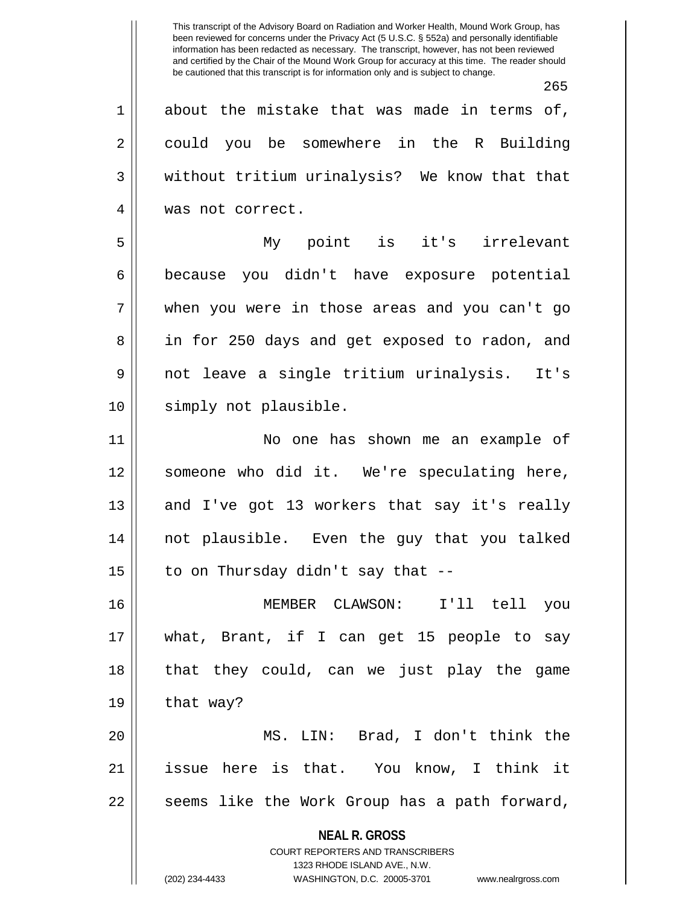This transcript of the Advisory Board on Radiation and Worker Health, Mound Work Group, has been reviewed for concerns under the Privacy Act (5 U.S.C. § 552a) and personally identifiable information has been redacted as necessary. The transcript, however, has not been reviewed and certified by the Chair of the Mound Work Group for accuracy at this time. The reader should be cautioned that this transcript is for information only and is subject to change. 265  $1 \parallel$  about the mistake that was made in terms of, 2 could you be somewhere in the R Building 3 We without tritium urinalysis? We know that that 4 || was not correct. 5 My point is it's irrelevant

6 because you didn't have exposure potential 7 when you were in those areas and you can't go 8 || in for 250 days and get exposed to radon, and 9 not leave a single tritium urinalysis. It's 10 || simply not plausible.

11 No one has shown me an example of 12 someone who did it. We're speculating here, 13 || and I've got 13 workers that say it's really 14 not plausible. Even the guy that you talked 15  $\parallel$  to on Thursday didn't say that --

16 MEMBER CLAWSON: I'll tell you 17 what, Brant, if I can get 15 people to say 18 that they could, can we just play the game  $19 \parallel$  that way?

20 MS. LIN: Brad, I don't think the 21 issue here is that. You know, I think it  $22$  || seems like the Work Group has a path forward,

> **NEAL R. GROSS** COURT REPORTERS AND TRANSCRIBERS

1323 RHODE ISLAND AVE., N.W. (202) 234-4433 WASHINGTON, D.C. 20005-3701 www.nealrgross.com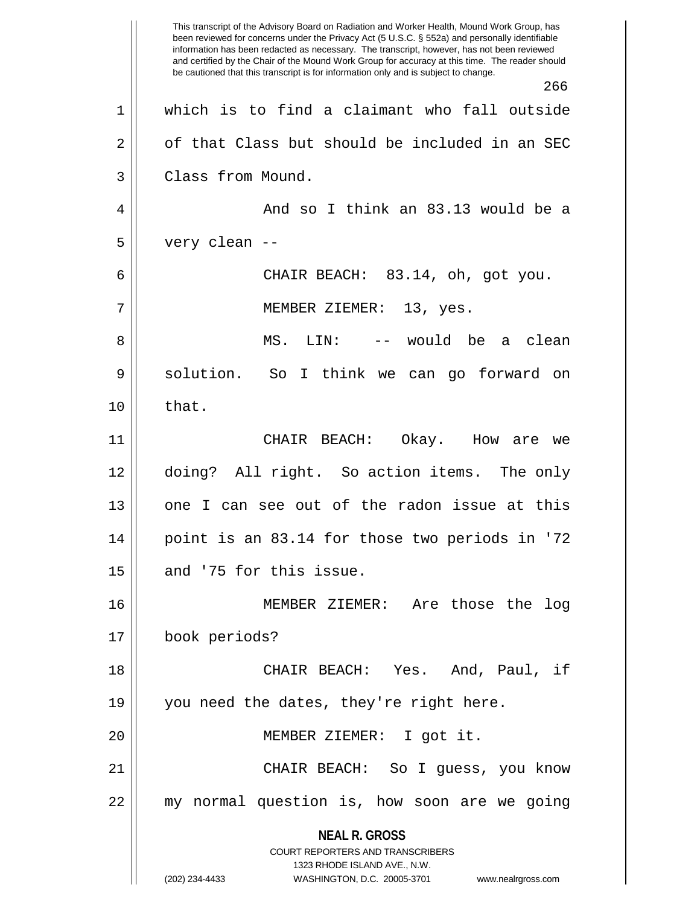**NEAL R. GROSS** COURT REPORTERS AND TRANSCRIBERS 1323 RHODE ISLAND AVE., N.W. (202) 234-4433 WASHINGTON, D.C. 20005-3701 www.nealrgross.com This transcript of the Advisory Board on Radiation and Worker Health, Mound Work Group, has been reviewed for concerns under the Privacy Act (5 U.S.C. § 552a) and personally identifiable information has been redacted as necessary. The transcript, however, has not been reviewed and certified by the Chair of the Mound Work Group for accuracy at this time. The reader should be cautioned that this transcript is for information only and is subject to change. 266 1 which is to find a claimant who fall outside  $2 \parallel$  of that Class but should be included in an SEC 3 | Class from Mound. 4 And so I think an 83.13 would be a  $5 \parallel$  very clean --6 CHAIR BEACH: 83.14, oh, got you. 7 MEMBER ZIEMER: 13, yes. 8 MS. LIN: -- would be a clean 9 || solution. So I think we can go forward on  $10 \parallel$  that. 11 CHAIR BEACH: Okay. How are we 12 doing? All right. So action items. The only 13 || one I can see out of the radon issue at this 14 point is an 83.14 for those two periods in '72  $15$  || and '75 for this issue. 16 MEMBER ZIEMER: Are those the log 17 book periods? 18 CHAIR BEACH: Yes. And, Paul, if 19 || you need the dates, they're right here. 20 MEMBER ZIEMER: I got it. 21 CHAIR BEACH: So I guess, you know 22 my normal question is, how soon are we going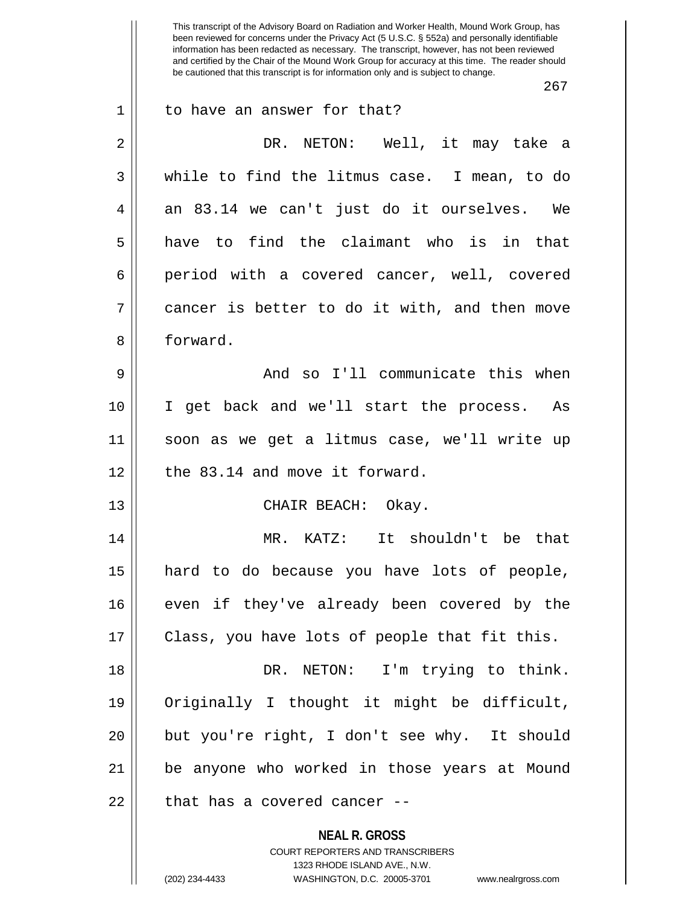**NEAL R. GROSS** COURT REPORTERS AND TRANSCRIBERS 1323 RHODE ISLAND AVE., N.W. This transcript of the Advisory Board on Radiation and Worker Health, Mound Work Group, has been reviewed for concerns under the Privacy Act (5 U.S.C. § 552a) and personally identifiable information has been redacted as necessary. The transcript, however, has not been reviewed and certified by the Chair of the Mound Work Group for accuracy at this time. The reader should be cautioned that this transcript is for information only and is subject to change. 267 1 || to have an answer for that? 2 DR. NETON: Well, it may take a 3 while to find the litmus case. I mean, to do  $4 \parallel$  an 83.14 we can't just do it ourselves. We  $5 \parallel$  have to find the claimant who is in that 6 period with a covered cancer, well, covered  $7 \parallel$  cancer is better to do it with, and then move 8 ll forward. 9 And so I'll communicate this when 10 I get back and we'll start the process. As 11 soon as we get a litmus case, we'll write up  $12$  | the 83.14 and move it forward. 13 || CHAIR BEACH: Okay. 14 MR. KATZ: It shouldn't be that 15 hard to do because you have lots of people, 16 || even if they've already been covered by the 17 || Class, you have lots of people that fit this. 18 DR. NETON: I'm trying to think. 19 Originally I thought it might be difficult, 20 but you're right, I don't see why. It should 21 be anyone who worked in those years at Mound  $22$  || that has a covered cancer --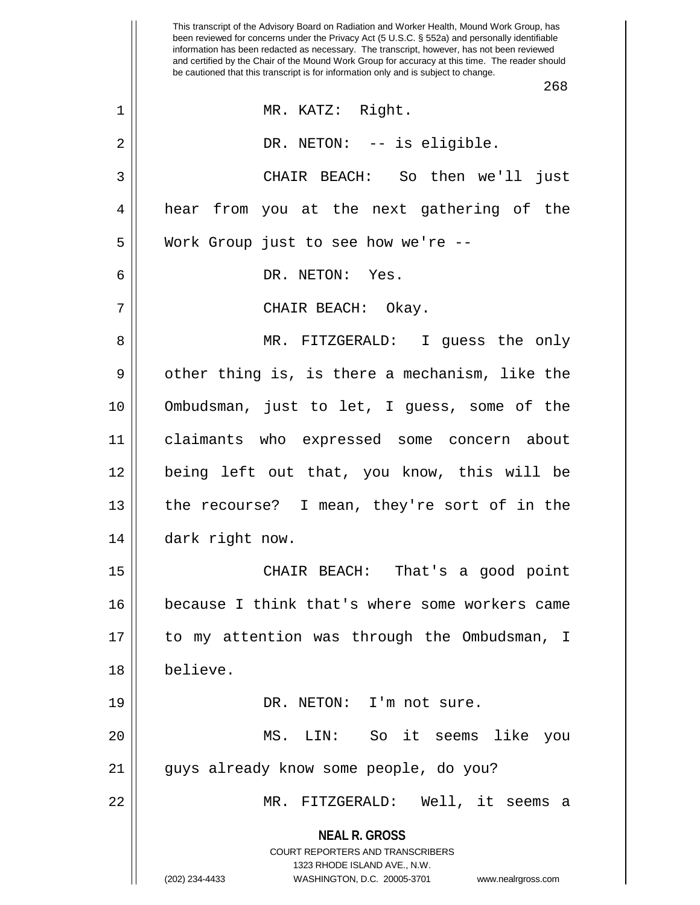**NEAL R. GROSS** COURT REPORTERS AND TRANSCRIBERS 1323 RHODE ISLAND AVE., N.W. (202) 234-4433 WASHINGTON, D.C. 20005-3701 www.nealrgross.com This transcript of the Advisory Board on Radiation and Worker Health, Mound Work Group, has been reviewed for concerns under the Privacy Act (5 U.S.C. § 552a) and personally identifiable information has been redacted as necessary. The transcript, however, has not been reviewed and certified by the Chair of the Mound Work Group for accuracy at this time. The reader should be cautioned that this transcript is for information only and is subject to change. 268 1 || MR. KATZ: Right. 2 || DR. NETON: -- is eligible. 3 CHAIR BEACH: So then we'll just 4 hear from you at the next gathering of the 5 Work Group just to see how we're -- 6 DR. NETON: Yes. 7 CHAIR BEACH: Okay. 8 MR. FITZGERALD: I guess the only  $9 \parallel$  other thing is, is there a mechanism, like the 10 Ombudsman, just to let, I guess, some of the 11 claimants who expressed some concern about 12 being left out that, you know, this will be 13  $\parallel$  the recourse? I mean, they're sort of in the 14 || dark right now. 15 CHAIR BEACH: That's a good point 16 because I think that's where some workers came 17 to my attention was through the Ombudsman, I 18 believe. 19 || DR. NETON: I'm not sure. 20 MS. LIN: So it seems like you 21 || guys already know some people, do you? 22 MR. FITZGERALD: Well, it seems a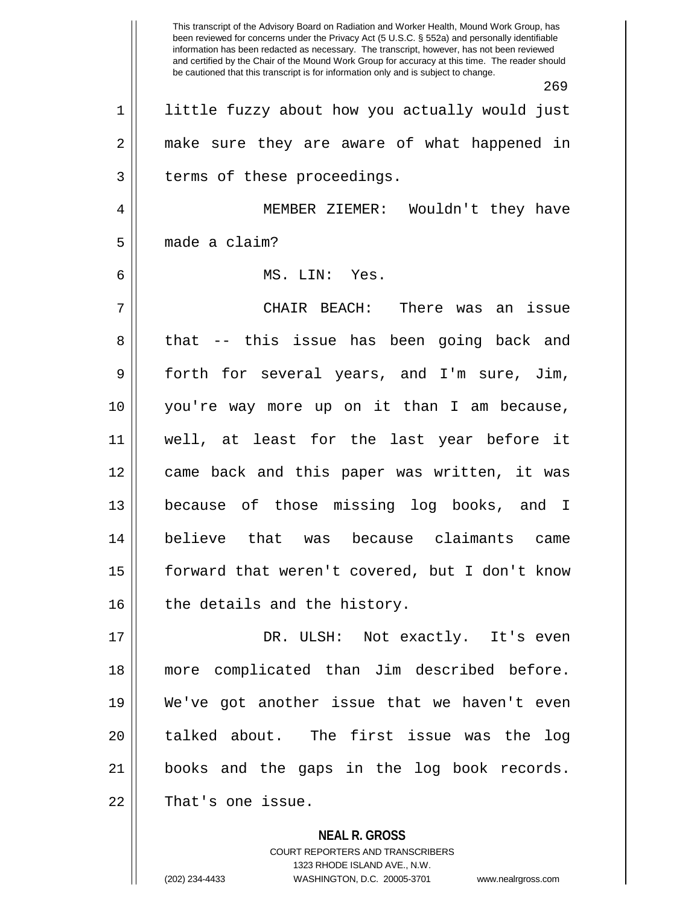This transcript of the Advisory Board on Radiation and Worker Health, Mound Work Group, has been reviewed for concerns under the Privacy Act (5 U.S.C. § 552a) and personally identifiable information has been redacted as necessary. The transcript, however, has not been reviewed and certified by the Chair of the Mound Work Group for accuracy at this time. The reader should be cautioned that this transcript is for information only and is subject to change. 269 1 || little fuzzy about how you actually would just 2 || make sure they are aware of what happened in 3 || terms of these proceedings. 4 MEMBER ZIEMER: Wouldn't they have 5 made a claim? 6 MS. LIN: Yes. 7 CHAIR BEACH: There was an issue 8 || that -- this issue has been going back and 9 forth for several years, and I'm sure, Jim, 10 you're way more up on it than I am because, 11 well, at least for the last year before it 12 came back and this paper was written, it was 13 because of those missing log books, and I 14 believe that was because claimants came 15 forward that weren't covered, but I don't know  $16$  | the details and the history. 17 DR. ULSH: Not exactly. It's even 18 more complicated than Jim described before. 19 We've got another issue that we haven't even 20 || talked about. The first issue was the log 21 books and the gaps in the log book records. 22 || That's one issue.

> **NEAL R. GROSS** COURT REPORTERS AND TRANSCRIBERS 1323 RHODE ISLAND AVE., N.W. (202) 234-4433 WASHINGTON, D.C. 20005-3701 www.nealrgross.com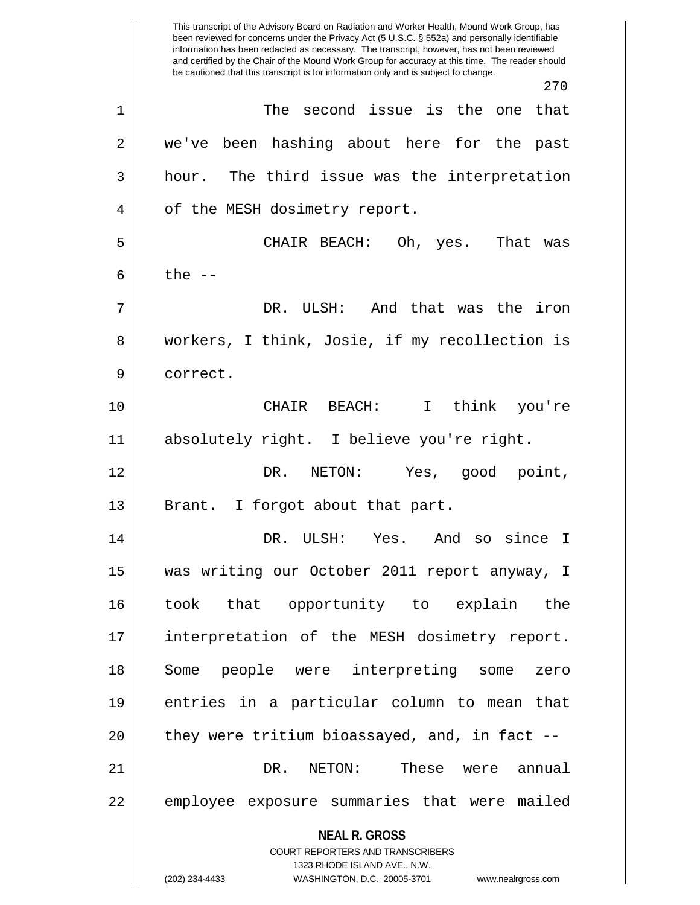**NEAL R. GROSS** COURT REPORTERS AND TRANSCRIBERS 1323 RHODE ISLAND AVE., N.W. (202) 234-4433 WASHINGTON, D.C. 20005-3701 www.nealrgross.com This transcript of the Advisory Board on Radiation and Worker Health, Mound Work Group, has been reviewed for concerns under the Privacy Act (5 U.S.C. § 552a) and personally identifiable information has been redacted as necessary. The transcript, however, has not been reviewed and certified by the Chair of the Mound Work Group for accuracy at this time. The reader should be cautioned that this transcript is for information only and is subject to change. 270 1 The second issue is the one that 2 we've been hashing about here for the past  $3 \parallel$  hour. The third issue was the interpretation 4 || of the MESH dosimetry report. 5 CHAIR BEACH: Oh, yes. That was 6  $\parallel$  the  $-$ 7 DR. ULSH: And that was the iron 8 || workers, I think, Josie, if my recollection is 9 || correct. 10 CHAIR BEACH: I think you're 11 absolutely right. I believe you're right. 12 DR. NETON: Yes, good point, 13 || Brant. I forgot about that part. 14 DR. ULSH: Yes. And so since I 15 was writing our October 2011 report anyway, I 16 took that opportunity to explain the 17 interpretation of the MESH dosimetry report. 18 Some people were interpreting some zero 19 entries in a particular column to mean that  $20$  || they were tritium bioassayed, and, in fact  $-$ 21 DR. NETON: These were annual 22 || employee exposure summaries that were mailed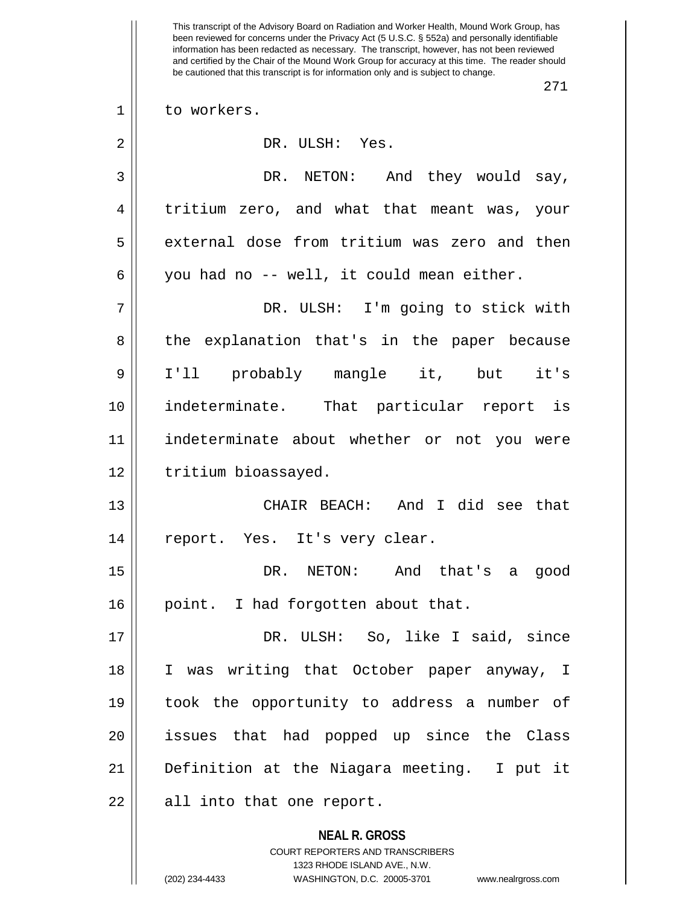**NEAL R. GROSS** COURT REPORTERS AND TRANSCRIBERS This transcript of the Advisory Board on Radiation and Worker Health, Mound Work Group, has been reviewed for concerns under the Privacy Act (5 U.S.C. § 552a) and personally identifiable information has been redacted as necessary. The transcript, however, has not been reviewed and certified by the Chair of the Mound Work Group for accuracy at this time. The reader should be cautioned that this transcript is for information only and is subject to change. 271 1 || to workers. 2 || DR. ULSH: Yes. 3 DR. NETON: And they would say, 4 tritium zero, and what that meant was, your 5 | external dose from tritium was zero and then  $6 \parallel$  you had no -- well, it could mean either. 7 DR. ULSH: I'm going to stick with 8 the explanation that's in the paper because 9 I'll probably mangle it, but it's 10 indeterminate. That particular report is 11 indeterminate about whether or not you were 12 | tritium bioassayed. 13 CHAIR BEACH: And I did see that 14 || report. Yes. It's very clear. 15 DR. NETON: And that's a good 16 || point. I had forgotten about that. 17 DR. ULSH: So, like I said, since 18 I was writing that October paper anyway, I 19 took the opportunity to address a number of 20 issues that had popped up since the Class 21 Definition at the Niagara meeting. I put it  $22$  || all into that one report.

1323 RHODE ISLAND AVE., N.W.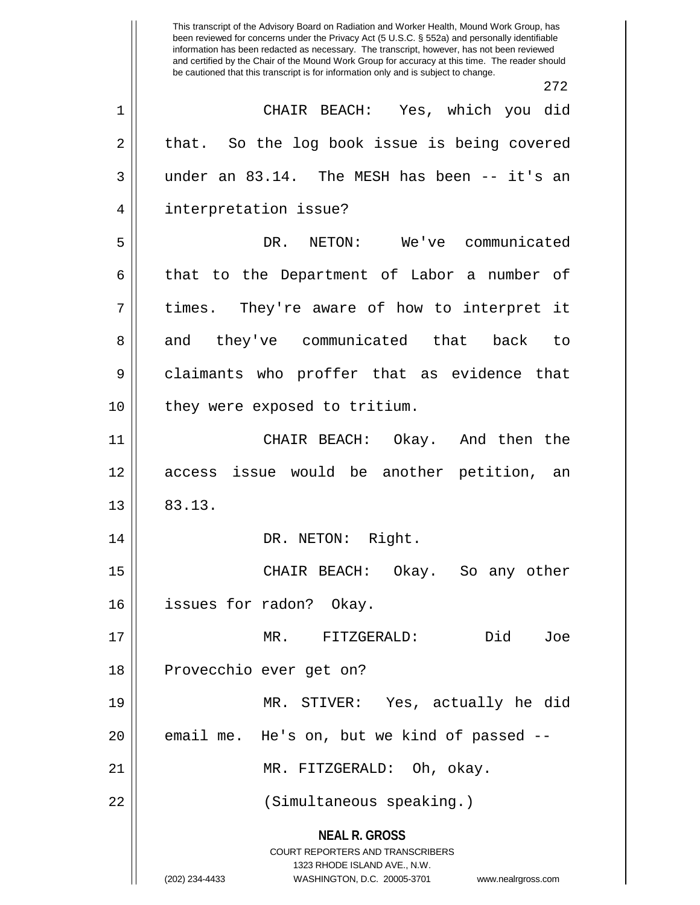|    | This transcript of the Advisory Board on Radiation and Worker Health, Mound Work Group, has<br>been reviewed for concerns under the Privacy Act (5 U.S.C. § 552a) and personally identifiable<br>information has been redacted as necessary. The transcript, however, has not been reviewed<br>and certified by the Chair of the Mound Work Group for accuracy at this time. The reader should<br>be cautioned that this transcript is for information only and is subject to change. |
|----|---------------------------------------------------------------------------------------------------------------------------------------------------------------------------------------------------------------------------------------------------------------------------------------------------------------------------------------------------------------------------------------------------------------------------------------------------------------------------------------|
|    | 272                                                                                                                                                                                                                                                                                                                                                                                                                                                                                   |
| 1  | CHAIR BEACH: Yes, which you did                                                                                                                                                                                                                                                                                                                                                                                                                                                       |
| 2  | So the log book issue is being covered<br>that.                                                                                                                                                                                                                                                                                                                                                                                                                                       |
| 3  | under an 83.14. The MESH has been -- it's an                                                                                                                                                                                                                                                                                                                                                                                                                                          |
| 4  | interpretation issue?                                                                                                                                                                                                                                                                                                                                                                                                                                                                 |
| 5  | We've communicated<br>DR.<br>NETON:                                                                                                                                                                                                                                                                                                                                                                                                                                                   |
| 6  | that to the Department of Labor a number of                                                                                                                                                                                                                                                                                                                                                                                                                                           |
| 7  | times.<br>They're aware of how to interpret<br>it                                                                                                                                                                                                                                                                                                                                                                                                                                     |
| 8  | they've communicated that<br>back<br>and<br>to                                                                                                                                                                                                                                                                                                                                                                                                                                        |
| 9  | claimants who proffer that as evidence that                                                                                                                                                                                                                                                                                                                                                                                                                                           |
| 10 | they were exposed to tritium.                                                                                                                                                                                                                                                                                                                                                                                                                                                         |
| 11 | CHAIR BEACH:<br>Okay.<br>And then the                                                                                                                                                                                                                                                                                                                                                                                                                                                 |
| 12 | issue would be another petition,<br>access<br>an                                                                                                                                                                                                                                                                                                                                                                                                                                      |
| 13 | 83.13.                                                                                                                                                                                                                                                                                                                                                                                                                                                                                |
| 14 | DR. NETON: Right.                                                                                                                                                                                                                                                                                                                                                                                                                                                                     |
| 15 | CHAIR BEACH: Okay. So any other                                                                                                                                                                                                                                                                                                                                                                                                                                                       |
| 16 | issues for radon? Okay.                                                                                                                                                                                                                                                                                                                                                                                                                                                               |
| 17 | Did<br>MR. FITZGERALD:<br>Joe                                                                                                                                                                                                                                                                                                                                                                                                                                                         |
| 18 | Provecchio ever get on?                                                                                                                                                                                                                                                                                                                                                                                                                                                               |
| 19 | MR. STIVER: Yes, actually he did                                                                                                                                                                                                                                                                                                                                                                                                                                                      |
| 20 | email me. He's on, but we kind of passed --                                                                                                                                                                                                                                                                                                                                                                                                                                           |
| 21 | MR. FITZGERALD: Oh, okay.                                                                                                                                                                                                                                                                                                                                                                                                                                                             |
| 22 | (Simultaneous speaking.)                                                                                                                                                                                                                                                                                                                                                                                                                                                              |
|    | <b>NEAL R. GROSS</b><br><b>COURT REPORTERS AND TRANSCRIBERS</b><br>1323 RHODE ISLAND AVE., N.W.<br>(202) 234-4433<br>WASHINGTON, D.C. 20005-3701 www.nealrgross.com                                                                                                                                                                                                                                                                                                                   |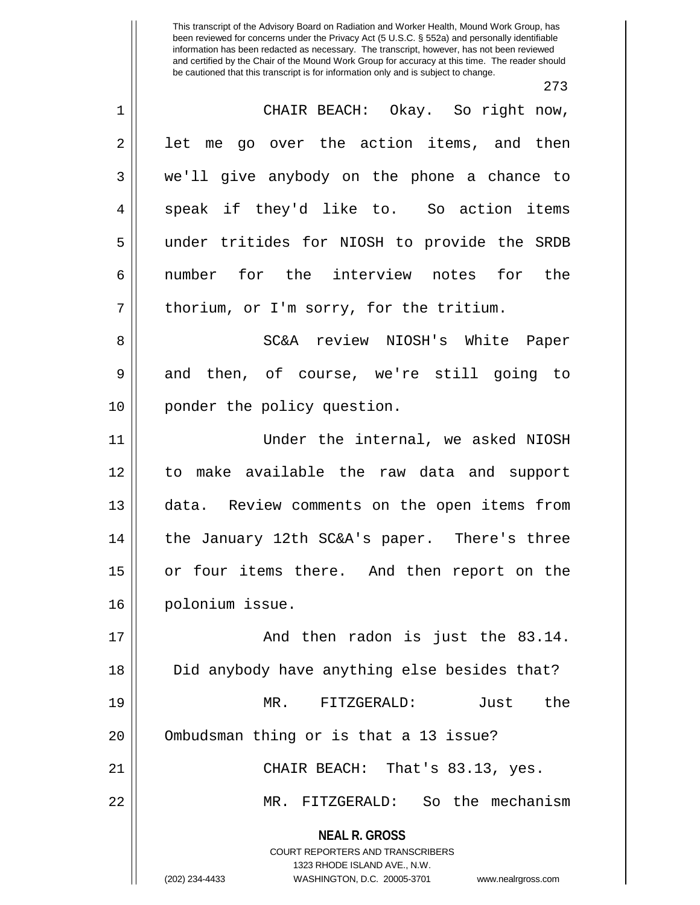273

| $1\,$          | CHAIR BEACH: Okay. So right now,                                                                                                                                       |
|----------------|------------------------------------------------------------------------------------------------------------------------------------------------------------------------|
| $\mathbf 2$    | let me go over the action items, and then                                                                                                                              |
| 3              | we'll give anybody on the phone a chance to                                                                                                                            |
| $\overline{4}$ | speak if they'd like to. So action items                                                                                                                               |
| 5              | under tritides for NIOSH to provide the SRDB                                                                                                                           |
| 6              | number for the interview notes for the                                                                                                                                 |
| 7              | thorium, or I'm sorry, for the tritium.                                                                                                                                |
| 8              | SC&A review NIOSH's White Paper                                                                                                                                        |
| 9              | and then, of course, we're still going to                                                                                                                              |
| 10             | ponder the policy question.                                                                                                                                            |
| 11             | Under the internal, we asked NIOSH                                                                                                                                     |
| 12             | to make available the raw data and support                                                                                                                             |
| 13             | data. Review comments on the open items from                                                                                                                           |
| 14             | the January 12th SC&A's paper. There's three                                                                                                                           |
| 15             | or four items there. And then report on the                                                                                                                            |
| 16             | polonium issue.                                                                                                                                                        |
| 17             | And then radon is just the 83.14.                                                                                                                                      |
| 18             | Did anybody have anything else besides that?                                                                                                                           |
| 19             | the<br>MR. FITZGERALD:<br>Just                                                                                                                                         |
| 20             | Ombudsman thing or is that a 13 issue?                                                                                                                                 |
| 21             | CHAIR BEACH: That's 83.13, yes.                                                                                                                                        |
| 22             | MR. FITZGERALD: So the mechanism                                                                                                                                       |
|                | <b>NEAL R. GROSS</b><br><b>COURT REPORTERS AND TRANSCRIBERS</b><br>1323 RHODE ISLAND AVE., N.W.<br>(202) 234-4433<br>WASHINGTON, D.C. 20005-3701<br>www.nealrgross.com |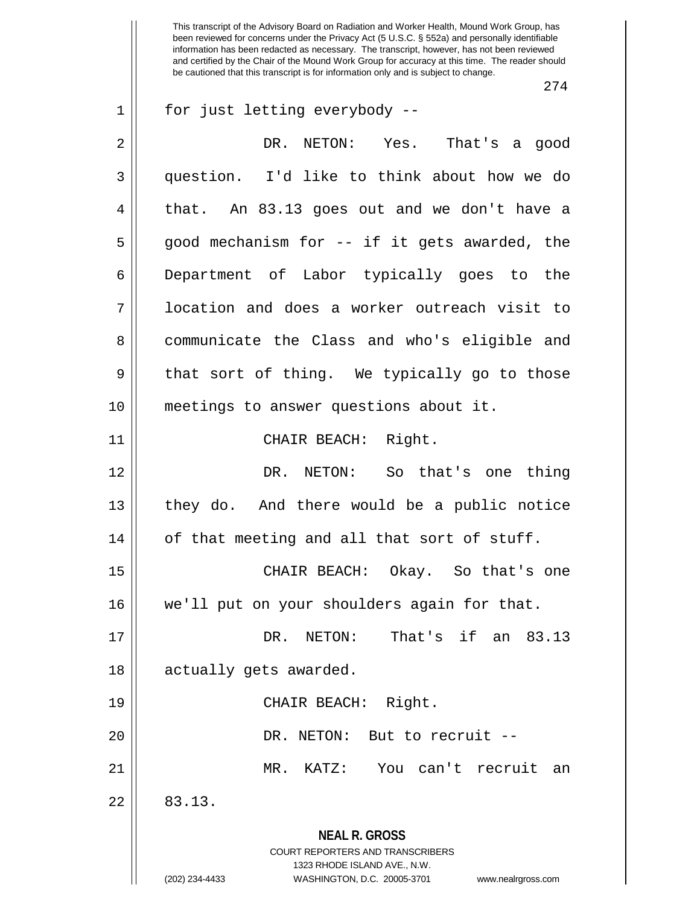274

| $\mathbf{1}$ | for just letting everybody --                                                                                                                                          |
|--------------|------------------------------------------------------------------------------------------------------------------------------------------------------------------------|
| 2            | DR. NETON: Yes. That's a good                                                                                                                                          |
| 3            | question. I'd like to think about how we do                                                                                                                            |
| 4            | that. An 83.13 goes out and we don't have a                                                                                                                            |
| 5            | good mechanism for -- if it gets awarded, the                                                                                                                          |
| 6            | Department of Labor typically goes to the                                                                                                                              |
| 7            | location and does a worker outreach visit to                                                                                                                           |
| 8            | communicate the Class and who's eligible and                                                                                                                           |
| 9            | that sort of thing. We typically go to those                                                                                                                           |
| 10           | meetings to answer questions about it.                                                                                                                                 |
| 11           | CHAIR BEACH: Right.                                                                                                                                                    |
| 12           | DR. NETON: So that's one thing                                                                                                                                         |
| 13           | they do. And there would be a public notice                                                                                                                            |
| 14           | of that meeting and all that sort of stuff.                                                                                                                            |
| 15           | CHAIR BEACH: Okay. So that's one                                                                                                                                       |
| 16           | we'll put on your shoulders again for that.                                                                                                                            |
| 17           | That's if an 83.13<br>DR.<br>NETON:                                                                                                                                    |
| 18           | actually gets awarded.                                                                                                                                                 |
| 19           | CHAIR BEACH: Right.                                                                                                                                                    |
| 20           | DR. NETON: But to recruit --                                                                                                                                           |
| 21           | You can't recruit an<br>MR. KATZ:                                                                                                                                      |
| 22           | 83.13.                                                                                                                                                                 |
|              | <b>NEAL R. GROSS</b><br><b>COURT REPORTERS AND TRANSCRIBERS</b><br>1323 RHODE ISLAND AVE., N.W.<br>(202) 234-4433<br>WASHINGTON, D.C. 20005-3701<br>www.nealrgross.com |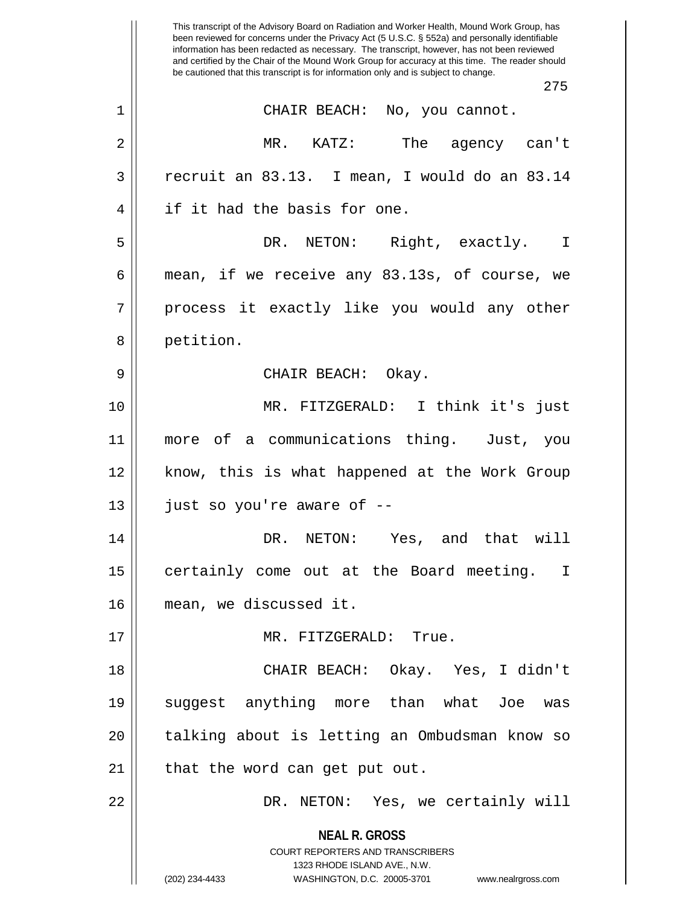**NEAL R. GROSS** COURT REPORTERS AND TRANSCRIBERS 1323 RHODE ISLAND AVE., N.W. (202) 234-4433 WASHINGTON, D.C. 20005-3701 www.nealrgross.com This transcript of the Advisory Board on Radiation and Worker Health, Mound Work Group, has been reviewed for concerns under the Privacy Act (5 U.S.C. § 552a) and personally identifiable information has been redacted as necessary. The transcript, however, has not been reviewed and certified by the Chair of the Mound Work Group for accuracy at this time. The reader should be cautioned that this transcript is for information only and is subject to change. 275 1 CHAIR BEACH: No, you cannot. 2 MR. KATZ: The agency can't  $3 \parallel$  recruit an 83.13. I mean, I would do an 83.14 4 || if it had the basis for one. 5 DR. NETON: Right, exactly. I 6  $\parallel$  mean, if we receive any 83.13s, of course, we 7 process it exactly like you would any other 8 || petition. 9 CHAIR BEACH: Okay. 10 MR. FITZGERALD: I think it's just 11 more of a communications thing. Just, you 12 || know, this is what happened at the Work Group  $13$  || just so you're aware of  $-$ 14 DR. NETON: Yes, and that will 15 || certainly come out at the Board meeting. I 16 mean, we discussed it. 17 || MR. FITZGERALD: True. 18 CHAIR BEACH: Okay. Yes, I didn't 19 suggest anything more than what Joe was 20 || talking about is letting an Ombudsman know so  $21$  | that the word can get put out. 22 DR. NETON: Yes, we certainly will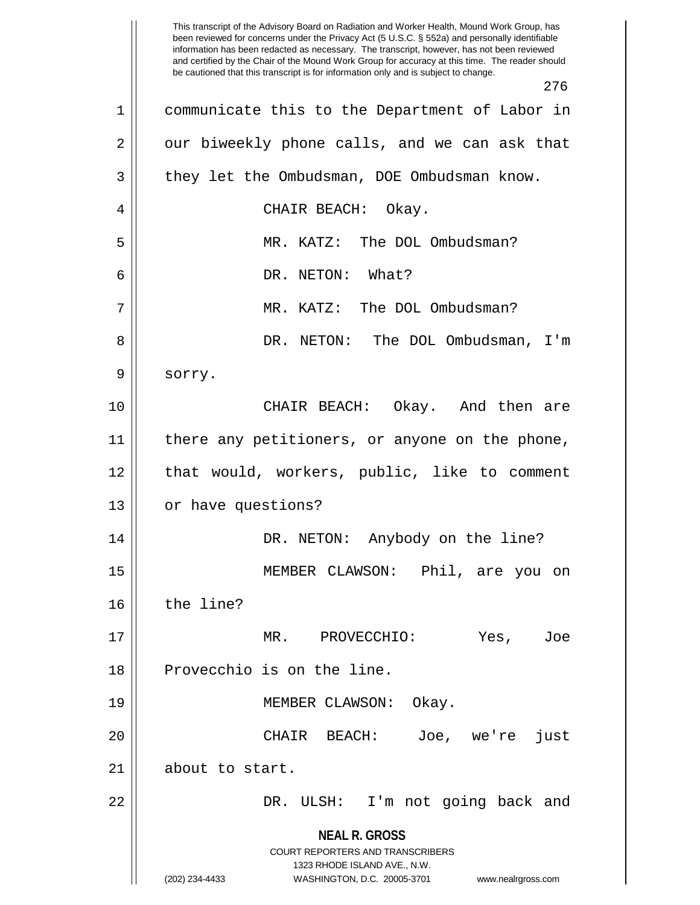**NEAL R. GROSS** COURT REPORTERS AND TRANSCRIBERS 1323 RHODE ISLAND AVE., N.W. (202) 234-4433 WASHINGTON, D.C. 20005-3701 www.nealrgross.com This transcript of the Advisory Board on Radiation and Worker Health, Mound Work Group, has been reviewed for concerns under the Privacy Act (5 U.S.C. § 552a) and personally identifiable information has been redacted as necessary. The transcript, however, has not been reviewed and certified by the Chair of the Mound Work Group for accuracy at this time. The reader should be cautioned that this transcript is for information only and is subject to change. 276 1 communicate this to the Department of Labor in  $2 \parallel$  our biweekly phone calls, and we can ask that  $3 \parallel$  they let the Ombudsman, DOE Ombudsman know. 4 CHAIR BEACH: Okay. 5 MR. KATZ: The DOL Ombudsman? 6 DR. NETON: What? 7 MR. KATZ: The DOL Ombudsman? 8 DR. NETON: The DOL Ombudsman, I'm 9 | sorry. 10 CHAIR BEACH: Okay. And then are 11 || there any petitioners, or anyone on the phone, 12 || that would, workers, public, like to comment 13 | or have questions? 14 DR. NETON: Anybody on the line? 15 MEMBER CLAWSON: Phil, are you on 16 the line? 17 MR. PROVECCHIO: Yes, Joe 18 Provecchio is on the line. 19 || MEMBER CLAWSON: Okay. 20 CHAIR BEACH: Joe, we're just 21 || about to start. 22 DR. ULSH: I'm not going back and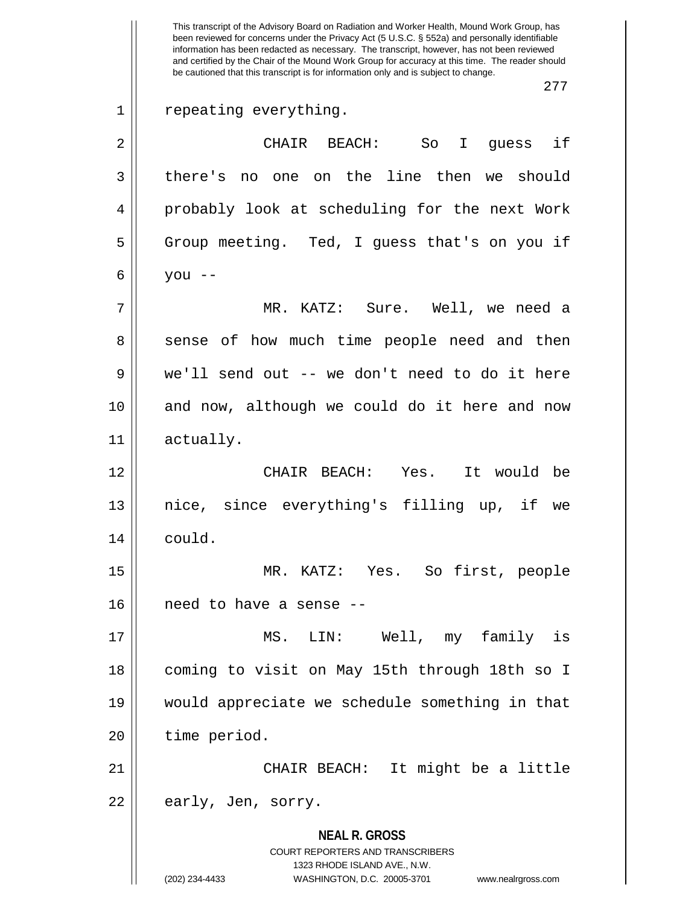**NEAL R. GROSS** COURT REPORTERS AND TRANSCRIBERS 1323 RHODE ISLAND AVE., N.W. (202) 234-4433 WASHINGTON, D.C. 20005-3701 www.nealrgross.com This transcript of the Advisory Board on Radiation and Worker Health, Mound Work Group, has been reviewed for concerns under the Privacy Act (5 U.S.C. § 552a) and personally identifiable information has been redacted as necessary. The transcript, however, has not been reviewed and certified by the Chair of the Mound Work Group for accuracy at this time. The reader should be cautioned that this transcript is for information only and is subject to change. 277 1 || repeating everything. 2 CHAIR BEACH: So I guess if 3 there's no one on the line then we should 4 || probably look at scheduling for the next Work 5 Group meeting. Ted, I guess that's on you if 6 |  $\sqrt{}$  you --7 MR. KATZ: Sure. Well, we need a 8 || sense of how much time people need and then 9 we'll send out -- we don't need to do it here 10 and now, although we could do it here and now 11 actually. 12 CHAIR BEACH: Yes. It would be 13 nice, since everything's filling up, if we 14 could. 15 MR. KATZ: Yes. So first, people 16 need to have a sense -- 17 MS. LIN: Well, my family is 18 coming to visit on May 15th through 18th so I 19 would appreciate we schedule something in that 20 | time period. 21 CHAIR BEACH: It might be a little 22 || early, Jen, sorry.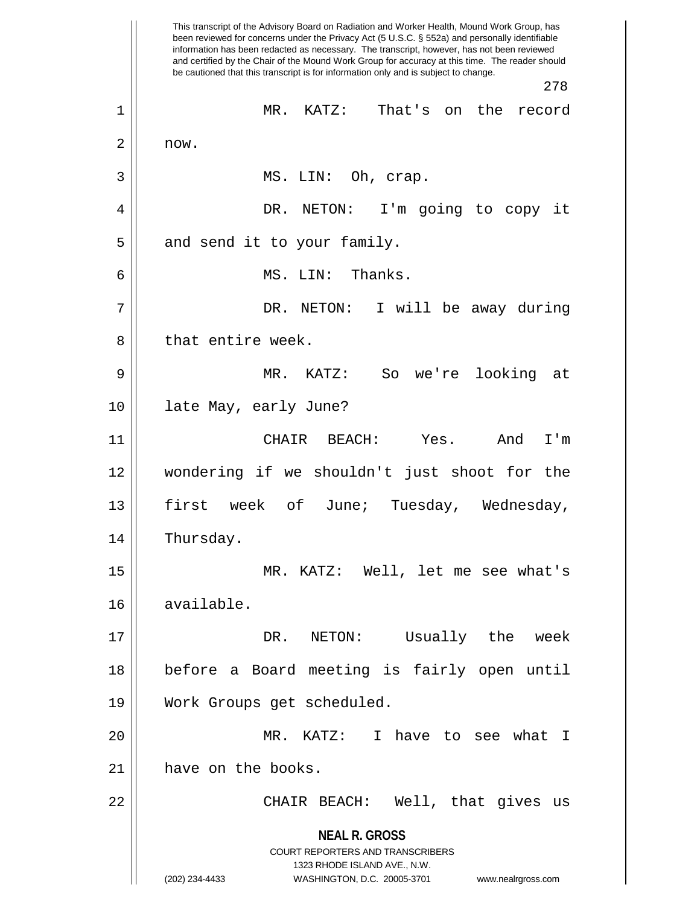**NEAL R. GROSS** COURT REPORTERS AND TRANSCRIBERS 1323 RHODE ISLAND AVE., N.W. (202) 234-4433 WASHINGTON, D.C. 20005-3701 www.nealrgross.com This transcript of the Advisory Board on Radiation and Worker Health, Mound Work Group, has been reviewed for concerns under the Privacy Act (5 U.S.C. § 552a) and personally identifiable information has been redacted as necessary. The transcript, however, has not been reviewed and certified by the Chair of the Mound Work Group for accuracy at this time. The reader should be cautioned that this transcript is for information only and is subject to change. 278 1 MR. KATZ: That's on the record  $2 \parallel$  now. 3 || MS. LIN: Oh, crap. 4 DR. NETON: I'm going to copy it  $5$  || and send it to your family. 6 MS. LIN: Thanks. 7 DR. NETON: I will be away during 8 l that entire week. 9 MR. KATZ: So we're looking at 10 late May, early June? 11 CHAIR BEACH: Yes. And I'm 12 wondering if we shouldn't just shoot for the 13 || first week of June; Tuesday, Wednesday, 14 | Thursday. 15 MR. KATZ: Well, let me see what's 16 available. 17 DR. NETON: Usually the week 18 before a Board meeting is fairly open until 19 Work Groups get scheduled. 20 MR. KATZ: I have to see what I 21 | have on the books. 22 CHAIR BEACH: Well, that gives us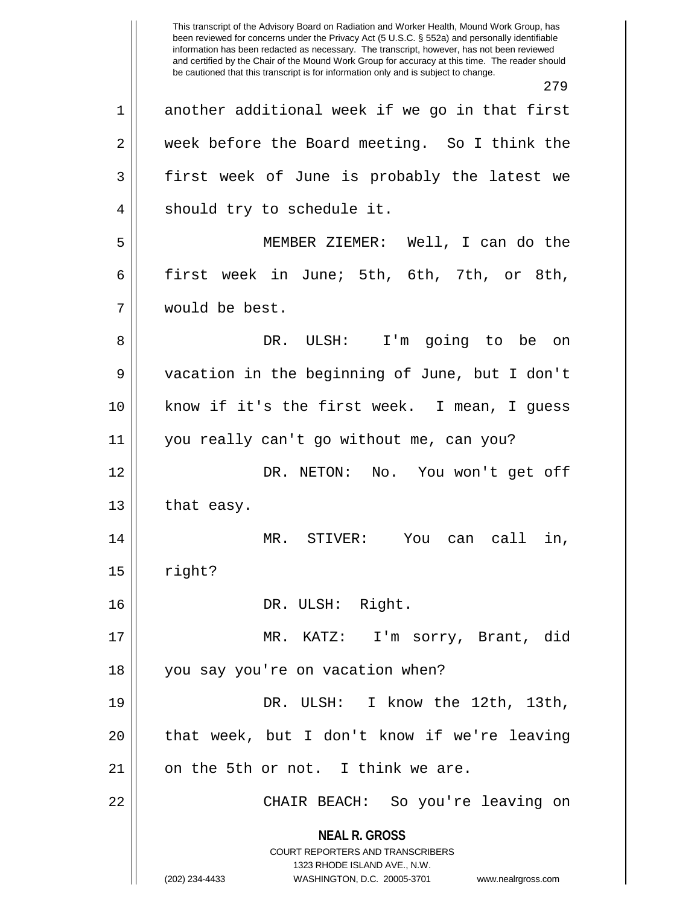**NEAL R. GROSS** COURT REPORTERS AND TRANSCRIBERS 1323 RHODE ISLAND AVE., N.W. (202) 234-4433 WASHINGTON, D.C. 20005-3701 www.nealrgross.com This transcript of the Advisory Board on Radiation and Worker Health, Mound Work Group, has been reviewed for concerns under the Privacy Act (5 U.S.C. § 552a) and personally identifiable information has been redacted as necessary. The transcript, however, has not been reviewed and certified by the Chair of the Mound Work Group for accuracy at this time. The reader should be cautioned that this transcript is for information only and is subject to change. 279 1 another additional week if we go in that first 2 week before the Board meeting. So I think the 3 first week of June is probably the latest we 4 || should try to schedule it. 5 MEMBER ZIEMER: Well, I can do the 6 first week in June; 5th, 6th, 7th, or 8th, 7 would be best. 8 DR. ULSH: I'm going to be on 9 vacation in the beginning of June, but I don't 10 know if it's the first week. I mean, I guess 11 you really can't go without me, can you? 12 DR. NETON: No. You won't get off  $13$  | that easy. 14 MR. STIVER: You can call in,  $15$  | right? 16 || DR. ULSH: Right. 17 MR. KATZ: I'm sorry, Brant, did 18 || you say you're on vacation when? 19 || DR. ULSH: I know the 12th, 13th,  $20$  || that week, but I don't know if we're leaving  $21$  | on the 5th or not. I think we are. 22 CHAIR BEACH: So you're leaving on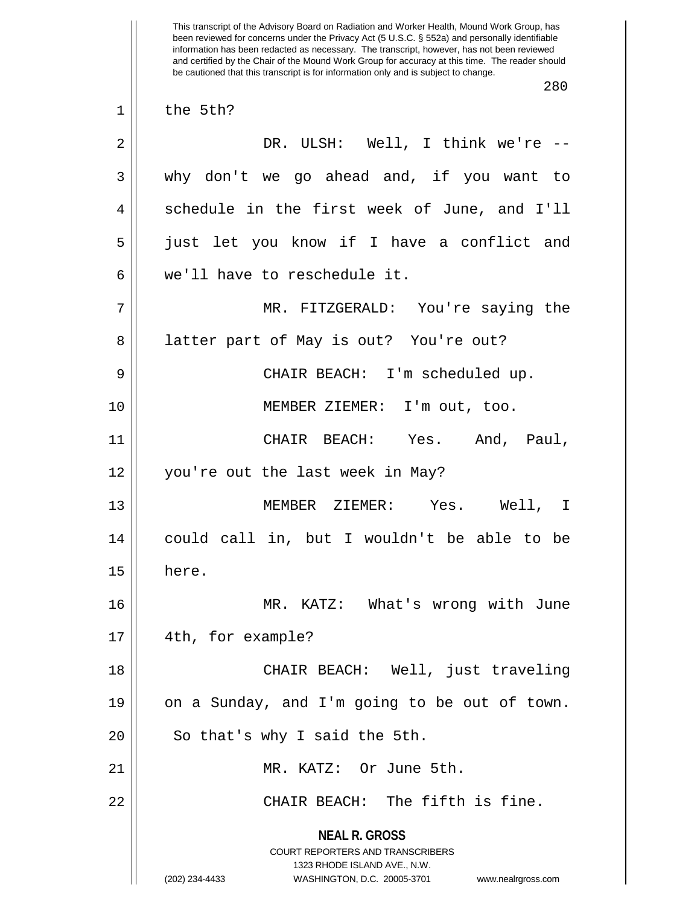**NEAL R. GROSS** COURT REPORTERS AND TRANSCRIBERS 1323 RHODE ISLAND AVE., N.W. (202) 234-4433 WASHINGTON, D.C. 20005-3701 www.nealrgross.com This transcript of the Advisory Board on Radiation and Worker Health, Mound Work Group, has been reviewed for concerns under the Privacy Act (5 U.S.C. § 552a) and personally identifiable information has been redacted as necessary. The transcript, however, has not been reviewed and certified by the Chair of the Mound Work Group for accuracy at this time. The reader should be cautioned that this transcript is for information only and is subject to change. 280  $1 \parallel$  the 5th? 2 DR. ULSH: Well, I think we're -- 3 why don't we go ahead and, if you want to 4 Schedule in the first week of June, and I'll 5 just let you know if I have a conflict and 6 we'll have to reschedule it. 7 MR. FITZGERALD: You're saying the 8 || latter part of May is out? You're out? 9 CHAIR BEACH: I'm scheduled up. 10 MEMBER ZIEMER: I'm out, too. 11 CHAIR BEACH: Yes. And, Paul, 12 you're out the last week in May? 13 MEMBER ZIEMER: Yes. Well, I 14 could call in, but I wouldn't be able to be  $15 \parallel$  here. 16 MR. KATZ: What's wrong with June 17 || 4th, for example? 18 || CHAIR BEACH: Well, just traveling 19 || on a Sunday, and I'm going to be out of town.  $20$  || So that's why I said the 5th. 21 MR. KATZ: Or June 5th. 22 CHAIR BEACH: The fifth is fine.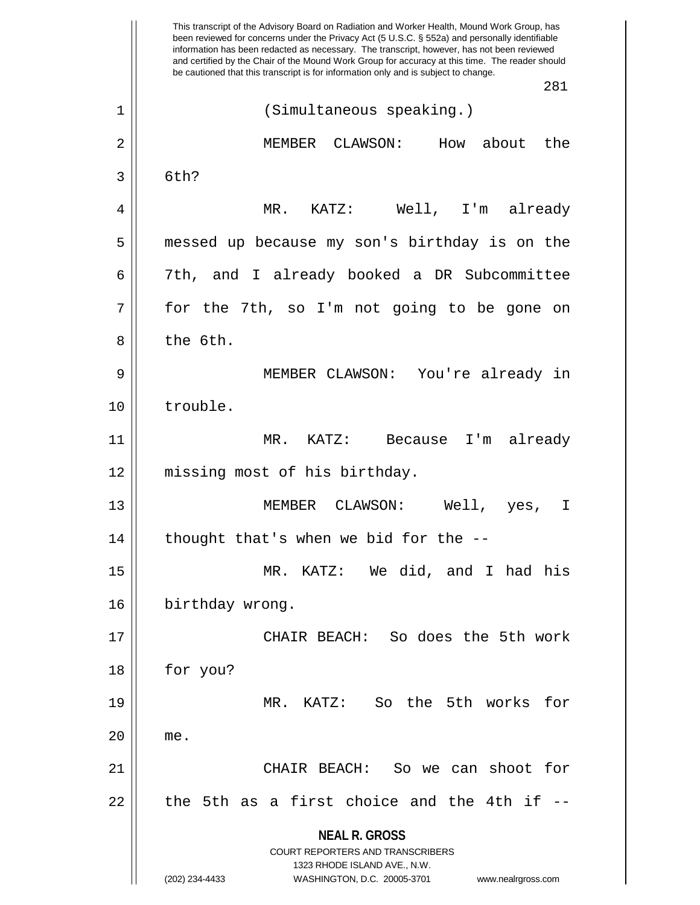**NEAL R. GROSS** COURT REPORTERS AND TRANSCRIBERS 1323 RHODE ISLAND AVE., N.W. (202) 234-4433 WASHINGTON, D.C. 20005-3701 www.nealrgross.com This transcript of the Advisory Board on Radiation and Worker Health, Mound Work Group, has been reviewed for concerns under the Privacy Act (5 U.S.C. § 552a) and personally identifiable information has been redacted as necessary. The transcript, however, has not been reviewed and certified by the Chair of the Mound Work Group for accuracy at this time. The reader should be cautioned that this transcript is for information only and is subject to change. 281 1 || (Simultaneous speaking.) 2 MEMBER CLAWSON: How about the  $3 \parallel$  6th? 4 MR. KATZ: Well, I'm already 5 messed up because my son's birthday is on the 6 7th, and I already booked a DR Subcommittee  $7 \parallel$  for the 7th, so I'm not going to be gone on 8 ll the 6th. 9 MEMBER CLAWSON: You're already in 10 trouble. 11 MR. KATZ: Because I'm already 12 missing most of his birthday. 13 MEMBER CLAWSON: Well, yes, I  $14$  || thought that's when we bid for the --15 MR. KATZ: We did, and I had his 16 | birthday wrong. 17 CHAIR BEACH: So does the 5th work 18 for you? 19 MR. KATZ: So the 5th works for 20 me. 21 CHAIR BEACH: So we can shoot for  $22$  || the 5th as a first choice and the 4th if  $-$ -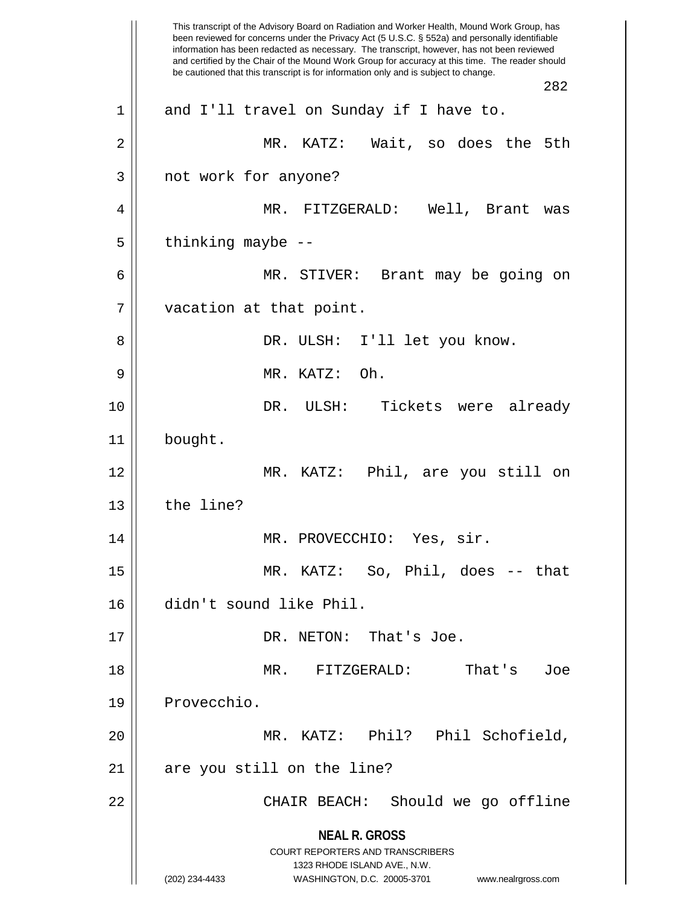**NEAL R. GROSS** COURT REPORTERS AND TRANSCRIBERS 1323 RHODE ISLAND AVE., N.W. (202) 234-4433 WASHINGTON, D.C. 20005-3701 www.nealrgross.com This transcript of the Advisory Board on Radiation and Worker Health, Mound Work Group, has been reviewed for concerns under the Privacy Act (5 U.S.C. § 552a) and personally identifiable information has been redacted as necessary. The transcript, however, has not been reviewed and certified by the Chair of the Mound Work Group for accuracy at this time. The reader should be cautioned that this transcript is for information only and is subject to change. 282 1 and I'll travel on Sunday if I have to. 2 || MR. KATZ: Wait, so does the 5th 3 || not work for anyone? 4 MR. FITZGERALD: Well, Brant was  $5$  || thinking maybe  $-$ -6 MR. STIVER: Brant may be going on 7 | vacation at that point. 8 DR. ULSH: I'll let you know. 9 MR. KATZ: Oh. 10 DR. ULSH: Tickets were already 11 bought. 12 MR. KATZ: Phil, are you still on  $13$  | the line? 14 || MR. PROVECCHIO: Yes, sir. 15 MR. KATZ: So, Phil, does -- that 16 didn't sound like Phil. 17 || DR. NETON: That's Joe. 18 MR. FITZGERALD: That's Joe 19 | Provecchio. 20 MR. KATZ: Phil? Phil Schofield, 21 || are you still on the line? 22 CHAIR BEACH: Should we go offline